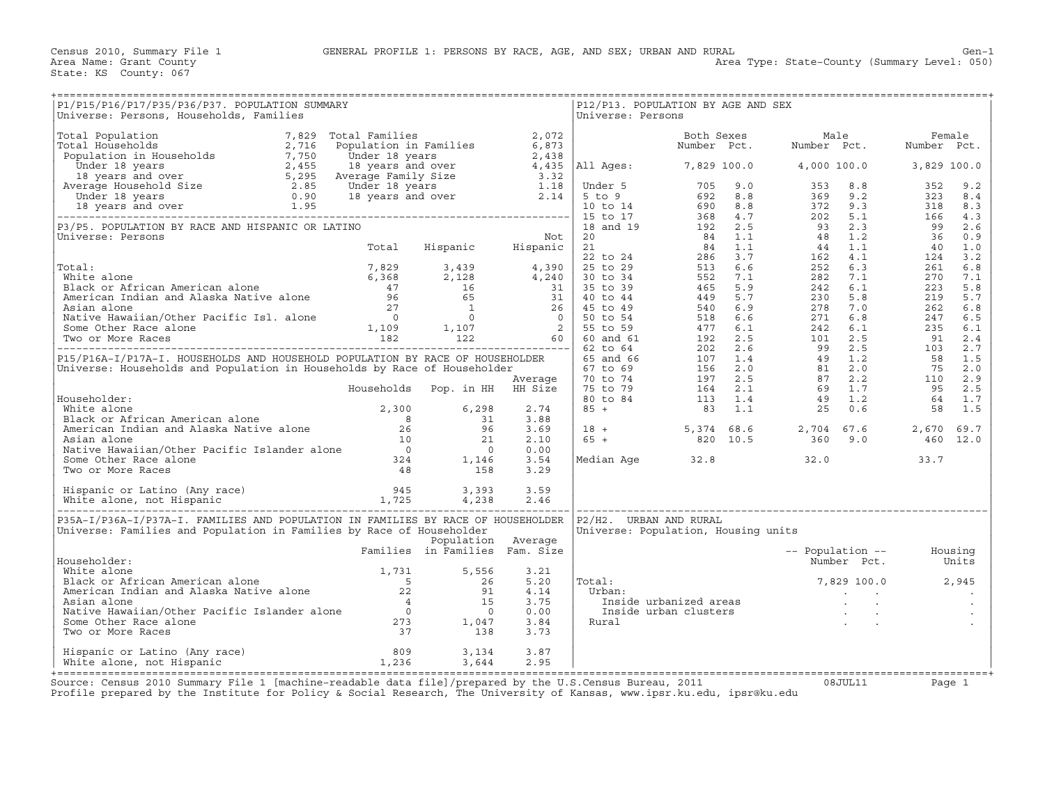| P1/P15/P16/P17/P35/P36/P37. POPULATION SUMMARY<br>Universe: Persons, Households, Families                                                                                                                                                        |                                |                    |      | Universe: Persons      | P12/P13. POPULATION BY AGE AND SEX  |                                                                                                                                                                                                                                                  |  |  |
|--------------------------------------------------------------------------------------------------------------------------------------------------------------------------------------------------------------------------------------------------|--------------------------------|--------------------|------|------------------------|-------------------------------------|--------------------------------------------------------------------------------------------------------------------------------------------------------------------------------------------------------------------------------------------------|--|--|
|                                                                                                                                                                                                                                                  |                                |                    |      |                        |                                     |                                                                                                                                                                                                                                                  |  |  |
|                                                                                                                                                                                                                                                  |                                |                    |      |                        |                                     |                                                                                                                                                                                                                                                  |  |  |
|                                                                                                                                                                                                                                                  |                                |                    |      |                        |                                     |                                                                                                                                                                                                                                                  |  |  |
|                                                                                                                                                                                                                                                  |                                |                    |      |                        |                                     |                                                                                                                                                                                                                                                  |  |  |
|                                                                                                                                                                                                                                                  |                                |                    |      |                        |                                     |                                                                                                                                                                                                                                                  |  |  |
|                                                                                                                                                                                                                                                  |                                |                    |      |                        |                                     |                                                                                                                                                                                                                                                  |  |  |
|                                                                                                                                                                                                                                                  |                                |                    |      |                        |                                     |                                                                                                                                                                                                                                                  |  |  |
|                                                                                                                                                                                                                                                  |                                |                    |      |                        |                                     |                                                                                                                                                                                                                                                  |  |  |
|                                                                                                                                                                                                                                                  |                                |                    |      |                        |                                     |                                                                                                                                                                                                                                                  |  |  |
|                                                                                                                                                                                                                                                  |                                |                    |      |                        |                                     |                                                                                                                                                                                                                                                  |  |  |
|                                                                                                                                                                                                                                                  |                                |                    |      |                        |                                     |                                                                                                                                                                                                                                                  |  |  |
|                                                                                                                                                                                                                                                  |                                |                    |      |                        |                                     |                                                                                                                                                                                                                                                  |  |  |
|                                                                                                                                                                                                                                                  |                                |                    |      |                        |                                     |                                                                                                                                                                                                                                                  |  |  |
|                                                                                                                                                                                                                                                  |                                |                    |      |                        |                                     |                                                                                                                                                                                                                                                  |  |  |
|                                                                                                                                                                                                                                                  |                                |                    |      |                        |                                     |                                                                                                                                                                                                                                                  |  |  |
|                                                                                                                                                                                                                                                  |                                |                    |      |                        |                                     |                                                                                                                                                                                                                                                  |  |  |
|                                                                                                                                                                                                                                                  |                                |                    |      |                        |                                     |                                                                                                                                                                                                                                                  |  |  |
|                                                                                                                                                                                                                                                  |                                |                    |      |                        |                                     |                                                                                                                                                                                                                                                  |  |  |
|                                                                                                                                                                                                                                                  |                                |                    |      |                        |                                     |                                                                                                                                                                                                                                                  |  |  |
|                                                                                                                                                                                                                                                  |                                |                    |      |                        |                                     |                                                                                                                                                                                                                                                  |  |  |
|                                                                                                                                                                                                                                                  |                                |                    |      |                        |                                     |                                                                                                                                                                                                                                                  |  |  |
|                                                                                                                                                                                                                                                  |                                |                    |      |                        |                                     |                                                                                                                                                                                                                                                  |  |  |
|                                                                                                                                                                                                                                                  |                                |                    |      |                        |                                     |                                                                                                                                                                                                                                                  |  |  |
|                                                                                                                                                                                                                                                  |                                |                    |      |                        |                                     |                                                                                                                                                                                                                                                  |  |  |
|                                                                                                                                                                                                                                                  |                                |                    |      |                        |                                     |                                                                                                                                                                                                                                                  |  |  |
|                                                                                                                                                                                                                                                  |                                |                    |      |                        |                                     |                                                                                                                                                                                                                                                  |  |  |
|                                                                                                                                                                                                                                                  |                                |                    |      |                        |                                     |                                                                                                                                                                                                                                                  |  |  |
|                                                                                                                                                                                                                                                  |                                |                    |      |                        |                                     |                                                                                                                                                                                                                                                  |  |  |
|                                                                                                                                                                                                                                                  |                                |                    |      |                        |                                     |                                                                                                                                                                                                                                                  |  |  |
|                                                                                                                                                                                                                                                  |                                |                    |      |                        |                                     | $18 + 5,374$ 68.6 2,704 67.6 2,670 69.7<br>65 + 820 10.5 360 9.0 460 12.0                                                                                                                                                                        |  |  |
|                                                                                                                                                                                                                                                  |                                |                    |      |                        |                                     |                                                                                                                                                                                                                                                  |  |  |
| Mousenouder:<br>Mathematical alone and Alaska Native alone and alone and alone of the same<br>Mathematical Indian and Alaska Native alone and the same of the same<br>Mative Hawaiian/Other Pacific Islander alone and the same of t             |                                |                    |      |                        |                                     |                                                                                                                                                                                                                                                  |  |  |
|                                                                                                                                                                                                                                                  |                                |                    |      |                        |                                     | Median Age $32.8$ $32.0$ $33.7$                                                                                                                                                                                                                  |  |  |
|                                                                                                                                                                                                                                                  |                                |                    |      |                        |                                     |                                                                                                                                                                                                                                                  |  |  |
|                                                                                                                                                                                                                                                  |                                |                    |      |                        |                                     |                                                                                                                                                                                                                                                  |  |  |
|                                                                                                                                                                                                                                                  |                                |                    |      |                        |                                     |                                                                                                                                                                                                                                                  |  |  |
|                                                                                                                                                                                                                                                  |                                |                    |      |                        |                                     |                                                                                                                                                                                                                                                  |  |  |
| P35A-I/P36A-I/P37A-I. FAMILIES AND POPULATION IN FAMILIES BY RACE OF HOUSEHOLDER                                                                                                                                                                 |                                |                    |      | P2/H2. URBAN AND RURAL |                                     |                                                                                                                                                                                                                                                  |  |  |
| Universe: Families and Population in Families by Race of Householder                                                                                                                                                                             |                                |                    |      |                        | Universe: Population, Housing units |                                                                                                                                                                                                                                                  |  |  |
|                                                                                                                                                                                                                                                  |                                | Population Average |      |                        |                                     |                                                                                                                                                                                                                                                  |  |  |
|                                                                                                                                                                                                                                                  | Families in Families Fam. Size |                    |      |                        |                                     | -- Population -- Housing<br>Number Pct. Units                                                                                                                                                                                                    |  |  |
| Householder:                                                                                                                                                                                                                                     |                                |                    |      |                        |                                     |                                                                                                                                                                                                                                                  |  |  |
|                                                                                                                                                                                                                                                  |                                |                    |      |                        |                                     |                                                                                                                                                                                                                                                  |  |  |
| Householder:<br>White alone<br>Black or African American alone<br>American Indian and Alaska Native alone<br>Asian alone<br>Native Hawaiian/Other Pacific Islander alone<br>Some Other Race alone<br>Two or More Races<br>Two or More Races<br>2 |                                |                    |      | Total:                 |                                     | Total:<br>Urban: 11.1777,829 100.0 2,945<br>Inside urbanized areas<br>Inside urban clusters<br>Rural interval areas<br>Rural interval areas<br>Rural interval areas<br>Rural interval areas<br>Rural interval areas<br>The contract of the contr |  |  |
|                                                                                                                                                                                                                                                  |                                |                    |      |                        |                                     |                                                                                                                                                                                                                                                  |  |  |
|                                                                                                                                                                                                                                                  |                                |                    |      |                        |                                     |                                                                                                                                                                                                                                                  |  |  |
|                                                                                                                                                                                                                                                  |                                |                    |      |                        |                                     |                                                                                                                                                                                                                                                  |  |  |
|                                                                                                                                                                                                                                                  |                                |                    |      |                        |                                     |                                                                                                                                                                                                                                                  |  |  |
|                                                                                                                                                                                                                                                  |                                |                    |      |                        |                                     |                                                                                                                                                                                                                                                  |  |  |
|                                                                                                                                                                                                                                                  |                                |                    |      |                        |                                     |                                                                                                                                                                                                                                                  |  |  |
|                                                                                                                                                                                                                                                  |                                |                    | 3.87 |                        |                                     |                                                                                                                                                                                                                                                  |  |  |
| Hispanic or Latino (Any race) 809 3,134<br>White alone, not Hispanic 1,236 3,644                                                                                                                                                                 |                                |                    | 2.95 |                        |                                     |                                                                                                                                                                                                                                                  |  |  |
|                                                                                                                                                                                                                                                  |                                |                    |      |                        |                                     |                                                                                                                                                                                                                                                  |  |  |
| $S_0$                                                                                                                                                                                                                                            |                                |                    |      |                        |                                     |                                                                                                                                                                                                                                                  |  |  |

Source: Census 2010 Summary File 1 [machine-readable data file]/prepared by the U.S.Census Bureau, 2011 Page 1<br>Profile prepared by the Institute for Policy & Social Research, The University of Kansas, www.ip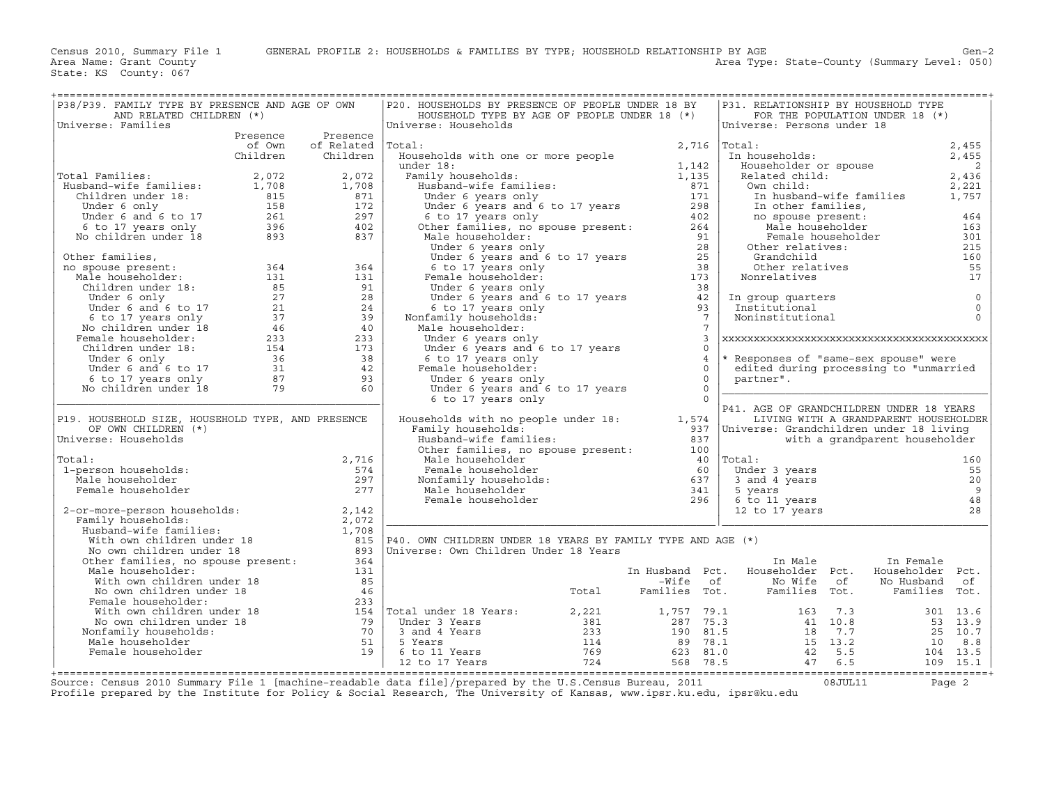Area Type: State-County (Summary Level: 050)

| ======================================<br>P38/P39. FAMILY TYPE BY PRESENCE AND AGE OF OWN<br>AND RELATED CHILDREN (*)                                                                                                                          |          |                    | P20. HOUSEHOLDS BY PRESENCE OF PEOPLE UNDER 18 BY<br>HOUSEHOLD TYPE BY AGE OF PEOPLE UNDER 18 (*)                                                                                                                                                 |                | P31. RELATIONSHIP BY HOUSEHOLD TYPE<br>FOR THE POPULATION UNDER 18 (*)                                                                                   |                                |           |                         |
|------------------------------------------------------------------------------------------------------------------------------------------------------------------------------------------------------------------------------------------------|----------|--------------------|---------------------------------------------------------------------------------------------------------------------------------------------------------------------------------------------------------------------------------------------------|----------------|----------------------------------------------------------------------------------------------------------------------------------------------------------|--------------------------------|-----------|-------------------------|
| Universe: Families                                                                                                                                                                                                                             |          |                    | Universe: Households                                                                                                                                                                                                                              |                | Universe: Persons under 18                                                                                                                               |                                |           |                         |
|                                                                                                                                                                                                                                                | Presence | Presence           | 3tal:<br>Households with one or more people<br>1,142<br>1,135<br>1,135<br>371                                                                                                                                                                     |                |                                                                                                                                                          |                                |           |                         |
|                                                                                                                                                                                                                                                | of Own   | of Related  Total: |                                                                                                                                                                                                                                                   |                | 10001:<br>In households:<br>Equivalent 2,455<br>2,455<br>Related child:<br>2,436<br>2,221<br>In husband-wife familian 2,221<br>$2,716$ Total:            |                                |           |                         |
|                                                                                                                                                                                                                                                | Children | Children           |                                                                                                                                                                                                                                                   |                |                                                                                                                                                          |                                |           |                         |
|                                                                                                                                                                                                                                                |          |                    |                                                                                                                                                                                                                                                   |                |                                                                                                                                                          |                                |           |                         |
| Total Families:                                                                                                                                                                                                                                |          |                    |                                                                                                                                                                                                                                                   |                |                                                                                                                                                          |                                |           |                         |
|                                                                                                                                                                                                                                                |          |                    |                                                                                                                                                                                                                                                   |                |                                                                                                                                                          |                                |           |                         |
|                                                                                                                                                                                                                                                |          |                    |                                                                                                                                                                                                                                                   |                | In husband-wife families 1,757                                                                                                                           |                                |           |                         |
|                                                                                                                                                                                                                                                |          |                    |                                                                                                                                                                                                                                                   |                |                                                                                                                                                          |                                |           | 464                     |
|                                                                                                                                                                                                                                                |          |                    |                                                                                                                                                                                                                                                   |                |                                                                                                                                                          |                                |           | 163                     |
| Total Families: $2,072$<br>Husband-wife families: $1,708$<br>Children under 18: 815<br>Under 6 and 6 to 17<br>6 to 17 years only 158<br>No children under 18<br>297<br>893<br>837                                                              |          |                    |                                                                                                                                                                                                                                                   |                |                                                                                                                                                          |                                |           | 301                     |
|                                                                                                                                                                                                                                                |          |                    |                                                                                                                                                                                                                                                   |                |                                                                                                                                                          |                                |           | 215                     |
|                                                                                                                                                                                                                                                |          |                    |                                                                                                                                                                                                                                                   |                |                                                                                                                                                          |                                |           | 160                     |
|                                                                                                                                                                                                                                                |          |                    | under 18:<br>Family households:<br>Husband-wife families:<br>Under 6 years only<br>Under 6 years and 6 to 17 years<br>6 to 17 years and 6 to 17 years<br>6 to 17 years only<br>Male householder:<br>Male households:<br>Male householder:<br>Male |                | no spouse present:<br>Male householder<br>Female householder<br>Other relatives:<br>Grandchild<br>Other relatives<br>onrelatives<br>onrelatives<br>Troun |                                |           | 55                      |
|                                                                                                                                                                                                                                                |          |                    |                                                                                                                                                                                                                                                   |                |                                                                                                                                                          |                                |           | 17                      |
|                                                                                                                                                                                                                                                |          |                    |                                                                                                                                                                                                                                                   |                |                                                                                                                                                          |                                |           |                         |
|                                                                                                                                                                                                                                                |          |                    |                                                                                                                                                                                                                                                   |                | In group quarters<br>Institutional                                                                                                                       |                                |           | $\circ$<br>$\mathbf{0}$ |
|                                                                                                                                                                                                                                                |          |                    | 6 to 17 years only<br>Nonfamily households:                                                                                                                                                                                                       | $\overline{7}$ | Institutional<br>Noninstitutional                                                                                                                        |                                |           | $\Omega$                |
|                                                                                                                                                                                                                                                |          |                    | Male householder:                                                                                                                                                                                                                                 | $\overline{7}$ |                                                                                                                                                          |                                |           |                         |
|                                                                                                                                                                                                                                                |          |                    | Under 6 years only                                                                                                                                                                                                                                | $\overline{3}$ |                                                                                                                                                          |                                |           |                         |
|                                                                                                                                                                                                                                                |          |                    | Under 6 years and 6 to 17 years                                                                                                                                                                                                                   | $\Omega$       |                                                                                                                                                          |                                |           |                         |
|                                                                                                                                                                                                                                                |          |                    | 6 to 17 years only                                                                                                                                                                                                                                | $\overline{4}$ | * Responses of "same-sex spouse" were                                                                                                                    |                                |           |                         |
|                                                                                                                                                                                                                                                |          |                    | Female householder:                                                                                                                                                                                                                               | $\Omega$       | edited during processing to "unmarried                                                                                                                   |                                |           |                         |
|                                                                                                                                                                                                                                                |          |                    | Under 6 years only                                                                                                                                                                                                                                | $\Omega$       | partner".                                                                                                                                                |                                |           |                         |
|                                                                                                                                                                                                                                                |          |                    | Under 6 years and 6 to 17 years<br>6 to 17 years only                                                                                                                                                                                             |                |                                                                                                                                                          |                                |           |                         |
|                                                                                                                                                                                                                                                |          |                    | 6 to 17 years only                                                                                                                                                                                                                                | $\Omega$       | P41. AGE OF GRANDCHILDREN UNDER 18 YEARS                                                                                                                 |                                |           |                         |
| P19. HOUSEHOLD SIZE, HOUSEHOLD TYPE, AND PRESENCE                                                                                                                                                                                              |          |                    | Households with no people under 18:<br>Family households. [1,574]                                                                                                                                                                                 |                | LIVING WITH A GRANDPARENT HOUSEHOLDER                                                                                                                    |                                |           |                         |
| OF OWN CHILDREN (*)                                                                                                                                                                                                                            |          |                    | Family households:                                                                                                                                                                                                                                |                | 937   Universe: Grandchildren under 18 living                                                                                                            |                                |           |                         |
| Universe: Households                                                                                                                                                                                                                           |          |                    |                                                                                                                                                                                                                                                   | 837            |                                                                                                                                                          | with a grandparent householder |           |                         |
|                                                                                                                                                                                                                                                |          |                    | Family households: 5937<br>Husband-wife families: 837<br>Other families, no spouse present: 100                                                                                                                                                   |                |                                                                                                                                                          |                                |           |                         |
| Total:                                                                                                                                                                                                                                         |          | 2,716              |                                                                                                                                                                                                                                                   |                |                                                                                                                                                          |                                |           | 160                     |
| 1-person households:                                                                                                                                                                                                                           |          | 574                |                                                                                                                                                                                                                                                   |                | Under 3 years                                                                                                                                            |                                |           | 55                      |
| Male householder                                                                                                                                                                                                                               |          | 297                |                                                                                                                                                                                                                                                   |                |                                                                                                                                                          |                                |           | 20                      |
| Female householder                                                                                                                                                                                                                             |          | 277                | Male householder<br>Female householder<br>Nonfamily households:<br>Male households:<br>Male householder<br>Female householder<br>The state of the state of the state of the state of the state of the state of the state of the state of t        |                |                                                                                                                                                          |                                |           | 9                       |
| 2-or-more-person households: 2,142<br>Family households: 2,072<br>Husband-wife families: 2,072<br>With own children under 18<br>No own children under 18<br>Other families, no spouse present: 364<br>Other families, no spouse present: 3     |          |                    | Female householder                                                                                                                                                                                                                                | 296            | onder 3 years<br>5 years<br>5 years<br>6 to 11 years<br>12 to 17 years<br>12 to 17 years                                                                 |                                |           | 48<br>2.8               |
|                                                                                                                                                                                                                                                |          |                    |                                                                                                                                                                                                                                                   |                |                                                                                                                                                          |                                |           |                         |
|                                                                                                                                                                                                                                                |          |                    |                                                                                                                                                                                                                                                   |                |                                                                                                                                                          |                                |           |                         |
|                                                                                                                                                                                                                                                |          |                    | P40. OWN CHILDREN UNDER 18 YEARS BY FAMILY TYPE AND AGE (*)                                                                                                                                                                                       |                |                                                                                                                                                          |                                |           |                         |
|                                                                                                                                                                                                                                                |          |                    | Universe: Own Children Under 18 Years                                                                                                                                                                                                             |                |                                                                                                                                                          |                                |           |                         |
|                                                                                                                                                                                                                                                |          |                    |                                                                                                                                                                                                                                                   |                | In Male                                                                                                                                                  |                                | In Female |                         |
| Male householder:                                                                                                                                                                                                                              |          | 131                |                                                                                                                                                                                                                                                   |                | In Husband Pct. Householder Pct. Householder Pct.                                                                                                        |                                |           |                         |
|                                                                                                                                                                                                                                                |          |                    |                                                                                                                                                                                                                                                   |                |                                                                                                                                                          |                                |           |                         |
|                                                                                                                                                                                                                                                |          |                    |                                                                                                                                                                                                                                                   |                |                                                                                                                                                          |                                |           |                         |
|                                                                                                                                                                                                                                                |          |                    |                                                                                                                                                                                                                                                   |                |                                                                                                                                                          |                                |           |                         |
|                                                                                                                                                                                                                                                |          |                    |                                                                                                                                                                                                                                                   |                |                                                                                                                                                          |                                |           |                         |
|                                                                                                                                                                                                                                                |          |                    |                                                                                                                                                                                                                                                   |                |                                                                                                                                                          |                                |           |                         |
|                                                                                                                                                                                                                                                |          |                    |                                                                                                                                                                                                                                                   |                |                                                                                                                                                          |                                |           |                         |
|                                                                                                                                                                                                                                                |          |                    |                                                                                                                                                                                                                                                   |                |                                                                                                                                                          |                                |           |                         |
| Mich own children under 18<br>Mich own children under 18<br>No own children under 18<br>No own children under 18<br>No own children under 18<br>Mich own children under 18<br>Mich own children under 18<br>Mich own children under 18<br>Mich |          |                    |                                                                                                                                                                                                                                                   |                |                                                                                                                                                          |                                |           |                         |
|                                                                                                                                                                                                                                                |          |                    |                                                                                                                                                                                                                                                   |                |                                                                                                                                                          |                                |           |                         |

+===================================================================================================================================================+Source: Census 2010 Summary File 1 [machine−readable data file]/prepared by the U.S.Census Bureau, 2011 08JUL11 Page 2 Profile prepared by the Institute for Policy & Social Research, The University of Kansas, www.ipsr.ku.edu, ipsr@ku.edu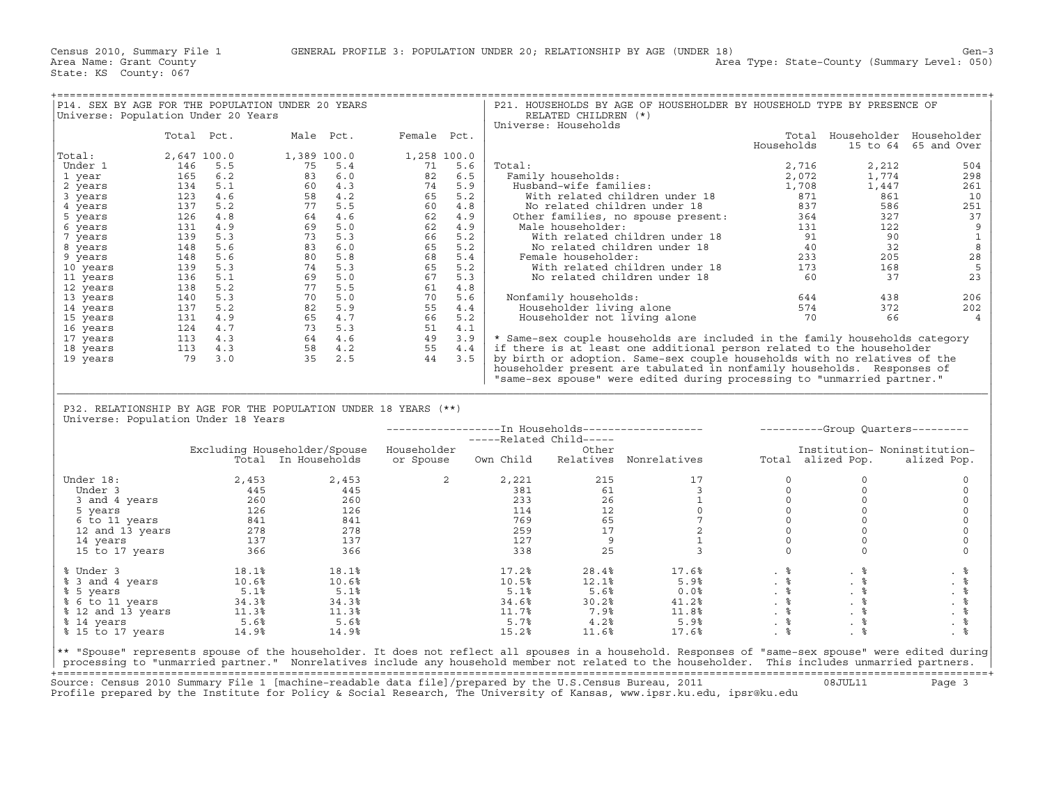| P14. SEX BY AGE FOR THE POPULATION UNDER 20 YEARS               |                            |                      |                                                                                                                                                                                                                                                                                                             |                |                                          |                                |        |                                              | P21. HOUSEHOLDS BY AGE OF HOUSEHOLDER BY HOUSEHOLD TYPE BY PRESENCE OF                                                                              |                                |                               |                      |
|-----------------------------------------------------------------|----------------------------|----------------------|-------------------------------------------------------------------------------------------------------------------------------------------------------------------------------------------------------------------------------------------------------------------------------------------------------------|----------------|------------------------------------------|--------------------------------|--------|----------------------------------------------|-----------------------------------------------------------------------------------------------------------------------------------------------------|--------------------------------|-------------------------------|----------------------|
| Universe: Population Under 20 Years                             |                            |                      |                                                                                                                                                                                                                                                                                                             |                |                                          |                                |        | RELATED CHILDREN (*)<br>Universe: Households |                                                                                                                                                     |                                |                               |                      |
|                                                                 | Total Pct.                 |                      |                                                                                                                                                                                                                                                                                                             | Male Pct.      | Female Pct.                              |                                |        |                                              |                                                                                                                                                     |                                | Total Householder Householder |                      |
|                                                                 |                            |                      |                                                                                                                                                                                                                                                                                                             |                |                                          |                                |        |                                              |                                                                                                                                                     | Households                     |                               | 15 to 64 65 and Over |
| Total:                                                          | 2,647 100.0                |                      | 1,389 100.0                                                                                                                                                                                                                                                                                                 |                | 1,258 100.0                              |                                |        |                                              |                                                                                                                                                     |                                |                               |                      |
| Under 1                                                         | 146                        | 5.5                  | 75                                                                                                                                                                                                                                                                                                          | 5.4            | 71                                       | 5.6                            | Total: |                                              |                                                                                                                                                     | 2,716                          | 2,212                         | 504                  |
| 1 year                                                          |                            | 165 6.2              | $\begin{array}{cccc} 75 & 5.4 & 0 \\ 80 & 4.3 & 2 \\ 60 & 4.2 & 5.5 \\ 77 & 5.5 & 6 \\ 9 & 5.3 & 6.0 \\ 9 & 5.3 & 6.0 \\ 9 & 5.3 & 6.0 \\ 9 & 5.3 & 6.0 \\ 9 & 5.3 & 6.0 \\ 9 & 5.3 & 6.0 \\ 9 & 5.3 & 6.4 \\ 9 & 5.3 & 6.4 \\ 9 & 5.3 & 6.4 \\ 1 & 5.3 & 2.5 \\ 9 & 4.2 & 5.3 \\ 1 & 5.3 & 2.5 \\ 1 & 5.3$ |                |                                          | 82 6.5                         |        | Family households:                           | ily households:<br>usband-wife families: [1,708]<br>With related children under 18 871<br>1,708<br>2,114x40 under 18 837                            |                                | 1,774                         | 298                  |
| 2 years                                                         |                            | 134 5.1              |                                                                                                                                                                                                                                                                                                             |                |                                          |                                |        | Husband-wife families:                       |                                                                                                                                                     |                                | 1,447                         | 261                  |
| 3 years                                                         |                            | 123 4.6              |                                                                                                                                                                                                                                                                                                             |                |                                          |                                |        |                                              |                                                                                                                                                     |                                | 861                           | 10                   |
| 4 years                                                         |                            | 137 5.2              |                                                                                                                                                                                                                                                                                                             |                |                                          |                                |        |                                              |                                                                                                                                                     |                                | 586                           | 251                  |
| 5 years                                                         |                            | 126 4.8              |                                                                                                                                                                                                                                                                                                             |                |                                          |                                |        |                                              | Other families, no spouse present: 364                                                                                                              | $364$<br>131<br>91             | 327                           | 37                   |
| 6 years                                                         |                            | 131 4.9              |                                                                                                                                                                                                                                                                                                             |                |                                          |                                |        | Male householder:                            | ale householder:<br>With related children under 18 91<br>No related children under 18 40<br>Annala householder: 233                                 |                                | 122                           | 9                    |
| 7 years                                                         |                            | 139 5.3              |                                                                                                                                                                                                                                                                                                             |                |                                          |                                |        |                                              |                                                                                                                                                     |                                | 90                            | $\mathbf 1$          |
| 8 years                                                         |                            | 148 5.6              |                                                                                                                                                                                                                                                                                                             |                |                                          |                                |        |                                              |                                                                                                                                                     |                                | 32                            | 8                    |
| 9 years                                                         |                            | 148 5.6              |                                                                                                                                                                                                                                                                                                             |                |                                          |                                |        | Female householder:                          |                                                                                                                                                     |                                | 205                           | 28                   |
| 10 years                                                        |                            | 139 5.3              |                                                                                                                                                                                                                                                                                                             |                |                                          |                                |        |                                              | With related children under 18 173<br>No related children under 18 60                                                                               |                                | 168<br>37                     | 5<br>23              |
| 11 years                                                        |                            | 136 5.1              |                                                                                                                                                                                                                                                                                                             |                |                                          |                                |        |                                              |                                                                                                                                                     |                                |                               |                      |
| 12 years                                                        |                            | 138 5.2<br>140 5.3   |                                                                                                                                                                                                                                                                                                             |                |                                          |                                |        | Nonfamily households:                        |                                                                                                                                                     |                                | 438                           | 206                  |
| 13 years<br>14 years                                            |                            | 137 5.2              |                                                                                                                                                                                                                                                                                                             |                |                                          |                                |        |                                              |                                                                                                                                                     | $644$<br>574                   | 372                           | 202                  |
| 15 years                                                        |                            | 131 4.9              |                                                                                                                                                                                                                                                                                                             |                |                                          |                                |        |                                              | Householder living alone 574<br>Householder not living alone 574<br>70                                                                              |                                | 66                            | $\overline{4}$       |
| 16 years                                                        |                            | 124 4.7              |                                                                                                                                                                                                                                                                                                             |                |                                          |                                |        |                                              |                                                                                                                                                     |                                |                               |                      |
| 17 years                                                        |                            |                      |                                                                                                                                                                                                                                                                                                             |                |                                          |                                |        |                                              | * Same-sex couple households are included in the family households category                                                                         |                                |                               |                      |
| 18 years                                                        | $113$ $4.3$<br>$113$ $4.3$ |                      |                                                                                                                                                                                                                                                                                                             |                |                                          |                                |        |                                              | if there is at least one additional person related to the householder                                                                               |                                |                               |                      |
| 19 years                                                        | 79 3.0                     |                      |                                                                                                                                                                                                                                                                                                             | $35 \quad 2.5$ | 44 3.5                                   |                                |        |                                              | by birth or adoption. Same-sex couple households with no relatives of the                                                                           |                                |                               |                      |
|                                                                 |                            |                      |                                                                                                                                                                                                                                                                                                             |                |                                          |                                |        |                                              | householder present are tabulated in nonfamily households. Responses of                                                                             |                                |                               |                      |
|                                                                 |                            |                      |                                                                                                                                                                                                                                                                                                             |                |                                          |                                |        |                                              | "same-sex spouse" were edited during processing to "unmarried partner."                                                                             |                                |                               |                      |
|                                                                 |                            |                      |                                                                                                                                                                                                                                                                                                             |                |                                          |                                |        |                                              |                                                                                                                                                     |                                |                               |                      |
|                                                                 |                            |                      |                                                                                                                                                                                                                                                                                                             |                |                                          |                                |        |                                              |                                                                                                                                                     |                                |                               |                      |
| P32. RELATIONSHIP BY AGE FOR THE POPULATION UNDER 18 YEARS (**) |                            |                      |                                                                                                                                                                                                                                                                                                             |                |                                          |                                |        |                                              |                                                                                                                                                     |                                |                               |                      |
| Universe: Population Under 18 Years                             |                            |                      |                                                                                                                                                                                                                                                                                                             |                |                                          |                                |        |                                              |                                                                                                                                                     |                                |                               |                      |
|                                                                 |                            |                      |                                                                                                                                                                                                                                                                                                             |                |                                          |                                |        |                                              | --------------------- Tn Households------------------- - ----------Group Quarters---------                                                          |                                |                               |                      |
|                                                                 |                            |                      |                                                                                                                                                                                                                                                                                                             |                | Excluding Householder/Spouse Householder |                                |        | -----Related Child-----<br>Other             |                                                                                                                                                     |                                | Institution- Noninstitution-  |                      |
|                                                                 |                            |                      | Total In Households                                                                                                                                                                                                                                                                                         |                |                                          |                                |        |                                              | or Spouse 0wn Child Relatives Nonrelatives                                                                                                          |                                | Total alized Pop.             | alized Pop.          |
|                                                                 |                            |                      |                                                                                                                                                                                                                                                                                                             |                |                                          |                                |        |                                              |                                                                                                                                                     |                                |                               |                      |
| Under 18:                                                       |                            | 2,453                |                                                                                                                                                                                                                                                                                                             | 2,453          |                                          | $2 \left( \frac{1}{2} \right)$ | 2,221  | 215                                          | 17                                                                                                                                                  | $\Omega$                       | $\Omega$                      | $\circ$              |
|                                                                 |                            |                      |                                                                                                                                                                                                                                                                                                             |                |                                          |                                | 381    |                                              | $\overline{\mathbf{3}}$                                                                                                                             | $\circ$                        | $\circ$                       | $\circ$              |
|                                                                 |                            |                      |                                                                                                                                                                                                                                                                                                             |                |                                          |                                | 233    |                                              | $\mathbf{1}$                                                                                                                                        | $\circ$                        | $\mathsf{O}\xspace$           | $\mathsf{O}\xspace$  |
|                                                                 |                            |                      |                                                                                                                                                                                                                                                                                                             |                |                                          |                                | 114    | $61$<br>$26$<br>$12$                         | $\Omega$                                                                                                                                            | $\Omega$                       | $\Omega$                      | $\mathbf 0$          |
|                                                                 |                            |                      |                                                                                                                                                                                                                                                                                                             |                |                                          |                                |        | 769<br>259<br>65                             | $7\phantom{.0}$                                                                                                                                     | $\circ$                        | $\circ$                       | $\mathsf{O}\xspace$  |
|                                                                 |                            |                      |                                                                                                                                                                                                                                                                                                             |                |                                          |                                |        | 17                                           | 2                                                                                                                                                   | $\circ$                        | $\circ$                       | $\mathbf 0$          |
|                                                                 |                            |                      |                                                                                                                                                                                                                                                                                                             |                |                                          |                                | 127    | $\overline{9}$                               | $\mathbf{1}$                                                                                                                                        | $\circ$                        | $\circ$                       | $\mathbf 0$          |
| $\frac{137}{15}$ to 17 years $\frac{137}{366}$                  |                            |                      |                                                                                                                                                                                                                                                                                                             | 366            |                                          |                                | 338    | 25                                           | $\overline{3}$                                                                                                                                      | $\Omega$                       | $\circ$                       | $\Omega$             |
|                                                                 |                            |                      |                                                                                                                                                                                                                                                                                                             |                |                                          |                                |        |                                              |                                                                                                                                                     |                                |                               |                      |
| % Under 3                                                       |                            | $18.1\%$<br>$10.6\%$ |                                                                                                                                                                                                                                                                                                             | 18.1%          |                                          |                                | 17.2%  | 28.4%                                        | 17.6%                                                                                                                                               | $\frac{1}{2}$<br>$\frac{1}{2}$ | . 응                           | . 응                  |
| % 3 and 4 years                                                 |                            |                      |                                                                                                                                                                                                                                                                                                             | 10.6%          |                                          |                                | 10.5%  | 12.1%                                        | 5.9%                                                                                                                                                |                                | $. \, \, \degree$             | . 응                  |
| % 5 years                                                       |                            | 5.1%                 |                                                                                                                                                                                                                                                                                                             | 5.1%           |                                          |                                | 5.1%   | 5.6%                                         | $0.0\%$<br>41.2%                                                                                                                                    | $\ddot{\phantom{a}}$           | . %                           | $. \circ$            |
| % 6 to 11 years                                                 |                            |                      | $34.3%$<br>11.3%                                                                                                                                                                                                                                                                                            | 34.3%          |                                          |                                | 34.6%  | 30.2%                                        |                                                                                                                                                     |                                | $. \circ$                     | $\frac{9}{6}$        |
| % 12 and 13 years                                               |                            |                      |                                                                                                                                                                                                                                                                                                             | 11.3%          |                                          |                                | 11.7%  | 7.9%                                         | 11.8%                                                                                                                                               | $. \circ$                      | . $\frac{8}{9}$               |                      |
| % 14 years                                                      |                            | 5.6%                 |                                                                                                                                                                                                                                                                                                             | 5.6%           |                                          |                                | 5.7%   | 4.2%                                         | 5.9%                                                                                                                                                | . $\frac{6}{6}$                | . $\frac{6}{6}$<br>$. \circ$  | $. \circ$            |
| % 15 to 17 years                                                |                            | 14.9%                |                                                                                                                                                                                                                                                                                                             | 14.9%          |                                          |                                | 15.2%  | 11.6%                                        | 17.6%                                                                                                                                               | . $\frac{6}{6}$                |                               | . $\frac{6}{6}$      |
|                                                                 |                            |                      |                                                                                                                                                                                                                                                                                                             |                |                                          |                                |        |                                              | ** "Spouse" represents spouse of the householder. It does not reflect all spouses in a household. Responses of "same-sex spouse" were edited during |                                |                               |                      |
|                                                                 |                            |                      |                                                                                                                                                                                                                                                                                                             |                |                                          |                                |        |                                              | processing to "unmarried partner." Nonrelatives include any household member not related to the householder. This includes unmarried partners.      |                                |                               |                      |

+===================================================================================================================================================+ Source: Census 2010 Summary File 1 [machine−readable data file]/prepared by the U.S.Census Bureau, 2011 08JUL11 Page 3 Profile prepared by the Institute for Policy & Social Research, The University of Kansas, www.ipsr.ku.edu, ipsr@ku.edu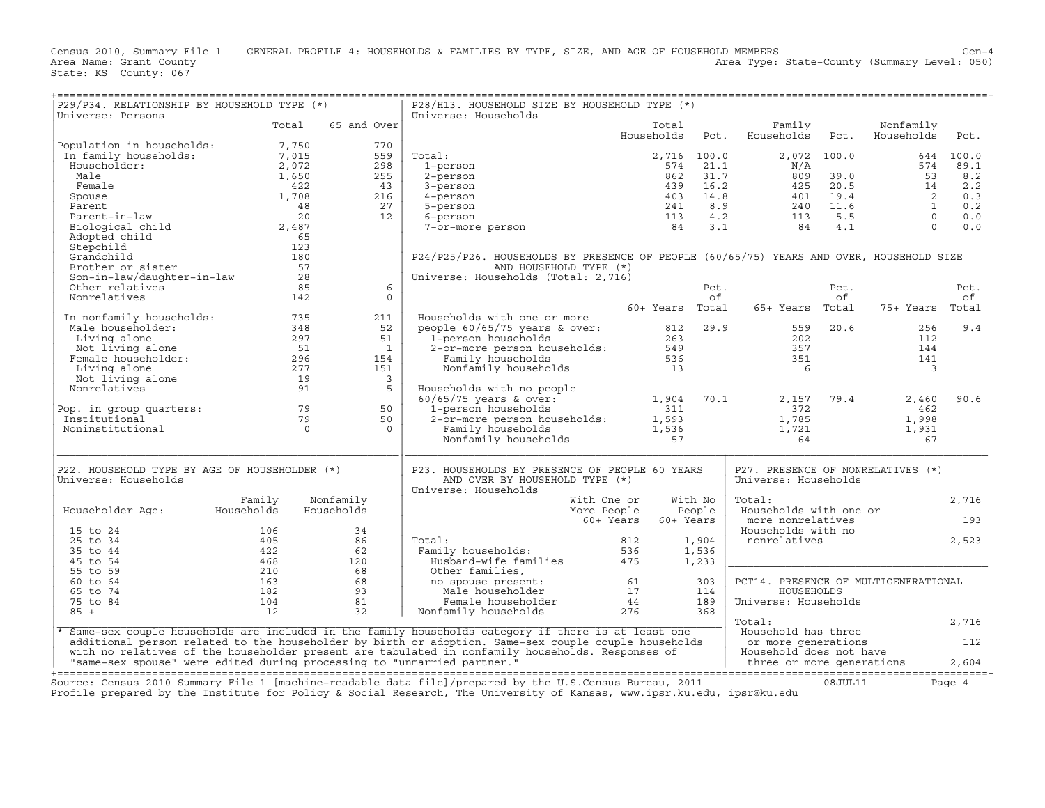| P29/P34. RELATIONSHIP BY HOUSEHOLD TYPE (*)<br>Universe: Persons                                                                                                                |                      |                         | P28/H13. HOUSEHOLD SIZE BY HOUSEHOLD TYPE (*)<br>Universe: Households                                                                                                                 |                          |          |                                                                     |             |                           |            |
|---------------------------------------------------------------------------------------------------------------------------------------------------------------------------------|----------------------|-------------------------|---------------------------------------------------------------------------------------------------------------------------------------------------------------------------------------|--------------------------|----------|---------------------------------------------------------------------|-------------|---------------------------|------------|
|                                                                                                                                                                                 | Total                | 65 and Over             |                                                                                                                                                                                       | Total<br>Households Pct. |          | Family<br>Households                                                | Pct.        | Nonfamily<br>Households   | Pct.       |
| Population in households: 7,750<br>In family households: 7,015<br>Householder: 2,072<br>Male 1,650<br>1,650                                                                     |                      | 770                     |                                                                                                                                                                                       |                          |          |                                                                     |             |                           |            |
|                                                                                                                                                                                 |                      | 559                     | Total:                                                                                                                                                                                | 2,716 100.0              |          |                                                                     | 2,072 100.0 |                           | 644 100.0  |
|                                                                                                                                                                                 |                      | 298                     | 1-person                                                                                                                                                                              |                          | 574 21.1 | $\rm N/A$                                                           |             | 574                       | 89.1       |
|                                                                                                                                                                                 |                      | 255                     | 2-person                                                                                                                                                                              |                          |          |                                                                     |             |                           | 8.2        |
| Male<br>Female<br>Spouse<br>Parent<br>Parent-in-law                                                                                                                             | 422                  | 43                      | 3-person                                                                                                                                                                              |                          |          |                                                                     |             |                           | 2.2        |
|                                                                                                                                                                                 | 1,708                | 216                     | 4-person                                                                                                                                                                              |                          |          |                                                                     |             |                           | 0.3<br>0.2 |
|                                                                                                                                                                                 | $\frac{1}{48}$<br>20 | 27<br>12                | 5-person<br>6-person                                                                                                                                                                  | 113                      |          |                                                                     |             |                           | 0.0        |
| Biological child                                                                                                                                                                | 2,487                |                         | 6-person<br>7-or-more person                                                                                                                                                          | 84                       |          |                                                                     |             |                           | 0.0        |
| Adopted child                                                                                                                                                                   | 65                   |                         |                                                                                                                                                                                       |                          |          |                                                                     |             |                           |            |
| Stepchild                                                                                                                                                                       | 123                  |                         |                                                                                                                                                                                       |                          |          |                                                                     |             |                           |            |
| Grandchild                                                                                                                                                                      | 180                  |                         | P24/P25/P26. HOUSEHOLDS BY PRESENCE OF PEOPLE (60/65/75) YEARS AND OVER, HOUSEHOLD SIZE                                                                                               |                          |          |                                                                     |             |                           |            |
| Brother or sister                                                                                                                                                               | 57                   |                         | AND HOUSEHOLD TYPE (*)                                                                                                                                                                |                          |          |                                                                     |             |                           |            |
| Son-in-law/daughter-in-law 28                                                                                                                                                   |                      |                         | Universe: Households (Total: 2,716)                                                                                                                                                   |                          |          |                                                                     |             |                           |            |
| Other relatives                                                                                                                                                                 | 85                   | 6                       |                                                                                                                                                                                       |                          | Pct.     |                                                                     | Pct.        |                           | Pct.       |
| Nonrelatives                                                                                                                                                                    | 142                  | $\Omega$                |                                                                                                                                                                                       |                          | of       |                                                                     | of          |                           | of         |
|                                                                                                                                                                                 |                      |                         |                                                                                                                                                                                       | 60+ Years Total          |          | 65+ Years Total                                                     |             | 75+ Years Total           |            |
| 10 In nonfamily households: 735<br>Male householder: 348<br>Living alone 297<br>Not living alone 51<br>Female householder: 5296<br>Living alone 277<br>In nonfamily households: |                      | 211                     | Households with one or more                                                                                                                                                           |                          |          |                                                                     |             |                           |            |
|                                                                                                                                                                                 |                      | 52                      | people 60/65/75 years & over:<br>1-person households<br>2-or-more person households:<br>549<br>Family households<br>Nonfamily households<br>536<br>13                                 |                          |          | 559<br>202<br>357<br>351                                            | 20.6        | 256                       | 9.4        |
|                                                                                                                                                                                 |                      | 51                      |                                                                                                                                                                                       |                          |          |                                                                     |             | 112                       |            |
|                                                                                                                                                                                 |                      | $\overline{1}$<br>154   |                                                                                                                                                                                       |                          |          |                                                                     |             | 144<br>141                |            |
|                                                                                                                                                                                 |                      | 151                     |                                                                                                                                                                                       |                          |          | 6                                                                   |             | $\overline{\mathbf{3}}$   |            |
|                                                                                                                                                                                 |                      | $\overline{\mathbf{3}}$ |                                                                                                                                                                                       |                          |          |                                                                     |             |                           |            |
| Living alone<br>Not living alone 19<br>Nonrelatives 91<br>Nonrelatives                                                                                                          |                      | -5                      | Households with no people                                                                                                                                                             |                          |          |                                                                     |             |                           |            |
|                                                                                                                                                                                 |                      |                         |                                                                                                                                                                                       |                          |          | 2,157                                                               | 79.4        | 2,460                     | 90.6       |
|                                                                                                                                                                                 |                      | 50                      |                                                                                                                                                                                       |                          |          | 372                                                                 |             | 462                       |            |
| Pop. in group quarters: 79<br>79                                                                                                                                                |                      | 50                      |                                                                                                                                                                                       |                          |          |                                                                     |             | 1,998                     |            |
| Noninstitutional                                                                                                                                                                | $\overline{0}$       | $\Omega$                |                                                                                                                                                                                       |                          |          | $1,785$<br>$1,721$<br>64                                            |             | 1,931                     |            |
|                                                                                                                                                                                 |                      |                         | Households with no people<br>60/65/75 years & over: 1,904 70.1<br>1-person households 311<br>2-or-more person households: 1,593<br>Family households 1,536<br>Nonfamily households 57 |                          |          | 64                                                                  |             | 67                        |            |
| P22. HOUSEHOLD TYPE BY AGE OF HOUSEHOLDER (*)                                                                                                                                   |                      |                         | P23. HOUSEHOLDS BY PRESENCE OF PEOPLE 60 YEARS                                                                                                                                        |                          |          | P27. PRESENCE OF NONRELATIVES (*)                                   |             |                           |            |
| Universe: Households                                                                                                                                                            |                      |                         | AND OVER BY HOUSEHOLD TYPE (*)<br>Universe: Households                                                                                                                                |                          |          | Universe: Households                                                |             |                           |            |
|                                                                                                                                                                                 | Family               | Nonfamily               | With One or                                                                                                                                                                           |                          | With No  | Total:                                                              |             |                           | 2,716      |
| Householder Age: Households                                                                                                                                                     |                      | Households              | More People                                                                                                                                                                           |                          | People   | Households with one or                                              |             |                           |            |
|                                                                                                                                                                                 |                      |                         | 60+ Years                                                                                                                                                                             | 60+ Years                |          | more nonrelatives                                                   |             |                           | 193        |
| 15 to 24                                                                                                                                                                        | 106                  | 34                      |                                                                                                                                                                                       |                          |          | Households with no                                                  |             |                           |            |
| 25 to 34                                                                                                                                                                        | 405                  | 86                      | Total:                                                                                                                                                                                |                          | 1,904    | nonrelatives                                                        |             |                           | 2,523      |
| 35 to 44                                                                                                                                                                        | 422                  | 62                      | Total: 812<br>Family households: 536<br>Husband-wife families 475                                                                                                                     |                          | 1,536    |                                                                     |             |                           |            |
| 45 to 54<br>55 to 59                                                                                                                                                            | 468<br>210           | 120<br>68               | Other families,                                                                                                                                                                       |                          | 1,233    |                                                                     |             |                           |            |
| 60 to 64                                                                                                                                                                        | 163                  | 68                      |                                                                                                                                                                                       |                          | 303      | PCT14. PRESENCE OF MULTIGENERATIONAL                                |             |                           |            |
| 65 to 74                                                                                                                                                                        | 182                  | 93                      |                                                                                                                                                                                       |                          | 114      | HOUSEHOLDS                                                          |             |                           |            |
| 75 to 84                                                                                                                                                                        | 104                  | 81                      |                                                                                                                                                                                       |                          | 189      | Universe: Households                                                |             |                           |            |
| $85 +$                                                                                                                                                                          | 12                   | 32                      | on transities,<br>no spouse present:<br>Male householder 17<br>Female householder 44<br>Nonfamily households 276                                                                      |                          | 368      |                                                                     |             |                           |            |
|                                                                                                                                                                                 |                      |                         |                                                                                                                                                                                       |                          |          | Total:                                                              |             |                           | 2,716      |
|                                                                                                                                                                                 |                      |                         | Same-sex couple households are included in the family households category if there is at least one                                                                                    |                          |          | Household has three                                                 |             |                           |            |
|                                                                                                                                                                                 |                      |                         | additional person related to the householder by birth or adoption. Same-sex couple couple households                                                                                  |                          |          | or more generations                                                 |             |                           | 112        |
| "same-sex spouse" were edited during processing to "unmarried partner."                                                                                                         |                      |                         | with no relatives of the householder present are tabulated in nonfamily households. Responses of                                                                                      |                          |          | er wore generations<br>Household does not have<br>three or more com |             | three or more generations | 2,604      |
|                                                                                                                                                                                 |                      |                         |                                                                                                                                                                                       |                          |          |                                                                     |             |                           |            |
|                                                                                                                                                                                 |                      |                         | Cource: Census 2010 Summary File 1 [machine_readable data file]/prepared by the U.S Census Bureau 2011 (18.III.11                                                                     |                          |          |                                                                     |             |                           |            |

Source: Census 2010 Summary File 1 [machine-readable data file]/prepared by the U.S.Census Bureau, 2011 Page 4<br>Profile prepared by the Institute for Policy & Social Research, The University of Kansas, www.ip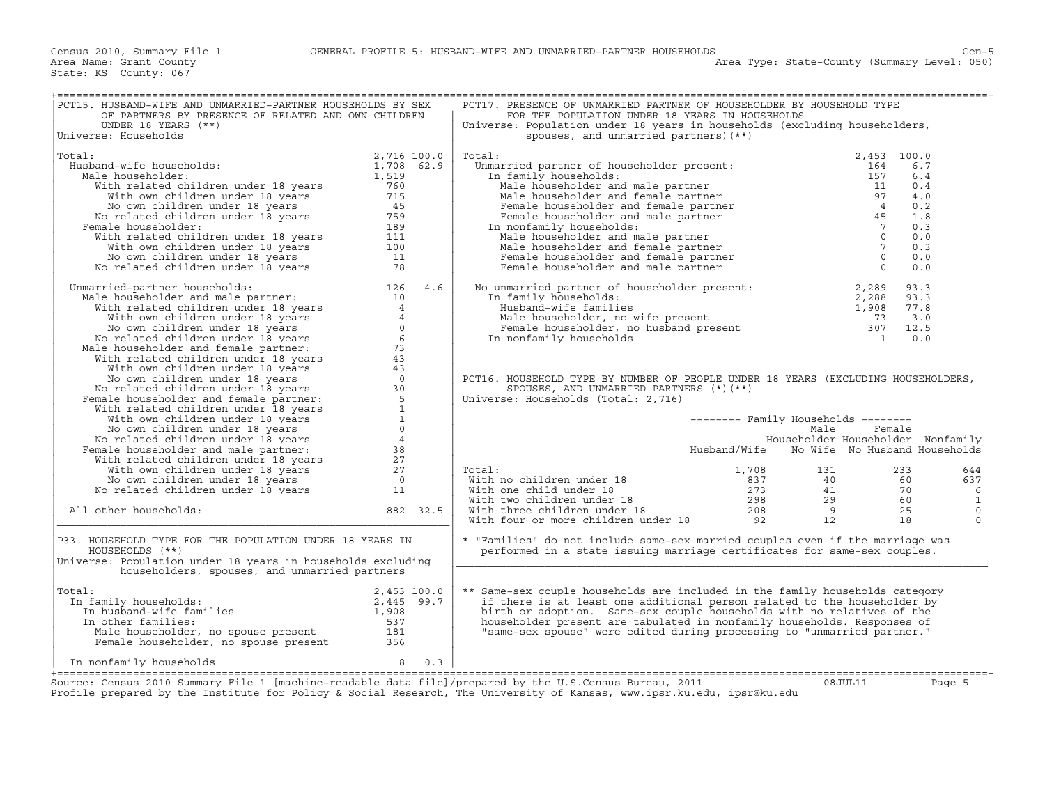| PCT15. HUSBAND-WIFE AND UNMARRIED-PARTNER HOUSEHOLDS BY SEX<br>OF PARTNERS BY PRESENCE OF RELATED AND OWN CHILDREN                                                                                                                                                          |             |     | PCT17. PRESENCE OF UNMARRIED PARTNER OF HOUSEHOLDER BY HOUSEHOLD TYPE<br>FOR THE POPULATION UNDER 18 YEARS IN HOUSEHOLDS                                                                                                                                                                                                                                                                                                                           |                                            |        |              |
|-----------------------------------------------------------------------------------------------------------------------------------------------------------------------------------------------------------------------------------------------------------------------------|-------------|-----|----------------------------------------------------------------------------------------------------------------------------------------------------------------------------------------------------------------------------------------------------------------------------------------------------------------------------------------------------------------------------------------------------------------------------------------------------|--------------------------------------------|--------|--------------|
| UNDER 18 YEARS $(**)$<br>Universe: Households                                                                                                                                                                                                                               |             |     | Universe: Population under 18 years in households (excluding householders,<br>spouses, and unmarried partners) (**)                                                                                                                                                                                                                                                                                                                                |                                            |        |              |
| Total:<br>2,716 100.0<br>ale householder:<br>ale householder:<br>With related children under 18 years<br>With wow children under 18 years<br>760<br>With own children under 18 years<br>715<br>No own children under 18 years<br>2,89<br>No related children                | 2,716 100.0 |     | Total:                                                                                                                                                                                                                                                                                                                                                                                                                                             | 2,453 100.0                                |        |              |
| Husband-wife households:                                                                                                                                                                                                                                                    |             |     |                                                                                                                                                                                                                                                                                                                                                                                                                                                    |                                            | 6.7    |              |
| Male householder:                                                                                                                                                                                                                                                           |             |     |                                                                                                                                                                                                                                                                                                                                                                                                                                                    |                                            | 6.4    |              |
|                                                                                                                                                                                                                                                                             |             |     |                                                                                                                                                                                                                                                                                                                                                                                                                                                    |                                            | 0.4    |              |
|                                                                                                                                                                                                                                                                             |             |     |                                                                                                                                                                                                                                                                                                                                                                                                                                                    |                                            | 4.0    |              |
|                                                                                                                                                                                                                                                                             |             |     |                                                                                                                                                                                                                                                                                                                                                                                                                                                    |                                            | 0.2    |              |
|                                                                                                                                                                                                                                                                             |             |     |                                                                                                                                                                                                                                                                                                                                                                                                                                                    |                                            | 1.8    |              |
| Female householder:                                                                                                                                                                                                                                                         |             |     |                                                                                                                                                                                                                                                                                                                                                                                                                                                    |                                            | 0.3    |              |
|                                                                                                                                                                                                                                                                             |             |     |                                                                                                                                                                                                                                                                                                                                                                                                                                                    |                                            | 0.0    |              |
|                                                                                                                                                                                                                                                                             |             |     |                                                                                                                                                                                                                                                                                                                                                                                                                                                    |                                            | 0.3    |              |
|                                                                                                                                                                                                                                                                             |             |     |                                                                                                                                                                                                                                                                                                                                                                                                                                                    |                                            | 0.0    |              |
|                                                                                                                                                                                                                                                                             |             |     |                                                                                                                                                                                                                                                                                                                                                                                                                                                    |                                            | 0.0    |              |
|                                                                                                                                                                                                                                                                             |             |     |                                                                                                                                                                                                                                                                                                                                                                                                                                                    |                                            |        |              |
| No related children under 18 years<br>18 Manarried-partner households:<br>Manarried-partner households:<br>126 4.6<br>With orelated children under 18 years<br>10 With related children under 18 years<br>18 Mo own children under 18 year<br>Unmarried-partner households: |             |     | No unmarried partner of householder present:<br>In family households:<br>Husband-wife families<br>Male householder, no wife present<br>Female householder, no husband present<br>The monfamily households<br>The monfamily households<br>The                                                                                                                                                                                                       |                                            |        |              |
|                                                                                                                                                                                                                                                                             |             |     |                                                                                                                                                                                                                                                                                                                                                                                                                                                    |                                            |        |              |
|                                                                                                                                                                                                                                                                             |             |     |                                                                                                                                                                                                                                                                                                                                                                                                                                                    |                                            |        |              |
|                                                                                                                                                                                                                                                                             |             |     |                                                                                                                                                                                                                                                                                                                                                                                                                                                    |                                            |        |              |
|                                                                                                                                                                                                                                                                             |             |     |                                                                                                                                                                                                                                                                                                                                                                                                                                                    |                                            |        |              |
|                                                                                                                                                                                                                                                                             |             |     |                                                                                                                                                                                                                                                                                                                                                                                                                                                    |                                            |        |              |
|                                                                                                                                                                                                                                                                             |             |     |                                                                                                                                                                                                                                                                                                                                                                                                                                                    |                                            |        |              |
|                                                                                                                                                                                                                                                                             |             |     |                                                                                                                                                                                                                                                                                                                                                                                                                                                    |                                            |        |              |
|                                                                                                                                                                                                                                                                             |             |     |                                                                                                                                                                                                                                                                                                                                                                                                                                                    |                                            |        |              |
|                                                                                                                                                                                                                                                                             |             |     | PCT16. HOUSEHOLD TYPE BY NUMBER OF PEOPLE UNDER 18 YEARS (EXCLUDING HOUSEHOLDERS,                                                                                                                                                                                                                                                                                                                                                                  |                                            |        |              |
|                                                                                                                                                                                                                                                                             |             |     |                                                                                                                                                                                                                                                                                                                                                                                                                                                    |                                            |        |              |
|                                                                                                                                                                                                                                                                             |             |     | SPOUSES, AND UNMARRIED PARTNERS $(*)$ (**)                                                                                                                                                                                                                                                                                                                                                                                                         |                                            |        |              |
|                                                                                                                                                                                                                                                                             |             |     | Universe: Households (Total: 2,716)                                                                                                                                                                                                                                                                                                                                                                                                                |                                            |        |              |
|                                                                                                                                                                                                                                                                             |             |     |                                                                                                                                                                                                                                                                                                                                                                                                                                                    |                                            |        |              |
|                                                                                                                                                                                                                                                                             |             |     |                                                                                                                                                                                                                                                                                                                                                                                                                                                    | -------- Family Households --------        |        |              |
|                                                                                                                                                                                                                                                                             |             |     |                                                                                                                                                                                                                                                                                                                                                                                                                                                    | Male                                       | Female |              |
|                                                                                                                                                                                                                                                                             |             |     |                                                                                                                                                                                                                                                                                                                                                                                                                                                    | Householder Householder Nonfamily          |        |              |
|                                                                                                                                                                                                                                                                             |             |     |                                                                                                                                                                                                                                                                                                                                                                                                                                                    | Husband/Wife No Wife No Husband Households |        |              |
|                                                                                                                                                                                                                                                                             |             |     |                                                                                                                                                                                                                                                                                                                                                                                                                                                    |                                            |        |              |
|                                                                                                                                                                                                                                                                             |             |     | Total:                                                                                                                                                                                                                                                                                                                                                                                                                                             |                                            |        | 644          |
|                                                                                                                                                                                                                                                                             |             |     |                                                                                                                                                                                                                                                                                                                                                                                                                                                    |                                            |        | 637          |
|                                                                                                                                                                                                                                                                             |             |     |                                                                                                                                                                                                                                                                                                                                                                                                                                                    |                                            |        | 6            |
|                                                                                                                                                                                                                                                                             |             |     |                                                                                                                                                                                                                                                                                                                                                                                                                                                    |                                            |        | $\mathbf{1}$ |
| All other households:                                                                                                                                                                                                                                                       | 882 32.5    |     |                                                                                                                                                                                                                                                                                                                                                                                                                                                    |                                            |        | $\circ$      |
|                                                                                                                                                                                                                                                                             |             |     | $\begin{tabular}{llllllll} \multicolumn{3}{l} \textbf{Total:} & & & & 1,708 & & 131 & & 233 \\ \textbf{With no children under 18} & & & 837 & & 40 & & 60 \\ \textbf{With two children under 18} & & & 273 & & 41 & & 70 \\ \textbf{With three children under 18} & & & 298 & & 29 & & 60 \\ \textbf{With three children under 18} & & & 208 & & 9 & & 25 \\ \textbf{With four or more children under 18} & & & 92 & & 12 & & 18 \\ \end{tabular}$ |                                            |        | $\Omega$     |
| P33. HOUSEHOLD TYPE FOR THE POPULATION UNDER 18 YEARS IN<br>HOUSEHOLDS (**)<br>Universe: Population under 18 years in households excluding<br>householders, spouses, and unmarried partners                                                                                 |             |     | * "Families" do not include same-sex married couples even if the marriage was<br>performed in a state issuing marriage certificates for same-sex couples.                                                                                                                                                                                                                                                                                          |                                            |        |              |
|                                                                                                                                                                                                                                                                             |             |     |                                                                                                                                                                                                                                                                                                                                                                                                                                                    |                                            |        |              |
| 2,453 100.0<br>In husband-wife families<br>In other families<br>Male bounce is:<br>Male bounce is:<br>Male bounce is:<br>Male bounce is:<br>Total:                                                                                                                          |             |     | ** Same-sex couple households are included in the family households category                                                                                                                                                                                                                                                                                                                                                                       |                                            |        |              |
| In family households:                                                                                                                                                                                                                                                       |             |     | if there is at least one additional person related to the householder by                                                                                                                                                                                                                                                                                                                                                                           |                                            |        |              |
|                                                                                                                                                                                                                                                                             |             |     | birth or adoption. Same-sex couple households with no relatives of the                                                                                                                                                                                                                                                                                                                                                                             |                                            |        |              |
|                                                                                                                                                                                                                                                                             |             |     | householder present are tabulated in nonfamily households. Responses of                                                                                                                                                                                                                                                                                                                                                                            |                                            |        |              |
|                                                                                                                                                                                                                                                                             |             |     | "same-sex spouse" were edited during processing to "unmarried partner."                                                                                                                                                                                                                                                                                                                                                                            |                                            |        |              |
| n other families:<br>Male householder, no spouse present<br>Female householder, no spouse present<br>356                                                                                                                                                                    |             |     |                                                                                                                                                                                                                                                                                                                                                                                                                                                    |                                            |        |              |
| $\overline{\phantom{a}}$<br>In nonfamily households                                                                                                                                                                                                                         |             | 0.3 |                                                                                                                                                                                                                                                                                                                                                                                                                                                    |                                            |        |              |
|                                                                                                                                                                                                                                                                             |             |     |                                                                                                                                                                                                                                                                                                                                                                                                                                                    |                                            |        |              |
| Source: Census 2010 Summary File 1 [machine-readable data file]/prepared by the U.S.Census Bureau, 2011                                                                                                                                                                     |             |     |                                                                                                                                                                                                                                                                                                                                                                                                                                                    | 08JUL11                                    |        | Page 5       |
| Profile prepared by the Institute for Policy & Social Research, The University of Kansas, www.ipsr.ku.edu, ipsr@ku.edu                                                                                                                                                      |             |     |                                                                                                                                                                                                                                                                                                                                                                                                                                                    |                                            |        |              |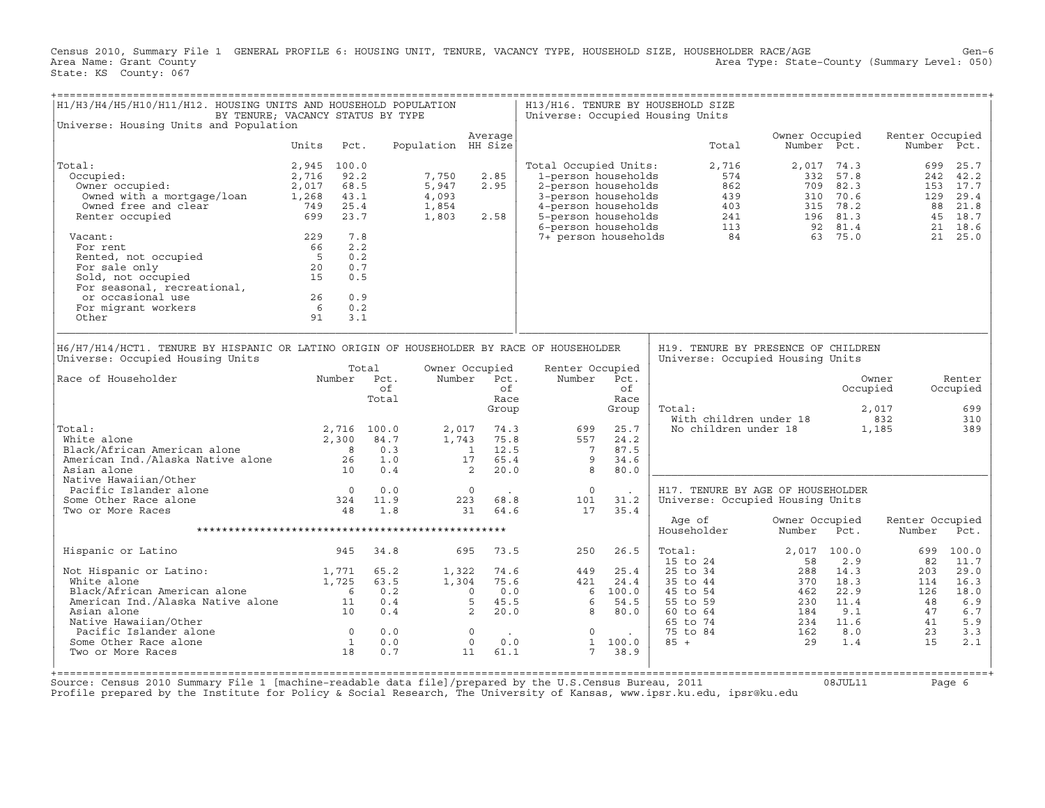Census 2010, Summary File 1 GENERAL PROFILE 6: HOUSING UNIT, TENURE, VACANCY TYPE, HOUSEHOLD SIZE, HOUSEHOLDER RACE/AGE Gen−6<br>Area Name: Grant County (Level: 050) Area Type: State-County (Summary Level: 050) State: KS County: 067

| H1/H3/H4/H5/H10/H11/H12. HOUSING UNITS AND HOUSEHOLD POPULATION                                                                                                                                                                            | BY TENURE; VACANCY STATUS BY TYPE                                          |                                                      |                                           |                                                                                               |                                                                                                                                          |                                                  | H13/H16. TENURE BY HOUSEHOLD SIZE<br>Universe: Occupied Housing Units                      |                                                     |                                                                        |                                                 |                                                         |
|--------------------------------------------------------------------------------------------------------------------------------------------------------------------------------------------------------------------------------------------|----------------------------------------------------------------------------|------------------------------------------------------|-------------------------------------------|-----------------------------------------------------------------------------------------------|------------------------------------------------------------------------------------------------------------------------------------------|--------------------------------------------------|--------------------------------------------------------------------------------------------|-----------------------------------------------------|------------------------------------------------------------------------|-------------------------------------------------|---------------------------------------------------------|
| Universe: Housing Units and Population                                                                                                                                                                                                     |                                                                            |                                                      |                                           | Average                                                                                       |                                                                                                                                          |                                                  |                                                                                            | Owner Occupied                                      |                                                                        | Renter Occupied                                 |                                                         |
|                                                                                                                                                                                                                                            | Units                                                                      | Pct.                                                 | Population HH Size                        |                                                                                               |                                                                                                                                          |                                                  | Total                                                                                      | Number Pct.                                         |                                                                        |                                                 | Number Pct.                                             |
| Total:<br>Occupied:<br>Owner occupied:<br>Owned with a mortgage/loan<br>Owned free and clear<br>Renter occupied                                                                                                                            | 2,945 100.0<br>2,716<br>2,017<br>1,268<br>43.1<br>749<br>699               | 92.2<br>68.5<br>25.4<br>23.7                         | 7,750<br>5,947<br>4,093<br>1,854<br>1,803 | 2.85<br>2.95<br>2.58                                                                          | Total Occupied Units:<br>1-person households<br>2-person households<br>3-person households<br>4-person households<br>5-person households |                                                  | 2,716<br>574<br>862<br>439<br>403                                                          | $241$<br>113                                        | 2,017 74.3<br>332 57.8<br>709 82.3<br>310 70.6<br>315 78.2<br>196 81.3 | 699<br>129<br>88                                | 25.7<br>242 42.2<br>153 17.7<br>29.4<br>21.8<br>45 18.7 |
| Vacant:<br>For rent<br>Rented, not occupied<br>For sale only<br>Sold, not occupied<br>For seasonal, recreational,<br>or occasional use<br>For migrant workers<br>Other                                                                     | 229<br>66<br>$5^{\circ}$<br>20<br>15<br>26<br>$6\overline{6}$<br>91        | 7.8<br>2.2<br>0.2<br>0.7<br>0.5<br>0.9<br>0.2<br>3.1 |                                           |                                                                                               | 6-person households<br>7+ person households                                                                                              |                                                  | 84                                                                                         |                                                     | 92 81.4<br>63 75.0                                                     | 21                                              | 18.6<br>21 25.0                                         |
| H6/H7/H14/HCT1. TENURE BY HISPANIC OR LATINO ORIGIN OF HOUSEHOLDER BY RACE OF HOUSEHOLDER<br>Universe: Occupied Housing Units                                                                                                              |                                                                            |                                                      |                                           |                                                                                               |                                                                                                                                          |                                                  | H19. TENURE BY PRESENCE OF CHILDREN<br>Universe: Occupied Housing Units                    |                                                     |                                                                        |                                                 |                                                         |
| Race of Householder                                                                                                                                                                                                                        | Number                                                                     | Total<br>Pct.<br>of<br>Total                         |                                           | Owner Occupied<br>Number Pct.<br>of<br>Race<br>Group                                          | Renter Occupied<br>Number                                                                                                                | Pct.<br>of<br>Race<br>Group                      | Total:<br>With children under 18                                                           |                                                     | Occupied                                                               | Owner<br>2,017<br>832                           | Renter<br>Occupied<br>699<br>310                        |
| Total:<br>White alone<br>Black/African American alone<br>American Ind./Alaska Native alone<br>Asian alone                                                                                                                                  | 2,300<br>$\overline{\phantom{a}}$<br>26<br>10                              | 2,716 100.0<br>84.7<br>0.3<br>1.0<br>0.4             | 2,017<br>1,743                            | 74.3<br>75.8<br>1 12.5<br>65.4<br>17<br>2<br>20.0                                             | 699<br>557<br>$\overline{7}$<br>9<br>8                                                                                                   | 25.7<br>24.2<br>87.5<br>34.6<br>80.0             | No children under 18                                                                       |                                                     |                                                                        | 1,185                                           | 389                                                     |
| Native Hawaiian/Other<br>Pacific Islander alone<br>Some Other Race alone<br>Two or More Races                                                                                                                                              | $\overline{0}$<br>324<br>48                                                | 0.0<br>11.9<br>1.8                                   |                                           | $\overline{0}$<br>223<br>68.8<br>31<br>64.6                                                   | $\circ$<br>101<br>17                                                                                                                     | 31.2<br>35.4                                     | H17. TENURE BY AGE OF HOUSEHOLDER<br>Universe: Occupied Housing Units                      |                                                     |                                                                        |                                                 |                                                         |
|                                                                                                                                                                                                                                            |                                                                            |                                                      |                                           |                                                                                               |                                                                                                                                          |                                                  | Age of<br>Householder                                                                      | Owner Occupied<br>Number                            | Pct.                                                                   | Renter Occupied<br>Number                       | Pct.                                                    |
| Hispanic or Latino                                                                                                                                                                                                                         | 945                                                                        | 34.8                                                 |                                           | 73.5<br>695                                                                                   | 250                                                                                                                                      | 26.5                                             | Total:<br>15 to 24                                                                         | 2,017 100.0<br>58                                   | 2.9                                                                    | 699<br>82                                       | 100.0<br>11.7                                           |
| Not Hispanic or Latino:<br>White alone<br>Black/African American alone<br>Black/Affican American divide<br>American Ind./Alaska Native alone 11<br>Asian alone<br>Native Hawaiian/Other<br>Pacific Islander alone<br>Some Other Race alone | 1,771<br>1,725<br>$\overline{6}$<br>10<br>$\overline{0}$<br>$\overline{1}$ | 65.2<br>63.5<br>0.2<br>0.4<br>0.4<br>0.0<br>0.0      | 1,322<br>1,304                            | 74.6<br>75.6<br>0.0<br>$\Omega$<br>5<br>45.5<br>2<br>20.0<br>$\overline{0}$<br>$\circ$<br>0.0 | 449<br>421<br>6<br>8<br>$\mathbf 0$<br>1                                                                                                 | 25.4<br>24.4<br>6 100.0<br>54.5<br>80.0<br>100.0 | 25 to 34<br>35 to 44<br>45 to 54<br>55 to 59<br>60 to 64<br>65 to 74<br>75 to 84<br>$85 +$ | 288<br>370<br>462<br>230<br>184<br>234<br>162<br>29 | 14.3<br>18.3<br>22.9<br>11.4<br>9.1<br>11.6<br>8.0<br>1.4              | 203<br>114<br>126<br>48<br>47<br>41<br>23<br>15 | 29.0<br>16.3<br>18.0<br>6.9<br>6.7<br>5.9<br>3.3<br>2.1 |
| Two or More Races                                                                                                                                                                                                                          | 18                                                                         | 0.7                                                  |                                           | 11<br>61.1                                                                                    | $7\overline{ }$                                                                                                                          | 38.9                                             |                                                                                            |                                                     |                                                                        |                                                 |                                                         |

+===================================================================================================================================================+ Source: Census 2010 Summary File 1 [machine−readable data file]/prepared by the U.S.Census Bureau, 2011 08JUL11 Page 6 Profile prepared by the Institute for Policy & Social Research, The University of Kansas, www.ipsr.ku.edu, ipsr@ku.edu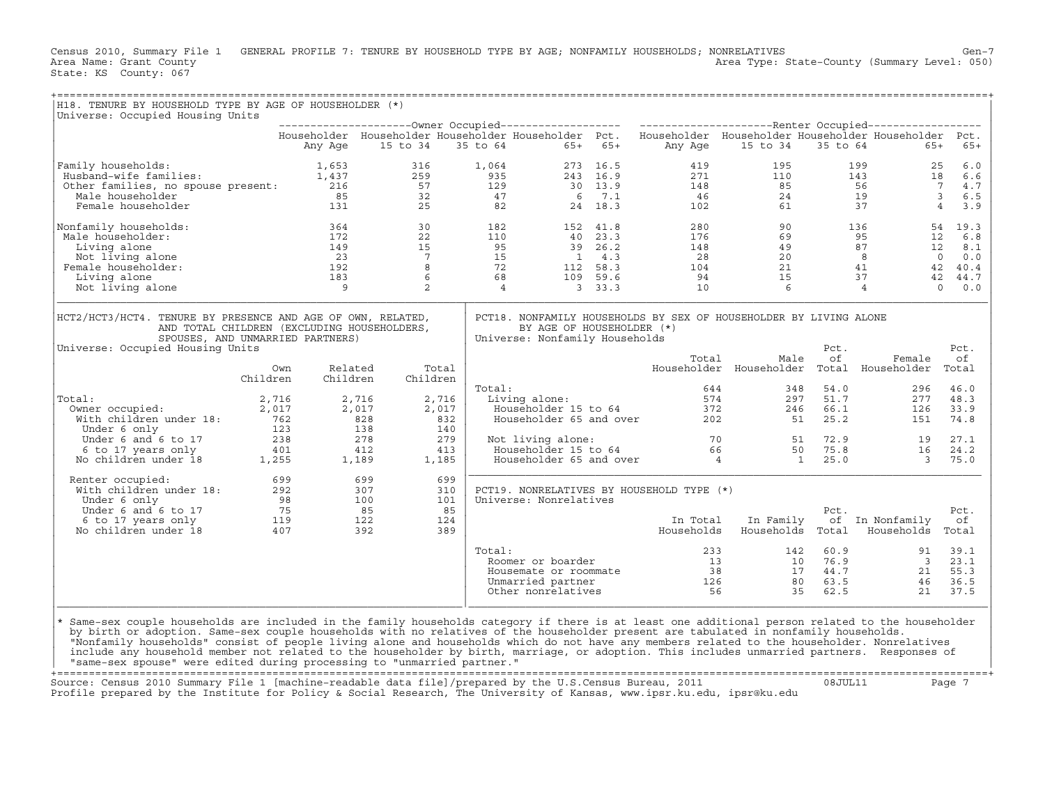Census 2010, Summary File 1 GENERAL PROFILE 7: TENURE BY HOUSEHOLD TYPE BY AGE; NONFAMILY HOUSEHOLDS; NONRELATIVES<br>Area Name: Grant County Level: 050) Area Type: State-County (Summary Level: 050) Area Type: State-County (Summary Level: 050) State: KS County: 067

| H18. TENURE BY HOUSEHOLD TYPE BY AGE OF HOUSEHOLDER (*)                                                                                                                                                                                                                                          |          |          |          |                   |        |                                                                     |  |       |                                                                                                                 |                                 |                                                                                                                                                                                                                                                                                                   |                  |
|--------------------------------------------------------------------------------------------------------------------------------------------------------------------------------------------------------------------------------------------------------------------------------------------------|----------|----------|----------|-------------------|--------|---------------------------------------------------------------------|--|-------|-----------------------------------------------------------------------------------------------------------------|---------------------------------|---------------------------------------------------------------------------------------------------------------------------------------------------------------------------------------------------------------------------------------------------------------------------------------------------|------------------|
| Universe: Occupied Housing Units                                                                                                                                                                                                                                                                 |          |          |          |                   |        |                                                                     |  |       |                                                                                                                 |                                 |                                                                                                                                                                                                                                                                                                   |                  |
|                                                                                                                                                                                                                                                                                                  |          |          |          |                   |        |                                                                     |  |       |                                                                                                                 |                                 | Householder Householder Householder Householder Pct. Householder Householder Householder Householder Pct.                                                                                                                                                                                         |                  |
|                                                                                                                                                                                                                                                                                                  |          | Any Age  | 15 to 34 |                   |        | 35 to 64 65+ 65+                                                    |  |       | Any Age 15 to 34                                                                                                |                                 | 35 to 64<br>$65+$                                                                                                                                                                                                                                                                                 | $65+$            |
| 9316 1,064 273 16.5 419 195 199 25 6.0<br>419 195 199 25 6.0<br>41 1,437 259 935 243 16.9 271 110 143 18 6.6<br>47 6 7.1 46 24 19 36.5<br>47 6 7.1 46 24 19 36.5<br>47 6 7.1 46 24 19 36.5<br>47 6 7.1 46 24 19 36.5<br>47 6 7.1 46 24 19 36<br>Family households:                               |          |          |          |                   |        |                                                                     |  |       |                                                                                                                 |                                 |                                                                                                                                                                                                                                                                                                   |                  |
|                                                                                                                                                                                                                                                                                                  |          |          |          |                   |        |                                                                     |  |       |                                                                                                                 |                                 |                                                                                                                                                                                                                                                                                                   |                  |
|                                                                                                                                                                                                                                                                                                  |          |          |          |                   |        |                                                                     |  |       |                                                                                                                 |                                 |                                                                                                                                                                                                                                                                                                   |                  |
|                                                                                                                                                                                                                                                                                                  |          |          |          |                   |        |                                                                     |  |       |                                                                                                                 |                                 |                                                                                                                                                                                                                                                                                                   |                  |
|                                                                                                                                                                                                                                                                                                  |          |          |          |                   |        |                                                                     |  |       |                                                                                                                 |                                 |                                                                                                                                                                                                                                                                                                   |                  |
| Nonfamily households:                                                                                                                                                                                                                                                                            |          |          |          |                   |        |                                                                     |  |       |                                                                                                                 |                                 | $\begin{array}{cccccccc} 364 & 30 & 182 & 152 & 41.8 & 280 & 90 & 136 & 54 & 19.3 \\ 172 & 22 & 110 & 40 & 23.3 & 176 & 69 & 95 & 12 & 6.8 \\ 149 & 15 & 95 & 39 & 26.2 & 148 & 49 & 87 & 12 & 8.1 \\ 23 & 7 & 15 & 14 & 3 & 28 & 20 & 8 & 0 & 0.0 \\ 183 & 6 & 68 & 109 & 59.6 & 94 & 15 & 37 &$ |                  |
| Male householder:                                                                                                                                                                                                                                                                                |          |          |          |                   |        |                                                                     |  |       |                                                                                                                 |                                 |                                                                                                                                                                                                                                                                                                   |                  |
| Living alone                                                                                                                                                                                                                                                                                     |          |          |          |                   |        |                                                                     |  |       |                                                                                                                 |                                 |                                                                                                                                                                                                                                                                                                   |                  |
| Not living alone<br>Female householder:                                                                                                                                                                                                                                                          |          |          |          |                   |        |                                                                     |  |       |                                                                                                                 |                                 |                                                                                                                                                                                                                                                                                                   |                  |
| Living alone                                                                                                                                                                                                                                                                                     |          |          |          |                   |        |                                                                     |  |       |                                                                                                                 |                                 |                                                                                                                                                                                                                                                                                                   |                  |
| Not living alone                                                                                                                                                                                                                                                                                 |          |          |          |                   |        |                                                                     |  |       |                                                                                                                 |                                 |                                                                                                                                                                                                                                                                                                   |                  |
|                                                                                                                                                                                                                                                                                                  |          |          |          |                   |        |                                                                     |  |       |                                                                                                                 |                                 |                                                                                                                                                                                                                                                                                                   |                  |
| HCT2/HCT3/HCT4. TENURE BY PRESENCE AND AGE OF OWN, RELATED,<br>AND TOTAL CHILDREN (EXCLUDING HOUSEHOLDERS,<br>SPOUSES, AND UNMARRIED PARTNERS)                                                                                                                                                   |          |          |          |                   |        | BY AGE OF HOUSEHOLDER (*)<br>Universe: Nonfamily Households         |  |       | PCT18. NONFAMILY HOUSEHOLDS BY SEX OF HOUSEHOLDER BY LIVING ALONE                                               | Pct.                            |                                                                                                                                                                                                                                                                                                   | Pct.             |
| Universe: Occupied Housing Units                                                                                                                                                                                                                                                                 | Own      | Related  |          | Total             |        |                                                                     |  | Total | Male                                                                                                            | оf                              | Female<br>Householder Householder Total Householder                                                                                                                                                                                                                                               | оf<br>Total      |
|                                                                                                                                                                                                                                                                                                  | Children | Children |          | Children          |        |                                                                     |  |       |                                                                                                                 |                                 |                                                                                                                                                                                                                                                                                                   |                  |
|                                                                                                                                                                                                                                                                                                  |          |          |          |                   | Total: |                                                                     |  |       | 644<br>otal: 644 348<br>Living alone: 574 297<br>Householder 15 to 64 372 246<br>Householder 65 and over 202 51 | 348 54.0                        | 296                                                                                                                                                                                                                                                                                               | 46.0             |
| Total:                                                                                                                                                                                                                                                                                           |          |          |          | 2,716<br>2,017    |        |                                                                     |  |       | 246                                                                                                             | 297 51.7<br>246 66.1<br>51 25.2 | 126                                                                                                                                                                                                                                                                                               | 277 48.3<br>33.9 |
|                                                                                                                                                                                                                                                                                                  |          |          |          | 832               |        |                                                                     |  |       |                                                                                                                 |                                 | 151                                                                                                                                                                                                                                                                                               | 74.8             |
|                                                                                                                                                                                                                                                                                                  |          |          |          | 140               |        |                                                                     |  |       |                                                                                                                 |                                 |                                                                                                                                                                                                                                                                                                   |                  |
|                                                                                                                                                                                                                                                                                                  |          |          |          | 279               |        |                                                                     |  |       |                                                                                                                 |                                 |                                                                                                                                                                                                                                                                                                   | 27.1             |
|                                                                                                                                                                                                                                                                                                  |          |          |          | 413               |        |                                                                     |  |       |                                                                                                                 |                                 |                                                                                                                                                                                                                                                                                                   | 24.2             |
| 0011:<br>0011:<br>0011 0011 0011 0012<br>12,017<br>12,017<br>12,017<br>2,017<br>2,017<br>2,017<br>2,017<br>2,017<br>2,017<br>2,017<br>2,017<br>2,017<br>2,017<br>2,017<br>2,017<br>238<br>278<br>5 123<br>278<br>5 123<br>278<br>6 to 17<br>238<br>278<br>278<br>278<br>21<br>21<br>21<br>21<br> |          |          |          | 1,185             |        |                                                                     |  |       |                                                                                                                 |                                 | Not living alone:<br>Householder 15 to 64 66 50 75.8 16<br>Householder 65 and over 4 1 25.0 3<br>$\overline{\mathbf{3}}$                                                                                                                                                                          | 75.0             |
| Renter occupied: 699<br>With children under 18: 292<br>Under 6 only 98<br>Under 6 and 6 to 17<br>5 6 to 17 years only 119<br>No children under 18<br>407<br>392<br>Renter occupied:                                                                                                              |          |          |          | 699<br>310<br>101 |        | PCT19. NONRELATIVES BY HOUSEHOLD TYPE (*)<br>Universe: Nonrelatives |  |       |                                                                                                                 |                                 |                                                                                                                                                                                                                                                                                                   |                  |
|                                                                                                                                                                                                                                                                                                  |          |          |          | 85                |        |                                                                     |  |       |                                                                                                                 | Pct.                            |                                                                                                                                                                                                                                                                                                   | Pct.             |
|                                                                                                                                                                                                                                                                                                  |          |          |          | 124               |        |                                                                     |  |       | In Total In Family                                                                                              |                                 | of In Nonfamily                                                                                                                                                                                                                                                                                   | оf               |
|                                                                                                                                                                                                                                                                                                  |          |          |          | 389               |        |                                                                     |  |       |                                                                                                                 |                                 | Households Households Total Households                                                                                                                                                                                                                                                            | Total            |
|                                                                                                                                                                                                                                                                                                  |          |          |          |                   |        |                                                                     |  |       |                                                                                                                 |                                 |                                                                                                                                                                                                                                                                                                   |                  |
|                                                                                                                                                                                                                                                                                                  |          |          |          |                   | Total: |                                                                     |  |       |                                                                                                                 |                                 |                                                                                                                                                                                                                                                                                                   |                  |
|                                                                                                                                                                                                                                                                                                  |          |          |          |                   |        |                                                                     |  |       |                                                                                                                 |                                 |                                                                                                                                                                                                                                                                                                   |                  |
|                                                                                                                                                                                                                                                                                                  |          |          |          |                   |        |                                                                     |  |       |                                                                                                                 |                                 |                                                                                                                                                                                                                                                                                                   |                  |
|                                                                                                                                                                                                                                                                                                  |          |          |          |                   |        |                                                                     |  |       |                                                                                                                 |                                 | 011:<br>Roomer or boarder<br>Roomer or boarder<br>Housemate or roommate<br>Unmarried partner<br>Unmarried partner<br>Unmarried partner<br>21 55.3<br>21 55.3<br>21 55.3<br>21 55.3<br>21 55.3<br>21 55.3<br>21 55.3<br>21 55.3<br>21 37.5<br>21 37.5                                              |                  |
|                                                                                                                                                                                                                                                                                                  |          |          |          |                   |        |                                                                     |  |       |                                                                                                                 |                                 |                                                                                                                                                                                                                                                                                                   |                  |
| * Same-sex couple households are included in the family households category if there is at least one additional person related to the householder                                                                                                                                                |          |          |          |                   |        |                                                                     |  |       |                                                                                                                 |                                 |                                                                                                                                                                                                                                                                                                   |                  |
| by birth or adoption. Same-sex couple households with no relatives of the householder present are tabulated in nonfamily households.<br>"Nonfamily households" consist of people living alone and households which do not have any members related to the householder. Nonrelatives              |          |          |          |                   |        |                                                                     |  |       |                                                                                                                 |                                 |                                                                                                                                                                                                                                                                                                   |                  |
| include any household member not related to the householder by birth, marriage, or adoption. This includes unmarried partners. Responses of                                                                                                                                                      |          |          |          |                   |        |                                                                     |  |       |                                                                                                                 |                                 |                                                                                                                                                                                                                                                                                                   |                  |
| "same-sex spouse" were edited during processing to "unmarried partner."                                                                                                                                                                                                                          |          |          |          |                   |        |                                                                     |  |       |                                                                                                                 |                                 |                                                                                                                                                                                                                                                                                                   |                  |

+===================================================================================================================================================+ Source: Census 2010 Summary File 1 [machine−readable data file]/prepared by the U.S.Census Bureau, 2011 08JUL11 Page 7 Profile prepared by the Institute for Policy & Social Research, The University of Kansas, www.ipsr.ku.edu, ipsr@ku.edu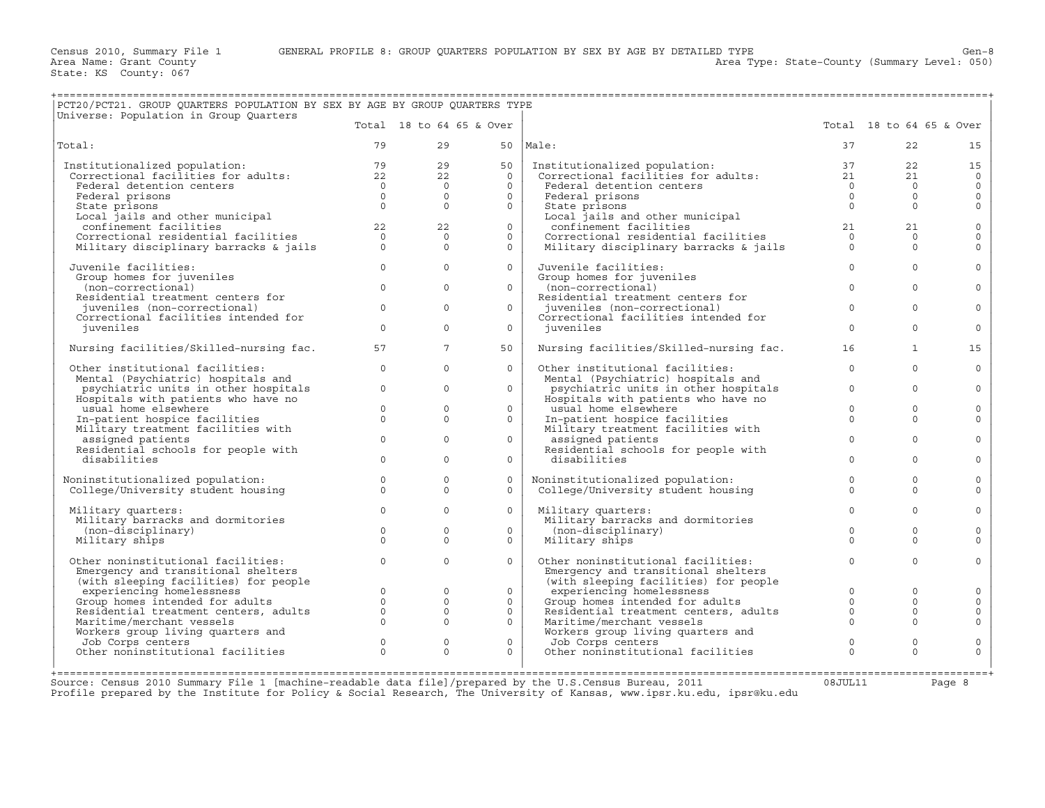Area Type: State-County (Summary Level: 050)

| PCT20/PCT21. GROUP QUARTERS POPULATION BY SEX BY AGE BY GROUP QUARTERS TYPE                                                                                         |                |                                                                            |                          |                                                                                                                                                             |                |                          |                     |
|---------------------------------------------------------------------------------------------------------------------------------------------------------------------|----------------|----------------------------------------------------------------------------|--------------------------|-------------------------------------------------------------------------------------------------------------------------------------------------------------|----------------|--------------------------|---------------------|
| Universe: Population in Group Quarters                                                                                                                              |                |                                                                            | Total 18 to 64 65 & Over |                                                                                                                                                             |                | Total 18 to 64 65 & Over |                     |
| Total:                                                                                                                                                              | 79             | 29                                                                         |                          | $50$  Male:                                                                                                                                                 | 37             | 22                       | 15                  |
| Institutionalized population: 79<br>Correctional facilities for adults: 22<br>Federal detention centers 0                                                           |                | 29                                                                         | 50                       |                                                                                                                                                             |                | 22                       | 15                  |
|                                                                                                                                                                     |                | 22                                                                         | $\Omega$                 |                                                                                                                                                             |                | 21                       | $\circ$             |
|                                                                                                                                                                     |                | $\overline{0}$                                                             | $\Omega$                 |                                                                                                                                                             |                | $\Omega$                 | $\circ$             |
| Federal prisons                                                                                                                                                     | $\overline{0}$ | $\overline{0}$                                                             | $\circ$                  | Federal prisons                                                                                                                                             | $\overline{0}$ | $\Omega$                 | $\mathsf{O}\xspace$ |
| State prisons                                                                                                                                                       | $\Omega$       | $\Omega$                                                                   | $\circ$                  | State prisons                                                                                                                                               | $\Omega$       | $\Omega$                 | $\mathbf 0$         |
|                                                                                                                                                                     |                |                                                                            |                          |                                                                                                                                                             |                |                          |                     |
|                                                                                                                                                                     |                | 22<br>22                                                                   | $\Omega$                 |                                                                                                                                                             |                | 21<br>21                 | $\mathbf 0$         |
|                                                                                                                                                                     |                | $\overline{0}$                                                             | $\circ$                  |                                                                                                                                                             | $\overline{0}$ | $\Omega$                 | $\mathbf 0$         |
| State prisons<br>Local jails and other municipal<br>confinement facilities 22<br>Correctional residential facilities 20<br>Military disciplinary barracks & jails 0 |                | $\Omega$                                                                   | $\Omega$                 | state prisons<br>Local jails and other municipal<br>confinement facilities<br>Correctional residential facilities<br>Military disciplinary barracks & jails | $\overline{0}$ | $\Omega$                 | $\Omega$            |
| Juvenile facilities:                                                                                                                                                | $\overline{0}$ | $\mathbf{0}$                                                               | $\circ$                  | Juvenile facilities:                                                                                                                                        | $\circ$        | $\Omega$                 | $\mathbf 0$         |
| Group homes for juveniles                                                                                                                                           |                |                                                                            |                          | Group homes for juveniles                                                                                                                                   |                |                          |                     |
| (non-correctional)                                                                                                                                                  | $\Omega$       | $\Omega$                                                                   | $\Omega$                 | (non-correctional)                                                                                                                                          | $\Omega$       | $\Omega$                 | $\Omega$            |
| Residential treatment centers for                                                                                                                                   | $\Omega$       | $\Omega$                                                                   |                          | Residential treatment centers for                                                                                                                           | $\Omega$       | $\Omega$                 |                     |
| juveniles (non-correctional)                                                                                                                                        |                |                                                                            | $\Omega$                 | juveniles (non-correctional)                                                                                                                                |                |                          | $\Omega$            |
| Correctional facilities intended for                                                                                                                                | $\Omega$       | $\Omega$                                                                   | $\circ$                  | Correctional facilities intended for                                                                                                                        | $\Omega$       | $\Omega$                 | $\Omega$            |
| juveniles                                                                                                                                                           |                |                                                                            |                          | juveniles                                                                                                                                                   |                |                          |                     |
| Nursing facilities/Skilled-nursing fac.                                                                                                                             | 57             | $7^{\circ}$                                                                | 50                       | Nursing facilities/Skilled-nursing fac.                                                                                                                     | 16             | $\mathbf{1}$             | 15                  |
| Other institutional facilities:                                                                                                                                     | $\circ$        | $\Omega$                                                                   | $\Omega$                 | Other institutional facilities:                                                                                                                             | $\Omega$       | $\Omega$                 | $\Omega$            |
| Mental (Psychiatric) hospitals and                                                                                                                                  |                |                                                                            |                          | Mental (Psychiatric) hospitals and                                                                                                                          |                |                          |                     |
| psychiatric units in other hospitals                                                                                                                                | $\circ$        | $\Omega$                                                                   | $\Omega$                 | psychiatric units in other hospitals                                                                                                                        | $\circ$        | $\Omega$                 | $\mathbf 0$         |
| Hospitals with patients who have no                                                                                                                                 |                |                                                                            |                          | Hospitals with patients who have no                                                                                                                         |                |                          |                     |
| usual home elsewhere                                                                                                                                                | $\Omega$       | $\Omega$                                                                   | $\Omega$                 | usual home elsewhere                                                                                                                                        | $\Omega$       | $\Omega$                 | $\Omega$            |
| In-patient hospice facilities<br>Military treatment facilities with                                                                                                 | $\circ$        | $\Omega$                                                                   | $\circ$                  | In-patient hospice facilities<br>Military treatment facilities with                                                                                         | $\Omega$       | $\Omega$                 | $\mathbf 0$         |
| assigned patients                                                                                                                                                   | $\Omega$       | $\Omega$                                                                   | $\Omega$                 | assigned patients                                                                                                                                           | $\Omega$       | $\Omega$                 | $\Omega$            |
| Residential schools for people with                                                                                                                                 |                |                                                                            |                          | Residential schools for people with                                                                                                                         |                |                          |                     |
| disabilities                                                                                                                                                        | $\Omega$       | $\Omega$                                                                   | $\Omega$                 | disabilities                                                                                                                                                | $\Omega$       | $\Omega$                 | $\Omega$            |
| Noninstitutionalized population:                                                                                                                                    | $\circ$        | $\Omega$                                                                   | $\Omega$                 |                                                                                                                                                             | $\Omega$       | $\Omega$                 | $\mathbf 0$         |
| College/University student housing                                                                                                                                  | $\Omega$       | $\Omega$                                                                   | $\Omega$                 | Noninstitutionalized population:<br>College/University student housing                                                                                      | $\Omega$       | $\Omega$                 | $\Omega$            |
|                                                                                                                                                                     |                |                                                                            |                          |                                                                                                                                                             |                |                          |                     |
| Military quarters:                                                                                                                                                  | $\Omega$       | $\Omega$                                                                   | $\Omega$                 | Military quarters:                                                                                                                                          | $\Omega$       | $\Omega$                 | $\Omega$            |
| Military barracks and dormitories                                                                                                                                   |                |                                                                            |                          | Military barracks and dormitories                                                                                                                           |                |                          |                     |
| (non-disciplinary)                                                                                                                                                  | $\circ$        | $\Omega$                                                                   | $\Omega$                 | (non-disciplinary)                                                                                                                                          | $\Omega$       | $\Omega$                 | $\Omega$            |
| Military ships                                                                                                                                                      | $\Omega$       | $\Omega$                                                                   | $\Omega$                 | Military ships                                                                                                                                              | $\Omega$       | $\Omega$                 | $\Omega$            |
| Other noninstitutional facilities:                                                                                                                                  | $\Omega$       | $\Omega$                                                                   | $\Omega$                 | Other noninstitutional facilities:                                                                                                                          | $\Omega$       | $\Omega$                 | $\Omega$            |
| Emergency and transitional shelters                                                                                                                                 |                |                                                                            |                          | Emergency and transitional shelters                                                                                                                         |                |                          |                     |
| (with sleeping facilities) for people                                                                                                                               |                |                                                                            |                          | (with sleeping facilities) for people                                                                                                                       |                |                          |                     |
| experiencing homelessness                                                                                                                                           |                | $\begin{array}{ccc} 0 & & 0 \ 0 & & 0 \ 0 & & & 0 \ 0 & & & 0 \end{array}$ | $\Omega$                 | experiencing homelessness                                                                                                                                   | $\Omega$       | $\Omega$                 | $\Omega$            |
| Group homes intended for adults                                                                                                                                     |                |                                                                            | $\circ$                  | Group homes intended for adults 0<br>Residential treatment centers, adults 0                                                                                |                | $\circ$                  | $\mathbf 0$         |
| Residential treatment centers, adults                                                                                                                               |                |                                                                            | $\circ$                  |                                                                                                                                                             |                | $\Omega$                 | $\mathsf{O}$        |
| Maritime/merchant vessels                                                                                                                                           |                |                                                                            | $\circ$                  | Maritime/merchant vessels                                                                                                                                   | $\Omega$       | $\Omega$                 | $\Omega$            |
| Workers group living quarters and                                                                                                                                   |                |                                                                            |                          | Norkers group living quarters and<br>Job Corps centers<br>Other noninstitutional facilities                                                                 |                |                          |                     |
|                                                                                                                                                                     | $\circ$        | $\circ$                                                                    | $\circ$                  |                                                                                                                                                             | $\mathbf 0$    | $\Omega$                 | $\mathsf{O}$        |
| Other noninstitutional facilities                                                                                                                                   |                | $\Omega$<br>$\Omega$                                                       | $\Omega$                 |                                                                                                                                                             | $\Omega$       | $\Omega$                 | $\Omega$            |
|                                                                                                                                                                     |                |                                                                            |                          |                                                                                                                                                             |                |                          |                     |

+===================================================================================================================================================+Source: Census 2010 Summary File 1 [machine−readable data file]/prepared by the U.S.Census Bureau, 2011 08JUL11 Page 8 Profile prepared by the Institute for Policy & Social Research, The University of Kansas, www.ipsr.ku.edu, ipsr@ku.edu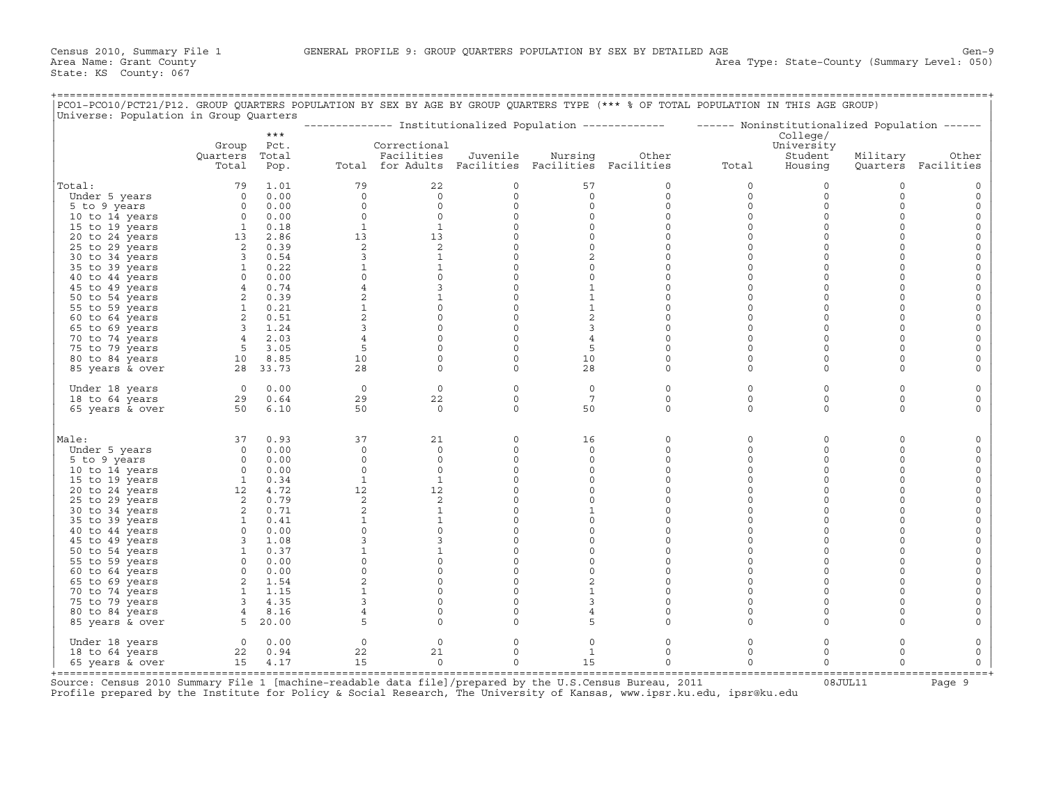| PCO1-PCO10/PCT21/P12. GROUP QUARTERS POPULATION BY SEX BY AGE BY GROUP QUARTERS TYPE (*** % OF TOTAL POPULATION IN THIS AGE GROUP)<br>Universe: Population in Group Quarters |                                                                                                                                                                                                                 |               |                |                                                   |                     |                     |              |                                                                                                         |                       |             |                     |
|------------------------------------------------------------------------------------------------------------------------------------------------------------------------------|-----------------------------------------------------------------------------------------------------------------------------------------------------------------------------------------------------------------|---------------|----------------|---------------------------------------------------|---------------------|---------------------|--------------|---------------------------------------------------------------------------------------------------------|-----------------------|-------------|---------------------|
|                                                                                                                                                                              |                                                                                                                                                                                                                 | $***$         |                |                                                   |                     |                     |              | -------------- Institutionalized Population ------------- ------ Noninstitutionalized Population ------ | College/              |             |                     |
|                                                                                                                                                                              | Group<br>Quarters                                                                                                                                                                                               | Pct.<br>Total |                | Correctional<br>Facilities                        | Juvenile            | Nursing             | Other        |                                                                                                         | University<br>Student | Military    | Other               |
|                                                                                                                                                                              | Total                                                                                                                                                                                                           | Pop.          |                | Total for Adults Facilities Facilities Facilities |                     |                     |              | Total                                                                                                   | Housing               |             | Quarters Facilities |
| Total:                                                                                                                                                                       |                                                                                                                                                                                                                 | 79 1.01       | 79             | 22                                                | $\circ$             | 57                  | 0            | $\circ$                                                                                                 | $\circ$               | $\mathbf 0$ |                     |
| Under 5 years                                                                                                                                                                |                                                                                                                                                                                                                 | $0 \t 0.00$   | $\circ$        | $\circ$                                           | $\circ$             | $\circ$             | $\mathsf{O}$ | $\circ$                                                                                                 | $\circ$               | $\circ$     | $\circ$             |
| 5 to 9 years                                                                                                                                                                 |                                                                                                                                                                                                                 | $0 \t 0.00$   | $\circ$        | $\circ$                                           | $\mathsf{O}\xspace$ | $\mathsf{O}\xspace$ | 0            | $\circ$                                                                                                 | $\mathsf{O}\xspace$   | $\Omega$    | $\Omega$            |
| 10 to 14 years                                                                                                                                                               | $0$ 0.00<br>1 0.18                                                                                                                                                                                              |               | $\circ$        | $\circ$                                           | $\circ$             | $\circ$             | $\mathbf 0$  | $\circ$                                                                                                 | $\mathbf 0$           | $\Omega$    | $\circ$             |
| 15 to 19 years                                                                                                                                                               |                                                                                                                                                                                                                 |               | <sup>1</sup>   | $\mathbf{1}$                                      | $\circ$             | $\circ$             | $\circ$      | $\circ$                                                                                                 | $\circ$               | $\Omega$    |                     |
| 20 to 24 years                                                                                                                                                               | $\begin{array}{cccc} 1 & 0.18 & 0.18 \ 2 & 0.39 & 0.54 \ 1 & 0.22 & 0.39 \ 3 & 0.54 & 1 \ 0.22 & 0 & 0.01 & 0.74 \ 2 & 0.39 & 1 & 0.21 \ 2 & 0.21 & 2 & 1.24 \ 4 & 2.03 & 5 & 3.05 \ 10 & 8.83.373 \end{array}$ |               | 13             | 13                                                | $\mathsf{O}\xspace$ | $\circ$             | $\circ$      | $\circ$                                                                                                 | $\mathsf{O}\xspace$   | $\Omega$    |                     |
| 25 to 29 years                                                                                                                                                               |                                                                                                                                                                                                                 |               | $\overline{2}$ | 2                                                 | $\circ$             | $\circ$             | 0            | $\circ$                                                                                                 | $\circ$               | $\Omega$    | $\Omega$            |
| 30 to 34 years                                                                                                                                                               |                                                                                                                                                                                                                 |               | 3              | $\mathbf{1}$                                      | $\circ$             | 2                   | 0            | $\circ$                                                                                                 | $\circ$               | $\Omega$    | $\Omega$            |
| 35 to 39 years                                                                                                                                                               |                                                                                                                                                                                                                 |               | $\mathbf{1}$   | $\mathbf{1}$                                      | $\mathsf{O}\xspace$ | $\circ$             | $\Omega$     | $\circ$                                                                                                 | $\Omega$              | $\Omega$    |                     |
| 40 to 44 years                                                                                                                                                               |                                                                                                                                                                                                                 |               | $\circ$        | $\circ$                                           | $\circ$             | $\circ$             | $\Omega$     | $\Omega$                                                                                                | $\circ$               | $\Omega$    | $\Omega$            |
| 45 to 49 years                                                                                                                                                               |                                                                                                                                                                                                                 |               | $\overline{4}$ | $\overline{3}$                                    | $\mathsf{O}\xspace$ | $\mathbf{1}$        | 0            | $\mathsf{O}\xspace$                                                                                     | $\mathsf{O}\xspace$   | $\Omega$    | $\Omega$            |
| 50 to 54 years                                                                                                                                                               |                                                                                                                                                                                                                 |               | 2              | $\mathbf{1}$                                      | $\circ$             | $\mathbf{1}$        | 0            | $\circ$                                                                                                 | $\circ$               | $\Omega$    |                     |
| 55 to 59 years                                                                                                                                                               |                                                                                                                                                                                                                 |               | $\mathbf{1}$   | $\circ$                                           | $\circ$             | $\mathbf{1}$        | 0            | $\circ$                                                                                                 | $\circ$               | $\Omega$    | 0                   |
| 60 to 64 years                                                                                                                                                               |                                                                                                                                                                                                                 |               | $\overline{a}$ | $\mathbb O$                                       | $\mathsf{O}\xspace$ | $\overline{c}$      | 0            | 0                                                                                                       | $\mathsf{O}\xspace$   | $\Omega$    | $\Omega$            |
| 65 to 69 years                                                                                                                                                               |                                                                                                                                                                                                                 |               | 3              | $\circ$                                           | $\circ$             | $\mathbf{3}$        | 0            | $\circ$                                                                                                 | $\circ$               | $\Omega$    |                     |
| 70 to 74 years                                                                                                                                                               |                                                                                                                                                                                                                 |               | $\overline{4}$ | $\circ$                                           | $\circ$             | $\overline{4}$      | 0            | $\circ$                                                                                                 | $\circ$               | $\Omega$    |                     |
| 75 to 79 years                                                                                                                                                               |                                                                                                                                                                                                                 |               | 5              | $\mathsf{O}\xspace$                               | $\mathsf{O}$        | 5                   | 0            | 0                                                                                                       | $\mathbf 0$           | $\Omega$    |                     |
| 80 to 84 years                                                                                                                                                               |                                                                                                                                                                                                                 |               | 10             | $\circ$                                           | $\circ$             | 10                  | 0            | $\circ$                                                                                                 | $\circ$               | $\Omega$    |                     |
| 85 years & over                                                                                                                                                              | 28 33.73                                                                                                                                                                                                        |               | 28             | $\circ$                                           | $\circ$             | 28                  | 0            | $\circ$                                                                                                 | $\circ$               | $\Omega$    |                     |
| Under 18 years                                                                                                                                                               | $0 \qquad 0.00$                                                                                                                                                                                                 |               | $\circ$        | $\circ$                                           | $\circ$             | $\circ$             | 0            | $\circ$                                                                                                 | $\circ$               | $\mathbf 0$ | $\Omega$            |
| 18 to 64 years                                                                                                                                                               | $29$ 0.64<br>50 6.10                                                                                                                                                                                            |               | 29             | 22                                                | $\circ$             | $7\phantom{.0}$     | 0            | $\circ$                                                                                                 | $\circ$               | $\Omega$    | $\Omega$            |
| 65 years & over                                                                                                                                                              |                                                                                                                                                                                                                 |               | 50             | $\Omega$                                          | $\Omega$            | 50                  | $\Omega$     | $\Omega$                                                                                                | $\circ$               | $\Omega$    |                     |
| Male:                                                                                                                                                                        |                                                                                                                                                                                                                 | 37 0.93       | 37             | 21                                                | $\circ$             | 16                  | 0            | $\circ$                                                                                                 | $\mathsf{O}\xspace$   | $\Omega$    |                     |
| Under 5 years                                                                                                                                                                |                                                                                                                                                                                                                 | 0 0.00        | $\Omega$       | $\Omega$                                          | $\circ$             | $\Omega$            | $\Omega$     | $\Omega$                                                                                                | $\circ$               | $\Omega$    |                     |
| 5 to 9 years                                                                                                                                                                 |                                                                                                                                                                                                                 | $0 \t 0.00$   | $\circ$        | $\circ$                                           | $\mathsf{O}$        | $\circ$             | 0            | $\circ$                                                                                                 | $\mathbf 0$           | $\Omega$    | $\Omega$            |
| 10 to 14 years                                                                                                                                                               | $\begin{bmatrix} 0 & 0.00 \\ 0 & 0.00 \\ 1 & 0.34 \end{bmatrix}$                                                                                                                                                |               | $\circ$        | $\circ$                                           | $\circ$             | $\circ$             | 0            | $\circ$                                                                                                 | $\circ$               | $\Omega$    | $\Omega$            |
| 15 to 19 years                                                                                                                                                               |                                                                                                                                                                                                                 |               | $\mathbf{1}$   | $\mathbf{1}$                                      | $\circ$             | $\Omega$            | $\Omega$     | $\Omega$                                                                                                | $\Omega$              | $\Omega$    |                     |
| 20 to 24 years                                                                                                                                                               |                                                                                                                                                                                                                 |               | 12             | 12                                                | $\mathbb O$         | $\mathsf{O}\xspace$ | 0            | 0                                                                                                       | $\mathbf 0$           | $\Omega$    |                     |
| 25 to 29 years                                                                                                                                                               |                                                                                                                                                                                                                 |               | 2              | 2                                                 | $\circ$             | $\circ$             | 0            | $\circ$                                                                                                 | $\circ$               | $\Omega$    |                     |
| 30 to 34 years                                                                                                                                                               |                                                                                                                                                                                                                 |               | 2              | $\mathbf{1}$                                      | $\circ$             | $\mathbf{1}$        | 0            | $\Omega$                                                                                                | $\circ$               | $\Omega$    |                     |
| 35 to 39 years                                                                                                                                                               |                                                                                                                                                                                                                 |               | $\mathbf{1}$   | $\mathbf{1}$                                      | $\mathbb O$         | $\circ$             | $\Omega$     | $\Omega$                                                                                                | $\mathbf 0$           | $\Omega$    |                     |
| 40 to 44 years                                                                                                                                                               |                                                                                                                                                                                                                 |               | $\circ$        | $\circ$                                           | $\circ$             | $\circ$             | $\Omega$     | $\circ$                                                                                                 | $\Omega$              | $\Omega$    | $\Omega$            |
| 45 to 49 years                                                                                                                                                               |                                                                                                                                                                                                                 |               | $\overline{3}$ | $\mathbf{3}$                                      | $\circ$             | $\circ$             | 0            | $\circ$                                                                                                 | $\Omega$              | $\Omega$    |                     |
| 50 to 54 years                                                                                                                                                               |                                                                                                                                                                                                                 |               |                | $\mathbf{1}$                                      | $\circ$             | $\circ$             | $\circ$      | $\circ$                                                                                                 | $\circ$               | $\Omega$    |                     |
| 55 to 59 years                                                                                                                                                               |                                                                                                                                                                                                                 |               | $\circ$        | $\circ$                                           | $\circ$             | $\circ$             | 0            | $\circ$                                                                                                 | $\Omega$              | $\Omega$    |                     |
| 60 to 64 years                                                                                                                                                               |                                                                                                                                                                                                                 |               | $\circ$        | $\circ$                                           | $\mathsf{O}\xspace$ | $\circ$             | 0            | 0                                                                                                       | $\circ$               | $\Omega$    | $\Omega$            |
| 65 to 69 years                                                                                                                                                               | $\begin{array}{rrrr} 1&0.34\ 12&4.72\ 2&0.79\ 2&0.71\ 1&0.41\ 0&0.00\ 3&1.08\ 1&0.37\ 0&0.00\ 0&0&0.01\ 2&1.154\ \end{array}$                                                                                   |               | 2              | $\mathsf{O}\xspace$                               | $\mathsf{O}\xspace$ | 2                   | 0            | $\circ$                                                                                                 | $\Omega$              | $\Omega$    |                     |
| 70 to 74 years                                                                                                                                                               |                                                                                                                                                                                                                 |               | $\mathbf{1}$   | $\circ$                                           | $\circ$             | $\mathbf{1}$        | 0            | $\circ$                                                                                                 | $\Omega$              | $\Omega$    |                     |
| 75 to 79 years                                                                                                                                                               |                                                                                                                                                                                                                 |               | 3              | $\circ$                                           | $\circ$             | $\mathbf{3}$        | 0            | 0                                                                                                       | $\mathsf{O}\xspace$   | $\mathbf 0$ |                     |
| 80 to 84 years                                                                                                                                                               | $\begin{array}{rrr} 1 & 1.15 \\ 3 & 4.35 \\ 4 & 8.16 \end{array}$                                                                                                                                               |               | $\overline{4}$ | $\mathbf 0$                                       | $\circ$             | $\overline{4}$      | $\circ$      | $\circ$                                                                                                 | $\Omega$              | $\Omega$    |                     |
| 85 years & over                                                                                                                                                              | $5\quad 20.00$                                                                                                                                                                                                  |               | 5              | $\circ$                                           | $\circ$             | 5                   | $\Omega$     | $\Omega$                                                                                                | $\circ$               | $\Omega$    |                     |
| Under 18 years                                                                                                                                                               |                                                                                                                                                                                                                 | $0 \t 0.00$   | $\circ$        | $\mathbf 0$                                       | $\circ$             | $\circ$             | 0            | 0                                                                                                       | $\circ$               | $\Omega$    |                     |
| 18 to 64 years                                                                                                                                                               |                                                                                                                                                                                                                 | 22 0.94       | 22             | 21                                                | $\circ$             | $\mathbf{1}$        | 0            | $\circ$                                                                                                 | $\Omega$              | $\Omega$    | $\circ$             |
| 65 years & over                                                                                                                                                              |                                                                                                                                                                                                                 | 15 4.17       | 15             | $\Omega$                                          | $\Omega$            | 15                  | $\Omega$     | $\circ$                                                                                                 | $\Omega$              | $\Omega$    | $\circ$             |

+===================================================================================================================================================+ Source: Census 2010 Summary File 1 [machine-readable data file]/prepared by the U.S.Census Bureau, 2011 Page 9<br>Profile prepared by the Institute for Policy & Social Research, The University of Kansas, www.ip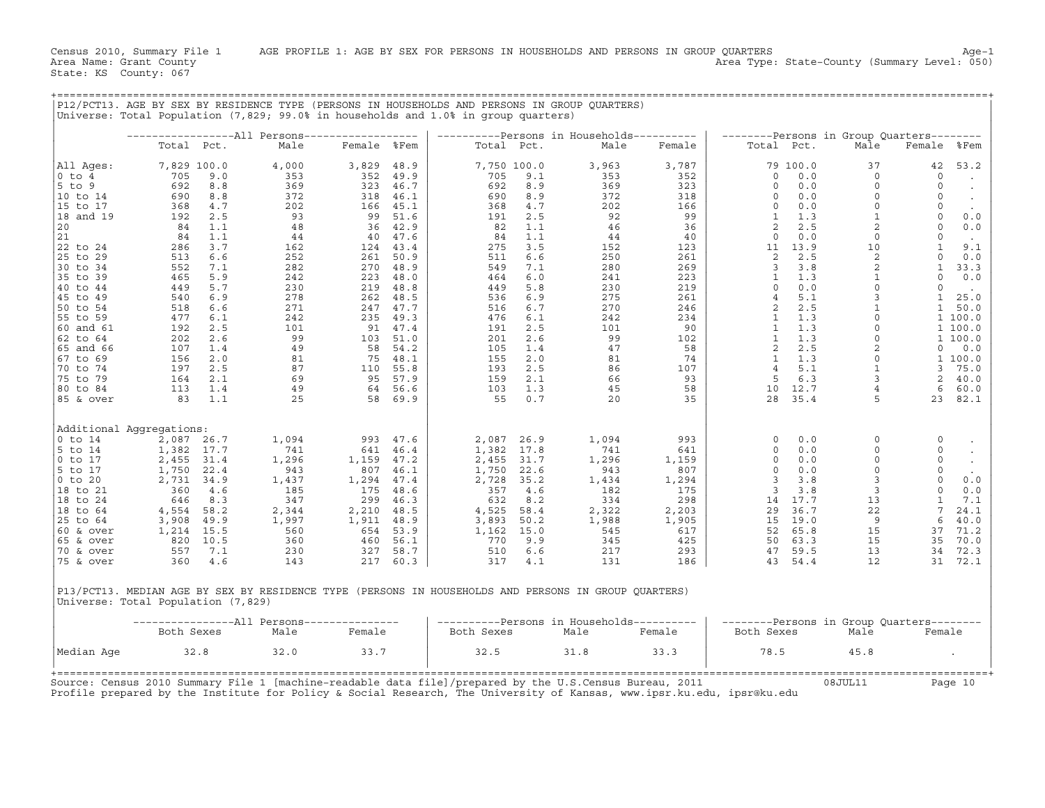|                         |                                    |              |                                                  |              |                    | Universe: Total Population (7,829; 99.0% in households and 1.0% in group quarters) |                    | P12/PCT13. AGE BY SEX BY RESIDENCE TYPE (PERSONS IN HOUSEHOLDS AND PERSONS IN GROUP QUARTERS)        |              |                        |                 |                                           |                    |                    |
|-------------------------|------------------------------------|--------------|--------------------------------------------------|--------------|--------------------|------------------------------------------------------------------------------------|--------------------|------------------------------------------------------------------------------------------------------|--------------|------------------------|-----------------|-------------------------------------------|--------------------|--------------------|
|                         |                                    |              | ------------------All Persons------------------- |              |                    |                                                                                    |                    | ----------Persons in Households----------                                                            |              |                        |                 | --------Persons in Group Quarters-------- |                    |                    |
|                         | Total Pct.                         |              | Male                                             | Female %Fem  |                    |                                                                                    | Total Pct.         | Male                                                                                                 | Female       | Total Pct.             |                 | Male                                      | Female %Fem        |                    |
| All Ages:<br>$0$ to $4$ | 7,829 100.0<br>705                 | 9.0          | 4,000<br>353                                     | 3,829<br>352 | 48.9<br>49.9       | 705                                                                                | 7,750 100.0<br>9.1 | 3,963<br>353                                                                                         | 3,787<br>352 | $\circ$                | 79 100.0<br>0.0 | 37<br>$\circ$                             | 42<br>$\circ$      | 53.2<br>$\sim$     |
| 5 to 9                  | 692                                | 8.8          | 369                                              | 323          | 46.7               | 692                                                                                | 8.9                | 369                                                                                                  | 323          | $\circ$                | 0.0             | $\circ$                                   | $\circ$            | $\bullet$          |
| 10 to 14                | 690                                | 8.8          | 372                                              | 318          | 46.1               | 690                                                                                | 8.9                | 372                                                                                                  | 318          | $\circ$                | 0.0             | $\circ$                                   | $\circ$            | $\sim$             |
| 15 to 17                | 368                                | 4.7          | 202                                              | 166          | 45.1               | 368                                                                                | 4.7                | 202                                                                                                  | 166          | $\mathbf 0$            | 0.0             | $\circ$                                   | $\circ$            | $\sim$             |
| 18 and 19               | 192                                | 2.5          | 93                                               | 99           | 51.6               | 191                                                                                | 2.5                | 92                                                                                                   | 99           | $\mathbf{1}$           | 1.3             | $\mathbf{1}$                              | $\circ$            | 0.0                |
| 20<br>21                | 84<br>84                           | 1.1<br>1.1   | 48<br>44                                         |              | 36 42.9<br>40 47.6 | 82<br>84                                                                           | 1.1<br>1.1         | 46<br>44                                                                                             | 36<br>40     | 2<br>$\circ$           | 2.5<br>0.0      | $\overline{c}$<br>$\circ$                 | $\circ$<br>$\circ$ | 0.0                |
| 22 to 24                | 286                                | 3.7          | 162                                              |              | 124 43.4           | 275                                                                                | 3.5                | 152                                                                                                  | 123          | 11                     | 13.9            | 10                                        | $\mathbf{1}$       | $\sim$ $-$<br>9.1  |
| 25 to 29                | 513                                | 6.6          | 252                                              | 261          | 50.9               | 511                                                                                | 6.6                | 250                                                                                                  | 261          | 2                      | 2.5             | 2                                         | $\circ$            | 0.0                |
| 30 to 34                | 552                                | 7.1          | 282                                              | 270          | 48.9               | 549                                                                                | 7.1                | 280                                                                                                  | 269          | 3                      | 3.8             | $\mathbf 2$                               | $\mathbf{1}$       | 33.3               |
| 35 to 39                | 465                                | 5.9          | 242                                              | 223          | 48.0               | 464                                                                                | 6.0                | 241                                                                                                  | 223          | $\mathbf{1}$           | 1.3             | $\mathbf{1}$                              | $\circ$            | 0.0                |
| 40 to 44                | 449                                | 5.7          | 230                                              | 219          | 48.8               | 449                                                                                | 5.8                | 230                                                                                                  | 219          | $\circ$                | 0.0             | $\circ$                                   | $\circ$            | $\sim$             |
| 45 to 49                | 540                                | 6.9          | 278                                              | 262          | 48.5               | 536                                                                                | 6.9                | 275                                                                                                  | 261          | $\overline{4}$         | 5.1             | $\mathbf{3}$                              | $\mathbf{1}$       | 25.0               |
| 50 to 54                | 518                                | 6.6          | 271                                              |              | 247 47.7           | 516                                                                                | 6.7                | 270                                                                                                  | 246          | 2                      | 2.5             | $\mathbf{1}$<br>$\mathbf 0$               | 1                  | 50.0               |
| 55 to 59<br>60 and 61   | 477<br>192                         | 6.1<br>2.5   | 242<br>101                                       | 235<br>91    | 49.3<br>47.4       | 476<br>191                                                                         | 6.1<br>2.5         | 242<br>101                                                                                           | 234<br>90    | $\mathbf{1}$<br>1      | 1.3<br>1.3      | $\circ$                                   |                    | 1 100.0<br>1 100.0 |
| 62 to 64                | 202                                | 2.6          | 99                                               |              | 103 51.0           | 201                                                                                | 2.6                | 99                                                                                                   | 102          | $\mathbf{1}$           | 1.3             | $\circ$                                   |                    | 1 100.0            |
| 65 and 66               | 107                                | 1.4          | 49                                               | 58           | 54.2               | 105                                                                                | 1.4                | 47                                                                                                   | 58           | 2                      | 2.5             | $\overline{c}$                            | 0                  | 0.0                |
| 67 to 69                | 156                                | 2.0          | 81                                               | 75           | 48.1               | 155                                                                                | 2.0                | 81                                                                                                   | 74           | $\mathbf{1}$           | 1.3             | $\mathbb O$                               |                    | 1 100.0            |
| 70 to 74                | 197                                | 2.5          | 87                                               |              | 110 55.8           | 193                                                                                | 2.5                | 86                                                                                                   | 107          | $\overline{4}$         | 5.1             | $\mathbf{1}$                              | $\overline{3}$     | 75.0               |
| 75 to 79                | 164                                | 2.1          | 69                                               | 95           | 57.9               | 159                                                                                | 2.1                | 66                                                                                                   | 93           | 5                      | 6.3             | 3                                         | $\overline{2}$     | 40.0               |
| 80 to 84                | 113                                | 1.4          | 49                                               |              | 64 56.6            | 103                                                                                | 1.3                | 45                                                                                                   | 58           | 10                     | 12.7            | $\overline{4}$                            | 6                  | 60.0               |
| 85 & over               | 83                                 | 1.1          | 25                                               |              | 58 69.9            | 55                                                                                 | 0.7                | 20                                                                                                   | 35           | 28                     | 35.4            | 5                                         |                    | 23 82.1            |
|                         | Additional Aggregations:           |              |                                                  |              |                    |                                                                                    |                    |                                                                                                      |              |                        |                 |                                           |                    |                    |
| $0$ to $14$             | 2,087                              | 26.7         | 1,094                                            | 993          | 47.6               | 2,087                                                                              | 26.9               | 1,094                                                                                                | 993          | $\circ$                | 0.0             | $\circ$                                   | $\circ$            | $\bullet$          |
| 5 to 14                 | 1,382                              | 17.7         | 741                                              | 641          | 46.4               | 1,382                                                                              | 17.8               | 741                                                                                                  | 641          | $\Omega$               | 0.0             | $\circ$                                   | $\circ$            | $\sim$             |
| $0$ to $17$<br>5 to 17  | 2,455<br>1,750                     | 31.4<br>22.4 | 1,296<br>943                                     | 1,159<br>807 | 47.2<br>46.1       | 2,455<br>1,750                                                                     | 31.7<br>22.6       | 1,296<br>943                                                                                         | 1,159<br>807 | $\circ$<br>$\mathbf 0$ | 0.0<br>0.0      | $\circ$<br>$\circ$                        | $\circ$<br>$\circ$ | $\sim$             |
| $0$ to $20$             | 2,731                              | 34.9         | 1,437                                            | 1,294        | 47.4               | 2,728                                                                              | 35.2               | 1,434                                                                                                | 1,294        | 3                      | 3.8             | 3                                         | $\circ$            | $\sim$<br>0.0      |
| 18 to 21                | 360                                | 4.6          | 185                                              | 175          | 48.6               | 357                                                                                | 4.6                | 182                                                                                                  | 175          | 3                      | 3.8             | $\overline{\mathbf{3}}$                   | $\circ$            | 0.0                |
| 18 to 24                | 646                                | 8.3          | 347                                              | 299          | 46.3               | 632                                                                                | 8.2                | 334                                                                                                  | 298          | 14                     | 17.7            | 13                                        | $\mathbf{1}$       | 7.1                |
| 18 to 64                | 4,554                              | 58.2         | 2,344                                            | 2,210        | 48.5               | 4,525                                                                              | 58.4               | 2,322                                                                                                | 2,203        | 29                     | 36.7            | 22                                        | $7\phantom{.0}$    | 24.1               |
| 25 to 64                | 3,908                              | 49.9         | 1,997                                            | 1,911        | 48.9               | 3,893                                                                              | 50.2               | 1,988                                                                                                | 1,905        | 15                     | 19.0            | 9                                         | 6                  | 40.0               |
| 60 & over               | 1,214                              | 15.5         | 560                                              | 654          | 53.9               | 1,162                                                                              | 15.0               | 545                                                                                                  | 617          | 52                     | 65.8            | 15                                        | 37                 | 71.2               |
| 65 & over<br>70 & over  | 820<br>557                         | 10.5<br>7.1  | 360<br>230                                       | 460<br>327   | 56.1<br>58.7       | 770<br>510                                                                         | 9.9<br>6.6         | 345<br>217                                                                                           | 425<br>293   | 50<br>47               | 63.3<br>59.5    | 15<br>13                                  | 35<br>34           | 70.0<br>72.3       |
| 75 & over               | 360                                | 4.6          | 143                                              |              | 217 60.3           | 317                                                                                | 4.1                | 131                                                                                                  | 186          |                        | 43 54.4         | 12                                        |                    | 31 72.1            |
|                         |                                    |              |                                                  |              |                    |                                                                                    |                    |                                                                                                      |              |                        |                 |                                           |                    |                    |
|                         | Universe: Total Population (7,829) |              |                                                  |              |                    |                                                                                    |                    | P13/PCT13. MEDIAN AGE BY SEX BY RESIDENCE TYPE (PERSONS IN HOUSEHOLDS AND PERSONS IN GROUP OUARTERS) |              |                        |                 |                                           |                    |                    |
|                         |                                    |              | -----------------All Persons---------------      |              |                    |                                                                                    |                    | ----------Persons in Households----------                                                            |              |                        |                 | --------Persons in Group Quarters-        |                    |                    |
|                         | Both Sexes                         |              | Male                                             | Female       |                    | Both Sexes                                                                         |                    | Male                                                                                                 | Female       | Both Sexes             |                 | Male                                      | Female             |                    |
| Median Age              |                                    | 32.8         | 32.0                                             | 33.7         |                    | 32.5                                                                               |                    | 31.8                                                                                                 | 33.3         | 78.5                   |                 | 45.8                                      |                    |                    |

+===================================================================================================================================================+

+===================================================================================================================================================+ Source: Census 2010 Summary File 1 [machine−readable data file]/prepared by the U.S.Census Bureau, 2011 08JUL11 Page 10 Profile prepared by the Institute for Policy & Social Research, The University of Kansas, www.ipsr.ku.edu, ipsr@ku.edu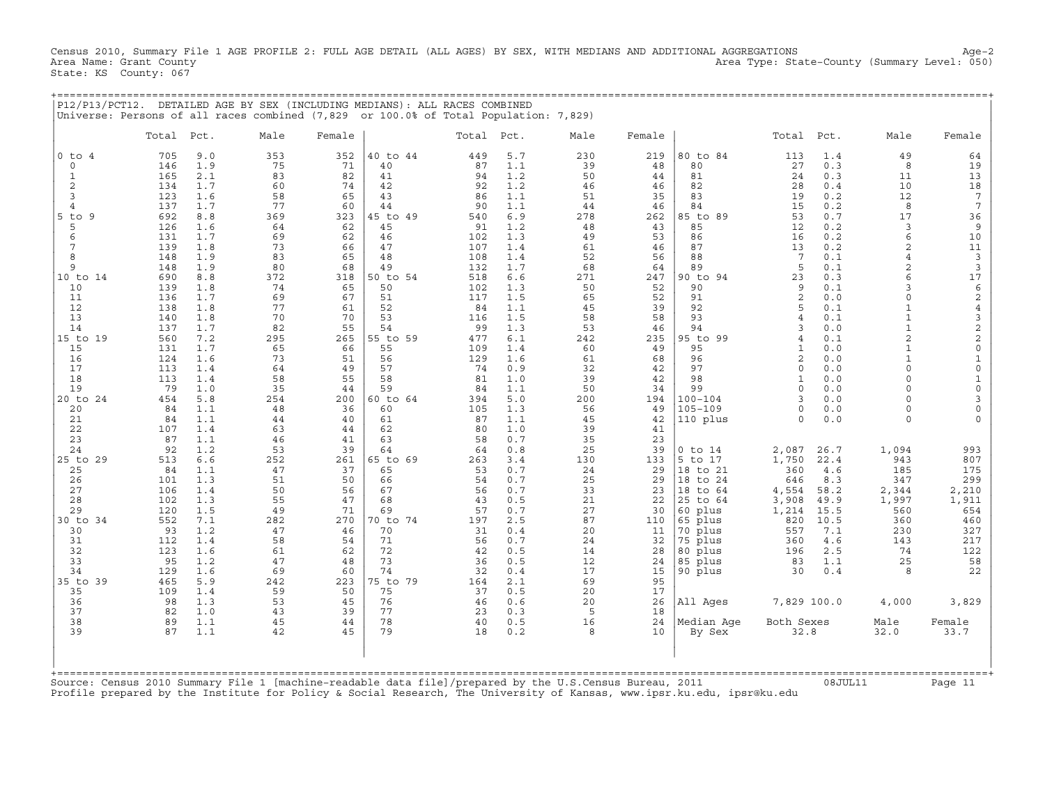Census 2010, Summary File 1 AGE PROFILE 2: FULL AGE DETAIL (ALL AGES) BY SEX, WITH MEDIANS AND ADDITIONAL AGGREGATIONS Age−2 Area Name: Grant County Area Type: State−County (Summary Level: 050) State: KS County: 067

+===================================================================================================================================================+

|                          |            |            | P12/P13/PCT12. DETAILED AGE BY SEX (INCLUDING MEDIANS): ALL RACES COMBINED<br>Universe: Persons of all races combined (7,829 or 100.0% of Total Population: 7,829) |           |                |            |            |           |           |                    |                     |              |                                  |                                        |
|--------------------------|------------|------------|--------------------------------------------------------------------------------------------------------------------------------------------------------------------|-----------|----------------|------------|------------|-----------|-----------|--------------------|---------------------|--------------|----------------------------------|----------------------------------------|
|                          | Total      | Pct.       | Male                                                                                                                                                               | Female    |                | Total      | Pct.       | Male      | Female    |                    | Total               | Pct.         | Male                             | Female                                 |
| $0$ to<br>$\overline{4}$ | 705<br>146 | 9.0        | 353                                                                                                                                                                | 352<br>71 | 40 to 44<br>40 | 449        | 5.7        | 230       | 219<br>48 | 80 to 84<br>80     | 113<br>27           | 1.4<br>0.3   | 49<br>8                          | 64                                     |
| $\circ$<br>$\mathbf{1}$  | 165        | 1.9<br>2.1 | 75<br>83                                                                                                                                                           | 82        | 41             | 87<br>94   | 1.1<br>1.2 | 39<br>50  | 44        | 81                 | 24                  | 0.3          | 11                               | 19<br>13                               |
| $\overline{c}$           | 134        | 1.7        | 60                                                                                                                                                                 | 74        | 42             | 92         | 1.2        | 46        | 46        | 82                 | 28                  | 0.4          | 10                               | 18                                     |
| 3                        | 123        | 1.6        | 58                                                                                                                                                                 | 65        | 43             | 86         | 1.1        | 51        | 35        | 83                 | 19                  | 0.2          | 12                               | $7\phantom{.0}$                        |
| $\overline{4}$           | 137        | 1.7        | 77                                                                                                                                                                 | 60        | 44             | 90         | 1.1        | 44        | 46        | 84                 | 15                  | 0.2          | 8                                | $7\phantom{.0}$                        |
| 5<br>9<br>to             | 692        | 8.8        | 369                                                                                                                                                                | 323       | 45 to 49       | 540        | 6.9        | 278       | 262       | 85 to 89           | 53                  | 0.7          | 17                               | 36                                     |
| 5                        | 126        | 1.6        | 64                                                                                                                                                                 | 62        | 45             | 91         | 1.2        | 48        | 43        | 85                 | 12                  | 0.2          | 3                                | $\overline{9}$                         |
| 6                        | 131        | 1.7        | 69                                                                                                                                                                 | 62        | 46             | 102        | 1.3        | 49        | 53        | 86                 | 16                  | 0.2          | 6                                | 10                                     |
| 7<br>8                   | 139<br>148 | 1.8<br>1.9 | 73<br>83                                                                                                                                                           | 66<br>65  | 47<br>48       | 107<br>108 | 1.4<br>1.4 | 61<br>52  | 46<br>56  | 87<br>88           | 13<br>7             | 0.2<br>0.1   | $\overline{c}$<br>$\overline{4}$ | $11$<br>$\overline{3}$                 |
| 9                        | 148        | 1.9        | 80                                                                                                                                                                 | 68        | 49             | 132        | 1.7        | 68        | 64        | 89                 | 5                   | 0.1          | $\overline{a}$                   | $\mathbf{3}$                           |
| 10 to 14                 | 690        | 8.8        | 372                                                                                                                                                                | 318       | 50 to 54       | 518        | 6.6        | 271       | 247       | 90 to 94           | 23                  | 0.3          | 6                                | 17                                     |
| 10                       | 139        | 1.8        | 74                                                                                                                                                                 | 65        | 50             | 102        | 1.3        | 50        | 52        | 90                 | 9                   | 0.1          | 3                                | 6                                      |
| 11                       | 136        | 1.7        | 69                                                                                                                                                                 | 67        | 51             | 117        | 1.5        | 65        | 52        | 91                 | $\sqrt{2}$          | 0.0          | $\Omega$                         | $\sqrt{2}$                             |
| 12                       | 138        | 1.8        | 77                                                                                                                                                                 | 61        | 52             | 84         | 1.1        | 45        | 39        | 92                 | 5                   | 0.1          | $\mathbf{1}$                     | $\overline{4}$                         |
| 13                       | 140        | 1.8        | 70                                                                                                                                                                 | 70        | 53             | 116        | 1.5        | 58        | 58        | 93                 | 4                   | 0.1          | $\mathbf{1}$                     | $\ensuremath{\mathsf{3}}$              |
| 14<br>$15$ to<br>19      | 137<br>560 | 1.7<br>7.2 | 82<br>295                                                                                                                                                          | 55<br>265 | 54<br>55 to 59 | 99<br>477  | 1.3<br>6.1 | 53<br>242 | 46<br>235 | 94<br>95 to<br>99  | 3<br>$\overline{4}$ | 0.0<br>0.1   | $\mathbf{1}$<br>$\overline{2}$   | $\overline{\mathbf{c}}$<br>$\mathbf 2$ |
| 15                       | 131        | 1.7        | 65                                                                                                                                                                 | 66        | 55             | 109        | 1.4        | 60        | 49        | 95                 | $\mathbf{1}$        | 0.0          | $\mathbf{1}$                     | $\mathsf{O}\xspace$                    |
| 16                       | 124        | 1.6        | 73                                                                                                                                                                 | 51        | 56             | 129        | 1.6        | 61        | 68        | 96                 | $\overline{2}$      | 0.0          | $\mathbf{1}$                     | $1\,$                                  |
| 17                       | 113        | 1.4        | 64                                                                                                                                                                 | 49        | 57             | 74         | 0.9        | 32        | 42        | 97                 | $\Omega$            | 0.0          | $\Omega$                         | $\mathsf{O}\xspace$                    |
| 18                       | 113        | 1.4        | 58                                                                                                                                                                 | 55        | 58             | 81         | 1.0        | 39        | 42        | 98                 | $\mathbf{1}$        | 0.0          | $\Omega$                         | $\mathbf 1$                            |
| 19                       | 79         | 1.0        | 35                                                                                                                                                                 | 44        | 59             | 84         | 1.1        | 50        | 34        | 99                 | $\circ$             | 0.0          | $\Omega$                         | $\mathbf 0$                            |
| $20$ to<br>24            | 454        | 5.8        | 254                                                                                                                                                                | 200       | 60 to 64       | 394        | 5.0        | 200       | 194       | $100 - 104$        | 3                   | 0.0          | $\Omega$                         | 3                                      |
| 20                       | 84         | 1.1        | 48                                                                                                                                                                 | 36        | 60             | 105        | 1.3        | 56        | 49        | $105 - 109$        | $\circ$<br>$\Omega$ | 0.0          | $\Omega$<br>$\Omega$             | $\mathsf{O}\xspace$                    |
| 21<br>22                 | 84<br>107  | 1.1<br>1.4 | 44<br>63                                                                                                                                                           | 40<br>44  | 61<br>62       | 87<br>80   | 1.1<br>1.0 | 45<br>39  | 42<br>41  | 110 plus           |                     | 0.0          |                                  |                                        |
| 23                       | 87         | 1.1        | 46                                                                                                                                                                 | 41        | 63             | 58         | 0.7        | 35        | 23        |                    |                     |              |                                  |                                        |
| 24                       | 92         | 1.2        | 53                                                                                                                                                                 | 39        | 64             | 64         | 0.8        | 25        | 39        | $0$ to $14$        | 2,087               | 26.7         | 1,094                            | 993                                    |
| 25 to 29                 | 513        | 6.6        | 252                                                                                                                                                                | 261       | 65 to 69       | 263        | 3.4        | 130       | 133       | 5 to 17            | 1,750               | 22.4         | 943                              | 807                                    |
| 25                       | 84         | 1.1        | 47                                                                                                                                                                 | 37        | 65             | 53         | 0.7        | 24        | 29        | 18 to 21           | 360                 | 4.6          | 185                              | 175                                    |
| 26                       | 101        | 1.3        | 51                                                                                                                                                                 | 50        | 66             | 54         | 0.7        | 25        | 29        | 18 to 24           | 646                 | 8.3          | 347                              | 299                                    |
| 27                       | 106        | 1.4        | 50                                                                                                                                                                 | 56        | 67             | 56         | 0.7        | 33        | 23        | 18 to 64           | 4,554               | 58.2         | 2,344                            | 2,210                                  |
| 28<br>29                 | 102<br>120 | 1.3<br>1.5 | 55<br>49                                                                                                                                                           | 47<br>71  | 68<br>69       | 43<br>57   | 0.5<br>0.7 | 21<br>27  | 22<br>30  | 25 to 64           | 3,908               | 49.9<br>15.5 | 1,997<br>560                     | 1,911<br>654                           |
| 30 to 34                 | 552        | 7.1        | 282                                                                                                                                                                | 270       | 70 to 74       | 197        | 2.5        | 87        | 110       | 60 plus<br>65 plus | 1,214<br>820        | 10.5         | 360                              | 460                                    |
| 30                       | 93         | 1.2        | 47                                                                                                                                                                 | 46        | 70             | 31         | 0.4        | 20        | 11        | 70 plus            | 557                 | 7.1          | 230                              | 327                                    |
| 31                       | 112        | 1.4        | 58                                                                                                                                                                 | 54        | 71             | 56         | 0.7        | 24        | 32        | 75 plus            | 360                 | 4.6          | 143                              | 217                                    |
| 32                       | 123        | 1.6        | 61                                                                                                                                                                 | 62        | 72             | 42         | 0.5        | 14        | 28        | 80 plus            | 196                 | 2.5          | 74                               | 122                                    |
| 33                       | 95         | 1.2        | 47                                                                                                                                                                 | 48        | 73             | 36         | 0.5        | 12        | 24        | 85 plus            | 83                  | 1.1          | 25                               | 58                                     |
| 34                       | 129        | 1.6        | 69                                                                                                                                                                 | 60        | 74             | 32         | 0.4        | 17        | 15        | 90 plus            | 30                  | 0.4          | $\mathsf{R}$                     | 22                                     |
| 35 to<br>39              | 465        | 5.9        | 242                                                                                                                                                                | 223       | 75 to 79       | 164        | 2.1        | 69        | 95        |                    |                     |              |                                  |                                        |
| 35<br>36                 | 109<br>98  | 1.4<br>1.3 | 59<br>53                                                                                                                                                           | 50<br>45  | 75<br>76       | 37<br>46   | 0.5<br>0.6 | 20<br>20  | 17<br>26  | All Ages           | 7,829 100.0         |              | 4,000                            | 3,829                                  |
| 37                       | 82         | 1.0        | 43                                                                                                                                                                 | 39        | 77             | 23         | 0.3        | 5         | 18        |                    |                     |              |                                  |                                        |
| 38                       | 89         | 1.1        | 45                                                                                                                                                                 | 44        | 78             | 40         | 0.5        | 16        | 24        | Median Age         | Both Sexes          |              | Male                             | Female                                 |
| 39                       | 87         | 1.1        | 42                                                                                                                                                                 | 45        | 79             | 18         | 0.2        | 8         | 10        | By Sex             | 32.8                |              | 32.0                             | 33.7                                   |
| +===========             |            |            |                                                                                                                                                                    |           |                |            |            |           |           |                    |                     |              |                                  |                                        |

Source: Census 2010 Summary File 1 [machine−readable data file]/prepared by the U.S.Census Bureau, 2011 08JUL11 Page 11 Profile prepared by the Institute for Policy & Social Research, The University of Kansas, www.ipsr.ku.edu, ipsr@ku.edu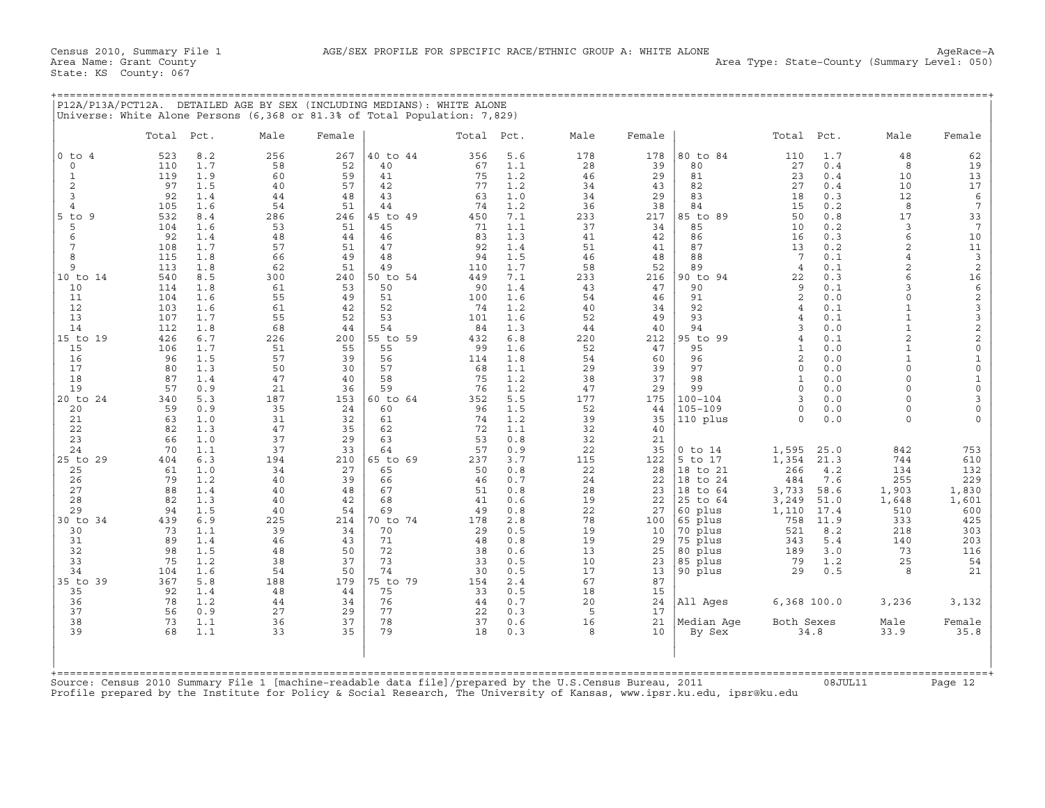|                     | Total      | Pct.       | Male      | Universe: White Alone Persons (6,368 or 81.3% of Total Population: 7,829)<br>Female |                | Total Pct. |            | Male      | Female    |                    | Total           | Pct.         | Male                     | Female                                     |
|---------------------|------------|------------|-----------|-------------------------------------------------------------------------------------|----------------|------------|------------|-----------|-----------|--------------------|-----------------|--------------|--------------------------|--------------------------------------------|
| $0$ to $4$          | 523        | 8.2        | 256       | 267                                                                                 | 40 to 44       | 356        | 5.6        | 178       | 178       | 80 to 84           | 110             | 1.7          | 48                       | 62                                         |
| $\circ$             | 110        | 1.7        | 58        | 52                                                                                  | 40             | 67         | 1.1        | 28        | 39        | 80                 | 27              | 0.4          | 8                        | 19                                         |
| 1                   | 119        | 1.9        | 60        | 59                                                                                  | 41             | 75         | 1.2        | 46        | 29        | 81                 | 23              | 0.4          | 10                       | 13                                         |
| $\mathbf{2}$        | 97         | 1.5        | 40        | 57                                                                                  | 42             | 77         | 1.2        | 34        | 43        | 82                 | 27              | 0.4          | 10                       | 17                                         |
| 3<br>$\overline{4}$ | 92<br>105  | 1.4<br>1.6 | 44<br>54  | 48<br>51                                                                            | 43<br>44       | 63<br>74   | 1.0<br>1.2 | 34<br>36  | 29<br>38  | 83<br>84           | 18<br>15        | 0.3<br>0.2   | 12<br>8                  | 6<br>$\overline{7}$                        |
| $5$ to $9$          | 532        | 8.4        | 286       | 246                                                                                 | 45 to 49       | 450        | 7.1        | 233       | 217       | 85 to 89           | 50              | 0.8          | 17                       | 33                                         |
| 5                   | 104        | 1.6        | 53        | 51                                                                                  | 45             | 71         | 1.1        | 37        | 34        | 85                 | 10              | 0.2          | 3                        | $7\phantom{.0}$                            |
| 6                   | 92         | 1.4        | 48        | 44                                                                                  | 46             | 83         | 1.3        | 41        | 42        | 86                 | 16              | 0.3          | 6                        | 10                                         |
| 7                   | 108        | 1.7        | 57        | 51                                                                                  | 47             | 92         | 1.4        | 51        | 41        | 87                 | 13              | 0.2          | $\overline{a}$           | 11                                         |
| $\mathsf{R}$        | 115        | 1.8        | 66        | 49                                                                                  | 48             | 94         | 1.5        | 46        | 48        | 88                 | $7\phantom{.0}$ | 0.1          | $\overline{4}$           | $\mathbf{3}$                               |
| 9                   | 113        | 1.8        | 62        | 51                                                                                  | 49             | 110        | 1.7        | 58        | 52        | 89                 | $\overline{4}$  | 0.1          | $\overline{c}$           | $\sqrt{2}$                                 |
| 10 to 14<br>10      | 540<br>114 | 8.5<br>1.8 | 300<br>61 | 240<br>53                                                                           | 50 to 54<br>50 | 449<br>90  | 7.1<br>1.4 | 233<br>43 | 216<br>47 | 90 to 94<br>90     | 22<br>9         | 0.3<br>0.1   | 6<br>$\mathbf{z}$        | 16                                         |
| 11                  | 104        | 1.6        | 55        | 49                                                                                  | 51             | 100        | 1.6        | 54        | 46        | 91                 | $\overline{2}$  | 0.0          | $\Omega$                 | $\epsilon$<br>$\sqrt{2}$                   |
| 12                  | 103        | 1.6        | 61        | 42                                                                                  | 52             | 74         | 1.2        | 40        | 34        | 92                 | $\overline{4}$  | 0.1          | $\mathbf{1}$             |                                            |
| 13                  | 107        | 1.7        | 55        | 52                                                                                  | 53             | 101        | 1.6        | 52        | 49        | 93                 | 4               | 0.1          |                          |                                            |
| 14                  | 112        | 1.8        | 68        | 44                                                                                  | 54             | 84         | 1.3        | 44        | 40        | 94                 | 3               | 0.0          | $\mathbf{1}$             | $\begin{array}{c} 3 \\ 3 \\ 2 \end{array}$ |
| 15 to 19            | 426        | 6.7        | 226       | 200                                                                                 | 55 to 59       | 432        | 6.8        | 220       | 212       | 95 to<br>99        | $\overline{4}$  | 0.1          | $\overline{a}$           | $\overline{c}$                             |
| 15                  | 106        | 1.7        | 51        | 55                                                                                  | 55             | 99         | 1.6        | 52        | 47        | 95                 | 1               | 0.0          | $\mathbf{1}$             | $\mathbb O$                                |
| 16<br>17            | 96<br>80   | 1.5<br>1.3 | 57<br>50  | 39<br>30                                                                            | 56<br>57       | 114<br>68  | 1.8<br>1.1 | 54<br>29  | 60<br>39  | 96<br>97           | 2<br>$\Omega$   | 0.0<br>0.0   | $\mathbf{1}$<br>$\Omega$ | $\mathbf{1}$<br>$\mathsf{O}\xspace$        |
| 18                  | 87         | 1.4        | 47        | 40                                                                                  | 58             | 75         | 1.2        | 38        | 37        | 98                 | $\mathbf{1}$    | 0.0          | $\Omega$                 | $\mathbf 1$                                |
| 19                  | 57         | 0.9        | 21        | 36                                                                                  | 59             | 76         | 1.2        | 47        | 29        | 99                 | $\mathbf 0$     | 0.0          | $\Omega$                 | $\mathsf{O}$                               |
| 20 to 24            | 340        | 5.3        | 187       | 153                                                                                 | 60 to 64       | 352        | 5.5        | 177       | 175       | $100 - 104$        | $\mathbf{z}$    | 0.0          | $\Omega$                 | 3                                          |
| 20                  | 59         | 0.9        | 35        | 24                                                                                  | 60             | 96         | 1.5        | 52        | 44        | $105 - 109$        | 0               | 0.0          | $\Omega$                 | $\mathbf 0$                                |
| 21                  | 63         | 1.0        | 31        | 32                                                                                  | 61             | 74         | 1.2        | 39        | 35        | 110 plus           | $\Omega$        | 0.0          | $\Omega$                 | $\Omega$                                   |
| 22<br>23            | 82<br>66   | 1.3<br>1.0 | 47<br>37  | 35<br>29                                                                            | 62<br>63       | 72<br>53   | 1.1<br>0.8 | 32<br>32  | 40<br>21  |                    |                 |              |                          |                                            |
| 24                  | 70         | 1.1        | 37        | 33                                                                                  | 64             | 57         | 0.9        | 22        | 35        | $0$ to $14$        | 1,595           | 25.0         | 842                      | 753                                        |
| 25 to 29            | 404        | 6.3        | 194       | 210                                                                                 | 65 to 69       | 237        | 3.7        | 115       | 122       | 5 to 17            | 1,354           | 21.3         | 744                      | 610                                        |
| 25                  | 61         | 1.0        | 34        | 27                                                                                  | 65             | 50         | 0.8        | 22        | 28        | 18 to 21           | 266             | 4.2          | 134                      | 132                                        |
| 26                  | 79         | 1.2        | 40        | 39                                                                                  | 66             | 46         | 0.7        | 24        | 22        | 18 to 24           | 484             | 7.6          | 255                      | 229                                        |
| 27                  | 88         | 1.4        | 40        | 48                                                                                  | 67             | 51         | 0.8        | 28        | 23        | 18 to 64           | 3,733           | 58.6         | 1,903                    | 1,830                                      |
| 28                  | 82         | 1.3        | 40        | 42                                                                                  | 68             | 41         | 0.6        | 19        | 22        | 25 to 64           | 3,249           | 51.0         | 1,648                    | 1,601                                      |
| 29<br>30 to 34      | 94<br>439  | 1.5<br>6.9 | 40<br>225 | 54<br>214                                                                           | 69<br>70 to 74 | 49<br>178  | 0.8<br>2.8 | 22<br>78  | 27<br>100 | 60 plus<br>65 plus | 1,110<br>758    | 17.4<br>11.9 | 510<br>333               | 600<br>425                                 |
| 30                  | 73         | 1.1        | 39        | 34                                                                                  | 70             | 29         | 0.5        | 19        | 10        | 70 plus            | 521             | 8.2          | 218                      | 303                                        |
| 31                  | 89         | 1.4        | 46        | 43                                                                                  | 71             | 48         | 0.8        | 19        | 29        | 75 plus            | 343             | 5.4          | 140                      | 203                                        |
| 32                  | 98         | 1.5        | 48        | 50                                                                                  | 72             | 38         | 0.6        | 13        | 25        | 80 plus            | 189             | 3.0          | 73                       | 116                                        |
| 33                  | 75         | 1.2        | 38        | 37                                                                                  | 73             | 33         | 0.5        | 10        | 23        | 85 plus            | 79              | 1.2          | 25                       | 54                                         |
| 34                  | 104        | 1.6        | 54        | 50                                                                                  | 74             | 30         | 0.5        | 17        | 13        | 90 plus            | 29              | 0.5          | 8                        | 21                                         |
| 35 to 39<br>35      | 367<br>92  | 5.8<br>1.4 | 188<br>48 | 179<br>44                                                                           | 75 to 79<br>75 | 154<br>33  | 2.4<br>0.5 | 67<br>18  | 87<br>15  |                    |                 |              |                          |                                            |
| 36                  | 78         | 1.2        | 44        | 34                                                                                  | 76             | 44         | 0.7        | 20        | 24        | All Ages           | $6,368$ 100.0   |              | 3,236                    | 3,132                                      |
| 37                  | 56         | 0.9        | 27        | 29                                                                                  | 77             | 22         | 0.3        | 5         | 17        |                    |                 |              |                          |                                            |
| 38                  | 73         | 1.1        | 36        | 37                                                                                  | 78             | 37         | 0.6        | 16        | 21        | Median Aqe         | Both Sexes      |              | Male                     | Female                                     |
| 39                  | 68         | 1.1        | 33        | 35                                                                                  | 79             | 18         | 0.3        | 8         | 10        | By Sex             |                 | 34.8         | 33.9                     | 35.8                                       |
|                     |            |            |           |                                                                                     |                |            |            |           |           |                    |                 |              |                          |                                            |
|                     |            |            |           |                                                                                     |                |            |            |           |           |                    |                 |              |                          |                                            |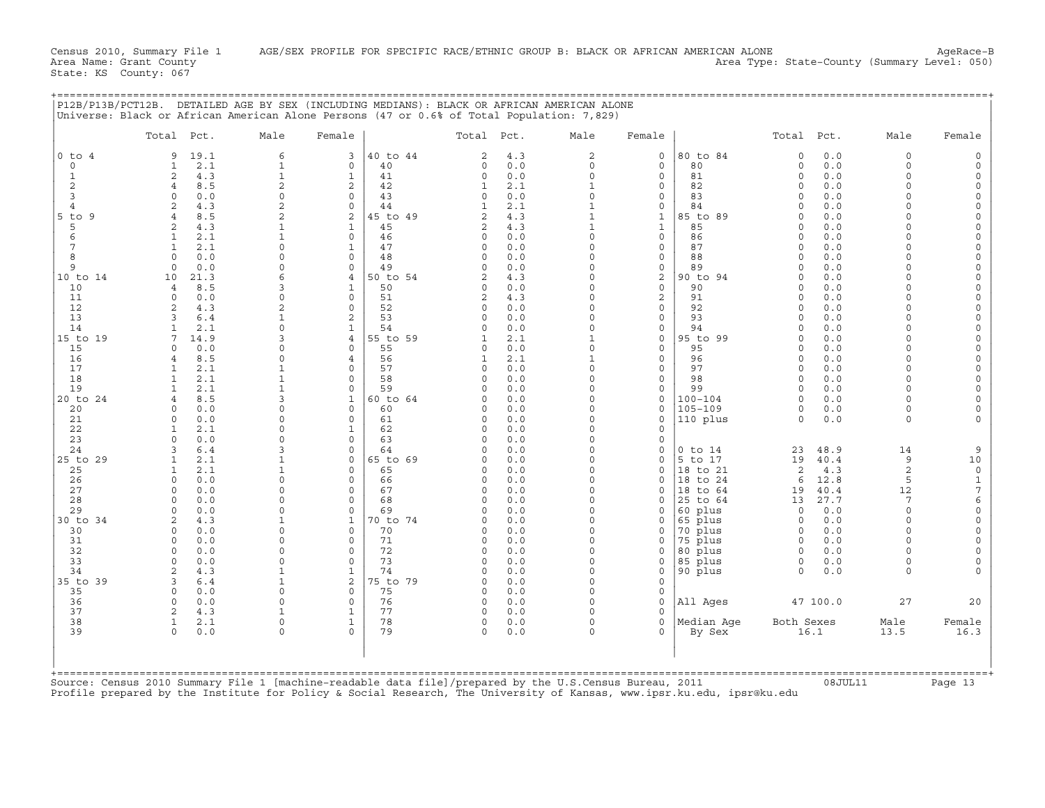|                | Total Pct.                         | Male                                   | Female                                       |                      | Total Pct. | Male                     | Female                     |                        | Total Pct.           |              | Male                 | Female                  |
|----------------|------------------------------------|----------------------------------------|----------------------------------------------|----------------------|------------|--------------------------|----------------------------|------------------------|----------------------|--------------|----------------------|-------------------------|
| $0$ to $4$     | 9<br>19.1                          | 6                                      | 40 to 44<br>3                                | 2                    | 4.3        | $\overline{a}$           | 0                          | 80 to 84               | $\circ$              | 0.0          | $\circ$              | $\Omega$                |
| $\circ$        | $\mathbf{1}$<br>2.1                | $\mathbf{1}$                           | $\mathbf 0$<br>40                            | $\circ$              | 0.0        | $\circ$                  | $\circ$                    | 80                     | $\circ$              | 0.0          | $\Omega$             |                         |
| 1              | 2<br>4.3                           | $\mathbf{1}$                           | $\mathbf{1}$<br>41                           | $\circ$              | 0.0        | $\circ$                  | $\circ$                    | 81                     | $\circ$              | 0.0          | $\Omega$<br>$\Omega$ | $\circ$                 |
| 2<br>3         | 8.5<br>4<br>$\Omega$<br>0.0        | $\overline{\mathbf{c}}$<br>$\mathbf 0$ | 2<br>42<br>$\mathbf 0$<br>43                 | 1<br>0               | 2.1<br>0.0 | $\mathbf{1}$<br>$\Omega$ | 0<br>$\mathbf 0$           | 82<br>83               | $\Omega$<br>$\Omega$ | 0.0<br>$0.0$ | $\Omega$             | $\mathbf 0$<br>$\Omega$ |
| $\overline{4}$ | 4.3<br>$\mathfrak{D}$              | $\overline{a}$                         | $\circ$<br>44                                | $\mathbf{1}$         | 2.1        | $\mathbf{1}$             | $\mathbf 0$                | 84                     | $\Omega$             | 0.0          | $\cap$               | $\Omega$                |
| $5$ to<br>9    | 8.5<br>4                           | $\overline{2}$                         | 2<br>45 to 49                                | 2                    | 4.3        | $\mathbf{1}$             | $\mathbf{1}$               | 85 to 89               | $\Omega$             | 0.0          | $\Omega$             | $\Omega$                |
| 5              | 4.3<br>$\mathfrak{D}$              |                                        | 45<br>$\mathbf{1}$                           | $\overline{2}$       | 4.3        | $\mathbf{1}$             | $\mathbf{1}$               | 85                     | $\Omega$             | 0.0          | $\Omega$             | $\Omega$                |
| 6              | 2.1<br>$\mathbf{1}$                |                                        | $\Omega$<br>46                               | $\Omega$             | 0.0        | $\Omega$                 | $\circ$                    | 86                     | $\Omega$             | 0.0          | $\Omega$             | $\Omega$                |
| 7              | 1<br>2.1                           | $\Omega$                               | 47<br>1                                      | 0                    | 0.0        | $\mathbf 0$              | 0                          | 87                     | $\Omega$             | 0.0          | $\Omega$             | $\Omega$                |
| 8              | 0.0<br>$\Omega$                    | $\Omega$                               | $\Omega$<br>48                               | $\Omega$             | 0.0        | $\Omega$                 | 0                          | 88                     | $\Omega$             | 0.0          | $\cap$               | $\Omega$                |
| 9              | 0.0<br>$\Omega$                    | $\Omega$<br>6                          | $\Omega$<br>49                               | $\Omega$             | 0.0        | $\Omega$<br>$\Omega$     | $\circ$                    | 89<br>90 to 94         | $\Omega$<br>$\Omega$ | 0.0<br>0.0   | $\Omega$<br>$\Omega$ | $\Omega$<br>$\circ$     |
| 10 to 14<br>10 | 21.3<br>10<br>8.5<br>4             | 3                                      | 50 to 54<br>4<br>1<br>50                     | 2<br>$\Omega$        | 4.3<br>0.0 | $\Omega$                 | 2<br>$\mathbf 0$           | 90                     | $\Omega$             | 0.0          | $\Omega$             | $\Omega$                |
| 11             | $\Omega$<br>0.0                    | $\Omega$                               | $\mathbf 0$<br>51                            | 2                    | 4.3        | $\Omega$                 | $\mathbf{2}$               | 91                     | $\Omega$             | $0.0$        | $\Omega$             | $\Omega$                |
| 12             | $\overline{c}$<br>4.3              | $\overline{2}$                         | 52<br>$\Omega$                               | $\circ$              | 0.0        | $\Omega$                 | 0                          | 92                     | $\Omega$             | 0.0          | $\Omega$             | $\Omega$                |
| 13             | 3<br>6.4                           |                                        | 2<br>53                                      | $\circ$              | 0.0        | $\Omega$                 | $\mathbf 0$                | 93                     | $\Omega$             | 0.0          | $\Omega$             | $\Omega$                |
| 14             | $\mathbf{1}$<br>2.1                | $\Omega$                               | 54<br>$\mathbf{1}$                           | $\Omega$             | 0.0        | $\Omega$                 | $\mathbf 0$                | 94                     | $\Omega$             | 0.0          | $\Omega$             | $\circ$                 |
| 15 to 19       | 14.9<br>7                          | 3                                      | $\overline{4}$<br>55 to 59                   | $\mathbf{1}$         | 2.1        | $\mathbf{1}$             | $\mathbf 0$                | 95 to 99               | $\Omega$             | 0.0          | $\Omega$             | $\Omega$                |
| 15             | $\Omega$<br>0.0                    | $\Omega$                               | 0<br>55                                      | $\Omega$             | 0.0        | $\Omega$                 | 0                          | 95                     | $\Omega$             | 0.0          | $\cap$               | $\Omega$                |
| 16<br>17       | 8.5<br>$\overline{4}$<br>2.1<br>1  | $\Omega$                               | 56<br>$\overline{4}$<br>$\Omega$<br>57       | $\mathbf{1}$<br>0    | 2.1<br>0.0 | $\mathbf{1}$<br>$\Omega$ | $\mathbf 0$<br>$\mathbf 0$ | 96<br>97               | $\Omega$<br>$\Omega$ | 0.0<br>0.0   | $\Omega$<br>$\Omega$ | $\circ$<br>$\Omega$     |
| 18             | 2.1<br>$\mathbf{1}$                |                                        | 58<br>$\Omega$                               | $\Omega$             | 0.0        | $\Omega$                 | $\mathbf 0$                | 98                     | $\Omega$             | 0.0          | $\Omega$             | $\Omega$                |
| 19             | 2.1<br>$\mathbf{1}$                |                                        | 59<br>$\Omega$                               | $\Omega$             | 0.0        | $\Omega$                 | $\mathbf 0$                | 99                     | $\Omega$             | 0.0          | $\Omega$             | $\Omega$                |
| 20 to 24       | 8.5<br>4                           | 3                                      | 60 to 64<br>1                                | 0                    | 0.0        | $\Omega$                 | 0                          | $100 - 104$            | $\Omega$             | 0.0          | $\Omega$             | $\Omega$                |
| 20             | 0.0<br>$\Omega$                    | $\Omega$                               | $\Omega$<br>60                               | $\Omega$             | 0.0        | $\Omega$                 | 0                          | $105 - 109$            | $\Omega$             | 0.0          | $\cap$               | $\Omega$                |
| 21             | $\Omega$<br>0.0                    | $\Omega$                               | $\mathbf 0$<br>61                            | $\circ$              | 0.0        | $\Omega$                 | $\mathbf 0$                | 110 plus               | $\Omega$             | 0.0          | $\Omega$             |                         |
| 22             | 2.1<br>1                           | $\Omega$                               | 62<br>1                                      | $\circ$              | 0.0        | $\Omega$                 | $\mathbf 0$                |                        |                      |              |                      |                         |
| 23             | 0.0<br>$\Omega$                    | $\Omega$                               | $\Omega$<br>63                               | $\Omega$             | 0.0        | $\Omega$<br>$\Omega$     | $\Omega$                   |                        |                      |              |                      |                         |
| 24<br>25 to 29 | 6.4<br>3<br>$\mathbf{1}$<br>2.1    |                                        | $\mathbf 0$<br>64<br>$\mathbf 0$<br>65 to 69 | $\Omega$<br>$\Omega$ | 0.0<br>0.0 | $\Omega$                 | 0<br>0                     | $0$ to $14$<br>5 to 17 | 23<br>19             | 48.9<br>40.4 | 14<br>9              | 9<br>10                 |
| 25             | 2.1<br>1                           |                                        | 65<br>$\Omega$                               | $\Omega$             | 0.0        | $\Omega$                 | $\Omega$                   | 18 to 21               | 2                    | 4.3          | 2                    | $\circ$                 |
| 26             | 0.0<br>$\Omega$                    | $\Omega$                               | $\circ$<br>66                                | $\Omega$             | 0.0        | $\Omega$                 | $\Omega$                   | 18<br>to 24            | 6                    | 12.8         | 5                    | $\mathbf 1$             |
| 27             | 0.0<br>$\Omega$                    | $\Omega$                               | $\Omega$<br>67                               | $\circ$              | $0.0$      | $\Omega$                 | 0                          | 18 to 64               | 19                   | 40.4         | 12                   | $\overline{7}$          |
| 28             | 0.0<br>$\cap$                      | $\Omega$                               | 68<br>$\Omega$                               | $\Omega$             | 0.0        | $\Omega$                 | 0                          | 25 to 64               | 13                   | 27.7         | 7                    | 6                       |
| 29             | 0.0<br>$\Omega$                    | $\Omega$                               | $\Omega$<br>69                               | $\Omega$             | 0.0        | $\Omega$                 | 0                          | 60 plus                | $\circ$              | 0.0          | $\Omega$             | $\circ$                 |
| 30 to 34       | 2<br>4.3                           | $\mathbf{1}$                           | $\mathbf{1}$<br>70 to 74                     | $\circ$              | 0.0        | $\Omega$                 | $\mathbf 0$                | 65 plus                | $\circ$              | 0.0          | $\Omega$             | $\mathsf O$             |
| 30             | 0.0<br>$\Omega$                    | $\Omega$<br>$\Omega$                   | 70<br>0                                      | $\Omega$             | 0.0        | $\Omega$                 | 0                          | 70 plus                | $\Omega$             | 0.0          | $\Omega$<br>$\Omega$ | $\Omega$                |
| 31<br>32       | 0.0<br>$\Omega$<br>0.0<br>$\Omega$ | $\Omega$                               | $\Omega$<br>71<br>$\circ$<br>72              | $\Omega$<br>0        | 0.0<br>0.0 | $\Omega$<br>$\mathbf 0$  | $\mathbf 0$<br>0           | 75 plus<br>80 plus     | $\Omega$<br>$\circ$  | 0.0<br>0.0   | $\Omega$             | $\Omega$<br>$\Omega$    |
| 33             | 0.0<br>$\Omega$                    | $\Omega$                               | 73<br>$\Omega$                               | $\Omega$             | 0.0        | $\Omega$                 | 0                          | 85 plus                | $\circ$              | 0.0          | $\cap$               | $\mathbf 0$             |
| 34             | 4.3<br>$\mathfrak{D}$              | $\mathbf{1}$                           | 74<br>$\mathbf{1}$                           | $\Omega$             | 0.0        | $\Omega$                 | $\mathbf 0$                | 90 plus                | $\Omega$             | 0.0          | $\Omega$             | $\Omega$                |
| 35 to 39       | 3<br>6.4                           | $\mathbf{1}$                           | 2<br>75 to 79                                | $\circ$              | 0.0        | $\Omega$                 | $\circ$                    |                        |                      |              |                      |                         |
| 35             | 0.0<br>$\Omega$                    | $\Omega$                               | 75<br>$\Omega$                               | $\Omega$             | 0.0        | $\Omega$                 | 0                          |                        |                      |              |                      |                         |
| 36             | 0.0<br>$\Omega$                    | $\Omega$                               | 76<br>$\mathbf 0$                            | $\circ$              | 0.0        | $\Omega$                 | 0                          | All Ages               |                      | 47 100.0     | 27                   | 20                      |
| 37             | $\overline{c}$<br>4.3              |                                        | $\mathbf{1}$<br>77                           | $\circ$              | 0.0        | $\Omega$                 | $\mathbf 0$                |                        |                      |              |                      |                         |
| 38             | $\mathbf{1}$<br>2.1                | $\Omega$                               | $\mathbf{1}$<br>78                           | $\circ$              | 0.0        | $\Omega$                 | $\Omega$                   | Median Aqe             | Both Sexes           |              | Male                 | Female                  |
| 39             | $\Omega$<br>0.0                    | $\Omega$                               | 79<br>$\Omega$                               | $\Omega$             | 0.0        | $\Omega$                 | 0                          | By Sex                 |                      | 16.1         | 13.5                 | 16.3                    |
|                |                                    |                                        |                                              |                      |            |                          |                            |                        |                      |              |                      |                         |

+===================================================================================================================================================+

Source: Census 2010 Summary File 1 [machine−readable data file]/prepared by the U.S.Census Bureau, 2011 08JUL11 Page 13 Profile prepared by the Institute for Policy & Social Research, The University of Kansas, www.ipsr.ku.edu, ipsr@ku.edu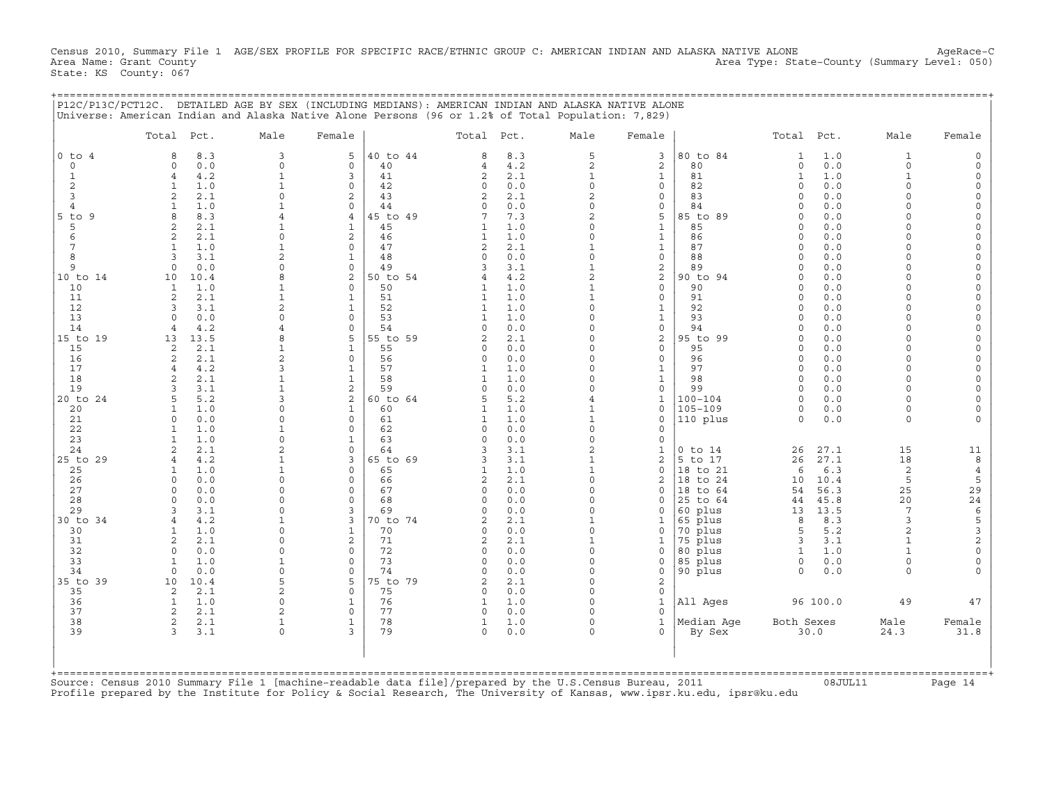Census 2010, Summary File 1 AGE/SEX PROFILE FOR SPECIFIC RACE/ETHNIC GROUP C: AMERICAN INDIAN AND ALASKA NATIVE ALONE AgeRace-C<br>Area Name: Grant County (summary Level: 050) Area Type: State-County (Summary Level: 050) State: KS County: 067

|                          | Total Pct.                     |            | Male                     | Female                       |               | Total Pct.                 |            | Male                     | Female                       |                    | Total Pct.           |            | Male                 | Female        |
|--------------------------|--------------------------------|------------|--------------------------|------------------------------|---------------|----------------------------|------------|--------------------------|------------------------------|--------------------|----------------------|------------|----------------------|---------------|
| $0$ to<br>$\overline{4}$ | 8                              | 8.3        | 3                        | 5                            | 40 to 44      | 8                          | 8.3        | 5                        | 3                            | 80 to 84           | $\mathbf{1}$         | 1.0        | $\mathbf{1}$         |               |
| $\circ$                  | $\Omega$                       | 0.0        | $\Omega$                 | $\Omega$                     | 40            | 4                          | 4.2        | $\overline{a}$           | 2                            | 80                 | $\circ$              | 0.0        | $\Omega$             |               |
| $\mathbf{1}$             | $\overline{4}$                 | 4.2        | $\mathbf{1}$             | 3                            | 41            | $\overline{c}$             | 2.1        | $\mathbf{1}$             | $\mathbf{1}$                 | 81                 | $\mathbf{1}$         | 1.0        | $\mathbf{1}$         |               |
| $\overline{c}$<br>3      | $\mathbf{1}$<br>$\overline{2}$ | 1.0<br>2.1 | $\mathbf{1}$<br>$\Omega$ | $\Omega$<br>2                | 42<br>43      | 0<br>$\overline{2}$        | 0.0        | $\mathbf 0$<br>2         | 0<br>0                       | 82<br>83           | $\Omega$<br>$\Omega$ | 0.0<br>0.0 | $\Omega$<br>$\Omega$ | $\Omega$      |
| $\overline{4}$           | $\overline{1}$                 | 1.0        | $\mathbf{1}$             | $\mathbf 0$                  | 44            | $\Omega$                   | 2.1<br>0.0 | $\Omega$                 | 0                            | 84                 | $\cap$               | 0.0        |                      | $\Omega$      |
| $5$ to<br>9              | $\mathsf{R}$                   | 8.3        |                          | $\overline{4}$               | 5 to 49       | 7                          | 7.3        | $\overline{2}$           | 5                            | 85 to 89           | $\cap$               | 0.0        |                      | $\Omega$      |
| 5                        | $\overline{a}$                 | 2.1        | $\mathbf{1}$             | $\mathbf{1}$                 | 45            | $\mathbf{1}$               | 1.0        | $\Omega$                 | $\mathbf{1}$                 | 85                 | $\Omega$             | 0.0        | $\cap$               |               |
| 6                        | $\mathbf{2}$                   | 2.1        | $\Omega$                 | 2                            | 46            | 1                          | 1.0        | $\Omega$                 | $\mathbf{1}$                 | 86                 | $\cap$               | 0.0        | $\cap$               | $\Omega$      |
| $\overline{7}$           | $\mathbf{1}$                   | 1.0        | $\mathbf{1}$             | $\circ$                      | 47            | $\overline{c}$             | 2.1        |                          | $\mathbf{1}$                 | 87                 | $\Omega$             | 0.0        | $\Omega$             |               |
| 8                        | 3                              | 3.1        |                          | $\mathbf{1}$                 | 48            | $\circ$                    | 0.0        | $\Omega$                 | 0                            | 88                 | $\cap$               | 0.0        |                      |               |
| 9                        | $\circ$                        | 0.0        | $\Omega$                 | $\mathbf 0$                  | 49            | 3                          | 3.1        | $\mathbf{1}$             | 2                            | 89                 | $\Omega$             | 0.0        | $\Omega$             |               |
| 10 to 14                 | 10                             | 10.4       |                          | 2                            | 50 to 54      |                            | 4.2        | $\overline{a}$           | $\overline{c}$               | 90 to 94           | $\Omega$             | 0.0        | $\Omega$             | $\Omega$      |
| 10                       | $\mathbf{1}$                   | 1.0        |                          | $\Omega$                     | 50            | 1                          | 1.0        |                          | 0                            | 90<br>91           | $\Omega$<br>$\Omega$ | 0.0        |                      |               |
| 11<br>12                 | $\mathbf{2}$<br>3              | 2.1<br>3.1 | $\overline{2}$           | $\mathbf{1}$<br>$\mathbf{1}$ | 51<br>52      | 1<br>1                     | 1.0<br>1.0 | $\mathbf{1}$<br>$\Omega$ | $\mathbf{0}$<br>$\mathbf{1}$ | 92                 | $\cap$               | 0.0<br>0.0 | $\Omega$             |               |
| 13                       | $\Omega$                       | 0.0        |                          | $\Omega$                     | 53            |                            | 1.0        | O                        | $\mathbf{1}$                 | 93                 | $\Omega$             | 0.0        |                      | $\Omega$      |
| 14                       | $\overline{4}$                 | 4.2        |                          | $\Omega$                     | 54            | $\Omega$                   | 0.0        | $\Omega$                 | $\mathsf{O}$                 | 94                 |                      | 0.0        |                      |               |
| 15 to 19                 | 13                             | 13.5       | 8                        | 5                            | 55 to 59      | 2                          | 2.1        | 0                        | 2                            | 95 to 99           | $\Omega$             | 0.0        | $\cap$               | $\Omega$      |
| 15                       | 2                              | 2.1        | 1                        | $\mathbf{1}$                 | 55            | $\Omega$                   | 0.0        | $\Omega$                 | $\mathbf{0}$                 | 95                 | $\Omega$             | 0.0        | $\Omega$             | $\Omega$      |
| 16                       | 2                              | 2.1        |                          | $\circ$                      | 56            | $\Omega$                   | 0.0        | $\Omega$                 | 0                            | 96                 | $\Omega$             | 0.0        | $\Omega$             |               |
| 17                       | $\overline{4}$                 | 4.2        | 3                        | $\mathbf{1}$                 | 57            | 1                          | 1.0        | $\Omega$                 | $\mathbf{1}$                 | 97                 | $\cap$               | 0.0        | $\Omega$             | $\Omega$      |
| 18                       | 2                              | 2.1        | $\overline{1}$           | $\mathbf{1}$                 | 58            | $\mathbf{1}$               | 1.0        | $\Omega$                 | $\mathbf{1}$                 | 98                 | $\Omega$             | 0.0        | $\Omega$             |               |
| 19                       | 3                              | 3.1        | $\mathbf{1}$             | 2                            | 59            | $\Omega$                   | 0.0        | $\Omega$                 | $\mathbf{0}$                 | 99                 | $\Omega$             | 0.0        | $\Omega$             | $\Omega$      |
| 20 to 24                 | 5                              | 5.2        | 3<br>$\Omega$            | 2                            | 60 to 64      | 5                          | 5.2        |                          | $\mathbf{1}$                 | $100 - 104$        | $\Omega$<br>$\Omega$ | 0.0        | $\Omega$             |               |
| 20                       | $\mathbf{1}$<br>$\circ$        | 1.0<br>0.0 | $\Omega$                 | $\mathbf{1}$<br>$\mathbf 0$  | 60<br>61      | 1<br>1                     | 1.0<br>1.0 | 1<br>$\mathbf{1}$        | $\Omega$<br>$\Omega$         | $105 - 109$        | $\Omega$             | 0.0<br>0.0 | $\Omega$<br>$\Omega$ |               |
| 21<br>22                 | -1                             | 1.0        |                          | $\Omega$                     | 62            | $\Omega$                   | 0.0        | $\Omega$                 | $\Omega$                     | 110 plus           |                      |            |                      |               |
| 23                       | $\overline{1}$                 | 1.0        | $\Omega$                 | $\mathbf{1}$                 | 63            | $\Omega$                   | 0.0        | $\Omega$                 | $\Omega$                     |                    |                      |            |                      |               |
| 24                       | $\overline{a}$                 | 2.1        | $\overline{2}$           | $\Omega$                     | 64            | 3                          | 3.1        | $\overline{2}$           | $\mathbf{1}$                 | $0$ to $14$        | 26                   | 27.1       | 15                   | 11            |
| 25 to 29                 | $\overline{4}$                 | 4.2        | $\mathbf{1}$             | 3                            | 65 to 69      | κ                          | 3.1        | $\mathbf{1}$             | $\overline{2}$               | 5 to 17            | 26                   | 27.1       | 18                   | 8             |
| 25                       | $\mathbf{1}$                   | 1.0        | $\mathbf{1}$             | $\Omega$                     | 65            | $\mathbf{1}$               | 1.0        | $\mathbf{1}$             | 0                            | 18 to 21           | 6                    | 6.3        | $\overline{2}$       | $\,4$         |
| 26                       | $\circ$                        | 0.0        | $\Omega$                 | $\mathbf 0$                  | 66            | 2                          | 2.1        | $\Omega$                 | 2                            | 18 to 24           | 10                   | 10.4       | 5                    | 5             |
| 27                       | $\mathbf 0$                    | 0.0        | $\Omega$                 | 0                            | 67            | $\mathbf 0$                | 0.0        | 0                        | $\Omega$                     | 18 to 64           | 54                   | 56.3       | 25                   | 29            |
| 28                       | $\Omega$                       | 0.0        | $\Omega$                 | $\Omega$                     | 68            | $\Omega$                   | 0.0        | $\Omega$                 | $\Omega$                     | 25 to 64           | 44                   | 45.8       | 20                   | 24            |
| 29                       | $\mathbf{z}$                   | 3.1        | $\Omega$                 | 3                            | 69            | $\Omega$                   | 0.0        | $\Omega$                 | $\Omega$                     | 60 plus            | 13                   | 13.5       | 7                    | $\epsilon$    |
| 30 to 34                 | $\overline{4}$<br>$\mathbf{1}$ | 4.2<br>1.0 | $\cap$                   | 3<br>$\mathbf{1}$            | 0 to 74<br>70 | $\mathfrak{D}$<br>$\Omega$ | 2.1<br>0.0 | 1<br>$\Omega$            | $\mathbf{1}$<br>$\Omega$     | 65 plus<br>70 plus | 8<br>5               | 8.3<br>5.2 | 3<br>$\overline{a}$  | $\frac{5}{3}$ |
| 30<br>31                 | $\overline{a}$                 | 2.1        |                          | 2                            | 71            | $\overline{c}$             | 2.1        | $\mathbf{1}$             | 1                            | 75 plus            | 3                    | 3.1        | $\mathbf{1}$         | $\mathbf 2$   |
| 32                       | $\Omega$                       | 0.0        | $\Omega$                 | $\mathbf 0$                  | 72            | $\Omega$                   | 0.0        | $\Omega$                 | $\Omega$                     | 80 plus            | $\mathbf{1}$         | 1.0        |                      | $\mathbf 0$   |
| 33                       | 1                              | 1.0        | $\mathbf{1}$             | $\Omega$                     | 73            | $\Omega$                   | 0.0        | 0                        | 0                            | 85 plus            | $\circ$              | 0.0        | $\Omega$             | $\mathbf 0$   |
| 34                       | $\circ$                        | 0.0        | $\Omega$                 | $\Omega$                     | 74            | $\Omega$                   | 0.0        | $\Omega$                 | 0                            | 90 plus            | $\Omega$             | 0.0        | $\Omega$             |               |
| 35 to 39                 | 10                             | 10.4       | 5                        | 5                            | 75 to 79      | 2                          | 2.1        | $\Omega$                 | 2                            |                    |                      |            |                      |               |
| 35                       | $\mathbf{2}$                   | 2.1        |                          | $\Omega$                     | 75            | $\Omega$                   | 0.0        | $\Omega$                 | 0                            |                    |                      |            |                      |               |
| 36                       | $\mathbf{1}$                   | 1.0        | $\Omega$                 | $\mathbf{1}$                 | 76            | 1                          | 1.0        | $\Omega$                 | $\mathbf{1}$                 | All Ages           |                      | 96 100.0   | 49                   | 47            |
| 37                       | 2                              | 2.1        | $\overline{a}$           | $\Omega$                     | 77            | $\Omega$                   | 0.0        | $\Omega$                 | $\Omega$                     |                    |                      |            |                      |               |
| 38                       | 2<br>3                         | 2.1        | $\mathbf{1}$<br>$\Omega$ | $\mathbf{1}$<br>3            | 78<br>79      | 1                          | 1.0        | $\Omega$<br>$\Omega$     | $\mathbf{1}$                 | Median Aqe         | Both Sexes           |            | Male                 | Female        |
| 39                       |                                | 3.1        |                          |                              |               | $\Omega$                   | 0.0        |                          | 0                            | By Sex             |                      | 30.0       | 24.3                 | 31.8          |
|                          |                                |            |                          |                              |               |                            |            |                          |                              |                    |                      |            |                      |               |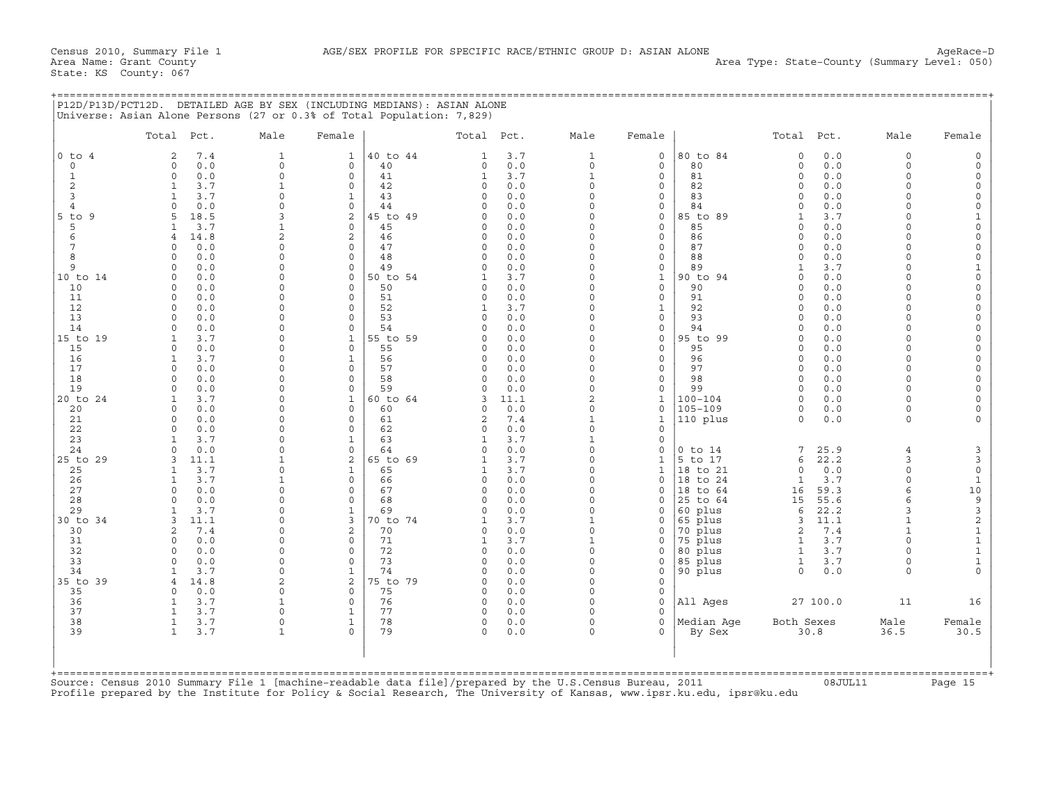|                        | Total Pct.                                    | Male               | Female                        |          | Total Pct.               |             | Male                     | Female                     |                    | Total Pct.                   |            | Male               | Female                     |
|------------------------|-----------------------------------------------|--------------------|-------------------------------|----------|--------------------------|-------------|--------------------------|----------------------------|--------------------|------------------------------|------------|--------------------|----------------------------|
| 0 to<br>$\overline{4}$ | 7.4<br>$\overline{a}$                         | $\mathbf{1}$       | $\mathbf{1}$                  | 40 to 44 | $\mathbf{1}$             | 3.7         | $\mathbf{1}$             | $\mathbf 0$                | 80 to 84           | $\circ$                      | 0.0        | $\Omega$           | $\Omega$                   |
| $\Omega$               | 0.0<br>$\Omega$                               | $\Omega$           | $\mathbf 0$                   | 40       | 0                        | 0.0         | $\Omega$                 | $\mathbf 0$                | 80                 | $\circ$                      | 0.0        | $\Omega$           |                            |
| $\mathbf{1}$           | 0.0<br>$\circ$                                | $\Omega$           | $\mathbf 0$                   | 41       | $\mathbf{1}$             | 3.7         | $\mathbf{1}$             | $\mathbf{0}$               | 81                 | $\Omega$                     | 0.0        | $\Omega$           |                            |
| 2                      | 3.7<br>$\mathbf{1}$                           | $\mathbf{1}$       | $\mathbf 0$                   | 42       | 0                        | 0.0         | $\Omega$                 | 0                          | 82                 | $\Omega$                     | 0.0        | $\Omega$           | $\Omega$                   |
| 3                      | 3.7<br>$\mathbf{1}$                           | $\Omega$           | $\mathbf{1}$                  | 43       | $\Omega$                 | 0.0         | O                        | $\mathbf 0$                | 83                 | $\Omega$                     | 0.0        | $\Omega$           | $\circ$                    |
| $\overline{4}$         | 0.0                                           | $\cap$             | $\mathbf 0$                   | 44       | $\Omega$                 | 0.0         | O                        | 0                          | 84                 | $\Omega$                     | 0.0        |                    | $\Omega$                   |
| $5$ to<br>-9           | 18.5<br>5                                     | κ                  | 2                             | 45 to 49 | $\Omega$                 | 0.0         | $\cap$<br>O              | $\mathbf 0$                | 85 to 89           | $\mathbf{1}$<br>$\Omega$     | 3.7        | $\cap$             | $\Omega$                   |
| 5<br>6                 | 3.7<br>$\mathbf{1}$<br>14.8<br>$\overline{4}$ | $\overline{c}$     | $\mathbf 0$<br>$\overline{c}$ | 45<br>46 | $\circ$<br>$\circ$       | 0.0<br>0.0  | O                        | $\mathbf 0$<br>$\mathbf 0$ | 85<br>86           | $\Omega$                     | 0.0<br>0.0 |                    | $\circ$                    |
| $7\phantom{.0}$        | 0.0<br>$\cap$                                 | $\Omega$           | $\circ$                       | 47       | 0                        | 0.0         | $\Omega$                 | $\mathsf{O}\xspace$        | 87                 | $\Omega$                     | 0.0        | $\cap$             | $\overline{0}$             |
| 8                      | 0.0<br>$\cap$                                 | $\cap$             | $\mathbf 0$                   | 48       | $\circ$                  | 0.0         | O                        | $\mathbf{0}$               | 88                 | $\Omega$                     | 0.0        | $\cap$             | $\mathsf O$                |
| 9                      | 0.0<br>$\Omega$                               | $\Omega$           | $\mathbf 0$                   | 49       | $\circ$                  | 0.0         | O                        | $\mathsf{O}\xspace$        | 89                 | $\mathbf{1}$                 | 3.7        | $\Omega$           | $\mathbf{1}$               |
| 10 to 14               | 0.0<br>$\Omega$                               | $\Omega$           | $\mathbf 0$                   | 50 to 54 | $\mathbf{1}$             | 3.7         | O                        | $\mathbf{1}$               | 90 to 94           | $\Omega$                     | 0.0        | $\Omega$           | $\circ$                    |
| 10                     | 0.0<br>$\Omega$                               | O                  | $\Omega$                      | 50       | $\Omega$                 | 0.0         | O                        | $\circ$                    | 90                 | $\Omega$                     | 0.0        | $\Omega$           | $\Omega$                   |
| 11                     | 0.0<br>$\Omega$                               |                    | $\Omega$                      | 51       | $\circ$                  | 0.0         | O                        | $\circ$                    | 91                 | $\Omega$                     | 0.0        | $\Omega$           | $\Omega$                   |
| 12                     | 0.0<br>$\Omega$                               | O                  | $\Omega$                      | 52       | $\mathbf{1}$             | 3.7         | $\Omega$                 | $\mathbf{1}$               | 92                 | $\Omega$                     | 0.0        | $\Omega$           | $\Omega$                   |
| 13                     | 0.0                                           | $\Omega$           | $\Omega$                      | 53       | $\Omega$                 | 0.0         | O                        | $\mathbf 0$                | 93                 | $\Omega$                     | 0.0        |                    | $\Omega$                   |
| 14                     | 0.0<br>$\Omega$                               | $\Omega$           | $\Omega$                      | 54       | $\Omega$                 | 0.0         | O                        | $\mathbf 0$                | 94                 | $\Omega$                     | 0.0        | $\Omega$           | $\Omega$                   |
| 15 to 19               | 3.7<br>$\mathbf{1}$                           | $\Omega$           | $\mathbf{1}$                  | 55 to 59 | $\Omega$                 | 0.0         | 0                        | $\circ$                    | 95 to 99           | $\Omega$                     | 0.0        | $\cap$             | $\Omega$                   |
| 15                     | 0.0<br>$\Omega$                               | U                  | $\mathbf 0$                   | 55       | $\Omega$                 | 0.0         | O                        | $\circ$                    | 95                 | $\Omega$                     | 0.0        | $\cap$             | $\Omega$                   |
| 16                     | 3.7<br>$\mathbf{1}$                           | $\Omega$           | $\mathbf{1}$                  | 56       | $\circ$                  | 0.0         | O                        | $\circ$                    | 96                 | $\Omega$                     | 0.0        | $\Omega$           | $\Omega$                   |
| 17                     | $\Omega$<br>0.0                               | $\cap$             | $\Omega$                      | 57       | $\Omega$                 | 0.0         | O                        | $\circ$                    | 97                 | $\Omega$                     | 0.0        | $\cap$             | $\Omega$                   |
| 18                     | 0.0<br>$\Omega$<br>$\cap$                     | $\Omega$<br>$\cap$ | $\circ$                       | 58<br>59 | $\Omega$<br>$\Omega$     | 0.0         | $\Omega$<br>$\Omega$     | $\circ$                    | 98<br>99           | $\Omega$<br>$\Omega$         | 0.0        | $\Omega$<br>$\cap$ | $\Omega$<br>$\Omega$       |
| 19<br>20 to 24         | 0.0<br>3.7                                    | $\Omega$           | $\Omega$<br>$\mathbf{1}$      | 60 to 64 | 3                        | 0.0<br>11.1 | $\overline{c}$           | $\circ$                    | $100 - 104$        | $\Omega$                     | 0.0<br>0.0 | $\Omega$           |                            |
| 20                     | 0.0<br>$\Omega$                               | $\Omega$           | $\mathbf 0$                   | 60       | 0                        | 0.0         | $\circ$                  | $\mathbf{1}$<br>$\circ$    | $105 - 109$        | $\circ$                      | 0.0        | $\Omega$           |                            |
| 21                     | 0.0<br>$\Omega$                               | $\Omega$           | $\Omega$                      | 61       | 2                        | 7.4         | $\mathbf{1}$             | $\mathbf{1}$               | 110 plus           | $\Omega$                     | 0.0        | $\Omega$           |                            |
| 22                     | 0.0                                           | $\Omega$           | $\mathbf 0$                   | 62       | $\circ$                  | 0.0         | $\circ$                  | 0                          |                    |                              |            |                    |                            |
| 23                     | 3.7<br>1                                      | $\cap$             | $\mathbf{1}$                  | 63       | $\mathbf{1}$             | 3.7         | $\mathbf{1}$             | $\circ$                    |                    |                              |            |                    |                            |
| 24                     | 0.0                                           | $\cap$             | $\mathbf 0$                   | 64       | $\Omega$                 | 0.0         | $\Omega$                 | 0                          | $0$ to $14$        | 7                            | 25.9       | $\overline{4}$     | 3                          |
| 25 to 29               | $\mathbf{z}$<br>11.1                          |                    | 2                             | 65 to 69 | $\mathbf{1}$             | 3.7         | $\Omega$                 | $\mathbf{1}$               | 5 to 17            | 6                            | 22.2       | 3                  | $\mathsf 3$                |
| 25                     | 3.7<br>1                                      | $\cap$             | $\mathbf{1}$                  | 65       | $\mathbf{1}$             | 3.7         | $\Omega$                 | $\mathbf{1}$               | 18 to 21           | $\Omega$                     | 0.0        | $\Omega$           | $\mathsf{O}\xspace$        |
| 26                     | 3.7<br>$\mathbf{1}$                           |                    | $\mathbf 0$                   | 66       | 0                        | 0.0         | O                        | $\mathbf 0$                | 18 to 24           | $\mathbf{1}$                 | 3.7        | $\Omega$           | $\mathbf{1}$               |
| 27                     | 0.0<br>$\Omega$                               | $\Omega$           | $\mathbf 0$                   | 67       | 0                        | 0.0         | $\circ$                  | $\mathbf 0$                | 18 to 64           | 16                           | 59.3       | 6                  | 10                         |
| 28                     | 0.0<br>$\Omega$                               | $\Omega$           | $\mathbf 0$                   | 68       | $\circ$                  | 0.0         | O                        | 0                          | 25 to 64           | 15                           | 55.6       |                    | $\frac{9}{3}$              |
| 29                     | 3.7<br>$\mathbf{1}$                           | $\Omega$           | $\mathbf{1}$                  | 69       | $\Omega$                 | 0.0         | O                        | $\mathbf 0$                | 60 plus            | 6                            | 22.2       | $\mathcal{R}$      |                            |
| 30 to 34               | 11.1<br>$\mathbf{z}$                          | $\Omega$           | 3                             | 70 to 74 | 1                        | 3.7         | $\mathbf{1}$             | $\Omega$                   | 65 plus            | 3                            | 11.1       |                    | $\overline{c}$             |
| 30                     | 7.4<br>$\overline{a}$<br>$\cap$               | O<br>$\cap$        | $\overline{c}$                | 70<br>71 | $\circ$                  | 0.0         | $\Omega$<br>$\mathbf{1}$ | $\mathbf 0$                | 70 plus            | $\overline{2}$               | 7.4        | $\Omega$           | $\mathbf 1$<br>$\mathbf 1$ |
| 31<br>32               | 0.0<br>0.0<br>$\Omega$                        | $\Omega$           | $\circ$<br>$\Omega$           | 72       | $\mathbf{1}$<br>$\Omega$ | 3.7<br>0.0  | $\Omega$                 | $\Omega$<br>$\Omega$       | 75 plus<br>80 plus | $\mathbf{1}$<br>$\mathbf{1}$ | 3.7<br>3.7 |                    | $\mathbf{1}$               |
| 33                     | 0.0                                           | $\Omega$           | $\mathbf 0$                   | 73       | 0                        | 0.0         | $\Omega$                 | 0                          | 85 plus            | 1                            | 3.7        | $\Omega$           | $\mathbf 1$                |
| 34                     | 3.7<br>$\mathbf{1}$                           | $\cap$             | $\mathbf{1}$                  | 74       | $\circ$                  | 0.0         | $\Omega$                 | 0                          | 90 plus            | $\Omega$                     | 0.0        | $\Omega$           | $\Omega$                   |
| 35 to 39               | 14.8                                          | 2                  | $\overline{c}$                | 75 to 79 | $\Omega$                 | 0.0         | 0                        | 0                          |                    |                              |            |                    |                            |
| 35                     | 0.0<br>$\cap$                                 | $\Omega$           | $\Omega$                      | 75       | $\circ$                  | 0.0         | $\Omega$                 | $\mathbf 0$                |                    |                              |            |                    |                            |
| 36                     | $\mathbf{1}$<br>3.7                           | $\mathbf{1}$       | $\mathbf 0$                   | 76       | $\circ$                  | 0.0         | $\Omega$                 | $\circ$                    | All Ages           |                              | 27 100.0   | 11                 | 16                         |
| 37                     | 3.7                                           | $\Omega$           | $\mathbf{1}$                  | 77       | $\Omega$                 | 0.0         | $\cap$                   | $\Omega$                   |                    |                              |            |                    |                            |
| 38                     | 3.7<br>$\mathbf{1}$                           | $\Omega$           | $\mathbf{1}$                  | 78       | 0                        | 0.0         | $\Omega$                 | $\mathbf 0$                | Median Aqe         | Both Sexes                   |            | Male               | Female                     |
| 39                     | 3.7<br>$\mathbf{1}$                           |                    | $\Omega$                      | 79       | $\Omega$                 | 0.0         | O                        | $\Omega$                   | By Sex             |                              | 30.8       | 36.5               | 30.5                       |
|                        |                                               |                    |                               |          |                          |             |                          |                            |                    |                              |            |                    |                            |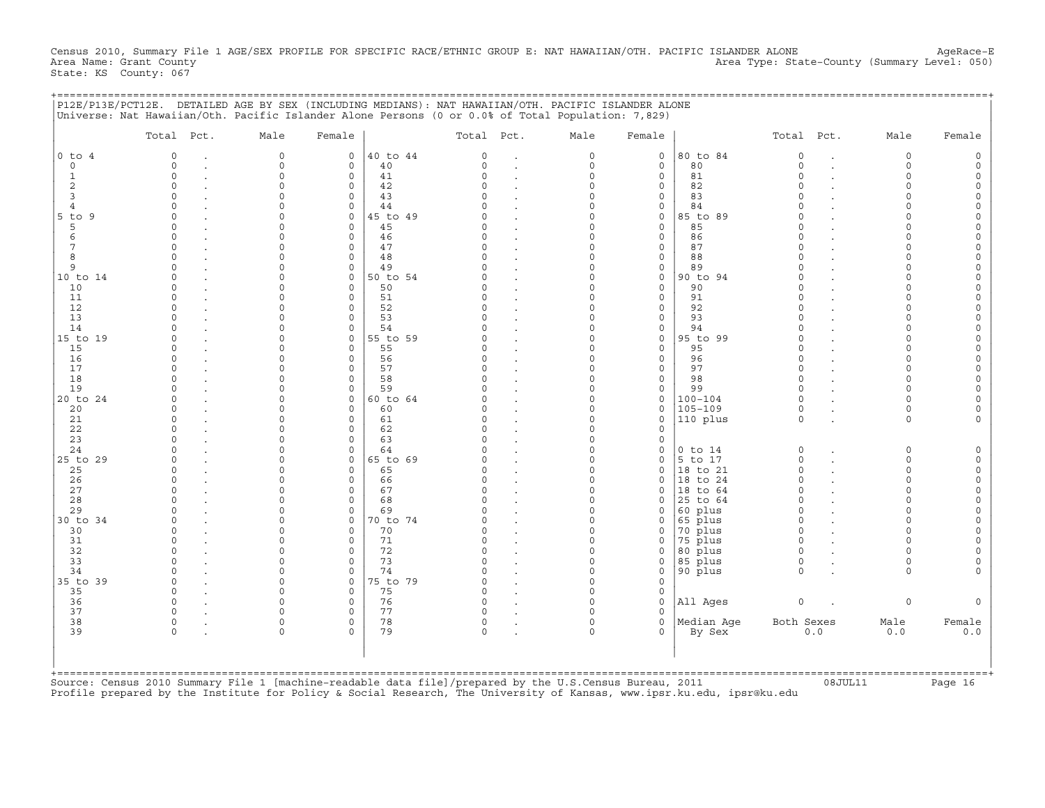Census 2010, Summary File 1 AGE/SEX PROFILE FOR SPECIFIC RACE/ETHNIC GROUP E: NAT HAWAIIAN/OTH. PACIFIC ISLANDER ALONE AgeRace-E<br>Area Name: Grant County (summary Level: 050) Area Type: State-County (Summary Level: 050) State: KS County: 067

+===================================================================================================================================================+

|                | Total Pct. | Male                 | Female                     |                | Total Pct.           |                      | Male                 | Female                       |                        | Total Pct.           |     | Male                 | Female |
|----------------|------------|----------------------|----------------------------|----------------|----------------------|----------------------|----------------------|------------------------------|------------------------|----------------------|-----|----------------------|--------|
| $0$ to $4$     | $\Omega$   | $\mathbf 0$          | 0                          | 40 to 44       | $\Omega$             | $\cdot$              | 0                    | 0                            | 80 to 84               | $\circ$              |     | $\circ$              |        |
| $\mathbf 0$    | $\Omega$   | $\circ$              | $\mathbf 0$                | 40             | $\Omega$             | $\ddot{\phantom{a}}$ | $\circ$              | $\mathbf{0}$                 | 80                     | $\circ$              |     | $\Omega$             |        |
| 1              | $\Omega$   | $\Omega$             | $\mathbf 0$                | 41             | $\Omega$             | $\cdot$              | $\Omega$             | $\mathbf{0}$                 | 81                     | $\Omega$             |     | $\Omega$             |        |
| 2<br>3         | $\Omega$   | $\Omega$             | $\mathbf 0$<br>0           | 42<br>43       | $\Omega$<br>U        |                      | $\Omega$<br>$\Omega$ | $\mathsf{O}$<br>0            | 82<br>83               | $\Omega$<br>$\Omega$ |     | $\Omega$<br>$\Omega$ |        |
| $\overline{4}$ |            |                      | $\Omega$                   | 44             |                      |                      | $\Omega$             | $\mathsf{O}$                 | 84                     | $\cap$               |     | $\cap$               |        |
| 5 to 9         |            | $\Omega$             | $\mathsf{O}$               | 45 to 49       | O                    |                      | $\Omega$             | 0                            | 85 to 89               | $\Omega$             |     | $\cap$               |        |
| 5              |            |                      | $\mathbf 0$                | 45             | O                    | $\cdot$              | $\Omega$             | 0                            | 85                     | $\Omega$             |     | $\cap$               |        |
| 6              | $\Omega$   |                      | $\mathbf 0$                | 46             | C)                   |                      | $\Omega$             | 0                            | 86                     | $\Omega$             |     | $\cap$               |        |
| 7              | $\Omega$   |                      | $\Omega$                   | 47             | $\Omega$             |                      | $\Omega$             | $\mathsf{O}$                 | 87                     | $\Omega$             |     |                      |        |
| 8              |            |                      | $\mathbf 0$                | 48             | $\Omega$             | $\bullet$            | $\Omega$             | $\mathsf{O}$                 | 88                     | $\Omega$             |     |                      |        |
| 9              |            |                      | $\Omega$                   | 49             | O                    |                      | $\Omega$             | 0                            | 89                     |                      |     |                      |        |
| 10 to 14       |            |                      | 0                          | 50 to 54       |                      |                      | $\Omega$             | 0                            | 90 to 94               | $\Omega$             |     | $\cap$               |        |
| 10             |            | $\Omega$             | $\mathbf 0$                | 50             | O                    |                      | $\Omega$             | 0                            | 90                     | $\Omega$             |     | $\cap$               |        |
| 11             |            |                      | $\Omega$                   | 51             | U                    | $\ddot{\phantom{a}}$ | $\Omega$             | 0                            | 91                     | $\Omega$<br>$\cap$   |     | ∩<br>$\cap$          |        |
| 12<br>13       |            | $\Omega$             | $\Omega$<br>$\mathbf 0$    | 52<br>53       | $\Omega$<br>$\Omega$ |                      | $\Omega$<br>$\Omega$ | $\mathsf{O}$<br>$\mathbf{0}$ | 92<br>93               | $\Omega$             |     |                      |        |
| 14             | $\cap$     | $\cap$               | $\mathbf 0$                | 54             | $\Omega$             |                      | $\Omega$             | $\mathbf{0}$                 | 94                     | $\Omega$             |     | $\Omega$             |        |
| 15 to 19       |            |                      | $\mathbf 0$                | 55 to 59       | $\cap$               |                      | $\Omega$             | 0                            | 95 to 99               | $\Omega$             |     |                      |        |
| 15             |            |                      | $\Omega$                   | 55             | U                    |                      | $\Omega$             | $\mathbf 0$                  | 95                     | $\Omega$             |     | $\cap$               |        |
| 16             | $\Omega$   | $\Omega$             | $\mathbf 0$                | 56             | $\Omega$             |                      | $\Omega$             | $\mathsf{O}$                 | 96                     | $\Omega$             |     | $\Omega$             |        |
| 17             |            | $\cap$               | $\Omega$                   | 57             | $\cap$               |                      | $\Omega$             | $\mathsf{O}$                 | 97                     | $\Omega$             |     | $\cap$               |        |
| 18             |            |                      | $\mathbf 0$                | 58             | $\Omega$             |                      | $\Omega$             | $\circ$                      | 98                     | $\Omega$             |     | $\cap$               |        |
| 19             |            |                      | $\circ$                    | 59             | $\Omega$             |                      | $\Omega$             | $\mathsf{O}$                 | 99                     | $\Omega$             |     | $\cap$               |        |
| 20 to 24       |            |                      | $\mathbf 0$                | 60 to 64       | O                    |                      | $\Omega$             | 0                            | $100 - 104$            | $\Omega$             |     | $\Omega$             |        |
| 20             |            |                      | 0                          | 60             | O                    | $\cdot$              | $\Omega$             | 0                            | $105 - 109$            | $\mathbf 0$          |     | $\Omega$             |        |
| 21             |            |                      | $\mathbf 0$                | 61             | $\Omega$             |                      | $\Omega$             | $\mathbf 0$                  | 110 plus               | $\Omega$             |     | $\Omega$             |        |
| 22             |            |                      | $\Omega$                   | 62             | $\Omega$<br>$\Omega$ |                      | $\Omega$             | $\mathbf 0$                  |                        |                      |     |                      |        |
| 23             |            | $\cap$<br>$\Omega$   | $\Omega$                   | 63             | O                    |                      | $\Omega$             | 0                            |                        |                      |     |                      |        |
| 24<br>25 to 29 |            |                      | 0<br>$\mathbf 0$           | 64<br>65 to 69 | $\Omega$             |                      | 0<br>$\Omega$        | 0<br>$\mathbf 0$             | $0$ to $14$<br>5 to 17 | 0<br>0               |     | $\circ$<br>$\Omega$  |        |
| 25             | $\Omega$   | $\Omega$             | 0                          | 65             | $\Omega$             | $\ddot{\phantom{a}}$ | $\Omega$             | 0                            | 18 to 21               | $\Omega$             |     | $\Omega$             |        |
| 26             | $\Omega$   |                      | $\Omega$                   | 66             | 0                    |                      | $\Omega$             | 0                            | 18 to 24               | $\Omega$             |     | $\Omega$             |        |
| 27             | $\Omega$   |                      | 0                          | 67             | <sup>o</sup>         |                      | $\Omega$             | 0                            | 18 to 64               | $\Omega$             |     | $\Omega$             |        |
| 28             |            |                      | $\mathbf 0$                | 68             | $\Omega$             |                      | $\Omega$             | $\mathbf 0$                  | 25 to 64               | $\Omega$             |     | $\Omega$             |        |
| 29             |            | $\Omega$             | $\Omega$                   | 69             | $\Omega$             |                      | $\Omega$             | $\mathbf 0$                  | 60 plus                | $\Omega$             |     | $\Omega$             |        |
| 30 to 34       |            | $\Omega$             | $\mathbf 0$                | 70 to 74       | $\Omega$             | $\cdot$              | $\Omega$             | 0                            | 65 plus                | $\Omega$             |     | $\Omega$             |        |
| 30             |            | $\Omega$             | $\Omega$                   | 70             | $\Omega$             | $\cdot$              | $\Omega$             | $\mathbf 0$                  | 70 plus                | $\Omega$             |     | $\cap$               |        |
| 31             | $\cap$     | $\Omega$             | $\mathbf 0$                | 71             | $\Omega$             | $\cdot$              | $\Omega$             | $\mathbf 0$                  | 75 plus                | $\circ$              |     | $\Omega$             |        |
| 32             |            |                      | $\mathbf 0$                | 72             | $\Omega$             | $\bullet$            | $\Omega$             | 0                            | 80 plus                | $\Omega$             |     | $\Omega$             |        |
| 33             | $\Omega$   | $\Omega$             | $\mathbf 0$                | 73             | $\Omega$             | $\overline{a}$       | $\Omega$             | $\mathbf 0$                  | 85 plus                | $\Omega$             |     | $\Omega$             |        |
| 34             |            |                      | $\circ$                    | 74             | $\Omega$             |                      | $\Omega$             | $\mathbf 0$                  | 90 plus                | $\Omega$             |     | $\Omega$             |        |
| 35 to 39       | $\Omega$   | $\Omega$<br>$\Omega$ | $\mathbf 0$                | 75 to 79       | $\Omega$<br>$\Omega$ |                      | $\Omega$             | $\Omega$                     |                        |                      |     |                      |        |
| 35<br>36       | $\cap$     | $\cap$               | $\mathbf 0$<br>$\mathbf 0$ | 75<br>76       | $\Omega$             |                      | $\Omega$<br>$\Omega$ | 0<br>0                       | All Ages               | $\mathsf O$          |     | $\circ$              |        |
| 37             | $\circ$    | $\Omega$             | $\mathbf 0$                | 77             | 0                    |                      | $\Omega$             | 0                            |                        |                      |     |                      |        |
| 38             | $\Omega$   | $\Omega$             | $\mathbf 0$                | 78             | 0                    |                      | $\Omega$             | $\mathbf 0$                  | Median Aqe             | Both Sexes           |     | Male                 | Female |
| 39             | $\Omega$   |                      |                            | 79             | $\Omega$             |                      | $\Omega$             | $\Omega$                     | By Sex                 |                      | 0.0 | 0.0                  | 0.0    |
|                |            |                      |                            |                |                      |                      |                      |                              |                        |                      |     |                      |        |
|                |            |                      |                            |                |                      |                      |                      |                              |                        |                      |     |                      |        |

Profile prepared by the Institute for Policy & Social Research, The University of Kansas, www.ipsr.ku.edu, ipsr@ku.edu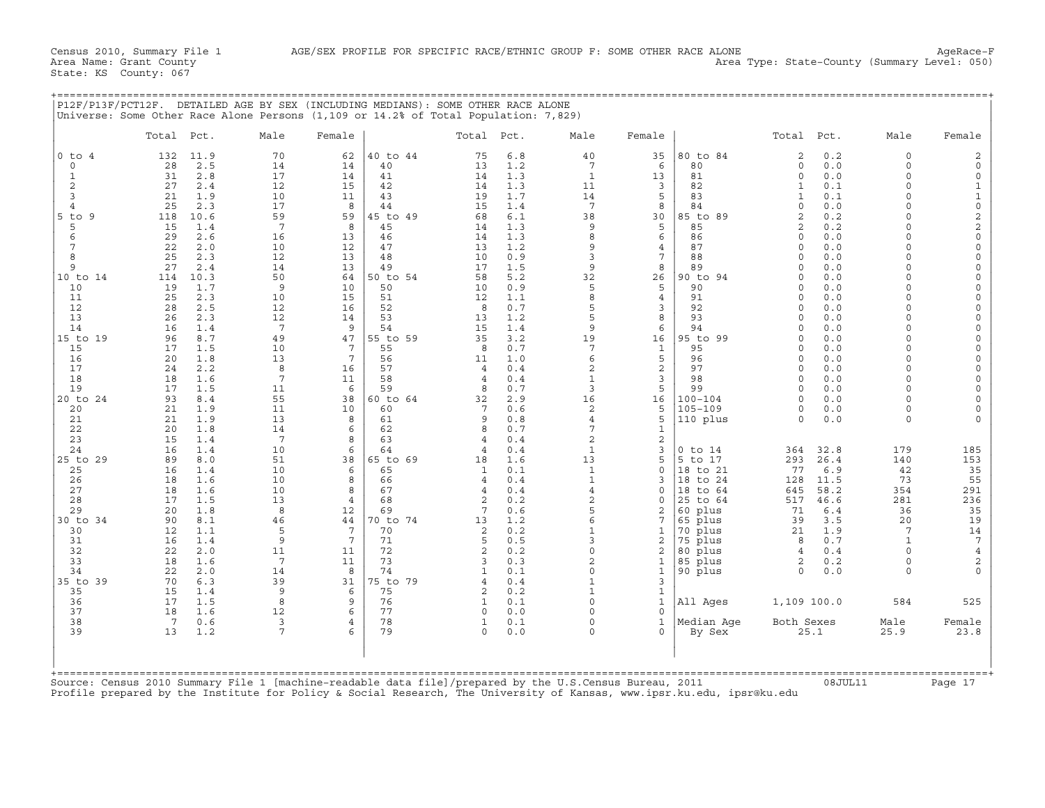| P12F/P13F/PCT12F. DETAILED AGE BY SEX (INCLUDING MEDIANS): SOME OTHER RACE ALONE                        |                 |            | Universe: Some Other Race Alone Persons (1,109 or 14.2% of Total Population: 7,829) |                       |                |                      |            |                          |                              |                        |                                    |                      |                                            |
|---------------------------------------------------------------------------------------------------------|-----------------|------------|-------------------------------------------------------------------------------------|-----------------------|----------------|----------------------|------------|--------------------------|------------------------------|------------------------|------------------------------------|----------------------|--------------------------------------------|
|                                                                                                         | Total Pct.      |            | Male                                                                                | Female                |                | Total Pct.           |            | Male                     | Female                       |                        | Total<br>Pct.                      | Male                 | Female                                     |
| $0$ to $4$                                                                                              | 132             | 11.9       | 70                                                                                  | 62                    | 40 to 44       | 75                   | 6.8        | 40                       | 35                           | 80 to 84               | 2<br>0.2                           | 0                    | 2                                          |
| $\circ$<br>1                                                                                            | 28<br>31        | 2.5<br>2.8 | 14<br>17                                                                            | 14<br>14              | 40<br>41       | 13<br>14             | 1.2<br>1.3 | $7\phantom{.0}$<br>1     | 6<br>13                      | 80<br>81               | 0.0<br>$\Omega$<br>0.0<br>$\Omega$ | $\Omega$<br>$\Omega$ | $\mathsf{O}\xspace$<br>0                   |
| 2                                                                                                       | 27              | 2.4        | 12                                                                                  | 15                    | 42             | 14                   | 1.3        | 11                       | 3                            | 82                     | 0.1<br>1                           | $\cap$               | $\mathbf{1}$                               |
| 3                                                                                                       | 21              | 1.9        | 10                                                                                  | 11                    | 43             | 19                   | 1.7        | 14                       | 5                            | 83                     | 0.1<br>1                           | $\Omega$             | $\mathbf 1$                                |
| $\overline{4}$                                                                                          | 25              | 2.3        | 17                                                                                  | 8                     | 44             | 1.5                  | 1.4        | 7                        | 8                            | 84                     | $\Omega$<br>0.0                    | $\cap$               | $\mathsf{O}\xspace$                        |
| $5$ to $9$                                                                                              | 118             | 10.6       | 59                                                                                  | 59                    | 45 to 49       | 68                   | 6.1        | 38                       | 30                           | 85 to 89               | $\overline{a}$<br>0.2              |                      | $\frac{2}{2}$                              |
| 5                                                                                                       | 15              | 1.4        | $7\phantom{.0}$                                                                     | 8                     | 45             | 14                   | 1.3        | 9                        | 5                            | 85                     | 0.2<br>$\overline{a}$              |                      |                                            |
| 6<br>7                                                                                                  | 29<br>22        | 2.6<br>2.0 | 16<br>10                                                                            | 13<br>12              | 46<br>47       | 14<br>13             | 1.3<br>1.2 | 8<br>9                   | 6<br>$\overline{4}$          | 86<br>87               | 0.0<br>$\Omega$<br>0.0<br>$\cap$   | $\cap$<br>$\cap$     | $\mathsf{O}\xspace$<br>$\mathsf{O}\xspace$ |
| 8                                                                                                       | 25              | 2.3        | 12                                                                                  | 13                    | 48             | 10                   | 0.9        | 3                        | $\overline{7}$               | 88                     | 0.0<br>$\Omega$                    | $\Omega$             | 0                                          |
| 9                                                                                                       | 27              | 2.4        | 14                                                                                  | 13                    | 49             | 17                   | 1.5        | 9                        | 8                            | 89                     | 0.0<br>$\cap$                      | $\cap$               | $\circ$                                    |
| 10 to 14                                                                                                | 114             | 10.3       | 50                                                                                  | 64                    | 50 to 54       | 58                   | 5.2        | 32                       | 26                           | 90 to 94               | 0.0<br>$\Omega$                    | $\Omega$             | $\mathsf{O}\xspace$                        |
| 10                                                                                                      | 19              | 1.7        | 9                                                                                   | 10                    | 50             | 10                   | 0.9        | 5                        | 5                            | 90                     | 0.0<br>$\cap$                      | $\cap$               | 0                                          |
| 11                                                                                                      | 25              | 2.3        | 10                                                                                  | 15                    | 51             | 12                   | 1.1        | 8                        | $\overline{4}$               | 91                     | 0.0<br>$\cap$                      |                      | $\Omega$                                   |
| 12<br>13                                                                                                | 28<br>26        | 2.5<br>2.3 | 12<br>12                                                                            | 16<br>14              | 52<br>53       | 8<br>13              | 0.7<br>1.2 | 5<br>5                   | 3<br>8                       | 92<br>93               | 0.0<br>$\cap$<br>0.0<br>$\Omega$   | $\cap$               | 0<br>0                                     |
| 14                                                                                                      | 16              | 1.4        | $7\phantom{.0}$                                                                     | 9                     | 54             | 15                   | 1.4        | 9                        | 6                            | 94                     | 0.0<br>$\Omega$                    | $\cap$               | 0                                          |
| 15 to 19                                                                                                | 96              | 8.7        | 49                                                                                  | 47                    | 55 to 59       | 35                   | 3.2        | 19                       | 16                           | 95 to 99               | 0.0<br>$\Omega$                    | $\cap$               | 0                                          |
| 15                                                                                                      | 17              | 1.5        | 10                                                                                  | 7                     | 55             | -8                   | 0.7        | 7                        | 1                            | 95                     | 0.0<br>$\cap$                      | $\cap$               | $\Omega$                                   |
| 16                                                                                                      | 20              | 1.8        | 13                                                                                  | $7\phantom{.0}$       | 56             | 11                   | 1.0        | 6                        | 5                            | 96                     | 0.0<br>$\Omega$                    | $\cap$               | 0                                          |
| 17                                                                                                      | 24              | 2.2        | 8                                                                                   | 16                    | 57             | $\overline{4}$       | 0.4        | $\overline{2}$           | 2                            | 97                     | 0.0<br>$\Omega$                    | $\cap$               | 0                                          |
| 18<br>19                                                                                                | 18<br>17        | 1.6<br>1.5 | 7<br>11                                                                             | 11<br>6               | 58<br>59       | $\overline{4}$<br>8  | 0.4<br>0.7 | $\mathbf{1}$<br>3        | 3<br>5                       | 98<br>99               | 0.0<br>$\cap$<br>0.0<br>$\Omega$   | $\cap$<br>$\cap$     | $\Omega$<br>0                              |
| 20 to 24                                                                                                | 93              | 8.4        | 55                                                                                  | 38                    | 60 to 64       | 32                   | 2.9        | 16                       | 16                           | 100-104                | 0.0<br>$\cap$                      | $\cap$               | $\Omega$                                   |
| 20                                                                                                      | 21              | 1.9        | 11                                                                                  | 10                    | 60             | 7                    | 0.6        | 2                        | 5                            | $105 - 109$            | 0.0<br>0                           | $\Omega$             | $\mathsf{O}\xspace$                        |
| 21                                                                                                      | 21              | 1.9        | 13                                                                                  | 8                     | 61             | 9                    | 0.8        | 4                        | 5                            | 110 plus               | 0.0<br>$\Omega$                    | $\Omega$             | $\Omega$                                   |
| 22                                                                                                      | 20              | 1.8        | 14                                                                                  | 6                     | 62             | 8                    | 0.7        | 7                        | $\mathbf{1}$                 |                        |                                    |                      |                                            |
| 23                                                                                                      | 15              | 1.4        | 7                                                                                   | 8                     | 63             | $\overline{4}$       | 0.4        | 2                        | 2                            |                        |                                    |                      |                                            |
| 24<br>25 to 29                                                                                          | 16<br>89        | 1.4<br>8.0 | 10<br>51                                                                            | 6<br>38               | 64<br>65 to 69 | $\overline{4}$<br>18 | 0.4<br>1.6 | $\mathbf{1}$<br>13       | 3<br>5                       | $0$ to $14$<br>5 to 17 | 32.8<br>364<br>26.4<br>293         | 179<br>140           | 185<br>153                                 |
| 25                                                                                                      | 16              | 1.4        | 10                                                                                  | 6                     | 65             | -1                   | 0.1        | $\mathbf{1}$             | $\mathbf{0}$                 | 18 to 21               | 6.9<br>77                          | 42                   | 35                                         |
| 26                                                                                                      | 18              | 1.6        | 10                                                                                  | 8                     | 66             | $\overline{4}$       | 0.4        | $\mathbf{1}$             | 3                            | 18 to 24               | 11.5<br>128                        | 73                   | 55                                         |
| 27                                                                                                      | 18              | 1.6        | 10                                                                                  | 8                     | 67             | $\overline{4}$       | 0.4        | $\overline{4}$           | $\mathbf{0}$                 | 18 to 64               | 58.2<br>645                        | 354                  | 291                                        |
| 28                                                                                                      | 17              | 1.5        | 13                                                                                  | $\overline{4}$        | 68             | $\overline{2}$       | 0.2        | $\overline{a}$           | $\Omega$                     | 25 to 64               | 46.6<br>517                        | 281                  | 236                                        |
| 29                                                                                                      | 20              | 1.8        | 8                                                                                   | 12                    | 69             | 7                    | 0.6        | 5                        | 2                            | 60 plus                | $6.4$<br>71                        | 36                   | 35                                         |
| 30 to 34<br>30                                                                                          | 90<br>12        | 8.1<br>1.1 | 46<br>5                                                                             | 44<br>$7\phantom{.0}$ | 70 to 74<br>70 | 13<br>2              | 1.2<br>0.2 | 6<br>$\mathbf{1}$        | 7<br>1                       | 65 plus<br>plus<br>70  | 3.5<br>39<br>21<br>1.9             | 20<br>7              | 19<br>14                                   |
| 31                                                                                                      | 16              | 1.4        | 9                                                                                   | $7\phantom{.0}$       | 71             | 5                    | 0.5        | 3                        | 2                            | 75 plus                | 0.7<br>8                           | $\mathbf{1}$         | $\overline{7}$                             |
| 32                                                                                                      | 22              | 2.0        | 11                                                                                  | 11                    | 72             | 2                    | 0.2        | $\Omega$                 | 2                            | 80 plus                | 4<br>0.4                           | $\Omega$             | $\overline{4}$                             |
| 33                                                                                                      | 18              | 1.6        | 7                                                                                   | 11                    | 73             | 3                    | 0.3        | $\overline{a}$           | 1                            | 85 plus                | 2<br>0.2                           | $\Omega$             | $\mathbf{2}$                               |
| 34                                                                                                      | 22              | 2.0        | 14                                                                                  | 8                     | 74             | -1                   | 0.1        | $\Omega$                 | $\mathbf{1}$                 | 90 plus                | 0.0<br>$\Omega$                    | $\Omega$             |                                            |
| 35 to 39                                                                                                | 70              | 6.3        | 39                                                                                  | 31                    | 75 to 79       | $\overline{4}$       | 0.4        | 1                        | $\overline{3}$               |                        |                                    |                      |                                            |
| 35<br>36                                                                                                | 15<br>17        | 1.4<br>1.5 | 9<br>8                                                                              | 6<br>9                | 75<br>76       | 2<br>1               | 0.2<br>0.1 | $\mathbf{1}$<br>$\Omega$ | $\mathbf{1}$<br>$\mathbf{1}$ |                        | 1,109 100.0                        | 584                  | 525                                        |
| 37                                                                                                      | 18              | 1.6        | 12                                                                                  | 6                     | 77             | $\Omega$             | 0.0        | $\cap$                   | $\Omega$                     | All Ages               |                                    |                      |                                            |
| 38                                                                                                      | $7\overline{ }$ | 0.6        | $\overline{3}$                                                                      | $\overline{4}$        | 78             | 1                    | 0.1        | $\Omega$                 | $\mathbf{1}$                 | Median Aqe             | Both Sexes                         | Male                 | Female                                     |
| 39                                                                                                      | 13              | 1.2        | 7                                                                                   |                       | 79             | $\Omega$             | 0.0        | $\cap$                   | 0                            | By Sex                 | 25.1                               | 25.9                 | 23.8                                       |
|                                                                                                         |                 |            |                                                                                     |                       |                |                      |            |                          |                              |                        |                                    |                      |                                            |
| Source: Census 2010 Summary File 1 [machine-readable data file]/prepared by the U.S.Census Bureau, 2011 |                 |            |                                                                                     |                       |                |                      |            |                          |                              |                        |                                    |                      |                                            |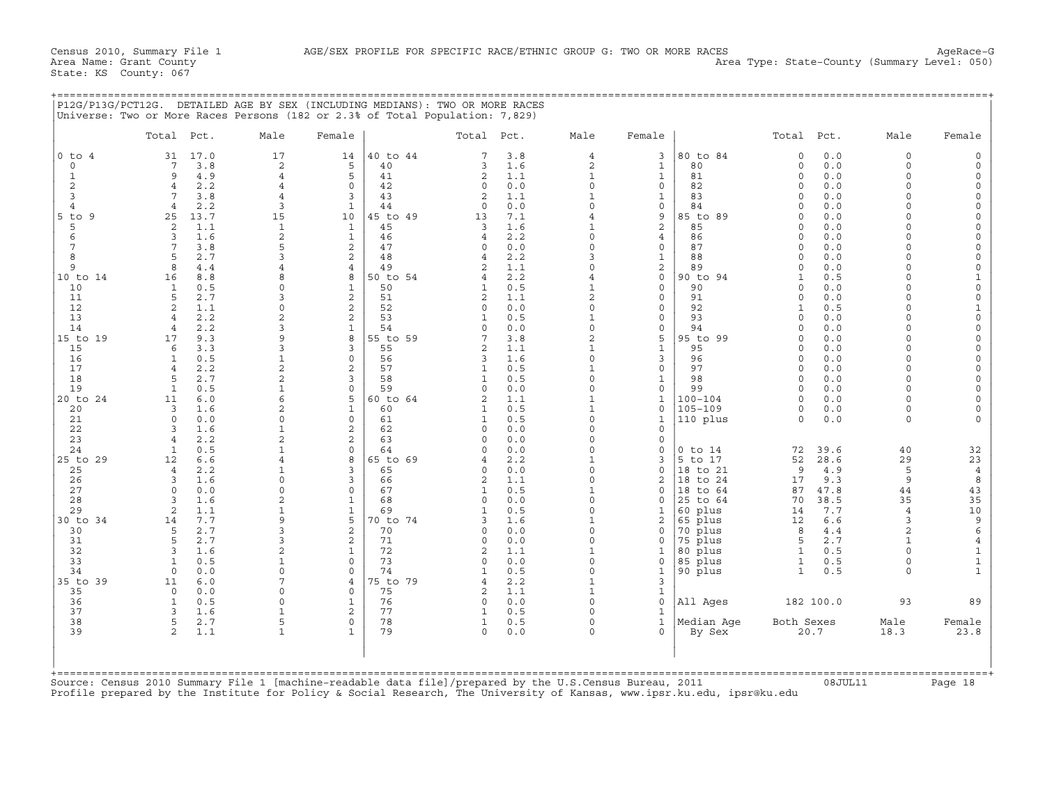+===================================================================================================================================================+

|                                                                  | Total Pct.              |                                  | Male                                                                       | Female                           |                                  | Total Pct.                      |                                 | Male                                                              | Female                                      |                                  | Total Pct.                                             |                                 | Male                                                     | Female                                       |
|------------------------------------------------------------------|-------------------------|----------------------------------|----------------------------------------------------------------------------|----------------------------------|----------------------------------|---------------------------------|---------------------------------|-------------------------------------------------------------------|---------------------------------------------|----------------------------------|--------------------------------------------------------|---------------------------------|----------------------------------------------------------|----------------------------------------------|
| $0$ to $4$<br>$\mathbf 0$<br>$\mathbf{1}$<br>$\overline{c}$<br>3 | 31<br>7<br>9<br>4<br>7  | 17.0<br>3.8<br>4.9<br>2.2<br>3.8 | 17<br>$\overline{a}$<br>$\overline{4}$<br>$\overline{4}$<br>$\overline{4}$ | 14<br>5<br>5<br>$\mathbf 0$<br>3 | 40 to 44<br>40<br>41<br>42<br>43 | 7<br>3<br>2<br>$\mathbf 0$<br>2 | 3.8<br>1.6<br>1.1<br>0.0<br>1.1 | $\overline{4}$<br>$\overline{a}$<br>$\mathbf{1}$<br>$\Omega$<br>1 | 3<br>$\mathbf{1}$<br>$\mathbf{1}$<br>0<br>1 | 80 to 84<br>80<br>81<br>82<br>83 | $\circ$<br>$\circ$<br>$\Omega$<br>$\Omega$<br>$\Omega$ | 0.0<br>0.0<br>0.0<br>0.0<br>0.0 | $\Omega$<br>$\Omega$<br>$\Omega$<br>$\Omega$<br>$\Omega$ | $\Omega$<br>$\Omega$<br>$\Omega$<br>$\Omega$ |
| $\overline{4}$                                                   | $\overline{4}$          | 2.2                              | 3                                                                          | $\mathbf{1}$                     | 44                               | $\Omega$                        | 0.0                             | $\Omega$                                                          | 0                                           | 84                               | $\cap$                                                 | 0.0                             | $\cap$                                                   |                                              |
| $5$ to<br>9                                                      | 25                      | 13.7                             | 15                                                                         | 10                               | 45 to 49                         | 13                              | 7.1                             | 4                                                                 | 9                                           | 85 to 89                         | $\circ$                                                | 0.0                             | $\Omega$                                                 |                                              |
| 5<br>6                                                           | 2<br>3                  | 1.1<br>1.6                       | $\mathbf{1}$<br>$\mathbf{2}$                                               | $\mathbf{1}$<br>$\mathbf{1}$     | 45<br>46                         | 3<br>$\overline{4}$             | 1.6<br>2.2                      | 1<br>$\Omega$                                                     | 2<br>4                                      | 85<br>86                         | 0<br>$\Omega$                                          | 0.0<br>0.0                      | $\Omega$<br>$\Omega$                                     |                                              |
| 7                                                                | $7\phantom{.0}$         | 3.8                              | 5                                                                          | 2                                | 47                               | $\Omega$                        | 0.0                             | 0                                                                 | 0                                           | 87                               | $\Omega$                                               | 0.0                             | $\Omega$                                                 | $\Omega$                                     |
| 8<br>$\mathbf{Q}$                                                | 5                       | 2.7                              | 3                                                                          | 2                                | 48                               | 4                               | 2.2                             | 3                                                                 | 1                                           | 88                               | $\Omega$                                               | 0.0                             | $\cap$<br>$\Omega$                                       | $\Omega$                                     |
| 10 to 14                                                         | 8<br>16                 | 4.4<br>8.8                       | 8                                                                          | $\overline{4}$<br>8              | 49<br>50 to 54                   | $\overline{c}$<br>4             | 1.1<br>2.2                      | $\Omega$<br>4                                                     | 2<br>$\mathbf{0}$                           | 89<br>90 to<br>94                | $\Omega$<br>1                                          | 0.0<br>0.5                      | $\Omega$                                                 | $\Omega$                                     |
| 10                                                               | $\mathbf{1}$            | 0.5                              | $\Omega$                                                                   | $\mathbf{1}$                     | 50                               | 1                               | 0.5                             | 1                                                                 | 0                                           | 90                               | $\circ$                                                | 0.0                             | $\Omega$                                                 | $\Omega$                                     |
| 11                                                               | 5                       | 2.7                              | 3                                                                          | 2                                | 51                               | 2                               | 1.1                             | 2                                                                 | 0                                           | 91                               | $\Omega$                                               | 0.0                             | $\Omega$                                                 | $\Omega$                                     |
| 12<br>13                                                         | 2<br>$\overline{4}$     | 1.1<br>2.2                       | $\Omega$<br>$\overline{2}$                                                 | 2<br>2                           | 52<br>53                         | $\Omega$<br>1                   | 0.0<br>0.5                      | $\Omega$<br>$\mathbf{1}$                                          | 0<br>0                                      | 92<br>93                         | 1<br>$\circ$                                           | 0.5<br>0.0                      | $\Omega$<br>$\Omega$                                     | $\mathbf 0$                                  |
| 14                                                               | $\overline{4}$          | 2.2                              | 3                                                                          | $\mathbf{1}$                     | 54                               | $\Omega$                        | 0.0                             | $\Omega$                                                          | 0                                           | 94                               | $\Omega$                                               | 0.0                             | $\cap$                                                   | $\Omega$                                     |
| 15 to 19                                                         | 17                      | 9.3                              | 9                                                                          | 8                                | 55 to 59                         | 7                               | 3.8                             | $\overline{2}$                                                    | 5                                           | 95 to 99                         | $\Omega$                                               | 0.0                             | $\Omega$                                                 |                                              |
| 15<br>16                                                         | 6<br>1                  | 3.3<br>0.5                       | 3<br>$\mathbf{1}$                                                          | 3<br>$\mathbf 0$                 | 55<br>56                         | 2<br>3                          | 1.1<br>1.6                      | 1<br>$\Omega$                                                     | $\mathbf{1}$<br>3                           | 95<br>96                         | $\Omega$<br>$\Omega$                                   | 0.0<br>0.0                      | $\Omega$<br>$\cap$                                       | $\Omega$<br>$\Omega$                         |
| 17                                                               | $\overline{4}$          | 2.2                              | $\overline{2}$                                                             | 2                                | 57                               | 1                               | 0.5                             | 1                                                                 | 0                                           | 97                               | $\Omega$                                               | $0.0$                           | $\Omega$                                                 | $\Omega$                                     |
| 18                                                               | 5                       | 2.7                              | $\overline{2}$                                                             | 3                                | 58                               | 1                               | 0.5                             | $\mathbf 0$                                                       | 1                                           | 98                               | $\Omega$                                               | 0.0                             | $\Omega$                                                 |                                              |
| 19<br>20 to 24                                                   | $\mathbf{1}$<br>11      | 0.5<br>6.0                       | $\mathbf{1}$<br>6                                                          | $\mathbf 0$<br>5                 | 59<br>60 to 64                   | $\Omega$<br>$\overline{a}$      | 0.0<br>1.1                      | $\Omega$<br>1                                                     | 0<br>$\mathbf{1}$                           | 99<br>$100 - 104$                | $\circ$<br>$\Omega$                                    | 0.0<br>0.0                      | $\Omega$<br>$\Omega$                                     | $\Omega$                                     |
| 20                                                               | 3                       | 1.6                              | $\overline{2}$                                                             | $\mathbf{1}$                     | 60                               | 1                               | 0.5                             | $\mathbf{1}$                                                      | $\mathbf{0}$                                | $105 - 109$                      | $\Omega$                                               | 0.0                             | $\Omega$                                                 | $\Omega$                                     |
| 21                                                               | $\mathbf 0$             | 0.0                              | $\Omega$                                                                   | 0                                | 61                               | 1                               | 0.5                             | 0                                                                 | $\mathbf{1}$                                | 110 plus                         | $\circ$                                                | 0.0                             | $\Omega$                                                 |                                              |
| 22<br>23                                                         | 3<br>$\overline{4}$     | 1.6<br>2.2                       | $\mathbf{1}$<br>$\overline{a}$                                             | 2<br>2                           | 62<br>63                         | $\Omega$<br>$\Omega$            | 0.0<br>0.0                      | $\Omega$<br>$\Omega$                                              | 0<br>$\Omega$                               |                                  |                                                        |                                 |                                                          |                                              |
| 24                                                               | 1                       | 0.5                              | $\mathbf{1}$                                                               | $\circ$                          | 64                               | $\Omega$                        | 0.0                             | 0                                                                 | 0                                           | $0$ to $14$                      | 72                                                     | 39.6                            | 40                                                       | 32                                           |
| 25 to 29                                                         | 12                      | 6.6                              | 4                                                                          | 8                                | 65 to 69                         |                                 | 2.2                             | 1                                                                 | 3                                           | 5 to 17                          | 52                                                     | 28.6                            | 29                                                       | 23                                           |
| 25<br>26                                                         | $\overline{4}$<br>3     | 2.2<br>1.6                       | 1<br>$\Omega$                                                              | 3<br>3                           | 65<br>66                         | $\Omega$<br>2                   | 0.0                             | $\Omega$<br>$\Omega$                                              | 0<br>2                                      | 18 to 21                         | 9                                                      | 4.9<br>9.3                      | 5<br>9                                                   | $\ensuremath{4}$<br>$\,$ 8 $\,$              |
| 27                                                               | $\Omega$                | 0.0                              | $\Omega$                                                                   | $\Omega$                         | 67                               | 1                               | 1.1<br>0.5                      | $\mathbf{1}$                                                      | <sup>0</sup>                                | 18 to 24<br>18 to 64             | 17<br>87                                               | 47.8                            | 44                                                       | 43                                           |
| 28                                                               | 3                       | 1.6                              |                                                                            | $\mathbf{1}$                     | 68                               | $\Omega$                        | 0.0                             | $\Omega$                                                          | $\Omega$                                    | 25 to 64                         | 70                                                     | 38.5                            | 35                                                       | 35                                           |
| 29                                                               | 2                       | 1.1                              | 1<br>9                                                                     | $\mathbf{1}$<br>5                | 69                               | 1                               | 0.5                             | $\Omega$                                                          | 1                                           | 60 plus                          | 14                                                     | 7.7                             | $\overline{4}$<br>3                                      | 10                                           |
| 30 to 34<br>30                                                   | 14<br>5                 | 7.7<br>2.7                       | 3                                                                          | 2                                | 70 to 74<br>70                   | 3<br>$\Omega$                   | 1.6<br>0.0                      | 1<br>$\Omega$                                                     | 2<br>0                                      | 65 plus<br>70 plus               | 12<br>8                                                | 6.6<br>4.4                      | $\overline{a}$                                           | 9<br>$\epsilon$                              |
| 31                                                               | 5                       | 2.7                              | 3                                                                          | 2                                | 71                               | $\Omega$                        | 0.0                             | $\Omega$                                                          | $\Omega$                                    | 75 plus                          | 5                                                      | 2.7                             | $\mathbf{1}$                                             | $\overline{4}$                               |
| 32                                                               | 3                       | 1.6                              | 2<br>$\mathbf{1}$                                                          | 1<br>$\Omega$                    | 72                               | 2<br>$\Omega$                   | 1.1                             | 1                                                                 | 1                                           | 80 plus                          | 1                                                      | 0.5                             | $\Omega$<br>$\Omega$                                     | $\mathbf{1}$                                 |
| 33<br>34                                                         | $\mathbf{1}$<br>$\circ$ | 0.5<br>0.0                       | $\Omega$                                                                   | $\circ$                          | 73<br>74                         |                                 | 0.0<br>0.5                      | $\Omega$<br>$\Omega$                                              | 0<br>$\mathbf{1}$                           | 85 plus<br>90 plus               | $\mathbf{1}$<br>$\mathbf{1}$                           | 0.5<br>0.5                      | $\Omega$                                                 | $\mathbf 1$<br>$\mathbf{1}$                  |
| 35 to 39                                                         | 11                      | 6.0                              | 7                                                                          | 4                                | 75 to 79                         | 4                               | 2.2                             | 1                                                                 | 3                                           |                                  |                                                        |                                 |                                                          |                                              |
| 35                                                               | $\Omega$                | 0.0                              | $\Omega$                                                                   | $\Omega$                         | 75                               | 2                               | 1.1                             | $\mathbf{1}$                                                      | $\mathbf{1}$                                |                                  |                                                        |                                 |                                                          |                                              |
| 36<br>37                                                         | 1<br>3                  | 0.5<br>1.6                       | $\Omega$<br>1                                                              | 1<br>2                           | 76<br>77                         | $\circ$<br>1                    | 0.0<br>0.5                      | 0<br>$\Omega$                                                     | 0<br>$\mathbf{1}$                           | All Ages                         |                                                        | 182 100.0                       | 93                                                       | 89                                           |
| 38                                                               | 5                       | 2.7                              | 5                                                                          | 0                                | 78                               | 1                               | 0.5                             | 0                                                                 | $\mathbf{1}$                                | Median Aqe                       | Both Sexes                                             |                                 | Male                                                     | Female                                       |
| 39                                                               | 2                       | 1.1                              | $\mathbf{1}$                                                               | $\mathbf{1}$                     | 79                               | $\circ$                         | 0.0                             | $\Omega$                                                          | $\Omega$                                    | By Sex                           |                                                        | 20.7                            | 18.3                                                     | 23.8                                         |
|                                                                  |                         |                                  |                                                                            |                                  |                                  |                                 |                                 |                                                                   |                                             |                                  |                                                        |                                 |                                                          |                                              |

Source: Census 2010 Summary File 1 [machine−readable data file]/prepared by the U.S.Census Bureau, 2011 08JUL11 Page 18 Profile prepared by the Institute for Policy & Social Research, The University of Kansas, www.ipsr.ku.edu, ipsr@ku.edu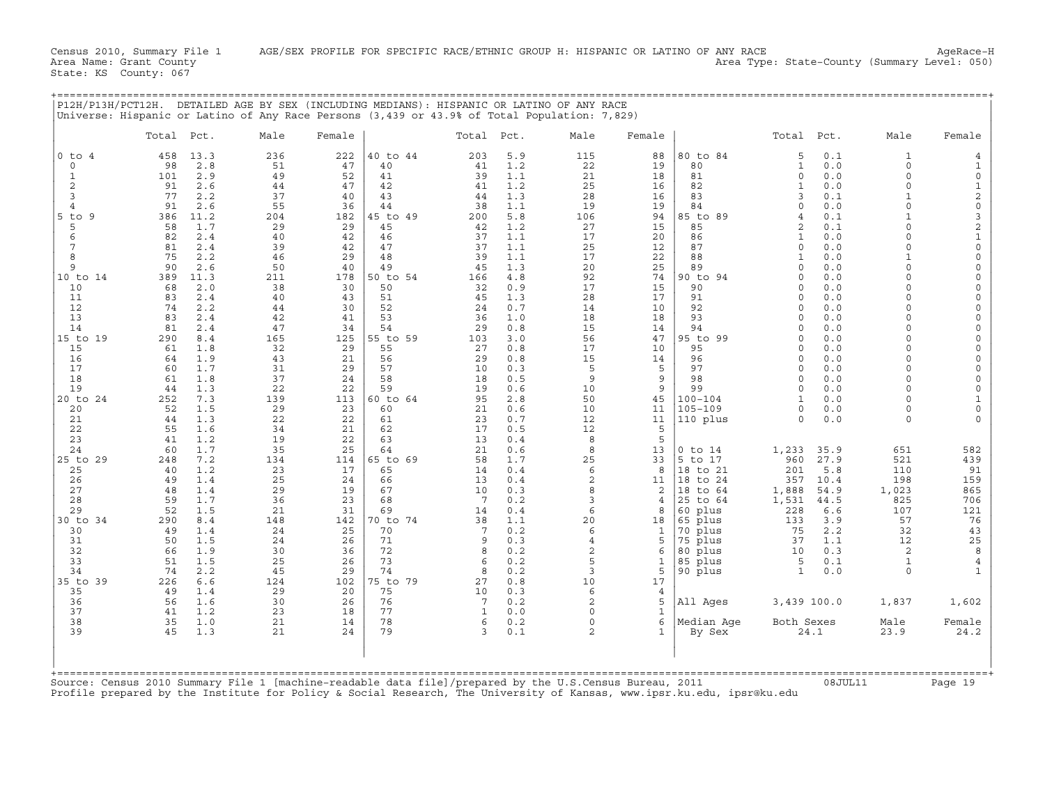|                             |            |            | P12H/P13H/PCT12H. DETAILED AGE BY SEX (INCLUDING MEDIANS): HISPANIC OR LATINO OF ANY RACE<br>Universe: Hispanic or Latino of Any Race Persons (3,439 or 43.9% of Total Population: 7,829) |           |          |              |            |                           |                     |                     |                         |             |                          |                                |
|-----------------------------|------------|------------|-------------------------------------------------------------------------------------------------------------------------------------------------------------------------------------------|-----------|----------|--------------|------------|---------------------------|---------------------|---------------------|-------------------------|-------------|--------------------------|--------------------------------|
|                             | Total Pct. |            | Male                                                                                                                                                                                      | Female    |          | Total Pct.   |            | Male                      | Female              |                     | Total                   | Pct.        | Male                     | Female                         |
| $0$ to $4$                  | 458        | 13.3       | 236                                                                                                                                                                                       | 222       | 40 to 44 | 203          | 5.9        | 115                       | 88                  | 80 to 84            | 5                       | 0.1         | $\mathbf{1}$             | 4                              |
| $\mathbf 0$<br>$\mathbf{1}$ | 98<br>101  | 2.8<br>2.9 | 51<br>49                                                                                                                                                                                  | 47<br>52  | 40<br>41 | 41<br>39     | 1.2<br>1.1 | 22<br>21                  | 19<br>18            | 80<br>81            | $\mathbf{1}$<br>$\circ$ | 0.0<br>0.0  | $\Omega$<br>$\circ$      | 1<br>0                         |
| 2                           | 91         | 2.6        | 44                                                                                                                                                                                        | 47        | 42       | 41           | 1.2        | 25                        | 16                  | 82                  | $\mathbf{1}$            | 0.0         | $\Omega$                 | $\mathbf 1$                    |
| 3                           | 77         | 2.2        | 37                                                                                                                                                                                        | 40        | 43       | 44           | 1.3        | 28                        | 16                  | 83                  | 3                       | 0.1         | 1                        | $\overline{\mathbf{c}}$        |
| $\overline{4}$              | 91         | 2.6        | 55                                                                                                                                                                                        | 36        | 44       | 38           | 1.1        | 19                        | 19                  | 84                  | $\mathbf 0$             | 0.0         | $\Omega$                 | 0                              |
| $5$ to $9$                  | 386        | 11.2       | 204                                                                                                                                                                                       | 182       | 45 to 49 | 200          | 5.8        | 106                       | 94                  | 85 to 89            | 4                       | 0.1         | 1                        | 3                              |
| 5                           | 58         | 1.7        | 29                                                                                                                                                                                        | 29        | 45       | 42           | 1.2        | 27                        | 15                  | 85                  | 2                       | 0.1         | O<br>$\cap$              | $\overline{\mathbf{c}}$        |
| 6<br>7                      | 82<br>81   | 2.4<br>2.4 | 40<br>39                                                                                                                                                                                  | 42<br>42  | 46<br>47 | 37<br>37     | 1.1<br>1.1 | 17<br>25                  | 20<br>12            | 86<br>87            | $\mathbf{1}$<br>$\circ$ | 0.0<br>0.0  | $\Omega$                 | $\mathbf{1}$<br>0              |
| 8                           | 75         | 2.2        | 46                                                                                                                                                                                        | 29        | 48       | 39           | 1.1        | 17                        | 22                  | 88                  | $\mathbf{1}$            | 0.0         | $\mathbf{1}$             | 0                              |
| 9                           | 90         | 2.6        | 50                                                                                                                                                                                        | 40        | 49       | 4.5          | 1.3        | 20                        | 25                  | 89                  | $\Omega$                | 0.0         | $\Omega$                 | $\mathbf 0$                    |
| 10 to 14                    | 389        | 11.3       | 211                                                                                                                                                                                       | 178       | 50 to 54 | 166          | 4.8        | 92                        | 74                  | 90 to 94            | $\Omega$                | 0.0         | $\Omega$                 | 0                              |
| 10                          | 68         | 2.0        | 38                                                                                                                                                                                        | 30        | 50       | 32           | 0.9        | 17                        | 15                  | 90                  | $\Omega$                | 0.0         | $\cap$                   | $\mathbf 0$                    |
| 11<br>12                    | 83<br>74   | 2.4<br>2.2 | 40<br>44                                                                                                                                                                                  | 43<br>30  | 51<br>52 | 45<br>24     | 1.3<br>0.7 | 28<br>14                  | 17<br>10            | 91<br>92            | $\Omega$<br>$\Omega$    | 0.0<br>0.0  | $\Omega$<br>$\cap$       | 0<br>$\Omega$                  |
| 13                          | 83         | 2.4        | 42                                                                                                                                                                                        | 41        | 53       | 36           | 1.0        | 18                        | 18                  | 93                  | $\Omega$                | 0.0         | $\Omega$                 | $\Omega$                       |
| 14                          | 81         | 2.4        | 47                                                                                                                                                                                        | 34        | 54       | 29           | 0.8        | 15                        | 14                  | 94                  | $\Omega$                | 0.0         | $\cap$                   | $\Omega$                       |
| 15 to 19                    | 290        | 8.4        | 165                                                                                                                                                                                       | 125       | 55 to 59 | 103          | 3.0        | 56                        | 47                  | 95 to 99            | $\Omega$                | 0.0         | $\Omega$                 | $\Omega$                       |
| 15                          | 61         | 1.8        | 32                                                                                                                                                                                        | 29        | 55       | 27           | 0.8        | 17                        | 10                  | 95                  | $\Omega$                | 0.0         | $\cap$                   | 0                              |
| 16<br>17                    | 64<br>60   | 1.9<br>1.7 | 43<br>31                                                                                                                                                                                  | 21<br>29  | 56<br>57 | 29<br>10     | 0.8        | 15<br>5                   | 14                  | 96<br>97            | $\Omega$<br>$\Omega$    | 0.0<br>0.0  | $\cap$<br>$\Omega$       | $\Omega$<br>0                  |
| 18                          | 61         | 1.8        | 37                                                                                                                                                                                        | 24        | 58       | 18           | 0.3<br>0.5 | 9                         | 5<br>9              | 98                  | $\Omega$                | 0.0         | $\cap$                   | $\Omega$                       |
| 19                          | 44         | 1.3        | 22                                                                                                                                                                                        | 22        | 59       | 19           | 0.6        | 10                        | 9                   | 99                  | $\mathbf 0$             | 0.0         | $\Omega$                 | $\mathbf 0$                    |
| 20 to 24                    | 252        | 7.3        | 139                                                                                                                                                                                       | 113       | 60 to 64 | 95           | 2.8        | 50                        | 45                  | 100-104             | $\mathbf{1}$            | 0.0         | $\Omega$                 | $\mathbf{1}$                   |
| 20                          | 52         | 1.5        | 29                                                                                                                                                                                        | 23        | 60       | 21           | 0.6        | 10                        | 11                  | $105 - 109$         | 0                       | $0.0$       | $\Omega$                 | 0                              |
| 21                          | 44         | 1.3        | 22                                                                                                                                                                                        | 22        | 61       | 23           | 0.7        | 12                        | 11                  | 110 plus            | 0                       | 0.0         | $\Omega$                 | 0                              |
| 22<br>23                    | 55<br>41   | 1.6<br>1.2 | 34<br>19                                                                                                                                                                                  | 21<br>22  | 62<br>63 | 17<br>13     | 0.5<br>0.4 | 12<br>8                   | 5<br>5              |                     |                         |             |                          |                                |
| 24                          | 60         | 1.7        | 35                                                                                                                                                                                        | 25        | 64       | 21           | 0.6        | 8                         | 13                  | $0$ to $14$         | 1,233                   | 35.9        | 651                      | 582                            |
| 25 to 29                    | 248        | 7.2        | 134                                                                                                                                                                                       | 114       | 65 to 69 | 58           | 1.7        | 25                        | 33                  | 5 to 17             | 960                     | 27.9        | 521                      | 439                            |
| 25                          | 40         | 1.2        | 23                                                                                                                                                                                        | 17        | 65       | 14           | 0.4        | 6                         | 8                   | 18 to 21            | 201                     | 5.8         | 110                      | 91                             |
| 26                          | 49         | 1.4        | 25                                                                                                                                                                                        | 24        | 66       | 13           | 0.4        | 2                         | 11                  | 18 to 24            | 357                     | 10.4        | 198                      | 159                            |
| 27                          | 48         | 1.4        | 29                                                                                                                                                                                        | 19        | 67       | 10           | 0.3        | 8                         | 2                   | 18 to 64            | 1,888                   | 54.9        | 1,023                    | 865                            |
| 28<br>29                    | 59<br>52   | 1.7<br>1.5 | 36<br>21                                                                                                                                                                                  | 23<br>31  | 68<br>69 | 7<br>14      | 0.2<br>0.4 | 3<br>6                    | $\overline{4}$<br>8 | 25 to 64<br>60 plus | 1,531<br>228            | 44.5<br>6.6 | 825<br>107               | 706<br>121                     |
| 30 to 34                    | 290        | 8.4        | 148                                                                                                                                                                                       | 142       | 70 to 74 | 38           | 1.1        | 20                        | 18                  | 65 plus             | 133                     | 3.9         | 57                       | 76                             |
| 30                          | 49         | 1.4        | 24                                                                                                                                                                                        | 25        | 70       | 7            | 0.2        | 6                         | 1                   | 70 plus             | 75                      | 2.2         | 32                       | 43                             |
| 31                          | 50         | 1.5        | 24                                                                                                                                                                                        | 26        | 71       | 9            | 0.3        | $\overline{4}$            | 5                   | plus<br>75          | 37                      | 1.1         | 12                       | 25                             |
| 32                          | 66         | 1.9        | 30                                                                                                                                                                                        | 36        | 72       | 8            | 0.2        | 2                         | 6                   | 80 plus             | 10                      | 0.3         | 2                        | 8                              |
| 33<br>34                    | 51<br>74   | 1.5<br>2.2 | 25<br>45                                                                                                                                                                                  | 26<br>29  | 73<br>74 | 6<br>8       | 0.2<br>0.2 | 5<br>3                    | $\mathbf{1}$<br>5   | 85 plus<br>90 plus  | 5<br>$\mathbf{1}$       | 0.1<br>0.0  | $\mathbf{1}$<br>$\Omega$ | $\overline{4}$<br>$\mathbf{1}$ |
| 35 to 39                    | 226        | 6.6        | 124                                                                                                                                                                                       | 102       | 75 to 79 | 27           | 0.8        | 10                        | 17                  |                     |                         |             |                          |                                |
| 35                          | 49         | 1.4        | 29                                                                                                                                                                                        | 20        | 75       | 10           | 0.3        | 6                         | $\overline{4}$      |                     |                         |             |                          |                                |
| 36                          | 56         | 1.6        | 30                                                                                                                                                                                        | 26        | 76       | 7            | 0.2        | $\overline{a}$            | 5                   | All Ages            | 3,439 100.0             |             | 1,837                    | 1,602                          |
| 37                          | 41         | 1.2        | 23                                                                                                                                                                                        | 18        | 77       | $\mathbf{1}$ | 0.0        | $\Omega$                  | $\mathbf{1}$        |                     |                         |             |                          |                                |
| 38<br>39                    | 35<br>45   | 1.0<br>1.3 | 21<br>21                                                                                                                                                                                  | 14<br>2.4 | 78<br>79 | 6<br>3       | 0.2<br>0.1 | $\circ$<br>$\overline{a}$ | 6                   | Median Age          | Both Sexes              |             | Male                     | Female                         |
|                             |            |            |                                                                                                                                                                                           |           |          |              |            |                           | $\mathbf{1}$        | By Sex              |                         | 24.1        | 23.9                     | 24.2                           |
|                             |            |            |                                                                                                                                                                                           |           |          |              |            |                           |                     |                     |                         |             |                          |                                |
|                             |            |            |                                                                                                                                                                                           |           |          |              |            |                           |                     |                     |                         |             |                          |                                |
| $COM \sim$                  |            |            | File 1 [magbine readable data file] (prepared by the H                                                                                                                                    |           |          |              |            |                           | C. Congua Puroou    | $2011$              |                         |             |                          |                                |

Source: Census 2010 Summary File 1 [machine−readable data file]/prepared by the U.S.Census Bureau, 2011 08JUL11 Page 19 Profile prepared by the Institute for Policy & Social Research, The University of Kansas, www.ipsr.ku.edu, ipsr@ku.edu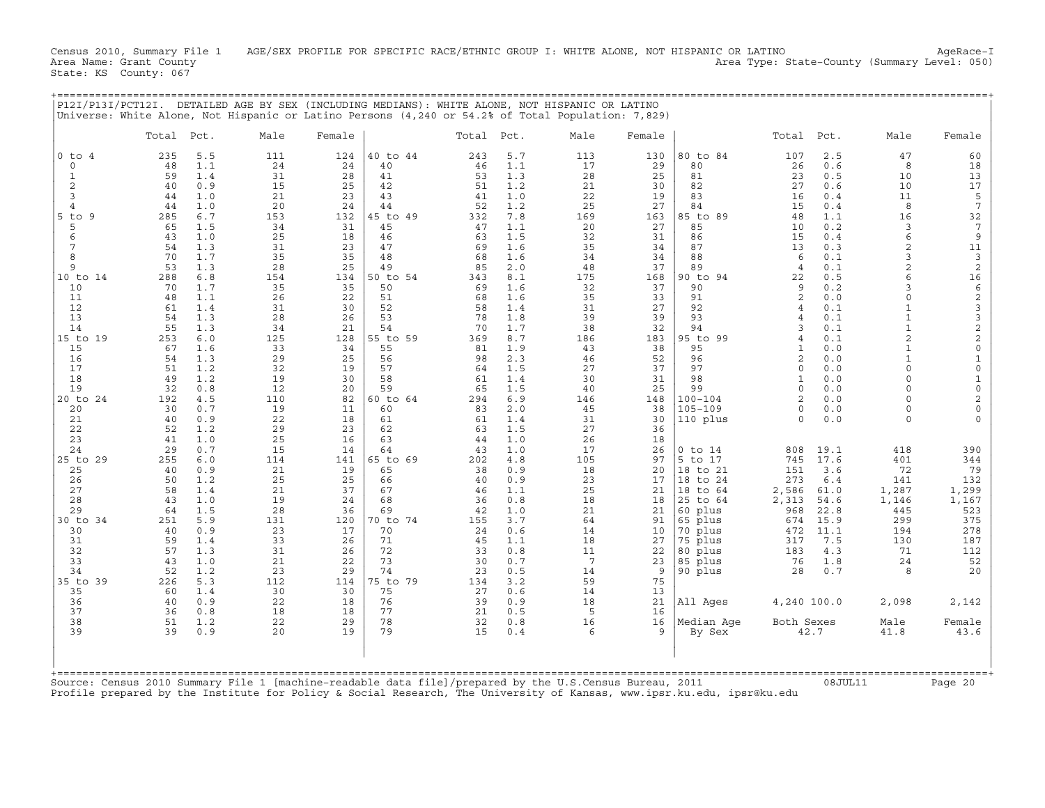Census 2010, Summary File 1 AGE/SEX PROFILE FOR SPECIFIC RACE/ETHNIC GROUP I: WHITE ALONE, NOT HISPANIC OR LATINO AgeRace-I<br>Area Name: Grant County (Eummary Level: 050) Area Type: State-County (Summary Level: 050) State: KS County: 067

+===================================================================================================================================================+

|                                                                                                                                                                                                                                                                                                                |                                                                                                                                                                                                                                                           |                                                                                                                                                                                                                                                                                             |                                                                                                                                                                                                                                                           |                                                                                                                                                                                                                                                          |                                                                                                                                                                                                                                                                                              |                                                                                                                                                                                                                                                           |                                                                                                                                                                                                                                                                                             | P12I/P13I/PCT12I. DETAILED AGE BY SEX (INCLUDING MEDIANS): WHITE ALONE, NOT HISPANIC OR LATINO<br>Universe: White Alone, Not Hispanic or Latino Persons (4,240 or 54.2% of Total Population: 7,829)                                                                   |                                                                                                                                                                                                                                                         |                                                                                                                                                                                                                                                                                                                                                                     |                                                                                                                                                                                                                                                                                                                                                                                 |                                                                                                                                                                                                                                                                                      |                                                                                                                                                                                                                                                                                                                                                                    |                                                                                                                                                                                                                                                                                                                      |
|----------------------------------------------------------------------------------------------------------------------------------------------------------------------------------------------------------------------------------------------------------------------------------------------------------------|-----------------------------------------------------------------------------------------------------------------------------------------------------------------------------------------------------------------------------------------------------------|---------------------------------------------------------------------------------------------------------------------------------------------------------------------------------------------------------------------------------------------------------------------------------------------|-----------------------------------------------------------------------------------------------------------------------------------------------------------------------------------------------------------------------------------------------------------|----------------------------------------------------------------------------------------------------------------------------------------------------------------------------------------------------------------------------------------------------------|----------------------------------------------------------------------------------------------------------------------------------------------------------------------------------------------------------------------------------------------------------------------------------------------|-----------------------------------------------------------------------------------------------------------------------------------------------------------------------------------------------------------------------------------------------------------|---------------------------------------------------------------------------------------------------------------------------------------------------------------------------------------------------------------------------------------------------------------------------------------------|-----------------------------------------------------------------------------------------------------------------------------------------------------------------------------------------------------------------------------------------------------------------------|---------------------------------------------------------------------------------------------------------------------------------------------------------------------------------------------------------------------------------------------------------|---------------------------------------------------------------------------------------------------------------------------------------------------------------------------------------------------------------------------------------------------------------------------------------------------------------------------------------------------------------------|---------------------------------------------------------------------------------------------------------------------------------------------------------------------------------------------------------------------------------------------------------------------------------------------------------------------------------------------------------------------------------|--------------------------------------------------------------------------------------------------------------------------------------------------------------------------------------------------------------------------------------------------------------------------------------|--------------------------------------------------------------------------------------------------------------------------------------------------------------------------------------------------------------------------------------------------------------------------------------------------------------------------------------------------------------------|----------------------------------------------------------------------------------------------------------------------------------------------------------------------------------------------------------------------------------------------------------------------------------------------------------------------|
|                                                                                                                                                                                                                                                                                                                | Total                                                                                                                                                                                                                                                     | Pct.                                                                                                                                                                                                                                                                                        | Male                                                                                                                                                                                                                                                      | Female                                                                                                                                                                                                                                                   |                                                                                                                                                                                                                                                                                              | Total Pct.                                                                                                                                                                                                                                                |                                                                                                                                                                                                                                                                                             | Male                                                                                                                                                                                                                                                                  | Female                                                                                                                                                                                                                                                  |                                                                                                                                                                                                                                                                                                                                                                     | Total Pct.                                                                                                                                                                                                                                                                                                                                                                      |                                                                                                                                                                                                                                                                                      | Male                                                                                                                                                                                                                                                                                                                                                               | Female                                                                                                                                                                                                                                                                                                               |
| $0$ to $4$<br>$\mathsf O$<br>1<br>$\overline{c}$<br>3<br>4<br>$5$ to<br>9<br>5<br>6<br>7<br>8<br>9<br>10 to 14<br>10<br>11<br>12<br>13<br>14<br>15 to 19<br>15<br>16<br>17<br>18<br>19<br>20 to 24<br>20<br>21<br>22<br>23<br>24<br>25 to 29<br>25<br>26<br>27<br>28<br>29<br>30 to 34<br>30<br>31<br>32<br>33 | 235<br>48<br>59<br>40<br>44<br>44<br>285<br>65<br>43<br>54<br>70<br>53<br>288<br>70<br>48<br>61<br>54<br>55<br>253<br>67<br>54<br>51<br>49<br>32<br>192<br>30<br>40<br>52<br>41<br>29<br>255<br>40<br>50<br>58<br>43<br>64<br>251<br>40<br>59<br>57<br>43 | 5.5<br>1.1<br>1.4<br>0.9<br>1.0<br>1.0<br>6.7<br>1.5<br>1.0<br>1.3<br>1.7<br>1.3<br>6.8<br>1.7<br>1.1<br>1.4<br>1.3<br>1.3<br>6.0<br>1.6<br>1.3<br>1.2<br>1.2<br>0.8<br>4.5<br>0.7<br>0.9<br>1.2<br>1.0<br>0.7<br>6.0<br>0.9<br>1.2<br>1.4<br>1.0<br>1.5<br>5.9<br>0.9<br>1.4<br>1.3<br>1.0 | 111<br>24<br>31<br>15<br>21<br>20<br>153<br>34<br>25<br>31<br>35<br>28<br>154<br>35<br>26<br>31<br>28<br>34<br>125<br>33<br>29<br>32<br>19<br>12<br>110<br>19<br>22<br>29<br>25<br>15<br>114<br>21<br>25<br>21<br>19<br>28<br>131<br>23<br>33<br>31<br>21 | 124<br>24<br>28<br>25<br>23<br>24<br>132<br>31<br>18<br>23<br>35<br>25<br>134<br>35<br>22<br>30<br>26<br>21<br>128<br>34<br>25<br>19<br>30<br>20<br>82<br>11<br>18<br>23<br>16<br>14<br>141<br>19<br>25<br>37<br>24<br>36<br>120<br>17<br>26<br>26<br>22 | 40 to 44<br>40<br>41<br>42<br>43<br>44<br>45 to 49<br>45<br>46<br>47<br>48<br>49<br>50 to 54<br>50<br>51<br>52<br>53<br>54<br>55 to 59<br>55<br>56<br>57<br>58<br>59<br>60 to 64<br>60<br>61<br>62<br>63<br>64<br>65 to 69<br>65<br>66<br>67<br>68<br>69<br>70 to 74<br>70<br>71<br>72<br>73 | 243<br>46<br>53<br>51<br>41<br>52<br>332<br>47<br>63<br>69<br>68<br>85<br>343<br>69<br>68<br>58<br>78<br>70<br>369<br>81<br>98<br>64<br>61<br>65<br>294<br>83<br>61<br>63<br>44<br>43<br>202<br>38<br>40<br>46<br>36<br>42<br>155<br>24<br>45<br>33<br>30 | 5.7<br>1.1<br>1.3<br>1.2<br>1.0<br>1.2<br>7.8<br>1.1<br>1.5<br>1.6<br>1.6<br>2.0<br>8.1<br>1.6<br>1.6<br>1.4<br>1.8<br>1.7<br>8.7<br>1.9<br>2.3<br>1.5<br>1.4<br>1.5<br>6.9<br>2.0<br>1.4<br>1.5<br>1.0<br>1.0<br>4.8<br>0.9<br>0.9<br>1.1<br>0.8<br>1.0<br>3.7<br>0.6<br>1.1<br>0.8<br>0.7 | 113<br>17<br>28<br>21<br>22<br>25<br>169<br>20<br>32<br>35<br>34<br>48<br>175<br>32<br>35<br>31<br>39<br>38<br>186<br>43<br>46<br>27<br>30<br>40<br>146<br>45<br>31<br>27<br>26<br>17<br>105<br>18<br>23<br>25<br>18<br>21<br>64<br>14<br>18<br>11<br>$7\phantom{.0}$ | 130<br>29<br>25<br>30<br>19<br>27<br>163<br>27<br>31<br>34<br>34<br>37<br>168<br>37<br>33<br>27<br>39<br>32<br>183<br>38<br>52<br>37<br>31<br>25<br>148<br>38<br>30<br>36<br>18<br>26<br>97<br>20<br>17<br>21<br>18<br>21<br>91<br>10<br>27<br>22<br>23 | 80 to 84<br>80<br>81<br>82<br>83<br>84<br>85 to 89<br>85<br>86<br>87<br>88<br>89<br>90 to<br>94<br>90<br>91<br>92<br>93<br>94<br>95 to<br>99<br>95<br>96<br>97<br>98<br>99<br>$100 - 104$<br>$105 - 109$<br>110 plus<br>$0$ to $14$<br>5 to 17<br>18 to 21<br>18 to 24<br>18 to 64<br>25 to 64<br>60 plus<br>65 plus<br>70 plus<br>75 plus<br>80<br>plus<br>85 plus | 107<br>26<br>23<br>27<br>16<br>15<br>48<br>10<br>15<br>13<br>6<br>$\overline{4}$<br>22<br>9<br>$\overline{c}$<br>$\overline{4}$<br>$\overline{4}$<br>3<br>$\overline{4}$<br>$\mathbf{1}$<br>$\overline{2}$<br>$\Omega$<br>$\mathbf{1}$<br>$\Omega$<br>$\mathbf{Z}$<br>$\Omega$<br>$\cap$<br>808<br>745<br>151<br>273<br>2,586<br>2,313<br>968<br>674<br>472<br>317<br>183<br>76 | 2.5<br>0.6<br>0.5<br>0.6<br>0.4<br>0.4<br>1.1<br>0.2<br>0.4<br>0.3<br>0.1<br>0.1<br>0.5<br>0.2<br>0.0<br>0.1<br>0.1<br>0.1<br>0.1<br>0.0<br>0.0<br>0.0<br>0.0<br>0.0<br>0.0<br>0.0<br>0.0<br>19.1<br>17.6<br>3.6<br>6.4<br>61.0<br>54.6<br>22.8<br>15.9<br>11.1<br>7.5<br>4.3<br>1.8 | 47<br>8<br>10<br>10<br>11<br>8<br>16<br>3<br>6<br>$\overline{2}$<br>3<br>2<br>6<br>3<br>$\Omega$<br>$\mathbf{1}$<br>$\mathbf{1}$<br>$\mathbf{1}$<br>$\overline{2}$<br>$\mathbf{1}$<br>$\mathbf{1}$<br>$\Omega$<br>$\Omega$<br>$\Omega$<br>$\Omega$<br>$\mathbf 0$<br>$\Omega$<br>418<br>401<br>72<br>141<br>1,287<br>1,146<br>445<br>299<br>194<br>130<br>71<br>24 | 60<br>18<br>13<br>17<br>5<br>7<br>32<br>$7\phantom{.0}$<br>9<br>11<br>$\overline{\mathbf{3}}$<br>2<br>16<br>6<br>$\frac{2}{3}$<br>3<br>2<br>$\mathbf{2}$<br>0<br>$\mathbf{1}$<br>$\circ$<br>1<br>$\circ$<br>2<br>0<br>$\Omega$<br>390<br>344<br>79<br>132<br>1,299<br>1,167<br>523<br>375<br>278<br>187<br>112<br>52 |
| 34<br>35 to 39<br>35<br>36                                                                                                                                                                                                                                                                                     | 52<br>226<br>60<br>40                                                                                                                                                                                                                                     | 1.2<br>5.3<br>1.4<br>0.9                                                                                                                                                                                                                                                                    | 23<br>112<br>30<br>22                                                                                                                                                                                                                                     | 29<br>114<br>30<br>18                                                                                                                                                                                                                                    | 74<br>75 to 79<br>75<br>76                                                                                                                                                                                                                                                                   | 23<br>134<br>27<br>39                                                                                                                                                                                                                                     | 0.5<br>3.2<br>0.6<br>0.9                                                                                                                                                                                                                                                                    | 14<br>59<br>14<br>18                                                                                                                                                                                                                                                  | 9<br>75<br>13<br>21                                                                                                                                                                                                                                     | 90 plus<br>All Ages                                                                                                                                                                                                                                                                                                                                                 | 28<br>4,240 100.0                                                                                                                                                                                                                                                                                                                                                               | 0.7                                                                                                                                                                                                                                                                                  | 8<br>2,098                                                                                                                                                                                                                                                                                                                                                         | 20<br>2,142                                                                                                                                                                                                                                                                                                          |
| 37<br>38<br>39                                                                                                                                                                                                                                                                                                 | 36<br>51<br>39                                                                                                                                                                                                                                            | 0.8<br>1.2<br>0.9                                                                                                                                                                                                                                                                           | 18<br>22<br>20                                                                                                                                                                                                                                            | 18<br>29<br>19                                                                                                                                                                                                                                           | 77<br>78<br>79                                                                                                                                                                                                                                                                               | 21<br>32<br>15                                                                                                                                                                                                                                            | 0.5<br>0.8<br>0.4                                                                                                                                                                                                                                                                           | 5<br>16<br>6                                                                                                                                                                                                                                                          | 16<br>16<br>9                                                                                                                                                                                                                                           | Median Age<br>By Sex                                                                                                                                                                                                                                                                                                                                                | Both Sexes                                                                                                                                                                                                                                                                                                                                                                      | 42.7                                                                                                                                                                                                                                                                                 | Male<br>41.8                                                                                                                                                                                                                                                                                                                                                       | Female<br>43.6                                                                                                                                                                                                                                                                                                       |
| +============                                                                                                                                                                                                                                                                                                  |                                                                                                                                                                                                                                                           |                                                                                                                                                                                                                                                                                             |                                                                                                                                                                                                                                                           |                                                                                                                                                                                                                                                          |                                                                                                                                                                                                                                                                                              |                                                                                                                                                                                                                                                           |                                                                                                                                                                                                                                                                                             |                                                                                                                                                                                                                                                                       |                                                                                                                                                                                                                                                         |                                                                                                                                                                                                                                                                                                                                                                     |                                                                                                                                                                                                                                                                                                                                                                                 |                                                                                                                                                                                                                                                                                      |                                                                                                                                                                                                                                                                                                                                                                    |                                                                                                                                                                                                                                                                                                                      |

+===================================================================================================================================================+Source: Census 2010 Summary File 1 [machine−readable data file]/prepared by the U.S.Census Bureau, 2011 08JUL11 Page 20 Profile prepared by the Institute for Policy & Social Research, The University of Kansas, www.ipsr.ku.edu, ipsr@ku.edu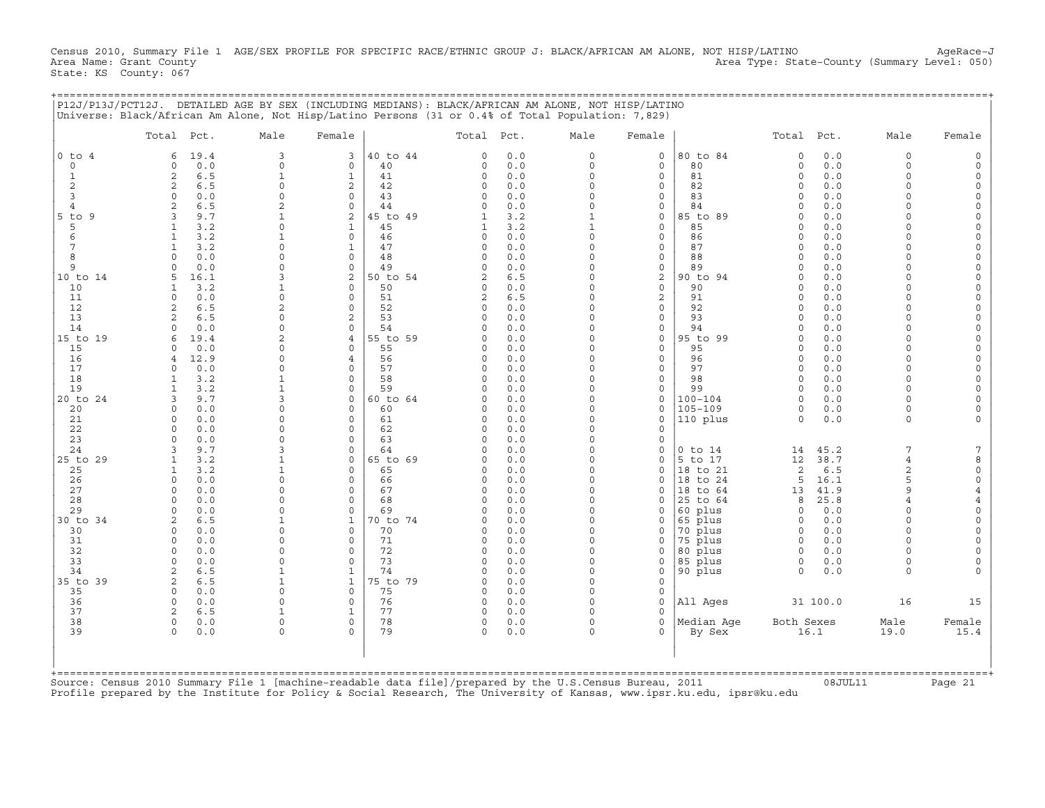Census 2010, Summary File 1 AGE/SEX PROFILE FOR SPECIFIC RACE/ETHNIC GROUP J: BLACK/AFRICAN AM ALONE, NOT HISP/LATINO AgeRace-J<br>Area Name: Grant County (summary Level: 050) Area Type: State-County (Summary Level: 050) State: KS County: 067

| P12J/P13J/PCT12J. DETAILED AGE BY SEX (INCLUDING MEDIANS): BLACK/AFRICAN AM ALONE, NOT HISP/LATINO  |  |
|-----------------------------------------------------------------------------------------------------|--|
| Illniverse: Black/African Am Alone, Not Hisp/Latino Persons (31 or 0.4% of Total Population: 7.829) |  |

|                | Total Pct.                            | Male                 | Female                     |          | Total Pct.               |            | Male                         | Female                  |                      | Total Pct.           |             | Male               | Female               |
|----------------|---------------------------------------|----------------------|----------------------------|----------|--------------------------|------------|------------------------------|-------------------------|----------------------|----------------------|-------------|--------------------|----------------------|
| $0$ to $4$     | 19.4<br>6                             | 3                    | 3                          | 40 to 44 | $\Omega$                 | 0.0        | $\circ$                      | $\circ$                 | 80 to 84             | $\Omega$             | 0.0         | $\Omega$           | $\Omega$             |
| $\circ$        | 0.0<br>$\Omega$                       | $\mathbf 0$          | $\mathbf 0$                | 40       | $\Omega$                 | 0.0        | $\circ$                      | $\mathbf 0$             | 80                   | $\circ$              | 0.0         | $\Omega$           |                      |
| $\mathbf{1}$   | 2<br>6.5                              | $\mathbf{1}$         | $\mathbf{1}$               | 41       | $\Omega$                 | 0.0        | $\circ$                      | $\circ$                 | 81                   | $\Omega$             | 0.0         | $\Omega$           |                      |
| $\overline{2}$ | 6.5<br>2                              | $\circ$              | $\mathbf{2}$               | 42       | 0                        | 0.0        | $\Omega$                     | 0                       | 82                   | $\Omega$             | 0.0         | $\Omega$           | $\Omega$             |
| 3              | 0.0<br>$\Omega$                       | $\mathbf 0$          | $\Omega$                   | 43       | $\Omega$                 | 0.0        | $\Omega$                     | $\mathbf 0$             | 83                   | $\Omega$             | 0.0         | $\Omega$           | $\Omega$             |
| $\overline{4}$ | 6.5                                   | $\overline{2}$       | $\circ$                    | 44       | $\Omega$                 | 0.0        | $\Omega$                     | 0                       | 84                   | $\Omega$<br>$\Omega$ | 0.0         |                    | $\Omega$             |
| $5$ to $9$     | 3<br>9.7                              | 1<br>$\Omega$        | 2                          | 45 to 49 | 1                        | 3.2        | $\mathbf{1}$<br>$\mathbf{1}$ | $\mathbf 0$<br>$\circ$  | 85 to 89             | $\Omega$             | 0.0<br>0.0  | $\cap$             | $\Omega$<br>$\Omega$ |
| 5<br>6         | 3.2<br>$\mathbf{1}$<br>3.2            | 1                    | $\mathbf{1}$<br>$\Omega$   | 45<br>46 | $\mathbf{1}$<br>$\Omega$ | 3.2<br>0.0 | $\Omega$                     | $\mathbf{0}$            | 85<br>86             | $\Omega$             | 0.0         | $\cap$             | $\Omega$             |
| 7              | 3.2                                   | $\Omega$             | $\mathbf{1}$               | 47       | $\Omega$                 | 0.0        | $\Omega$                     | $\circ$                 | 87                   | $\Omega$             | 0.0         | $\cap$             | $\Omega$             |
| 8              | 0.0<br>$\cap$                         | $\Omega$             | $\circ$                    | 48       | 0                        | 0.0        | $\Omega$                     | 0                       | 88                   | $\Omega$             | 0.0         | $\cap$             | $\Omega$             |
| 9              | 0.0<br>$\Omega$                       | $\Omega$             | $\mathbf 0$                | 49       | 0                        | 0.0        | $\circ$                      | $\circ$                 | 89                   | $\Omega$             | 0.0         | $\Omega$           | $\Omega$             |
| 10 to 14       | 16.1                                  | 3                    | 2                          | 50 to 54 | 2                        | 6.5        | $\Omega$                     | $\mathbf{2}$            | 90 to 94             | $\Omega$             | 0.0         | $\Omega$           | $\Omega$             |
| 10             | 3.2                                   | $\mathbf{1}$         | $\Omega$                   | 50       | $\Omega$                 | 0.0        | $\Omega$                     | $\circ$                 | 90                   | $\Omega$             | 0.0         |                    | $\Omega$             |
| 11             | 0.0<br>$\Omega$                       | $\Omega$             | $\Omega$                   | 51       | 2                        | 6.5        | $\Omega$                     | 2                       | 91                   | $\Omega$             | 0.0         |                    |                      |
| 12             | 6.5<br>2                              | $\overline{c}$       | $\Omega$                   | 52       | $\Omega$                 | 0.0        | $\Omega$                     | $\circ$                 | 92                   | $\Omega$             | 0.0         | $\Omega$           |                      |
| 13             | 6.5<br>$\mathcal{D}$                  | $\Omega$             | $\overline{c}$             | 53       | $\Omega$                 | 0.0        | $\Omega$                     | $\mathbf 0$             | 93                   | $\Omega$             | 0.0         |                    | $\Omega$             |
| 14             | 0.0                                   | $\Omega$             | $\Omega$                   | 54       | $\Omega$                 | 0.0        | $\Omega$                     | $\circ$                 | 94                   | $\Omega$             | 0.0         |                    | $\Omega$             |
| 15 to 19       | 19.4<br>6                             | $\overline{2}$       | 4                          | 55 to 59 | $\Omega$                 | 0.0        | $\Omega$                     | 0                       | 95 to 99             | $\Omega$             | 0.0         | $\cap$             | $\Omega$             |
| 15             | 0.0                                   | $\Omega$             | $\Omega$                   | 55       | $\Omega$                 | 0.0        | $\Omega$                     | $\mathbf 0$             | 95                   | $\Omega$             | 0.0         | $\cap$             | $\Omega$             |
| 16<br>17       | 12.9<br>$\overline{4}$<br>$\Omega$    | $\Omega$<br>$\Omega$ | $\overline{4}$<br>$\Omega$ | 56<br>57 | $\Omega$<br>$\Omega$     | 0.0<br>0.0 | $\Omega$<br>$\Omega$         | $\mathbf{0}$<br>$\circ$ | 96<br>97             | $\Omega$<br>$\Omega$ | 0.0<br>0.0  | $\Omega$<br>$\cap$ | $\Omega$<br>$\Omega$ |
| 18             | 0.0<br>3.2<br>$\mathbf{1}$            | $\mathbf{1}$         | $\circ$                    | 58       | $\Omega$                 | 0.0        | $\Omega$                     | $\circ$                 | 98                   | $\Omega$             | 0.0         | $\Omega$           |                      |
| 19             | 3.2                                   | $\mathbf{1}$         | $\Omega$                   | 59       | $\Omega$                 | 0.0        | $\Omega$                     | $\mathbf 0$             | 99                   | $\Omega$             | 0.0         | $\Omega$           | $\Omega$             |
| 20 to 24       | 9.7<br>3                              | 3                    | $\circ$                    | 60 to 64 | $\Omega$                 | 0.0        | $\Omega$                     | $\circ$                 | $100 - 104$          | $\Omega$             | 0.0         | $\Omega$           |                      |
| 20             | 0.0<br>$\Omega$                       | $\Omega$             | $\Omega$                   | 60       | 0                        | 0.0        | $\Omega$                     | $\mathbf 0$             | $105 - 109$          | 0                    | 0.0         | $\Omega$           |                      |
| 21             | 0.0<br>$\Omega$                       | $\Omega$             | $\circ$                    | 61       | 0                        | 0.0        | $\Omega$                     | $\mathbf 0$             | 110 plus             | $\Omega$             | 0.0         | $\Omega$           |                      |
| 22             | 0.0<br>$\Omega$                       | $\Omega$             | $\Omega$                   | 62       | $\Omega$                 | 0.0        | $\Omega$                     | $\mathbf 0$             |                      |                      |             |                    |                      |
| 23             | $\cap$<br>0.0                         | $\Omega$             | $\Omega$                   | 63       | $\Omega$                 | 0.0        | $\Omega$                     | $\mathbf 0$             |                      |                      |             |                    |                      |
| 24             | 9.7<br>3                              | 3                    | $\Omega$                   | 64       | $\Omega$                 | 0.0        | $\Omega$                     | $\mathbf 0$             | $0$ to $14$          | 14                   | 45.2        | 7                  | 7                    |
| 25 to 29       | 3.2<br>$\mathbf{1}$                   | $\mathbf{1}$         | $\Omega$                   | 65 to 69 | $\Omega$                 | 0.0        | $\Omega$                     | $\mathbf 0$             | 5 to 17              | 12                   | 38.7        | $\overline{4}$     | 8                    |
| 25             | 3.2<br>$\mathbf{1}$                   | 1                    | $\Omega$                   | 65       | $\Omega$                 | 0.0        | $\Omega$                     | $\mathbf{0}$            | 18 to 21             | 2                    | 6.5         | $\overline{c}$     | $\Omega$             |
| 26             | 0.0<br>$\Omega$                       | $\Omega$             | $\Omega$                   | 66       | $\Omega$                 | 0.0        | $\Omega$                     | $\mathbf 0$             | 18 to 24             | 5                    | 16.1        | 5                  | $\mathbf 0$          |
| 27             | 0.0<br>$\Omega$                       | $\Omega$             | $\Omega$                   | 67       | 0                        | 0.0        | $\Omega$                     | 0                       | 18 to 64             | 13                   | 41.9        | $\circ$            |                      |
| 28<br>29       | 0.0<br>0.0<br>$\Omega$                | $\Omega$<br>$\Omega$ | $\Omega$<br>$\Omega$       | 68<br>69 | $\Omega$<br>$\Omega$     | 0.0<br>0.0 | $\Omega$<br>$\Omega$         | 0<br>$\mathbf 0$        | 25 to 64<br>60 plus  | 8<br>$\circ$         | 25.8<br>0.0 | $\Omega$           | $\Omega$             |
| 30 to 34       | 6.5<br>$\mathfrak{D}$                 | 1                    | $\mathbf{1}$               | 70 to 74 | $\Omega$                 | 0.0        | $\Omega$                     | $\Omega$                | 65 plus              | $\Omega$             | 0.0         |                    |                      |
| 30             | 0.0<br>$\Omega$                       | $\Omega$             | $\Omega$                   | 70       | $\Omega$                 | 0.0        | $\Omega$                     | $\mathbf 0$             | 70 plus              | $\Omega$             | 0.0         | $\Omega$           |                      |
| 31             | 0.0<br>$\Omega$                       | $\Omega$             | $\Omega$                   | 71       | $\Omega$                 | 0.0        | $\Omega$                     | $\mathbf 0$             | 75 plus              | $\Omega$             | 0.0         |                    | $\Omega$             |
| 32             | 0.0<br>$\Omega$                       | $\Omega$             | $\Omega$                   | 72       | $\Omega$                 | 0.0        | $\Omega$                     | $\Omega$                | 80 plus              | $\Omega$             | 0.0         |                    |                      |
| 33             | $\Omega$<br>0.0                       | $\Omega$             | $\circ$                    | 73       | 0                        | 0.0        | $\Omega$                     | 0                       | 85 plus              | 0                    | 0.0         | $\Omega$           | $\Omega$             |
| 34             | 2<br>6.5                              | $\mathbf{1}$         | $\mathbf{1}$               | 74       | $\Omega$                 | 0.0        | $\Omega$                     | $\mathbf 0$             | 90 plus              | $\Omega$             | 0.0         | $\Omega$           |                      |
| 35 to 39       | 2<br>6.5                              | $\mathbf{1}$         | $\mathbf{1}$               | 75 to 79 | $\Omega$                 | 0.0        | $\Omega$                     | $\mathbf{0}$            |                      |                      |             |                    |                      |
| 35             | $\Omega$<br>0.0                       | $\Omega$             | $\Omega$                   | 75       | $\Omega$                 | 0.0        | $\Omega$                     | $\mathbf{0}$            |                      |                      |             |                    |                      |
| 36             | $\Omega$<br>0.0                       | $\Omega$             | $\circ$                    | 76       | 0                        | 0.0        | $\Omega$                     | $\mathbf{0}$            | All Aqes             |                      | 31 100.0    | 16                 | 15                   |
| 37             | 6.5<br>2                              | 1                    | $\mathbf{1}$               | 77       | $\Omega$                 | 0.0        | $\Omega$                     | $\Omega$                |                      |                      |             |                    |                      |
| 38<br>39       | $\mathbf 0$<br>0.0<br>$\Omega$<br>0.0 | $\Omega$<br>$\Omega$ | $\mathbf 0$<br>$\Omega$    | 78<br>79 | 0<br>$\Omega$            | 0.0<br>0.0 | $\circ$<br>$\Omega$          | $\circ$<br>$\Omega$     | Median Aqe<br>By Sex | Both Sexes           | 16.1        | Male<br>19.0       | Female<br>15.4       |
|                |                                       |                      |                            |          |                          |            |                              |                         |                      |                      |             |                    |                      |
|                |                                       |                      |                            |          |                          |            |                              |                         |                      |                      |             |                    | ==========+          |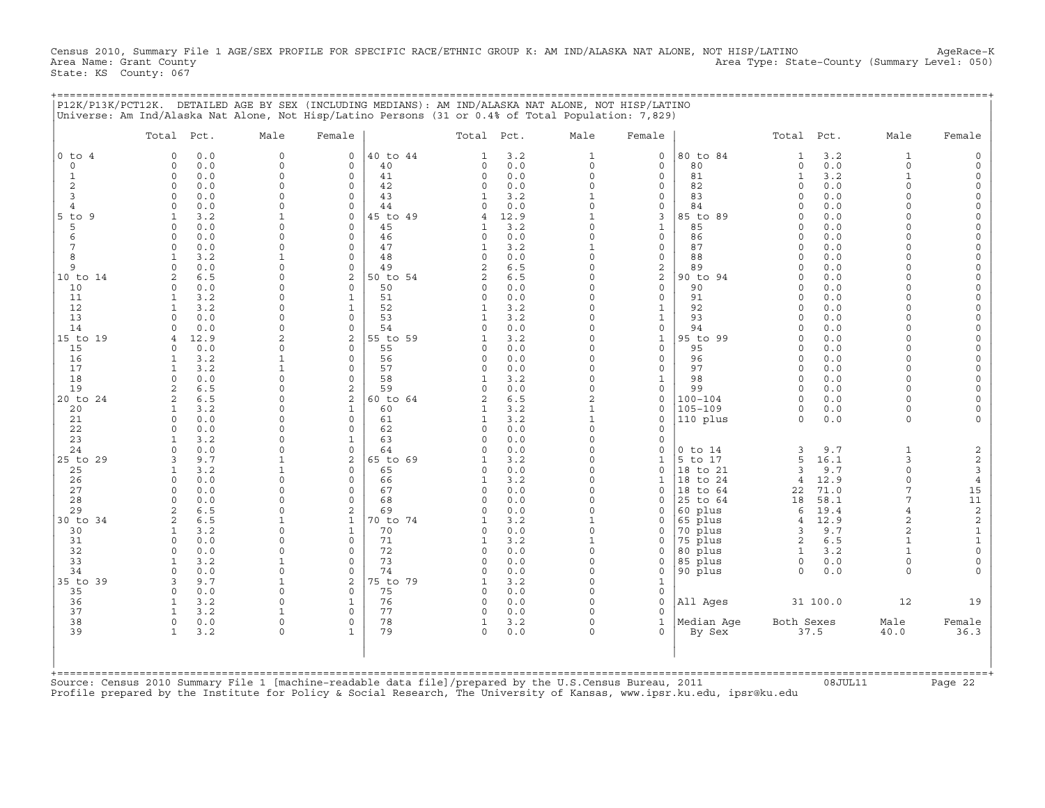Census 2010, Summary File 1 AGE/SEX PROFILE FOR SPECIFIC RACE/ETHNIC GROUP K: AM IND/ALASKA NAT ALONE, NOT HISP/LATINO AgeRace-K<br>Area Name: Grant County (summary Level: 050) Area Type: State-County (Summary Level: 050) State: KS County: 067

|                               | Total Pct.                 |            | Male                         | Female                      |          | Total Pct.               |             | Male                 | Female                      |                      | Total Pct.           |              | Male               | Female                    |
|-------------------------------|----------------------------|------------|------------------------------|-----------------------------|----------|--------------------------|-------------|----------------------|-----------------------------|----------------------|----------------------|--------------|--------------------|---------------------------|
| $0$ to $4$                    | $\circ$                    | 0.0        | $\Omega$                     | $\mathbf 0$                 | 40 to 44 | $\mathbf{1}$             | 3.2         | 1                    | $\mathbf 0$                 | 80 to 84             | $\mathbf{1}$         | 3.2          | $\mathbf{1}$       |                           |
| $\Omega$                      | $\Omega$                   | 0.0        | $\Omega$                     | $\Omega$                    | 40       | $\Omega$                 | 0.0         | $\Omega$             | $\mathbf 0$                 | 80                   | $\circ$              | 0.0          | $\Omega$           |                           |
| $\mathbf{1}$                  | $\circ$                    | 0.0        | $\Omega$                     | $\mathbf 0$                 | 41       | $\circ$                  | 0.0         | $\Omega$             | $\mathsf{O}$                | 81                   | $\mathbf{1}$         | 3.2          | $\mathbf{1}$       |                           |
| $\overline{c}$                | $\mathbf 0$                | 0.0        | $\Omega$                     | 0                           | 42       | $\Omega$                 | 0.0         |                      | 0                           | 82                   | $\Omega$             | 0.0          | $\Omega$           |                           |
| 3                             | $\Omega$<br>$\Omega$       | 0.0<br>0.0 | $\Omega$<br>$\Omega$         | $\Omega$<br>$\mathbf 0$     | 43<br>44 | $\Omega$                 | 3.2         | $\Omega$             | 0                           | 83<br>84             | $\Omega$<br>$\Omega$ | 0.0<br>0.0   | $\Omega$           | $\Omega$                  |
| $\overline{4}$<br>$5$ to<br>9 | 1                          | 3.2        | $\mathbf{1}$                 | $\Omega$                    | 45 to 49 |                          | 0.0<br>12.9 |                      | 0<br>3                      | 85 to 89             | $\Omega$             | 0.0          |                    |                           |
| 5                             | $\Omega$                   | 0.0        | $\Omega$                     | $\Omega$                    | 45       | $\mathbf{1}$             | 3.2         | $\Omega$             | $\mathbf{1}$                | 85                   | $\Omega$             | 0.0          | $\Omega$           |                           |
| 6                             | $\Omega$                   | 0.0        | $\Omega$                     | $\Omega$                    | 46       | $\Omega$                 | 0.0         | $\Omega$             | $\mathbf{0}$                | 86                   | $\Omega$             | 0.0          | $\cap$             | $\Omega$                  |
| $\overline{7}$                | $\circ$                    | 0.0        | $\Omega$                     | $\mathbf 0$                 | 47       | 1                        | 3.2         |                      | $\circ$                     | 87                   | $\Omega$             | 0.0          | $\Omega$           |                           |
| 8                             | 1                          | 3.2        | $\mathbf{1}$                 | 0                           | 48       | 0                        | 0.0         | $\Omega$             | 0                           | 88                   | $\Omega$             | 0.0          | $\Omega$           |                           |
| 9                             | $\circ$                    | 0.0        | $\Omega$                     | $\mathbf 0$                 | 49       | 2                        | 6.5         | $\Omega$             | 2                           | 89                   | $\Omega$             | 0.0          | $\Omega$           |                           |
| 10 to 14                      | $\overline{2}$             | 6.5        | $\Omega$                     | 2                           | 50 to 54 | 2                        | 6.5         |                      | 2                           | 90 to 94             | $\Omega$             | 0.0          | $\Omega$           | $\Omega$                  |
| 10<br>11                      | $\Omega$<br>1              | 0.0<br>3.2 | $\Omega$<br>$\Omega$         | $\Omega$<br>$\mathbf{1}$    | 50<br>51 | $\Omega$<br>$\Omega$     | 0.0<br>0.0  |                      | 0<br>$\mathbf 0$            | 90<br>91             | $\Omega$<br>$\Omega$ | 0.0<br>0.0   |                    |                           |
| 12                            | $\mathbf{1}$               | 3.2        | $\Omega$                     | $\mathbf{1}$                | 52       | $\mathbf{1}$             | 3.2         | $\Omega$             | $\mathbf{1}$                | 92                   | $\Omega$             | 0.0          | $\Omega$           |                           |
| 13                            | $\Omega$                   | 0.0        | $\Omega$                     | $\Omega$                    | 53       |                          | 3.2         |                      | $\mathbf{1}$                | 93                   | $\cap$               | 0.0          |                    | $\Omega$                  |
| 14                            | $\Omega$                   | 0.0        | $\Omega$                     | $\Omega$                    | 54       | $\Omega$                 | 0.0         | $\Omega$             | $\mathbf 0$                 | 94                   | $\Omega$             | 0.0          |                    |                           |
| 15 to 19                      | $\overline{4}$             | 12.9       | 2                            | 2                           | 55 to 59 | 1                        | 3.2         | $\Omega$             | $\mathbf{1}$                | 95 to 99             | 0                    | 0.0          | $\cap$             | $\Omega$                  |
| 15                            | $\Omega$                   | 0.0        | $\Omega$                     | $\Omega$                    | 55       | $\Omega$                 | 0.0         | $\Omega$             | 0                           | 95                   | $\Omega$             | 0.0          | $\Omega$           | $\Omega$                  |
| 16                            | 1                          | 3.2        | $\mathbf{1}$                 | $\mathbf 0$                 | 56       | 0                        | 0.0         |                      | $\mathsf{O}$                | 96                   | $\Omega$             | 0.0          | $\Omega$           |                           |
| 17                            | $\mathbf{1}$               | 3.2        | $\mathbf{1}$<br>$\Omega$     | $\Omega$                    | 57       | $\Omega$                 | 0.0         | $\Omega$             | $\circ$                     | 97                   | $\Omega$             | 0.0          | $\cap$<br>$\Omega$ |                           |
| 18<br>19                      | $\Omega$<br>$\overline{c}$ | 0.0<br>6.5 | $\Omega$                     | $\mathbf 0$<br>$\mathbf{2}$ | 58<br>59 | $\mathbf{1}$<br>$\Omega$ | 3.2<br>0.0  | $\Omega$<br>$\Omega$ | $\mathbf{1}$<br>$\mathbf 0$ | 98<br>99             | $\Omega$<br>$\Omega$ | 0.0<br>0.0   | $\cap$             |                           |
| 20 to 24                      | $\overline{a}$             | 6.5        | $\Omega$                     | $\overline{c}$              | 60 to 64 | $\mathfrak{D}$           | 6.5         |                      | $\circ$                     | $100 - 104$          | $\Omega$             | 0.0          | $\Omega$           |                           |
| 20                            | 1                          | 3.2        | $\Omega$                     | $\mathbf{1}$                | 60       |                          | 3.2         |                      | 0                           | $105 - 109$          | 0                    | 0.0          | $\Omega$           |                           |
| 21                            | $\Omega$                   | 0.0        | $\Omega$                     | $\Omega$                    | 61       | 1                        | 3.2         | $\mathbf{1}$         | $\mathbf 0$                 | 110 plus             | $\Omega$             | 0.0          | $\Omega$           |                           |
| 22                            | $\Omega$                   | 0.0        | $\Omega$                     | 0                           | 62       | $\Omega$                 | 0.0         | $\Omega$             | 0                           |                      |                      |              |                    |                           |
| 23                            | $\mathbf{1}$               | 3.2        | $\cap$                       | $\mathbf{1}$                | 63       | $\Omega$                 | 0.0         | $\Omega$             | $\mathbf 0$                 |                      |                      |              |                    |                           |
| 24                            | $\Omega$                   | 0.0        | $\Omega$                     | $\mathbf 0$                 | 64       | $\Omega$                 | 0.0         | $\Omega$             | 0                           | $0$ to $14$          | 3                    | 9.7          | 1                  | 2                         |
| 25 to 29                      | 3                          | 9.7        | $\mathbf{1}$<br>$\mathbf{1}$ | 2                           | 65 to 69 |                          | 3.2         | $\Omega$             | $\mathbf{1}$                | 5 to 17              | 5                    | 16.1         | 3<br>$\Omega$      | $\boldsymbol{2}$          |
| 25<br>26                      | 1<br>$\circ$               | 3.2<br>0.0 | $\Omega$                     | $\Omega$<br>$\mathbf 0$     | 65<br>66 | $\Omega$<br>1            | 0.0<br>3.2  | $\Omega$<br>$\Omega$ | $\circ$<br>1                | 18 to 21<br>18 to 24 | 3<br>$\overline{4}$  | 9.7          | $\Omega$           | $\ensuremath{\mathsf{3}}$ |
| 27                            | $\circ$                    | 0.0        | $\Omega$                     | 0                           | 67       | 0                        | 0.0         | $\Omega$             | 0                           | 18 to 64             | 22                   | 12.9<br>71.0 | 7                  | $\,4$<br>15               |
| 28                            | $\Omega$                   | 0.0        | $\Omega$                     | $\mathbf 0$                 | 68       | $\Omega$                 | 0.0         |                      | 0                           | 25 to 64             | 18                   | 58.1         | 7                  | $11\,$                    |
| 29                            | $\overline{2}$             | 6.5        | $\Omega$                     | 2                           | 69       |                          | 0.0         | $\Omega$             | 0                           | 60 plus              | 6                    | 19.4         | $\overline{4}$     | $\sqrt{2}$                |
| 30 to 34                      | $\overline{a}$             | 6.5        |                              | $\mathbf{1}$                | 70 to 74 |                          | 3.2         |                      | 0                           | 65 plus              | 4                    | 12.9         | $\overline{2}$     | $\sqrt{2}$                |
| 30                            | 1                          | 3.2        | $\Omega$                     | $\mathbf{1}$                | 70       | $\Omega$                 | 0.0         | $\Omega$             | 0                           | 70 plus              | 3                    | 9.7          | $\overline{a}$     | $\mathbf 1$               |
| 31                            | $\Omega$                   | 0.0        | $\cap$                       | $\Omega$                    | 71       | 1                        | 3.2         |                      | $\Omega$                    | 75 plus              | 2                    | 6.5          | $\mathbf{1}$       | $\mathbf 1$               |
| 32                            | $\Omega$                   | 0.0        | $\Omega$<br>$\mathbf{1}$     | $\Omega$                    | 72       | $\Omega$                 | 0.0         | $\Omega$<br>$\Omega$ | 0                           | 80 plus              | $\mathbf{1}$         | 3.2          | $\Omega$           | $\mathsf{O}\xspace$       |
| 33<br>34                      | 1<br>$\Omega$              | 3.2<br>0.0 | $\Omega$                     | 0<br>$\mathbf 0$            | 73<br>74 | $\Omega$<br>$\Omega$     | 0.0<br>0.0  | $\Omega$             | 0<br>0                      | 85 plus<br>90 plus   | 0<br>$\Omega$        | 0.0<br>0.0   | $\Omega$           | $\mathbf 0$               |
| 35 to 39                      | 3                          | 9.7        | $\mathbf{1}$                 | $\mathbf{2}$                | 75 to 79 | 1                        | 3.2         |                      | $\mathbf{1}$                |                      |                      |              |                    |                           |
| 35                            | $\Omega$                   | 0.0        | $\Omega$                     | $\Omega$                    | 75       | $\Omega$                 | 0.0         | $\Omega$             | $\mathbf{0}$                |                      |                      |              |                    |                           |
| 36                            | $\mathbf{1}$               | 3.2        | $\Omega$                     | $\mathbf{1}$                | 76       | $\Omega$                 | 0.0         | $\Omega$             | $\mathbf 0$                 | All Ages             |                      | 31 100.0     | 12                 | 19                        |
| 37                            | $\mathbf{1}$               | 3.2        | $\mathbf{1}$                 | $\Omega$                    | 77       | $\Omega$                 | 0.0         |                      | $\Omega$                    |                      |                      |              |                    |                           |
| 38                            | $\circ$                    | 0.0        | $\Omega$                     | $\mathbf 0$                 | 78       | 1                        | 3.2         | $\Omega$             | $\mathbf{1}$                | Median Aqe           | Both Sexes           |              | Male               | Female                    |
| 39                            | $\mathbf{1}$               | 3.2        | $\Omega$                     | $\mathbf{1}$                | 79       | $\Omega$                 | 0.0         | $\Omega$             | 0                           | By Sex               |                      | 37.5         | 40.0               | 36.3                      |
| +===========                  |                            |            |                              |                             |          |                          |             |                      |                             |                      |                      |              |                    |                           |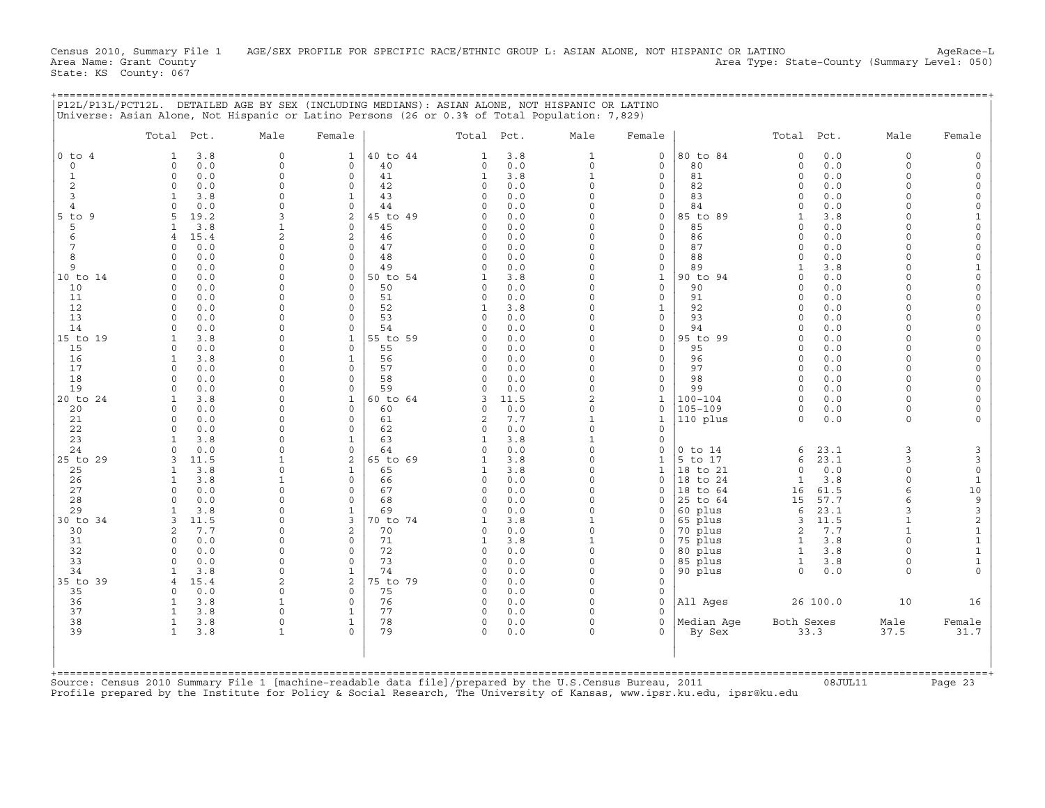Census 2010, Summary File 1 AGE/SEX PROFILE FOR SPECIFIC RACE/ETHNIC GROUP L: ASIAN ALONE, NOT HISPANIC OR LATINO AgeRace-L<br>Area Name: Grant County (summary Level: 050) Area Type: State-County (Summary Level: 050) State: KS County: 067

|                | Total Pct.               |             | Male                     | Female                   |                | Total Pct.              |            | Male                 | Female                       |                    | Total Pct.           |              | Male                 | Female                                  |
|----------------|--------------------------|-------------|--------------------------|--------------------------|----------------|-------------------------|------------|----------------------|------------------------------|--------------------|----------------------|--------------|----------------------|-----------------------------------------|
| $0$ to $4$     | -1                       | 3.8         | $\circ$                  | $\mathbf{1}$             | 40 to 44       | $\mathbf{1}$            | 3.8        | 1                    | $\mathbf 0$                  | 80 to 84           | $\circ$              | 0.0          | $\Omega$             |                                         |
| $\circ$        | $\Omega$                 | 0.0         | $\Omega$                 | $\Omega$                 | 40             | $\Omega$                | 0.0        | $\Omega$             | $\mathbf 0$                  | 80                 | $\circ$              | 0.0          | $\Omega$             |                                         |
| $\mathbf{1}$   | $\Omega$                 | 0.0         | $\Omega$                 | $\mathbf 0$              | 41             | $\mathbf{1}$            | 3.8        | $\mathbf{1}$         | $\mathbf 0$                  | 81                 | $\circ$              | 0.0          | $\Omega$             |                                         |
| 2              | $\Omega$<br>$\mathbf{1}$ | 0.0         | $\mathbf 0$<br>$\Omega$  | 0<br>$\mathbf{1}$        | 42<br>43       | $\Omega$<br>$\Omega$    | 0.0        | $\Omega$<br>$\Omega$ | 0                            | 82                 | $\Omega$<br>$\Omega$ | 0.0<br>0.0   | $\Omega$<br>$\Omega$ | $\Omega$                                |
| 3<br>4         | $\cap$                   | 3.8<br>0.0  |                          | $\mathbf 0$              | 44             |                         | 0.0<br>0.0 |                      | 0<br>0                       | 83<br>84           | $\Omega$             | 0.0          |                      | $\Omega$                                |
| $5$ to $9$     | 5                        | 19.2        | $\mathcal{R}$            | $\overline{2}$           | 45 to 49       | $\cap$                  | 0.0        | $\Omega$             | $\Omega$                     | 85 to 89           | 1                    | 3.8          |                      |                                         |
| 5              | $\mathbf{1}$             | 3.8         | $\mathbf{1}$             | $\mathbf 0$              | 45             | $\Omega$                | 0.0        | $\Omega$             | $\mathbf 0$                  | 85                 | $\Omega$             | 0.0          | $\Omega$             | $\Omega$                                |
| 6              | $\overline{4}$           | 15.4        | $\overline{2}$           | $\overline{a}$           | 46             | $\Omega$                | 0.0        | $\Omega$             | $\mathbf 0$                  | 86                 | $\Omega$             | 0.0          | $\Omega$             | $\Omega$                                |
| 7              | $\Omega$                 | 0.0         | $\Omega$                 | 0                        | 47             | $\circ$                 | 0.0        |                      | 0                            | 87                 | $\Omega$             | 0.0          | $\Omega$             | $\Omega$                                |
| 8              | $\Omega$                 | 0.0         | $\Omega$                 | 0                        | 48             | $\Omega$                | 0.0        |                      | 0                            | 88                 | 0                    | 0.0          | $\Omega$             | $\mathbf 0$                             |
| 9              |                          | 0.0         | $\Omega$<br>$\Omega$     | $\mathbf 0$<br>0         | 49<br>50 to 54 | $\Omega$                | 0.0        | $\Omega$             | $\mathbf 0$                  | 89<br>90 to 94     | 1<br>$\Omega$        | 3.8<br>0.0   | $\Omega$<br>$\Omega$ | 1<br>$\Omega$                           |
| 10 to 14<br>10 | $\Omega$                 | 0.0<br>0.0  | $\Omega$                 | $\Omega$                 | 50             | $\Omega$                | 3.8<br>0.0 |                      | $\mathbf{1}$<br>$\mathbf 0$  | 90                 | $\Omega$             | 0.0          |                      | $\Omega$                                |
| 11             | $\Omega$                 | 0.0         | $\Omega$                 | $\Omega$                 | 51             | $\Omega$                | 0.0        |                      | $\mathbf{0}$                 | 91                 | $\Omega$             | 0.0          |                      |                                         |
| 12             | $\Omega$                 | 0.0         | $\Omega$                 | $\Omega$                 | 52             | $\mathbf{1}$            | 3.8        | $\Omega$             | $\mathbf{1}$                 | 92                 | $\Omega$             | 0.0          | $\Omega$             |                                         |
| 13             | $\cap$                   | 0.0         | $\Omega$                 | $\Omega$                 | 53             | $\Omega$                | 0.0        |                      | $\Omega$                     | 93                 | $\cap$               | 0.0          |                      | $\Omega$                                |
| 14             | $\Omega$                 | 0.0         | $\Omega$                 | $\mathbf 0$              | 54             | <sup>0</sup>            | 0.0        | $\Omega$             | 0                            | 94                 | $\Omega$             | $0.0$        |                      |                                         |
| 15 to 19       | 1                        | 3.8         | $\Omega$                 | $\mathbf{1}$             | 55 to 59       | $\Omega$                | 0.0        | $\Omega$             | $\mathsf{O}$                 | 95 to 99           | 0                    | 0.0          | $\Omega$             | $\Omega$                                |
| 15             | $\Omega$<br>$\mathbf{1}$ | 0.0         | $\Omega$<br>$\Omega$     | 0                        | 55             | $\Omega$                | 0.0        | $\Omega$             | $\mathbf 0$                  | 95                 | $\Omega$<br>$\Omega$ | 0.0          | $\Omega$<br>$\Omega$ | $\Omega$                                |
| 16<br>17       | $\Omega$                 | 3.8<br>0.0  | $\Omega$                 | $\mathbf{1}$<br>$\Omega$ | 56<br>57       | 0<br>$\Omega$           | 0.0<br>0.0 |                      | $\mathsf{O}$<br>$\mathbf{0}$ | 96<br>97           | $\Omega$             | 0.0<br>0.0   | $\Omega$             |                                         |
| 18             | $\Omega$                 | 0.0         | $\Omega$                 | 0                        | 58             | $\Omega$                | 0.0        | $\Omega$             | $\mathbf{0}$                 | 98                 | $\Omega$             | 0.0          | $\Omega$             |                                         |
| 19             | $\Omega$                 | 0.0         | $\Omega$                 | 0                        | 59             | $\Omega$                | 0.0        | $\Omega$             | $\mathbf 0$                  | 99                 | $\Omega$             | 0.0          | $\Omega$             | $\Omega$                                |
| 20 to 24       |                          | 3.8         | $\Omega$                 | $\mathbf{1}$             | 60 to 64       | 3                       | 11.5       | $\overline{2}$       | $\mathbf{1}$                 | $100 - 104$        | $\Omega$             | 0.0          | $\Omega$             |                                         |
| 20             | $\Omega$                 | 0.0         | $\Omega$                 | $\Omega$                 | 60             |                         | 0.0        | $\Omega$             | 0                            | $105 - 109$        | 0                    | 0.0          | $\Omega$             |                                         |
| 21             | $\Omega$                 | 0.0         | $\Omega$                 | $\Omega$                 | 61             | 2                       | 7.7        | 1                    | $\mathbf{1}$                 | 110 plus           | 0                    | 0.0          | $\Omega$             |                                         |
| 22             | $\Omega$<br>$\mathbf{1}$ | 0.0<br>3.8  | $\Omega$<br>$\Omega$     | 0<br>$\mathbf{1}$        | 62<br>63       | $\Omega$<br>1           | 0.0        | $\Omega$             | 0<br>$\Omega$                |                    |                      |              |                      |                                         |
| 23<br>24       | $\Omega$                 | 0.0         | $\Omega$                 | $\mathbf 0$              | 64             | $\Omega$                | 3.8<br>0.0 | $\Omega$             | 0                            | $0$ to $14$        | 6                    | 23.1         | 3                    | 3                                       |
| 25 to 29       | 3                        | 11.5        | $\mathbf{1}$             | $\overline{a}$           | 65 to 69       | $\mathbf{1}$            | 3.8        | $\Omega$             | $\mathbf 1$                  | 5 to 17            | 6                    | 23.1         | 3                    | $\overline{3}$                          |
| 25             | $\mathbf{1}$             | 3.8         | $\Omega$                 | $\mathbf{1}$             | 65             |                         | 3.8        | $\Omega$             | $\mathbf 1$                  | 18 to 21           | $\circ$              | 0.0          | $\Omega$             | $\mathsf{O}\xspace$                     |
| 26             | 1                        | 3.8         | $\mathbf{1}$             | 0                        | 66             | 0                       | 0.0        |                      | 0                            | 18 to 24           | 1                    | 3.8          | $\Omega$             | $\mathbf{1}$                            |
| 27             | $\mathbf 0$              | 0.0         | $\Omega$                 | 0                        | 67             | 0                       | 0.0        | $\Omega$             | 0                            | 18 to 64           | 16                   | 61.5         | 6                    | 10                                      |
| 28             | $\Omega$                 | 0.0         | $\Omega$                 | 0                        | 68             | $\Omega$                | 0.0        |                      | $\Omega$                     | 25 to 64           | 15                   | 57.7         |                      | $\mathsf 9$                             |
| 29<br>30 to 34 | $\mathbf{1}$<br>3        | 3.8<br>11.5 | $\Omega$<br>$\Omega$     | $\mathbf{1}$<br>3        | 69<br>70 to 74 | $\Omega$<br>1           | 0.0<br>3.8 |                      | $\Omega$<br>0                | 60 plus            | 6<br>3               | 23.1<br>11.5 |                      | $\ensuremath{\mathsf{3}}$<br>$\sqrt{2}$ |
| 30             | 2                        | 7.7         | $\Omega$                 | $\overline{2}$           | 70             | $\Omega$                | 0.0        | $\Omega$             | $\Omega$                     | 65 plus<br>70 plus | $\overline{c}$       | 7.7          | $\mathbf{1}$         | $\mathbf{1}$                            |
| 31             | $\cap$                   | 0.0         | $\Omega$                 | $\Omega$                 | 71             | 1                       | 3.8        |                      | 0                            | 75 plus            | $\mathbf{1}$         | 3.8          |                      | $\mathbf 1$                             |
| 32             | $\Omega$                 | 0.0         | $\Omega$                 | 0                        | 72             | $\Omega$                | 0.0        | $\Omega$             | $\Omega$                     | 80 plus            | $\mathbf{1}$         | 3.8          |                      | $\mathbf{1}$                            |
| 33             | $\Omega$                 | 0.0         | $\Omega$                 | 0                        | 73             | $\Omega$                | 0.0        | $\Omega$             | 0                            | 85 plus            | 1                    | 3.8          | $\Omega$             | $\mathbf 1$                             |
| 34             | -1                       | 3.8         | $\Omega$                 | $\mathbf{1}$             | 74             | $\Omega$                | 0.0        | $\Omega$             | 0                            | 90 plus            | $\Omega$             | 0.0          | $\Omega$             |                                         |
| 35 to 39       | $\overline{4}$           | 15.4        | $\overline{a}$           | 2                        | 75 to 79       | $\Omega$                | 0.0        | $\Omega$             | 0                            |                    |                      |              |                      |                                         |
| 35<br>36       | $\Omega$<br>$\mathbf{1}$ | 0.0<br>3.8  | $\Omega$<br>$\mathbf{1}$ | $\Omega$<br>$\mathbf 0$  | 75<br>76       | $\Omega$<br>$\mathbf 0$ | 0.0<br>0.0 | $\Omega$<br>$\Omega$ | $\mathbf 0$<br>$\mathbf{0}$  | All Ages           |                      | 26 100.0     | 10                   | 16                                      |
| 37             | $\mathbf{1}$             | 3.8         | $\Omega$                 | $\mathbf{1}$             | 77             | $\Omega$                | 0.0        |                      | $\Omega$                     |                    |                      |              |                      |                                         |
| 38             | $\mathbf{1}$             | 3.8         | $\Omega$                 | $\mathbf{1}$             | 78             | 0                       | 0.0        | $\Omega$             | $\circ$                      | Median Aqe         | Both Sexes           |              | Male                 | Female                                  |
| 39             | 1                        | 3.8         | $\mathbf{1}$             | $\Omega$                 | 79             | $\Omega$                | 0.0        |                      | $\Omega$                     | By Sex             |                      | 33.3         | 37.5                 | 31.7                                    |
|                |                          |             |                          |                          |                |                         |            |                      |                              |                    |                      |              |                      |                                         |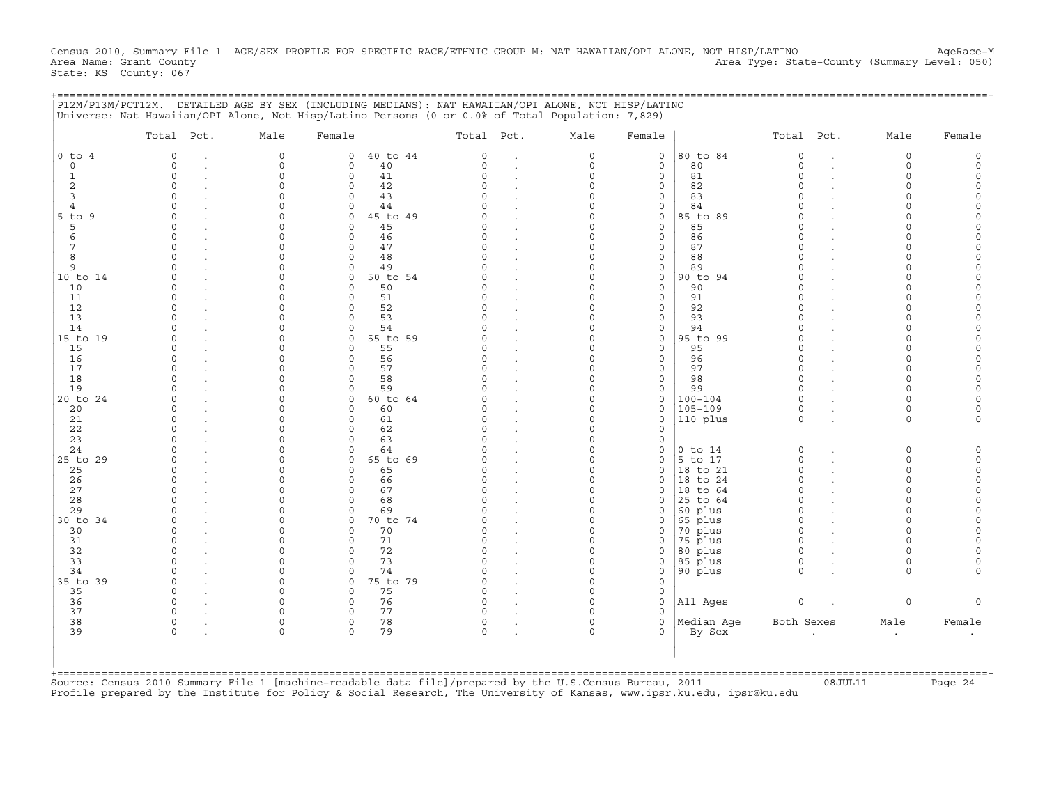Census 2010, Summary File 1 AGE/SEX PROFILE FOR SPECIFIC RACE/ETHNIC GROUP M: NAT HAWAIIAN/OPI ALONE, NOT HISP/LATINO AgeRace-M<br>Area Name: Grant County (summary Level: 050) Area Type: State-County (Summary Level: 050) State: KS County: 067

| $0$ to $4$     |          |          |                         |                |          |                      |                      |                    |                      |                      |        |
|----------------|----------|----------|-------------------------|----------------|----------|----------------------|----------------------|--------------------|----------------------|----------------------|--------|
|                | $\Omega$ | $\circ$  | $\mathbf 0$             | 40 to 44       | $\Omega$ | $\Omega$             | $\mathbf 0$          | 80 to 84           | $\circ$              | $\circ$              |        |
|                | $\Omega$ | $\Omega$ | $\mathbf 0$             | 40             | $\Omega$ | $\Omega$             | $\mathbf{0}$         | 80                 | $\Omega$             | $\Omega$             |        |
|                | $\Omega$ | $\Omega$ | $\mathbf 0$             | 41             |          | $\Omega$             | 0                    | 81                 | $\Omega$             | $\Omega$             |        |
|                | $\Omega$ | $\Omega$ | 0                       | 42             |          | $\Omega$             | 0                    | 82                 |                      | $\Omega$             |        |
|                | $\Omega$ |          | 0                       | 43             |          | $\Omega$             | 0                    | 83                 | $\cap$               | $\cap$               |        |
|                | $\cap$   |          | $\mathbf 0$             | 44             |          | $\Omega$             | 0                    | 84                 |                      |                      |        |
| $5$ to<br>9    | $\cap$   |          | $\Omega$                | 45 to 49       |          | $\Omega$             | 0                    | 85 to 89           |                      |                      |        |
|                | $\cap$   | $\cap$   | $\mathbf 0$             | 45             |          | $\Omega$             | 0                    | 85                 | $\Omega$             | $\cap$               |        |
|                | $\cap$   |          | $\mathbf 0$             | 46             |          | $\Omega$             | 0                    | 86                 | $\Omega$             | $\cap$               |        |
|                | $\Omega$ | $\cap$   | $\mathbf 0$             | 47             |          | $\Omega$             | 0                    | 87                 |                      | $\Omega$             |        |
|                |          |          | $\mathbf 0$             | 48             |          | $\Omega$             | 0                    | 88                 | $\cap$               |                      |        |
|                |          | O        | $\mathbf 0$             | 49             |          | $\Omega$             | 0                    | 89                 | $\Omega$             | $\Omega$             |        |
| 10 to 14       |          | $\cap$   | $\mathbf 0$             | 50 to 54       |          | $\Omega$             | 0                    | 90 to 94           | $\cap$               | $\Omega$             |        |
| 10             |          |          | $\Omega$                | 50             |          | $\Omega$             | 0                    | 90                 |                      |                      |        |
| 11             |          |          | $\Omega$                | 51             |          | $\Omega$             | $\mathbf 0$          | 91                 | $\Omega$             |                      |        |
| 12             |          |          | $\Omega$                | 52             |          | $\Omega$             | 0                    | 92                 | $\Omega$             |                      |        |
| 13             |          |          | $\Omega$                | 53             |          | $\Omega$             | 0                    | 93                 |                      |                      |        |
| 14             |          |          | $\mathbf 0$             | 54             |          | $\Omega$             | 0                    | 94                 |                      |                      |        |
| 15 to 19       | n        |          | 0                       | 55 to 59       |          | $\Omega$             | 0                    | 95 to 99           | $\Omega$             | $\cap$               |        |
| 15             |          |          | $\mathbf 0$             | 55             |          | $\Omega$             | $\mathbf{0}$         | 95                 | $\cap$               | $\cap$               |        |
| 16             | $\cap$   |          | $\mathbf 0$             | 56             |          | $\Omega$             | $\mathbf{0}$         | 96                 | $\Omega$             | $\Omega$             |        |
| 17             | $\cap$   |          | $\Omega$                | 57             |          | $\Omega$             | $\mathbf{0}$         | 97                 | $\cap$               | $\Omega$             |        |
| 18             |          | $\cap$   | $\mathbf 0$             | 58             |          | $\Omega$             | $\mathbf{0}$         | 98                 | $\Omega$             | $\Omega$             |        |
| 19             |          | $\cap$   | $\mathbf 0$             | 59             |          | $\Omega$             | 0                    | 99                 | $\cap$               | $\Omega$             |        |
| 20 to 24       |          |          | $\mathbf 0$             | 60 to 64       |          | $\Omega$             | $\mathbf{0}$         | $100 - 104$        | $\Omega$             | $\Omega$             |        |
| 20             |          |          | $\Omega$                | 60             |          | $\Omega$             | 0                    | $105 - 109$        | $\Omega$             | $\Omega$             |        |
| 21             | $\Omega$ |          | $\mathbf 0$             | 61             |          | $\Omega$             | 0                    | 110 plus           | $\Omega$             | $\Omega$             |        |
| 22             |          |          | $\Omega$                | 62             |          | $\Omega$             | 0                    |                    |                      |                      |        |
| 23             |          |          | $\Omega$                | 63             |          | $\Omega$             | 0                    |                    |                      |                      |        |
| 24             |          | $\cap$   | $\Omega$                | 64             |          | $\Omega$             | 0                    | $0$ to $14$        | $\Omega$             | $\Omega$             |        |
| 25 to 29       |          | $\cap$   | $\mathbf 0$             | 65 to 69       |          | $\Omega$             | 0                    | 5 to 17            | $\Omega$             | $\Omega$             |        |
| 25             | $\cap$   | $\cap$   | $\Omega$                | 65             |          | $\Omega$             | 0                    | 18 to 21           | $\cap$               | $\Omega$             |        |
| 26             | $\Omega$ |          | $\mathbf 0$             | 66             |          | $\Omega$             | 0                    | 18 to 24           | $\Omega$<br>$\Omega$ | $\Omega$<br>$\Omega$ |        |
| 27             | $\Omega$ | O        | 0                       | 67             |          | 0                    | 0                    | 18 to 64           | $\Omega$             | $\Omega$             |        |
| 28<br>29       |          |          | $\mathbf 0$             | 68             |          | $\Omega$<br>$\Omega$ | $\Omega$             | 25 to 64           | $\cap$               | $\Omega$             |        |
|                |          |          | $\mathbf 0$<br>$\Omega$ | 69             |          | $\Omega$             | $\Omega$             | 60 plus            | $\Omega$             |                      |        |
| 30 to 34<br>30 |          |          | $\Omega$                | 70 to 74<br>70 |          | $\Omega$             | $\Omega$<br>$\Omega$ | 65 plus<br>70 plus | $\Omega$             |                      |        |
| 31             | $\cap$   |          | $\Omega$                | 71             |          | $\Omega$             |                      | 75 plus            | $\Omega$             |                      |        |
| 32             |          |          | $\mathbf 0$             | 72             |          | $\Omega$             | 0<br>$\Omega$        | 80 plus            | $\Omega$             |                      |        |
| 33             |          |          | $\Omega$                | 73             |          | 0                    | 0                    | 85 plus            | $\Omega$             | $\Omega$             |        |
| 34             | $\Omega$ | $\cap$   | $\mathbf 0$             | 74             |          | $\Omega$             | 0                    | 90 plus            | $\cap$               | $\cap$               |        |
| 35 to 39       | $\Omega$ | $\cap$   | $\mathbf 0$             | 75 to 79       |          | $\Omega$             | 0                    |                    |                      |                      |        |
| 35             | $\Omega$ | $\cap$   | $\Omega$                | 75             |          | $\Omega$             | 0                    |                    |                      |                      |        |
| 36             | $\Omega$ | $\cap$   | $\mathbf 0$             | 76             | $\cap$   | $\Omega$             | $\mathbf{0}$         | All Ages           | $\circ$              | $\circ$              |        |
| 37             |          |          | $\Omega$                | 77             |          |                      | $\Omega$             |                    |                      |                      |        |
| 38             | $\circ$  | $\Omega$ | 0                       | 78             | $\Omega$ | $\Omega$             | $\mathbf{0}$         | Median Age         | Both Sexes           | Male                 | Female |
| 39             | $\Omega$ | $\cap$   | $\Omega$                | 79             |          | $\Omega$             | 0                    | By Sex             |                      |                      |        |
|                |          |          |                         |                |          |                      |                      |                    |                      |                      |        |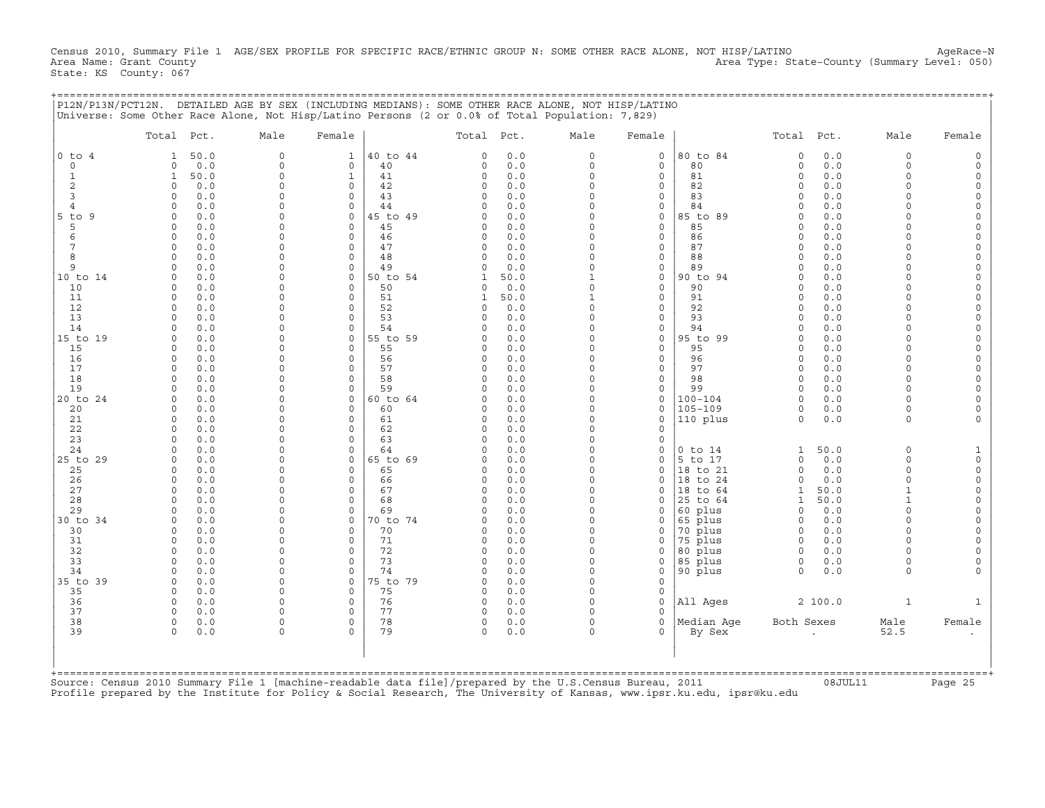Census 2010, Summary File 1 AGE/SEX PROFILE FOR SPECIFIC RACE/ETHNIC GROUP N: SOME OTHER RACE ALONE, NOT HISP/LATINO AgeRace-N<br>Area Name: Grant County Level: 050) Area Type: State-County (Summary Level: 050) Area Type: State-County (Summary Level: 050) State: KS County: 067

+===================================================================================================================================================+

|P12N/P13N/PCT12N. DETAILED AGE BY SEX (INCLUDING MEDIANS): SOME OTHER RACE ALONE, NOT HISP/LATINO | |Universe: Some Other Race Alone, Not Hisp/Latino Persons (2 or 0.0% of Total Population: 7,829) | | | | Total Pct. Male Female | Total Pct. Male Female | Total Pct. Male Female | | | | | |0 to 4 1 50.0 0 1 |40 to 44 0 0.0 0 0 |80 to 84 0 0.0 0 0 | | 0 0 0.0 0 0 | 40 0 0.0 0 0 | 80 0 0.0 0 0 | | 1 1 50.0 0 1 | 41 0 0.0 0 0 | 81 0 0.0 0 0 | | 2 0 0.0 0 0 | 42 0 0.0 0 0 | 82 0 0.0 0 0 | | 3 0 0.0 0 0 | 43 0 0.0 0 0 | 83 0 0.0 0 0 | | 4 0 0.0 0 0 | 44 0 0.0 0 0 | 84 0 0.0 0 0 | |5 to 9 0 0.0 0 0 |45 to 49 0 0.0 0 0 |85 to 89 0 0.0 0 0 | | 5 0 0.0 0 0 | 45 0 0.0 0 0 | 85 0 0.0 0 0 | | 6 0 0.0 0 0 | 46 0 0.0 0 0 | 86 0 0.0 0 0 | | 7 0 0.0 0 0 | 47 0 0.0 0 0 | 87 0 0.0 0 0 | | 8 0 0.0 0 0 | 48 0 0.0 0 0 | 88 0 0.0 0 0 | | 9 0 0.0 0 0 | 49 0 0.0 0 0 | 89 0 0.0 0 0 | |10 to 14 0 0.0 0 0 |50 to 54 1 50.0 1 0 |90 to 94 0 0.0 0 0 | | 10 0 0.0 0 0 | 50 0 0.0 0 0 | 90 0 0.0 0 0 | | 11 0 0.0 0 0 | 51 1 50.0 1 0 | 91 0 0.0 0 0 | | 12 0 0.0 0 0 | 52 0 0.0 0 0 | 92 0 0.0 0 0 | | 13 0 0.0 0 0 | 53 0 0.0 0 0 | 93 0 0.0 0 0 | | 14 0 0.0 0 0 | 54 0 0.0 0 0 | 94 0 0.0 0 0 | |15 to 19 0 0.0 0 0 |55 to 59 0 0.0 0 0 |95 to 99 0 0.0 0 0 | | 15 0 0.0 0 0 | 55 0 0.0 0 0 | 95 0 0.0 0 0 | | 16 0 0.0 0 0 | 56 0 0.0 0 0 | 96 0 0.0 0 0 | | 17 0 0.0 0 0 | 57 0 0.0 0 0 | 97 0 0.0 0 0 | | 18 0 0.0 0 0 | 58 0 0.0 0 0 | 98 0 0.0 0 0 | | 19 0 0.0 0 0 | 59 0 0.0 0 0 | 99 0 0.0 0 0 | |20 to 24 0 0.0 0 0 |60 to 64 0 0.0 0 0 |100−104 0 0.0 0 0 | | 20 0 0.0 0 0 | 60 0 0.0 0 0 |105−109 0 0.0 0 0 | | 21 0 0.0 0 0 | 61 0 0.0 0 0 |110 plus 0 0.0 0 0 | | 22 0 0.0 0 0 | 62 0 0.0 0 0 | | | 23 0 0.0 0 0 | 63 0 0.0 0 0 | | | 24 0 0.0 0 0 | 64 0 0.0 0 0 |0 to 14 1 50.0 0 1 | |25 to 29 0 0.0 0 0 |65 to 69 0 0.0 0 0 |5 to 17 0 0.0 0 0 | | 25 0 0.0 0 0 | 65 0 0.0 0 0 |18 to 21 0 0.0 0 0 | | 26 0 0.0 0 0 | 66 0 0.0 0 0 |18 to 24 0 0.0 0 0 | | 27 0 0.0 0 0 | 67 0 0.0 0 0 |18 to 64 1 50.0 1 0 | | 28 0 0.0 0 0 | 68 0 0.0 0 0 |25 to 64 1 50.0 1 0 | | 29 0 0.0 0 0 | 69 0 0.0 0 0 |60 plus 0 0.0 0 0 | |30 to 34 0 0.0 0 0 |70 to 74 0 0.0 0 0 |65 plus 0 0.0 0 0 | | 30 0 0.0 0 0 | 70 0 0.0 0 0 |70 plus 0 0.0 0 0 | | 31 0 0.0 0 0 | 71 0 0.0 0 0 |75 plus 0 0.0 0 0 | | 32 0 0.0 0 0 | 72 0 0.0 0 0 |80 plus 0 0.0 0 0 | | 33 0 0.0 0 0 | 73 0 0.0 0 0 |85 plus 0 0.0 0 0 | | 34 0 0.0 0 0 | 74 0 0.0 0 0 |90 plus 0 0.0 0 0 | |35 to 39 0 0.0 0 0 |75 to 79 0 0.0 0 0 | | | 35 0 0.0 0 0 | 75 0 0.0 0 0 | | | 36 0 0.0 0 0 | 76 0 0.0 0 0 |All Ages 2 100.0 1 1 | | 37 0 0.0 0 0 | 77 0 0.0 0 0 | | | 38 0 0.0 0 0 | 78 0 0.0 0 0 |Median Age Both Sexes Male Female | | 39 0 0.0 0 0 | 79 0 0.0 0 0 | By Sex . 52.5 . | | | | | | | | | | | +===================================================================================================================================================+Source: Census 2010 Summary File 1 [machine−readable data file]/prepared by the U.S.Census Bureau, 2011 08JUL11 Page 25

Profile prepared by the Institute for Policy & Social Research, The University of Kansas, www.ipsr.ku.edu, ipsr@ku.edu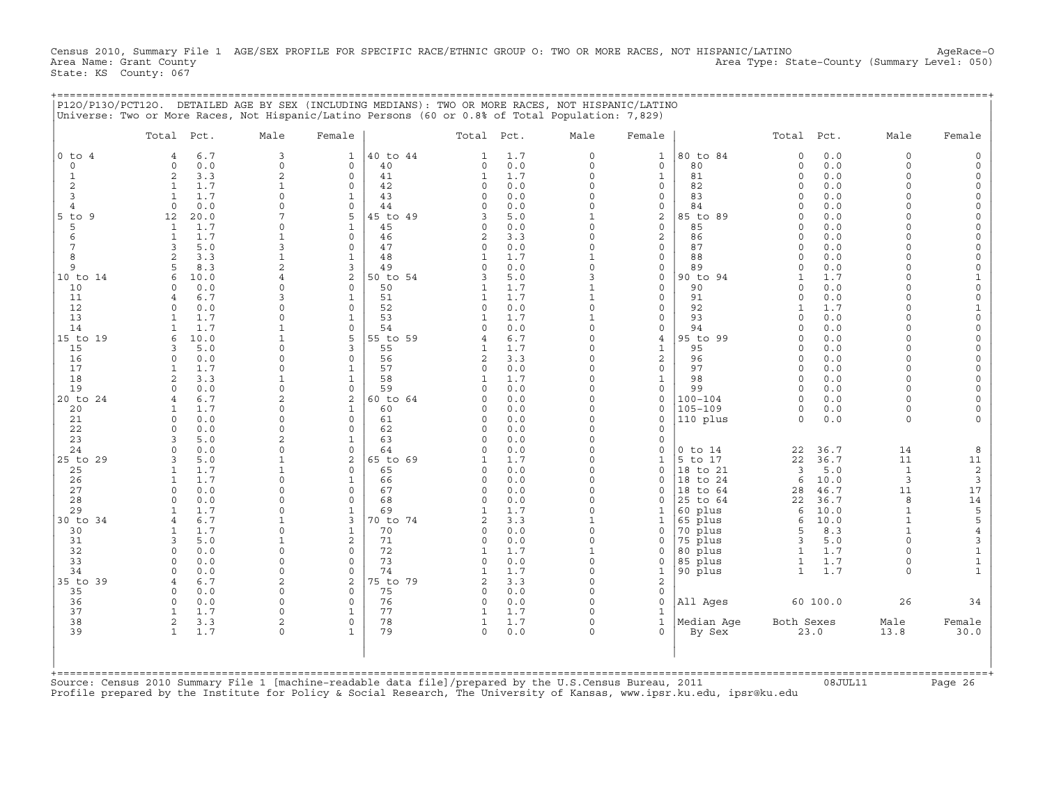Census 2010, Summary File 1 AGE/SEX PROFILE FOR SPECIFIC RACE/ETHNIC GROUP O: TWO OR MORE RACES, NOT HISPANIC/LATINO AgeRace-O<br>Area Name: Grant County (summary Level: 050) Area Type: State-County (Summary Level: 050) State: KS County: 067

|                                                                                                         | Total Pct.                 |            | Male                       | Female                   |                | Total Pct.               |              | Male                     | Female                  |                            | Total Pct.           |              | Male                 | Female                      |
|---------------------------------------------------------------------------------------------------------|----------------------------|------------|----------------------------|--------------------------|----------------|--------------------------|--------------|--------------------------|-------------------------|----------------------------|----------------------|--------------|----------------------|-----------------------------|
| $0$ to $4$                                                                                              | 4                          | 6.7        | 3                          | 1                        | 40 to 44       | $\mathbf{1}$             | 1.7          | $\Omega$                 | $\mathbf{1}$            | 80 to 84                   | $\circ$              | 0.0          | $\Omega$             |                             |
| $\Omega$                                                                                                | $\Omega$                   | 0.0        | $\Omega$                   | $\mathbf 0$              | 40             | $\circ$                  | 0.0          | $\Omega$                 | $\mathbf 0$             | 80                         | $\Omega$             | 0.0          | $\Omega$             |                             |
| $\mathbf{1}$                                                                                            | $\overline{2}$             | 3.3        | $\overline{2}$             | $\mathbf 0$              | 41             | $\mathbf{1}$             | 1.7          | $\Omega$                 | $\mathbf{1}$            | 81                         | $\Omega$             | 0.0          | $\Omega$             |                             |
| 2                                                                                                       | 1                          | 1.7        | $\mathbf{1}$               | $\Omega$                 | 42             | $\Omega$                 | 0.0          | $\Omega$                 | 0                       | 82                         | $\Omega$             | 0.0          | $\Omega$             |                             |
| 3<br>4                                                                                                  | $\mathbf{1}$<br>$\Omega$   | 1.7<br>0.0 | $\Omega$<br>$\Omega$       | 1<br>$\circ$             | 43<br>44       | $\Omega$<br>$\Omega$     | 0.0<br>0.0   | $\Omega$<br>$\Omega$     | $\mathbf 0$<br>0        | 83<br>84                   | $\Omega$<br>$\Omega$ | 0.0<br>0.0   | $\Omega$             | $\Omega$<br>$\Omega$        |
| $5$ to<br>9                                                                                             | 12                         | 20.0       |                            | $\overline{5}$           | 45 to 49       | 3                        | 5.0          | 1                        | 2                       | 85 to 89                   | $\cap$               | 0.0          |                      | $\Omega$                    |
| 5                                                                                                       | 1                          | 1.7        | $\Omega$                   | $\mathbf{1}$             | 45             | $\circ$                  | 0.0          | $\Omega$                 | $\mathbf 0$             | 85                         | $\Omega$             | 0.0          | $\cap$               | $\Omega$                    |
| 6                                                                                                       | $\overline{1}$             | 1.7        |                            | $\Omega$                 | 46             | $\overline{c}$           | 3.3          | $\Omega$                 | 2                       | 86                         | $\cap$               | 0.0          |                      | $\Omega$                    |
| 7                                                                                                       | 3                          | 5.0        |                            | $\Omega$                 | 47             | 0                        | 0.0          | $\Omega$                 | $\mathsf{O}\xspace$     | 87                         | $\Omega$             | 0.0          | $\cap$               | $\Omega$                    |
| 8                                                                                                       | 2                          | 3.3        |                            | 1                        | 48             | $\mathbf{1}$             | 1.7          |                          | $\mathbf 0$             | 88                         | $\Omega$             | 0.0          | $\cap$               | $\Omega$                    |
| 9                                                                                                       | 5                          | 8.3        | $\overline{a}$             | 3                        | 49             | $\Omega$                 | 0.0          | $\Omega$                 | $\mathbf 0$             | 89                         | $\Omega$             | 0.0          | $\Omega$             | $\mathbf 0$                 |
| 10 to 14                                                                                                | 6                          | 10.0       |                            | 2                        | 50 to 54       | 3                        | 5.0          | 3                        | 0                       | 90 to 94                   | $\mathbf{1}$         | 1.7          | $\Omega$             | $\mathbf{1}$                |
| 10                                                                                                      | $\cap$                     | 0.0        |                            | $\Omega$                 | 50             | -1                       | 1.7          | $\mathbf{1}$             | $\mathbf 0$             | 90                         | $\Omega$<br>$\Omega$ | 0.0          | $\Omega$             | $\Omega$                    |
| 11<br>12                                                                                                | 4<br>$\Omega$              | 6.7<br>0.0 |                            | 1<br>$\Omega$            | 51<br>52       | 1<br>$\Omega$            | 1.7<br>0.0   | $\mathbf{1}$<br>$\Omega$ | $\mathbf 0$<br>$\Omega$ | 91<br>92                   | $\mathbf{1}$         | 0.0<br>1.7   | $\Omega$             | $\mathbf 0$<br>$\mathbf{1}$ |
| 13                                                                                                      | 1                          | 1.7        |                            | 1                        | 53             | 1                        | 1.7          |                          | $\mathbf 0$             | 93                         | $\Omega$             | 0.0          |                      | $\Omega$                    |
| 14                                                                                                      | $\mathbf{1}$               | 1.7        |                            | $\Omega$                 | 54             | $\Omega$                 | 0.0          | $\Omega$                 | $\mathbf 0$             | 94                         | $\Omega$             | 0.0          | $\Omega$             | $\Omega$                    |
| 15 to 19                                                                                                | 6                          | 10.0       | 1                          | 5                        | 55 to 59       | 4                        | 6.7          | $\Omega$                 | $\overline{4}$          | 95 to 99                   | $\Omega$             | 0.0          | $\cap$               | $\Omega$                    |
| 15                                                                                                      | 3                          | 5.0        | $\Omega$                   | 3                        | 55             | 1                        | 1.7          | $\Omega$                 | 1                       | 95                         | $\Omega$             | 0.0          | $\cap$               | $\Omega$                    |
| 16                                                                                                      | $\Omega$                   | 0.0        | $\Omega$                   | $\Omega$                 | 56             | 2                        | 3.3          | $\Omega$                 | $\overline{a}$          | 96                         | $\Omega$             | 0.0          | $\Omega$             | $\Omega$                    |
| 17                                                                                                      | $\mathbf{1}$               | 1.7        | $\Omega$                   | $\mathbf{1}$             | 57             | $\circ$                  | 0.0          | $\Omega$                 | $\circ$                 | 97                         | $\cap$               | 0.0          | $\cap$               | $\Omega$                    |
| 18                                                                                                      | $\overline{2}$             | 3.3        | $\mathbf{1}$               | $\mathbf{1}$             | 58             | $\mathbf{1}$             | 1.7          | $\Omega$                 | $\mathbf{1}$            | 98                         | $\Omega$             | 0.0          | $\Omega$             | $\Omega$                    |
| 19                                                                                                      | $\cap$                     | 0.0        | $\Omega$                   | $\mathbf 0$              | 59             | $\Omega$                 | 0.0          | O                        | $\mathbf 0$             | 99                         | $\Omega$             | 0.0          | $\cap$               | $\Omega$                    |
| 20 to 24                                                                                                | $\overline{4}$<br>1        | 6.7<br>1.7 | $\overline{2}$<br>$\Omega$ | 2<br>1                   | 60 to 64<br>60 | $\Omega$<br>$\Omega$     | 0.0<br>$0.0$ | $\Omega$<br>$\Omega$     | $\mathbf 0$<br>0        | $100 - 104$<br>$105 - 109$ | $\Omega$<br>$\Omega$ | 0.0<br>0.0   | $\Omega$<br>$\Omega$ |                             |
| 20<br>21                                                                                                | $\Omega$                   | 0.0        | $\Omega$                   | $\Omega$                 | 61             | $\circ$                  | 0.0          | $\Omega$                 | $\mathbf 0$             | 110 plus                   | $\Omega$             | 0.0          | $\Omega$             |                             |
| 22                                                                                                      | $\cap$                     | 0.0        | $\Omega$                   | $\Omega$                 | 62             | $\Omega$                 | 0.0          | $\Omega$                 | 0                       |                            |                      |              |                      |                             |
| 23                                                                                                      | $\mathbf{z}$               | 5.0        | $\overline{a}$             | $\mathbf{1}$             | 63             | $\cap$                   | 0.0          | $\Omega$                 | $\circ$                 |                            |                      |              |                      |                             |
| 24                                                                                                      | $\Omega$                   | 0.0        | $\Omega$                   | $\circ$                  | 64             | $\Omega$                 | 0.0          | $\Omega$                 | 0                       | $0$ to $14$                | 22                   | 36.7         | 14                   | 8                           |
| 25 to 29                                                                                                | 3                          | 5.0        |                            | 2                        | 65 to 69       | 1                        | 1.7          | $\Omega$                 | 1                       | 5 to 17                    | 22                   | 36.7         | 11                   | 11                          |
| 25                                                                                                      | $\mathbf{1}$               | 1.7        |                            | $\Omega$                 | 65             | $\Omega$                 | 0.0          | $\Omega$                 | $\mathbf 0$             | 18 to 21                   | 3                    | 5.0          | $\mathbf{1}$         | $\sqrt{2}$                  |
| 26                                                                                                      | $\mathbf{1}$               | 1.7        | $\Omega$                   | 1                        | 66             | $\Omega$                 | 0.0          | $\Omega$                 | $\circ$                 | 18 to 24                   | 6                    | 10.0         | 3                    | 3                           |
| 27                                                                                                      | $\Omega$                   | 0.0        | $\Omega$                   | $\Omega$                 | 67             | 0                        | 0.0          | $\Omega$                 | 0                       | 18 to 64                   | 28                   | 46.7         | 11                   | 17                          |
| 28<br>29                                                                                                | $\Omega$<br>1              | 0.0<br>1.7 | $\Omega$<br>$\Omega$       | $\Omega$<br>$\mathbf{1}$ | 68<br>69       | $\Omega$<br>$\mathbf{1}$ | 0.0<br>1.7   | O<br>$\Omega$            | 0<br>1                  | 25 to 64                   | 22<br>6              | 36.7<br>10.0 | 8<br>$\mathbf{1}$    | 14                          |
| 30 to 34                                                                                                | 4                          | 6.7        |                            | 3                        | 70 to 74       | $\mathfrak{D}$           | 3.3          | $\mathbf{1}$             | 1                       | 60 plus<br>65 plus         | 6                    | 10.0         | $\mathbf{1}$         | 5<br>5                      |
| 30                                                                                                      | $\mathbf{1}$               | 1.7        | $\Omega$                   | $\mathbf{1}$             | 70             | $\Omega$                 | 0.0          | $\Omega$                 | $\circ$                 | 70 plus                    | 5                    | 8.3          |                      | $\overline{4}$              |
| 31                                                                                                      | 3                          | 5.0        |                            | 2                        | 71             | $\Omega$                 | 0.0          | $\Omega$                 | 0                       | 75 plus                    | 3                    | 5.0          | $\Omega$             | $\mathsf 3$                 |
| 32                                                                                                      | $\Omega$                   | 0.0        | $\Omega$                   | $\Omega$                 | 72             | $\mathbf{1}$             | 1.7          | $\mathbf{1}$             | $\circ$                 | 80 plus                    | $\mathbf{1}$         | 1.7          |                      | $\mathbf 1$                 |
| 33                                                                                                      | $\Omega$                   | 0.0        | $\Omega$                   | $\Omega$                 | 73             | $\circ$                  | 0.0          | $\Omega$                 | 0                       | 85 plus                    | 1                    | 1.7          | $\Omega$             | $\mathbf 1$                 |
| 34                                                                                                      | $\Omega$                   | 0.0        | $\Omega$                   | $\Omega$                 | 74             | $\mathbf{1}$             | 1.7          | $\Omega$                 | $\mathbf{1}$            | 90 plus                    | $\mathbf{1}$         | 1.7          | $\Omega$             | $\mathbf{1}$                |
| 35 to 39                                                                                                | 4                          | 6.7        | $\overline{2}$             | 2                        | 75 to 79       | $\overline{2}$           | 3.3          | $\Omega$                 | $\mathbf{2}$            |                            |                      |              |                      |                             |
| 35                                                                                                      | $\Omega$                   | 0.0        | $\Omega$                   | $\Omega$                 | 75             | $\circ$                  | 0.0          | $\Omega$                 | $\circ$                 |                            |                      |              |                      |                             |
| 36<br>37                                                                                                | $\Omega$<br>$\overline{1}$ | 0.0<br>1.7 | $\Omega$<br>$\Omega$       | $\Omega$                 | 76<br>77       | $\circ$<br>1             | 0.0<br>1.7   | $\Omega$<br>$\Omega$     | $\mathbf 0$             | All Ages                   |                      | 60 100.0     | 26                   | 34                          |
| 38                                                                                                      | 2                          | 3.3        | $\overline{2}$             | $\circ$                  | 78             | $\mathbf{1}$             | 1.7          | $\Omega$                 | 1<br>$\mathbf{1}$       | Median Aqe                 | Both Sexes           |              | Male                 | Female                      |
| 39                                                                                                      | $\mathbf{1}$               | 1.7        |                            |                          | 79             | $\Omega$                 | 0.0          | $\Omega$                 | $\mathbf 0$             | By Sex                     |                      | 23.0         | 13.8                 | 30.0                        |
|                                                                                                         |                            |            |                            |                          |                |                          |              |                          |                         |                            |                      |              |                      |                             |
| Source: Census 2010 Summary File 1 [machine-readable data file]/prepared by the U.S.Census Bureau, 2011 |                            |            |                            |                          |                |                          |              |                          |                         |                            |                      |              |                      | ==========+                 |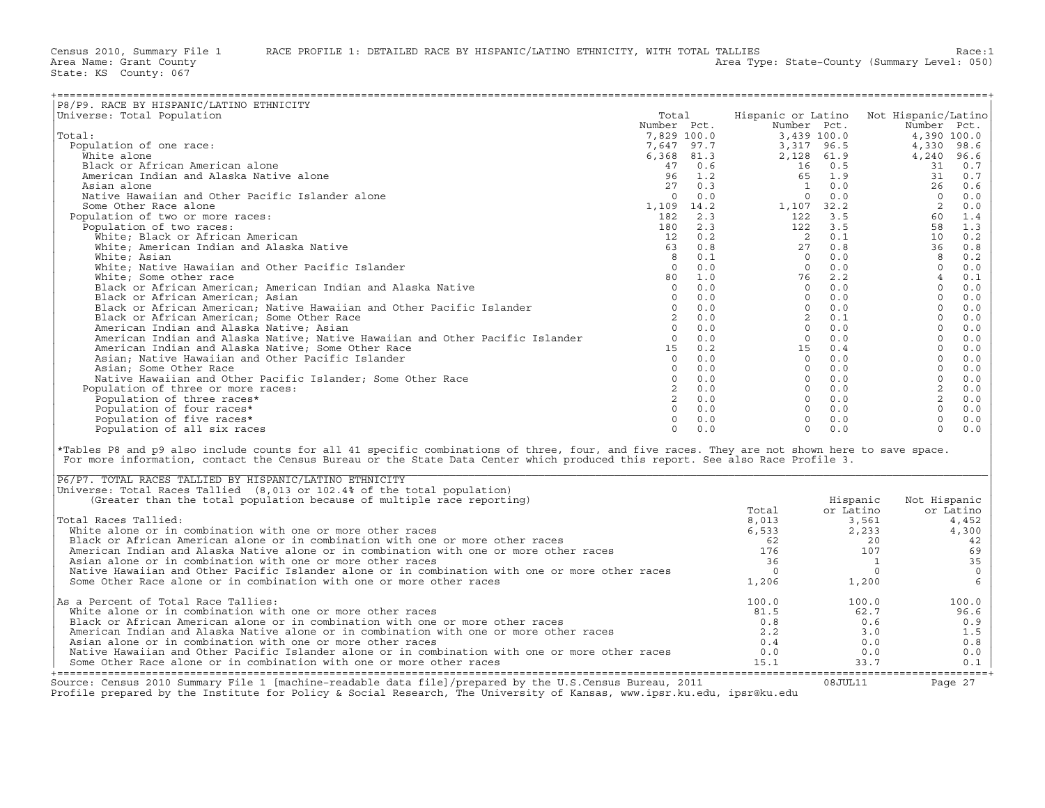| P8/P9. RACE BY HISPANIC/LATINO ETHNICITY                                                                                                                                                                                                                                                                                                  |             |     |                |              |                                                                                                                                                                                                                                                                                                                                            |
|-------------------------------------------------------------------------------------------------------------------------------------------------------------------------------------------------------------------------------------------------------------------------------------------------------------------------------------------|-------------|-----|----------------|--------------|--------------------------------------------------------------------------------------------------------------------------------------------------------------------------------------------------------------------------------------------------------------------------------------------------------------------------------------------|
| Universe: Total Population                                                                                                                                                                                                                                                                                                                | Total       |     |                |              | Hispanic or Latino Not Hispanic/Latino                                                                                                                                                                                                                                                                                                     |
|                                                                                                                                                                                                                                                                                                                                           | Number Pct. |     | Number Pct.    |              | Number Pct.                                                                                                                                                                                                                                                                                                                                |
| Total:                                                                                                                                                                                                                                                                                                                                    | 7,829 100.0 |     | 3,439 100.0    |              | 4,390 100.0<br>$\begin{array}{l cccc} \text{Number} & \text{Pct.} & \text{Number} & \text{Pct.} & \text{Number} & \text{Pct.} \\ 7, 829 & 100.0 & 3, 439 & 100.0 & 4, 390 & 100.0 \\ 7, 647 & 97.7 & 3, 317 & 96.5 & 4, 330 & 98.6 \\ 6, 368 & 81.3 & 2, 128 & 61.9 & 31 & 0.7 \\ 96 & 1.2 & 65 & 1.9 & 31 & 0.7 \\ 96 & 1.2 & 65 & 1.9 &$ |
| Population of one race:                                                                                                                                                                                                                                                                                                                   |             |     |                |              |                                                                                                                                                                                                                                                                                                                                            |
| White alone                                                                                                                                                                                                                                                                                                                               |             |     |                |              |                                                                                                                                                                                                                                                                                                                                            |
| Black or African American alone                                                                                                                                                                                                                                                                                                           |             |     |                |              |                                                                                                                                                                                                                                                                                                                                            |
| American Indian and Alaska Native alone                                                                                                                                                                                                                                                                                                   |             |     |                |              |                                                                                                                                                                                                                                                                                                                                            |
| Asian alone                                                                                                                                                                                                                                                                                                                               |             |     |                |              |                                                                                                                                                                                                                                                                                                                                            |
| Native Hawaiian and Other Pacific Islander alone                                                                                                                                                                                                                                                                                          |             |     |                |              |                                                                                                                                                                                                                                                                                                                                            |
|                                                                                                                                                                                                                                                                                                                                           |             |     |                |              |                                                                                                                                                                                                                                                                                                                                            |
| Some Other Race alone                                                                                                                                                                                                                                                                                                                     |             |     |                |              |                                                                                                                                                                                                                                                                                                                                            |
| Population of two or more races:                                                                                                                                                                                                                                                                                                          |             |     |                |              |                                                                                                                                                                                                                                                                                                                                            |
| Population of two races:                                                                                                                                                                                                                                                                                                                  |             |     |                |              |                                                                                                                                                                                                                                                                                                                                            |
| White; Black or African American                                                                                                                                                                                                                                                                                                          |             |     |                |              |                                                                                                                                                                                                                                                                                                                                            |
| White; American Indian and Alaska Native                                                                                                                                                                                                                                                                                                  |             |     |                |              |                                                                                                                                                                                                                                                                                                                                            |
| White; Asian                                                                                                                                                                                                                                                                                                                              |             |     |                |              |                                                                                                                                                                                                                                                                                                                                            |
| White; Native Hawaiian and Other Pacific Islander                                                                                                                                                                                                                                                                                         |             |     |                |              |                                                                                                                                                                                                                                                                                                                                            |
| White; Some other race                                                                                                                                                                                                                                                                                                                    |             |     |                |              |                                                                                                                                                                                                                                                                                                                                            |
| Black or African American; American Indian and Alaska Native                                                                                                                                                                                                                                                                              |             |     |                |              |                                                                                                                                                                                                                                                                                                                                            |
| Black or African American; Asian                                                                                                                                                                                                                                                                                                          |             |     |                |              |                                                                                                                                                                                                                                                                                                                                            |
| Black or African American; Native Hawaiian and Other Pacific Islander                                                                                                                                                                                                                                                                     |             |     |                |              |                                                                                                                                                                                                                                                                                                                                            |
| Black or African American; Some Other Race                                                                                                                                                                                                                                                                                                |             |     |                |              |                                                                                                                                                                                                                                                                                                                                            |
| American Indian and Alaska Native; Asian                                                                                                                                                                                                                                                                                                  |             |     |                |              |                                                                                                                                                                                                                                                                                                                                            |
| American Indian and Alaska Native; Native Hawaiian and Other Pacific Islander                                                                                                                                                                                                                                                             |             |     |                |              |                                                                                                                                                                                                                                                                                                                                            |
| American Indian and Alaska Native; Some Other Race                                                                                                                                                                                                                                                                                        |             |     |                |              |                                                                                                                                                                                                                                                                                                                                            |
| Asian; Native Hawaiian and Other Pacific Islander                                                                                                                                                                                                                                                                                         |             |     |                |              |                                                                                                                                                                                                                                                                                                                                            |
| Asian; Some Other Race                                                                                                                                                                                                                                                                                                                    |             |     |                |              |                                                                                                                                                                                                                                                                                                                                            |
| Native Hawaiian and Other Pacific Islander; Some Other Race                                                                                                                                                                                                                                                                               |             |     |                |              |                                                                                                                                                                                                                                                                                                                                            |
|                                                                                                                                                                                                                                                                                                                                           |             |     |                |              |                                                                                                                                                                                                                                                                                                                                            |
| Population of three or more races:                                                                                                                                                                                                                                                                                                        |             |     |                |              |                                                                                                                                                                                                                                                                                                                                            |
| Population of three races*                                                                                                                                                                                                                                                                                                                |             |     |                |              |                                                                                                                                                                                                                                                                                                                                            |
| Population of four races*                                                                                                                                                                                                                                                                                                                 |             |     |                |              |                                                                                                                                                                                                                                                                                                                                            |
| Population of five races*                                                                                                                                                                                                                                                                                                                 | $\Omega$    | 0.0 | $\Omega$       | 0.0          | $\circ$<br>0.0                                                                                                                                                                                                                                                                                                                             |
| Population of all six races                                                                                                                                                                                                                                                                                                               | $\Omega$    | 0.0 | $\Omega$       | 0.0          | $\Omega$<br>0.0                                                                                                                                                                                                                                                                                                                            |
| *Tables P8 and p9 also include counts for all 41 specific combinations of three, four, and five races. They are not shown here to save space.<br>For more information, contact the Census Bureau or the State Data Center which produced this report. See also Race Profile 3.<br>P6/P7. TOTAL RACES TALLIED BY HISPANIC/LATINO ETHNICITY |             |     |                |              |                                                                                                                                                                                                                                                                                                                                            |
| Universe: Total Races Tallied (8,013 or 102.4% of the total population)                                                                                                                                                                                                                                                                   |             |     |                |              |                                                                                                                                                                                                                                                                                                                                            |
| (Greater than the total population because of multiple race reporting)                                                                                                                                                                                                                                                                    |             |     |                | Hispanic     | Not Hispanic                                                                                                                                                                                                                                                                                                                               |
|                                                                                                                                                                                                                                                                                                                                           |             |     | Total          | or Latino    | or Latino                                                                                                                                                                                                                                                                                                                                  |
| Total Races Tallied:                                                                                                                                                                                                                                                                                                                      |             |     | 8,013          | 3,561        | 4,452                                                                                                                                                                                                                                                                                                                                      |
| White alone or in combination with one or more other races                                                                                                                                                                                                                                                                                |             |     | 6,013          | 2,233        | 4,300                                                                                                                                                                                                                                                                                                                                      |
| Black or African American alone or in combination with one or more other races                                                                                                                                                                                                                                                            |             |     | 62             | 20           | 42                                                                                                                                                                                                                                                                                                                                         |
| American Indian and Alaska Native alone or in combination with one or more other races                                                                                                                                                                                                                                                    |             |     | 176            | 107          | 69                                                                                                                                                                                                                                                                                                                                         |
| Asian alone or in combination with one or more other races                                                                                                                                                                                                                                                                                |             |     | 36             | $\mathbf{1}$ | 35                                                                                                                                                                                                                                                                                                                                         |
| Native Hawaiian and Other Pacific Islander alone or in combination with one or more other races                                                                                                                                                                                                                                           |             |     | $\overline{0}$ | $\circ$      |                                                                                                                                                                                                                                                                                                                                            |
| Some Other Race alone or in combination with one or more other races                                                                                                                                                                                                                                                                      |             |     | 1,206          | 1,200        | $\begin{matrix} 0 \\ 6 \end{matrix}$                                                                                                                                                                                                                                                                                                       |
|                                                                                                                                                                                                                                                                                                                                           |             |     |                |              |                                                                                                                                                                                                                                                                                                                                            |
| As a Percent of Total Race Tallies:                                                                                                                                                                                                                                                                                                       |             |     | 100.0          | 100.0        | 100.0                                                                                                                                                                                                                                                                                                                                      |
| White alone or in combination with one or more other races                                                                                                                                                                                                                                                                                |             |     | 81.5           | 62.7         | 96.6                                                                                                                                                                                                                                                                                                                                       |
| Black or African American alone or in combination with one or more other races                                                                                                                                                                                                                                                            |             |     | 0.8            | 0.6          | 0.9                                                                                                                                                                                                                                                                                                                                        |
| American Indian and Alaska Native alone or in combination with one or more other races                                                                                                                                                                                                                                                    |             |     | 2.2            | 3.0          | 1.5                                                                                                                                                                                                                                                                                                                                        |
| Asian alone or in combination with one or more other races                                                                                                                                                                                                                                                                                |             |     | 0.4            | 0.0          | 0.8                                                                                                                                                                                                                                                                                                                                        |
| Native Hawaiian and Other Pacific Islander alone or in combination with one or more other races                                                                                                                                                                                                                                           |             |     | 0.0            | 0.0          | 0.0                                                                                                                                                                                                                                                                                                                                        |
| Some Other Race alone or in combination with one or more other races                                                                                                                                                                                                                                                                      |             |     | 15.1           | 33.7         | 0.1                                                                                                                                                                                                                                                                                                                                        |
|                                                                                                                                                                                                                                                                                                                                           |             |     |                |              |                                                                                                                                                                                                                                                                                                                                            |

| P6/P7. TOTAL RACES TALLIED BY HISPANIC/LATINO ETHNICITY                                                                                                                                                                           |       |           |              |
|-----------------------------------------------------------------------------------------------------------------------------------------------------------------------------------------------------------------------------------|-------|-----------|--------------|
| Universe: Total Races Tallied (8,013 or 102.4% of the total population)                                                                                                                                                           |       |           |              |
| (Greater than the total population because of multiple race reporting)                                                                                                                                                            |       | Hispanic  | Not Hispanic |
|                                                                                                                                                                                                                                   | Total | or Latino | or Latino    |
| Total Races Tallied:                                                                                                                                                                                                              | 8,013 | 3,561     | 4,452        |
| White alone or in combination with one or more other races                                                                                                                                                                        | 6,533 | 2,233     | 4,300        |
| Black or African American alone or in combination with one or more other races                                                                                                                                                    | 62    |           | 42           |
| American Indian and Alaska Native alone or in combination with one or more other races                                                                                                                                            | 176   | 107       | 69           |
| Asian alone or in combination with one or more other races                                                                                                                                                                        | 36    |           | 35           |
| Native Hawaiian and Other Pacific Islander alone or in combination with one or more other races                                                                                                                                   |       |           |              |
| Some Other Race alone or in combination with one or more other races                                                                                                                                                              | 1,206 | 1,200     |              |
| As a Percent of Total Race Tallies:                                                                                                                                                                                               | 100.0 | 100.0     | 100.0        |
| White alone or in combination with one or more other races                                                                                                                                                                        | 81.5  | 62.7      | 96.6         |
| Black or African American alone or in combination with one or more other races                                                                                                                                                    | 0.8   | 0.6       | 0.9          |
| American Indian and Alaska Native alone or in combination with one or more other races                                                                                                                                            | 2.2   | 3.0       | 1.5          |
| Asian alone or in combination with one or more other races                                                                                                                                                                        | 0.4   | 0.0       | 0.8          |
| Native Hawaiian and Other Pacific Islander alone or in combination with one or more other races                                                                                                                                   | 0.0   | 0.0       | 0.0          |
| Some Other Race alone or in combination with one or more other races                                                                                                                                                              | 15.1  | 33.7      | 0.1          |
| Source: Census 2010 Summary File 1 [machine-readable data file]/prepared by the U.S.Census Bureau, 2011<br>Profile prepared by the Institute for Policy & Social Research, The University of Kansas, www.ipsr.ku.edu, ipsr@ku.edu |       | 08JUL11   | Page 27      |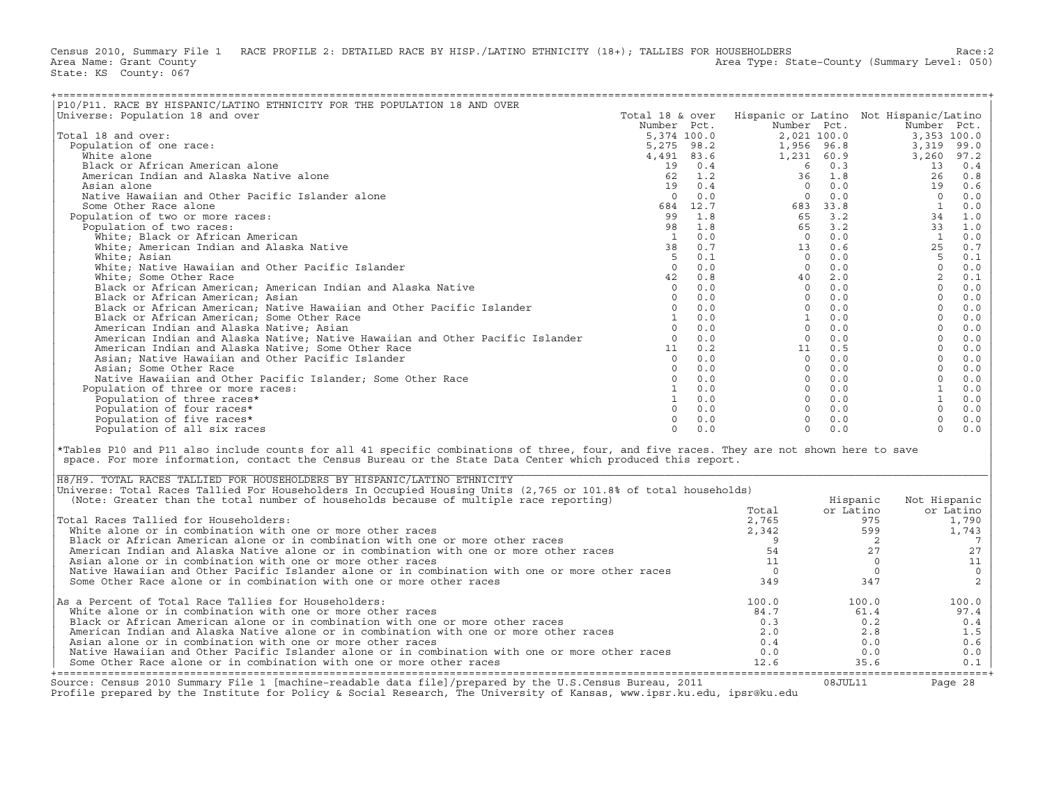Census 2010, Summary File 1 RACE PROFILE 2: DETAILED RACE BY HISP./LATINO ETHNICITY (18+); TALLIES FOR HOUSEHOLDERS<br>Area Name: Grant County (Level: 050) Area Type: State-County (Summary Level: 050) State: KS County: 067

| P10/P11. RACE BY HISPANIC/LATINO ETHNICITY FOR THE POPULATION 18 AND OVER                                                                                                                                                                                                                                                           |                 |     |                                        |             |                |                 |
|-------------------------------------------------------------------------------------------------------------------------------------------------------------------------------------------------------------------------------------------------------------------------------------------------------------------------------------|-----------------|-----|----------------------------------------|-------------|----------------|-----------------|
| Universe: Population 18 and over                                                                                                                                                                                                                                                                                                    | Total 18 & over |     | Hispanic or Latino Not Hispanic/Latino |             |                |                 |
|                                                                                                                                                                                                                                                                                                                                     | Number Pct.     |     |                                        | Number Pct. |                | Number Pct.     |
| Total 18 and over:                                                                                                                                                                                                                                                                                                                  |                 |     |                                        |             |                |                 |
| Population of one race:                                                                                                                                                                                                                                                                                                             |                 |     |                                        |             |                |                 |
| White alone                                                                                                                                                                                                                                                                                                                         |                 |     |                                        |             |                |                 |
|                                                                                                                                                                                                                                                                                                                                     |                 |     |                                        |             |                |                 |
| Black or African American alone                                                                                                                                                                                                                                                                                                     |                 |     |                                        |             |                |                 |
| American Indian and Alaska Native alone                                                                                                                                                                                                                                                                                             |                 |     |                                        |             |                |                 |
| Asian alone                                                                                                                                                                                                                                                                                                                         |                 |     |                                        |             |                |                 |
| Native Hawaiian and Other Pacific Islander alone                                                                                                                                                                                                                                                                                    |                 |     |                                        |             |                |                 |
| Some Other Race alone                                                                                                                                                                                                                                                                                                               |                 |     |                                        |             |                |                 |
| Population of two or more races:                                                                                                                                                                                                                                                                                                    |                 |     |                                        |             |                |                 |
| Population of two races:                                                                                                                                                                                                                                                                                                            |                 |     |                                        |             |                |                 |
|                                                                                                                                                                                                                                                                                                                                     |                 |     |                                        |             |                |                 |
|                                                                                                                                                                                                                                                                                                                                     |                 |     |                                        |             |                |                 |
|                                                                                                                                                                                                                                                                                                                                     |                 |     |                                        |             |                |                 |
|                                                                                                                                                                                                                                                                                                                                     |                 |     |                                        |             |                |                 |
|                                                                                                                                                                                                                                                                                                                                     |                 |     |                                        |             |                |                 |
|                                                                                                                                                                                                                                                                                                                                     |                 |     |                                        |             |                |                 |
|                                                                                                                                                                                                                                                                                                                                     |                 |     |                                        |             |                |                 |
|                                                                                                                                                                                                                                                                                                                                     |                 |     |                                        |             |                |                 |
|                                                                                                                                                                                                                                                                                                                                     |                 |     |                                        |             |                |                 |
|                                                                                                                                                                                                                                                                                                                                     |                 |     |                                        |             |                |                 |
|                                                                                                                                                                                                                                                                                                                                     |                 |     |                                        |             |                |                 |
|                                                                                                                                                                                                                                                                                                                                     |                 |     |                                        |             |                |                 |
|                                                                                                                                                                                                                                                                                                                                     |                 |     |                                        |             |                |                 |
|                                                                                                                                                                                                                                                                                                                                     |                 |     |                                        |             |                |                 |
|                                                                                                                                                                                                                                                                                                                                     |                 |     |                                        |             |                |                 |
|                                                                                                                                                                                                                                                                                                                                     |                 |     |                                        |             |                |                 |
| Population of three or more races:                                                                                                                                                                                                                                                                                                  |                 |     |                                        |             |                |                 |
|                                                                                                                                                                                                                                                                                                                                     |                 |     |                                        |             |                |                 |
|                                                                                                                                                                                                                                                                                                                                     |                 |     |                                        |             |                |                 |
|                                                                                                                                                                                                                                                                                                                                     |                 |     |                                        |             |                |                 |
| Population of all six races                                                                                                                                                                                                                                                                                                         | $\Omega$        | 0.0 | $\circ$                                | 0.0         |                | $\Omega$<br>0.0 |
| are proposed by the section and other Paris (section and other paris) (section and other paris) (section and other paris) (section and other paris) (section and other paris) (section and other paris) (section and other pa                                                                                                       |                 |     |                                        |             |                |                 |
| *Tables P10 and P11 also include counts for all 41 specific combinations of three, four, and five races. They are not shown here to save<br>space. For more information, contact the Census Bureau or the State Data Center which produced this report.<br>H8/H9. TOTAL RACES TALLIED FOR HOUSEHOLDERS BY HISPANIC/LATINO ETHNICITY |                 |     |                                        |             |                |                 |
| Universe: Total Races Tallied For Householders In Occupied Housing Units (2,765 or 101.8% of total households)                                                                                                                                                                                                                      |                 |     |                                        |             |                |                 |
| (Note: Greater than the total number of households because of multiple race reporting)                                                                                                                                                                                                                                              |                 |     |                                        | Hispanic    |                | Not Hispanic    |
|                                                                                                                                                                                                                                                                                                                                     |                 |     | Total                                  | or Latino   |                | or Latino       |
| Total Races Tallied for Householders:                                                                                                                                                                                                                                                                                               |                 |     | 2,765                                  |             | 975            | 1,790           |
| White alone or in combination with one or more other races                                                                                                                                                                                                                                                                          |                 |     | 2,342                                  |             | 599            | 1,743           |
| Black or African American alone or in combination with one or more other races                                                                                                                                                                                                                                                      |                 |     | 9                                      |             | $\overline{2}$ | $7\overline{ }$ |
| American Indian and Alaska Native alone or in combination with one or more other races                                                                                                                                                                                                                                              |                 |     | 54                                     |             | 27             | 27              |
| Asian alone or in combination with one or more other races                                                                                                                                                                                                                                                                          |                 |     | 11                                     |             | $\overline{0}$ | 11              |
| Native Hawaiian and Other Pacific Islander alone or in combination with one or more other races                                                                                                                                                                                                                                     |                 |     | $\overline{0}$                         |             | $\overline{0}$ | $\mathsf{O}$    |
| Some Other Race alone or in combination with one or more other races                                                                                                                                                                                                                                                                |                 |     | 349                                    |             | 347            | $\overline{c}$  |
|                                                                                                                                                                                                                                                                                                                                     |                 |     |                                        |             |                |                 |
| As a Percent of Total Race Tallies for Householders:                                                                                                                                                                                                                                                                                |                 |     | 100.0                                  | 100.0       |                | 100.0           |
| White alone or in combination with one or more other races                                                                                                                                                                                                                                                                          |                 |     | 84.7                                   |             | 61.4           | 97.4            |
| Black or African American alone or in combination with one or more other races                                                                                                                                                                                                                                                      |                 |     | 0.3                                    |             | 0.2            | 0.4             |
| American Indian and Alaska Native alone or in combination with one or more other races                                                                                                                                                                                                                                              |                 |     | 2.0                                    |             | 2.8            | 1.5             |
| Asian alone or in combination with one or more other races                                                                                                                                                                                                                                                                          |                 |     | 0.4                                    |             | 0.0            | 0.6             |
| Native Hawaiian and Other Pacific Islander alone or in combination with one or more other races                                                                                                                                                                                                                                     |                 |     | 0.0                                    |             | 0.0            | 0.0             |
| Some Other Race alone or in combination with one or more other races                                                                                                                                                                                                                                                                |                 |     | 12.6                                   |             | 35.6           | 0.1             |
|                                                                                                                                                                                                                                                                                                                                     |                 |     |                                        |             |                |                 |

| H8/H9. TOTAL RACES TALLIED FOR HOUSEHOLDERS BY HISPANIC/LATINO ETHNICITY                                                                                                                                                          |       |           |              |
|-----------------------------------------------------------------------------------------------------------------------------------------------------------------------------------------------------------------------------------|-------|-----------|--------------|
| Universe: Total Races Tallied For Householders In Occupied Housing Units (2,765 or 101.8% of total households)                                                                                                                    |       |           |              |
| (Note: Greater than the total number of households because of multiple race reporting)                                                                                                                                            |       | Hispanic  | Not Hispanic |
|                                                                                                                                                                                                                                   | Total | or Latino | or Latino    |
| Total Races Tallied for Householders:                                                                                                                                                                                             | 2,765 | 975       | 1,790        |
| White alone or in combination with one or more other races                                                                                                                                                                        | 2,342 | 599       | 1,743        |
| Black or African American alone or in combination with one or more other races                                                                                                                                                    |       |           |              |
| American Indian and Alaska Native alone or in combination with one or more other races                                                                                                                                            |       |           |              |
| Asian alone or in combination with one or more other races                                                                                                                                                                        |       |           |              |
| Native Hawaiian and Other Pacific Islander alone or in combination with one or more other races                                                                                                                                   |       |           |              |
| Some Other Race alone or in combination with one or more other races                                                                                                                                                              | 349   | 347       |              |
| As a Percent of Total Race Tallies for Householders:                                                                                                                                                                              | 100.0 | 100.0     | 100.0        |
| White alone or in combination with one or more other races                                                                                                                                                                        | 84.7  | 61.4      | 97.4         |
| Black or African American alone or in combination with one or more other races                                                                                                                                                    | 0.3   | 0.2       | 0.4          |
| American Indian and Alaska Native alone or in combination with one or more other races                                                                                                                                            | 2.0   | 2.8       | 1.5          |
| Asian alone or in combination with one or more other races                                                                                                                                                                        | 0.4   | 0.0       | 0.6          |
| Native Hawaiian and Other Pacific Islander alone or in combination with one or more other races                                                                                                                                   | 0.0   | 0.0       | 0.0          |
| Some Other Race alone or in combination with one or more other races                                                                                                                                                              | 12.6  | 35.6      | 0.1          |
| Source: Census 2010 Summary File 1 [machine-readable data file]/prepared by the U.S.Census Bureau, 2011<br>Profile prepared by the Institute for Policy & Social Research, The University of Kansas, www.ipsr.ku.edu, ipsr@ku.edu |       | 08JUL11   | Page 28      |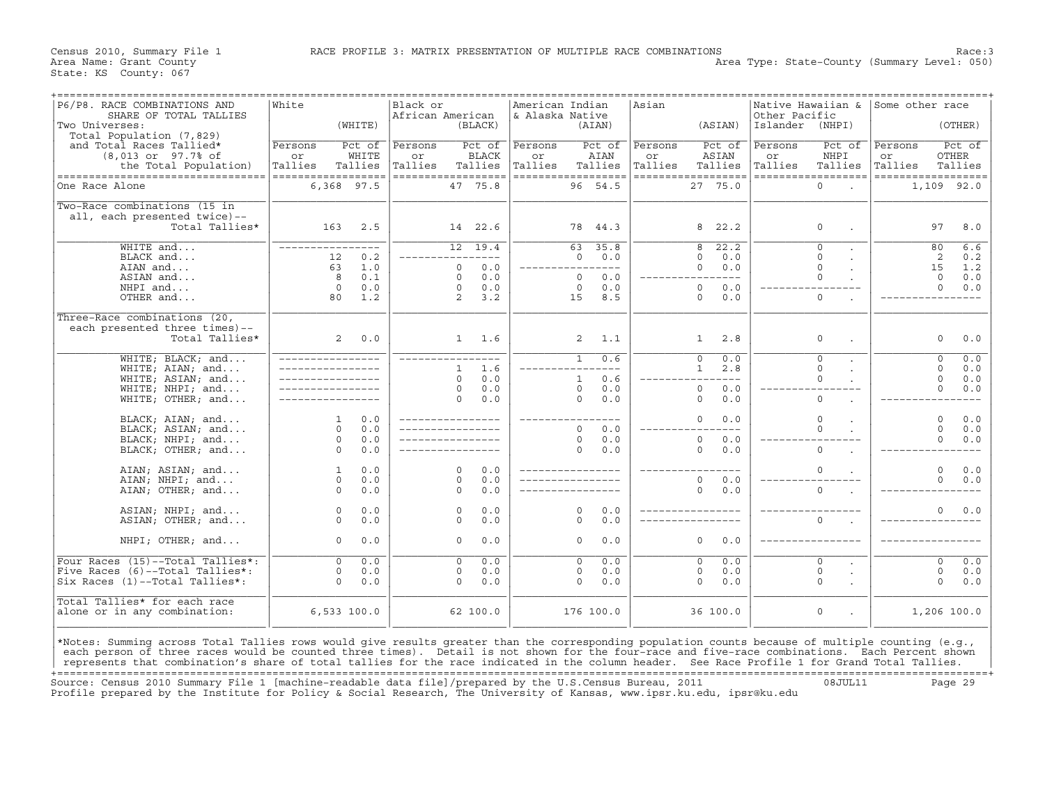Census 2010, Summary File 1 **RACE PROFILE 3: MATRIX PRESENTATION OF MUL**TIPLE RACE COMBINATIONS Race:3<br>Area Name: Grant County Level: 050) Area Type: State-County (Summary Level: 050)

| P6/P8. RACE COMBINATIONS AND<br>SHARE OF TOTAL TALLIES<br>Two Universes:                                                                                                                                                                                                                                                                                                                                                                             | White<br>(WHITTE)                                                              | Black or<br>African American<br>(BLACK)                                                                       | American Indian<br>& Alaska Native<br>(AIAN)                                                  | Asian<br>(ASIAN)                                                                         | Native Hawaiian &<br>Other Pacific<br>Islander<br>(NHPI)       | Some other race<br>(OTHER)                                                 |
|------------------------------------------------------------------------------------------------------------------------------------------------------------------------------------------------------------------------------------------------------------------------------------------------------------------------------------------------------------------------------------------------------------------------------------------------------|--------------------------------------------------------------------------------|---------------------------------------------------------------------------------------------------------------|-----------------------------------------------------------------------------------------------|------------------------------------------------------------------------------------------|----------------------------------------------------------------|----------------------------------------------------------------------------|
| Total Population (7,829)<br>and Total Races Tallied*<br>$(8,013$ or $97.7$ % of<br>the Total Population)                                                                                                                                                                                                                                                                                                                                             | Persons<br>Pct of<br>WHITE<br>or<br>Tallies<br>Tallies                         | Pct of<br>Persons<br><b>BLACK</b><br>or<br>Tallies<br>Tallies                                                 | Persons<br>Pct of<br>AIAN<br>or<br>Tallies<br>Tallies                                         | Persons<br>Pct of<br>ASIAN<br>or<br>Tallies<br>Tallies                                   | Persons<br>Pct of<br>NHPI<br>or<br>Tallies<br>Tallies          | Pct of<br>Persons<br>OTHER<br>or<br>Tallies<br>Tallies                     |
| -----------------------------------<br>One Race Alone                                                                                                                                                                                                                                                                                                                                                                                                | ------------------<br>6,368 97.5                                               | ------------------<br>47 75.8                                                                                 | ------------------<br>96 54.5                                                                 | ==================<br>27 75.0                                                            | ==================<br>0                                        | ==================<br>1,109 92.0                                           |
| Two-Race combinations (15 in<br>all, each presented twice)--<br>Total Tallies*                                                                                                                                                                                                                                                                                                                                                                       | 163<br>2.5                                                                     | 14 22.6                                                                                                       | 78 44.3                                                                                       | 8<br>22.2                                                                                | $\mathbf 0$                                                    | 97<br>8.0                                                                  |
| WHITE and<br>BLACK and<br>AIAN and<br>ASIAN and<br>NHPI and<br>OTHER and                                                                                                                                                                                                                                                                                                                                                                             | $- - - -$<br>0.2<br>12<br>63<br>1.0<br>8<br>0.1<br>$\circ$<br>0.0<br>80<br>1.2 | 12 19.4<br>$- - - -$<br>0.0<br>$\mathbf{0}$<br>$\Omega$<br>0.0<br>0.0<br>$\mathbf 0$<br>$\overline{2}$<br>3.2 | 63<br>35.8<br>$\Omega$<br>0.0<br>_________<br>$\Omega$<br>0.0<br>$\Omega$<br>0.0<br>8.5<br>15 | 22.2<br>8<br>$\Omega$<br>0.0<br>0.0<br>0<br>$- - -$<br>0.0<br>$\circ$<br>$\Omega$<br>0.0 | $\Omega$<br>$\Omega$<br>$\mathbf 0$<br>$\Omega$<br>$\mathbf 0$ | 6.6<br>80<br>2<br>0.2<br>15<br>1.2<br>$\circ$<br>0.0<br>$\Omega$<br>0.0    |
| Three-Race combinations (20,<br>each presented three times)--<br>Total Tallies*                                                                                                                                                                                                                                                                                                                                                                      | 2<br>0.0                                                                       | $1 \quad 1.6$                                                                                                 | $\overline{a}$<br>1.1                                                                         | 2.8<br>1                                                                                 | 0                                                              | $\circ$<br>0.0                                                             |
| WHITE; BLACK; and<br>WHITE; AIAN; and<br>WHITE; ASIAN; and<br>WHITE; NHPI; and<br>WHITE; OTHER; and                                                                                                                                                                                                                                                                                                                                                  |                                                                                | 1.6<br>$\mathbf{1}$<br>0.0<br>$\Omega$<br>0.0<br>$\circ$<br>0.0<br>$\Omega$                                   | 0.6<br>$\mathbf{1}$<br>0.6<br>$\mathbf{1}$<br>$\Omega$<br>0.0<br>$\Omega$<br>0.0              | $\circ$<br>0.0<br>2.8<br>1<br>$\frac{1}{2}$<br>$\circ$<br>0.0<br>0.0<br>$\Omega$         | $\overline{0}$<br>$\Omega$<br>$\Omega$<br>$\Omega$             | 0.0<br>$\mathbf 0$<br>$\Omega$<br>0.0<br>$\Omega$<br>0.0<br>$\circ$<br>0.0 |
| BLACK; AIAN; and<br>BLACK; ASIAN; and<br>BLACK; NHPI; and<br>BLACK; OTHER; and                                                                                                                                                                                                                                                                                                                                                                       | 0.0<br>$\mathbf{1}$<br>$\Omega$<br>0.0<br>$\circ$<br>0.0<br>$\Omega$<br>0.0    |                                                                                                               | $- - -$<br>$\Omega$<br>0.0<br>$\Omega$<br>0.0<br>$\Omega$<br>0.0                              | $\circ$<br>0.0<br>$\circ$<br>0.0<br>$\Omega$<br>0.0                                      | $\Omega$<br>$\cap$<br>$\Omega$                                 | $\circ$<br>0.0<br>$\Omega$<br>0.0<br>$\circ$<br>0.0                        |
| AIAN; ASIAN; and<br>AIAN; NHPI; and<br>AIAN; OTHER; and                                                                                                                                                                                                                                                                                                                                                                                              | $0.0$<br>$\mathbf{1}$<br>$\Omega$<br>0.0<br>0.0<br>$\circ$                     | $\Omega$<br>0.0<br>0.0<br>$\Omega$<br>0.0<br>$\Omega$                                                         |                                                                                               | $\Omega$<br>0.0<br>$\circ$<br>0.0                                                        | $\Omega$<br>$\mathbf 0$                                        | 0.0<br>$\circ$<br>$\Omega$<br>0.0                                          |
| ASIAN; NHPI; and<br>ASIAN; OTHER; and                                                                                                                                                                                                                                                                                                                                                                                                                | 0.0<br>$\circ$<br>0.0<br>$\circ$                                               | 0.0<br>$\mathbf 0$<br>0.0<br>$\Omega$                                                                         | 0.0<br>0<br>0.0<br>$\Omega$                                                                   |                                                                                          | $\Omega$                                                       | $\circ$<br>0.0                                                             |
| NHPI; OTHER; and                                                                                                                                                                                                                                                                                                                                                                                                                                     | $\circ$<br>0.0                                                                 | 0.0<br>$\mathbf 0$                                                                                            | 0.0<br>0                                                                                      | $\circ$<br>0.0                                                                           |                                                                |                                                                            |
| Four Races (15)--Total Tallies*:<br>Five Races (6)--Total Tallies*:<br>Six Races (1)--Total Tallies*:                                                                                                                                                                                                                                                                                                                                                | $\overline{0}$<br>0.0<br>0.0<br>$\circ$<br>$\Omega$<br>0.0                     | $\overline{\circ}$<br>0.0<br>0.0<br>$\circ$<br>$\Omega$<br>0.0                                                | 0.0<br>$\overline{0}$<br>0.0<br>0<br>$\Omega$<br>0.0                                          | 0.0<br>$\overline{0}$<br>0<br>0.0<br>$\Omega$<br>0.0                                     | $\overline{0}$<br>$\mathsf{O}\xspace$<br>$\Omega$              | 0.0<br>$\overline{0}$<br>$\circ$<br>0.0<br>$\Omega$<br>0.0                 |
| Total Tallies* for each race<br>alone or in any combination:                                                                                                                                                                                                                                                                                                                                                                                         | $6,533$ 100.0                                                                  | 62 100.0                                                                                                      | 176 100.0                                                                                     | 36 100.0                                                                                 | 0                                                              | 1,206 100.0                                                                |
| *Notes: Summing across Total Tallies rows would give results greater than the corresponding population counts because of multiple counting (e.g.,<br>each person of three races would be counted three times). Detail is not shown for the four-race and five-race combinations. Each Percent shown<br>represents that combination's share of total tallies for the race indicated in the column header. See Race Profile 1 for Grand Total Tallies. |                                                                                |                                                                                                               |                                                                                               |                                                                                          |                                                                |                                                                            |

+===================================================================================================================================================+ Source: Census 2010 Summary File 1 [machine−readable data file]/prepared by the U.S.Census Bureau, 2011 08JUL11 Page 29 Profile prepared by the Institute for Policy & Social Research, The University of Kansas, www.ipsr.ku.edu, ipsr@ku.edu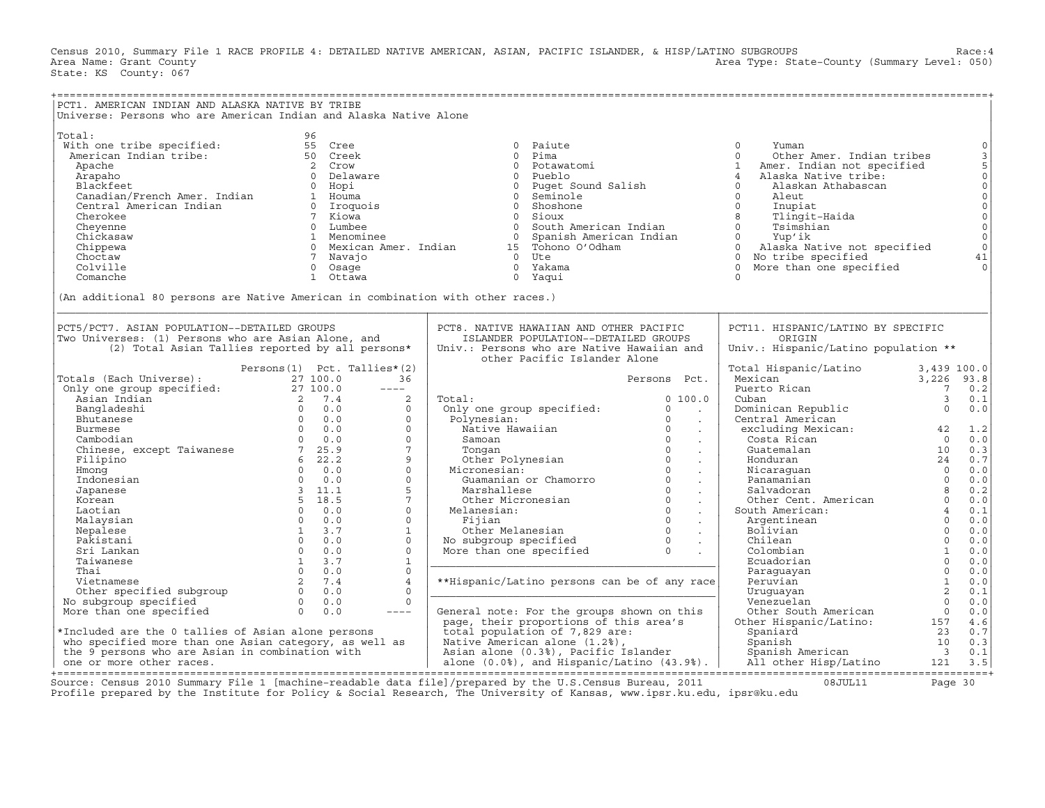Census 2010, Summary File 1 RACE PROFILE 4: DETAILED NATIVE AMERICAN, ASIAN, PACIFIC ISLANDER, & HISP/LATINO SUBGROUPS Race:4<br>Area Name: Grant County (evel: 050) Area Type: State-County (Summary Level: 050) Area Type: State-County (Summary Level: 050) State: KS County: 067

| PCT1. AMERICAN INDIAN AND ALASKA NATIVE BY TRIBE                                                                                                                                                                                                                  |                                                                                                                                |                                                                                                                                                                                                                                                                                                                           |                             |                                                           |                         |                                                                                                                                                                          |
|-------------------------------------------------------------------------------------------------------------------------------------------------------------------------------------------------------------------------------------------------------------------|--------------------------------------------------------------------------------------------------------------------------------|---------------------------------------------------------------------------------------------------------------------------------------------------------------------------------------------------------------------------------------------------------------------------------------------------------------------------|-----------------------------|-----------------------------------------------------------|-------------------------|--------------------------------------------------------------------------------------------------------------------------------------------------------------------------|
| Universe: Persons who are American Indian and Alaska Native Alone                                                                                                                                                                                                 |                                                                                                                                |                                                                                                                                                                                                                                                                                                                           |                             |                                                           |                         |                                                                                                                                                                          |
| Total:<br>vocar.<br>With one tribe specified: 55 Cree<br>American Indian tribe: 50 Creek                                                                                                                                                                          | 96<br>(An additional 80 persons are Native American in combination with other races.)                                          | ali<br>Alione tribe specified:<br>Apache of Delaware of Delay<br>Apache of Delay<br>Apache of Delay<br>Apache of Delay<br>Canadian Prench Amer. Indian<br>Canadian Indian of Microsofter of Microsofter of Microsofter of Microsofter<br>Chris                                                                            |                             |                                                           |                         | $\mathbb O$<br>$\frac{3}{5}$<br>$\begin{matrix} 0 \\ 0 \\ 0 \end{matrix}$<br>$\begin{matrix} 0 \\ 0 \\ 0 \end{matrix}$<br>$\mathsf{O}$<br>$\mathsf{O}$<br>41<br>$\Omega$ |
| PCT5/PCT7. ASIAN POPULATION--DETAILED GROUPS                                                                                                                                                                                                                      |                                                                                                                                | PCT8. NATIVE HAWAIIAN AND OTHER PACIFIC                                                                                                                                                                                                                                                                                   |                             | PCT11. HISPANIC/LATINO BY SPECIFIC                        |                         |                                                                                                                                                                          |
| Two Universes: (1) Persons who are Asian Alone, and                                                                                                                                                                                                               | (2) Total Asian Tallies reported by all persons*                                                                               | ISLANDER POPULATION--DETAILED GROUPS<br>Univ.: Persons who are Native Hawaiian and<br>other Pacific Islander Alone                                                                                                                                                                                                        |                             | ORIGIN<br>Univ.: Hispanic/Latino population **            |                         |                                                                                                                                                                          |
|                                                                                                                                                                                                                                                                   | Persons(1) Pct. Tallies*(2)                                                                                                    |                                                                                                                                                                                                                                                                                                                           |                             | Total Hispanic/Latino 3,439 100.0                         |                         |                                                                                                                                                                          |
| Versons (1) Pct. Tallies<br>Only one group specified:<br>Asian Indian<br>Asian Indian<br>27 100.0<br>27 100.0<br>27 100.0<br>27 100.0<br>27 100.0<br>27 100.0<br>27 100.0<br>27 100.0<br>27 100.0<br>27 100.0<br>27 100.0<br>27 100.0<br>27 10.0<br>27 10.0<br>27 | 36                                                                                                                             |                                                                                                                                                                                                                                                                                                                           | Persons Pct.                | Mexican<br>Puerto Rican                                   | 3,226 93.8              |                                                                                                                                                                          |
|                                                                                                                                                                                                                                                                   | $---$                                                                                                                          |                                                                                                                                                                                                                                                                                                                           |                             |                                                           | $7\overline{ }$         | 0.2                                                                                                                                                                      |
|                                                                                                                                                                                                                                                                   | 2                                                                                                                              | Total:<br>Total:<br>Only one group specified:                                                                                                                                                                                                                                                                             | 0 100.0                     | Cuban                                                     | $\overline{3}$          | 0.1                                                                                                                                                                      |
|                                                                                                                                                                                                                                                                   | $\Omega$                                                                                                                       |                                                                                                                                                                                                                                                                                                                           | $\circ$<br>$\sim 100$       | Dominican Republic<br>Central American                    |                         | 0.0                                                                                                                                                                      |
|                                                                                                                                                                                                                                                                   | $\circ$                                                                                                                        | Polynesian:                                                                                                                                                                                                                                                                                                               | $\overline{0}$<br>$\sim 10$ | Central American                                          |                         |                                                                                                                                                                          |
|                                                                                                                                                                                                                                                                   | $\Omega$                                                                                                                       | olynesian:<br>Native Hawaiian 0<br>Samoan 0<br>Tongan 0<br>Other Polynesian 0<br>Guamanian or Chamorro 0<br>Marshallese 0<br>0                                                                                                                                                                                            | $\sim 10$                   | entrar American<br>excluding Mexican: 42                  |                         | 1.2                                                                                                                                                                      |
|                                                                                                                                                                                                                                                                   | $\Omega$                                                                                                                       |                                                                                                                                                                                                                                                                                                                           | $\sim 10$                   | Costa Rican                                               | $\bigcap$               | 0.0                                                                                                                                                                      |
|                                                                                                                                                                                                                                                                   | $7\phantom{.0}$                                                                                                                |                                                                                                                                                                                                                                                                                                                           | $\sim$                      | Guatemalan                                                | 10                      | 0.3                                                                                                                                                                      |
|                                                                                                                                                                                                                                                                   | 9                                                                                                                              |                                                                                                                                                                                                                                                                                                                           | $\sim 100$                  | Honduran                                                  | 24                      | 0.7                                                                                                                                                                      |
|                                                                                                                                                                                                                                                                   | $\circ$                                                                                                                        | Micronesian:                                                                                                                                                                                                                                                                                                              |                             | Honduran<br>Nicaraguan<br>Panamanian<br>Salvadoran        | $\overline{\mathbf{0}}$ | 0.0                                                                                                                                                                      |
|                                                                                                                                                                                                                                                                   | $\Omega$                                                                                                                       |                                                                                                                                                                                                                                                                                                                           | $\sim 100$                  | Panamanian<br>Salvadoran 8<br>Other Cent. American 8<br>4 | $\overline{0}$          | 0.0                                                                                                                                                                      |
|                                                                                                                                                                                                                                                                   | 5                                                                                                                              |                                                                                                                                                                                                                                                                                                                           | $\sim$ $\sim$               |                                                           |                         | 0.2                                                                                                                                                                      |
|                                                                                                                                                                                                                                                                   | $7\phantom{.0}$<br>$\Omega$                                                                                                    |                                                                                                                                                                                                                                                                                                                           |                             |                                                           |                         | 0.0                                                                                                                                                                      |
|                                                                                                                                                                                                                                                                   | $0 \t 0.0$<br>$\Omega$                                                                                                         |                                                                                                                                                                                                                                                                                                                           |                             | South American:                                           | $\overline{0}$          | 0.1                                                                                                                                                                      |
| Malaysian<br>Nepalese                                                                                                                                                                                                                                             | $\begin{array}{ccc} 0 & 0.0 \ 1 & 3.7 \ 0 & 0.0 \ 0 & 0.0 \ 1 & 3.7 \ 0 & 0.0 \ 1 & 3.7 \ 0 & 0.0 \end{array}$<br>$\mathbf{1}$ | Marshallese<br>Other Micronesian<br>Melanesian: 0<br>Fijian 0<br>Other Melanesian 0<br>No subgroup specified 0<br>More than one specified 0<br>.                                                                                                                                                                          |                             | Argentinean<br>Bolivian                                   | $\overline{0}$          | 0.0<br>0.0                                                                                                                                                               |
| Pakistani                                                                                                                                                                                                                                                         | $\Omega$                                                                                                                       |                                                                                                                                                                                                                                                                                                                           |                             | Chilean                                                   | $\overline{0}$          | 0.0                                                                                                                                                                      |
| Sri Lankan                                                                                                                                                                                                                                                        | $\Omega$                                                                                                                       |                                                                                                                                                                                                                                                                                                                           |                             | Colombian                                                 | $\sim$ 1                | 0.0                                                                                                                                                                      |
| Taiwanese                                                                                                                                                                                                                                                         | $\mathbf{1}$                                                                                                                   |                                                                                                                                                                                                                                                                                                                           |                             | Ecuadorian                                                | $\Omega$                | 0.0                                                                                                                                                                      |
|                                                                                                                                                                                                                                                                   | $\Omega$                                                                                                                       |                                                                                                                                                                                                                                                                                                                           |                             | Paraguayan                                                | $\Omega$                | 0.0                                                                                                                                                                      |
|                                                                                                                                                                                                                                                                   | $\overline{4}$                                                                                                                 | **Hispanic/Latino persons can be of any race                                                                                                                                                                                                                                                                              |                             | Peruvian                                                  | $\mathbf{1}$            | 0.0                                                                                                                                                                      |
|                                                                                                                                                                                                                                                                   | $\mathbf{0}$                                                                                                                   |                                                                                                                                                                                                                                                                                                                           |                             | Uruquayan                                                 | $\overline{2}$          | 0.1                                                                                                                                                                      |
| Taiwanese 1 3.7<br>Thai 0 0.0<br>Vietnamese 2 7.4<br>Other specified subgroup 2 7.4<br>No subgroup specified 0 0.0<br>More than one specified 0 0.0                                                                                                               | $\Omega$                                                                                                                       |                                                                                                                                                                                                                                                                                                                           |                             | Venezuelan                                                | $\bigcap$               | 0.0                                                                                                                                                                      |
|                                                                                                                                                                                                                                                                   |                                                                                                                                |                                                                                                                                                                                                                                                                                                                           |                             |                                                           |                         |                                                                                                                                                                          |
|                                                                                                                                                                                                                                                                   |                                                                                                                                |                                                                                                                                                                                                                                                                                                                           |                             |                                                           |                         |                                                                                                                                                                          |
|                                                                                                                                                                                                                                                                   |                                                                                                                                |                                                                                                                                                                                                                                                                                                                           |                             |                                                           |                         |                                                                                                                                                                          |
|                                                                                                                                                                                                                                                                   |                                                                                                                                |                                                                                                                                                                                                                                                                                                                           |                             |                                                           |                         |                                                                                                                                                                          |
|                                                                                                                                                                                                                                                                   |                                                                                                                                |                                                                                                                                                                                                                                                                                                                           |                             |                                                           |                         |                                                                                                                                                                          |
|                                                                                                                                                                                                                                                                   |                                                                                                                                | Nore than one specified $\begin{array}{ l l l l }\n\hline\n\end{array}$ More than one specified $\begin{array}{ l l l l }\n\hline\n\end{array}$ More than one specified $\begin{array}{ l l l l }\n\hline\n\end{array}$ o $\begin{array}{ l l l }\n\hline\n\end{array}$ More than one specified $\begin{array}{ l l l }\$ |                             |                                                           |                         |                                                                                                                                                                          |
|                                                                                                                                                                                                                                                                   |                                                                                                                                |                                                                                                                                                                                                                                                                                                                           |                             |                                                           |                         |                                                                                                                                                                          |

+===================================================================================================================================================+Source: Census 2010 Summary File 1 [machine−readable data file]/prepared by the U.S.Census Bureau, 2011 08JUL11 Page 30 Profile prepared by the Institute for Policy & Social Research, The University of Kansas, www.ipsr.ku.edu, ipsr@ku.edu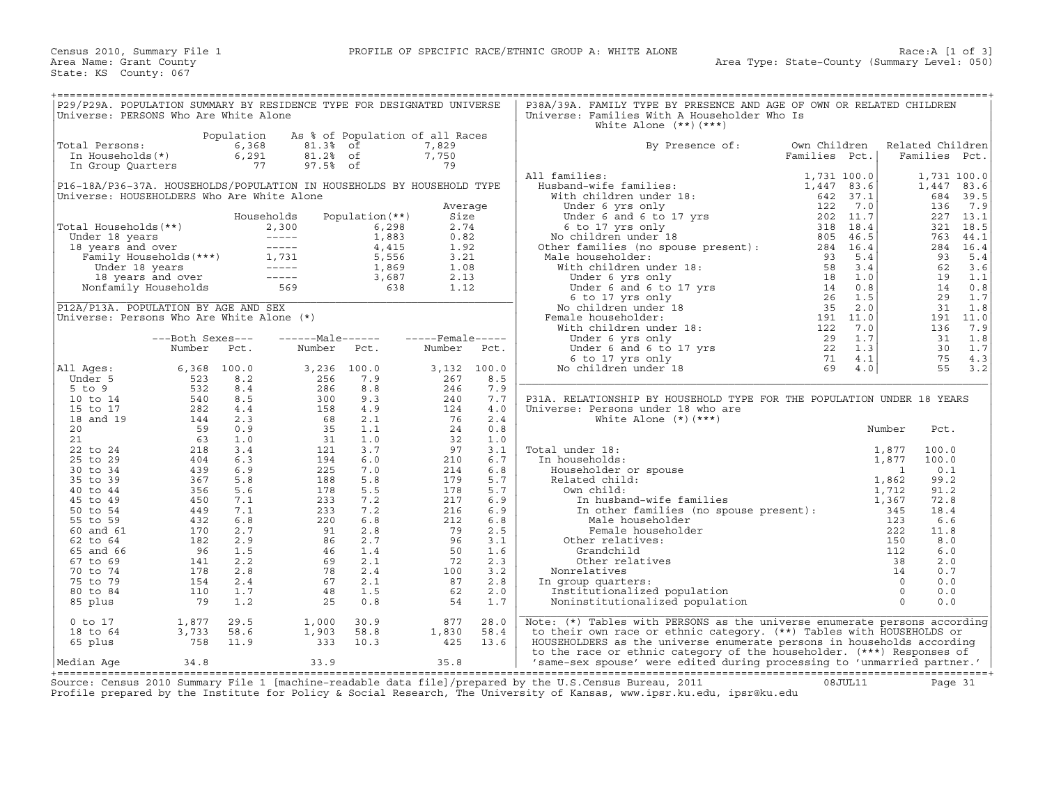| P29/P29A. POPULATION SUMMARY BY RESIDENCE TYPE FOR DESIGNATED UNIVERSE<br>Universe: PERSONS Who Are White Alone                                                                                                                                         |                                                                                                                                                                                                |                                    |                                                                             |                                      |                      |             | P38A/39A. FAMILY TYPE BY PRESENCE AND AGE OF OWN OR RELATED CHILDREN<br>Universe: Families With A Householder Who Is                                                                                                                                                                                                        |                               |                                   |                             |
|---------------------------------------------------------------------------------------------------------------------------------------------------------------------------------------------------------------------------------------------------------|------------------------------------------------------------------------------------------------------------------------------------------------------------------------------------------------|------------------------------------|-----------------------------------------------------------------------------|--------------------------------------|----------------------|-------------|-----------------------------------------------------------------------------------------------------------------------------------------------------------------------------------------------------------------------------------------------------------------------------------------------------------------------------|-------------------------------|-----------------------------------|-----------------------------|
|                                                                                                                                                                                                                                                         |                                                                                                                                                                                                |                                    |                                                                             |                                      |                      |             | White Alone $(**)$ $(***)$                                                                                                                                                                                                                                                                                                  |                               |                                   |                             |
| Total Persons:<br>In Households(*)<br>In Group Quarters                                                                                                                                                                                                 |                                                                                                                                                                                                | Population<br>6,368<br>6,291<br>77 | 81.3% of<br>81.2% of<br>97.5% of                                            | As % of Population of all Races      | 7,829<br>7,750<br>79 |             | By Presence of:                                                                                                                                                                                                                                                                                                             | Own Children<br>Families Pct. | Related Children<br>Families Pct. |                             |
| P16-18A/P36-37A. HOUSEHOLDS/POPULATION IN HOUSEHOLDS BY HOUSEHOLD TYPE<br>Universe: HOUSEHOLDERS Who Are White Alone                                                                                                                                    |                                                                                                                                                                                                |                                    |                                                                             |                                      |                      |             | All families:<br>$\begin{tabular}{ll} \bf 11\ families: & \tt 1,731\ 100.0 \\ \bf 1,447\ 83.6 \\ \bf 1,447\ 83.6 \\ \bf 1,447\ 83.6 \\ \bf 1,447\ 83.6 \\ \bf 1,447\ 83.6 \\ \bf 1,447\ 83.6 \\ \bf 1,447\ 83.6 \\ \bf 1,447\ 83.6 \\ \bf 1,447\ 83.6 \\ \bf 1,447\ 83.6 \\ \bf 1,447\ 83.6 \\ \bf 1,47\ 823\ 7.1 \\ \bf 1$ |                               | 1,447<br>684                      | 1,731 100.0<br>83.6<br>39.5 |
|                                                                                                                                                                                                                                                         |                                                                                                                                                                                                |                                    | Households                                                                  | Population (**)                      | Average<br>Size      |             |                                                                                                                                                                                                                                                                                                                             |                               | 136                               | 7.9<br>227 13.1             |
|                                                                                                                                                                                                                                                         |                                                                                                                                                                                                |                                    |                                                                             |                                      | 2.74                 |             |                                                                                                                                                                                                                                                                                                                             |                               |                                   | 321 18.5                    |
|                                                                                                                                                                                                                                                         |                                                                                                                                                                                                |                                    |                                                                             |                                      | 0.82                 |             |                                                                                                                                                                                                                                                                                                                             |                               |                                   | 763 44.1                    |
|                                                                                                                                                                                                                                                         |                                                                                                                                                                                                |                                    |                                                                             |                                      | 1.92                 |             |                                                                                                                                                                                                                                                                                                                             |                               |                                   | 284 16.4                    |
|                                                                                                                                                                                                                                                         |                                                                                                                                                                                                |                                    |                                                                             |                                      | 3.21                 |             | Male householder:                                                                                                                                                                                                                                                                                                           |                               | 93                                | 5.4                         |
| Total Households (**)<br>Under 18 years<br>18 years and over<br>Tamily Households (***)<br>Total Households (***)<br>1,731<br>1,731<br>5,556<br>18 years and over<br>1,869<br>18 years and over<br>1,869<br>1,869<br>Nonfamily Households<br>569<br>638 |                                                                                                                                                                                                |                                    |                                                                             |                                      | 1.08<br>2.13         |             |                                                                                                                                                                                                                                                                                                                             |                               | 62<br>19                          | 3.6<br>1.1                  |
|                                                                                                                                                                                                                                                         |                                                                                                                                                                                                |                                    |                                                                             |                                      | 1.12                 |             |                                                                                                                                                                                                                                                                                                                             |                               | 14                                | 0.8                         |
|                                                                                                                                                                                                                                                         |                                                                                                                                                                                                |                                    |                                                                             |                                      |                      |             |                                                                                                                                                                                                                                                                                                                             |                               | 29                                | 1.7                         |
| P12A/P13A. POPULATION BY AGE AND SEX                                                                                                                                                                                                                    |                                                                                                                                                                                                |                                    |                                                                             |                                      |                      |             |                                                                                                                                                                                                                                                                                                                             |                               | 31                                | 1.8                         |
| Universe: Persons Who Are White Alone (*)                                                                                                                                                                                                               |                                                                                                                                                                                                |                                    |                                                                             |                                      |                      |             | Female householder:                                                                                                                                                                                                                                                                                                         |                               |                                   | 191 11.0                    |
|                                                                                                                                                                                                                                                         |                                                                                                                                                                                                |                                    |                                                                             |                                      |                      |             |                                                                                                                                                                                                                                                                                                                             |                               | 136                               | 7.9                         |
|                                                                                                                                                                                                                                                         | ---Both Sexes---                                                                                                                                                                               |                                    |                                                                             | ------Male------    -----Female----- |                      |             |                                                                                                                                                                                                                                                                                                                             |                               | 31                                | 1.8                         |
|                                                                                                                                                                                                                                                         | Number Pct.                                                                                                                                                                                    |                                    | Number Pct.                                                                 |                                      | Number Pct.          |             |                                                                                                                                                                                                                                                                                                                             |                               | 30<br>75                          | 1.7<br>4.3                  |
| All Ages:                                                                                                                                                                                                                                               | $6,368$ 100.0                                                                                                                                                                                  |                                    | 3,236 100.0                                                                 |                                      |                      | 3,132 100.0 |                                                                                                                                                                                                                                                                                                                             |                               | 55                                | 3.2                         |
| Under 5                                                                                                                                                                                                                                                 |                                                                                                                                                                                                | 8.2                                | 256                                                                         | 7.9                                  | 267                  | 8.5         |                                                                                                                                                                                                                                                                                                                             |                               |                                   |                             |
| $5$ to $9$                                                                                                                                                                                                                                              |                                                                                                                                                                                                | 8.4                                |                                                                             | 8.8                                  | 246                  | 7.9         |                                                                                                                                                                                                                                                                                                                             |                               |                                   |                             |
| 10 to 14                                                                                                                                                                                                                                                |                                                                                                                                                                                                | 8.5                                | $286$<br>$300$<br>$158$<br>$68$<br>$31$<br>$121$<br>$194$<br>$225$<br>$288$ | 9.3                                  | 240                  | 7.7         | P31A. RELATIONSHIP BY HOUSEHOLD TYPE FOR THE POPULATION UNDER 18 YEARS                                                                                                                                                                                                                                                      |                               |                                   |                             |
| 15 to 17                                                                                                                                                                                                                                                |                                                                                                                                                                                                | 4.4                                |                                                                             | 4.9                                  | 124                  | 4.0         | Universe: Persons under 18 who are                                                                                                                                                                                                                                                                                          |                               |                                   |                             |
| 18 and 19<br>20                                                                                                                                                                                                                                         |                                                                                                                                                                                                | 2.3<br>0.9                         |                                                                             | 2.1<br>1.1                           | 76<br>24             | 2.4<br>0.8  | White Alone $(*)$ $(***)$                                                                                                                                                                                                                                                                                                   |                               |                                   |                             |
| 21                                                                                                                                                                                                                                                      |                                                                                                                                                                                                | 1.0                                |                                                                             | 1.0                                  | 32                   | 1.0         |                                                                                                                                                                                                                                                                                                                             |                               | Pct.                              |                             |
| 22 to 24                                                                                                                                                                                                                                                |                                                                                                                                                                                                | 3.4                                |                                                                             | 3.7                                  | 97                   | 3.1         |                                                                                                                                                                                                                                                                                                                             |                               | 100.0                             |                             |
| 25 to 29                                                                                                                                                                                                                                                |                                                                                                                                                                                                | 6.3                                |                                                                             | 6.0                                  | 210                  | 6.7         |                                                                                                                                                                                                                                                                                                                             |                               | 100.0                             |                             |
| 30 to 34                                                                                                                                                                                                                                                |                                                                                                                                                                                                | 6.9                                |                                                                             | 7.0                                  | 214                  | 6.8         |                                                                                                                                                                                                                                                                                                                             |                               | 0.1                               |                             |
| 35 to 39                                                                                                                                                                                                                                                |                                                                                                                                                                                                | 5.8                                | 188                                                                         | 5.8                                  | 179                  | 5.7         |                                                                                                                                                                                                                                                                                                                             |                               | 99.2                              |                             |
| 40 to 44                                                                                                                                                                                                                                                |                                                                                                                                                                                                | 5.6                                |                                                                             | 5.5                                  | 178                  | 5.7         |                                                                                                                                                                                                                                                                                                                             |                               | 91.2                              |                             |
| 45 to 49<br>50 to 54                                                                                                                                                                                                                                    |                                                                                                                                                                                                | 7.1<br>7.1                         |                                                                             | 7.2<br>7.2                           | 217<br>216           | 6.9<br>6.9  |                                                                                                                                                                                                                                                                                                                             |                               | 72.8<br>18.4                      |                             |
| 55 to 59                                                                                                                                                                                                                                                |                                                                                                                                                                                                | 6.8                                |                                                                             | 6.8                                  | $\frac{211}{79}$     | 6.8         |                                                                                                                                                                                                                                                                                                                             |                               | 6.6                               |                             |
| 60 and 61                                                                                                                                                                                                                                               |                                                                                                                                                                                                | 2.7                                |                                                                             | 2.8                                  |                      | 2.5         |                                                                                                                                                                                                                                                                                                                             |                               | 11.8                              |                             |
| 62 to 64                                                                                                                                                                                                                                                |                                                                                                                                                                                                | 2.9                                |                                                                             | 2.7                                  |                      | 3.1         |                                                                                                                                                                                                                                                                                                                             |                               | 8.0                               |                             |
| 65 and 66                                                                                                                                                                                                                                               |                                                                                                                                                                                                | 1.5                                |                                                                             | 1.4                                  | 50                   | 1.6         |                                                                                                                                                                                                                                                                                                                             |                               | 6.0                               |                             |
| 67 to 69                                                                                                                                                                                                                                                |                                                                                                                                                                                                | 2.2                                | $188$<br>$178$<br>$233$<br>$220$<br>$91$<br>$86$<br>$69$<br>$78$<br>$67$    | 2.1                                  | 72                   | 2.3         |                                                                                                                                                                                                                                                                                                                             |                               | 2.0                               |                             |
| 70 to 74                                                                                                                                                                                                                                                |                                                                                                                                                                                                | 2.8                                |                                                                             | 2.4                                  | 100                  | 3.2         |                                                                                                                                                                                                                                                                                                                             |                               | 0.7                               |                             |
| 75 to 79<br>80 to 84                                                                                                                                                                                                                                    |                                                                                                                                                                                                | 2.4<br>1.7                         | 48                                                                          | 2.1<br>1.5                           | 87<br>62             | 2.8<br>2.0  |                                                                                                                                                                                                                                                                                                                             |                               | 0.0<br>0.0                        |                             |
| 85 plus                                                                                                                                                                                                                                                 | $\begin{array}{r} 6\, ,\, 368 \\ 523 \\ 532 \\ 282 \\ 144 \\ 63 \\ 218 \\ 404 \\ 439 \\ 366 \\ 356 \\ 450 \\ 432 \\ 170 \\ 182 \\ 170 \\ 182 \\ 194 \\ 178 \\ 154 \\ 110 \\ 19 \\ \end{array}$ | 1.2                                | 25                                                                          | 0.8                                  | 54                   | 1.7         |                                                                                                                                                                                                                                                                                                                             |                               | 0.0                               |                             |
| $0$ to $17$                                                                                                                                                                                                                                             | 1,877                                                                                                                                                                                          | 29.5                               | 1,000                                                                       | 30.9                                 | 877                  | 28.0        | Note: (*) Tables with PERSONS as the universe enumerate persons according                                                                                                                                                                                                                                                   |                               |                                   |                             |
| 18 to 64                                                                                                                                                                                                                                                | 3,733                                                                                                                                                                                          | 58.6                               |                                                                             | 58.8                                 | 1,830                | 58.4        | to their own race or ethnic category. (**) Tables with HOUSEHOLDS or                                                                                                                                                                                                                                                        |                               |                                   |                             |
| 65 plus                                                                                                                                                                                                                                                 | $3,733$<br>758                                                                                                                                                                                 | 11.9                               | $1,903$<br>333                                                              | 10.3                                 | 425                  | 13.6        | HOUSEHOLDERS as the universe enumerate persons in households according                                                                                                                                                                                                                                                      |                               |                                   |                             |
| Median Aqe                                                                                                                                                                                                                                              | 34.8                                                                                                                                                                                           |                                    | 33.9                                                                        |                                      | 35.8                 |             | to the race or ethnic category of the householder. (***) Responses of<br>'same-sex spouse' were edited during processing to 'unmarried partner.'                                                                                                                                                                            |                               |                                   |                             |

+===================================================================================================================================================+Source: Census 2010 Summary File 1 [machine−readable data file]/prepared by the U.S.Census Bureau, 2011 08JUL11 Page 31 Profile prepared by the Institute for Policy & Social Research, The University of Kansas, www.ipsr.ku.edu, ipsr@ku.edu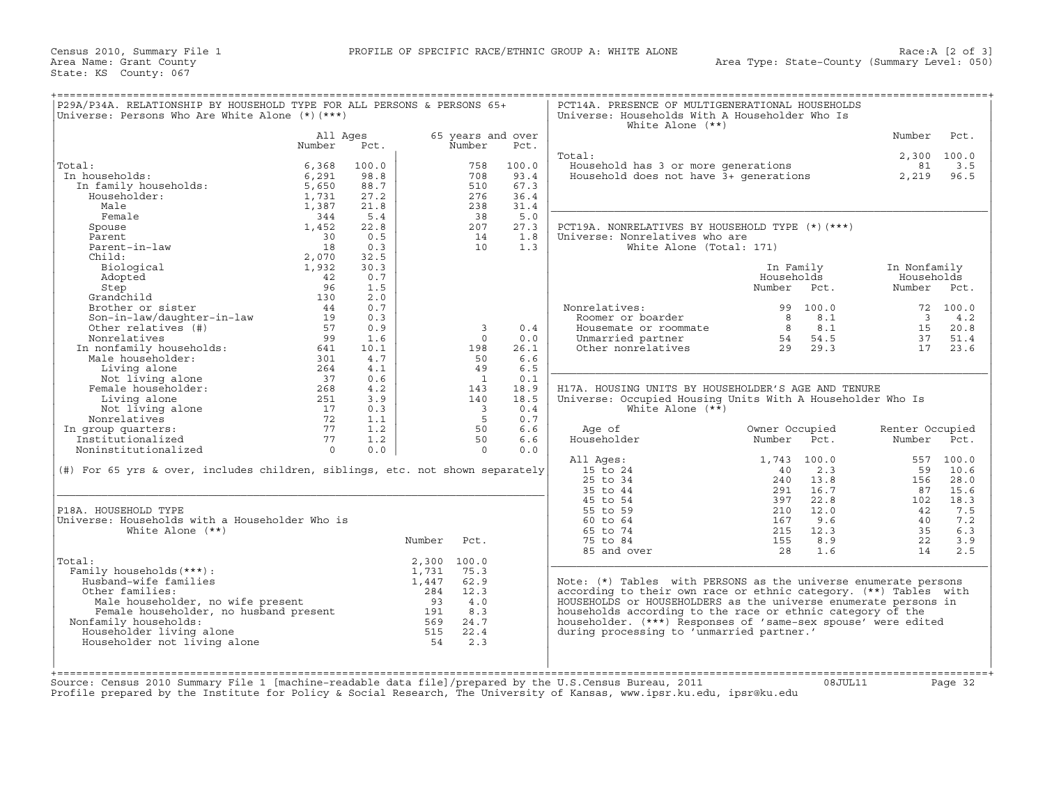Census 2010, Summary File 1 **PROFILE OF SPECIFIC RACE/ETHNIC GROUP A: WHITE ALONE** Area Name: Grant County State: KS County: 067

| Total:<br>In households:<br>In family households:<br>Householder:<br>Male<br>Female<br>Spouse<br>Parent<br>Parent-in-law<br>Child:<br>Biological<br>Adopted<br>Step<br>Grandchild<br>Brother or sister<br>Son-in-law/daughter-in-law<br>Other relatives (#)<br>Nonrelatives<br>In nonfamily households:<br>Male householder:<br>Living alone<br>Not living alone<br>Female householder:<br>Living alone<br>Not living alone<br>Nonrelatives<br>In group quarters: | All Ages<br>Number<br>6,368<br>6,291<br>5,650<br>1,731<br>1,387<br>344<br>1,452<br>30<br>18<br>2,070<br>1,932<br>42<br>96<br>130<br>44<br>19<br>57<br>99<br>641 | Pct.<br>100.0<br>98.8<br>88.7<br>27.2<br>21.8<br>5.4<br>22.8<br>0.5<br>0.3<br>32.5<br>30.3<br>0.7<br>1.5<br>2.0<br>0.7<br>0.3 |        | 65 years and over<br>Number<br>758<br>708<br>510<br>276<br>238<br>38<br>207<br>14<br>10 | Pct.<br>100.0<br>93.4<br>67.3<br>36.4<br>31.4<br>5.0<br>27.3<br>1.8<br>1.3 | Total:<br>Household has 3 or more generations<br>Household does not have $\vec{3}$ + generations<br>PCT19A. NONRELATIVES BY HOUSEHOLD TYPE (*) (***)<br>Universe: Nonrelatives who are<br>White Alone (Total: 171) |                |          | Number<br>2,300 100.0<br>81<br>2,219 | Pct.<br>3.5<br>96.5 |
|-------------------------------------------------------------------------------------------------------------------------------------------------------------------------------------------------------------------------------------------------------------------------------------------------------------------------------------------------------------------------------------------------------------------------------------------------------------------|-----------------------------------------------------------------------------------------------------------------------------------------------------------------|-------------------------------------------------------------------------------------------------------------------------------|--------|-----------------------------------------------------------------------------------------|----------------------------------------------------------------------------|--------------------------------------------------------------------------------------------------------------------------------------------------------------------------------------------------------------------|----------------|----------|--------------------------------------|---------------------|
|                                                                                                                                                                                                                                                                                                                                                                                                                                                                   |                                                                                                                                                                 |                                                                                                                               |        |                                                                                         |                                                                            |                                                                                                                                                                                                                    |                |          |                                      |                     |
|                                                                                                                                                                                                                                                                                                                                                                                                                                                                   |                                                                                                                                                                 |                                                                                                                               |        |                                                                                         |                                                                            |                                                                                                                                                                                                                    |                |          |                                      |                     |
|                                                                                                                                                                                                                                                                                                                                                                                                                                                                   |                                                                                                                                                                 |                                                                                                                               |        |                                                                                         |                                                                            |                                                                                                                                                                                                                    |                |          |                                      |                     |
|                                                                                                                                                                                                                                                                                                                                                                                                                                                                   |                                                                                                                                                                 |                                                                                                                               |        |                                                                                         |                                                                            |                                                                                                                                                                                                                    |                |          |                                      |                     |
|                                                                                                                                                                                                                                                                                                                                                                                                                                                                   |                                                                                                                                                                 |                                                                                                                               |        |                                                                                         |                                                                            |                                                                                                                                                                                                                    |                |          |                                      |                     |
|                                                                                                                                                                                                                                                                                                                                                                                                                                                                   |                                                                                                                                                                 |                                                                                                                               |        |                                                                                         |                                                                            |                                                                                                                                                                                                                    |                |          |                                      |                     |
|                                                                                                                                                                                                                                                                                                                                                                                                                                                                   |                                                                                                                                                                 |                                                                                                                               |        |                                                                                         |                                                                            |                                                                                                                                                                                                                    |                |          |                                      |                     |
|                                                                                                                                                                                                                                                                                                                                                                                                                                                                   |                                                                                                                                                                 |                                                                                                                               |        |                                                                                         |                                                                            |                                                                                                                                                                                                                    |                |          |                                      |                     |
|                                                                                                                                                                                                                                                                                                                                                                                                                                                                   |                                                                                                                                                                 |                                                                                                                               |        |                                                                                         |                                                                            |                                                                                                                                                                                                                    |                |          |                                      |                     |
|                                                                                                                                                                                                                                                                                                                                                                                                                                                                   |                                                                                                                                                                 |                                                                                                                               |        |                                                                                         |                                                                            |                                                                                                                                                                                                                    |                |          |                                      |                     |
|                                                                                                                                                                                                                                                                                                                                                                                                                                                                   |                                                                                                                                                                 |                                                                                                                               |        |                                                                                         |                                                                            |                                                                                                                                                                                                                    |                |          |                                      |                     |
|                                                                                                                                                                                                                                                                                                                                                                                                                                                                   |                                                                                                                                                                 |                                                                                                                               |        |                                                                                         |                                                                            |                                                                                                                                                                                                                    |                |          |                                      |                     |
|                                                                                                                                                                                                                                                                                                                                                                                                                                                                   |                                                                                                                                                                 |                                                                                                                               |        |                                                                                         |                                                                            |                                                                                                                                                                                                                    |                |          |                                      |                     |
|                                                                                                                                                                                                                                                                                                                                                                                                                                                                   |                                                                                                                                                                 |                                                                                                                               |        |                                                                                         |                                                                            |                                                                                                                                                                                                                    |                |          |                                      |                     |
|                                                                                                                                                                                                                                                                                                                                                                                                                                                                   |                                                                                                                                                                 |                                                                                                                               |        |                                                                                         |                                                                            |                                                                                                                                                                                                                    | In Family      |          | In Nonfamily                         |                     |
|                                                                                                                                                                                                                                                                                                                                                                                                                                                                   |                                                                                                                                                                 |                                                                                                                               |        |                                                                                         |                                                                            |                                                                                                                                                                                                                    | Households     |          | Households                           |                     |
|                                                                                                                                                                                                                                                                                                                                                                                                                                                                   |                                                                                                                                                                 |                                                                                                                               |        |                                                                                         |                                                                            |                                                                                                                                                                                                                    | Number Pct.    |          | Number                               | Pct.                |
|                                                                                                                                                                                                                                                                                                                                                                                                                                                                   |                                                                                                                                                                 |                                                                                                                               |        |                                                                                         |                                                                            |                                                                                                                                                                                                                    |                |          |                                      |                     |
|                                                                                                                                                                                                                                                                                                                                                                                                                                                                   |                                                                                                                                                                 |                                                                                                                               |        |                                                                                         |                                                                            | Nonrelatives:                                                                                                                                                                                                      |                | 99 100.0 |                                      | 72 100.0            |
|                                                                                                                                                                                                                                                                                                                                                                                                                                                                   |                                                                                                                                                                 |                                                                                                                               |        |                                                                                         |                                                                            | Roomer or boarder                                                                                                                                                                                                  | 8              | 8.1      | $\overline{\mathbf{3}}$              | 4.2                 |
|                                                                                                                                                                                                                                                                                                                                                                                                                                                                   |                                                                                                                                                                 | 0.9                                                                                                                           |        | $\overline{\mathbf{3}}$                                                                 | 0.4                                                                        | Housemate or roommate                                                                                                                                                                                              | 8 <sup>8</sup> | 8.1      | 15                                   | 20.8                |
|                                                                                                                                                                                                                                                                                                                                                                                                                                                                   |                                                                                                                                                                 | 1.6                                                                                                                           |        | $\Omega$                                                                                | 0.0                                                                        | Unmarried partner                                                                                                                                                                                                  | 54             | 54.5     | 37                                   | 51.4                |
|                                                                                                                                                                                                                                                                                                                                                                                                                                                                   |                                                                                                                                                                 | 10.1                                                                                                                          |        | 198                                                                                     | 26.1                                                                       | Other nonrelatives                                                                                                                                                                                                 |                | 29 29.3  | 17                                   | 23.6                |
|                                                                                                                                                                                                                                                                                                                                                                                                                                                                   | 301                                                                                                                                                             | 4.7                                                                                                                           |        | 50                                                                                      | 6.6                                                                        |                                                                                                                                                                                                                    |                |          |                                      |                     |
|                                                                                                                                                                                                                                                                                                                                                                                                                                                                   | 264                                                                                                                                                             | 4.1                                                                                                                           |        | 49                                                                                      | 6.5                                                                        |                                                                                                                                                                                                                    |                |          |                                      |                     |
|                                                                                                                                                                                                                                                                                                                                                                                                                                                                   | 37                                                                                                                                                              | 0.6                                                                                                                           |        | $\overline{1}$                                                                          | 0.1                                                                        |                                                                                                                                                                                                                    |                |          |                                      |                     |
|                                                                                                                                                                                                                                                                                                                                                                                                                                                                   | 268                                                                                                                                                             | 4.2                                                                                                                           |        | 143                                                                                     | 18.9                                                                       | H17A. HOUSING UNITS BY HOUSEHOLDER'S AGE AND TENURE                                                                                                                                                                |                |          |                                      |                     |
|                                                                                                                                                                                                                                                                                                                                                                                                                                                                   | 251<br>3.9<br>140<br>18.5                                                                                                                                       |                                                                                                                               |        |                                                                                         |                                                                            | Universe: Occupied Housing Units With A Householder Who Is                                                                                                                                                         |                |          |                                      |                     |
|                                                                                                                                                                                                                                                                                                                                                                                                                                                                   | 17                                                                                                                                                              | 0.3                                                                                                                           |        | $\overline{\mathbf{3}}$                                                                 |                                                                            |                                                                                                                                                                                                                    |                |          |                                      |                     |
|                                                                                                                                                                                                                                                                                                                                                                                                                                                                   | 72                                                                                                                                                              |                                                                                                                               |        | $-5$                                                                                    | 0.4                                                                        | White Alone $(**)$                                                                                                                                                                                                 |                |          |                                      |                     |
|                                                                                                                                                                                                                                                                                                                                                                                                                                                                   |                                                                                                                                                                 | 1.1                                                                                                                           |        |                                                                                         | 0.7                                                                        |                                                                                                                                                                                                                    |                |          |                                      |                     |
|                                                                                                                                                                                                                                                                                                                                                                                                                                                                   | 77                                                                                                                                                              | 1.2                                                                                                                           |        | 50                                                                                      | 6.6                                                                        | Age of                                                                                                                                                                                                             | Owner Occupied |          | Renter Occupied                      |                     |
| Institutionalized                                                                                                                                                                                                                                                                                                                                                                                                                                                 | 77                                                                                                                                                              | 1.2                                                                                                                           |        | 50                                                                                      | 6.6                                                                        | Householder                                                                                                                                                                                                        | Number         | Pct.     | Number Pct.                          |                     |
| Noninstitutionalized                                                                                                                                                                                                                                                                                                                                                                                                                                              | $\overline{0}$                                                                                                                                                  | 0.0                                                                                                                           |        | $\circ$                                                                                 | 0.0                                                                        |                                                                                                                                                                                                                    |                |          |                                      |                     |
|                                                                                                                                                                                                                                                                                                                                                                                                                                                                   |                                                                                                                                                                 |                                                                                                                               |        |                                                                                         |                                                                            | All Ages:                                                                                                                                                                                                          | 1,743 100.0    |          |                                      | 557 100.0           |
| (#) For 65 yrs & over, includes children, siblings, etc. not shown separately                                                                                                                                                                                                                                                                                                                                                                                     |                                                                                                                                                                 |                                                                                                                               |        |                                                                                         |                                                                            | 15 to 24                                                                                                                                                                                                           | 40             | 2.3      | 59                                   | 10.6                |
|                                                                                                                                                                                                                                                                                                                                                                                                                                                                   |                                                                                                                                                                 |                                                                                                                               |        |                                                                                         |                                                                            | 25 to 34                                                                                                                                                                                                           | 240            | 13.8     | 156                                  | 28.0                |
|                                                                                                                                                                                                                                                                                                                                                                                                                                                                   |                                                                                                                                                                 |                                                                                                                               |        |                                                                                         |                                                                            | 35 to 44                                                                                                                                                                                                           | 291            | 16.7     | 87                                   | 15.6                |
|                                                                                                                                                                                                                                                                                                                                                                                                                                                                   |                                                                                                                                                                 |                                                                                                                               |        |                                                                                         |                                                                            | 45 to 54                                                                                                                                                                                                           | 397            | 22.8     | 102                                  | 18.3                |
| P18A. HOUSEHOLD TYPE                                                                                                                                                                                                                                                                                                                                                                                                                                              |                                                                                                                                                                 |                                                                                                                               |        |                                                                                         |                                                                            | 55 to 59                                                                                                                                                                                                           | 210            | 12.0     | 42                                   | 7.5                 |
| Universe: Households with a Householder Who is                                                                                                                                                                                                                                                                                                                                                                                                                    |                                                                                                                                                                 |                                                                                                                               |        |                                                                                         |                                                                            | 60 to 64                                                                                                                                                                                                           | 167            | 9.6      | 40                                   | 7.2                 |
| White Alone $(**)$                                                                                                                                                                                                                                                                                                                                                                                                                                                |                                                                                                                                                                 |                                                                                                                               |        |                                                                                         |                                                                            | 65 to 74                                                                                                                                                                                                           | 215            | 12.3     | 35                                   | 6.3                 |
|                                                                                                                                                                                                                                                                                                                                                                                                                                                                   |                                                                                                                                                                 |                                                                                                                               | Number | Pct.                                                                                    |                                                                            | 75 to 84                                                                                                                                                                                                           | 155            | 8.9      | 22                                   | 3.9                 |
|                                                                                                                                                                                                                                                                                                                                                                                                                                                                   |                                                                                                                                                                 |                                                                                                                               |        |                                                                                         |                                                                            | 85 and over                                                                                                                                                                                                        | 28             | 1.6      | 14                                   | 2.5                 |
| Total:                                                                                                                                                                                                                                                                                                                                                                                                                                                            |                                                                                                                                                                 |                                                                                                                               |        | 2,300 100.0                                                                             |                                                                            |                                                                                                                                                                                                                    |                |          |                                      |                     |
| Family households (***) :                                                                                                                                                                                                                                                                                                                                                                                                                                         |                                                                                                                                                                 |                                                                                                                               | 1,731  | 75.3                                                                                    |                                                                            |                                                                                                                                                                                                                    |                |          |                                      |                     |
| Husband-wife families                                                                                                                                                                                                                                                                                                                                                                                                                                             |                                                                                                                                                                 |                                                                                                                               | 1,447  | 62.9                                                                                    |                                                                            | Note: (*) Tables with PERSONS as the universe enumerate persons                                                                                                                                                    |                |          |                                      |                     |
|                                                                                                                                                                                                                                                                                                                                                                                                                                                                   |                                                                                                                                                                 |                                                                                                                               |        |                                                                                         |                                                                            |                                                                                                                                                                                                                    |                |          |                                      |                     |
| Other families:<br>her families:<br>Male householder, no wife present 93<br>Female householder, no husband present 191<br>569                                                                                                                                                                                                                                                                                                                                     |                                                                                                                                                                 |                                                                                                                               | 284    | 12.3                                                                                    |                                                                            | according to their own race or ethnic category. (**) Tables with<br>HOUSEHOLDS or HOUSEHOLDERS as the universe enumerate persons in                                                                                |                |          |                                      |                     |
| Male householder, no wife present                                                                                                                                                                                                                                                                                                                                                                                                                                 |                                                                                                                                                                 |                                                                                                                               |        | 4.0                                                                                     |                                                                            |                                                                                                                                                                                                                    |                |          |                                      |                     |
|                                                                                                                                                                                                                                                                                                                                                                                                                                                                   |                                                                                                                                                                 |                                                                                                                               |        | 8.3                                                                                     |                                                                            | households according to the race or ethnic category of the                                                                                                                                                         |                |          |                                      |                     |
| Nonfamily households:                                                                                                                                                                                                                                                                                                                                                                                                                                             |                                                                                                                                                                 |                                                                                                                               | 569    | 24.7                                                                                    |                                                                            | householder. (***) Responses of 'same-sex spouse' were edited                                                                                                                                                      |                |          |                                      |                     |
| Householder living alone                                                                                                                                                                                                                                                                                                                                                                                                                                          |                                                                                                                                                                 |                                                                                                                               | 515    | 22.4                                                                                    |                                                                            | during processing to 'unmarried partner.'                                                                                                                                                                          |                |          |                                      |                     |
| Householder not living alone                                                                                                                                                                                                                                                                                                                                                                                                                                      |                                                                                                                                                                 |                                                                                                                               | 54     | 2.3                                                                                     |                                                                            |                                                                                                                                                                                                                    |                |          |                                      |                     |
|                                                                                                                                                                                                                                                                                                                                                                                                                                                                   |                                                                                                                                                                 |                                                                                                                               |        |                                                                                         |                                                                            |                                                                                                                                                                                                                    |                |          |                                      |                     |
|                                                                                                                                                                                                                                                                                                                                                                                                                                                                   |                                                                                                                                                                 |                                                                                                                               |        |                                                                                         |                                                                            |                                                                                                                                                                                                                    |                |          |                                      |                     |
|                                                                                                                                                                                                                                                                                                                                                                                                                                                                   |                                                                                                                                                                 |                                                                                                                               |        |                                                                                         |                                                                            |                                                                                                                                                                                                                    |                |          |                                      |                     |
| Source: Census 2010 Summary File 1 [machine-readable data file]/prepared by the U.S.Census Bureau, 2011<br>Profile prepared by the Institute for Policy & Social Research, The University of Kansas, www.ipsr.ku.edu, ipsr@ku.edu                                                                                                                                                                                                                                 |                                                                                                                                                                 |                                                                                                                               |        |                                                                                         |                                                                            |                                                                                                                                                                                                                    |                |          | 08JUL11                              | Page 32             |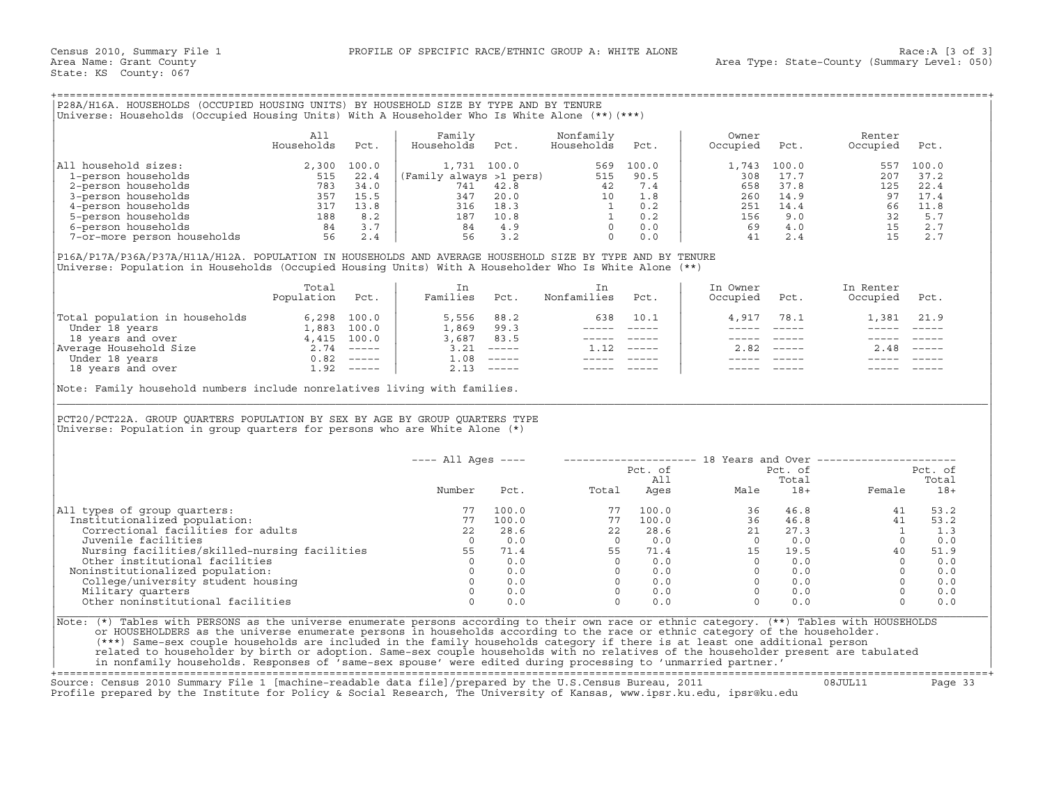## +===================================================================================================================================================+

|                             | All<br>Households | Pct.                  | Family<br>Households    | Pct. | Nonfamily<br>Households | Pct.  | Owner<br>Occupied | Pct.  | Renter<br>Occupied | Pct.        |
|-----------------------------|-------------------|-----------------------|-------------------------|------|-------------------------|-------|-------------------|-------|--------------------|-------------|
| household sizes:<br>All     | 2,300             | 100.0                 | 1,731 100.0             |      | 569                     | 100.0 | ⊥,743             | 100.0 | 557                | 100.0       |
| 1-person households         | 515               | 22.4                  | (Family always >1 pers) |      | 515                     | 90.5  | 308               | 17.7  | 207                | 37.2        |
| 2-person households         | 783               | 34.0                  | 741                     | 42.8 | 42                      | 7.4   | 658               | 37.8  | 125                | 22.4        |
| 3-person households         | 357               | 15.5                  | 347                     | 20.0 | 10                      | 1.8   | 260               | 14.9  | 97                 | 17.4        |
| 4-person households         | 317               | 13.8                  | 316                     | 18.3 |                         | 0.2   | 251               | 14.4  | 66                 | 11.8        |
| 5-person households         | 188               | 8.2                   | 187                     | 10.8 |                         | 0.2   | 156               | 9.0   | 32                 | 5.7         |
| 6-person households         | 84                | $\sim$ $\sim$<br>ن. د | 84                      | 4.9  |                         | 0.0   | 69                | 4.0   |                    | 2.7         |
| 7-or-more person households | 56                |                       | 56                      | 3.2  |                         | 0.0   | 41                | 2.4   |                    | $2 \cdot 7$ |

|                                | Total<br>Population | Pct.          | Families | Pct.                      | Nonfamilies | Pct.                      | In Owner<br>Occupied | Pct. | In Renter<br>Occupied | Pct.                      |
|--------------------------------|---------------------|---------------|----------|---------------------------|-------------|---------------------------|----------------------|------|-----------------------|---------------------------|
| Total population in households | 6,298               | 100.0         | 5,556    | 88.2                      | 638         | 10.1                      | 4,917                | 78.1 |                       | 1,381 21.9                |
| Under 18 years                 | 1,883               | 100.0         | 1,869    | 99.3                      |             |                           |                      |      |                       |                           |
| 18 years and over              |                     | 4,415 100.0   | 3,687    | 83.5                      |             |                           |                      |      |                       |                           |
| Average Household Size         | 2.74                | $- - - - - -$ | 3.21     | $------$                  |             | $\qquad \qquad - - - - -$ | 2.82                 |      | 2.48                  | $\qquad \qquad - - - - -$ |
| Under 18 years                 | 0.82                | $------$      | 1.08     | $\qquad \qquad - - - - -$ |             |                           |                      |      |                       |                           |
| 18 years and over              | 1.92                | $------$      |          | $------$                  |             |                           |                      |      |                       |                           |

| P28A/H16A. HOUSEHOLDS (OCCUPIED HOUSING UNITS) BY HOUSEHOLD SIZE BY TYPE AND BY TENURE<br>Universe: Households (Occupied Housing Units) With A Householder Who Is White Alone (**) (***)                                                                                                                                                                                                                                                                                                                                                                                                                                                                         |                          |      |                                                      |                               |                                                                                                                                                                                                                                                                                            |                                                                                                           |                                                                                                                                                                                                                                                                                                                                                                                              |                                                                                                         |                                                                                        |                                   |
|------------------------------------------------------------------------------------------------------------------------------------------------------------------------------------------------------------------------------------------------------------------------------------------------------------------------------------------------------------------------------------------------------------------------------------------------------------------------------------------------------------------------------------------------------------------------------------------------------------------------------------------------------------------|--------------------------|------|------------------------------------------------------|-------------------------------|--------------------------------------------------------------------------------------------------------------------------------------------------------------------------------------------------------------------------------------------------------------------------------------------|-----------------------------------------------------------------------------------------------------------|----------------------------------------------------------------------------------------------------------------------------------------------------------------------------------------------------------------------------------------------------------------------------------------------------------------------------------------------------------------------------------------------|---------------------------------------------------------------------------------------------------------|----------------------------------------------------------------------------------------|-----------------------------------|
|                                                                                                                                                                                                                                                                                                                                                                                                                                                                                                                                                                                                                                                                  | All<br>Households        | Pct. | Family<br>Households                                 | Pct.                          | Nonfamily<br>Households                                                                                                                                                                                                                                                                    | Pct.                                                                                                      | Owner<br>Occupied                                                                                                                                                                                                                                                                                                                                                                            | Pct.                                                                                                    | Renter<br>Occupied                                                                     | Pct.                              |
| All household sizes:<br>11 nouseholds<br>2, 300 100, 2, 300 100, 0<br>2, 22.4<br>2, person households<br>3-person households<br>4-person households<br>6-person households<br>6-person households<br>56 2.4<br>7-or-more person households<br>56 2.4                                                                                                                                                                                                                                                                                                                                                                                                             | 2,300 100.0              |      |                                                      |                               |                                                                                                                                                                                                                                                                                            |                                                                                                           | 1,743<br>308<br>658<br>260<br>251                                                                                                                                                                                                                                                                                                                                                            | 100.0<br>17.7<br>37.8<br>14.9<br>14.4                                                                   | 557<br>125<br>97<br>66 11.8                                                            | 100.0<br>207 37.2<br>22.4<br>17.4 |
|                                                                                                                                                                                                                                                                                                                                                                                                                                                                                                                                                                                                                                                                  |                          |      |                                                      |                               |                                                                                                                                                                                                                                                                                            |                                                                                                           | 156<br>41                                                                                                                                                                                                                                                                                                                                                                                    | 9.0<br>69 4.0<br>2.4                                                                                    | $\begin{array}{ccc} & & & \mathbf{60} & - \\ & & & 32 & \\ 15 & & & 15 \\ \end{array}$ | 5.7<br>2.7<br>2.7                 |
| P16A/P17A/P36A/P37A/H11A/H12A. POPULATION IN HOUSEHOLDS AND AVERAGE HOUSEHOLD SIZE BY TYPE AND BY TENURE<br>Universe: Population in Households (Occupied Housing Units) With A Householder Who Is White Alone (**)                                                                                                                                                                                                                                                                                                                                                                                                                                               |                          |      |                                                      |                               |                                                                                                                                                                                                                                                                                            |                                                                                                           |                                                                                                                                                                                                                                                                                                                                                                                              |                                                                                                         |                                                                                        |                                   |
|                                                                                                                                                                                                                                                                                                                                                                                                                                                                                                                                                                                                                                                                  | Total<br>Population Pct. |      | In<br>Families Pct.                                  |                               | In<br>Nonfamilies Pct.                                                                                                                                                                                                                                                                     |                                                                                                           | In Owner<br>Occupied Pct.                                                                                                                                                                                                                                                                                                                                                                    |                                                                                                         | In Renter<br>Occupied Pct.                                                             |                                   |
|                                                                                                                                                                                                                                                                                                                                                                                                                                                                                                                                                                                                                                                                  |                          |      | 5,556 88.2<br>1,869 99.3<br>3,687 83.5<br>3.21 ----- |                               |                                                                                                                                                                                                                                                                                            | 638 10.1<br>_______________<br>----- -----                                                                | 4,917<br>$\frac{1}{2}$<br>$------$                                                                                                                                                                                                                                                                                                                                                           | 78.1<br>$\frac{1}{2}$<br>$\qquad \qquad - - - - -$                                                      | 1,381 21.9<br>$\frac{1}{2}$                                                            |                                   |
| $\begin{tabular}{ l l } \hline \texttt{Total population in households} & 6,298 100.0 \\ \hline \texttt{Under 18 years} & 1,883 100.0 \\ \hline 18 years and over & 4,415 100.0 \\ \hline \texttt{Average Household Size} & 2.74 & --- \\ \hline \texttt{Under 18 years} & 0.82 --- \\ \hline \texttt{18 years and over} & 1.92 --- \\ \hline \end{tabular}$                                                                                                                                                                                                                                                                                                      |                          |      | $1.08$ -----                                         | $2.13$ -----                  | $1.12$ -----                                                                                                                                                                                                                                                                               | $\begin{array}{cccccc} - & - & - & - & - & - & - \\ & - & - & - & - & - \\ & & - & - & - & - \end{array}$ | $\frac{1}{2} \frac{1}{2} \frac{1}{2} \frac{1}{2} \frac{1}{2} \frac{1}{2} \frac{1}{2} \frac{1}{2} \frac{1}{2} \frac{1}{2} \frac{1}{2} \frac{1}{2} \frac{1}{2} \frac{1}{2} \frac{1}{2} \frac{1}{2} \frac{1}{2} \frac{1}{2} \frac{1}{2} \frac{1}{2} \frac{1}{2} \frac{1}{2} \frac{1}{2} \frac{1}{2} \frac{1}{2} \frac{1}{2} \frac{1}{2} \frac{1}{2} \frac{1}{2} \frac{1}{2} \frac{1}{2} \frac{$ | $2.82$ -----<br>$\begin{array}{cccccc} - & - & - & - & - & - & - \\ & - & - & - & - & - \\ \end{array}$ | $2.48$ -----                                                                           |                                   |
| Note: Family household numbers include nonrelatives living with families.                                                                                                                                                                                                                                                                                                                                                                                                                                                                                                                                                                                        |                          |      |                                                      |                               |                                                                                                                                                                                                                                                                                            |                                                                                                           |                                                                                                                                                                                                                                                                                                                                                                                              |                                                                                                         |                                                                                        |                                   |
| PCT20/PCT22A. GROUP QUARTERS POPULATION BY SEX BY AGE BY GROUP QUARTERS TYPE<br>Universe: Population in group quarters for persons who are White Alone $(*)$                                                                                                                                                                                                                                                                                                                                                                                                                                                                                                     |                          |      |                                                      |                               |                                                                                                                                                                                                                                                                                            |                                                                                                           |                                                                                                                                                                                                                                                                                                                                                                                              |                                                                                                         |                                                                                        |                                   |
|                                                                                                                                                                                                                                                                                                                                                                                                                                                                                                                                                                                                                                                                  |                          |      | $---$ All Ages $---$                                 |                               |                                                                                                                                                                                                                                                                                            | Pct. of                                                                                                   |                                                                                                                                                                                                                                                                                                                                                                                              | Pct. of                                                                                                 | -------------------- 18 Years and Over ----------------------                          | Pct. of                           |
|                                                                                                                                                                                                                                                                                                                                                                                                                                                                                                                                                                                                                                                                  |                          |      | Number                                               | Pct.                          |                                                                                                                                                                                                                                                                                            | All                                                                                                       | All<br>Total Ages Male                                                                                                                                                                                                                                                                                                                                                                       | Total<br>$18+$                                                                                          | Female                                                                                 | Total<br>$18+$                    |
| All types of group quarters:<br>Institutionalized population:<br>Correctional facilities for adults<br>Juvenile facilities                                                                                                                                                                                                                                                                                                                                                                                                                                                                                                                                       |                          |      | 77<br>77<br>22<br>$\overline{0}$                     | 100.0<br>100.0<br>28.6<br>0.0 | $\begin{array}{cccc} 77 & 100.0 & 36 & 46.8 \\ 77 & 100.0 & 36 & 46.8 \\ 22 & 28.6 & 21 & 27.3 \\ 0 & 0.0 & 0 & 0.0 \\ 55 & 71.4 & 15 & 19.5 \\ 0 & 0.0 & 0 & 0.0 \\ 0 & 0.0 & 0 & 0.0 \\ 0 & 0.0 & 0 & 0.0 \\ 0 & 0.0 & 0 & 0.0 \\ 0 & 0.0 & 0 & 0.0 \\ 0 & 0.0 & 0 & 0.0 \\ \end{array}$ |                                                                                                           |                                                                                                                                                                                                                                                                                                                                                                                              |                                                                                                         | 41<br>41<br>1<br>$\begin{array}{c} 1 \\ 0 \\ 40 \end{array}$                           | 53.2<br>53.2<br>1.3<br>0.0        |
| Nursing facilities/skilled-nursing facilities 55<br>Other institutional facilities<br>Noninstitutionalized population:                                                                                                                                                                                                                                                                                                                                                                                                                                                                                                                                           |                          |      | $\overline{0}$<br>$\overline{0}$                     | 71.4<br>0.0<br>0.0            |                                                                                                                                                                                                                                                                                            |                                                                                                           |                                                                                                                                                                                                                                                                                                                                                                                              |                                                                                                         | $\overline{0}$<br>$\Omega$                                                             | 51.9<br>0.0<br>0.0                |
| College/university student housing<br>Military quarters<br>Other noninstitutional facilities                                                                                                                                                                                                                                                                                                                                                                                                                                                                                                                                                                     |                          |      | $\Omega$<br>$\Omega$                                 | $0 \qquad 0.0$<br>0.0<br>0.0  |                                                                                                                                                                                                                                                                                            |                                                                                                           |                                                                                                                                                                                                                                                                                                                                                                                              |                                                                                                         | $\overline{0}$<br>$\overline{0}$<br>$\Omega$                                           | 0.0<br>0.0<br>0.0                 |
| Note: (*) Tables with PERSONS as the universe enumerate persons according to their own race or ethnic category. (**) Tables with HOUSEHOLDS<br>or HOUSEHOLDERS as the universe enumerate persons in households according to the race or ethnic category of the householder.<br>(***) Same-sex couple households are included in the family households category if there is at least one additional person<br>related to householder by birth or adoption. Same-sex couple households with no relatives of the householder present are tabulated<br>in nonfamily households. Responses of 'same-sex spouse' were edited during processing to 'unmarried partner.' |                          |      |                                                      |                               |                                                                                                                                                                                                                                                                                            |                                                                                                           |                                                                                                                                                                                                                                                                                                                                                                                              |                                                                                                         |                                                                                        |                                   |

+===================================================================================================================================================+ Source: Census 2010 Summary File 1 [machine−readable data file]/prepared by the U.S.Census Bureau, 2011 08JUL11 Page 33 Profile prepared by the Institute for Policy & Social Research, The University of Kansas, www.ipsr.ku.edu, ipsr@ku.edu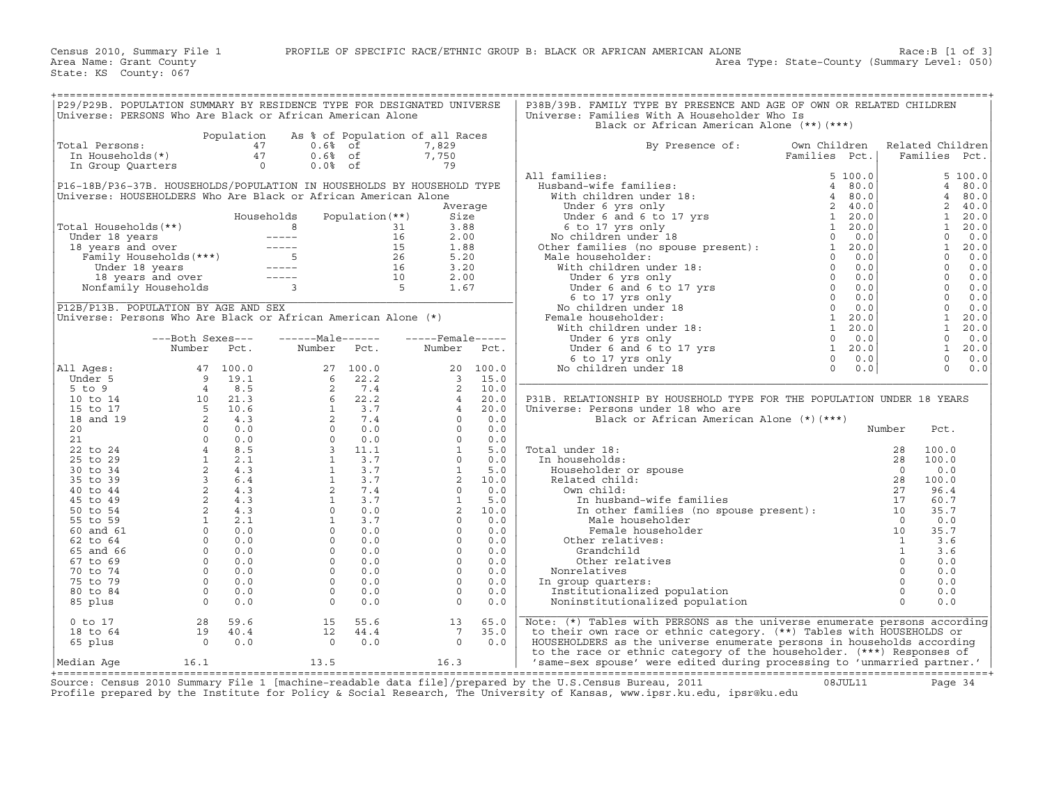| Universe: PERSONS Who Are Black or African American Alone      |                                                                |            | P29/P29B. POPULATION SUMMARY BY RESIDENCE TYPE FOR DESIGNATED UNIVERSE                                                                                                                                                                                            |                   |                                 |         | P38B/39B. FAMILY TYPE BY PRESENCE AND AGE OF OWN OR RELATED CHILDREN<br>Universe: Families With A Householder Who Is<br>Black or African American Alone (**)(***)                                                                                                                                                                                                                                                                                                                                                      |               |                  |        |
|----------------------------------------------------------------|----------------------------------------------------------------|------------|-------------------------------------------------------------------------------------------------------------------------------------------------------------------------------------------------------------------------------------------------------------------|-------------------|---------------------------------|---------|------------------------------------------------------------------------------------------------------------------------------------------------------------------------------------------------------------------------------------------------------------------------------------------------------------------------------------------------------------------------------------------------------------------------------------------------------------------------------------------------------------------------|---------------|------------------|--------|
|                                                                |                                                                | Population |                                                                                                                                                                                                                                                                   |                   | As % of Population of all Races |         |                                                                                                                                                                                                                                                                                                                                                                                                                                                                                                                        |               |                  |        |
| Total Persons:                                                 |                                                                |            | $0.6%$ of                                                                                                                                                                                                                                                         |                   | 7,829                           |         | By Presence of:<br>Own Children                                                                                                                                                                                                                                                                                                                                                                                                                                                                                        |               | Related Children |        |
|                                                                |                                                                |            | $0.6%$ of                                                                                                                                                                                                                                                         |                   | 7,750                           |         |                                                                                                                                                                                                                                                                                                                                                                                                                                                                                                                        | Families Pct. | Families Pct.    |        |
|                                                                | UCCLE PERSONS: AT ALL PRINCIPAL AT A 47<br>In Group Quarters 0 |            | $0.0%$ of                                                                                                                                                                                                                                                         |                   | 79                              |         |                                                                                                                                                                                                                                                                                                                                                                                                                                                                                                                        |               |                  |        |
|                                                                |                                                                |            |                                                                                                                                                                                                                                                                   |                   |                                 |         | All families:                                                                                                                                                                                                                                                                                                                                                                                                                                                                                                          |               |                  | 5100.0 |
|                                                                |                                                                |            |                                                                                                                                                                                                                                                                   |                   |                                 |         |                                                                                                                                                                                                                                                                                                                                                                                                                                                                                                                        |               | $\overline{4}$   |        |
|                                                                |                                                                |            | P16-18B/P36-37B. HOUSEHOLDS/POPULATION IN HOUSEHOLDS BY HOUSEHOLD TYPE                                                                                                                                                                                            |                   |                                 |         |                                                                                                                                                                                                                                                                                                                                                                                                                                                                                                                        |               |                  | 80.0   |
| Universe: HOUSEHOLDERS Who Are Black or African American Alone |                                                                |            |                                                                                                                                                                                                                                                                   |                   |                                 |         |                                                                                                                                                                                                                                                                                                                                                                                                                                                                                                                        |               | $\overline{4}$   | 80.0   |
|                                                                |                                                                |            |                                                                                                                                                                                                                                                                   |                   |                                 | Average |                                                                                                                                                                                                                                                                                                                                                                                                                                                                                                                        |               | $\overline{2}$   | 40.0   |
|                                                                |                                                                |            | Households                                                                                                                                                                                                                                                        | Population $(**)$ | Size                            |         |                                                                                                                                                                                                                                                                                                                                                                                                                                                                                                                        |               | $\mathbf{1}$     | 20.0   |
| Total Households(**)                                           |                                                                |            |                                                                                                                                                                                                                                                                   |                   |                                 |         |                                                                                                                                                                                                                                                                                                                                                                                                                                                                                                                        |               | 1                | 20.0   |
|                                                                |                                                                |            |                                                                                                                                                                                                                                                                   |                   |                                 |         |                                                                                                                                                                                                                                                                                                                                                                                                                                                                                                                        |               | $\Omega$         | 0.0    |
|                                                                |                                                                |            |                                                                                                                                                                                                                                                                   |                   |                                 |         |                                                                                                                                                                                                                                                                                                                                                                                                                                                                                                                        |               | $\mathbf{1}$     | 20.0   |
|                                                                |                                                                |            |                                                                                                                                                                                                                                                                   |                   |                                 |         |                                                                                                                                                                                                                                                                                                                                                                                                                                                                                                                        |               | $\mathbf{0}$     | 0.0    |
|                                                                |                                                                |            |                                                                                                                                                                                                                                                                   |                   |                                 |         |                                                                                                                                                                                                                                                                                                                                                                                                                                                                                                                        |               | $\Omega$         | 0.0    |
|                                                                |                                                                |            | otal Households (**)<br>Under 18 years<br>18 years and over<br>18 years and over<br>16 2.00<br>18 years and over<br>16 2.00<br>16 2.00<br>16 3.20<br>Under 18 years<br>16 3.20<br>16 3.20<br>16 3.20<br>16 3.20<br>16 3.20<br>16 3.20<br>16 3.20<br>16 3.20<br>16 |                   |                                 |         | All families:<br>Husband-wife families:<br>With children under 18:<br>Under 6 yrs only<br>Under 6 and 6 to 17 yrs<br>Concerned and 6 to 17 yrs<br>No children under 18<br>No children under 18<br>No children under 18:<br>Under 6 yrs only<br>Und                                                                                                                                                                                                                                                                     |               | $\overline{0}$   | 0.0    |
|                                                                |                                                                |            |                                                                                                                                                                                                                                                                   |                   |                                 |         |                                                                                                                                                                                                                                                                                                                                                                                                                                                                                                                        |               | $\overline{0}$   | 0.0    |
|                                                                |                                                                |            |                                                                                                                                                                                                                                                                   |                   |                                 |         |                                                                                                                                                                                                                                                                                                                                                                                                                                                                                                                        |               | $\overline{0}$   | 0.0    |
| P12B/P13B. POPULATION BY AGE AND SEX                           |                                                                |            |                                                                                                                                                                                                                                                                   |                   |                                 |         |                                                                                                                                                                                                                                                                                                                                                                                                                                                                                                                        |               | $\Omega$         | 0.0    |
|                                                                |                                                                |            | Universe: Persons Who Are Black or African American Alone (*)                                                                                                                                                                                                     |                   |                                 |         |                                                                                                                                                                                                                                                                                                                                                                                                                                                                                                                        |               | $\mathbf{1}$     | 20.0   |
|                                                                |                                                                |            |                                                                                                                                                                                                                                                                   |                   |                                 |         |                                                                                                                                                                                                                                                                                                                                                                                                                                                                                                                        |               | $\mathbf{1}$     | 20.0   |
|                                                                | ---Both Sexes---                                               |            | $---Male----$                                                                                                                                                                                                                                                     |                   | $---$ Female -----              |         |                                                                                                                                                                                                                                                                                                                                                                                                                                                                                                                        |               | $\mathbf 0$      | 0.0    |
|                                                                |                                                                |            |                                                                                                                                                                                                                                                                   |                   |                                 |         |                                                                                                                                                                                                                                                                                                                                                                                                                                                                                                                        |               | <sup>1</sup>     |        |
|                                                                | Number Pct.                                                    |            | Number Pct.                                                                                                                                                                                                                                                       |                   | Number                          | Pct.    |                                                                                                                                                                                                                                                                                                                                                                                                                                                                                                                        |               |                  | 20.0   |
|                                                                |                                                                |            |                                                                                                                                                                                                                                                                   |                   |                                 |         | Under 6 and 6 to 17 yrs<br>Under 6 and 6 to 17 yrs<br>6 to 17 yrs only<br>5 children under 18<br>1 20.0<br>1 20.0<br>0 0.0<br>1 20.0<br>0 0.0<br>0 0.0                                                                                                                                                                                                                                                                                                                                                                 |               | $\Omega$         | 0.0    |
| All Aqes:                                                      |                                                                |            |                                                                                                                                                                                                                                                                   |                   |                                 |         | No children under 18                                                                                                                                                                                                                                                                                                                                                                                                                                                                                                   |               | $\Omega$         | 0.0    |
|                                                                |                                                                |            |                                                                                                                                                                                                                                                                   |                   |                                 |         |                                                                                                                                                                                                                                                                                                                                                                                                                                                                                                                        |               |                  |        |
|                                                                |                                                                |            |                                                                                                                                                                                                                                                                   |                   |                                 |         |                                                                                                                                                                                                                                                                                                                                                                                                                                                                                                                        |               |                  |        |
|                                                                |                                                                |            |                                                                                                                                                                                                                                                                   |                   |                                 |         | P31B. RELATIONSHIP BY HOUSEHOLD TYPE FOR THE POPULATION UNDER 18 YEARS                                                                                                                                                                                                                                                                                                                                                                                                                                                 |               |                  |        |
|                                                                |                                                                |            |                                                                                                                                                                                                                                                                   |                   |                                 |         | Universe: Persons under 18 who are                                                                                                                                                                                                                                                                                                                                                                                                                                                                                     |               |                  |        |
|                                                                |                                                                |            |                                                                                                                                                                                                                                                                   |                   |                                 |         |                                                                                                                                                                                                                                                                                                                                                                                                                                                                                                                        |               |                  |        |
|                                                                |                                                                |            |                                                                                                                                                                                                                                                                   |                   |                                 |         |                                                                                                                                                                                                                                                                                                                                                                                                                                                                                                                        |               |                  |        |
|                                                                |                                                                |            |                                                                                                                                                                                                                                                                   |                   |                                 |         |                                                                                                                                                                                                                                                                                                                                                                                                                                                                                                                        |               |                  |        |
|                                                                |                                                                |            |                                                                                                                                                                                                                                                                   |                   |                                 |         | Total under 18:                                                                                                                                                                                                                                                                                                                                                                                                                                                                                                        |               |                  |        |
|                                                                |                                                                |            |                                                                                                                                                                                                                                                                   |                   |                                 |         | In households:                                                                                                                                                                                                                                                                                                                                                                                                                                                                                                         |               |                  |        |
|                                                                |                                                                |            |                                                                                                                                                                                                                                                                   |                   |                                 |         | Householder or spouse                                                                                                                                                                                                                                                                                                                                                                                                                                                                                                  |               |                  |        |
|                                                                |                                                                |            |                                                                                                                                                                                                                                                                   |                   |                                 |         | Related child:                                                                                                                                                                                                                                                                                                                                                                                                                                                                                                         |               |                  |        |
|                                                                |                                                                |            |                                                                                                                                                                                                                                                                   |                   |                                 |         | Own child:                                                                                                                                                                                                                                                                                                                                                                                                                                                                                                             |               |                  |        |
|                                                                |                                                                |            |                                                                                                                                                                                                                                                                   |                   |                                 |         |                                                                                                                                                                                                                                                                                                                                                                                                                                                                                                                        |               |                  |        |
|                                                                |                                                                |            |                                                                                                                                                                                                                                                                   |                   |                                 |         |                                                                                                                                                                                                                                                                                                                                                                                                                                                                                                                        |               |                  |        |
|                                                                |                                                                |            |                                                                                                                                                                                                                                                                   |                   |                                 |         |                                                                                                                                                                                                                                                                                                                                                                                                                                                                                                                        |               |                  |        |
|                                                                |                                                                |            |                                                                                                                                                                                                                                                                   |                   |                                 |         |                                                                                                                                                                                                                                                                                                                                                                                                                                                                                                                        |               |                  |        |
|                                                                |                                                                |            |                                                                                                                                                                                                                                                                   |                   |                                 |         |                                                                                                                                                                                                                                                                                                                                                                                                                                                                                                                        |               |                  |        |
|                                                                |                                                                |            |                                                                                                                                                                                                                                                                   |                   |                                 |         | Other relatives:                                                                                                                                                                                                                                                                                                                                                                                                                                                                                                       |               |                  |        |
|                                                                |                                                                |            |                                                                                                                                                                                                                                                                   |                   |                                 |         |                                                                                                                                                                                                                                                                                                                                                                                                                                                                                                                        |               |                  |        |
|                                                                |                                                                |            |                                                                                                                                                                                                                                                                   |                   |                                 |         |                                                                                                                                                                                                                                                                                                                                                                                                                                                                                                                        |               |                  |        |
|                                                                |                                                                |            |                                                                                                                                                                                                                                                                   |                   |                                 |         | Nonrelatives                                                                                                                                                                                                                                                                                                                                                                                                                                                                                                           |               |                  |        |
|                                                                |                                                                |            |                                                                                                                                                                                                                                                                   |                   |                                 |         | In group quarters:                                                                                                                                                                                                                                                                                                                                                                                                                                                                                                     |               |                  |        |
|                                                                |                                                                |            |                                                                                                                                                                                                                                                                   |                   |                                 |         | Institutionalized population                                                                                                                                                                                                                                                                                                                                                                                                                                                                                           |               |                  |        |
|                                                                |                                                                |            |                                                                                                                                                                                                                                                                   |                   |                                 |         | Noninstitutionalized population                                                                                                                                                                                                                                                                                                                                                                                                                                                                                        |               |                  |        |
| 0 to 17                                                        | 28                                                             | 59.6       | 15                                                                                                                                                                                                                                                                | 55.6              | 13                              | 65.0    | $\begin{tabular}{c} \hline & \textit{JSEHOLD T1.}\\ \hline \textit{JSEHOLD T1.}\\ \hline \textit{J1} & \textit{J2} & \textit{N} \textit{to} \textit{in} \\ \hline \textit{child:}\\ \hline \textit{J1} & \textit{J2} & \textit{J3} \\ \hline \textit{J2} & \textit{J4} & \textit{J5} \\ \hline \textit{J1} & \textit{J2} & \textit{J5} \\ \hline \textit{J2} & \textit{J4} & \textit{J5} \\ \hline \textit{M1} & \textit{J1} & \textit{J$<br>Note: (*) Tables with PERSONS as the universe enumerate persons according |               |                  |        |
| 18 to 64                                                       | $\begin{array}{c} 19 \\ 0 \end{array}$                         | 40.4       | 12                                                                                                                                                                                                                                                                | 44.4              | $7\overline{ }$                 | 35.0    | to their own race or ethnic category. (**) Tables with HOUSEHOLDS or                                                                                                                                                                                                                                                                                                                                                                                                                                                   |               |                  |        |
| 65 plus                                                        |                                                                | 0.0        | $\overline{0}$                                                                                                                                                                                                                                                    | 0.0               | $\Omega$                        | 0.0     | HOUSEHOLDERS as the universe enumerate persons in households according                                                                                                                                                                                                                                                                                                                                                                                                                                                 |               |                  |        |
|                                                                |                                                                |            |                                                                                                                                                                                                                                                                   |                   |                                 |         | to the race or ethnic category of the householder. (***) Responses of                                                                                                                                                                                                                                                                                                                                                                                                                                                  |               |                  |        |
| Median Aqe                                                     | 16.1                                                           |            | 13.5                                                                                                                                                                                                                                                              |                   | 16.3                            |         | 'same-sex spouse' were edited during processing to 'unmarried partner.'                                                                                                                                                                                                                                                                                                                                                                                                                                                |               |                  |        |
|                                                                |                                                                |            |                                                                                                                                                                                                                                                                   |                   |                                 |         |                                                                                                                                                                                                                                                                                                                                                                                                                                                                                                                        |               |                  |        |

+===================================================================================================================================================+Source: Census 2010 Summary File 1 [machine−readable data file]/prepared by the U.S.Census Bureau, 2011 08JUL11 Page 34 Profile prepared by the Institute for Policy & Social Research, The University of Kansas, www.ipsr.ku.edu, ipsr@ku.edu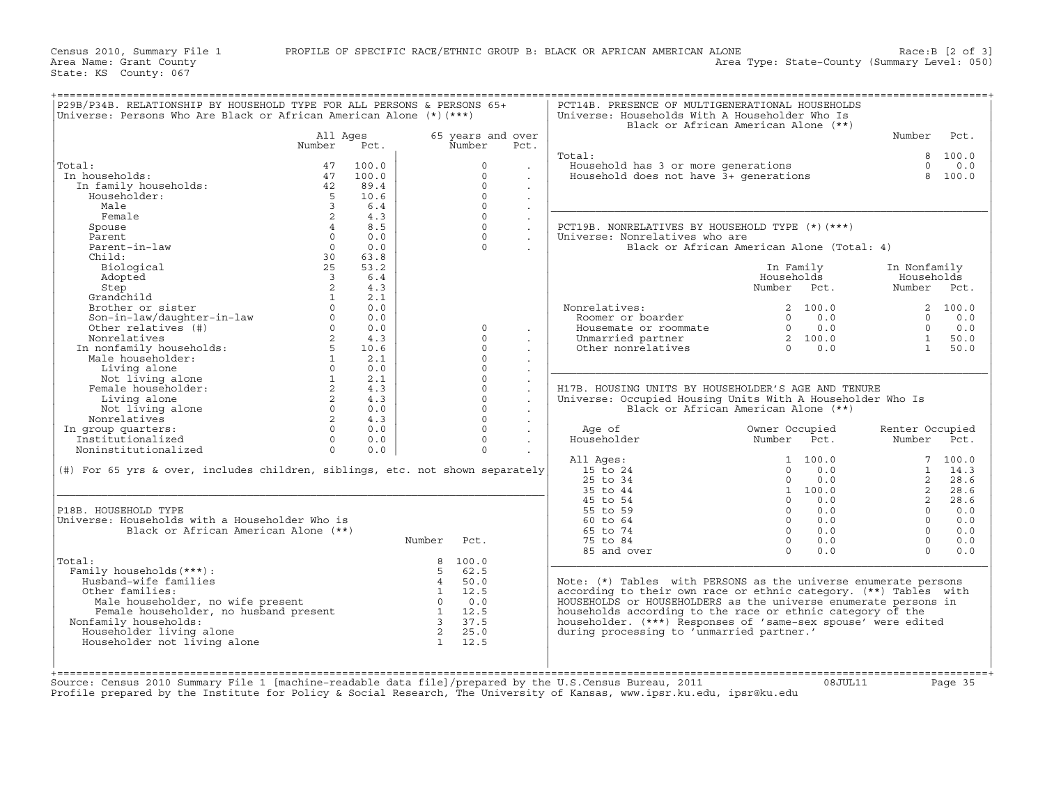Area Name: Grant County Area Type: State−County (Summary Level: 050)

| P29B/P34B. RELATIONSHIP BY HOUSEHOLD TYPE FOR ALL PERSONS & PERSONS 65+<br>Universe: Persons Who Are Black or African American Alone (*) (***)                                                                                                      |                                |       |                                                                            |                   |                      | PCT14B. PRESENCE OF MULTIGENERATIONAL HOUSEHOLDS<br>Universe: Households With A Householder Who Is            | Black or African American Alone (**)                 |                    |            |
|-----------------------------------------------------------------------------------------------------------------------------------------------------------------------------------------------------------------------------------------------------|--------------------------------|-------|----------------------------------------------------------------------------|-------------------|----------------------|---------------------------------------------------------------------------------------------------------------|------------------------------------------------------|--------------------|------------|
|                                                                                                                                                                                                                                                     | All Ages                       |       |                                                                            | 65 years and over |                      |                                                                                                               |                                                      | Number             | Pct.       |
|                                                                                                                                                                                                                                                     | Number                         | Pct.  |                                                                            | Number            | Pct.                 |                                                                                                               |                                                      |                    |            |
|                                                                                                                                                                                                                                                     |                                |       |                                                                            |                   |                      | Total:                                                                                                        |                                                      |                    | 8 100.0    |
| Total:                                                                                                                                                                                                                                              | 47                             | 100.0 |                                                                            | $\Omega$          |                      | Household has 3 or more generations<br>Household does not have 3+ generations                                 |                                                      | $\Omega$           | 0.0        |
| In households:                                                                                                                                                                                                                                      | 47                             | 100.0 |                                                                            | $\cap$            |                      |                                                                                                               |                                                      |                    | 8 100.0    |
| In family households:                                                                                                                                                                                                                               | 42                             | 89.4  |                                                                            | $\Omega$          | $\sim$               |                                                                                                               |                                                      |                    |            |
| Householder:                                                                                                                                                                                                                                        | $5^{\circ}$                    | 10.6  |                                                                            | $\Omega$          | $\sim$               |                                                                                                               |                                                      |                    |            |
| Male                                                                                                                                                                                                                                                | $\overline{3}$                 | 6.4   |                                                                            | $\Omega$          | $\ddot{\phantom{a}}$ |                                                                                                               |                                                      |                    |            |
| Female                                                                                                                                                                                                                                              | 2                              | 4.3   |                                                                            | $\Omega$          | $\ddot{\phantom{a}}$ |                                                                                                               |                                                      |                    |            |
| Spouse                                                                                                                                                                                                                                              | $\overline{4}$                 | 8.5   |                                                                            | $\Omega$          |                      | PCT19B. NONRELATIVES BY HOUSEHOLD TYPE (*) (***)                                                              |                                                      |                    |            |
| Parent                                                                                                                                                                                                                                              | $\Omega$                       | 0.0   |                                                                            | $\Omega$          |                      | Universe: Nonrelatives who are                                                                                |                                                      |                    |            |
| Parent-in-law                                                                                                                                                                                                                                       | $\Omega$                       | 0.0   |                                                                            | $\cap$            |                      |                                                                                                               |                                                      |                    |            |
|                                                                                                                                                                                                                                                     |                                |       |                                                                            |                   |                      |                                                                                                               | Black or African American Alone (Total: 4)           |                    |            |
| Child:                                                                                                                                                                                                                                              | 30                             | 63.8  |                                                                            |                   |                      |                                                                                                               |                                                      |                    |            |
| Biological                                                                                                                                                                                                                                          | 25                             | 53.2  |                                                                            |                   |                      |                                                                                                               | In Family                                            | In Nonfamily       |            |
| Adopted                                                                                                                                                                                                                                             | $\overline{\mathbf{3}}$        | 6.4   |                                                                            |                   |                      |                                                                                                               | Households                                           | Households         |            |
| Step                                                                                                                                                                                                                                                | 2                              | 4.3   |                                                                            |                   |                      |                                                                                                               | Number Pct.                                          | Number Pct.        |            |
| Grandchild                                                                                                                                                                                                                                          | $\mathbf{1}$                   | 2.1   |                                                                            |                   |                      |                                                                                                               |                                                      |                    |            |
| Grandchild<br>Brother or sister<br>Son-in-law/daughter-in-law<br>Other relatives (#)<br>Other relatives (#)<br>Monrelatives (#)<br>Monrelatives 2<br>In nonfamily households:<br>The Material State (1)<br>Materials (1)<br>Materials (1)<br>Temale |                                | 0.0   |                                                                            |                   |                      | Nonrelatives:<br>onrelatives:<br>Roomer or boarder                                                            | $\begin{array}{cc} 2 & 100.0 \\ 0 & 0.0 \end{array}$ |                    | 2, 100.0   |
|                                                                                                                                                                                                                                                     |                                | 0.0   |                                                                            |                   |                      |                                                                                                               |                                                      |                    | $0 \t 0.0$ |
|                                                                                                                                                                                                                                                     | $0 \qquad \qquad$              | 0.0   |                                                                            | $\Omega$          |                      |                                                                                                               |                                                      | $\Omega$           | 0.0        |
|                                                                                                                                                                                                                                                     |                                | 4.3   |                                                                            | $\Omega$          | $\sim$               | Housemate or roommate $\begin{array}{ccc} 0 & 0.0 \\ 0 & 0.0 \\ 0 & 0.0 \\ 0 & 0.0 \\ 0 & 0.0 \\ \end{array}$ |                                                      | $\frac{1}{1}$ 50.0 |            |
|                                                                                                                                                                                                                                                     |                                | 10.6  |                                                                            | $\Omega$          |                      |                                                                                                               |                                                      |                    |            |
|                                                                                                                                                                                                                                                     | $1 \qquad \qquad$              | 2.1   |                                                                            | $\Omega$          |                      |                                                                                                               |                                                      |                    |            |
|                                                                                                                                                                                                                                                     |                                | 0.0   |                                                                            | $\Omega$          | $\sim$               |                                                                                                               |                                                      |                    |            |
|                                                                                                                                                                                                                                                     | $1 \quad \cdots$               | 2.1   |                                                                            | $\Omega$          | $\mathbf{r}$         |                                                                                                               |                                                      |                    |            |
|                                                                                                                                                                                                                                                     |                                | 4.3   |                                                                            | $\Omega$          |                      | H17B. HOUSING UNITS BY HOUSEHOLDER'S AGE AND TENURE                                                           |                                                      |                    |            |
| Living alone                                                                                                                                                                                                                                        | $2 \left( \frac{1}{2} \right)$ | 4.3   |                                                                            | $\Omega$          |                      | Universe: Occupied Housing Units With A Householder Who Is                                                    |                                                      |                    |            |
| Not living alone                                                                                                                                                                                                                                    | $0 \qquad \qquad$              | 0.0   |                                                                            | $\Omega$          |                      |                                                                                                               | Black or African American Alone (**)                 |                    |            |
|                                                                                                                                                                                                                                                     | $\overline{2}$                 | 4.3   |                                                                            | $\Omega$          | $\sim$               |                                                                                                               |                                                      |                    |            |
| Nonrelatives                                                                                                                                                                                                                                        |                                |       |                                                                            |                   |                      |                                                                                                               |                                                      |                    |            |
| In group quarters:                                                                                                                                                                                                                                  | $\Omega$                       | 0.0   |                                                                            | $\Omega$          |                      | Age of                                                                                                        | Owner Occupied<br>Number Pct.                        | Renter Occupied    |            |
| Institutionalized                                                                                                                                                                                                                                   | $\Omega$                       | 0.0   |                                                                            | $\Omega$          |                      | Householder                                                                                                   |                                                      | Number Pct.        |            |
| Noninstitutionalized                                                                                                                                                                                                                                | $\Omega$                       | 0.0   |                                                                            | $\Omega$          | $\sim$               |                                                                                                               |                                                      |                    |            |
|                                                                                                                                                                                                                                                     |                                |       |                                                                            |                   |                      | All Ages:                                                                                                     | 1 100.0                                              |                    | 7 100.0    |
| (#) For 65 yrs & over, includes children, siblings, etc. not shown separately                                                                                                                                                                       |                                |       |                                                                            |                   |                      | 15 to 24                                                                                                      | 0.0<br>$\Omega$                                      |                    | $1 \t14.3$ |
|                                                                                                                                                                                                                                                     |                                |       |                                                                            |                   |                      | 25 to 34                                                                                                      | 0.0<br>$\Omega$                                      | 2                  | 28.6       |
|                                                                                                                                                                                                                                                     |                                |       |                                                                            |                   |                      | 35 to 44                                                                                                      | 1 100.0                                              | $\mathbf{2}$       | 28.6       |
|                                                                                                                                                                                                                                                     |                                |       |                                                                            |                   |                      | 45 to 54                                                                                                      | 0.0<br>$\Omega$                                      | $\overline{2}$     | 28.6       |
| P18B. HOUSEHOLD TYPE                                                                                                                                                                                                                                |                                |       |                                                                            |                   |                      | 55 to 59                                                                                                      | $0 \qquad 0.0$                                       | $\Omega$           | 0.0        |
| Universe: Households with a Householder Who is                                                                                                                                                                                                      |                                |       |                                                                            |                   |                      | 60 to 64                                                                                                      | $0 \t 0.0$                                           | $\Omega$           | 0.0        |
| Black or African American Alone (**)                                                                                                                                                                                                                |                                |       |                                                                            |                   |                      | 65 to 74                                                                                                      | $0 \t 0.0$                                           | $\overline{0}$     | 0.0        |
|                                                                                                                                                                                                                                                     |                                |       | Number Pct.                                                                |                   |                      | 75 to 84                                                                                                      | $\Omega$<br>0.0                                      | $\Omega$           | 0.0        |
|                                                                                                                                                                                                                                                     |                                |       |                                                                            |                   |                      | 85 and over                                                                                                   | $\Omega$<br>0.0                                      | $\Omega$           | 0.0        |
| Total:                                                                                                                                                                                                                                              |                                |       |                                                                            | 8 100.0           |                      |                                                                                                               |                                                      |                    |            |
| Family households (***) :                                                                                                                                                                                                                           |                                |       |                                                                            | 5, 62.5           |                      |                                                                                                               |                                                      |                    |            |
| Husband-wife families                                                                                                                                                                                                                               |                                |       |                                                                            | 4 50.0            |                      | Note: (*) Tables with PERSONS as the universe enumerate persons                                               |                                                      |                    |            |
| Other families:                                                                                                                                                                                                                                     |                                |       |                                                                            |                   |                      | according to their own race or ethnic category. (**) Tables with                                              |                                                      |                    |            |
| Male householder, no wife present                                                                                                                                                                                                                   |                                |       | $\begin{bmatrix} 1 & 12.5 \\ 0 & 0.0 \\ 1 & 12.5 \\ 2 & 2.5 \end{bmatrix}$ |                   |                      | HOUSEHOLDS or HOUSEHOLDERS as the universe enumerate persons in                                               |                                                      |                    |            |
| Male householder, no wife present<br>Female householder, no husband present<br>Family households:                                                                                                                                                   |                                |       |                                                                            |                   |                      | households according to the race or ethnic category of the                                                    |                                                      |                    |            |
|                                                                                                                                                                                                                                                     |                                |       |                                                                            |                   |                      |                                                                                                               |                                                      |                    |            |
| Nonfamily households:                                                                                                                                                                                                                               |                                |       |                                                                            |                   |                      | householder. (***) Responses of 'same-sex spouse' were edited                                                 |                                                      |                    |            |
| Householder living alone                                                                                                                                                                                                                            |                                |       |                                                                            |                   |                      | during processing to 'unmarried partner.'                                                                     |                                                      |                    |            |
| Householder not living alone                                                                                                                                                                                                                        |                                |       | $\begin{array}{ccc} 3 & 3/1.5 \\ 2 & 25.0 \\ 1 & 12.5 \end{array}$         |                   |                      |                                                                                                               |                                                      |                    |            |
|                                                                                                                                                                                                                                                     |                                |       |                                                                            |                   |                      |                                                                                                               |                                                      |                    |            |
|                                                                                                                                                                                                                                                     |                                |       |                                                                            |                   |                      |                                                                                                               |                                                      |                    |            |
|                                                                                                                                                                                                                                                     |                                |       |                                                                            |                   |                      | 2010 Summary File 1 [machine-readable data file]/prepared by the U.S. Census Bureau, 2011                     |                                                      |                    |            |

Source: Census 2010 Summary File 1 [machine−readable data file]/prepared by the U.S.Census Bureau, 2011 08JUL11 Page 35 Profile prepared by the Institute for Policy & Social Research, The University of Kansas, www.ipsr.ku.edu, ipsr@ku.edu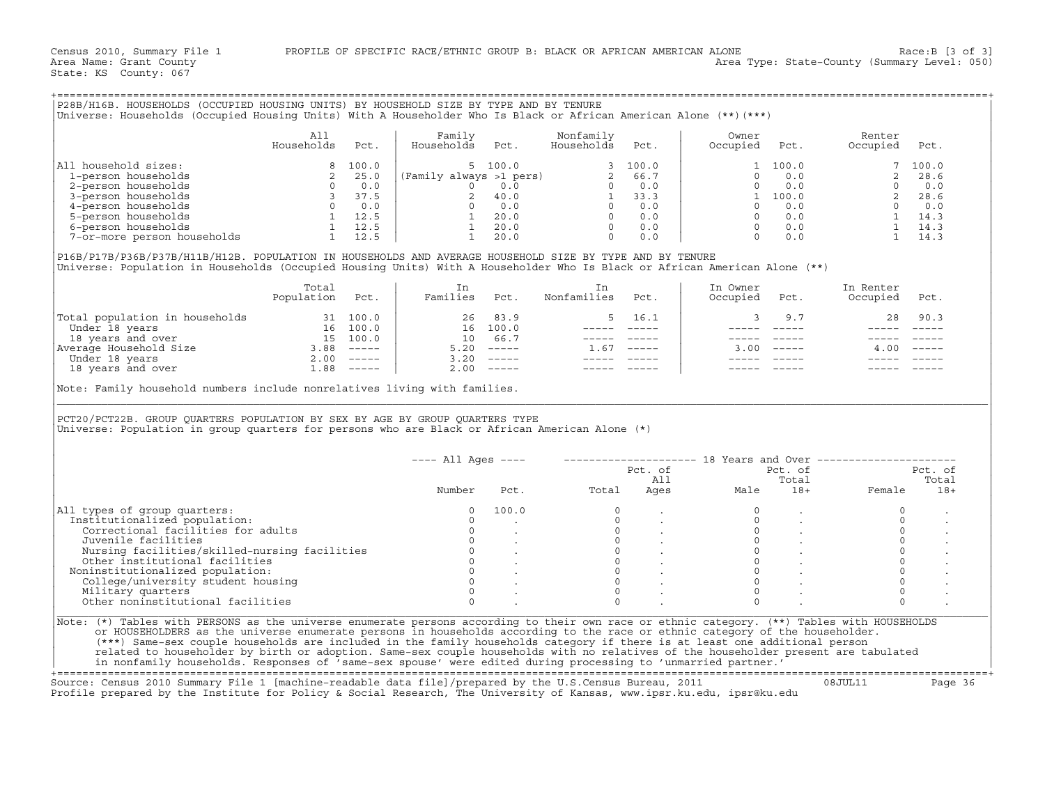|                                                                                                                                                                                                                                                                                                                        | All<br>Households | Pct. | Family<br>Households Pct. |       | Nonfamily<br>Households Pct. | Owner<br>Occupied Pct.                                                                                                                                                                                                                 |                                                 | Renter<br>Occupied Pct.                                                                                                                                                                                                                                                                                                                                                                      |      |
|------------------------------------------------------------------------------------------------------------------------------------------------------------------------------------------------------------------------------------------------------------------------------------------------------------------------|-------------------|------|---------------------------|-------|------------------------------|----------------------------------------------------------------------------------------------------------------------------------------------------------------------------------------------------------------------------------------|-------------------------------------------------|----------------------------------------------------------------------------------------------------------------------------------------------------------------------------------------------------------------------------------------------------------------------------------------------------------------------------------------------------------------------------------------------|------|
| All household sizes:                                                                                                                                                                                                                                                                                                   |                   |      |                           |       |                              |                                                                                                                                                                                                                                        |                                                 |                                                                                                                                                                                                                                                                                                                                                                                              |      |
|                                                                                                                                                                                                                                                                                                                        |                   |      |                           |       |                              |                                                                                                                                                                                                                                        |                                                 |                                                                                                                                                                                                                                                                                                                                                                                              |      |
|                                                                                                                                                                                                                                                                                                                        |                   |      |                           |       |                              |                                                                                                                                                                                                                                        |                                                 |                                                                                                                                                                                                                                                                                                                                                                                              |      |
|                                                                                                                                                                                                                                                                                                                        |                   |      |                           |       |                              |                                                                                                                                                                                                                                        |                                                 |                                                                                                                                                                                                                                                                                                                                                                                              |      |
|                                                                                                                                                                                                                                                                                                                        |                   |      |                           |       |                              |                                                                                                                                                                                                                                        |                                                 |                                                                                                                                                                                                                                                                                                                                                                                              |      |
|                                                                                                                                                                                                                                                                                                                        |                   |      |                           |       |                              |                                                                                                                                                                                                                                        |                                                 |                                                                                                                                                                                                                                                                                                                                                                                              |      |
|                                                                                                                                                                                                                                                                                                                        |                   |      |                           |       |                              |                                                                                                                                                                                                                                        |                                                 |                                                                                                                                                                                                                                                                                                                                                                                              |      |
|                                                                                                                                                                                                                                                                                                                        |                   |      |                           |       |                              |                                                                                                                                                                                                                                        |                                                 |                                                                                                                                                                                                                                                                                                                                                                                              |      |
|                                                                                                                                                                                                                                                                                                                        |                   |      |                           |       |                              |                                                                                                                                                                                                                                        |                                                 |                                                                                                                                                                                                                                                                                                                                                                                              |      |
| P16B/P17B/P36B/P37B/H11B/H12B. POPULATION IN HOUSEHOLDS AND AVERAGE HOUSEHOLD SIZE BY TYPE AND BY TENURE<br>Universe: Population in Households (Occupied Housing Units) With A Householder Who Is Black or African American Alone (**)                                                                                 |                   |      |                           |       |                              |                                                                                                                                                                                                                                        |                                                 |                                                                                                                                                                                                                                                                                                                                                                                              |      |
|                                                                                                                                                                                                                                                                                                                        | Total             |      | In                        |       | In                           | In Owner                                                                                                                                                                                                                               |                                                 | In Renter                                                                                                                                                                                                                                                                                                                                                                                    |      |
|                                                                                                                                                                                                                                                                                                                        | Population Pct.   |      | Families Pct.             |       | Nonfamilies Pct.             | Occupied Pct.                                                                                                                                                                                                                          |                                                 | Occupied Pct.                                                                                                                                                                                                                                                                                                                                                                                |      |
|                                                                                                                                                                                                                                                                                                                        |                   |      |                           |       |                              | $\overline{3}$                                                                                                                                                                                                                         | 9.7                                             | 28                                                                                                                                                                                                                                                                                                                                                                                           | 90.3 |
|                                                                                                                                                                                                                                                                                                                        |                   |      |                           |       |                              |                                                                                                                                                                                                                                        |                                                 | $\frac{1}{2} \frac{1}{2} \frac{1}{2} \frac{1}{2} \frac{1}{2} \frac{1}{2} \frac{1}{2} \frac{1}{2} \frac{1}{2} \frac{1}{2} \frac{1}{2} \frac{1}{2} \frac{1}{2} \frac{1}{2} \frac{1}{2} \frac{1}{2} \frac{1}{2} \frac{1}{2} \frac{1}{2} \frac{1}{2} \frac{1}{2} \frac{1}{2} \frac{1}{2} \frac{1}{2} \frac{1}{2} \frac{1}{2} \frac{1}{2} \frac{1}{2} \frac{1}{2} \frac{1}{2} \frac{1}{2} \frac{$ |      |
|                                                                                                                                                                                                                                                                                                                        |                   |      |                           |       |                              |                                                                                                                                                                                                                                        |                                                 |                                                                                                                                                                                                                                                                                                                                                                                              |      |
|                                                                                                                                                                                                                                                                                                                        |                   |      |                           |       |                              |                                                                                                                                                                                                                                        |                                                 |                                                                                                                                                                                                                                                                                                                                                                                              |      |
|                                                                                                                                                                                                                                                                                                                        |                   |      |                           |       |                              |                                                                                                                                                                                                                                        | $3.00$ -----                                    | $4.00$ -----                                                                                                                                                                                                                                                                                                                                                                                 |      |
|                                                                                                                                                                                                                                                                                                                        |                   |      |                           |       |                              |                                                                                                                                                                                                                                        |                                                 |                                                                                                                                                                                                                                                                                                                                                                                              |      |
| Total population in households<br>Under 18 years<br>18 years and over 15 100.0<br>Average Household Size 3.88 -----<br>18 years and over 15 2.00 -----<br>18 years and over 18 years<br>18 years and over 18 years<br>18 years and over 1<br>Note: Family household numbers include nonrelatives living with families. |                   |      |                           |       |                              |                                                                                                                                                                                                                                        |                                                 |                                                                                                                                                                                                                                                                                                                                                                                              |      |
|                                                                                                                                                                                                                                                                                                                        |                   |      |                           |       |                              |                                                                                                                                                                                                                                        |                                                 |                                                                                                                                                                                                                                                                                                                                                                                              |      |
| PCT20/PCT22B. GROUP QUARTERS POPULATION BY SEX BY AGE BY GROUP QUARTERS TYPE<br>Universe: Population in group quarters for persons who are Black or African American Alone (*)                                                                                                                                         |                   |      |                           |       |                              | ---- All Ages ----    --------------------    18 Years and Over ----------------                                                                                                                                                       |                                                 |                                                                                                                                                                                                                                                                                                                                                                                              |      |
|                                                                                                                                                                                                                                                                                                                        |                   |      |                           |       |                              |                                                                                                                                                                                                                                        |                                                 |                                                                                                                                                                                                                                                                                                                                                                                              |      |
|                                                                                                                                                                                                                                                                                                                        |                   |      |                           |       |                              |                                                                                                                                                                                                                                        |                                                 |                                                                                                                                                                                                                                                                                                                                                                                              |      |
|                                                                                                                                                                                                                                                                                                                        |                   |      | Number                    |       |                              | Pct. of Pct. of Pct. of Pct. of Pct. of Pct. of Pct. of All Total Total Total Pct. $\frac{1}{10}$ Pct. of Pct. of Pct. of Pct. of Pct. of Pct. of Pct. of Pct. of Pct. of Pct. of Pct. of Pct. of Pct. of Pct. $\frac{1}{10}$ Pcmale 1 |                                                 |                                                                                                                                                                                                                                                                                                                                                                                              |      |
|                                                                                                                                                                                                                                                                                                                        |                   |      |                           | 100.0 |                              |                                                                                                                                                                                                                                        | $\sim$                                          | $\circ$                                                                                                                                                                                                                                                                                                                                                                                      |      |
|                                                                                                                                                                                                                                                                                                                        |                   |      |                           |       |                              | $\sigma_{\rm{max}}=0.01$ and $\sigma_{\rm{max}}=0.01$                                                                                                                                                                                  |                                                 | $\circ$                                                                                                                                                                                                                                                                                                                                                                                      |      |
| Institutionalized population:                                                                                                                                                                                                                                                                                          |                   |      |                           |       |                              |                                                                                                                                                                                                                                        |                                                 | $\Omega$                                                                                                                                                                                                                                                                                                                                                                                     |      |
|                                                                                                                                                                                                                                                                                                                        |                   |      | $\overline{0}$            |       |                              |                                                                                                                                                                                                                                        |                                                 | $\circ$                                                                                                                                                                                                                                                                                                                                                                                      |      |
|                                                                                                                                                                                                                                                                                                                        |                   |      |                           |       |                              |                                                                                                                                                                                                                                        |                                                 | $\circ$                                                                                                                                                                                                                                                                                                                                                                                      |      |
|                                                                                                                                                                                                                                                                                                                        |                   |      |                           |       |                              |                                                                                                                                                                                                                                        |                                                 | $\Omega$                                                                                                                                                                                                                                                                                                                                                                                     |      |
|                                                                                                                                                                                                                                                                                                                        |                   |      |                           |       |                              |                                                                                                                                                                                                                                        |                                                 |                                                                                                                                                                                                                                                                                                                                                                                              |      |
| Noninstitutionalized population:                                                                                                                                                                                                                                                                                       |                   |      |                           |       |                              |                                                                                                                                                                                                                                        | $\begin{matrix} 0 & & \cdot \end{matrix}$       | $\mathsf{O}\xspace$                                                                                                                                                                                                                                                                                                                                                                          |      |
|                                                                                                                                                                                                                                                                                                                        |                   |      |                           |       |                              |                                                                                                                                                                                                                                        | $\begin{matrix} 0 & \cdot & \cdot \end{matrix}$ | $\circ$                                                                                                                                                                                                                                                                                                                                                                                      |      |
| All types of group quarters:                                                                                                                                                                                                                                                                                           |                   |      |                           |       |                              | $\Omega$                                                                                                                                                                                                                               |                                                 | $\Omega$                                                                                                                                                                                                                                                                                                                                                                                     |      |
| rycz – and ized population:<br>correctional facilities for adults<br>Juvenile facilities (and it is a local of the probability of the institutional facilities<br>(bther institutional facilities (b) .<br>(c) .<br>College/university s<br>Other noninstitutional facilities                                          |                   |      | $\Omega$                  |       |                              |                                                                                                                                                                                                                                        |                                                 | $\Omega$                                                                                                                                                                                                                                                                                                                                                                                     |      |
| Note: (*) Tables with PERSONS as the universe enumerate persons according to their own race or ethnic category. (**) Tables with HOUSEHOLDS                                                                                                                                                                            |                   |      |                           |       |                              |                                                                                                                                                                                                                                        |                                                 |                                                                                                                                                                                                                                                                                                                                                                                              |      |

| All<br>Aqes | Male | Total<br>$18+$ | Female | Total<br>$18+$                                                                                                                    |
|-------------|------|----------------|--------|-----------------------------------------------------------------------------------------------------------------------------------|
|             |      |                |        |                                                                                                                                   |
|             |      |                |        |                                                                                                                                   |
|             |      |                |        |                                                                                                                                   |
|             |      |                |        |                                                                                                                                   |
|             |      |                |        |                                                                                                                                   |
|             |      |                |        |                                                                                                                                   |
|             |      |                |        |                                                                                                                                   |
|             |      |                |        |                                                                                                                                   |
|             |      |                |        |                                                                                                                                   |
|             |      |                |        |                                                                                                                                   |
|             |      |                |        |                                                                                                                                   |
|             |      |                |        |                                                                                                                                   |
|             |      |                |        | Tables with PERSONS as the universe enumerate persons according to their own race or ethnic category. (**) Tables with HOUSEHOLDS |

+===================================================================================================================================================+ Source: Census 2010 Summary File 1 [machine−readable data file]/prepared by the U.S.Census Bureau, 2011 08JUL11 Page 36

Profile prepared by the Institute for Policy & Social Research, The University of Kansas, www.ipsr.ku.edu, ipsr@ku.edu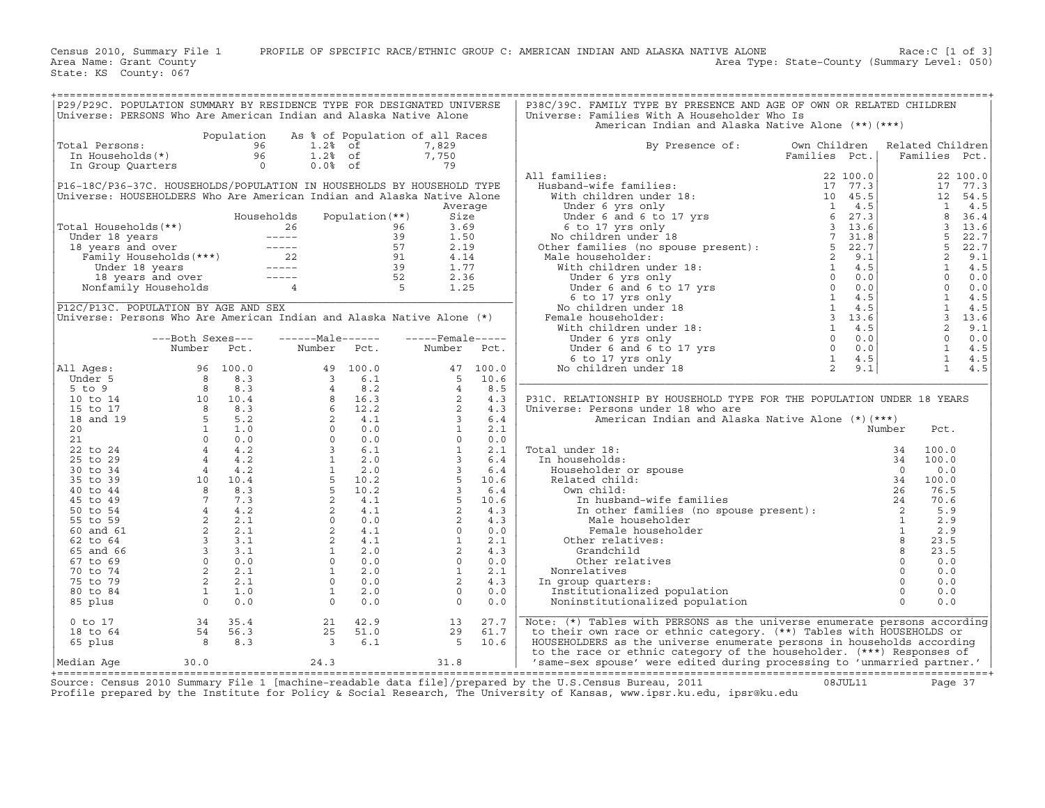Census 2010, Summary File 1 PROFILE OF SPECIFIC RACE/ETHNIC GROUP C: AMERICAN INDIAN AND ALASKA NATIVE ALONE Race:C [1 of 3]<br>Area Name: Grant County Level: 050) Area Type: State-County (Summary Level: 050) Area Type: State-County (Summary Level: 050)

State: KS County: 067

| P29/P29C. POPULATION SUMMARY BY RESIDENCE TYPE FOR DESIGNATED UNIVERSE                                                                                                                                                                          |                                                                |            |                                                                                                                                                                                                                                                                                        |                 |                   |      | P38C/39C. FAMILY TYPE BY PRESENCE AND AGE OF OWN OR RELATED CHILDREN                                                                                                                                                                                           |          |                         |            |
|-------------------------------------------------------------------------------------------------------------------------------------------------------------------------------------------------------------------------------------------------|----------------------------------------------------------------|------------|----------------------------------------------------------------------------------------------------------------------------------------------------------------------------------------------------------------------------------------------------------------------------------------|-----------------|-------------------|------|----------------------------------------------------------------------------------------------------------------------------------------------------------------------------------------------------------------------------------------------------------------|----------|-------------------------|------------|
| Universe: PERSONS Who Are American Indian and Alaska Native Alone                                                                                                                                                                               |                                                                |            |                                                                                                                                                                                                                                                                                        |                 |                   |      | Universe: Families With A Householder Who Is                                                                                                                                                                                                                   |          |                         |            |
|                                                                                                                                                                                                                                                 |                                                                |            |                                                                                                                                                                                                                                                                                        |                 |                   |      | American Indian and Alaska Native Alone (**) (***)                                                                                                                                                                                                             |          |                         |            |
|                                                                                                                                                                                                                                                 |                                                                |            | Population As % of Population of all Races                                                                                                                                                                                                                                             |                 |                   |      |                                                                                                                                                                                                                                                                |          |                         |            |
| Total Persons:                                                                                                                                                                                                                                  | otal Persons: 96<br>In Households(*) 96<br>In Group Quarters 0 |            | 96 1.2% of<br>96 1.2% of<br>0 0.0% of                                                                                                                                                                                                                                                  |                 | 7,829             |      | By Presence of:<br>Own Children                                                                                                                                                                                                                                |          | Related Children        |            |
|                                                                                                                                                                                                                                                 |                                                                |            |                                                                                                                                                                                                                                                                                        |                 | 7,750             |      | Families Pct.                                                                                                                                                                                                                                                  |          | Families Pct.           |            |
|                                                                                                                                                                                                                                                 |                                                                |            | $0.0%$ of                                                                                                                                                                                                                                                                              |                 | 79                |      |                                                                                                                                                                                                                                                                |          |                         |            |
|                                                                                                                                                                                                                                                 |                                                                |            |                                                                                                                                                                                                                                                                                        |                 |                   |      | All families:                                                                                                                                                                                                                                                  | 22 100.0 |                         | 22 100.0   |
| P16-18C/P36-37C. HOUSEHOLDS/POPULATION IN HOUSEHOLDS BY HOUSEHOLD TYPE                                                                                                                                                                          |                                                                |            |                                                                                                                                                                                                                                                                                        |                 |                   |      |                                                                                                                                                                                                                                                                |          |                         | 17 77.3    |
| Universe: HOUSEHOLDERS Who Are American Indian and Alaska Native Alone                                                                                                                                                                          |                                                                |            |                                                                                                                                                                                                                                                                                        |                 |                   |      |                                                                                                                                                                                                                                                                |          | 12                      | 54.5       |
|                                                                                                                                                                                                                                                 |                                                                |            |                                                                                                                                                                                                                                                                                        |                 | Average           |      |                                                                                                                                                                                                                                                                |          | $\mathbf{1}$            | 4.5        |
|                                                                                                                                                                                                                                                 |                                                                | Households |                                                                                                                                                                                                                                                                                        | Population (**) | Size              |      |                                                                                                                                                                                                                                                                |          | 8                       | 36.4       |
|                                                                                                                                                                                                                                                 |                                                                |            |                                                                                                                                                                                                                                                                                        |                 | 3.69              |      |                                                                                                                                                                                                                                                                |          | $\overline{\mathbf{3}}$ | 13.6       |
|                                                                                                                                                                                                                                                 |                                                                |            |                                                                                                                                                                                                                                                                                        |                 | 1.50              |      |                                                                                                                                                                                                                                                                |          | 5                       | 22.7       |
|                                                                                                                                                                                                                                                 |                                                                |            |                                                                                                                                                                                                                                                                                        |                 | 2.19              |      |                                                                                                                                                                                                                                                                |          | 5                       | 22.7       |
|                                                                                                                                                                                                                                                 |                                                                |            |                                                                                                                                                                                                                                                                                        |                 | 4.14              |      |                                                                                                                                                                                                                                                                |          | $\overline{2}$          | 9.1        |
|                                                                                                                                                                                                                                                 |                                                                |            |                                                                                                                                                                                                                                                                                        |                 | 1.77              |      |                                                                                                                                                                                                                                                                |          | $\mathbf{1}$            | 4.5        |
| Total Households (**)<br>Under 18 years<br>18 years and over<br>Family Households (***)<br>Under 18 years ------<br>Family Households (***)<br>22 91<br>Under 18 years<br>18 years and over<br>18 years and over<br>Nonfamily Households<br>4 5 |                                                                |            |                                                                                                                                                                                                                                                                                        |                 | 2.36              |      |                                                                                                                                                                                                                                                                |          |                         | $0 \t 0.0$ |
|                                                                                                                                                                                                                                                 |                                                                |            |                                                                                                                                                                                                                                                                                        |                 | 1.25              |      |                                                                                                                                                                                                                                                                |          | $\Omega$                | 0.0        |
|                                                                                                                                                                                                                                                 |                                                                |            |                                                                                                                                                                                                                                                                                        |                 |                   |      |                                                                                                                                                                                                                                                                |          | $\mathbf{1}$            | 4.5        |
| P12C/P13C. POPULATION BY AGE AND SEX                                                                                                                                                                                                            |                                                                |            |                                                                                                                                                                                                                                                                                        |                 |                   |      |                                                                                                                                                                                                                                                                |          | <sup>1</sup>            | 4.5        |
| Universe: Persons Who Are American Indian and Alaska Native Alone (*)                                                                                                                                                                           |                                                                |            |                                                                                                                                                                                                                                                                                        |                 |                   |      |                                                                                                                                                                                                                                                                |          |                         | 3, 13.6    |
|                                                                                                                                                                                                                                                 |                                                                |            |                                                                                                                                                                                                                                                                                        |                 |                   |      |                                                                                                                                                                                                                                                                |          | $\overline{a}$          | 9.1        |
|                                                                                                                                                                                                                                                 | ---Both Sexes---                                               |            | ------Male------                                                                                                                                                                                                                                                                       |                 | $---$ Female----- |      |                                                                                                                                                                                                                                                                |          | $\Omega$                | 0.0        |
|                                                                                                                                                                                                                                                 | Number Pct.                                                    |            | Number                                                                                                                                                                                                                                                                                 | Pct.            | Number Pct.       |      |                                                                                                                                                                                                                                                                |          | $\mathbf{1}$            | 4.5        |
|                                                                                                                                                                                                                                                 |                                                                |            |                                                                                                                                                                                                                                                                                        |                 |                   |      |                                                                                                                                                                                                                                                                |          | $\mathbf{1}$            | 4.5        |
| All Ages:                                                                                                                                                                                                                                       |                                                                |            |                                                                                                                                                                                                                                                                                        |                 |                   |      |                                                                                                                                                                                                                                                                |          | $\mathbf{1}$            | 4.5        |
| Under 5                                                                                                                                                                                                                                         |                                                                |            |                                                                                                                                                                                                                                                                                        |                 |                   |      |                                                                                                                                                                                                                                                                |          |                         |            |
| $5$ to $9$                                                                                                                                                                                                                                      |                                                                |            |                                                                                                                                                                                                                                                                                        |                 |                   |      |                                                                                                                                                                                                                                                                |          |                         |            |
| 10 to 14                                                                                                                                                                                                                                        |                                                                |            |                                                                                                                                                                                                                                                                                        |                 |                   |      | P31C. RELATIONSHIP BY HOUSEHOLD TYPE FOR THE POPULATION UNDER 18 YEARS                                                                                                                                                                                         |          |                         |            |
| 15 to 17                                                                                                                                                                                                                                        |                                                                |            |                                                                                                                                                                                                                                                                                        |                 |                   |      | Universe: Persons under 18 who are                                                                                                                                                                                                                             |          |                         |            |
| 18 and 19                                                                                                                                                                                                                                       |                                                                |            |                                                                                                                                                                                                                                                                                        |                 |                   |      |                                                                                                                                                                                                                                                                |          |                         |            |
| 20 <sub>o</sub>                                                                                                                                                                                                                                 |                                                                |            |                                                                                                                                                                                                                                                                                        |                 |                   |      |                                                                                                                                                                                                                                                                |          | Pct.                    |            |
| 21                                                                                                                                                                                                                                              |                                                                |            |                                                                                                                                                                                                                                                                                        |                 |                   |      |                                                                                                                                                                                                                                                                |          |                         |            |
| 22 to 24                                                                                                                                                                                                                                        |                                                                |            |                                                                                                                                                                                                                                                                                        |                 |                   |      | Total under 18:                                                                                                                                                                                                                                                |          | 100.0                   |            |
| 25 to 29                                                                                                                                                                                                                                        |                                                                |            |                                                                                                                                                                                                                                                                                        |                 |                   |      | In households:                                                                                                                                                                                                                                                 |          | 100.0                   |            |
| 30 to 34                                                                                                                                                                                                                                        |                                                                |            |                                                                                                                                                                                                                                                                                        |                 |                   |      | Householder or spouse                                                                                                                                                                                                                                          |          | 0.0                     |            |
| 35 to 39                                                                                                                                                                                                                                        |                                                                |            |                                                                                                                                                                                                                                                                                        |                 |                   |      | Related child:                                                                                                                                                                                                                                                 |          | 100.0                   |            |
| 40 to 44                                                                                                                                                                                                                                        |                                                                |            |                                                                                                                                                                                                                                                                                        |                 |                   |      | Own child:                                                                                                                                                                                                                                                     |          | 76.5                    |            |
| 45 to 49                                                                                                                                                                                                                                        |                                                                |            |                                                                                                                                                                                                                                                                                        |                 |                   |      |                                                                                                                                                                                                                                                                |          | 70.6                    |            |
| 50 to 54                                                                                                                                                                                                                                        |                                                                |            |                                                                                                                                                                                                                                                                                        |                 |                   |      |                                                                                                                                                                                                                                                                |          | 5.9                     |            |
| 55 to 59                                                                                                                                                                                                                                        |                                                                |            |                                                                                                                                                                                                                                                                                        |                 |                   |      |                                                                                                                                                                                                                                                                |          | 2.9                     |            |
| 60 and 61                                                                                                                                                                                                                                       |                                                                |            |                                                                                                                                                                                                                                                                                        |                 |                   |      |                                                                                                                                                                                                                                                                |          | 2.9                     |            |
| 62 to 64                                                                                                                                                                                                                                        |                                                                |            |                                                                                                                                                                                                                                                                                        |                 |                   |      | Other relatives:                                                                                                                                                                                                                                               |          | 23.5                    |            |
| 65 and 66                                                                                                                                                                                                                                       |                                                                |            |                                                                                                                                                                                                                                                                                        |                 |                   |      |                                                                                                                                                                                                                                                                |          | 23.5                    |            |
| 67 to 69                                                                                                                                                                                                                                        |                                                                |            |                                                                                                                                                                                                                                                                                        |                 |                   |      |                                                                                                                                                                                                                                                                |          | 0.0                     |            |
| 70 to 74                                                                                                                                                                                                                                        |                                                                |            |                                                                                                                                                                                                                                                                                        |                 |                   |      | Nonrelatives                                                                                                                                                                                                                                                   |          | 0.0                     |            |
| 75 to 79                                                                                                                                                                                                                                        |                                                                |            |                                                                                                                                                                                                                                                                                        |                 |                   |      | In group quarters:                                                                                                                                                                                                                                             |          | 0.0                     |            |
| 80 to 84                                                                                                                                                                                                                                        |                                                                |            |                                                                                                                                                                                                                                                                                        |                 | $\Omega$          | 0.0  | Institutionalized population                                                                                                                                                                                                                                   |          | 0.0                     |            |
| 85 plus                                                                                                                                                                                                                                         |                                                                |            |                                                                                                                                                                                                                                                                                        |                 | $\Omega$          | 0.0  | Noninstitutionalized population                                                                                                                                                                                                                                |          | 0.0                     |            |
|                                                                                                                                                                                                                                                 |                                                                |            | Number Pct.<br>96 100.0<br>8 8.3<br>8 8.3<br>10 10.4<br>8 16.2<br>10 10.4<br>8 16.3<br>8 8.3<br>4 16.3<br>8 8.3<br>6 12.2<br>8 16.3<br>9 0.0<br>0 0.0<br>4 4.2<br>4 4.2<br>1 2.0<br>10 10.4<br>4 4.2<br>3 6.1<br>4 4.2<br>1 2.0<br>10 10.4<br>4 4.2<br>3 6.1<br>4 4.2<br>1 2.0<br>10 0 |                 |                   |      | AB A<br>SKA Native Alo.<br>or spouse<br>child:<br>An child:<br>In husband-wife families<br>In other families (no spouse present):<br>Male householder<br>renale householder<br>relatives:<br>Alil<br>clatives<br>child<br>clatives<br>S:<br>ed population<br>a |          |                         |            |
| $0$ to $17$                                                                                                                                                                                                                                     | $34$ $35.4$<br>$54$ $56.3$<br>$8$ $8.3$                        |            | 21                                                                                                                                                                                                                                                                                     | 42.9            | 13                | 27.7 | Note: $(*)$ Tables with PERSONS as the universe enumerate persons according                                                                                                                                                                                    |          |                         |            |
| 18 to 64                                                                                                                                                                                                                                        |                                                                |            | 25                                                                                                                                                                                                                                                                                     | 51.0            | 29                | 61.7 | to their own race or ethnic category. (**) Tables with HOUSEHOLDS or                                                                                                                                                                                           |          |                         |            |
| 65 plus                                                                                                                                                                                                                                         |                                                                |            | $\overline{\phantom{a}}$                                                                                                                                                                                                                                                               | 6.1             | 5                 | 10.6 | HOUSEHOLDERS as the universe enumerate persons in households according                                                                                                                                                                                         |          |                         |            |
|                                                                                                                                                                                                                                                 |                                                                |            |                                                                                                                                                                                                                                                                                        |                 |                   |      | to the race or ethnic category of the householder. (***) Responses of                                                                                                                                                                                          |          |                         |            |
| Median Aqe                                                                                                                                                                                                                                      | 30.0                                                           |            | 24.3                                                                                                                                                                                                                                                                                   |                 | 31.8              |      | 'same-sex spouse' were edited during processing to 'unmarried partner.'                                                                                                                                                                                        |          |                         |            |
|                                                                                                                                                                                                                                                 |                                                                |            |                                                                                                                                                                                                                                                                                        |                 |                   |      |                                                                                                                                                                                                                                                                |          |                         |            |

+===================================================================================================================================================+Source: Census 2010 Summary File 1 [machine−readable data file]/prepared by the U.S.Census Bureau, 2011 08JUL11 Page 37 Profile prepared by the Institute for Policy & Social Research, The University of Kansas, www.ipsr.ku.edu, ipsr@ku.edu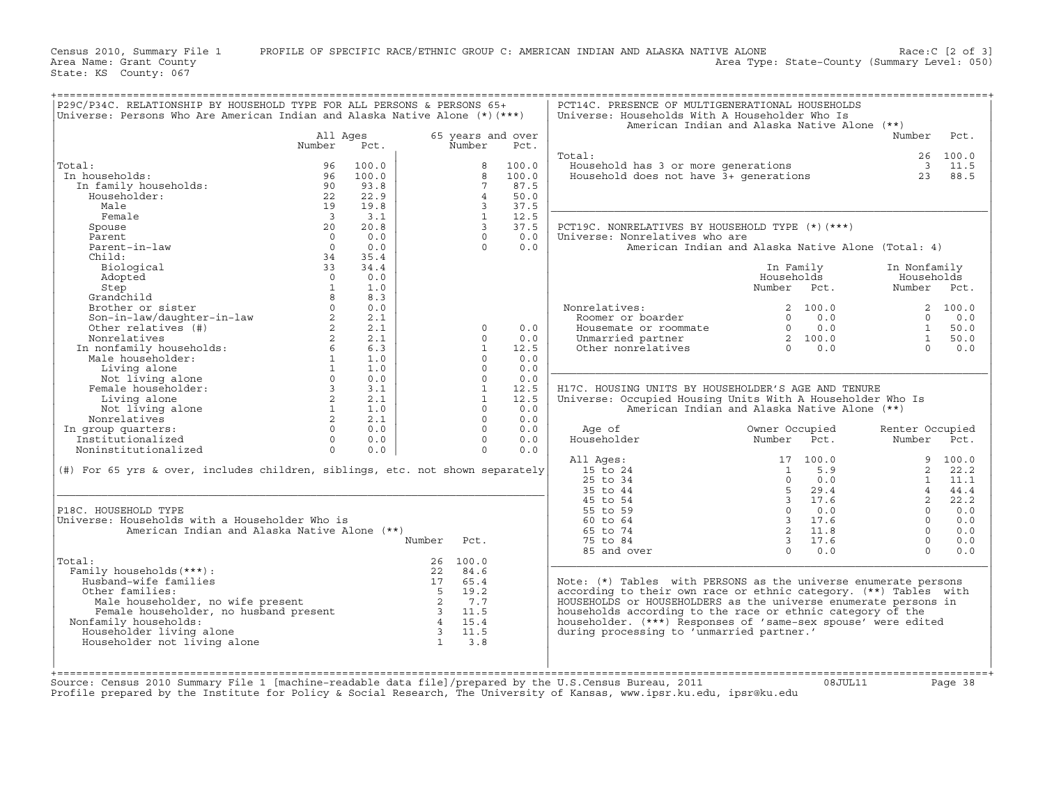Census 2010, Summary File 1 PROFILE OF SPECIFIC RACE/ETHNIC GROUP C: AMERICAN INDIAN AND ALASKA NATIVE ALONE Race:C [2 of 3]<br>Area Name: Grant County Level: 050) Area Type: State-County (Summary Level: 050) Area Type: State-County (Summary Level: 050)

State: KS County: 067

| Universe: Persons Who Are American Indian and Alaska Native Alone (*) (***)                 |                         |               |        |                 |                           | Universe: Households With A Householder Who Is<br>American Indian and Alaska Native Alone (**) |                         |               |                 |          |
|---------------------------------------------------------------------------------------------|-------------------------|---------------|--------|-----------------|---------------------------|------------------------------------------------------------------------------------------------|-------------------------|---------------|-----------------|----------|
|                                                                                             | All Ages                | Pct.          |        | Number          | 65 years and over<br>Pct. |                                                                                                |                         |               | Number          | Pct.     |
|                                                                                             | Number                  |               |        |                 |                           | Total:                                                                                         |                         |               |                 | 26 100.0 |
| Total:                                                                                      | 96                      | 100.0         |        | 8               | 100.0                     | Household has 3 or more generations                                                            |                         |               |                 | 3 11.5   |
| In households:                                                                              | 96                      | 100.0         |        | 8               | 100.0                     | Household does not have 3+ generations<br>Household does not have 3+ generations               |                         |               |                 | 23 88.5  |
| In family households:                                                                       | 90                      | 93.8          |        | $7\overline{ }$ | 87.5                      |                                                                                                |                         |               |                 |          |
| Householder:                                                                                | 22                      | 22.9          |        | $\overline{4}$  | 50.0                      |                                                                                                |                         |               |                 |          |
| Male                                                                                        | 19                      | 19.8          |        | $\mathbf{3}$    | 37.5                      |                                                                                                |                         |               |                 |          |
| Female                                                                                      | $\overline{\mathbf{3}}$ | 3.1           |        | 1               | 12.5                      |                                                                                                |                         |               |                 |          |
| Spouse                                                                                      | 20                      | 20.8          |        | $\overline{3}$  | 37.5                      | PCT19C. NONRELATIVES BY HOUSEHOLD TYPE (*) (***)                                               |                         |               |                 |          |
| Parent                                                                                      | $\Omega$                | 0.0           |        | $\Omega$        | 0.0                       | Universe: Nonrelatives who are                                                                 |                         |               |                 |          |
| Parent-in-law                                                                               | $\Omega$                | 0.0           |        | $\Omega$        | 0.0                       | American Indian and Alaska Native Alone (Total: 4)                                             |                         |               |                 |          |
| Child:                                                                                      | 34                      | 35.4          |        |                 |                           |                                                                                                |                         |               |                 |          |
|                                                                                             | 33                      | 34.4          |        |                 |                           |                                                                                                |                         |               |                 |          |
| Biological                                                                                  |                         |               |        |                 |                           |                                                                                                | In Family               |               | In Nonfamily    |          |
| Adopted                                                                                     | $\Omega$                | 0.0           |        |                 |                           |                                                                                                | Households              |               | Households      |          |
| Step                                                                                        | $\mathbf{1}$            | 1.0           |        |                 |                           |                                                                                                | Number Pct.             |               | Number Pct.     |          |
| Grandchild                                                                                  | 8                       | 8.3           |        |                 |                           |                                                                                                |                         |               |                 |          |
| Brother or sister<br>Brother or sister<br>Son-in-law/daughter-in-law<br>Other relatives (#) | $\circ$                 | 0.0           |        |                 |                           | Nonrelatives:                                                                                  |                         | 2 100.0       |                 | 2 100.0  |
|                                                                                             | 2                       | 2.1           |        |                 |                           | Roomer or boarder                                                                              | $\Omega$                | 0.0           | $\Omega$        | 0.0      |
|                                                                                             | $2^{\circ}$             | 2.1           |        | $\circ$         | 0.0                       | Housemate or roommate                                                                          |                         | $0 \t 0.0$    | 1               | 50.0     |
| Nonrelatives                                                                                | 2                       | 2.1           |        | $\Omega$        | 0.0                       | Unmarried partner                                                                              |                         | 2 100.0       | $\mathbf{1}$    | 50.0     |
| In nonfamily households:<br>Male householder:<br>Liwing alone                               | $6\overline{}$          | 6.3           |        | $\mathbf{1}$    | 12.5                      | Other nonrelatives                                                                             | $\Omega$                | 0.0           | $\Omega$        | 0.0      |
|                                                                                             |                         | $1 \quad 1.0$ |        | $\Omega$        | 0.0                       |                                                                                                |                         |               |                 |          |
| Living alone                                                                                | $1 \quad \blacksquare$  | 1.0           |        | $\circ$         | 0.0                       |                                                                                                |                         |               |                 |          |
| Not living alone                                                                            | $\Omega$                | 0.0           |        | $\Omega$        | 0.0                       |                                                                                                |                         |               |                 |          |
| Female householder:                                                                         |                         | $3 \t3.1$     |        | $\mathbf{1}$    | 12.5                      | H17C. HOUSING UNITS BY HOUSEHOLDER'S AGE AND TENURE                                            |                         |               |                 |          |
| Living alone                                                                                | $2^{\circ}$             | 2.1           |        | $\mathbf{1}$    | 12.5                      | Universe: Occupied Housing Units With A Householder Who Is                                     |                         |               |                 |          |
| Not living alone                                                                            | 1                       | 1.0           |        | $\circ$         | 0.0                       | American Indian and Alaska Native Alone (**)                                                   |                         |               |                 |          |
| Nonrelatives                                                                                | $\overline{2}$          | 2.1           |        | $\Omega$        | 0.0                       |                                                                                                |                         |               |                 |          |
| In group quarters:                                                                          | $\circ$                 | 0.0           |        | $\circ$         | 0.0                       | Age of                                                                                         | Owner Occupied          |               | Renter Occupied |          |
| Institutionalized                                                                           | $\overline{0}$          | 0.0           |        | $\circ$         | 0.0                       | Householder                                                                                    | Number                  | Pct.          | Number Pct.     |          |
| Noninstitutionalized                                                                        | $\Omega$                | 0.0           |        | $\circ$         | 0.0                       |                                                                                                |                         |               |                 |          |
|                                                                                             |                         |               |        |                 |                           | All Ages:                                                                                      |                         | 17 100.0      |                 | 9 100.0  |
| (#) For 65 yrs & over, includes children, siblings, etc. not shown separately               |                         |               |        |                 |                           | 15 to 24                                                                                       |                         | $1 \quad 5.9$ |                 | 2, 22, 2 |
|                                                                                             |                         |               |        |                 |                           | 25 to 34                                                                                       | $\Omega$                | 0.0           | $\mathbf{1}$    | 11.1     |
|                                                                                             |                         |               |        |                 |                           | 35 to 44                                                                                       | 5                       | 29.4          |                 | 44.4     |
|                                                                                             |                         |               |        |                 |                           | 45 to 54                                                                                       |                         | 3 17.6        | $\overline{2}$  | 22.2     |
| P18C. HOUSEHOLD TYPE                                                                        |                         |               |        |                 |                           | 55 to 59                                                                                       | $\overline{0}$          | 0.0           | $\Omega$        | 0.0      |
| Universe: Households with a Householder Who is                                              |                         |               |        |                 |                           | 60 to 64                                                                                       |                         | 3 17.6        | $\Omega$        | 0.0      |
| American Indian and Alaska Native Alone (**)                                                |                         |               |        |                 |                           | 65 to 74                                                                                       |                         | 2 11.8        | $\Omega$        | 0.0      |
|                                                                                             |                         |               | Number | Pct.            |                           | 75 to 84                                                                                       | $\overline{\mathbf{3}}$ | 17.6          | $\Omega$        | 0.0      |
|                                                                                             |                         |               |        |                 |                           | 85 and over                                                                                    |                         | $0 \t 0.0$    | $\Omega$        | 0.0      |
| Total:                                                                                      |                         |               |        | 26 100.0        |                           |                                                                                                |                         |               |                 |          |
| Family households (***):                                                                    |                         |               | 22     | 84.6            |                           |                                                                                                |                         |               |                 |          |
| Husband-wife families                                                                       |                         |               | 17     | 65.4            |                           | Note: $(*)$ Tables with PERSONS as the universe enumerate persons                              |                         |               |                 |          |
|                                                                                             |                         |               |        |                 |                           |                                                                                                |                         |               |                 |          |
| Other families:                                                                             |                         |               |        |                 |                           | according to their own race or ethnic category. (**) Tables with                               |                         |               |                 |          |
|                                                                                             |                         |               |        |                 |                           | HOUSEHOLDS or HOUSEHOLDERS as the universe enumerate persons in                                |                         |               |                 |          |
|                                                                                             |                         |               |        |                 |                           | households according to the race or ethnic category of the                                     |                         |               |                 |          |
| Nonfamily households:                                                                       |                         |               |        |                 |                           | householder. (***) Responses of 'same-sex spouse' were edited                                  |                         |               |                 |          |
| Householder living alone                                                                    |                         |               |        |                 |                           | during processing to 'unmarried partner.'                                                      |                         |               |                 |          |
| Householder not living alone                                                                |                         |               |        |                 |                           |                                                                                                |                         |               |                 |          |
|                                                                                             |                         |               |        |                 |                           |                                                                                                |                         |               |                 |          |
|                                                                                             |                         |               |        |                 |                           |                                                                                                |                         |               |                 |          |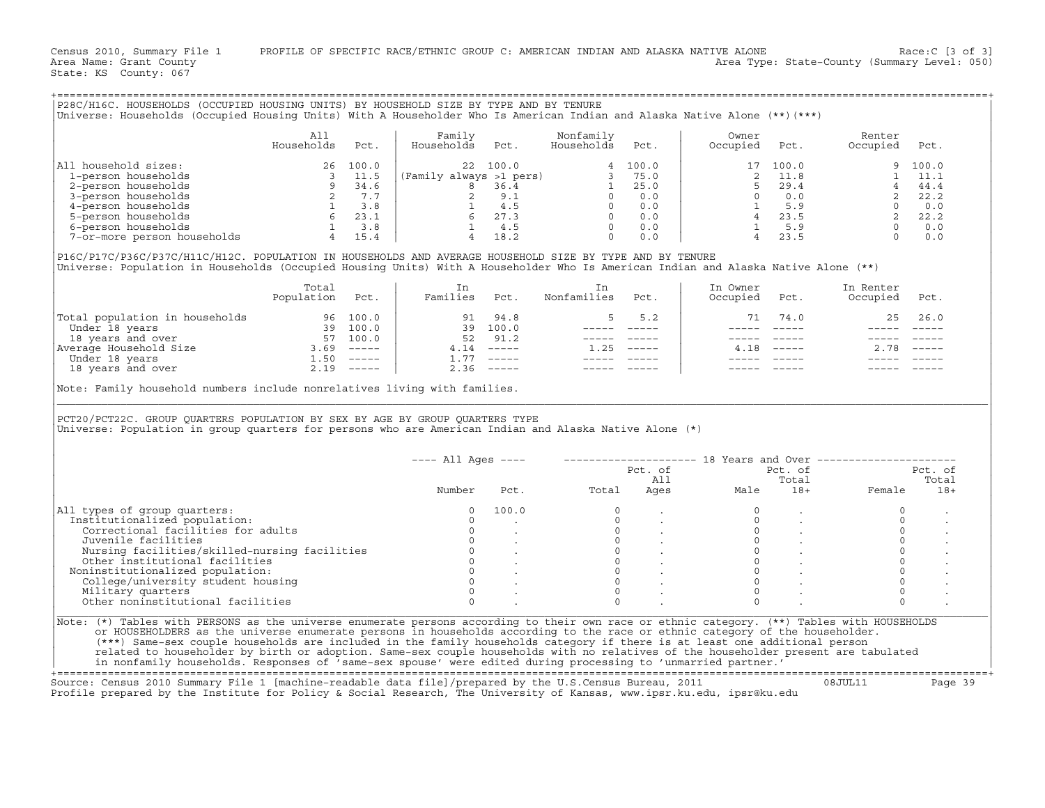Census 2010, Summary File 1 PROFILE OF SPECIFIC RACE/ETHNIC GROUP C: AMERICAN INDIAN AND ALASKA NATIVE ALONE Race:C [3 of 3]<br>Area Name: Grant County Level: 050) Area Type: State-County (Summary Level: 050) Area Type: State-County (Summary Level: 050)

State: KS County: 067

|                                                                                                                                    | All        |       | Family                  |          | Nonfamily   |       | Owner    |       | Renter    |
|------------------------------------------------------------------------------------------------------------------------------------|------------|-------|-------------------------|----------|-------------|-------|----------|-------|-----------|
|                                                                                                                                    | Households | Pct.  | Households              | Pct.     | Households  | Pct.  | Occupied | Pct.  | Occupied  |
| All household sizes:                                                                                                               | 26         | 100.0 |                         | 22 100.0 |             | 100.0 | 17       | 100.0 | 9         |
| 1-person households                                                                                                                |            | 11.5  | (Family always >1 pers) |          |             | 75.0  |          | 11.8  |           |
| 2-person households                                                                                                                |            | 34.6  | 8                       | 36.4     |             | 25.0  |          | 29.4  |           |
| 3-person households                                                                                                                |            | 7.7   |                         | 9.1      |             | 0.0   |          | 0.0   |           |
| 4-person households                                                                                                                |            | 3.8   |                         | 4.5      |             | 0.0   |          | 5.9   | $\circ$   |
| 5-person households                                                                                                                |            | 23.1  |                         | 27.3     |             | 0.0   |          | 23.5  |           |
| 6-person households                                                                                                                |            | 3.8   |                         | 4.5      |             | 0.0   |          | 5.9   | $\Omega$  |
| 7-or-more person households                                                                                                        |            | 15.4  |                         | 18.2     |             | 0.0   |          | 23.5  | $\Omega$  |
| P16C/P17C/P36C/P37C/H11C/H12C. POPULATION IN HOUSEHOLDS AND AVERAGE HOUSEHOLD SIZE BY TYPE AND BY TENURE                           |            |       |                         |          |             |       |          |       |           |
| Universe: Population in Households (Occupied Housing Units) With A Householder Who Is American Indian and Alaska Native Alone (**) |            |       |                         |          |             |       |          |       |           |
|                                                                                                                                    | Total      |       | In                      |          | In          |       | In Owner |       | In Renter |
|                                                                                                                                    | Population | Pct.  | Families                | Pct.     | Nonfamilies | Pct.  | Occupied | Pct.  | Occupied  |

| Total population in households |       | 96 100.0      | 91          | 94.8                      | 5.2           | 71 | 74.0   |      | 25 26.0       |
|--------------------------------|-------|---------------|-------------|---------------------------|---------------|----|--------|------|---------------|
| Under 18 years                 | 39    | 100.0         | 39          | 100.0                     |               |    |        |      |               |
| 18 years and over              | 57    | 100.0         | 52          | 91.2                      |               |    |        |      |               |
| Average Household Size         | .69   | $- - - - - -$ | 4.14        | $\qquad \qquad - - - - -$ | $- - - - - -$ |    | $   -$ | 2.78 | $\frac{1}{2}$ |
| Under 18 years                 |       | $\frac{1}{2}$ | <b>1.77</b> | $-----$                   |               |    |        |      |               |
| 18 years and over              | $-19$ | $- - - - - -$ | 2.36        | $------$                  |               |    |        |      |               |
|                                |       |               |             |                           |               |    |        |      |               |

+===================================================================================================================================================+

| P28C/H16C. HOUSEHOLDS (OCCUPIED HOUSING UNITS) BY HOUSEHOLD SIZE BY TYPE AND BY TENURE<br>Universe: Households (Occupied Housing Units) With A Householder Who Is American Indian and Alaska Native Alone (**)(***)                            |                   |      |                                                                                                                                                                                                                                                                               |                                                                                              |                                                                                                                                                                                                                                                                                                                                                                                              |             |                                |                                                                                                                                                                                                                                                                                                                                                                                              |                                                                                                                               |                |
|------------------------------------------------------------------------------------------------------------------------------------------------------------------------------------------------------------------------------------------------|-------------------|------|-------------------------------------------------------------------------------------------------------------------------------------------------------------------------------------------------------------------------------------------------------------------------------|----------------------------------------------------------------------------------------------|----------------------------------------------------------------------------------------------------------------------------------------------------------------------------------------------------------------------------------------------------------------------------------------------------------------------------------------------------------------------------------------------|-------------|--------------------------------|----------------------------------------------------------------------------------------------------------------------------------------------------------------------------------------------------------------------------------------------------------------------------------------------------------------------------------------------------------------------------------------------|-------------------------------------------------------------------------------------------------------------------------------|----------------|
|                                                                                                                                                                                                                                                | All<br>Households | Pct. | Family<br>Households                                                                                                                                                                                                                                                          | Pct.                                                                                         | Nonfamily<br>Households                                                                                                                                                                                                                                                                                                                                                                      | Pct.        | Owner<br>Occupied              | Pct.                                                                                                                                                                                                                                                                                                                                                                                         | Renter<br>Occupied                                                                                                            | Pct.           |
| All household sizes:                                                                                                                                                                                                                           |                   |      | $\begin{array}{c cccc} 26 & 100.0 & 22 & 100.0 & 4 & 100.0 \\ 3 & 11.5 & 5 & 8 & 36.4 & 1 & 25.0 \\ 9 & 34.6 & 8 & 36.4 & 1 & 25.0 \\ 2 & 7.7 & 2 & 9.1 & 0 & 0.0 \\ 1 & 3.8 & 1 & 4.5 & 0 & 0.0 \\ 1 & 3.8 & 1 & 4.5 & 0 & 0.0 \\ 4 & 15.4 & 4 & 18.2 & 0 & 0.0 \end{array}$ |                                                                                              |                                                                                                                                                                                                                                                                                                                                                                                              |             | 17                             | 100.0                                                                                                                                                                                                                                                                                                                                                                                        | 9                                                                                                                             | 100.0          |
| 1-person households                                                                                                                                                                                                                            |                   |      |                                                                                                                                                                                                                                                                               |                                                                                              |                                                                                                                                                                                                                                                                                                                                                                                              |             |                                | 2 11.8                                                                                                                                                                                                                                                                                                                                                                                       |                                                                                                                               |                |
| 2-person households                                                                                                                                                                                                                            |                   |      |                                                                                                                                                                                                                                                                               |                                                                                              |                                                                                                                                                                                                                                                                                                                                                                                              |             | $5^{\circ}$                    | 29.4                                                                                                                                                                                                                                                                                                                                                                                         |                                                                                                                               |                |
| 3-person households                                                                                                                                                                                                                            |                   |      |                                                                                                                                                                                                                                                                               |                                                                                              |                                                                                                                                                                                                                                                                                                                                                                                              |             |                                | $0 \t 0.0$                                                                                                                                                                                                                                                                                                                                                                                   |                                                                                                                               |                |
| 4-person households                                                                                                                                                                                                                            |                   |      |                                                                                                                                                                                                                                                                               |                                                                                              |                                                                                                                                                                                                                                                                                                                                                                                              |             |                                |                                                                                                                                                                                                                                                                                                                                                                                              |                                                                                                                               |                |
| 5-person households                                                                                                                                                                                                                            |                   |      |                                                                                                                                                                                                                                                                               |                                                                                              |                                                                                                                                                                                                                                                                                                                                                                                              |             |                                | $\frac{1}{4}$ 5.9                                                                                                                                                                                                                                                                                                                                                                            |                                                                                                                               |                |
|                                                                                                                                                                                                                                                |                   |      |                                                                                                                                                                                                                                                                               |                                                                                              |                                                                                                                                                                                                                                                                                                                                                                                              |             |                                | $1 \quad 5.9$                                                                                                                                                                                                                                                                                                                                                                                |                                                                                                                               |                |
| 6-person households<br>7-or-more person households<br>1 3.8<br>1 15.4                                                                                                                                                                          |                   |      |                                                                                                                                                                                                                                                                               |                                                                                              |                                                                                                                                                                                                                                                                                                                                                                                              |             |                                | $4$ 23.5                                                                                                                                                                                                                                                                                                                                                                                     | $\begin{array}{cccc} 1 & 11.1 \\ 4 & 44.4 \\ 2 & 22.2 \\ 0 & 0.0 \\ 2 & 22.2 \\ 0 & 0.0 \\ 0 & 0.0 \\ 0 & 0.0 \\ \end{array}$ |                |
| P16C/P17C/P36C/P37C/H11C/H12C. POPULATION IN HOUSEHOLDS AND AVERAGE HOUSEHOLD SIZE BY TYPE AND BY TENURE<br>Universe: Population in Households (Occupied Housing Units) With A Householder Who Is American Indian and Alaska Native Alone (**) | Total             |      | In                                                                                                                                                                                                                                                                            |                                                                                              | In                                                                                                                                                                                                                                                                                                                                                                                           |             | In Owner                       |                                                                                                                                                                                                                                                                                                                                                                                              | In Renter                                                                                                                     |                |
|                                                                                                                                                                                                                                                | Population Pct.   |      | Families Pct.                                                                                                                                                                                                                                                                 |                                                                                              | Nonfamilies                                                                                                                                                                                                                                                                                                                                                                                  | Pct.        | Occupied                       | Pct.                                                                                                                                                                                                                                                                                                                                                                                         | Occupied                                                                                                                      | Pct.           |
| Total population in households<br>Under 18 years 39 100.0<br>18 years and over 57 100.0<br>Nerage Household Size 3.69 -----<br>Under 18 years and over 2.19 -----                                                                              |                   |      |                                                                                                                                                                                                                                                                               | 91 94.8                                                                                      | 5                                                                                                                                                                                                                                                                                                                                                                                            | 5.2         | 71                             | 74.0                                                                                                                                                                                                                                                                                                                                                                                         | 25                                                                                                                            | 26.0           |
|                                                                                                                                                                                                                                                |                   |      |                                                                                                                                                                                                                                                                               | 39 100.0                                                                                     |                                                                                                                                                                                                                                                                                                                                                                                              | ----- ----- |                                | $\frac{1}{2}$                                                                                                                                                                                                                                                                                                                                                                                |                                                                                                                               |                |
|                                                                                                                                                                                                                                                |                   |      |                                                                                                                                                                                                                                                                               | 52 91.2                                                                                      |                                                                                                                                                                                                                                                                                                                                                                                              |             |                                | $\frac{1}{2} \frac{1}{2} \frac{1}{2} \frac{1}{2} \frac{1}{2} \frac{1}{2} \frac{1}{2} \frac{1}{2} \frac{1}{2} \frac{1}{2} \frac{1}{2} \frac{1}{2} \frac{1}{2} \frac{1}{2} \frac{1}{2} \frac{1}{2} \frac{1}{2} \frac{1}{2} \frac{1}{2} \frac{1}{2} \frac{1}{2} \frac{1}{2} \frac{1}{2} \frac{1}{2} \frac{1}{2} \frac{1}{2} \frac{1}{2} \frac{1}{2} \frac{1}{2} \frac{1}{2} \frac{1}{2} \frac{$ |                                                                                                                               |                |
|                                                                                                                                                                                                                                                |                   |      |                                                                                                                                                                                                                                                                               | $4.14$ -----                                                                                 | $1.25$ -----                                                                                                                                                                                                                                                                                                                                                                                 |             |                                | $4.18$ -----                                                                                                                                                                                                                                                                                                                                                                                 | $2.78$ -----                                                                                                                  |                |
|                                                                                                                                                                                                                                                |                   |      |                                                                                                                                                                                                                                                                               | $1.77$ -----                                                                                 | $\begin{array}{cccccc} - & - & - & - & - & - & - \\ & - & - & - & - & - \\ & & - & - & - & - \end{array}$                                                                                                                                                                                                                                                                                    |             |                                |                                                                                                                                                                                                                                                                                                                                                                                              |                                                                                                                               |                |
|                                                                                                                                                                                                                                                |                   |      |                                                                                                                                                                                                                                                                               | $2.36$ -----                                                                                 | $\frac{1}{2} \frac{1}{2} \frac{1}{2} \frac{1}{2} \frac{1}{2} \frac{1}{2} \frac{1}{2} \frac{1}{2} \frac{1}{2} \frac{1}{2} \frac{1}{2} \frac{1}{2} \frac{1}{2} \frac{1}{2} \frac{1}{2} \frac{1}{2} \frac{1}{2} \frac{1}{2} \frac{1}{2} \frac{1}{2} \frac{1}{2} \frac{1}{2} \frac{1}{2} \frac{1}{2} \frac{1}{2} \frac{1}{2} \frac{1}{2} \frac{1}{2} \frac{1}{2} \frac{1}{2} \frac{1}{2} \frac{$ |             |                                |                                                                                                                                                                                                                                                                                                                                                                                              |                                                                                                                               |                |
| PCT20/PCT22C. GROUP QUARTERS POPULATION BY SEX BY AGE BY GROUP QUARTERS TYPE<br>Universe: Population in group quarters for persons who are American Indian and Alaska Native Alone (*)                                                         |                   |      |                                                                                                                                                                                                                                                                               |                                                                                              |                                                                                                                                                                                                                                                                                                                                                                                              |             |                                |                                                                                                                                                                                                                                                                                                                                                                                              |                                                                                                                               |                |
|                                                                                                                                                                                                                                                |                   |      | $---$ All Ages $---$                                                                                                                                                                                                                                                          |                                                                                              |                                                                                                                                                                                                                                                                                                                                                                                              |             |                                |                                                                                                                                                                                                                                                                                                                                                                                              | -------------------- 18 Years and Over ------------------                                                                     |                |
|                                                                                                                                                                                                                                                |                   |      |                                                                                                                                                                                                                                                                               |                                                                                              |                                                                                                                                                                                                                                                                                                                                                                                              |             |                                | Pct. of                                                                                                                                                                                                                                                                                                                                                                                      |                                                                                                                               | Pct. of        |
|                                                                                                                                                                                                                                                |                   |      | Number                                                                                                                                                                                                                                                                        |                                                                                              | Pct.<br>Total                                                                                                                                                                                                                                                                                                                                                                                |             | Pct. of<br>All<br>Ages<br>Male | Total<br>$18+$                                                                                                                                                                                                                                                                                                                                                                               | Female                                                                                                                        | Total<br>$18+$ |
| All types of group quarters:                                                                                                                                                                                                                   |                   |      | 0                                                                                                                                                                                                                                                                             | 100.0                                                                                        | $\circ$                                                                                                                                                                                                                                                                                                                                                                                      |             |                                |                                                                                                                                                                                                                                                                                                                                                                                              | $\mathbf 0$                                                                                                                   |                |
| Institutionalized population:                                                                                                                                                                                                                  |                   |      | $\Omega$                                                                                                                                                                                                                                                                      |                                                                                              | $\Omega$                                                                                                                                                                                                                                                                                                                                                                                     |             | $\mathbf 0$                    |                                                                                                                                                                                                                                                                                                                                                                                              | $\circ$                                                                                                                       |                |
| Correctional facilities for adults                                                                                                                                                                                                             |                   |      | $\circ$                                                                                                                                                                                                                                                                       |                                                                                              |                                                                                                                                                                                                                                                                                                                                                                                              |             | $\circ$                        |                                                                                                                                                                                                                                                                                                                                                                                              | $\circ$                                                                                                                       |                |
| Juvenile facilities                                                                                                                                                                                                                            |                   |      | $\Omega$                                                                                                                                                                                                                                                                      |                                                                                              |                                                                                                                                                                                                                                                                                                                                                                                              |             | $\circ$                        | $\sim$                                                                                                                                                                                                                                                                                                                                                                                       | $\circ$                                                                                                                       |                |
| Nursing facilities/skilled-nursing facilities                                                                                                                                                                                                  |                   |      |                                                                                                                                                                                                                                                                               |                                                                                              |                                                                                                                                                                                                                                                                                                                                                                                              |             | $\Omega$                       |                                                                                                                                                                                                                                                                                                                                                                                              | $\circ$                                                                                                                       |                |
| Other institutional facilities                                                                                                                                                                                                                 |                   |      |                                                                                                                                                                                                                                                                               | $\begin{matrix} 0 & & & & \\ 0 & & & & \\ 0 & & & & \\ 0 & & & & \\ & & & & \\ \end{matrix}$ | $\begin{matrix}0\\0\\0\\0\\0\end{matrix}$                                                                                                                                                                                                                                                                                                                                                    |             | $\circ$                        |                                                                                                                                                                                                                                                                                                                                                                                              | $\circ$                                                                                                                       |                |
| Noninstitutionalized population:                                                                                                                                                                                                               |                   |      |                                                                                                                                                                                                                                                                               |                                                                                              | $\circ$                                                                                                                                                                                                                                                                                                                                                                                      |             | $\circ$                        |                                                                                                                                                                                                                                                                                                                                                                                              | $\circ$                                                                                                                       |                |
| College/university student housing                                                                                                                                                                                                             |                   |      |                                                                                                                                                                                                                                                                               |                                                                                              | $\overline{0}$                                                                                                                                                                                                                                                                                                                                                                               |             | $\Omega$                       |                                                                                                                                                                                                                                                                                                                                                                                              | $\Omega$                                                                                                                      |                |
| Military quarters                                                                                                                                                                                                                              |                   |      |                                                                                                                                                                                                                                                                               |                                                                                              | $\Omega$                                                                                                                                                                                                                                                                                                                                                                                     |             | $\Omega$                       |                                                                                                                                                                                                                                                                                                                                                                                              | $\circ$                                                                                                                       |                |
| Other noninstitutional facilities                                                                                                                                                                                                              |                   |      | $\Omega$                                                                                                                                                                                                                                                                      |                                                                                              | $\cap$                                                                                                                                                                                                                                                                                                                                                                                       |             | $\Omega$                       |                                                                                                                                                                                                                                                                                                                                                                                              | $\Omega$                                                                                                                      |                |
|                                                                                                                                                                                                                                                |                   |      |                                                                                                                                                                                                                                                                               |                                                                                              |                                                                                                                                                                                                                                                                                                                                                                                              |             |                                |                                                                                                                                                                                                                                                                                                                                                                                              |                                                                                                                               |                |

+===================================================================================================================================================+ Source: Census 2010 Summary File 1 [machine−readable data file]/prepared by the U.S.Census Bureau, 2011 08JUL11 Page 39 Profile prepared by the Institute for Policy & Social Research, The University of Kansas, www.ipsr.ku.edu, ipsr@ku.edu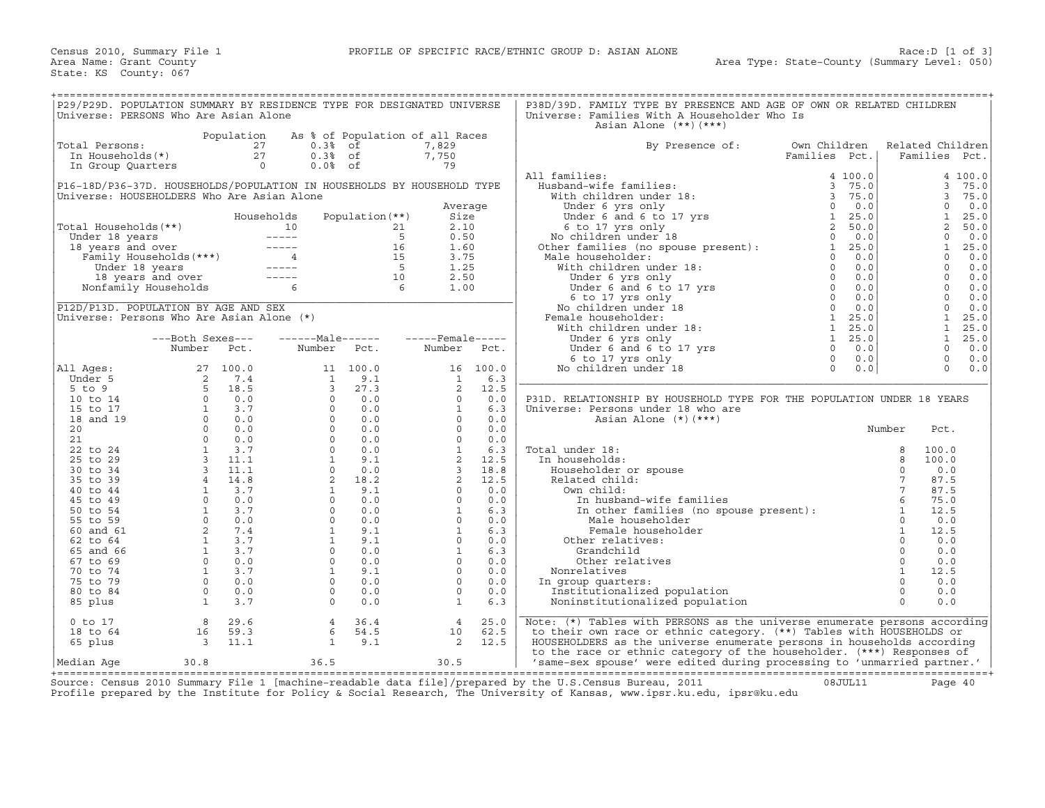| P29/P29D. POPULATION SUMMARY BY RESIDENCE TYPE FOR DESIGNATED UNIVERSE<br>Universe: PERSONS Who Are Asian Alone                                                                                 |                                                                                                                                                                                                                                                                          |                                              |                                                                                                                                                                                                                             |                                        |                                                                                                                                                                                                                                                                                                                          |                 | P38D/39D. FAMILY TYPE BY PRESENCE AND AGE OF OWN OR RELATED CHILDREN<br>Universe: Families With A Householder Who Is<br>Asian Alone $(**)$ $(***)$                                                                                                                                                                                                                                                                                                                                                                                                                           |                |                         |
|-------------------------------------------------------------------------------------------------------------------------------------------------------------------------------------------------|--------------------------------------------------------------------------------------------------------------------------------------------------------------------------------------------------------------------------------------------------------------------------|----------------------------------------------|-----------------------------------------------------------------------------------------------------------------------------------------------------------------------------------------------------------------------------|----------------------------------------|--------------------------------------------------------------------------------------------------------------------------------------------------------------------------------------------------------------------------------------------------------------------------------------------------------------------------|-----------------|------------------------------------------------------------------------------------------------------------------------------------------------------------------------------------------------------------------------------------------------------------------------------------------------------------------------------------------------------------------------------------------------------------------------------------------------------------------------------------------------------------------------------------------------------------------------------|----------------|-------------------------|
|                                                                                                                                                                                                 |                                                                                                                                                                                                                                                                          | Population                                   |                                                                                                                                                                                                                             |                                        | As % of Population of all Races                                                                                                                                                                                                                                                                                          |                 |                                                                                                                                                                                                                                                                                                                                                                                                                                                                                                                                                                              |                |                         |
|                                                                                                                                                                                                 |                                                                                                                                                                                                                                                                          | 27                                           | $0.3%$ of                                                                                                                                                                                                                   |                                        | 7,829                                                                                                                                                                                                                                                                                                                    |                 |                                                                                                                                                                                                                                                                                                                                                                                                                                                                                                                                                                              | Own Children   |                         |
| Total Persons:                                                                                                                                                                                  |                                                                                                                                                                                                                                                                          |                                              |                                                                                                                                                                                                                             |                                        |                                                                                                                                                                                                                                                                                                                          |                 | By Presence of:                                                                                                                                                                                                                                                                                                                                                                                                                                                                                                                                                              |                | Related Children        |
| In Households(*)                                                                                                                                                                                |                                                                                                                                                                                                                                                                          | $\begin{array}{c} 27 \\ 27 \\ 0 \end{array}$ | $0.3%$ of                                                                                                                                                                                                                   |                                        | 7,750                                                                                                                                                                                                                                                                                                                    |                 |                                                                                                                                                                                                                                                                                                                                                                                                                                                                                                                                                                              | Families Pct.  | Families<br>Pct.        |
| In Group Quarters                                                                                                                                                                               |                                                                                                                                                                                                                                                                          |                                              | $0.0%$ of                                                                                                                                                                                                                   |                                        | 79                                                                                                                                                                                                                                                                                                                       |                 |                                                                                                                                                                                                                                                                                                                                                                                                                                                                                                                                                                              |                |                         |
|                                                                                                                                                                                                 |                                                                                                                                                                                                                                                                          |                                              |                                                                                                                                                                                                                             |                                        |                                                                                                                                                                                                                                                                                                                          |                 | All families:                                                                                                                                                                                                                                                                                                                                                                                                                                                                                                                                                                | 4 100.0        | 4 100.0                 |
| P16-18D/P36-37D. HOUSEHOLDS/POPULATION IN HOUSEHOLDS BY HOUSEHOLD TYPE                                                                                                                          |                                                                                                                                                                                                                                                                          |                                              |                                                                                                                                                                                                                             |                                        |                                                                                                                                                                                                                                                                                                                          |                 |                                                                                                                                                                                                                                                                                                                                                                                                                                                                                                                                                                              |                | $\mathbf{3}$<br>75.0    |
| Universe: HOUSEHOLDERS Who Are Asian Alone                                                                                                                                                      |                                                                                                                                                                                                                                                                          |                                              |                                                                                                                                                                                                                             |                                        |                                                                                                                                                                                                                                                                                                                          |                 |                                                                                                                                                                                                                                                                                                                                                                                                                                                                                                                                                                              |                | 3<br>75.0               |
|                                                                                                                                                                                                 |                                                                                                                                                                                                                                                                          |                                              |                                                                                                                                                                                                                             |                                        |                                                                                                                                                                                                                                                                                                                          |                 |                                                                                                                                                                                                                                                                                                                                                                                                                                                                                                                                                                              |                | $\Omega$<br>0.0         |
|                                                                                                                                                                                                 |                                                                                                                                                                                                                                                                          |                                              |                                                                                                                                                                                                                             |                                        |                                                                                                                                                                                                                                                                                                                          | Average         |                                                                                                                                                                                                                                                                                                                                                                                                                                                                                                                                                                              |                |                         |
|                                                                                                                                                                                                 |                                                                                                                                                                                                                                                                          |                                              | Households                                                                                                                                                                                                                  | Population (**)                        |                                                                                                                                                                                                                                                                                                                          | Size            |                                                                                                                                                                                                                                                                                                                                                                                                                                                                                                                                                                              |                | $\mathbf{1}$<br>25.0    |
| Total Households (**)                                                                                                                                                                           |                                                                                                                                                                                                                                                                          |                                              |                                                                                                                                                                                                                             |                                        | 21                                                                                                                                                                                                                                                                                                                       | 2.10            |                                                                                                                                                                                                                                                                                                                                                                                                                                                                                                                                                                              |                | 2<br>50.0               |
|                                                                                                                                                                                                 |                                                                                                                                                                                                                                                                          |                                              |                                                                                                                                                                                                                             |                                        | $5^{\circ}$                                                                                                                                                                                                                                                                                                              | 0.50            |                                                                                                                                                                                                                                                                                                                                                                                                                                                                                                                                                                              |                | $\Omega$<br>0.0         |
|                                                                                                                                                                                                 |                                                                                                                                                                                                                                                                          |                                              |                                                                                                                                                                                                                             |                                        | 16                                                                                                                                                                                                                                                                                                                       | 1.60            |                                                                                                                                                                                                                                                                                                                                                                                                                                                                                                                                                                              |                | $\mathbf{1}$<br>25.0    |
|                                                                                                                                                                                                 |                                                                                                                                                                                                                                                                          |                                              |                                                                                                                                                                                                                             |                                        | 15                                                                                                                                                                                                                                                                                                                       | 3.75            |                                                                                                                                                                                                                                                                                                                                                                                                                                                                                                                                                                              |                | 0.0<br>$\circ$          |
|                                                                                                                                                                                                 |                                                                                                                                                                                                                                                                          |                                              |                                                                                                                                                                                                                             |                                        | $\overline{5}$                                                                                                                                                                                                                                                                                                           | 1.25            |                                                                                                                                                                                                                                                                                                                                                                                                                                                                                                                                                                              |                | $\Omega$<br>0.0         |
| 10<br>18 years and over<br>Family Households (***)<br>19 Under 18 years<br>18 years and over<br>18 years and over<br>18 years and over<br>18 years and over<br>19 sears and over<br>Nonfamily " | Under 18 years<br>18 years and over ---<br>11 Monseholds                                                                                                                                                                                                                 |                                              |                                                                                                                                                                                                                             |                                        |                                                                                                                                                                                                                                                                                                                          |                 | $\begin{tabular}{ll} All families: & \begin{tabular}{ll} 1.1 families: & \begin{tabular}{ll} 4.100.0 \\ \text{Wish} & \text{children under 18:} \\ \text{Wich children under 18: & \begin{tabular}{ll} 3.75.0 \\ \text{Under 6 yrs only} \\ \text{Under 6 and 6 to 17 yrs} \\ \text{6 to 17 yrs only} \\ \text{No children under 18 \\ \text{Other families (no space present): & \begin{tabular}{ll} 2.50.0 \\ \text{Other families (no space present): \\ \text{Male householder:} \\ \text{With children under 18: & \begin{tabular}{ll} 0.000 \\ \text{Under 6 yrs only$ |                | $\circ$<br>0.0          |
|                                                                                                                                                                                                 |                                                                                                                                                                                                                                                                          |                                              |                                                                                                                                                                                                                             | $\begin{array}{c} 10 \\ 6 \end{array}$ |                                                                                                                                                                                                                                                                                                                          | 2.50            |                                                                                                                                                                                                                                                                                                                                                                                                                                                                                                                                                                              |                |                         |
|                                                                                                                                                                                                 | Nonfamily Households                                                                                                                                                                                                                                                     |                                              | 6                                                                                                                                                                                                                           |                                        |                                                                                                                                                                                                                                                                                                                          | 1.00            |                                                                                                                                                                                                                                                                                                                                                                                                                                                                                                                                                                              |                | $\Omega$<br>0.0         |
|                                                                                                                                                                                                 |                                                                                                                                                                                                                                                                          |                                              |                                                                                                                                                                                                                             |                                        |                                                                                                                                                                                                                                                                                                                          |                 |                                                                                                                                                                                                                                                                                                                                                                                                                                                                                                                                                                              |                | $\Omega$<br>0.0         |
| P12D/P13D. POPULATION BY AGE AND SEX                                                                                                                                                            |                                                                                                                                                                                                                                                                          |                                              |                                                                                                                                                                                                                             |                                        |                                                                                                                                                                                                                                                                                                                          |                 |                                                                                                                                                                                                                                                                                                                                                                                                                                                                                                                                                                              |                | $\mathbf 0$<br>0.0      |
| Universe: Persons Who Are Asian Alone (*)                                                                                                                                                       |                                                                                                                                                                                                                                                                          |                                              |                                                                                                                                                                                                                             |                                        |                                                                                                                                                                                                                                                                                                                          |                 |                                                                                                                                                                                                                                                                                                                                                                                                                                                                                                                                                                              |                | $\mathbf{1}$<br>25.0    |
|                                                                                                                                                                                                 |                                                                                                                                                                                                                                                                          |                                              |                                                                                                                                                                                                                             |                                        |                                                                                                                                                                                                                                                                                                                          |                 |                                                                                                                                                                                                                                                                                                                                                                                                                                                                                                                                                                              |                | $\mathbf{1}$<br>25.0    |
|                                                                                                                                                                                                 | ---Both Sexes---                                                                                                                                                                                                                                                         |                                              | ------Male------                                                                                                                                                                                                            |                                        | -----Female-----                                                                                                                                                                                                                                                                                                         |                 |                                                                                                                                                                                                                                                                                                                                                                                                                                                                                                                                                                              | $1 \quad 25.0$ | $\mathbf{1}$<br>25.0    |
|                                                                                                                                                                                                 |                                                                                                                                                                                                                                                                          |                                              |                                                                                                                                                                                                                             |                                        |                                                                                                                                                                                                                                                                                                                          |                 | Under 6 yrs only                                                                                                                                                                                                                                                                                                                                                                                                                                                                                                                                                             |                |                         |
|                                                                                                                                                                                                 | Number Pct.                                                                                                                                                                                                                                                              |                                              | Number                                                                                                                                                                                                                      | Pct.                                   | Number                                                                                                                                                                                                                                                                                                                   | Pct.            |                                                                                                                                                                                                                                                                                                                                                                                                                                                                                                                                                                              | 0.0            | $\Omega$<br>0.0         |
|                                                                                                                                                                                                 |                                                                                                                                                                                                                                                                          |                                              |                                                                                                                                                                                                                             |                                        |                                                                                                                                                                                                                                                                                                                          |                 |                                                                                                                                                                                                                                                                                                                                                                                                                                                                                                                                                                              | 0.0            | $\mathbf 0$<br>0.0      |
| All Ages:                                                                                                                                                                                       |                                                                                                                                                                                                                                                                          | 27 100.0                                     |                                                                                                                                                                                                                             | 11 100.0                               |                                                                                                                                                                                                                                                                                                                          | 16 100.0        | No children under 18                                                                                                                                                                                                                                                                                                                                                                                                                                                                                                                                                         | 0.0            | $\Omega$<br>0.0         |
| Under 5                                                                                                                                                                                         |                                                                                                                                                                                                                                                                          |                                              | <sup>1</sup>                                                                                                                                                                                                                | 9.1                                    | <sup>1</sup>                                                                                                                                                                                                                                                                                                             | 6.3             |                                                                                                                                                                                                                                                                                                                                                                                                                                                                                                                                                                              |                |                         |
| 5 to 9                                                                                                                                                                                          |                                                                                                                                                                                                                                                                          |                                              |                                                                                                                                                                                                                             | 27.3                                   |                                                                                                                                                                                                                                                                                                                          |                 |                                                                                                                                                                                                                                                                                                                                                                                                                                                                                                                                                                              |                |                         |
| 10 to 14                                                                                                                                                                                        |                                                                                                                                                                                                                                                                          |                                              |                                                                                                                                                                                                                             | 0.0                                    |                                                                                                                                                                                                                                                                                                                          |                 | P31D. RELATIONSHIP BY HOUSEHOLD TYPE FOR THE POPULATION UNDER 18 YEARS                                                                                                                                                                                                                                                                                                                                                                                                                                                                                                       |                |                         |
|                                                                                                                                                                                                 |                                                                                                                                                                                                                                                                          |                                              |                                                                                                                                                                                                                             | 0.0                                    |                                                                                                                                                                                                                                                                                                                          |                 |                                                                                                                                                                                                                                                                                                                                                                                                                                                                                                                                                                              |                |                         |
| 15 to 17                                                                                                                                                                                        |                                                                                                                                                                                                                                                                          |                                              |                                                                                                                                                                                                                             |                                        |                                                                                                                                                                                                                                                                                                                          |                 | Universe: Persons under 18 who are                                                                                                                                                                                                                                                                                                                                                                                                                                                                                                                                           |                |                         |
| 18 and 19                                                                                                                                                                                       |                                                                                                                                                                                                                                                                          |                                              |                                                                                                                                                                                                                             | 0.0<br>$\Omega$                        |                                                                                                                                                                                                                                                                                                                          |                 | Asian Alone (*) (***)                                                                                                                                                                                                                                                                                                                                                                                                                                                                                                                                                        |                |                         |
| 20                                                                                                                                                                                              |                                                                                                                                                                                                                                                                          |                                              |                                                                                                                                                                                                                             | 0.0                                    |                                                                                                                                                                                                                                                                                                                          |                 |                                                                                                                                                                                                                                                                                                                                                                                                                                                                                                                                                                              |                | Number<br>Pct.          |
| 21                                                                                                                                                                                              |                                                                                                                                                                                                                                                                          |                                              |                                                                                                                                                                                                                             | $\overline{0}$<br>0.0                  |                                                                                                                                                                                                                                                                                                                          |                 |                                                                                                                                                                                                                                                                                                                                                                                                                                                                                                                                                                              |                |                         |
| 22 to 24                                                                                                                                                                                        |                                                                                                                                                                                                                                                                          |                                              |                                                                                                                                                                                                                             | $0 \t 0.0$                             |                                                                                                                                                                                                                                                                                                                          |                 | Total under 18:                                                                                                                                                                                                                                                                                                                                                                                                                                                                                                                                                              |                | 8<br>100.0              |
| 25 to 29                                                                                                                                                                                        |                                                                                                                                                                                                                                                                          |                                              |                                                                                                                                                                                                                             | 9.1                                    |                                                                                                                                                                                                                                                                                                                          |                 | In households:                                                                                                                                                                                                                                                                                                                                                                                                                                                                                                                                                               |                | 8<br>100.0              |
| 30 to 34                                                                                                                                                                                        |                                                                                                                                                                                                                                                                          |                                              |                                                                                                                                                                                                                             | 0.0                                    |                                                                                                                                                                                                                                                                                                                          |                 | Householder or spouse                                                                                                                                                                                                                                                                                                                                                                                                                                                                                                                                                        |                | $\circ$<br>0.0          |
| 35 to 39                                                                                                                                                                                        |                                                                                                                                                                                                                                                                          |                                              |                                                                                                                                                                                                                             | 2 18.2                                 |                                                                                                                                                                                                                                                                                                                          |                 | Related child:                                                                                                                                                                                                                                                                                                                                                                                                                                                                                                                                                               |                | $7\overline{ }$<br>87.5 |
|                                                                                                                                                                                                 |                                                                                                                                                                                                                                                                          |                                              |                                                                                                                                                                                                                             |                                        |                                                                                                                                                                                                                                                                                                                          |                 |                                                                                                                                                                                                                                                                                                                                                                                                                                                                                                                                                                              |                |                         |
| 40 to 44                                                                                                                                                                                        |                                                                                                                                                                                                                                                                          |                                              |                                                                                                                                                                                                                             | 9.1                                    |                                                                                                                                                                                                                                                                                                                          |                 | Own child:                                                                                                                                                                                                                                                                                                                                                                                                                                                                                                                                                                   |                | $7\overline{ }$<br>87.5 |
| 45 to 49                                                                                                                                                                                        |                                                                                                                                                                                                                                                                          |                                              |                                                                                                                                                                                                                             | 0.0                                    |                                                                                                                                                                                                                                                                                                                          |                 |                                                                                                                                                                                                                                                                                                                                                                                                                                                                                                                                                                              |                | 6<br>75.0               |
| 50 to 54                                                                                                                                                                                        | $\begin{array}{cccc} 27& 100.0\\ 2& 7.4\\ 5& 18.5\\ 0& 0.0\\ 1& 3.7\\ 0& 0.0\\ 0& 0.0\\ 0& 0.0\\ 0& 0.0\\ 1& 3.7\\ 3& 11.1\\ 4& 14.8\\ 1& 3.7\\ 0& 0.0\\ 1& 3.7\\ 0& 0.0\\ 1& 3.7\\ 0& 0.0\\ 2& 7.4\\ 1& 3.7\\ 0& 0.0\\ 2& 7.4\\ 1& 3.7\\ 0& 0.0\\ 1& 3.7\\ \end{array}$ |                                              | $\begin{bmatrix} 1 \\ 3 \\ 0 \\ 0 \\ 0 \\ 0 \\ 0 \\ 1 \\ 0 \\ 0 \\ 0 \\ 1 \\ 1 \\ 0 \\ 0 \\ 1 \\ 1 \\ 0 \\ 0 \\ 1 \\ 1 \\ 0 \\ 0 \\ 1 \\ 1 \\ 0 \\ 0 \\ 1 \\ 1 \\ 0 \\ 0 \\ 1 \\ 1 \\ 0 \\ 0 \\ 1 \\ 1 \\ 0 \\ 0 \\ 1 \\ 1$ | 0.0                                    | $\begin{array}{cccc} 1 & 6.3 \\ 1 & 6.3 \\ 2 & 12.5 \\ 0 & 0.0 \\ 1 & 6.3 \\ 0 & 0.0 \\ 0 & 0.0 \\ 0 & 0.0 \\ 1 & 6.3 \\ 2 & 12.5 \\ 2 & 12.5 \\ 2 & 12.5 \\ 0 & 0.0 \\ 1 & 6.3 \\ 0 & 0.0 \\ 1 & 6.3 \\ 0 & 0.0 \\ 1 & 6.3 \\ 0 & 0.0 \\ 0 & 0.0 \\ 0 & 0.0 \\ 0 & 0.0 \\ 0 & 0.0 \\ 0 & 0.0 \\ 0 & 0.0 \\ 0 & 0.0 \\ $ |                 | wn child:<br>In husband-wife families<br>In other families (no spouse present):<br>Male beveebelder                                                                                                                                                                                                                                                                                                                                                                                                                                                                          |                | $\mathbf{1}$<br>12.5    |
| 55 to 59                                                                                                                                                                                        |                                                                                                                                                                                                                                                                          |                                              |                                                                                                                                                                                                                             | $\Omega$<br>0.0                        |                                                                                                                                                                                                                                                                                                                          |                 | Male householder                                                                                                                                                                                                                                                                                                                                                                                                                                                                                                                                                             |                | $\Omega$<br>0.0         |
| 60 and 61                                                                                                                                                                                       |                                                                                                                                                                                                                                                                          |                                              |                                                                                                                                                                                                                             | 9.1                                    |                                                                                                                                                                                                                                                                                                                          |                 | Female householder                                                                                                                                                                                                                                                                                                                                                                                                                                                                                                                                                           |                | $\mathbf{1}$<br>12.5    |
| 62 to 64                                                                                                                                                                                        |                                                                                                                                                                                                                                                                          |                                              |                                                                                                                                                                                                                             | 9.1                                    |                                                                                                                                                                                                                                                                                                                          |                 | Other relatives:                                                                                                                                                                                                                                                                                                                                                                                                                                                                                                                                                             |                | $\Omega$<br>0.0         |
|                                                                                                                                                                                                 |                                                                                                                                                                                                                                                                          |                                              |                                                                                                                                                                                                                             | $\Omega$<br>0.0                        |                                                                                                                                                                                                                                                                                                                          |                 |                                                                                                                                                                                                                                                                                                                                                                                                                                                                                                                                                                              |                | $\circ$<br>0.0          |
| 65 and 66                                                                                                                                                                                       |                                                                                                                                                                                                                                                                          |                                              |                                                                                                                                                                                                                             |                                        |                                                                                                                                                                                                                                                                                                                          |                 | Grandchild                                                                                                                                                                                                                                                                                                                                                                                                                                                                                                                                                                   |                |                         |
| 67 to 69                                                                                                                                                                                        |                                                                                                                                                                                                                                                                          |                                              |                                                                                                                                                                                                                             | 0.0                                    |                                                                                                                                                                                                                                                                                                                          |                 | Other relatives                                                                                                                                                                                                                                                                                                                                                                                                                                                                                                                                                              |                | $\circ$<br>0.0          |
| 70 to 74                                                                                                                                                                                        | $\frac{1}{1}$                                                                                                                                                                                                                                                            | 3.7                                          |                                                                                                                                                                                                                             | 9.1                                    | $\Omega$                                                                                                                                                                                                                                                                                                                 | 0.0             | Nonrelatives                                                                                                                                                                                                                                                                                                                                                                                                                                                                                                                                                                 |                | $\mathbf{1}$<br>12.5    |
| 75 to 79                                                                                                                                                                                        | $\overline{0}$                                                                                                                                                                                                                                                           | 0.0                                          |                                                                                                                                                                                                                             | 0.0                                    |                                                                                                                                                                                                                                                                                                                          | $\circ$<br>0.0  | In group quarters:                                                                                                                                                                                                                                                                                                                                                                                                                                                                                                                                                           |                | $\circ$<br>0.0          |
| 80 to 84                                                                                                                                                                                        | $\Omega$                                                                                                                                                                                                                                                                 | 0.0                                          | $\begin{array}{c} 1 \\ 0 \\ 0 \end{array}$                                                                                                                                                                                  | 0.0                                    |                                                                                                                                                                                                                                                                                                                          | $\Omega$<br>0.0 | Institutionalized population                                                                                                                                                                                                                                                                                                                                                                                                                                                                                                                                                 |                | $\Omega$<br>0.0         |
| 85 plus                                                                                                                                                                                         | $\mathbf{1}$                                                                                                                                                                                                                                                             | 3.7                                          | $\circ$                                                                                                                                                                                                                     | 0.0                                    | <sup>1</sup>                                                                                                                                                                                                                                                                                                             | 6.3             | Noninstitutionalized population                                                                                                                                                                                                                                                                                                                                                                                                                                                                                                                                              |                | $\Omega$<br>0.0         |
|                                                                                                                                                                                                 |                                                                                                                                                                                                                                                                          |                                              |                                                                                                                                                                                                                             |                                        |                                                                                                                                                                                                                                                                                                                          |                 |                                                                                                                                                                                                                                                                                                                                                                                                                                                                                                                                                                              |                |                         |
|                                                                                                                                                                                                 |                                                                                                                                                                                                                                                                          |                                              |                                                                                                                                                                                                                             |                                        |                                                                                                                                                                                                                                                                                                                          |                 |                                                                                                                                                                                                                                                                                                                                                                                                                                                                                                                                                                              |                |                         |
| 0 to 17                                                                                                                                                                                         | 8                                                                                                                                                                                                                                                                        | 29.6                                         | 4                                                                                                                                                                                                                           | 36.4                                   | $\overline{4}$                                                                                                                                                                                                                                                                                                           | 25.0            | Note: (*) Tables with PERSONS as the universe enumerate persons according                                                                                                                                                                                                                                                                                                                                                                                                                                                                                                    |                |                         |
| 18 to 64                                                                                                                                                                                        | 16                                                                                                                                                                                                                                                                       | 59.3                                         | 6                                                                                                                                                                                                                           | 54.5                                   | 10                                                                                                                                                                                                                                                                                                                       | 62.5            | to their own race or ethnic category. (**) Tables with HOUSEHOLDS or                                                                                                                                                                                                                                                                                                                                                                                                                                                                                                         |                |                         |
| 65 plus                                                                                                                                                                                         | $\overline{\phantom{a}}$                                                                                                                                                                                                                                                 | 11.1                                         | <sup>1</sup>                                                                                                                                                                                                                | 9.1                                    | 2                                                                                                                                                                                                                                                                                                                        | 12.5            | HOUSEHOLDERS as the universe enumerate persons in households according                                                                                                                                                                                                                                                                                                                                                                                                                                                                                                       |                |                         |
|                                                                                                                                                                                                 |                                                                                                                                                                                                                                                                          |                                              |                                                                                                                                                                                                                             |                                        |                                                                                                                                                                                                                                                                                                                          |                 | to the race or ethnic category of the householder. (***) Responses of                                                                                                                                                                                                                                                                                                                                                                                                                                                                                                        |                |                         |
| Median Aqe                                                                                                                                                                                      | 30.8                                                                                                                                                                                                                                                                     |                                              | 36.5                                                                                                                                                                                                                        |                                        | 30.5                                                                                                                                                                                                                                                                                                                     |                 | 'same-sex spouse' were edited during processing to 'unmarried partner.'                                                                                                                                                                                                                                                                                                                                                                                                                                                                                                      |                |                         |
|                                                                                                                                                                                                 |                                                                                                                                                                                                                                                                          |                                              |                                                                                                                                                                                                                             |                                        |                                                                                                                                                                                                                                                                                                                          |                 |                                                                                                                                                                                                                                                                                                                                                                                                                                                                                                                                                                              |                |                         |

+===================================================================================================================================================+ Source: Census 2010 Summary File 1 [machine−readable data file]/prepared by the U.S.Census Bureau, 2011 08JUL11 Page 40 Profile prepared by the Institute for Policy & Social Research, The University of Kansas, www.ipsr.ku.edu, ipsr@ku.edu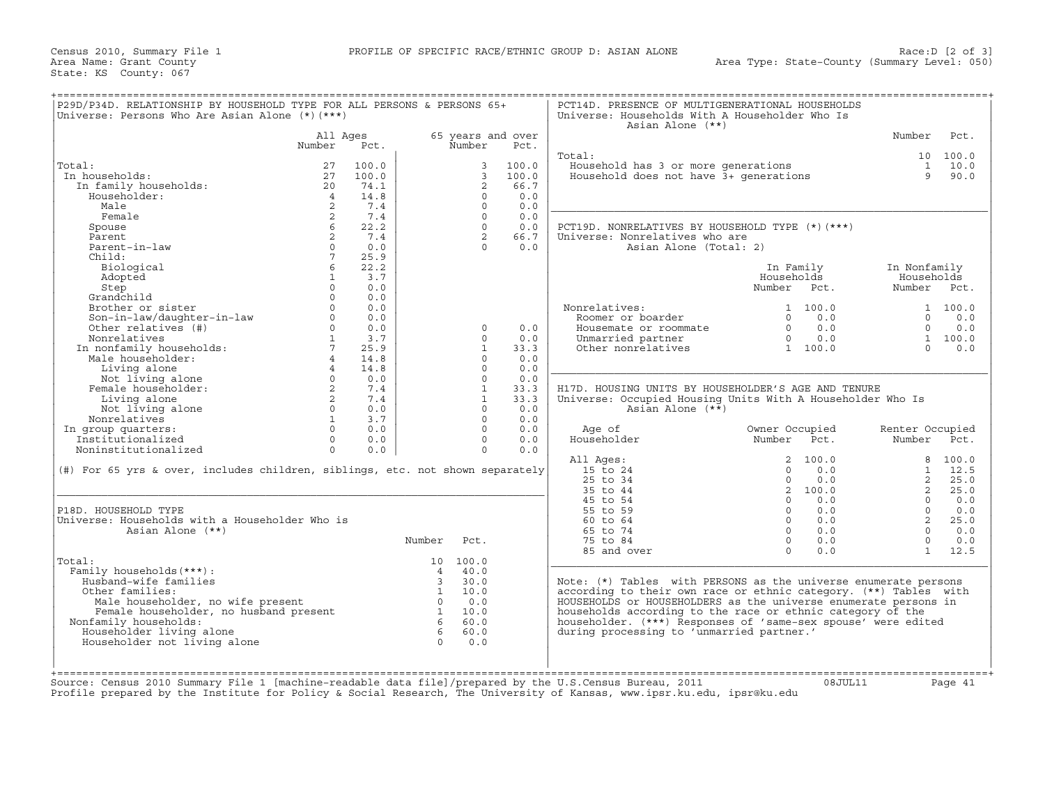| P29D/P34D. RELATIONSHIP BY HOUSEHOLD TYPE FOR ALL PERSONS & PERSONS 65+<br>Universe: Persons Who Are Asian Alone $(*)$ $(***)$                                                                                                                                                                                                                                          |                   |                                                                |                   |                |                   | PCT14D. PRESENCE OF MULTIGENERATIONAL HOUSEHOLDS<br>Universe: Households With A Householder Who Is<br>Asian Alone (**) |                                                                                  |                 |                |
|-------------------------------------------------------------------------------------------------------------------------------------------------------------------------------------------------------------------------------------------------------------------------------------------------------------------------------------------------------------------------|-------------------|----------------------------------------------------------------|-------------------|----------------|-------------------|------------------------------------------------------------------------------------------------------------------------|----------------------------------------------------------------------------------|-----------------|----------------|
|                                                                                                                                                                                                                                                                                                                                                                         | All Ages          |                                                                |                   |                | 65 years and over |                                                                                                                        |                                                                                  | Number          | Pct.           |
|                                                                                                                                                                                                                                                                                                                                                                         | Number            | Pct.                                                           |                   | Number         | Pct.              |                                                                                                                        |                                                                                  |                 |                |
|                                                                                                                                                                                                                                                                                                                                                                         |                   |                                                                |                   |                |                   | Total:                                                                                                                 |                                                                                  |                 | 10 100.0       |
| Total:                                                                                                                                                                                                                                                                                                                                                                  | 27                | 100.0                                                          |                   | 3              | 100.0             | Household has 3 or more generations<br>Household does not have 3+ generations                                          |                                                                                  |                 | 1 10.0         |
| In households:                                                                                                                                                                                                                                                                                                                                                          | 27                | 100.0                                                          |                   | $\overline{3}$ | 100.0             |                                                                                                                        |                                                                                  |                 | 9 90.0         |
| In family households:                                                                                                                                                                                                                                                                                                                                                   | 20                | 74.1                                                           |                   | 2              | 66.7              |                                                                                                                        |                                                                                  |                 |                |
| Householder:                                                                                                                                                                                                                                                                                                                                                            | $\overline{4}$    | 14.8                                                           |                   | $\Omega$       | 0.0               |                                                                                                                        |                                                                                  |                 |                |
| Male                                                                                                                                                                                                                                                                                                                                                                    | 2                 | 7.4                                                            |                   | $\Omega$       | 0.0               |                                                                                                                        |                                                                                  |                 |                |
| Female                                                                                                                                                                                                                                                                                                                                                                  | $\overline{2}$    | 7.4                                                            |                   | $\Omega$       | 0.0               |                                                                                                                        |                                                                                  |                 |                |
| Spouse                                                                                                                                                                                                                                                                                                                                                                  |                   | 22.2                                                           |                   | $\Omega$       | 0.0               | PCT19D. NONRELATIVES BY HOUSEHOLD TYPE (*) (***)                                                                       |                                                                                  |                 |                |
| Parent                                                                                                                                                                                                                                                                                                                                                                  | 2                 | 7.4                                                            |                   | 2              | 66.7              | Universe: Nonrelatives who are                                                                                         |                                                                                  |                 |                |
| Parent-in-law                                                                                                                                                                                                                                                                                                                                                           | $\Omega$          | 0.0                                                            |                   | $\cap$         | 0.0               | Asian Alone (Total: 2)                                                                                                 |                                                                                  |                 |                |
| Child:                                                                                                                                                                                                                                                                                                                                                                  | $7^{\circ}$       | 25.9                                                           |                   |                |                   |                                                                                                                        |                                                                                  |                 |                |
| Biological                                                                                                                                                                                                                                                                                                                                                              | 6                 | 22.2                                                           |                   |                |                   |                                                                                                                        | In Family                                                                        | In Nonfamily    |                |
| Adopted                                                                                                                                                                                                                                                                                                                                                                 | 1                 | 3.7                                                            |                   |                |                   |                                                                                                                        | Households                                                                       | Households      |                |
| Step                                                                                                                                                                                                                                                                                                                                                                    | $\Omega$          | 0.0                                                            |                   |                |                   |                                                                                                                        | Number Pct.                                                                      | Number Pct.     |                |
| Grandchild                                                                                                                                                                                                                                                                                                                                                              | $\Omega$          | 0.0                                                            |                   |                |                   |                                                                                                                        |                                                                                  |                 |                |
| Brother or sister                                                                                                                                                                                                                                                                                                                                                       | $\Omega$          | 0.0                                                            |                   |                |                   | Nonrelatives:                                                                                                          | 1 100.0                                                                          |                 | 1 100.0        |
| Son-in-law/daughter-in-law<br>Son-in-law/daughter-in-law<br>Nonrolatives (#)                                                                                                                                                                                                                                                                                            | $\Omega$          | 0.0                                                            |                   |                |                   | Roomer or boarder                                                                                                      | $\begin{bmatrix} 0 & 0 & 0 \\ 0 & 0 & 0 \\ 0 & 0 & 0 \\ 0 & 0 & 0 \end{bmatrix}$ |                 | $0 \t 0.0$     |
|                                                                                                                                                                                                                                                                                                                                                                         | $0 \qquad \qquad$ | 0.0                                                            |                   | $\Omega$       | 0.0               | Housemate or roommate                                                                                                  |                                                                                  |                 | $0 \t 0.0$     |
|                                                                                                                                                                                                                                                                                                                                                                         |                   | 3.7                                                            |                   | $\Omega$       | 0.0               | Unmarried partner                                                                                                      |                                                                                  |                 | 1 100.0        |
|                                                                                                                                                                                                                                                                                                                                                                         |                   | 25.9                                                           |                   | $\mathbf{1}$   | 33.3              | Other nonrelatives                                                                                                     | 1 100.0                                                                          | $\Omega$        | 0.0            |
|                                                                                                                                                                                                                                                                                                                                                                         | $\overline{4}$    | 14.8                                                           |                   | $\Omega$       | 0.0               |                                                                                                                        |                                                                                  |                 |                |
|                                                                                                                                                                                                                                                                                                                                                                         |                   | 14.8                                                           |                   | $\Omega$       | 0.0               |                                                                                                                        |                                                                                  |                 |                |
|                                                                                                                                                                                                                                                                                                                                                                         |                   | $0 \t 0.0$                                                     |                   | $\Omega$       | 0.0               |                                                                                                                        |                                                                                  |                 |                |
| 1<br>Nonrelatives<br>In nonfamily households:<br>Male householder:<br>Living alone<br>Not living alone<br>Female householder:<br>2<br>2<br>2                                                                                                                                                                                                                            |                   |                                                                |                   | <sup>1</sup>   | 33.3              | H17D. HOUSING UNITS BY HOUSEHOLDER'S AGE AND TENURE                                                                    |                                                                                  |                 |                |
| Living alone                                                                                                                                                                                                                                                                                                                                                            |                   | $\begin{array}{ccc} 2 & 7.4 \\ 2 & 7.4 \\ 0 & 0.0 \end{array}$ |                   | $\mathbf{1}$   | 33.3              | Universe: Occupied Housing Units With A Householder Who Is                                                             |                                                                                  |                 |                |
| Not living alone                                                                                                                                                                                                                                                                                                                                                        | $0 \qquad \qquad$ | 0.0                                                            |                   | $\Omega$       | 0.0               | Asian Alone (**)                                                                                                       |                                                                                  |                 |                |
| Nonrelatives                                                                                                                                                                                                                                                                                                                                                            | 1                 | 3.7                                                            |                   | $\Omega$       | 0.0               |                                                                                                                        |                                                                                  |                 |                |
| In group quarters:                                                                                                                                                                                                                                                                                                                                                      | $\Omega$          | 0.0                                                            |                   | $\Omega$       | 0.0               | Age of                                                                                                                 | Owner Occupied                                                                   | Renter Occupied |                |
| Institutionalized                                                                                                                                                                                                                                                                                                                                                       | $0 \qquad \qquad$ | 0.0                                                            |                   | $\circ$        | 0.0               | Householder                                                                                                            | Number Pct.                                                                      | Number Pct.     |                |
| Noninstitutionalized                                                                                                                                                                                                                                                                                                                                                    | $\Omega$          | 0.0                                                            |                   | $\Omega$       | 0.0               |                                                                                                                        |                                                                                  |                 |                |
|                                                                                                                                                                                                                                                                                                                                                                         |                   |                                                                |                   |                |                   | All Ages:                                                                                                              | 2 100.0                                                                          |                 | 8 100.0        |
| (#) For 65 yrs & over, includes children, siblings, etc. not shown separately                                                                                                                                                                                                                                                                                           |                   |                                                                |                   |                |                   | 15 to 24                                                                                                               | 0.0<br>$\Omega$                                                                  |                 | $1 \quad 12.5$ |
|                                                                                                                                                                                                                                                                                                                                                                         |                   |                                                                |                   |                |                   | $25$ to $34$                                                                                                           | $\Omega$<br>0.0                                                                  | $\mathbf{2}$    | 25.0           |
|                                                                                                                                                                                                                                                                                                                                                                         |                   |                                                                |                   |                |                   | 35 to 44                                                                                                               | 2 100.0                                                                          | $2^{\circ}$     | 25.0           |
|                                                                                                                                                                                                                                                                                                                                                                         |                   |                                                                |                   |                |                   | 45 to 54                                                                                                               | $0 \t 0.0$                                                                       |                 | $0 \t 0.0$     |
| P18D. HOUSEHOLD TYPE                                                                                                                                                                                                                                                                                                                                                    |                   |                                                                |                   |                |                   | 55 to 59                                                                                                               | $0 \qquad 0.0$                                                                   | $\Omega$        | 0.0            |
| Universe: Households with a Householder Who is                                                                                                                                                                                                                                                                                                                          |                   |                                                                |                   |                |                   | 60 to 64                                                                                                               | $0 \qquad 0.0$                                                                   | $\overline{2}$  | 25.0           |
| Asian Alone (**)                                                                                                                                                                                                                                                                                                                                                        |                   |                                                                |                   |                |                   | 65 to 74                                                                                                               | 0.0<br>$\Omega$                                                                  | $\Omega$        | 0.0            |
|                                                                                                                                                                                                                                                                                                                                                                         |                   |                                                                | Number            | Pct.           |                   | 75 to 84                                                                                                               | $\Omega$<br>0.0                                                                  | $\Omega$        | 0.0            |
|                                                                                                                                                                                                                                                                                                                                                                         |                   |                                                                |                   |                |                   | 85 and over                                                                                                            | $\Omega$<br>0.0                                                                  |                 | 1 12.5         |
| Total:                                                                                                                                                                                                                                                                                                                                                                  |                   |                                                                |                   | 10 100.0       |                   |                                                                                                                        |                                                                                  |                 |                |
| Family households (***) :                                                                                                                                                                                                                                                                                                                                               |                   |                                                                |                   | $4 \t 40.0$    |                   |                                                                                                                        |                                                                                  |                 |                |
| Husband-wife families                                                                                                                                                                                                                                                                                                                                                   |                   |                                                                |                   | 30.0           |                   | Note: $(*)$ Tables with PERSONS as the universe enumerate persons                                                      |                                                                                  |                 |                |
| $\frac{1}{2}$<br>$\frac{1}{2}$<br>$\frac{1}{2}$<br>$\frac{1}{2}$<br>$\frac{1}{2}$<br>$\frac{1}{2}$<br>$\frac{1}{2}$<br>$\frac{1}{2}$<br>$\frac{1}{2}$<br>$\frac{1}{2}$<br>$\frac{1}{2}$<br>$\frac{1}{2}$<br>$\frac{1}{2}$<br>$\frac{1}{2}$<br>$\frac{1}{2}$<br>$\frac{1}{2}$<br>$\frac{1}{2}$<br>$\frac{1}{2}$<br>$\frac{1}{2}$<br>$\frac{1}{2}$<br><br>Other families: |                   |                                                                |                   |                |                   | according to their own race or ethnic category. (**) Tables with                                                       |                                                                                  |                 |                |
|                                                                                                                                                                                                                                                                                                                                                                         |                   |                                                                |                   |                |                   | HOUSEHOLDS or HOUSEHOLDERS as the universe enumerate persons in                                                        |                                                                                  |                 |                |
|                                                                                                                                                                                                                                                                                                                                                                         |                   |                                                                |                   |                |                   | households according to the race or ethnic category of the                                                             |                                                                                  |                 |                |
| Nonfamily households:                                                                                                                                                                                                                                                                                                                                                   |                   |                                                                |                   |                |                   | householder. (***) Responses of 'same-sex spouse' were edited                                                          |                                                                                  |                 |                |
| Householder living alone                                                                                                                                                                                                                                                                                                                                                |                   |                                                                |                   |                |                   | during processing to 'unmarried partner.'                                                                              |                                                                                  |                 |                |
| Householder not living alone                                                                                                                                                                                                                                                                                                                                            |                   |                                                                | $6 60.0$<br>0 0.0 |                |                   |                                                                                                                        |                                                                                  |                 |                |
|                                                                                                                                                                                                                                                                                                                                                                         |                   |                                                                |                   |                |                   |                                                                                                                        |                                                                                  |                 |                |
|                                                                                                                                                                                                                                                                                                                                                                         |                   |                                                                |                   |                |                   |                                                                                                                        |                                                                                  |                 |                |
|                                                                                                                                                                                                                                                                                                                                                                         |                   |                                                                |                   |                |                   |                                                                                                                        |                                                                                  |                 |                |
| Source: Census 2010 Summary File 1 [machine-readable data file]/prepared by the U.S.Census Bureau, 2011                                                                                                                                                                                                                                                                 |                   |                                                                |                   |                |                   |                                                                                                                        | 08JUL11                                                                          |                 | Page 41        |
|                                                                                                                                                                                                                                                                                                                                                                         |                   |                                                                |                   |                |                   | Profile prepared by the Institute for Policy & Social Research, The University of Kansas, www.ipsr.ku.edu, ipsr@ku.edu |                                                                                  |                 |                |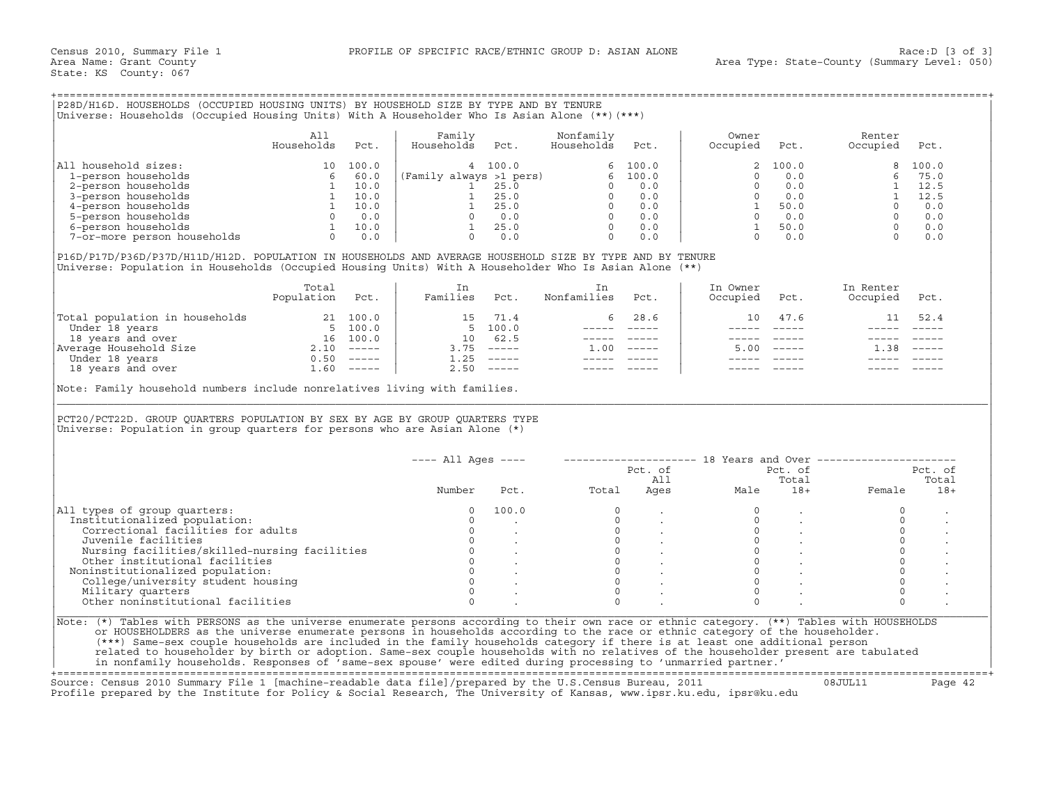## +===================================================================================================================================================+

|                             | Al]<br>Households | Pct.  | Family<br>Households    | Pct.    | Nonfamily<br>Households | Pct.    | Owner<br>Occupied | Pct.  | Renter<br>Occupied | Pct.    |
|-----------------------------|-------------------|-------|-------------------------|---------|-------------------------|---------|-------------------|-------|--------------------|---------|
| household sizes:<br>All     | 10                | 100.0 |                         | 4 100.0 |                         | 6 100.0 |                   | 100.0 |                    | 8 100.0 |
| 1-person households         |                   | 60.0  | (Family always >1 pers) |         | 6                       | 100.0   |                   | 0.0   |                    | 75.0    |
| 2-person households         |                   | 10.0  |                         | 25.0    |                         | 0.0     |                   | 0.0   |                    | 12.5    |
| 3-person households         |                   | 10.0  |                         | 25.0    |                         | 0.0     |                   | 0.0   |                    | 12.5    |
| 4-person households         |                   | 10.0  |                         | 25.0    |                         | 0.0     |                   | 50.0  |                    | 0.0     |
| 5-person households         |                   | 0.0   |                         | 0.0     |                         | 0.0     |                   | 0.0   |                    | 0.0     |
| 6-person households         |                   | 10.0  |                         | 25.0    |                         | 0.0     |                   | 50.0  |                    | 0.0     |
| 7-or-more person households |                   | 0.0   |                         | 0.0     |                         | 0.0     |                   | 0.0   |                    | 0.0     |

|                                | Total<br>Population | Pct.     | Families  | Pct.                      | Nonfamilies | Pct.        | In Owner<br>Occupied | Pct. | In Renter<br>Occupied | Pct.     |
|--------------------------------|---------------------|----------|-----------|---------------------------|-------------|-------------|----------------------|------|-----------------------|----------|
| Total population in households | 21                  | 100.0    | 15        | 71.4                      | 6.          | 28.6        | 10                   | 47.6 |                       | 52.4     |
| Under 18 years                 | 5.                  | 100.0    |           | 5, 100.0                  |             |             |                      |      |                       |          |
| 18 years and over              | 16                  | 100.0    | 10        | 62.5                      |             |             |                      |      |                       |          |
| Average Household Size         | 2.10                | $------$ | 3.75      | $------$                  | .00         | $- - - - -$ | 5.00                 |      | 1.38                  | $------$ |
| Under 18 years                 | 0.50                | $------$ | $\pm$ .25 | $\qquad \qquad - - - - -$ |             |             |                      |      |                       |          |
| 18 years and over              | 60                  | $------$ | 2.50      | $\qquad \qquad - - - - -$ |             |             |                      |      |                       |          |

|                                                                                                                                                                                                                                                                                                                                |                                                                                                                                                                                                                                                                                                                                                                                                                       |      | Universe: Households (Occupied Housing Units) With A Householder Who Is Asian Alone (**) (***)                                                    |                                                          |                                                                            |                                                                                                           |                     |                                                                                                                                                                                                                                                                                                                                                                                              |                                                                    |         |
|--------------------------------------------------------------------------------------------------------------------------------------------------------------------------------------------------------------------------------------------------------------------------------------------------------------------------------|-----------------------------------------------------------------------------------------------------------------------------------------------------------------------------------------------------------------------------------------------------------------------------------------------------------------------------------------------------------------------------------------------------------------------|------|---------------------------------------------------------------------------------------------------------------------------------------------------|----------------------------------------------------------|----------------------------------------------------------------------------|-----------------------------------------------------------------------------------------------------------|---------------------|----------------------------------------------------------------------------------------------------------------------------------------------------------------------------------------------------------------------------------------------------------------------------------------------------------------------------------------------------------------------------------------------|--------------------------------------------------------------------|---------|
|                                                                                                                                                                                                                                                                                                                                | All<br>Households                                                                                                                                                                                                                                                                                                                                                                                                     | Pct. | Family<br>Households                                                                                                                              | Pct.                                                     | Nonfamily<br>Households                                                    | Pct.                                                                                                      | Owner<br>Occupied   | Pct.                                                                                                                                                                                                                                                                                                                                                                                         | Renter<br>Occupied                                                 | Pct.    |
| All household sizes:                                                                                                                                                                                                                                                                                                           | $\begin{array}{c c} 10 & 100.0 \\ 6 & 60.0 \\ 1 & 10.0 \\ 1 & 10.0 \\ 1 & 10.0 \\ 0 & 0.0 \\ 1 & 10.0 \\ \end{array} \quad \  \  \left  \begin{array}{c} \text{Fan} \\ \text{Fan} \\ \text{Fan} \\ \text{Fan} \\ \text{Fan} \\ \text{Fan} \\ \text{Fan} \\ \text{Fan} \\ \text{Fan} \\ \text{Fan} \\ \text{Fan} \\ \text{Fan} \\ \text{Fan} \\ \text{Fan} \\ \text{Fan} \\ \text{Fan} \\ \text{Fan} \\ \text{Fan} \\$ |      |                                                                                                                                                   | 4 100.0                                                  |                                                                            | 6, 100.0                                                                                                  |                     | 100.0                                                                                                                                                                                                                                                                                                                                                                                        | 8                                                                  | 100.0   |
| 1-person households                                                                                                                                                                                                                                                                                                            |                                                                                                                                                                                                                                                                                                                                                                                                                       |      |                                                                                                                                                   |                                                          |                                                                            |                                                                                                           | $\Omega$            | 0.0                                                                                                                                                                                                                                                                                                                                                                                          | 6                                                                  | 75.0    |
| 2-person households                                                                                                                                                                                                                                                                                                            |                                                                                                                                                                                                                                                                                                                                                                                                                       |      |                                                                                                                                                   |                                                          |                                                                            |                                                                                                           | $\Omega$            | 0.0                                                                                                                                                                                                                                                                                                                                                                                          |                                                                    | 12.5    |
| 3-person households                                                                                                                                                                                                                                                                                                            |                                                                                                                                                                                                                                                                                                                                                                                                                       |      |                                                                                                                                                   |                                                          |                                                                            |                                                                                                           |                     | $0 \qquad 0.0$                                                                                                                                                                                                                                                                                                                                                                               |                                                                    | 12.5    |
| 4-person households                                                                                                                                                                                                                                                                                                            |                                                                                                                                                                                                                                                                                                                                                                                                                       |      |                                                                                                                                                   |                                                          |                                                                            |                                                                                                           |                     | 1 50.0                                                                                                                                                                                                                                                                                                                                                                                       |                                                                    | 0.0     |
| 5-person households                                                                                                                                                                                                                                                                                                            |                                                                                                                                                                                                                                                                                                                                                                                                                       |      |                                                                                                                                                   |                                                          |                                                                            |                                                                                                           |                     | $0 \qquad 0.0$                                                                                                                                                                                                                                                                                                                                                                               |                                                                    | 0.0     |
|                                                                                                                                                                                                                                                                                                                                |                                                                                                                                                                                                                                                                                                                                                                                                                       |      |                                                                                                                                                   |                                                          |                                                                            |                                                                                                           |                     | 1 50.0                                                                                                                                                                                                                                                                                                                                                                                       |                                                                    | 0.0     |
| 6-person households<br>7-or-more person households<br>0 0.0                                                                                                                                                                                                                                                                    |                                                                                                                                                                                                                                                                                                                                                                                                                       |      | (Family always >1 pers)<br>1 25.0<br>1 25.0<br>1 25.0<br>0 0.0<br>1 25.0<br>0 0.0<br>1 25.0<br>0 0.0<br>0 0.0<br>0 0.0<br>0 0.0<br>0 0.0<br>0 0.0 |                                                          |                                                                            |                                                                                                           |                     | $0 \t 0.0$                                                                                                                                                                                                                                                                                                                                                                                   | $\begin{bmatrix} 1 & 1 \\ 1 & 1 \\ 0 \\ 0 \\ 0 \\ 0 \end{bmatrix}$ | 0.0     |
| P16D/P17D/P36D/P37D/H11D/H12D. POPULATION IN HOUSEHOLDS AND AVERAGE HOUSEHOLD SIZE BY TYPE AND BY TENURE<br>Universe: Population in Households (Occupied Housing Units) With A Householder Who Is Asian Alone (**)                                                                                                             |                                                                                                                                                                                                                                                                                                                                                                                                                       |      |                                                                                                                                                   |                                                          |                                                                            |                                                                                                           |                     |                                                                                                                                                                                                                                                                                                                                                                                              |                                                                    |         |
|                                                                                                                                                                                                                                                                                                                                | Total                                                                                                                                                                                                                                                                                                                                                                                                                 |      | In                                                                                                                                                |                                                          | In                                                                         |                                                                                                           | In Owner            |                                                                                                                                                                                                                                                                                                                                                                                              | In Renter                                                          |         |
|                                                                                                                                                                                                                                                                                                                                | Population Pct.                                                                                                                                                                                                                                                                                                                                                                                                       |      | Families Pct.                                                                                                                                     |                                                          | Nonfamilies                                                                | Pct.                                                                                                      | Occupied            | Pct.                                                                                                                                                                                                                                                                                                                                                                                         | Occupied                                                           | Pct.    |
| $\begin{tabular}{ l l } \hline \texttt{Total population in households} & 21 100.0 \\ \hline \texttt{Under 18 years} & 5 100.0 \\ \texttt{18 years and over} & 16 100.0 \\ \texttt{Average Household Size} & 2.10  \\\hline \texttt{Under 18 years} & 0.50  \\\hline \texttt{18 years and over} & 1.60  \\\hline \end{tabular}$ |                                                                                                                                                                                                                                                                                                                                                                                                                       |      |                                                                                                                                                   | 15 71.4                                                  | 6                                                                          | 28.6                                                                                                      |                     | 10 47.6                                                                                                                                                                                                                                                                                                                                                                                      | 11                                                                 | 52.4    |
|                                                                                                                                                                                                                                                                                                                                |                                                                                                                                                                                                                                                                                                                                                                                                                       |      |                                                                                                                                                   | 5 100.0                                                  |                                                                            | ----- ----- <b>-</b>                                                                                      |                     | $\frac{1}{2} \frac{1}{2} \frac{1}{2} \frac{1}{2} \frac{1}{2} \frac{1}{2} \frac{1}{2} \frac{1}{2} \frac{1}{2} \frac{1}{2} \frac{1}{2} \frac{1}{2} \frac{1}{2} \frac{1}{2} \frac{1}{2} \frac{1}{2} \frac{1}{2} \frac{1}{2} \frac{1}{2} \frac{1}{2} \frac{1}{2} \frac{1}{2} \frac{1}{2} \frac{1}{2} \frac{1}{2} \frac{1}{2} \frac{1}{2} \frac{1}{2} \frac{1}{2} \frac{1}{2} \frac{1}{2} \frac{$ |                                                                    |         |
|                                                                                                                                                                                                                                                                                                                                |                                                                                                                                                                                                                                                                                                                                                                                                                       |      | 10 62.5                                                                                                                                           |                                                          |                                                                            | ----- -----                                                                                               |                     |                                                                                                                                                                                                                                                                                                                                                                                              |                                                                    |         |
|                                                                                                                                                                                                                                                                                                                                |                                                                                                                                                                                                                                                                                                                                                                                                                       |      |                                                                                                                                                   | $3.75$ $---$                                             | $1.00$ -----                                                               |                                                                                                           |                     | $5.00$ -----                                                                                                                                                                                                                                                                                                                                                                                 | $1.38$ -----                                                       |         |
|                                                                                                                                                                                                                                                                                                                                |                                                                                                                                                                                                                                                                                                                                                                                                                       |      |                                                                                                                                                   | $1.25$ -----                                             |                                                                            | $\begin{array}{cccccc} - & - & - & - & - & - & - \\ & - & - & - & - & - \\ & & - & - & - & - \end{array}$ |                     |                                                                                                                                                                                                                                                                                                                                                                                              |                                                                    |         |
|                                                                                                                                                                                                                                                                                                                                |                                                                                                                                                                                                                                                                                                                                                                                                                       |      |                                                                                                                                                   | $2.50$ -----                                             | $------$                                                                   |                                                                                                           |                     |                                                                                                                                                                                                                                                                                                                                                                                              |                                                                    |         |
| Note: Family household numbers include nonrelatives living with families.                                                                                                                                                                                                                                                      |                                                                                                                                                                                                                                                                                                                                                                                                                       |      |                                                                                                                                                   |                                                          |                                                                            |                                                                                                           |                     |                                                                                                                                                                                                                                                                                                                                                                                              |                                                                    |         |
|                                                                                                                                                                                                                                                                                                                                |                                                                                                                                                                                                                                                                                                                                                                                                                       |      |                                                                                                                                                   |                                                          |                                                                            |                                                                                                           |                     |                                                                                                                                                                                                                                                                                                                                                                                              |                                                                    |         |
|                                                                                                                                                                                                                                                                                                                                |                                                                                                                                                                                                                                                                                                                                                                                                                       |      | $---$ All Ages $---$                                                                                                                              |                                                          |                                                                            |                                                                                                           |                     |                                                                                                                                                                                                                                                                                                                                                                                              | -------------------- 18 Years and Over ----------------------      |         |
|                                                                                                                                                                                                                                                                                                                                |                                                                                                                                                                                                                                                                                                                                                                                                                       |      |                                                                                                                                                   |                                                          |                                                                            | Pct. of                                                                                                   |                     | Pct. of                                                                                                                                                                                                                                                                                                                                                                                      |                                                                    | Pct. of |
|                                                                                                                                                                                                                                                                                                                                |                                                                                                                                                                                                                                                                                                                                                                                                                       |      |                                                                                                                                                   |                                                          |                                                                            |                                                                                                           |                     | Total                                                                                                                                                                                                                                                                                                                                                                                        |                                                                    | Total   |
|                                                                                                                                                                                                                                                                                                                                |                                                                                                                                                                                                                                                                                                                                                                                                                       |      | Number                                                                                                                                            | Pct.                                                     | Total                                                                      |                                                                                                           | All<br>Ages<br>Male | $18+$                                                                                                                                                                                                                                                                                                                                                                                        | Female                                                             | $18+$   |
|                                                                                                                                                                                                                                                                                                                                |                                                                                                                                                                                                                                                                                                                                                                                                                       |      | $\circ$                                                                                                                                           | 100.0                                                    | $\circ$                                                                    |                                                                                                           | $\mathbf 0$         |                                                                                                                                                                                                                                                                                                                                                                                              | $\circ$                                                            |         |
|                                                                                                                                                                                                                                                                                                                                |                                                                                                                                                                                                                                                                                                                                                                                                                       |      | $\Omega$                                                                                                                                          |                                                          |                                                                            |                                                                                                           | $\Omega$            |                                                                                                                                                                                                                                                                                                                                                                                              | $\Omega$                                                           |         |
| Correctional facilities for adults                                                                                                                                                                                                                                                                                             |                                                                                                                                                                                                                                                                                                                                                                                                                       |      | $\circ$                                                                                                                                           |                                                          |                                                                            |                                                                                                           | $\circ$             |                                                                                                                                                                                                                                                                                                                                                                                              | $\circ$                                                            |         |
| Juvenile facilities                                                                                                                                                                                                                                                                                                            |                                                                                                                                                                                                                                                                                                                                                                                                                       |      |                                                                                                                                                   | $0 \qquad \qquad$                                        |                                                                            |                                                                                                           |                     | $\overline{0}$ and $\overline{0}$<br>$\sim$                                                                                                                                                                                                                                                                                                                                                  | $\circ$                                                            |         |
| Nursing facilities/skilled-nursing facilities                                                                                                                                                                                                                                                                                  |                                                                                                                                                                                                                                                                                                                                                                                                                       |      | $\circ$                                                                                                                                           |                                                          |                                                                            |                                                                                                           | $\Omega$            |                                                                                                                                                                                                                                                                                                                                                                                              | $\circ$                                                            |         |
| Other institutional facilities                                                                                                                                                                                                                                                                                                 |                                                                                                                                                                                                                                                                                                                                                                                                                       |      |                                                                                                                                                   |                                                          |                                                                            |                                                                                                           | $\circ$             |                                                                                                                                                                                                                                                                                                                                                                                              | $\circ$                                                            |         |
|                                                                                                                                                                                                                                                                                                                                |                                                                                                                                                                                                                                                                                                                                                                                                                       |      |                                                                                                                                                   | $\begin{matrix} 0 & & \cdot \\ 0 & & \cdot \end{matrix}$ | $\begin{bmatrix} 0 \\ 0 \\ 0 \\ 0 \\ 0 \\ 0 \\ 0 \end{bmatrix}$<br>$\circ$ |                                                                                                           | $\Omega$            |                                                                                                                                                                                                                                                                                                                                                                                              | $\mathsf{O}\xspace$                                                |         |
| College/university student housing                                                                                                                                                                                                                                                                                             |                                                                                                                                                                                                                                                                                                                                                                                                                       |      | $\Omega$                                                                                                                                          |                                                          | $\Omega$                                                                   |                                                                                                           | $\Omega$            |                                                                                                                                                                                                                                                                                                                                                                                              | $\Omega$                                                           |         |
| Institutionalized population:<br>Noninstitutionalized population:<br>Military quarters                                                                                                                                                                                                                                         |                                                                                                                                                                                                                                                                                                                                                                                                                       |      | $\Omega$                                                                                                                                          |                                                          | $\Omega$                                                                   |                                                                                                           | $\Omega$            |                                                                                                                                                                                                                                                                                                                                                                                              | $\circ$                                                            |         |
| PCT20/PCT22D. GROUP QUARTERS POPULATION BY SEX BY AGE BY GROUP QUARTERS TYPE<br>Universe: Population in group quarters for persons who are Asian Alone $(*)$<br>All types of group quarters:<br>Other noninstitutional facilities                                                                                              |                                                                                                                                                                                                                                                                                                                                                                                                                       |      | $\Omega$                                                                                                                                          |                                                          | $\cap$                                                                     |                                                                                                           | $\Omega$            |                                                                                                                                                                                                                                                                                                                                                                                              | $\Omega$                                                           |         |
|                                                                                                                                                                                                                                                                                                                                |                                                                                                                                                                                                                                                                                                                                                                                                                       |      |                                                                                                                                                   |                                                          |                                                                            |                                                                                                           |                     |                                                                                                                                                                                                                                                                                                                                                                                              |                                                                    |         |
| Note: (*) Tables with PERSONS as the universe enumerate persons according to their own race or ethnic category. (**) Tables with HOUSEHOLDS                                                                                                                                                                                    |                                                                                                                                                                                                                                                                                                                                                                                                                       |      |                                                                                                                                                   |                                                          |                                                                            |                                                                                                           |                     |                                                                                                                                                                                                                                                                                                                                                                                              |                                                                    |         |
| or HOUSEHOLDERS as the universe enumerate persons in households according to the race or ethnic category of the householder.                                                                                                                                                                                                   |                                                                                                                                                                                                                                                                                                                                                                                                                       |      |                                                                                                                                                   |                                                          |                                                                            |                                                                                                           |                     |                                                                                                                                                                                                                                                                                                                                                                                              |                                                                    |         |
| (***) Same-sex couple households are included in the family households category if there is at least one additional person<br>related to householder by birth or adoption. Same-sex couple households with no relatives of the householder present are tabulated                                                               |                                                                                                                                                                                                                                                                                                                                                                                                                       |      |                                                                                                                                                   |                                                          |                                                                            |                                                                                                           |                     |                                                                                                                                                                                                                                                                                                                                                                                              |                                                                    |         |

+===================================================================================================================================================+ Source: Census 2010 Summary File 1 [machine−readable data file]/prepared by the U.S.Census Bureau, 2011 08JUL11 Page 42

Profile prepared by the Institute for Policy & Social Research, The University of Kansas, www.ipsr.ku.edu, ipsr@ku.edu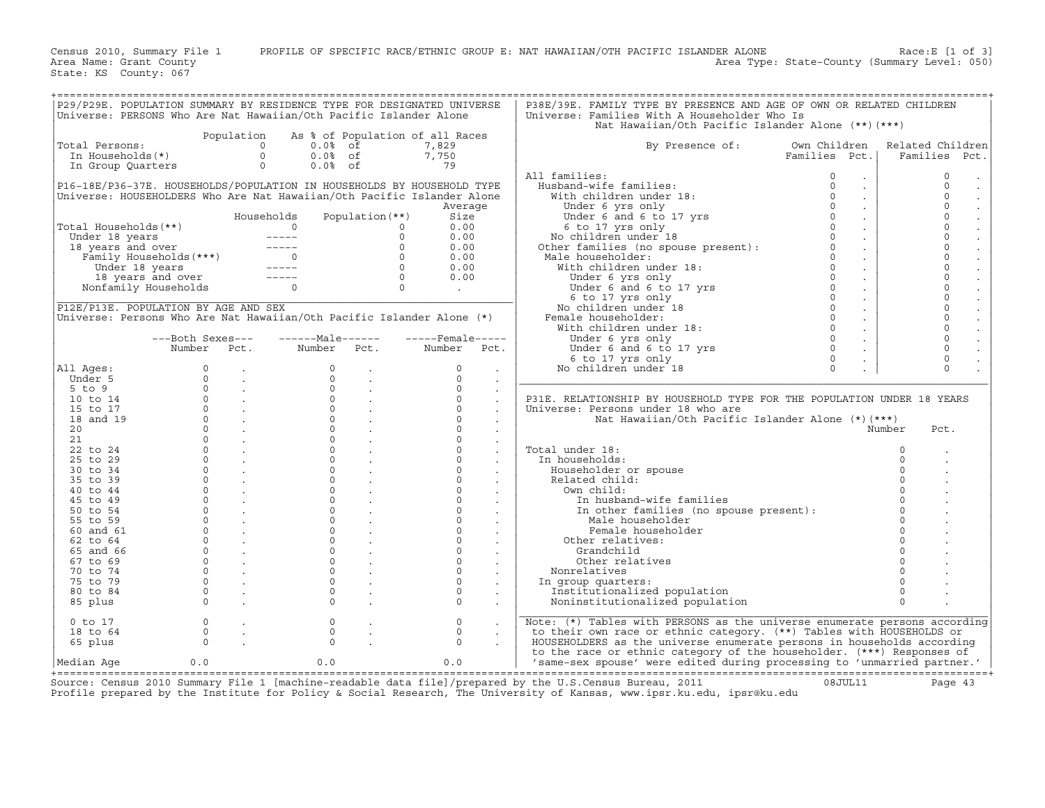Census 2010, Summary File 1 PROFILE OF SPECIFIC RACE/ETHNIC GROUP E: NAT HAWAIIAN/OTH PACIFIC ISLANDER ALONE Race:E [1 of 3]<br>Area Name: Grant County Level: 050) Area Type: State-County (Summary Level: 050) Area Type: State-County (Summary Level: 050)

State: KS County: 067

| P29/P29E. POPULATION SUMMARY BY RESIDENCE TYPE FOR DESIGNATED UNIVERSE |                                           |                             |                                                                                                                                                                              |                                 |                   |                      | P38E/39E. FAMILY TYPE BY PRESENCE AND AGE OF OWN OR RELATED CHILDREN                                                                                                                                                                    |               |                             |          |                     |                      |
|------------------------------------------------------------------------|-------------------------------------------|-----------------------------|------------------------------------------------------------------------------------------------------------------------------------------------------------------------------|---------------------------------|-------------------|----------------------|-----------------------------------------------------------------------------------------------------------------------------------------------------------------------------------------------------------------------------------------|---------------|-----------------------------|----------|---------------------|----------------------|
|                                                                        |                                           |                             |                                                                                                                                                                              |                                 |                   |                      |                                                                                                                                                                                                                                         |               |                             |          |                     |                      |
| Universe: PERSONS Who Are Nat Hawaiian/Oth Pacific Islander Alone      |                                           |                             |                                                                                                                                                                              |                                 |                   |                      | Universe: Families With A Householder Who Is                                                                                                                                                                                            |               |                             |          |                     |                      |
|                                                                        |                                           |                             |                                                                                                                                                                              |                                 |                   |                      | Nat Hawaiian/Oth Pacific Islander Alone (**) (***)                                                                                                                                                                                      |               |                             |          |                     |                      |
|                                                                        |                                           | Population                  |                                                                                                                                                                              | As % of Population of all Races |                   |                      |                                                                                                                                                                                                                                         |               |                             |          |                     |                      |
| Total Persons:                                                         |                                           |                             | $\Omega$<br>$0.0%$ of                                                                                                                                                        |                                 | 7,829             |                      | By Presence of:                                                                                                                                                                                                                         | Own Children  |                             |          | Related Children    |                      |
|                                                                        |                                           |                             | $0.0%$ of                                                                                                                                                                    |                                 | 7,750             |                      |                                                                                                                                                                                                                                         | Families Pct. |                             |          | Families Pct.       |                      |
|                                                                        |                                           |                             |                                                                                                                                                                              |                                 |                   |                      |                                                                                                                                                                                                                                         |               |                             |          |                     |                      |
|                                                                        |                                           |                             | $0.0%$ of                                                                                                                                                                    |                                 | 79                |                      |                                                                                                                                                                                                                                         |               |                             |          |                     |                      |
|                                                                        |                                           |                             |                                                                                                                                                                              |                                 |                   |                      | All families:                                                                                                                                                                                                                           | $\circ$       | $\sim$                      |          | $\mathbf 0$         |                      |
| P16-18E/P36-37E. HOUSEHOLDS/POPULATION IN HOUSEHOLDS BY HOUSEHOLD TYPE |                                           |                             |                                                                                                                                                                              |                                 |                   |                      |                                                                                                                                                                                                                                         | $\Omega$      | $\mathcal{L}^{\mathcal{L}}$ |          | $\Omega$            |                      |
| Universe: HOUSEHOLDERS Who Are Nat Hawaiian/Oth Pacific Islander Alone |                                           |                             |                                                                                                                                                                              |                                 |                   |                      |                                                                                                                                                                                                                                         | $\Omega$      | $\mathcal{L}^{\mathcal{L}}$ |          | $\Omega$            | $\Box$               |
|                                                                        |                                           |                             |                                                                                                                                                                              |                                 | Average           |                      |                                                                                                                                                                                                                                         | $\Omega$      | $\mathcal{L}^{\pm}$         |          | $\circ$             |                      |
|                                                                        |                                           |                             |                                                                                                                                                                              |                                 |                   |                      |                                                                                                                                                                                                                                         | $\Omega$      |                             |          |                     | $\ddot{\phantom{a}}$ |
|                                                                        |                                           |                             | Households                                                                                                                                                                   | Population $(**)$               | Size              |                      |                                                                                                                                                                                                                                         |               | $\mathcal{L}^{\pm}$         |          | $\circ$             |                      |
| Total Households(**)                                                   |                                           |                             | $\Omega$                                                                                                                                                                     | $\circ$                         | 0.00              |                      |                                                                                                                                                                                                                                         | $\circ$       | $\sim$                      |          | $\overline{0}$      | $\ddot{\phantom{a}}$ |
|                                                                        |                                           |                             |                                                                                                                                                                              | $\Omega$                        | 0.00              |                      |                                                                                                                                                                                                                                         | $\Omega$      | $\sim$                      |          | $\mathbf 0$         | $\ddot{\phantom{a}}$ |
|                                                                        |                                           |                             |                                                                                                                                                                              | $\Omega$                        | 0.00              |                      | In Idmittes:<br>Husband-wife families:<br>With children under 18:<br>Under 6 yrs only<br>Under 6 and 6 to 17 yrs<br>6 to 17 yrs<br>6 to 17 yrs only<br>No children under 18<br>Other families (no spouse present):<br>Mala boucabalder: | $\Omega$      | $\sim$                      |          | $\Omega$            | $\mathbb{Z}^2$       |
|                                                                        |                                           |                             |                                                                                                                                                                              | $\Omega$                        | 0.00              |                      | Male householder:                                                                                                                                                                                                                       | $\Omega$      |                             |          | $\circ$             |                      |
|                                                                        |                                           |                             | otal Households (**)<br>Under 18 years<br>18 years and over<br>18 years and over<br>Tamily Households (***)<br>0<br>Under 18 years<br>18 years and over<br>19 years and over |                                 |                   |                      |                                                                                                                                                                                                                                         | $\Omega$      | $\sim$                      |          | $\mathbf 0$         | $\ddot{\phantom{a}}$ |
|                                                                        |                                           |                             |                                                                                                                                                                              | $\Omega$                        | 0.00              |                      | With children under 18:                                                                                                                                                                                                                 |               | $\sim$                      |          |                     | $\mathcal{L}$        |
|                                                                        |                                           |                             |                                                                                                                                                                              | $\Omega$                        | 0.00              |                      |                                                                                                                                                                                                                                         | $\Omega$      | $\sim$                      |          | $\mathbf 0$         |                      |
|                                                                        | 18 years and over<br>Nonfamily Households |                             | $\Omega$                                                                                                                                                                     | $\overline{0}$                  | $\sim 10^{-10}$   |                      |                                                                                                                                                                                                                                         | $\circ$       | $\sim$                      |          | $\mathbf 0$         | $\ddot{\phantom{a}}$ |
|                                                                        |                                           |                             |                                                                                                                                                                              |                                 |                   |                      |                                                                                                                                                                                                                                         | $\Omega$      | $\sim$                      |          | $\Omega$            | $\mathcal{L}$        |
| P12E/P13E. POPULATION BY AGE AND SEX                                   |                                           |                             |                                                                                                                                                                              |                                 |                   |                      | Under 6 yrs only<br>Under 6 and 6 to 17 yrs<br>6 to 17 yrs only<br>lo children under 18<br>aale householder:<br>Vith children under 18:<br>No children under 18                                                                         | $\Omega$      | $\mathbb{Z}^{\mathbb{Z}}$   |          | $\mathsf{O}\xspace$ |                      |
|                                                                        |                                           |                             |                                                                                                                                                                              |                                 |                   |                      |                                                                                                                                                                                                                                         | $\Omega$      |                             |          | $\mathbf 0$         |                      |
| Universe: Persons Who Are Nat Hawaiian/Oth Pacific Islander Alone (*)  |                                           |                             |                                                                                                                                                                              |                                 |                   |                      | Female householder:                                                                                                                                                                                                                     |               | $\sim$                      |          |                     |                      |
|                                                                        |                                           |                             |                                                                                                                                                                              |                                 |                   |                      | With children under 18:                                                                                                                                                                                                                 | $\Omega$      | $\sim$                      |          | $\mathbf 0$         |                      |
|                                                                        | ---Both Sexes---                          |                             | $---Maxe---$                                                                                                                                                                 |                                 | $---$ Female----- |                      | Under 6 yrs only                                                                                                                                                                                                                        | $\Omega$      | $\mathcal{L}^{\pm}$         |          | $\mathsf{O}\xspace$ |                      |
|                                                                        | Number Pct.                               |                             | Number Pct.                                                                                                                                                                  |                                 | Number Pct.       |                      | Under $\frac{1}{2}$ and $\frac{1}{6}$ to 17 yrs                                                                                                                                                                                         | $\circ$       | $\sim$                      |          | $\mathbf 0$         |                      |
|                                                                        |                                           |                             |                                                                                                                                                                              |                                 |                   |                      | 6 to 17 yrs only                                                                                                                                                                                                                        | $\Omega$      |                             |          | $\circ$             |                      |
|                                                                        | $\Omega$                                  |                             | $\Omega$                                                                                                                                                                     |                                 | $\mathbf 0$       |                      | No children under 18                                                                                                                                                                                                                    | $\Omega$      |                             |          | $\Omega$            |                      |
| All Ages:                                                              |                                           | $\sim 100$                  |                                                                                                                                                                              | $\sim$                          |                   | $\bullet$            |                                                                                                                                                                                                                                         |               |                             |          |                     |                      |
| Under 5                                                                | $\Omega$                                  | <b>Contract</b>             | $\Omega$                                                                                                                                                                     | $\sim 100$                      | $\Omega$          | $\sim$               |                                                                                                                                                                                                                                         |               |                             |          |                     |                      |
| $5$ to $9$                                                             | $\Omega$                                  | $\sim 100$ km s $^{-1}$     | $\Omega$                                                                                                                                                                     | $\sim$                          | $\Omega$          |                      |                                                                                                                                                                                                                                         |               |                             |          |                     |                      |
| 10 to 14                                                               |                                           | $\overline{0}$ .            | $\circ$                                                                                                                                                                      | $\sim 10$                       | $\mathsf{O}$      | $\Box$               | P31E. RELATIONSHIP BY HOUSEHOLD TYPE FOR THE POPULATION UNDER 18 YEARS                                                                                                                                                                  |               |                             |          |                     |                      |
| 15 to 17                                                               |                                           | $\overline{0}$ .            | $\circ$                                                                                                                                                                      | $\mathbb{R}^2$                  | $\circ$           |                      | Universe: Persons under 18 who are                                                                                                                                                                                                      |               |                             |          |                     |                      |
| 18 and 19                                                              | $\Omega$                                  | $\sim 100$ km s $^{-1}$     | $\Omega$                                                                                                                                                                     |                                 | $\Omega$          | $\sim$               | Nat Hawaiian/Oth Pacific Islander Alone (*) (***)                                                                                                                                                                                       |               |                             |          |                     |                      |
| 20                                                                     | $\mathsf{O}$                              | <b>Contract</b>             | $\circ$                                                                                                                                                                      | $\mathcal{L}$                   | $\circ$           |                      |                                                                                                                                                                                                                                         |               |                             | Number   | Pct.                |                      |
|                                                                        |                                           |                             |                                                                                                                                                                              |                                 |                   | $\bullet$            |                                                                                                                                                                                                                                         |               |                             |          |                     |                      |
| 21                                                                     | $\circ$                                   | $\sim 100$ km $^{-1}$       | $\circ$                                                                                                                                                                      | $\mathcal{L}^{\mathcal{L}}$     | $\circ$           |                      |                                                                                                                                                                                                                                         |               |                             |          |                     |                      |
| 22 to 24                                                               | $\Omega$                                  | $\sim 100$                  | $\Omega$                                                                                                                                                                     | $\mathbb{Z}^2$                  | $\circ$           | $\ddot{\phantom{a}}$ | Total under 18:                                                                                                                                                                                                                         |               |                             | $\Omega$ |                     |                      |
| 25 to 29                                                               | $\Omega$                                  | $\sim$                      | $\Omega$                                                                                                                                                                     |                                 | $\circ$           |                      | In households:                                                                                                                                                                                                                          |               |                             | $\Omega$ |                     |                      |
| 30 to 34                                                               | $\circ$                                   | $\sim 10^{11}$ km s $^{-1}$ | $\circ$                                                                                                                                                                      | $\sim$                          | $\circ$           | $\ddot{\phantom{a}}$ | Householder or spouse                                                                                                                                                                                                                   |               |                             | $\Omega$ |                     |                      |
| 35 to 39                                                               | $\circ$                                   | $\sim 100$                  | $\circ$                                                                                                                                                                      | $\sim$                          | $\circ$           |                      | Related child:                                                                                                                                                                                                                          |               |                             |          |                     |                      |
|                                                                        | $\Omega$                                  |                             | $\Omega$                                                                                                                                                                     |                                 |                   | $\blacksquare$       |                                                                                                                                                                                                                                         |               |                             |          |                     |                      |
| 40 to 44                                                               |                                           | $\sim 100$ km s $^{-1}$     |                                                                                                                                                                              | $\mathcal{L}$                   | $\mathbf{0}$      |                      | Own child:                                                                                                                                                                                                                              |               |                             |          |                     |                      |
| 45 to 49                                                               | $\circ$                                   | $\sim 100$ km s $^{-1}$     | $\circ$                                                                                                                                                                      | $\mathcal{L}$                   | $\circ$           |                      | In husband-wife families                                                                                                                                                                                                                |               |                             | $\Omega$ |                     |                      |
| 50 to 54                                                               | $\Omega$                                  | $\sim 100$ km s $^{-1}$     | $\Omega$                                                                                                                                                                     | $\sim$                          | $\circ$           |                      | In other families (no spouse present):                                                                                                                                                                                                  |               |                             |          |                     |                      |
| 55 to 59                                                               | $\Omega$                                  | $\sim 10^{-11}$             | $\Omega$                                                                                                                                                                     | $\sim$                          | $\circ$           |                      | Male householder                                                                                                                                                                                                                        |               |                             |          |                     |                      |
| 60 and 61                                                              | $\circ$                                   | $\sim 100$ km s $^{-1}$     | $\circ$                                                                                                                                                                      | $\mathcal{L}$                   | $\circ$           | $\sim$               | Female householder                                                                                                                                                                                                                      |               |                             | $\Omega$ |                     |                      |
|                                                                        | $\circ$                                   |                             | $\circ$                                                                                                                                                                      |                                 | $\circ$           |                      |                                                                                                                                                                                                                                         |               |                             | $\Omega$ |                     |                      |
| 62 to 64                                                               |                                           | $\ddot{\phantom{0}}$        |                                                                                                                                                                              | $\sim$                          |                   |                      | Other relatives:                                                                                                                                                                                                                        |               |                             |          |                     |                      |
| 65 and 66                                                              | $\Omega$                                  | $\sim 100$                  | $\Omega$                                                                                                                                                                     | $\sim$                          | $\Omega$          |                      | Grandchild                                                                                                                                                                                                                              |               |                             | $\Omega$ |                     |                      |
| 67 to 69                                                               | $\mathsf{O}$                              | <b>Contract</b>             | $\circ$                                                                                                                                                                      | $\sim$                          | $\circ$           |                      | Other relatives                                                                                                                                                                                                                         |               |                             |          |                     |                      |
| 70 to 74                                                               | $\Omega$                                  | $\sim 10^{11}$ km s $^{-1}$ | $\circ$                                                                                                                                                                      | $\sim$                          | $\circ$           | $\ddot{\phantom{a}}$ | Nonrelatives                                                                                                                                                                                                                            |               |                             |          |                     |                      |
| 75 to 79                                                               | $\circ$                                   | $\sim 10$                   | $\circ$                                                                                                                                                                      | $\sim$                          | $\circ$           | $\sim$               | In group quarters:                                                                                                                                                                                                                      |               |                             | $\Omega$ |                     |                      |
| 80 to 84                                                               | $\Omega$                                  |                             | $\Omega$                                                                                                                                                                     |                                 | $\Omega$          |                      |                                                                                                                                                                                                                                         |               |                             | $\Omega$ |                     |                      |
|                                                                        |                                           | $\frac{1}{2}$               |                                                                                                                                                                              | $\ddot{\cdot}$                  |                   |                      | Institutionalized population                                                                                                                                                                                                            |               |                             |          |                     |                      |
| 85 plus                                                                | $\Omega$                                  |                             | $\Omega$                                                                                                                                                                     |                                 | $\Omega$          |                      | Noninstitutionalized population                                                                                                                                                                                                         |               |                             | $\Omega$ |                     |                      |
|                                                                        |                                           |                             |                                                                                                                                                                              |                                 |                   |                      |                                                                                                                                                                                                                                         |               |                             |          |                     |                      |
| $0$ to $17$                                                            | $\circ$                                   | $\sim 10$                   | $\circ$                                                                                                                                                                      |                                 | $\circ$           |                      | Note: (*) Tables with PERSONS as the universe enumerate persons according                                                                                                                                                               |               |                             |          |                     |                      |
| 18 to 64                                                               | $\circ$                                   | $\mathcal{L}$               | $\circ$                                                                                                                                                                      | $\mathbb{Z}^2$                  | $\circ$           | $\sim$               | to their own race or ethnic category. (**) Tables with HOUSEHOLDS or                                                                                                                                                                    |               |                             |          |                     |                      |
| 65 plus                                                                | $\Omega$                                  |                             | $\Omega$                                                                                                                                                                     |                                 | $\Omega$          |                      | HOUSEHOLDERS as the universe enumerate persons in households according                                                                                                                                                                  |               |                             |          |                     |                      |
|                                                                        |                                           |                             |                                                                                                                                                                              |                                 |                   |                      | to the race or ethnic category of the householder. (***) Responses of                                                                                                                                                                   |               |                             |          |                     |                      |
|                                                                        |                                           |                             |                                                                                                                                                                              |                                 |                   |                      |                                                                                                                                                                                                                                         |               |                             |          |                     |                      |
| Median Aqe                                                             | 0.0                                       |                             | 0.0                                                                                                                                                                          |                                 | 0.0               |                      | 'same-sex spouse' were edited during processing to 'unmarried partner.'                                                                                                                                                                 |               |                             |          |                     |                      |

+===================================================================================================================================================+ Source: Census 2010 Summary File 1 [machine−readable data file]/prepared by the U.S.Census Bureau, 2011 08JUL11 Page 43 Profile prepared by the Institute for Policy & Social Research, The University of Kansas, www.ipsr.ku.edu, ipsr@ku.edu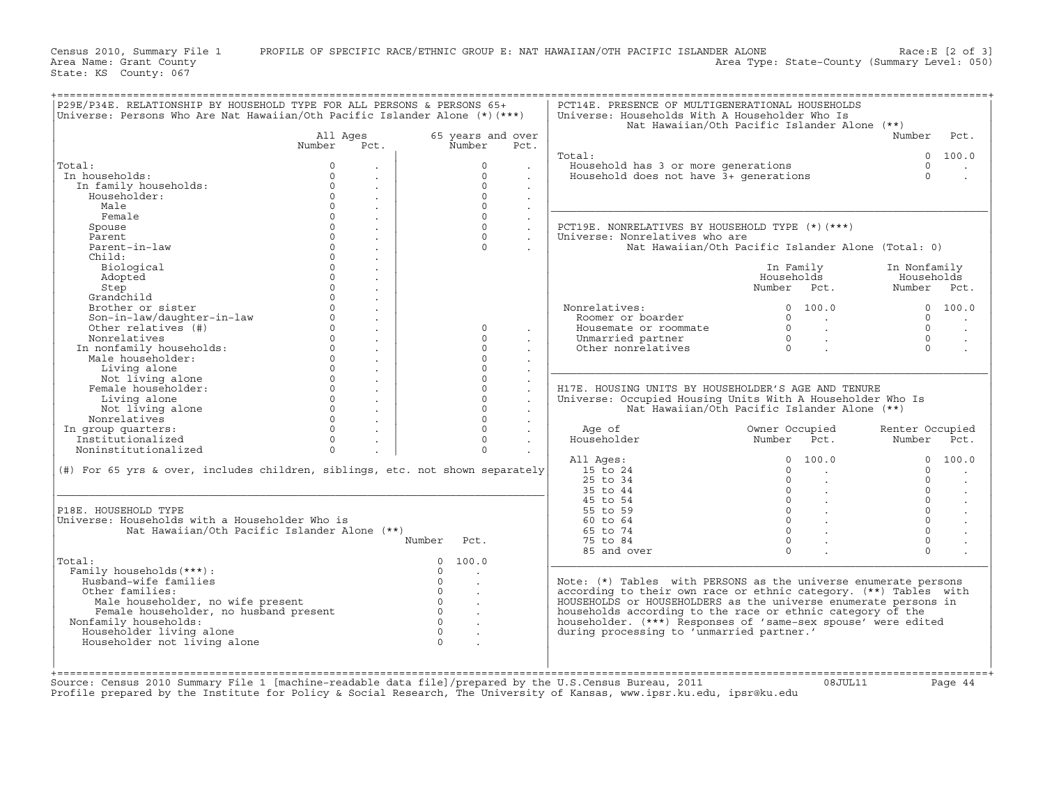Census 2010, Summary File 1 PROFILE OF SPECIFIC RACE/ETHNIC GROUP E: NAT HAWAIIAN/OTH PACIFIC ISLANDER ALONE Race:E [2 of 3]<br>Area Name: Grant County Level: 050) Area Type: State-County (Summary Level: 050) Area Type: State-County (Summary Level: 050)

State: KS County: 067

| Universe: Persons Who Are Nat Hawaiian/Oth Pacific Islander Alone (*)(***)                                                                                                                 |                                        | P29E/P34E. RELATIONSHIP BY HOUSEHOLD TYPE FOR ALL PERSONS & PERSONS 65+ | PCT14E. PRESENCE OF MULTIGENERATIONAL HOUSEHOLDS<br>Universe: Households With A Householder Who Is |                                                                   |                                             |
|--------------------------------------------------------------------------------------------------------------------------------------------------------------------------------------------|----------------------------------------|-------------------------------------------------------------------------|----------------------------------------------------------------------------------------------------|-------------------------------------------------------------------|---------------------------------------------|
|                                                                                                                                                                                            |                                        |                                                                         |                                                                                                    | Nat Hawaiian/Oth Pacific Islander Alone (**)                      |                                             |
|                                                                                                                                                                                            | All Ages                               | 65 years and over                                                       |                                                                                                    |                                                                   | Number<br>Pct.                              |
|                                                                                                                                                                                            | Number<br>Pct.                         | Number<br>Pct.                                                          |                                                                                                    |                                                                   |                                             |
|                                                                                                                                                                                            |                                        |                                                                         | Total:                                                                                             |                                                                   | 0 100.0                                     |
| Total:                                                                                                                                                                                     | $\Omega$<br>$\sim$                     | $\Omega$                                                                | Household has 3 or more generations<br>Household does not have 3+ generations                      |                                                                   | $\Omega$                                    |
| In households:                                                                                                                                                                             | $\Omega$<br>$\ddot{\phantom{0}}$       | $\Omega$                                                                | $\mathbf{r}$                                                                                       |                                                                   | $\Omega$                                    |
| In family households:                                                                                                                                                                      | $\Omega$<br>$\mathcal{L}^{\text{max}}$ | $\Omega$                                                                |                                                                                                    |                                                                   |                                             |
| Householder:                                                                                                                                                                               | $\Omega$<br>$\mathcal{L}^{\text{max}}$ | $\Omega$                                                                |                                                                                                    |                                                                   |                                             |
| Male                                                                                                                                                                                       | $\Omega$<br>$\sim$                     | $\Omega$                                                                |                                                                                                    |                                                                   |                                             |
| Female                                                                                                                                                                                     | $\circ$<br>$\sim$                      | $\circ$                                                                 |                                                                                                    |                                                                   |                                             |
| Spouse                                                                                                                                                                                     | $\Omega$<br>$\sim$                     | $\Omega$                                                                | PCT19E. NONRELATIVES BY HOUSEHOLD TYPE (*) (***)<br>$\sim 10^{-11}$                                |                                                                   |                                             |
| Parent                                                                                                                                                                                     | $\Omega$<br>$\sim$                     | $\Omega$                                                                | Universe: Nonrelatives who are<br>$\mathcal{L}^{\mathcal{L}}$                                      |                                                                   |                                             |
| Parent-in-law                                                                                                                                                                              | $\Omega$<br>$\mathbf{r}$               | $\Omega$                                                                |                                                                                                    | Nat Hawaiian/Oth Pacific Islander Alone (Total: 0)                |                                             |
| Child:                                                                                                                                                                                     | $\cap$                                 |                                                                         |                                                                                                    |                                                                   |                                             |
|                                                                                                                                                                                            | $\sim$<br>$\Omega$                     |                                                                         |                                                                                                    |                                                                   |                                             |
| Biological                                                                                                                                                                                 | $\mathcal{L}^{\pm}$<br>$\Omega$        |                                                                         |                                                                                                    | In Family<br>Households                                           | In Nonfamily                                |
| Adopted                                                                                                                                                                                    | $\mathcal{L}^{\pm}$<br>$\Omega$        |                                                                         |                                                                                                    |                                                                   | Households                                  |
| Step                                                                                                                                                                                       | $\ddot{\phantom{a}}$<br>$\Omega$       |                                                                         |                                                                                                    | Number Pct.                                                       | Number Pct.                                 |
| Grandchild                                                                                                                                                                                 | $\sim$                                 |                                                                         |                                                                                                    |                                                                   |                                             |
| Brother or sister                                                                                                                                                                          | $\Omega$<br>$\mathcal{L}^{\text{max}}$ |                                                                         | Nonrelatives:<br>nrelatives:<br>Roomer or boarder                                                  | 0 100.0                                                           | 0 100.0                                     |
| Son-in-law/daughter-in-law                                                                                                                                                                 | $\Omega$<br>$\sim$                     |                                                                         |                                                                                                    | $\Omega$<br>$\sim$ $\sim$ $\sim$                                  | $\Omega$                                    |
| Other relatives (#)                                                                                                                                                                        | $\Omega$<br>$\sim$                     | $\Omega$                                                                | Housemate or roommate                                                                              | $\Omega$<br>$\mathbb{R}^{\mathbb{Z}}$                             | $\Omega$                                    |
| Nonrelatives                                                                                                                                                                               | $\Omega$<br>$\mathcal{L}^{\text{max}}$ | $\circ$                                                                 | Unmarried partner                                                                                  | $\begin{matrix}0\\0\end{matrix}$                                  | $\Omega$                                    |
| In nonfamily households:                                                                                                                                                                   | $\Omega$<br>$\mathcal{L}^{\text{max}}$ | $\mathsf{O}$                                                            | Other nonrelatives                                                                                 |                                                                   | $\Omega$                                    |
| Male householder:                                                                                                                                                                          | $\circ$<br>$\sim$                      | $\circ$                                                                 |                                                                                                    |                                                                   |                                             |
| Living alone                                                                                                                                                                               | $\circ$<br>$\sim$                      | $\circ$                                                                 | $\sim$                                                                                             |                                                                   |                                             |
| Not living alone                                                                                                                                                                           | $\Omega$<br>$\sim$                     | $\circ$                                                                 |                                                                                                    |                                                                   |                                             |
| Female householder:                                                                                                                                                                        | $\Omega$<br>$\sim$                     | $\mathsf{O}$                                                            | H17E. HOUSING UNITS BY HOUSEHOLDER'S AGE AND TENURE                                                |                                                                   |                                             |
| Living alone                                                                                                                                                                               | $^{\circ}$<br>$\sim$                   | $\circ$                                                                 | Universe: Occupied Housing Units With A Householder Who Is<br>$\sim$                               |                                                                   |                                             |
| Not living alone                                                                                                                                                                           | $\Omega$<br>$\sim$                     | $\mathsf{O}$                                                            |                                                                                                    | Nat Hawaiian/Oth Pacific Islander Alone (**)                      |                                             |
|                                                                                                                                                                                            |                                        |                                                                         |                                                                                                    |                                                                   |                                             |
| Nonrelatives                                                                                                                                                                               | $\Omega$<br>$\mathcal{L}^{\text{max}}$ | $\Omega$                                                                |                                                                                                    |                                                                   |                                             |
|                                                                                                                                                                                            | $\Omega$<br>$\sim$                     | $\Omega$                                                                | Age of                                                                                             | Owner Occupied                                                    |                                             |
| In group quarters:                                                                                                                                                                         | $\Omega$                               | $\Omega$                                                                |                                                                                                    |                                                                   |                                             |
|                                                                                                                                                                                            | $\sim$<br>$\Omega$                     | $\Omega$                                                                | Householder                                                                                        | Number Pct.                                                       |                                             |
| Juditers:<br>Institutionalized<br>Noningtituti<br>Noninstitutionalized                                                                                                                     |                                        |                                                                         |                                                                                                    | $\Omega$<br>100.0                                                 |                                             |
|                                                                                                                                                                                            |                                        |                                                                         | All Ages:                                                                                          | $\Omega$                                                          |                                             |
|                                                                                                                                                                                            |                                        |                                                                         | 15 to 24                                                                                           | $\sim$                                                            |                                             |
|                                                                                                                                                                                            |                                        |                                                                         | $25$ to $34$                                                                                       | $\Omega$                                                          | $\Omega$                                    |
|                                                                                                                                                                                            |                                        |                                                                         | 35 to 44                                                                                           |                                                                   | $\Omega$                                    |
|                                                                                                                                                                                            |                                        |                                                                         | 45 to 54                                                                                           |                                                                   | $\Omega$                                    |
|                                                                                                                                                                                            |                                        |                                                                         | 55 to 59                                                                                           |                                                                   | $\Omega$                                    |
|                                                                                                                                                                                            |                                        |                                                                         | 60 to 64                                                                                           | $\begin{bmatrix} 0 \\ 0 \\ 0 \\ 0 \\ 0 \end{bmatrix}$<br>$\Omega$ | $\Omega$                                    |
| Nat Hawaiian/Oth Pacific Islander Alone (**)                                                                                                                                               |                                        |                                                                         | 65 to 74                                                                                           | $\Omega$                                                          | $\Omega$                                    |
|                                                                                                                                                                                            |                                        | Number<br>Pct.                                                          | 75 to 84                                                                                           | $\Omega$                                                          | $\circ$                                     |
|                                                                                                                                                                                            |                                        |                                                                         | 85 and over                                                                                        | $\Omega$                                                          | $\Omega$                                    |
|                                                                                                                                                                                            |                                        | 0, 100, 0                                                               |                                                                                                    |                                                                   |                                             |
| Family households (***) :                                                                                                                                                                  |                                        | $\Omega$                                                                |                                                                                                    |                                                                   |                                             |
| Husband-wife families                                                                                                                                                                      |                                        | $\Omega$<br>$\sim$                                                      | Note: (*) Tables with PERSONS as the universe enumerate persons                                    |                                                                   |                                             |
| Other families:                                                                                                                                                                            |                                        | $\Omega$                                                                | according to their own race or ethnic category. (**) Tables with                                   |                                                                   |                                             |
| Male householder, no wife present                                                                                                                                                          |                                        | $0 \qquad \qquad .$                                                     | HOUSEHOLDS or HOUSEHOLDERS as the universe enumerate persons in                                    |                                                                   |                                             |
| Female householder, no husband present                                                                                                                                                     |                                        | $\Omega$<br>$\sim$ $\sim$                                               | households according to the race or ethnic category of the                                         |                                                                   |                                             |
| (#) For 65 yrs & over, includes children, siblings, etc. not shown separately<br>P18E. HOUSEHOLD TYPE<br>Universe: Households with a Householder Who is<br>Total:<br>Nonfamily households: |                                        | $\Omega$                                                                | householder. (***) Responses of 'same-sex spouse' were edited                                      |                                                                   |                                             |
| Householder living alone                                                                                                                                                                   |                                        | $\Omega$<br>$\sim$                                                      | during processing to 'unmarried partner.'                                                          |                                                                   |                                             |
| Householder not living alone                                                                                                                                                               |                                        |                                                                         |                                                                                                    |                                                                   | Renter Occupied<br>Number Pct.<br>0, 100, 0 |

+===================================================================================================================================================+

+===================================================================================================================================================+ Source: Census 2010 Summary File 1 [machine−readable data file]/prepared by the U.S.Census Bureau, 2011 08JUL11 Page 44 Profile prepared by the Institute for Policy & Social Research, The University of Kansas, www.ipsr.ku.edu, ipsr@ku.edu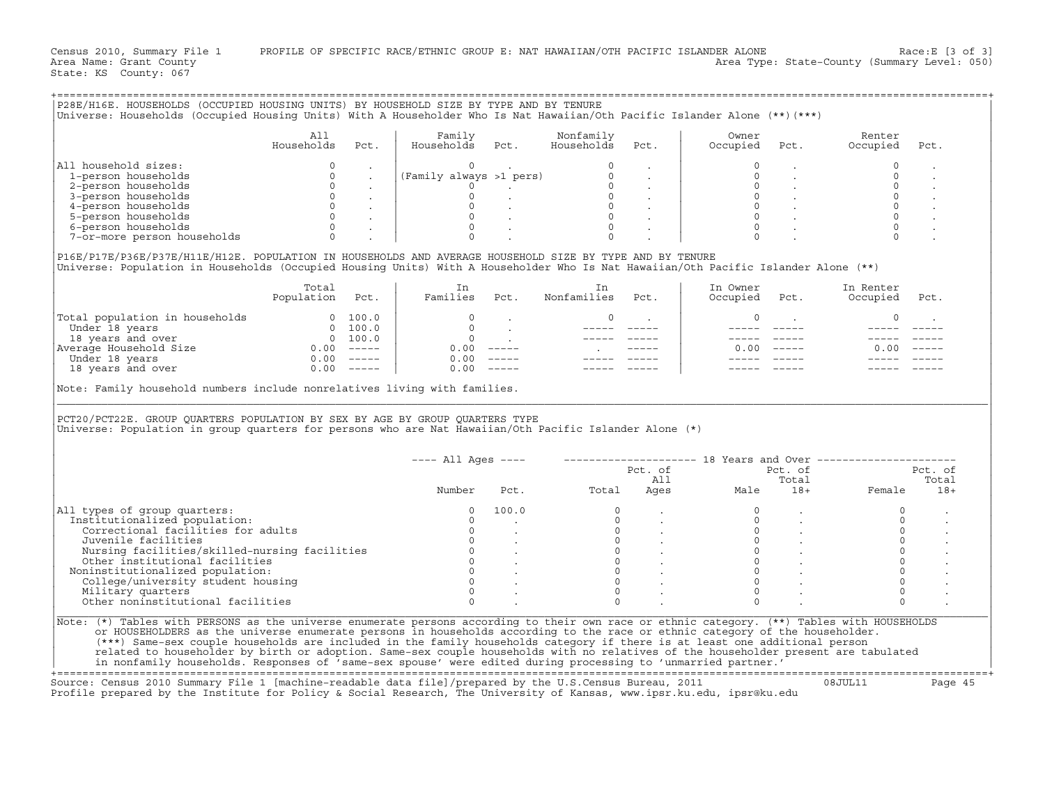|                                                                                                                                                                                                                                                                                                                                                                                                                                                                                                         | All             |                      | Family                                                                                                                                                                                                |       | Nonfamily         |                                                                                                                                                                            | Owner                                                                                |                                                                         | Renter              |         |
|---------------------------------------------------------------------------------------------------------------------------------------------------------------------------------------------------------------------------------------------------------------------------------------------------------------------------------------------------------------------------------------------------------------------------------------------------------------------------------------------------------|-----------------|----------------------|-------------------------------------------------------------------------------------------------------------------------------------------------------------------------------------------------------|-------|-------------------|----------------------------------------------------------------------------------------------------------------------------------------------------------------------------|--------------------------------------------------------------------------------------|-------------------------------------------------------------------------|---------------------|---------|
|                                                                                                                                                                                                                                                                                                                                                                                                                                                                                                         | Households      | Pct.                 | Households                                                                                                                                                                                            | Pct.  | Households        | Pct.                                                                                                                                                                       | Occupied                                                                             | Pct.                                                                    | Occupied            | Pct.    |
| All household sizes:                                                                                                                                                                                                                                                                                                                                                                                                                                                                                    | $\circ$         | $\ddot{\phantom{0}}$ |                                                                                                                                                                                                       |       |                   |                                                                                                                                                                            |                                                                                      |                                                                         | $\mathbf 0$         |         |
| 1-person households                                                                                                                                                                                                                                                                                                                                                                                                                                                                                     |                 |                      |                                                                                                                                                                                                       |       |                   |                                                                                                                                                                            | $\circ$                                                                              |                                                                         | $\Omega$            |         |
| 2-person households                                                                                                                                                                                                                                                                                                                                                                                                                                                                                     |                 |                      |                                                                                                                                                                                                       |       |                   |                                                                                                                                                                            |                                                                                      |                                                                         | $\mathbf 0$         |         |
| 3-person households                                                                                                                                                                                                                                                                                                                                                                                                                                                                                     |                 |                      |                                                                                                                                                                                                       |       |                   |                                                                                                                                                                            |                                                                                      |                                                                         | $\circ$             |         |
| 4-person households                                                                                                                                                                                                                                                                                                                                                                                                                                                                                     |                 |                      |                                                                                                                                                                                                       |       |                   |                                                                                                                                                                            |                                                                                      | $\begin{matrix} 0 & & \\ 0 & & \end{matrix}$                            | $\circ$             |         |
| 5-person households                                                                                                                                                                                                                                                                                                                                                                                                                                                                                     |                 |                      |                                                                                                                                                                                                       |       |                   |                                                                                                                                                                            |                                                                                      | $\overline{0}$ .                                                        |                     |         |
| 6-person households                                                                                                                                                                                                                                                                                                                                                                                                                                                                                     |                 |                      |                                                                                                                                                                                                       |       |                   |                                                                                                                                                                            | $\Omega$                                                                             |                                                                         |                     |         |
| 7-or-more person households                                                                                                                                                                                                                                                                                                                                                                                                                                                                             |                 |                      | $\begin{array}{c cc} 0 & . & . & . & . & . & . & . & . \ 0 & . & . & . & . & . & . & . \ 0 & . & . & . & . & . & . & . \ 0 & . & . & . & . & . & . & . \ 0 & . & . & . & . & . & . & . \ \end{array}$ |       |                   |                                                                                                                                                                            |                                                                                      |                                                                         |                     |         |
| P16E/P17E/P36E/P37E/H11E/H12E. POPULATION IN HOUSEHOLDS AND AVERAGE HOUSEHOLD SIZE BY TYPE AND BY TENURE                                                                                                                                                                                                                                                                                                                                                                                                |                 |                      |                                                                                                                                                                                                       |       |                   |                                                                                                                                                                            |                                                                                      |                                                                         |                     |         |
| Universe: Population in Households (Occupied Housing Units) With A Householder Who Is Nat Hawaiian/Oth Pacific Islander Alone (**)                                                                                                                                                                                                                                                                                                                                                                      |                 |                      |                                                                                                                                                                                                       |       |                   |                                                                                                                                                                            |                                                                                      |                                                                         |                     |         |
|                                                                                                                                                                                                                                                                                                                                                                                                                                                                                                         | Total           |                      | In                                                                                                                                                                                                    |       | In                |                                                                                                                                                                            | In Owner                                                                             |                                                                         | In Renter           |         |
|                                                                                                                                                                                                                                                                                                                                                                                                                                                                                                         | Population Pct. |                      | Families Pct.                                                                                                                                                                                         |       | Nonfamilies       | Pct.                                                                                                                                                                       | Occupied                                                                             | Pct.                                                                    | Occupied            | Pct.    |
| $\begin{tabular}{ l l l } \hline \texttt{Total population in households} & \multicolumn{4}{ l }{} \hline \texttt{Total population in households} & \multicolumn{4}{ l }{} \hline \texttt{Under 18 years} & \multicolumn{4}{ l }{} \hline \texttt{Under 18 years} & \multicolumn{4}{ l }{} \hline \texttt{M} & \multicolumn{4}{ l }{} \hline \texttt{M} & \multicolumn{4}{ l }{} \hline \texttt{M} & \multicolumn{4}{ l }{} \hline \texttt{M} & \multicolumn{4}{ l }{} \hline \texttt{M} & \multicolumn$ |                 |                      |                                                                                                                                                                                                       |       | $\circ$           | <b>Contract Contract</b>                                                                                                                                                   | 0                                                                                    |                                                                         | $\circ$             |         |
|                                                                                                                                                                                                                                                                                                                                                                                                                                                                                                         |                 |                      |                                                                                                                                                                                                       |       | $\frac{1}{2}$     |                                                                                                                                                                            |                                                                                      | ______ ____                                                             | $- - - - -$         |         |
|                                                                                                                                                                                                                                                                                                                                                                                                                                                                                                         |                 |                      |                                                                                                                                                                                                       |       |                   |                                                                                                                                                                            |                                                                                      |                                                                         |                     |         |
|                                                                                                                                                                                                                                                                                                                                                                                                                                                                                                         |                 |                      |                                                                                                                                                                                                       |       | <b>Contractor</b> |                                                                                                                                                                            |                                                                                      | $0.00$ -----                                                            | 0.00                |         |
|                                                                                                                                                                                                                                                                                                                                                                                                                                                                                                         |                 |                      |                                                                                                                                                                                                       |       |                   |                                                                                                                                                                            |                                                                                      |                                                                         |                     |         |
|                                                                                                                                                                                                                                                                                                                                                                                                                                                                                                         |                 |                      |                                                                                                                                                                                                       |       |                   |                                                                                                                                                                            |                                                                                      |                                                                         |                     |         |
|                                                                                                                                                                                                                                                                                                                                                                                                                                                                                                         |                 |                      |                                                                                                                                                                                                       |       |                   |                                                                                                                                                                            |                                                                                      |                                                                         |                     |         |
|                                                                                                                                                                                                                                                                                                                                                                                                                                                                                                         |                 |                      |                                                                                                                                                                                                       |       |                   |                                                                                                                                                                            |                                                                                      |                                                                         |                     |         |
| Note: Family household numbers include nonrelatives living with families.<br>PCT20/PCT22E. GROUP OUARTERS POPULATION BY SEX BY AGE BY GROUP OUARTERS TYPE<br>Universe: Population in group quarters for persons who are Nat Hawaiian/Oth Pacific Islander Alone (*)                                                                                                                                                                                                                                     |                 |                      | $---$ All Ages $---$                                                                                                                                                                                  |       |                   |                                                                                                                                                                            |                                                                                      |                                                                         |                     |         |
|                                                                                                                                                                                                                                                                                                                                                                                                                                                                                                         |                 |                      |                                                                                                                                                                                                       |       |                   | Pct. of                                                                                                                                                                    | ------------------- 18 Years and Over -------------------<br>Pct. of Pct. of Pct. of |                                                                         | Pct. of             | Pct. of |
|                                                                                                                                                                                                                                                                                                                                                                                                                                                                                                         |                 |                      |                                                                                                                                                                                                       |       |                   |                                                                                                                                                                            |                                                                                      | Total                                                                   |                     | Total   |
|                                                                                                                                                                                                                                                                                                                                                                                                                                                                                                         |                 |                      | Number                                                                                                                                                                                                | Pct.  | Total             |                                                                                                                                                                            | All<br>Ages<br>Male                                                                  |                                                                         | 18+ Female          | $18+$   |
| All types of group quarters:                                                                                                                                                                                                                                                                                                                                                                                                                                                                            |                 |                      | $\circ$                                                                                                                                                                                               | 100.0 | $\circ$           |                                                                                                                                                                            | $\circ$                                                                              |                                                                         | $\circ$             |         |
|                                                                                                                                                                                                                                                                                                                                                                                                                                                                                                         |                 |                      | $\circ$                                                                                                                                                                                               |       |                   |                                                                                                                                                                            | $\circ$                                                                              |                                                                         | $\circ$             |         |
| Correctional facilities for adults                                                                                                                                                                                                                                                                                                                                                                                                                                                                      |                 |                      | $\circ$                                                                                                                                                                                               |       |                   |                                                                                                                                                                            |                                                                                      |                                                                         | $\circ$             |         |
| Institutionalized population:<br>Juvenile facilities                                                                                                                                                                                                                                                                                                                                                                                                                                                    |                 |                      | $\mathbf{0}$                                                                                                                                                                                          |       |                   |                                                                                                                                                                            |                                                                                      |                                                                         | $\mathbb O$         |         |
| Nursing facilities/skilled-nursing facilities                                                                                                                                                                                                                                                                                                                                                                                                                                                           |                 |                      |                                                                                                                                                                                                       |       |                   |                                                                                                                                                                            |                                                                                      |                                                                         | $\mathsf{O}\xspace$ |         |
| Other institutional facilities                                                                                                                                                                                                                                                                                                                                                                                                                                                                          |                 |                      |                                                                                                                                                                                                       |       |                   |                                                                                                                                                                            |                                                                                      |                                                                         | $\mathbb O$         |         |
|                                                                                                                                                                                                                                                                                                                                                                                                                                                                                                         |                 |                      |                                                                                                                                                                                                       |       |                   |                                                                                                                                                                            | $\circ$                                                                              | $\begin{matrix} 0 & & \cdot \\ 0 & & \cdot \\ 0 & & \cdot \end{matrix}$ | $\mathsf{O}\xspace$ |         |
| Noninstitutionalized population:<br>College/university student housing                                                                                                                                                                                                                                                                                                                                                                                                                                  |                 |                      |                                                                                                                                                                                                       |       | $\Omega$          | $\begin{array}{ccccc} 0 & & & & & & \\ 0 & & & & & & \\ 0 & & & & & & \\ 0 & & & & & & \\ 0 & & & & & & \\ 0 & & & & & & \\ 0 & & & & & & \\ 0 & & & & & & \\ \end{array}$ | $\Omega$                                                                             |                                                                         | $\circ$             |         |
|                                                                                                                                                                                                                                                                                                                                                                                                                                                                                                         |                 |                      | $\mathbf 0$                                                                                                                                                                                           |       | $\Omega$          |                                                                                                                                                                            | $\mathbf 0$                                                                          |                                                                         | $\circ$             |         |
| Military quarters<br>Other noninstitutional facilities                                                                                                                                                                                                                                                                                                                                                                                                                                                  |                 |                      | $\Omega$                                                                                                                                                                                              |       |                   |                                                                                                                                                                            | $\Omega$                                                                             |                                                                         |                     |         |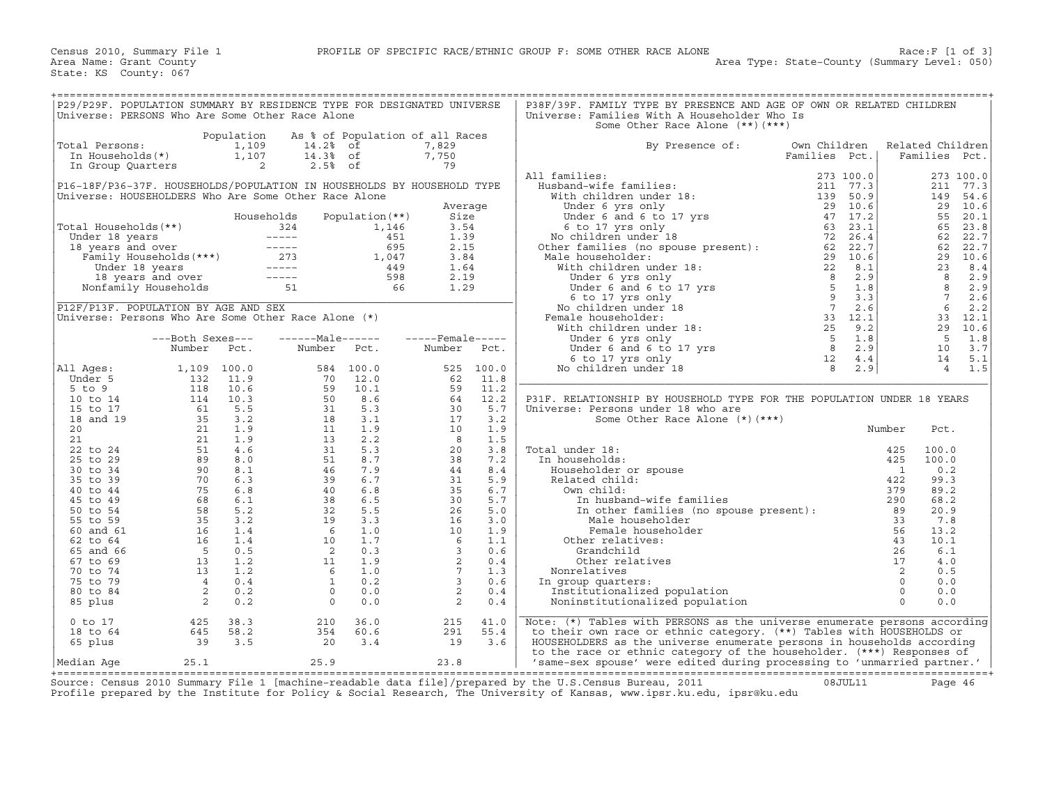| P29/P29F. POPULATION SUMMARY BY RESIDENCE TYPE FOR DESIGNATED UNIVERSE                                                                                                                                                                               |                                                                     |            |                                                                     |                                 |                    |           | P38F/39F. FAMILY TYPE BY PRESENCE AND AGE OF OWN OR RELATED CHILDREN                                                                                                                                                                                                                                                                                                                                                                              |               |           |                  |                 |           |
|------------------------------------------------------------------------------------------------------------------------------------------------------------------------------------------------------------------------------------------------------|---------------------------------------------------------------------|------------|---------------------------------------------------------------------|---------------------------------|--------------------|-----------|---------------------------------------------------------------------------------------------------------------------------------------------------------------------------------------------------------------------------------------------------------------------------------------------------------------------------------------------------------------------------------------------------------------------------------------------------|---------------|-----------|------------------|-----------------|-----------|
| Universe: PERSONS Who Are Some Other Race Alone                                                                                                                                                                                                      |                                                                     |            |                                                                     |                                 |                    |           | Universe: Families With A Householder Who Is                                                                                                                                                                                                                                                                                                                                                                                                      |               |           |                  |                 |           |
|                                                                                                                                                                                                                                                      |                                                                     |            |                                                                     |                                 |                    |           | Some Other Race Alone (**) (***)                                                                                                                                                                                                                                                                                                                                                                                                                  |               |           |                  |                 |           |
|                                                                                                                                                                                                                                                      |                                                                     | Population |                                                                     | As % of Population of all Races |                    |           |                                                                                                                                                                                                                                                                                                                                                                                                                                                   |               |           |                  |                 |           |
| Total Persons:                                                                                                                                                                                                                                       |                                                                     | 1,109      | 14.2% of                                                            |                                 | 7,829              |           | By Presence of:                                                                                                                                                                                                                                                                                                                                                                                                                                   | Own Children  |           | Related Children |                 |           |
| In Households(*)                                                                                                                                                                                                                                     |                                                                     | 1,107      | 14.3% of                                                            |                                 | 7,750              |           |                                                                                                                                                                                                                                                                                                                                                                                                                                                   | Families Pct. |           |                  | Families Pct.   |           |
| In Group Quarters                                                                                                                                                                                                                                    |                                                                     | 2          | $2.5%$ of                                                           |                                 | 79                 |           |                                                                                                                                                                                                                                                                                                                                                                                                                                                   |               |           |                  |                 |           |
|                                                                                                                                                                                                                                                      |                                                                     |            |                                                                     |                                 |                    |           | All families:                                                                                                                                                                                                                                                                                                                                                                                                                                     |               | 273 100.0 |                  |                 | 273 100.0 |
| P16-18F/P36-37F. HOUSEHOLDS/POPULATION IN HOUSEHOLDS BY HOUSEHOLD TYPE                                                                                                                                                                               |                                                                     |            |                                                                     |                                 |                    |           |                                                                                                                                                                                                                                                                                                                                                                                                                                                   |               |           |                  | 211             | 77.3      |
| Universe: HOUSEHOLDERS Who Are Some Other Race Alone                                                                                                                                                                                                 |                                                                     |            |                                                                     |                                 |                    |           |                                                                                                                                                                                                                                                                                                                                                                                                                                                   |               |           |                  | 149             | 54.6      |
|                                                                                                                                                                                                                                                      |                                                                     |            |                                                                     |                                 | Average            |           |                                                                                                                                                                                                                                                                                                                                                                                                                                                   |               |           |                  | 29              | 10.6      |
|                                                                                                                                                                                                                                                      |                                                                     |            | Households                                                          | Population (**)                 | Size               |           |                                                                                                                                                                                                                                                                                                                                                                                                                                                   |               |           |                  | 55              | 20.1      |
| Total Households(**)                                                                                                                                                                                                                                 |                                                                     |            |                                                                     |                                 | 3.54               |           |                                                                                                                                                                                                                                                                                                                                                                                                                                                   |               |           |                  | 65              | 23.8      |
|                                                                                                                                                                                                                                                      |                                                                     |            |                                                                     |                                 | 1.39               |           |                                                                                                                                                                                                                                                                                                                                                                                                                                                   |               |           |                  | 62              | 22.7      |
| otal Households (**)<br>Under 18 years 1,146<br>18 years and over 18 years 1,146<br>Tamily Households (***)<br>1,047<br>1,146<br>18 years 18 years 1,004<br>1,149<br>1,149<br>18 years and over 18 years 18 years 598<br>Nonfamily Households 51<br> |                                                                     |            |                                                                     |                                 | 2.15               |           |                                                                                                                                                                                                                                                                                                                                                                                                                                                   |               |           |                  | 62              | 22.7      |
|                                                                                                                                                                                                                                                      |                                                                     |            |                                                                     |                                 | 3.84               |           |                                                                                                                                                                                                                                                                                                                                                                                                                                                   |               |           |                  |                 | 29 10.6   |
|                                                                                                                                                                                                                                                      |                                                                     |            |                                                                     |                                 | 1.64               |           |                                                                                                                                                                                                                                                                                                                                                                                                                                                   |               |           |                  | 23              | 8.4       |
|                                                                                                                                                                                                                                                      |                                                                     |            |                                                                     |                                 | 2.19               |           |                                                                                                                                                                                                                                                                                                                                                                                                                                                   |               |           |                  | $\overline{8}$  | 2.9       |
|                                                                                                                                                                                                                                                      |                                                                     |            |                                                                     |                                 | 1.29               |           |                                                                                                                                                                                                                                                                                                                                                                                                                                                   |               |           |                  | $\overline{R}$  | 2.9       |
|                                                                                                                                                                                                                                                      |                                                                     |            |                                                                     |                                 |                    |           |                                                                                                                                                                                                                                                                                                                                                                                                                                                   |               |           |                  | $7\overline{ }$ | 2.6       |
| P12F/P13F. POPULATION BY AGE AND SEX                                                                                                                                                                                                                 |                                                                     |            |                                                                     |                                 |                    |           |                                                                                                                                                                                                                                                                                                                                                                                                                                                   |               |           |                  | 6               | 2.2       |
| Universe: Persons Who Are Some Other Race Alone (*)                                                                                                                                                                                                  |                                                                     |            |                                                                     |                                 |                    |           |                                                                                                                                                                                                                                                                                                                                                                                                                                                   |               |           |                  | 33              | 12.1      |
|                                                                                                                                                                                                                                                      |                                                                     |            |                                                                     |                                 |                    |           |                                                                                                                                                                                                                                                                                                                                                                                                                                                   |               |           |                  | 29              | 10.6      |
|                                                                                                                                                                                                                                                      | ---Both Sexes---                                                    |            | $---Male----$                                                       |                                 | $---$ Female ----- |           |                                                                                                                                                                                                                                                                                                                                                                                                                                                   |               |           |                  | $5^{\circ}$     | 1.8       |
|                                                                                                                                                                                                                                                      | Number                                                              | Pct.       | Number                                                              | Pct.                            | Number             | Pct.      |                                                                                                                                                                                                                                                                                                                                                                                                                                                   |               |           |                  | 10              | 3.7       |
|                                                                                                                                                                                                                                                      |                                                                     |            |                                                                     |                                 |                    |           |                                                                                                                                                                                                                                                                                                                                                                                                                                                   |               |           |                  | 14              | 5.1       |
| All Aqes:                                                                                                                                                                                                                                            | 1,109                                                               | 100.0      |                                                                     | 584 100.0                       |                    | 525 100.0 |                                                                                                                                                                                                                                                                                                                                                                                                                                                   |               |           |                  | $\overline{4}$  | 1.5       |
| Under 5                                                                                                                                                                                                                                              | 132                                                                 | 11.9       | 70                                                                  | 12.0                            | 62                 | 11.8      | $\begin{tabular}{ll} \bf 111 families: & \tt 273 100.0 \\ \bf 1011 finite in under 18: & \tt 211 77.3 \\ \text{With children under 18: & \tt 139 50.9 \\ \text{Under 6 and 6 to 17 yrs} & \tt 29 10.6 \\ \text{Under 6 and 6 to 17 yrs} & \tt 47 17.2 \\ \text{So to 17 yrs} & \tt 47 17.2 \\ \text{No children under 18: & \tt 52 26.4 \\ \text{Other families (no spouse present): & \tt 62 22.7 \\ \text{Male householder: & \tt 29 10.6 \\ \$ |               |           |                  |                 |           |
| $5$ to $9$                                                                                                                                                                                                                                           | 118                                                                 | 10.6       | 59                                                                  | 10.1                            | 59                 | 11.2      |                                                                                                                                                                                                                                                                                                                                                                                                                                                   |               |           |                  |                 |           |
| 10 to 14                                                                                                                                                                                                                                             | 114                                                                 | 10.3       | 50<br>$\begin{array}{c} 50 \\ 31 \\ 18 \\ 11 \end{array}$           | 8.6                             | 64                 | 12.2      | P31F. RELATIONSHIP BY HOUSEHOLD TYPE FOR THE POPULATION UNDER 18 YEARS                                                                                                                                                                                                                                                                                                                                                                            |               |           |                  |                 |           |
| 15 to 17                                                                                                                                                                                                                                             | 61<br>$61$<br>35<br>21<br>21<br>51<br>53<br>82                      | 5.5        |                                                                     | 5.3                             | 30                 | 5.7       | Universe: Persons under 18 who are                                                                                                                                                                                                                                                                                                                                                                                                                |               |           |                  |                 |           |
| 18 and 19                                                                                                                                                                                                                                            |                                                                     | 3.2        |                                                                     | 3.1                             | 17                 | 3.2       | Some Other Race Alone $(*)$ $(***)$                                                                                                                                                                                                                                                                                                                                                                                                               |               |           |                  |                 |           |
| 20                                                                                                                                                                                                                                                   |                                                                     | 1.9        |                                                                     | 1.9                             | 10                 | 1.9       |                                                                                                                                                                                                                                                                                                                                                                                                                                                   |               |           | Number           | Pct.            |           |
| 21                                                                                                                                                                                                                                                   |                                                                     | 1.9        | 13                                                                  | 2.2                             | 8                  | 1.5       |                                                                                                                                                                                                                                                                                                                                                                                                                                                   |               |           |                  |                 |           |
| 22 to 24                                                                                                                                                                                                                                             |                                                                     | 4.6        | 31                                                                  | 5.3                             | 20                 | 3.8       | Total under 18:                                                                                                                                                                                                                                                                                                                                                                                                                                   |               |           | 425              | 100.0           |           |
| 25 to 29                                                                                                                                                                                                                                             |                                                                     | 8.0        | 51                                                                  | 8.7                             | 38                 | 7.2       | In households:                                                                                                                                                                                                                                                                                                                                                                                                                                    |               |           | 425              | 100.0           |           |
| 30 to 34                                                                                                                                                                                                                                             | $\frac{90}{70}$                                                     | 8.1        | 46                                                                  | 7.9                             | 44                 | 8.4       | Householder or spouse                                                                                                                                                                                                                                                                                                                                                                                                                             |               |           | $\overline{1}$   | 0.2             |           |
| 35 to 39                                                                                                                                                                                                                                             |                                                                     | 6.3        | 39                                                                  | 6.7                             | 31                 | 5.9       | Related child:                                                                                                                                                                                                                                                                                                                                                                                                                                    |               |           | 422              | 99.3            |           |
| 40 to 44                                                                                                                                                                                                                                             |                                                                     | 6.8        | 40                                                                  | 6.8                             | 35                 | 6.7       | Own child:                                                                                                                                                                                                                                                                                                                                                                                                                                        |               |           | 379              | 89.2            |           |
| 45 to 49                                                                                                                                                                                                                                             |                                                                     | 6.1        | 38                                                                  | 6.5                             | 30                 | 5.7       | In husband-wife families                                                                                                                                                                                                                                                                                                                                                                                                                          |               |           | 290              | 68.2            |           |
| 50 to 54                                                                                                                                                                                                                                             | $\begin{array}{r} 68 \\ 58 \\ 35 \\ 16 \end{array}$                 | 5.2        | $\begin{array}{r} 38 \\ 32 \\ 19 \\ 6 \\ 10 \\ 2 \\ 11 \end{array}$ | 5.5                             | 26                 | 5.0       | In nubband wife families (no spouse present):<br>Weblack families (no spouse present):                                                                                                                                                                                                                                                                                                                                                            |               |           | 89               | 20.9            |           |
| 55 to 59                                                                                                                                                                                                                                             |                                                                     | 3.2        |                                                                     | 3.3                             | 16                 | 3.0       | Male householder                                                                                                                                                                                                                                                                                                                                                                                                                                  |               |           | 33               | 7.8             |           |
| 60 and 61                                                                                                                                                                                                                                            |                                                                     | 1.4        |                                                                     | 1.0                             | 10                 | 1.9       | Female householder                                                                                                                                                                                                                                                                                                                                                                                                                                |               |           | 56               | 13.2            |           |
| 62 to 64                                                                                                                                                                                                                                             |                                                                     | 1.4        |                                                                     | 1.7                             | - 6                | 1.1       | Other relatives:                                                                                                                                                                                                                                                                                                                                                                                                                                  |               |           | 43               | 10.1            |           |
| 65 and 66                                                                                                                                                                                                                                            |                                                                     | 0.5        |                                                                     | 0.3                             | $\frac{3}{2}$      | 0.6       | Grandchild                                                                                                                                                                                                                                                                                                                                                                                                                                        |               |           | 26               | 6.1             |           |
| 67 to 69                                                                                                                                                                                                                                             | $\begin{array}{c}\n 12 \\  -5 \\  13 \\  \hline\n 15\n \end{array}$ | 1.2        |                                                                     | 1.9                             |                    | 0.4       | Other relatives                                                                                                                                                                                                                                                                                                                                                                                                                                   |               |           | 17               | 4.0             |           |
| 70 to 74                                                                                                                                                                                                                                             | 13                                                                  | 1.2        | - 6                                                                 | 1.0                             | $7^{\circ}$        | 1.3       | Nonrelatives                                                                                                                                                                                                                                                                                                                                                                                                                                      |               |           | 2                | 0.5             |           |
| 75 to 79                                                                                                                                                                                                                                             | $\overline{4}$                                                      | 0.4        | $\sim$ 1                                                            | 0.2                             | $\overline{3}$     | 0.6       | In group quarters:                                                                                                                                                                                                                                                                                                                                                                                                                                |               |           | $\Omega$         | 0.0             |           |
| 80 to 84                                                                                                                                                                                                                                             | $\overline{\phantom{a}}$                                            | 0.2        | $\circ$                                                             | 0.0                             | $\overline{a}$     | 0.4       | Institutionalized population                                                                                                                                                                                                                                                                                                                                                                                                                      |               |           | $\circ$          | 0.0             |           |
| 85 plus                                                                                                                                                                                                                                              | $\overline{\phantom{a}}$                                            | 0.2        | $\overline{0}$                                                      | 0.0                             | 2                  | 0.4       | Noninstitutionalized population                                                                                                                                                                                                                                                                                                                                                                                                                   |               |           | $\Omega$         | 0.0             |           |
|                                                                                                                                                                                                                                                      |                                                                     |            |                                                                     |                                 |                    |           |                                                                                                                                                                                                                                                                                                                                                                                                                                                   |               |           |                  |                 |           |
| $0$ to $17$                                                                                                                                                                                                                                          | 425                                                                 | 38.3       | 210                                                                 | 36.0                            | 215                | 41.0      | Note: (*) Tables with PERSONS as the universe enumerate persons according                                                                                                                                                                                                                                                                                                                                                                         |               |           |                  |                 |           |
| 18 to 64                                                                                                                                                                                                                                             | 645                                                                 | 58.2       | 354                                                                 | 60.6                            | 291                | 55.4      | to their own race or ethnic category. (**) Tables with HOUSEHOLDS or                                                                                                                                                                                                                                                                                                                                                                              |               |           |                  |                 |           |
| 65 plus                                                                                                                                                                                                                                              | 39                                                                  | 3.5        | 20                                                                  | 3.4                             | 19                 | 3.6       | HOUSEHOLDERS as the universe enumerate persons in households according                                                                                                                                                                                                                                                                                                                                                                            |               |           |                  |                 |           |
|                                                                                                                                                                                                                                                      | 25.1                                                                |            | 25.9                                                                |                                 | 23.8               |           | to the race or ethnic category of the householder. (***) Responses of                                                                                                                                                                                                                                                                                                                                                                             |               |           |                  |                 |           |
| Median Aqe                                                                                                                                                                                                                                           |                                                                     |            |                                                                     |                                 |                    |           | 'same-sex spouse' were edited during processing to 'unmarried partner.'                                                                                                                                                                                                                                                                                                                                                                           |               |           |                  |                 |           |

+===================================================================================================================================================+ Source: Census 2010 Summary File 1 [machine−readable data file]/prepared by the U.S.Census Bureau, 2011 08JUL11 Page 46 Profile prepared by the Institute for Policy & Social Research, The University of Kansas, www.ipsr.ku.edu, ipsr@ku.edu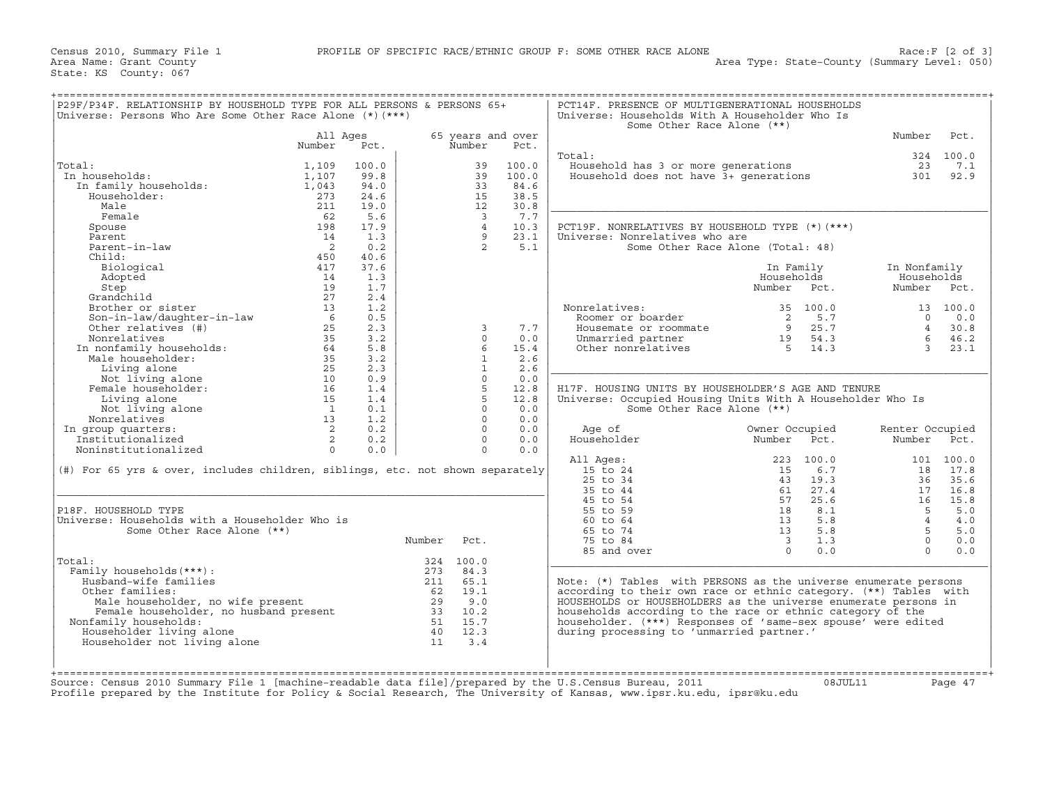| Universe: Persons Who Are Some Other Race Alone $(*)$ $(***)$                                           |                            |       |         |                         |                           | Universe: Households With A Householder Who Is<br>Some Other Race Alone (**) |                                   |                 |           |
|---------------------------------------------------------------------------------------------------------|----------------------------|-------|---------|-------------------------|---------------------------|------------------------------------------------------------------------------|-----------------------------------|-----------------|-----------|
|                                                                                                         | All Ages<br>Number         | Pct.  |         | Number                  | 65 years and over<br>Pct. |                                                                              |                                   | Number          | Pct.      |
|                                                                                                         |                            |       |         |                         |                           | Total:                                                                       |                                   |                 | 324 100.0 |
| Total:                                                                                                  | 1,109                      | 100.0 |         | 39                      | 100.0                     | Household has 3 or more generations                                          |                                   | 23              | 7.1       |
| In households:                                                                                          | 1,107                      | 99.8  |         | 39                      | 100.0                     | Household does not have 3+ generations                                       |                                   | 301             | 92.9      |
| In family households:                                                                                   | 1,043                      | 94.0  |         | 33                      | 84.6                      |                                                                              |                                   |                 |           |
| Householder:                                                                                            | 273                        | 24.6  |         | 15                      | 38.5                      |                                                                              |                                   |                 |           |
| Male                                                                                                    | 211                        | 19.0  |         | 12                      | 30.8                      |                                                                              |                                   |                 |           |
| Female                                                                                                  | 62                         | 5.6   |         | $\overline{\mathbf{3}}$ | 7.7                       |                                                                              |                                   |                 |           |
|                                                                                                         |                            |       |         | $\overline{4}$          | 10.3                      |                                                                              |                                   |                 |           |
| Spouse                                                                                                  | 198                        | 17.9  |         |                         |                           | PCT19F. NONRELATIVES BY HOUSEHOLD TYPE $(*)$ (***)                           |                                   |                 |           |
| Parent                                                                                                  | 14                         | 1.3   |         | 9<br>$\overline{2}$     | 23.1                      | Universe: Nonrelatives who are                                               |                                   |                 |           |
| Parent-in-law                                                                                           | $\overline{\phantom{0}}^2$ | 0.2   |         |                         | 5.1                       |                                                                              | Some Other Race Alone (Total: 48) |                 |           |
| Child:                                                                                                  | 450                        | 40.6  |         |                         |                           |                                                                              |                                   |                 |           |
| Biological                                                                                              | 417                        | 37.6  |         |                         |                           |                                                                              | In Family                         | In Nonfamily    |           |
| Adopted                                                                                                 | 14                         | 1.3   |         |                         |                           |                                                                              | Households                        | Households      |           |
| Step                                                                                                    | 19                         | 1.7   |         |                         |                           |                                                                              | Number<br>Pct.                    | Number Pct.     |           |
| Grandchild                                                                                              | 27                         | 2.4   |         |                         |                           |                                                                              |                                   |                 |           |
| Brother or sister                                                                                       | 13                         | 1.2   |         |                         |                           | Nonrelatives:                                                                | 35 100.0                          |                 | 13 100.0  |
| Son-in-law/daughter-in-law                                                                              | 6                          | 0.5   |         |                         |                           | Roomer or boarder                                                            | 5.7<br>2                          | $\Omega$        | 0.0       |
| Other relatives (#)                                                                                     | 25                         | 2.3   |         | $\overline{3}$          | 7.7                       | Housemate or roommate                                                        | 9 <sup>1</sup><br>25.7            | $\overline{4}$  | 30.8      |
| Nonrelatives                                                                                            | 35                         | 3.2   |         | $\Omega$                | 0.0                       | Unmarried partner                                                            | 19<br>54.3                        | 6               | 46.2      |
| Numeriality households:<br>Male householder:<br>Living alone<br>Not living alone<br>Female householder: | 64                         | 5.8   |         | 6                       | 15.4                      | Other nonrelatives                                                           | 5 <sup>1</sup><br>14.3            | $\overline{3}$  | 23.1      |
|                                                                                                         | 35                         | 3.2   |         | $\mathbf{1}$            | 2.6                       |                                                                              |                                   |                 |           |
|                                                                                                         | 25                         | 2.3   |         | $\mathbf{1}$            | 2.6                       |                                                                              |                                   |                 |           |
|                                                                                                         | 10                         | 0.9   |         | $\Omega$                | 0.0                       |                                                                              |                                   |                 |           |
|                                                                                                         | 16                         | 1.4   |         | 5                       | 12.8                      | H17F. HOUSING UNITS BY HOUSEHOLDER'S AGE AND TENURE                          |                                   |                 |           |
| Living alone                                                                                            | 15                         | 1.4   |         | 5                       | 12.8                      | Universe: Occupied Housing Units With A Householder Who Is                   |                                   |                 |           |
| Not living alone                                                                                        | $\overline{1}$             | 0.1   |         | $\Omega$                | 0.0                       | Some Other Race Alone (**)                                                   |                                   |                 |           |
|                                                                                                         | 13                         | 1.2   |         | $\Omega$                | 0.0                       |                                                                              |                                   |                 |           |
| Nonrelatives                                                                                            |                            |       |         | $\Omega$                | 0.0                       |                                                                              |                                   |                 |           |
| In group quarters:                                                                                      | 2                          | 0.2   |         |                         |                           | Age of                                                                       | Owner Occupied                    | Renter Occupied |           |
| Institutionalized                                                                                       | 2                          | 0.2   |         | $\Omega$                | 0.0                       | Householder                                                                  | Number<br>Pct.                    | Number          | Pct.      |
| Noninstitutionalized                                                                                    | $\Omega$                   | 0.0   |         | $\Omega$                | 0.0                       |                                                                              |                                   |                 |           |
|                                                                                                         |                            |       |         |                         |                           | All Ages:                                                                    | 223 100.0                         |                 | 101 100.0 |
| $(\#)$ For 65 yrs & over, includes children, siblings, etc. not shown separately                        |                            |       |         |                         |                           | 15 to 24                                                                     | 6.7<br>15                         | 18              | 17.8      |
|                                                                                                         |                            |       |         |                         |                           | 25 to 34                                                                     | 19.3<br>43                        | 36              | 35.6      |
|                                                                                                         |                            |       |         |                         |                           | 35 to 44                                                                     | 27.4<br>61                        | 17              | 16.8      |
|                                                                                                         |                            |       |         |                         |                           | 45 to 54                                                                     | 25.6<br>57                        | 16              | 15.8      |
| P18F. HOUSEHOLD TYPE                                                                                    |                            |       |         |                         |                           | 55 to 59                                                                     | 18<br>8.1                         | 5               | 5.0       |
| Universe: Households with a Householder Who is                                                          |                            |       |         |                         |                           | 60 to 64                                                                     | 5.8<br>13                         | $\overline{4}$  | 4.0       |
|                                                                                                         |                            |       |         |                         |                           | 65 to 74                                                                     | 13<br>5.8                         | 5               | 5.0       |
| Some Other Race Alone (**)                                                                              |                            |       | Number  | Pct.                    |                           | 75 to 84                                                                     | $\overline{\mathbf{3}}$<br>1.3    | $\Omega$        | 0.0       |
|                                                                                                         |                            |       |         |                         |                           | 85 and over                                                                  | $\Omega$<br>0.0                   | $\Omega$        | 0.0       |
|                                                                                                         |                            |       |         | 324 100.0               |                           |                                                                              |                                   |                 |           |
|                                                                                                         |                            |       |         | 84.3                    |                           |                                                                              |                                   |                 |           |
|                                                                                                         |                            |       |         |                         |                           | Note: (*) Tables with PERSONS as the universe enumerate persons              |                                   |                 |           |
| Family households (***) :                                                                               |                            |       | 273     |                         |                           |                                                                              |                                   |                 |           |
| Husband-wife families                                                                                   |                            |       | 211     | 65.1                    |                           |                                                                              |                                   |                 |           |
| Other families:                                                                                         |                            |       | 62      | 19.1                    |                           | according to their own race or ethnic category. (**) Tables with             |                                   |                 |           |
| Male householder, no wife present                                                                       |                            |       | 29      | 9.0                     |                           | HOUSEHOLDS or HOUSEHOLDERS as the universe enumerate persons in              |                                   |                 |           |
| Female householder, no husband present                                                                  |                            |       | 33 10.2 |                         |                           | households according to the race or ethnic category of the                   |                                   |                 |           |
| Total:<br>Nonfamily households:                                                                         |                            |       |         | 51 15.7                 |                           | householder. (***) Responses of 'same-sex spouse' were edited                |                                   |                 |           |
| Householder living alone                                                                                |                            |       | 40      | 12.3                    |                           | during processing to 'unmarried partner.'                                    |                                   |                 |           |
| Householder not living alone                                                                            |                            |       | 11      | 3.4                     |                           |                                                                              |                                   |                 |           |
|                                                                                                         |                            |       |         |                         |                           |                                                                              |                                   |                 |           |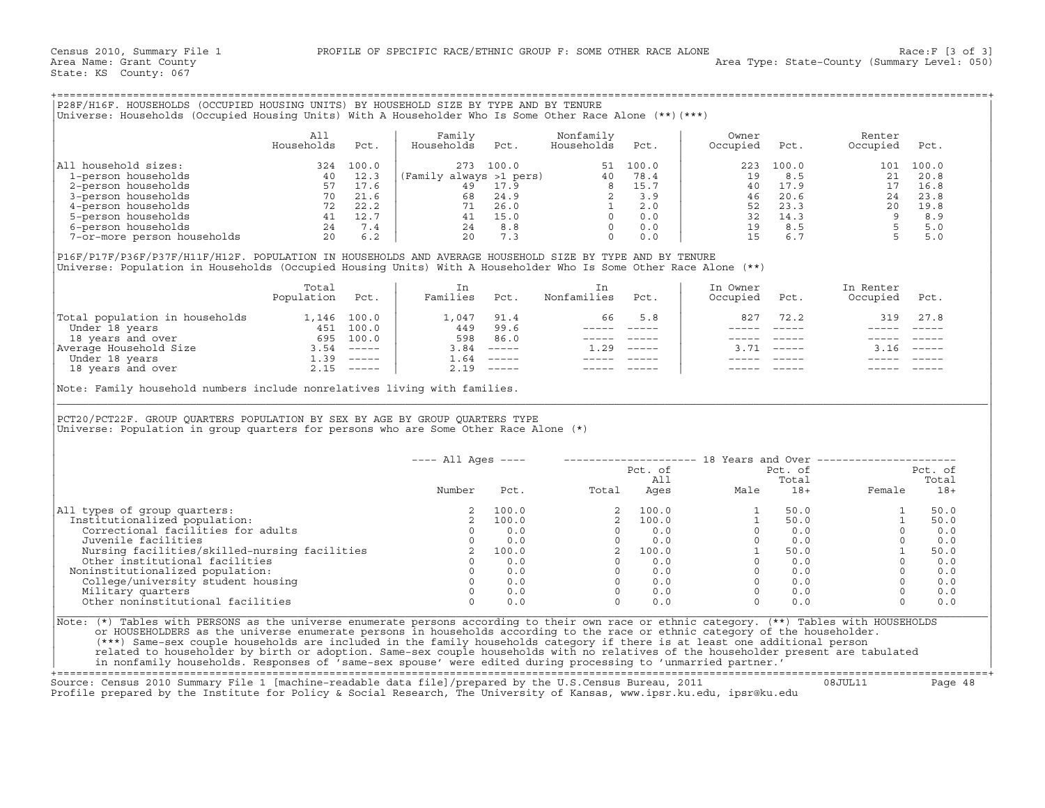| P28F/H16F. HOUSEHOLDS (OCCUPIED HOUSING UNITS) BY HOUSEHOLD SIZE BY TYPE AND BY TENURE<br>Universe: Households (Occupied Housing Units) With A Householder Who Is Some Other Race Alone (**)(***) |                   |       |                         |       |                         |       |                   |       |                    |       |
|---------------------------------------------------------------------------------------------------------------------------------------------------------------------------------------------------|-------------------|-------|-------------------------|-------|-------------------------|-------|-------------------|-------|--------------------|-------|
|                                                                                                                                                                                                   | All<br>Households | Pct.  | Family<br>Households    | Pct.  | Nonfamily<br>Households | Pct.  | Owner<br>Occupied | Pct.  | Renter<br>Occupied | Pct.  |
| All household sizes:                                                                                                                                                                              | 324               | 100.0 | 273                     | 100.0 | 51                      | 100.0 | 223               | 100.0 | 101                | 100.0 |
| 1-person households                                                                                                                                                                               | 40                | 12.3  | (Family always >1 pers) |       | 40                      | 78.4  | 19                | 8.5   | 21                 | 20.8  |
| 2-person households                                                                                                                                                                               | 57                | 17.6  | 49                      | 17.9  |                         | 15.7  | 40                | 17.9  |                    | 16.8  |
| 3-person households                                                                                                                                                                               | 70                | 21.6  | 68                      | 24.9  |                         | 3.9   | 46                | 20.6  | 2.4                | 23.8  |
| 4-person households                                                                                                                                                                               | 72                | 22.2  | 71                      | 26.0  |                         | 2.0   | 52                | 23.3  | 20                 | 19.8  |
| 5-person households                                                                                                                                                                               | 41                | 12.7  | 41                      | 15.0  |                         | 0.0   | 32                | 14.3  |                    | 8.9   |
| 6-person households                                                                                                                                                                               | 24                | 7.4   | 24                      | 8.8   |                         | 0.0   | 19                | 8.5   |                    | 5.0   |
| 7-or-more person households                                                                                                                                                                       | 20                | 6.2   | 20                      | 7.3   |                         | 0.0   | 15                | 6.7   |                    | 5.0   |

|                                | Total<br>Population | Pct.          | Families | Pct.                      | Nonfamilies | Pct.                      | In Owner<br>Occupied | Pct. | In Renter<br>Occupied | Pct.                      |
|--------------------------------|---------------------|---------------|----------|---------------------------|-------------|---------------------------|----------------------|------|-----------------------|---------------------------|
| Total population in households | 1,146               | 100.0         | ⊥,047    | 91.4                      | 66          | 5.8                       | 827                  | 72.2 | 319                   | 27.8                      |
| Under 18 years                 | 451                 | 100.0         | 449      | 99.6                      |             |                           |                      |      |                       |                           |
| 18 years and over              | 695                 | 100.0         | 598      | 86.0                      |             |                           |                      |      |                       |                           |
| Average Household Size         | 3.54                | $------$      | 3.84     | $\qquad \qquad - - - - -$ | .29         | $\qquad \qquad - - - - -$ |                      |      |                       | $\qquad \qquad - - - - -$ |
| Under 18 years                 | ⊥.39                | $\frac{1}{2}$ | . . 64   | $\qquad \qquad - - - - -$ |             |                           |                      |      |                       |                           |
| 18 years and over              |                     | $- - - - - -$ | 2.19     |                           |             |                           |                      |      |                       |                           |

| P28F/H16F. HOUSEHOLDS (OCCUPIED HOUSING UNITS) BY HOUSEHOLD SIZE BY TYPE AND BY TENURE<br>Universe: Households (Occupied Housing Units) With A Householder Who Is Some Other Race Alone (**) (***)                                                                                                                                                                                                                                                                                                                                              |                          |      |                                         |              |                         |                |                                                                                                                                                                                                                                                                                                                           |                                           |                            |                |
|-------------------------------------------------------------------------------------------------------------------------------------------------------------------------------------------------------------------------------------------------------------------------------------------------------------------------------------------------------------------------------------------------------------------------------------------------------------------------------------------------------------------------------------------------|--------------------------|------|-----------------------------------------|--------------|-------------------------|----------------|---------------------------------------------------------------------------------------------------------------------------------------------------------------------------------------------------------------------------------------------------------------------------------------------------------------------------|-------------------------------------------|----------------------------|----------------|
|                                                                                                                                                                                                                                                                                                                                                                                                                                                                                                                                                 | All<br>Households        | Pct. | Family<br>Households                    | Pct.         | Nonfamily<br>Households | Pct.           | Owner<br>Occupied                                                                                                                                                                                                                                                                                                         | Pct.                                      | Renter<br>Occupied         | Pct.           |
| All household sizes:                                                                                                                                                                                                                                                                                                                                                                                                                                                                                                                            |                          |      |                                         |              |                         |                | 223                                                                                                                                                                                                                                                                                                                       | 100.0                                     |                            | 101 100.0      |
|                                                                                                                                                                                                                                                                                                                                                                                                                                                                                                                                                 |                          |      |                                         |              |                         |                |                                                                                                                                                                                                                                                                                                                           |                                           |                            |                |
|                                                                                                                                                                                                                                                                                                                                                                                                                                                                                                                                                 |                          |      |                                         |              |                         |                |                                                                                                                                                                                                                                                                                                                           |                                           |                            |                |
|                                                                                                                                                                                                                                                                                                                                                                                                                                                                                                                                                 |                          |      |                                         |              |                         |                |                                                                                                                                                                                                                                                                                                                           |                                           |                            |                |
|                                                                                                                                                                                                                                                                                                                                                                                                                                                                                                                                                 |                          |      |                                         |              |                         |                |                                                                                                                                                                                                                                                                                                                           |                                           |                            |                |
|                                                                                                                                                                                                                                                                                                                                                                                                                                                                                                                                                 |                          |      |                                         |              |                         |                |                                                                                                                                                                                                                                                                                                                           |                                           |                            |                |
|                                                                                                                                                                                                                                                                                                                                                                                                                                                                                                                                                 |                          |      |                                         |              |                         |                |                                                                                                                                                                                                                                                                                                                           |                                           |                            |                |
|                                                                                                                                                                                                                                                                                                                                                                                                                                                                                                                                                 |                          |      |                                         |              |                         |                | $\begin{array}{cccc} 223 & 100 \times 6 & 121 & 20.8 \\ 19 & 8.5 & 21 & 20.8 \\ 40 & 17.9 & 17 & 16.8 \\ 46 & 20.6 & 24 & 23.8 \\ 52 & 23.3 & 20 & 19.8 \\ 32 & 14.3 & 9 & 8.9 \\ 19 & 8.5 & 5 & 5.0 \\ 15 & 6.7 & 5 & 5.0 \end{array}$                                                                                   |                                           |                            |                |
| P16F/P17F/P36F/P37F/H11F/H12F. POPULATION IN HOUSEHOLDS AND AVERAGE HOUSEHOLD SIZE BY TYPE AND BY TENURE<br>Universe: Population in Households (Occupied Housing Units) With A Householder Who Is Some Other Race Alone (**)                                                                                                                                                                                                                                                                                                                    |                          |      |                                         |              |                         |                |                                                                                                                                                                                                                                                                                                                           |                                           |                            |                |
|                                                                                                                                                                                                                                                                                                                                                                                                                                                                                                                                                 | Total<br>Population Pct. |      | In<br>Families Pct.                     |              | In<br>Nonfamilies Pct.  |                | In Owner<br>Occupied                                                                                                                                                                                                                                                                                                      | Pct.                                      | In Renter<br>Occupied Pct. |                |
| Total population in households 1,146 100.0<br>Under 18 years 451 100.0<br>18 years and over 695 100.0<br>Nerage Household Size 3.54 -----<br>Under 18 years and over 1.39 -----<br>1.39 -----<br>1.39 -----<br>2.15 -----                                                                                                                                                                                                                                                                                                                       |                          |      | 1,047 91.4                              |              | 66                      | 5.8            | 827                                                                                                                                                                                                                                                                                                                       | 72.2                                      |                            | 319 27.8       |
|                                                                                                                                                                                                                                                                                                                                                                                                                                                                                                                                                 |                          |      |                                         | 449 99.6     |                         | ----- -----    |                                                                                                                                                                                                                                                                                                                           |                                           |                            |                |
|                                                                                                                                                                                                                                                                                                                                                                                                                                                                                                                                                 |                          |      | 598 86.0                                |              |                         | ----- -----    | $------$                                                                                                                                                                                                                                                                                                                  | $\qquad \qquad - - - - -$                 |                            |                |
|                                                                                                                                                                                                                                                                                                                                                                                                                                                                                                                                                 |                          |      |                                         | $3.84$ ----- | $1.29$ -----            |                |                                                                                                                                                                                                                                                                                                                           | $3.71$ -----                              | $3.16$ -----               |                |
|                                                                                                                                                                                                                                                                                                                                                                                                                                                                                                                                                 |                          |      |                                         | $1.64$ ----- |                         | ______________ |                                                                                                                                                                                                                                                                                                                           |                                           |                            |                |
|                                                                                                                                                                                                                                                                                                                                                                                                                                                                                                                                                 |                          |      |                                         | $2.19$ ----- |                         |                |                                                                                                                                                                                                                                                                                                                           |                                           |                            |                |
| PCT20/PCT22F. GROUP QUARTERS POPULATION BY SEX BY AGE BY GROUP QUARTERS TYPE<br>Universe: Population in group quarters for persons who are Some Other Race Alone (*)                                                                                                                                                                                                                                                                                                                                                                            |                          |      |                                         |              |                         |                |                                                                                                                                                                                                                                                                                                                           |                                           |                            |                |
|                                                                                                                                                                                                                                                                                                                                                                                                                                                                                                                                                 |                          |      | $---$ All Ages $---$                    |              |                         |                |                                                                                                                                                                                                                                                                                                                           |                                           |                            |                |
|                                                                                                                                                                                                                                                                                                                                                                                                                                                                                                                                                 |                          |      |                                         |              |                         | Pct. of        |                                                                                                                                                                                                                                                                                                                           | Pct. of                                   |                            | Pct. of        |
|                                                                                                                                                                                                                                                                                                                                                                                                                                                                                                                                                 |                          |      |                                         |              |                         |                |                                                                                                                                                                                                                                                                                                                           |                                           |                            | Total          |
|                                                                                                                                                                                                                                                                                                                                                                                                                                                                                                                                                 |                          |      | Number                                  | Pct.         |                         |                |                                                                                                                                                                                                                                                                                                                           |                                           |                            | Female 18+     |
| All types of group quarters:                                                                                                                                                                                                                                                                                                                                                                                                                                                                                                                    |                          |      | 2                                       | 100.0        |                         |                | $\begin{array}{cccccc} 2 & 100.0 & & & 1 & 50.0 \\ 2 & 100.0 & & & 1 & 50.0 \\ 0 & 0.0 & & & 0 & 0.0 \\ 0 & 0.0 & & & 0 & 0.0 \\ 2 & 100.0 & & & 1 & 50.0 \\ 0 & 0.0 & & & 1 & 50.0 \\ 0 & 0.0 & & & 0 & 0.0 \\ 0 & 0.0 & & & 0 & 0.0 \\ 0 & 0.0 & & & 0 & 0.0 \\ 0 & 0.0 & & & 0 & 0.0 \\ 0 & 0.0 & & & 0 & 0.0 \\ 0 & $ | $\begin{bmatrix} 50.0 \\ 0 \end{bmatrix}$ | $\mathbf{1}$               | 50.0           |
| Institutionalized population:                                                                                                                                                                                                                                                                                                                                                                                                                                                                                                                   |                          |      |                                         | 100.0        |                         |                |                                                                                                                                                                                                                                                                                                                           |                                           | $\mathbf{1}$               | 50.0           |
| Correctional facilities for adults                                                                                                                                                                                                                                                                                                                                                                                                                                                                                                              |                          |      | $\begin{array}{c}\n0 \\ 0\n\end{array}$ | 0.0          |                         |                |                                                                                                                                                                                                                                                                                                                           |                                           | $\circ$                    | 0.0            |
| Juvenile facilities                                                                                                                                                                                                                                                                                                                                                                                                                                                                                                                             |                          |      | $\overline{0}$                          | 0.0          |                         |                |                                                                                                                                                                                                                                                                                                                           |                                           | $\Omega$                   | 0.0            |
|                                                                                                                                                                                                                                                                                                                                                                                                                                                                                                                                                 |                          |      |                                         |              |                         |                |                                                                                                                                                                                                                                                                                                                           |                                           | 1                          | 50.0           |
|                                                                                                                                                                                                                                                                                                                                                                                                                                                                                                                                                 |                          |      |                                         |              |                         |                |                                                                                                                                                                                                                                                                                                                           |                                           | $\Omega$                   | 0.0            |
| Noninstitutionalized population:                                                                                                                                                                                                                                                                                                                                                                                                                                                                                                                |                          |      |                                         |              |                         |                |                                                                                                                                                                                                                                                                                                                           |                                           |                            | $0 \t 0.0$     |
|                                                                                                                                                                                                                                                                                                                                                                                                                                                                                                                                                 |                          |      |                                         |              |                         |                |                                                                                                                                                                                                                                                                                                                           |                                           |                            | $0 \qquad 0.0$ |
| University and facilities<br>Nursing facilities and the contract of the other institutional facilities<br>Other institutionalized population: 0 0.0<br>College/university student housing 0 0.0<br>Military quarters 0 0.0                                                                                                                                                                                                                                                                                                                      |                          |      |                                         |              |                         |                |                                                                                                                                                                                                                                                                                                                           |                                           | $\Omega$                   | 0.0            |
| Other noninstitutional facilities                                                                                                                                                                                                                                                                                                                                                                                                                                                                                                               |                          |      | $\Omega$                                | 0.0          | $\Omega$                | 0.0            | $\overline{0}$                                                                                                                                                                                                                                                                                                            | 0.0                                       | $\Omega$                   | 0.0            |
| Note: (*) Tables with PERSONS as the universe enumerate persons according to their own race or ethnic category. (**) Tables with HOUSEHOLDS<br>or HOUSEHOLDERS as the universe enumerate persons in households according to the race or ethnic category of the householder.<br>(***) Same-sex couple households are included in the family households category if there is at least one additional person<br>related to householder by birth or adoption. Same-sex couple households with no relatives of the householder present are tabulated |                          |      |                                         |              |                         |                | in nonfamily households. Responses of 'same-sex spouse' were edited during processing to 'unmarried partner.'                                                                                                                                                                                                             |                                           |                            |                |

+===================================================================================================================================================+

Source: Census 2010 Summary File 1 [machine−readable data file]/prepared by the U.S.Census Bureau, 2011 08JUL11 Page 48 Profile prepared by the Institute for Policy & Social Research, The University of Kansas, www.ipsr.ku.edu, ipsr@ku.edu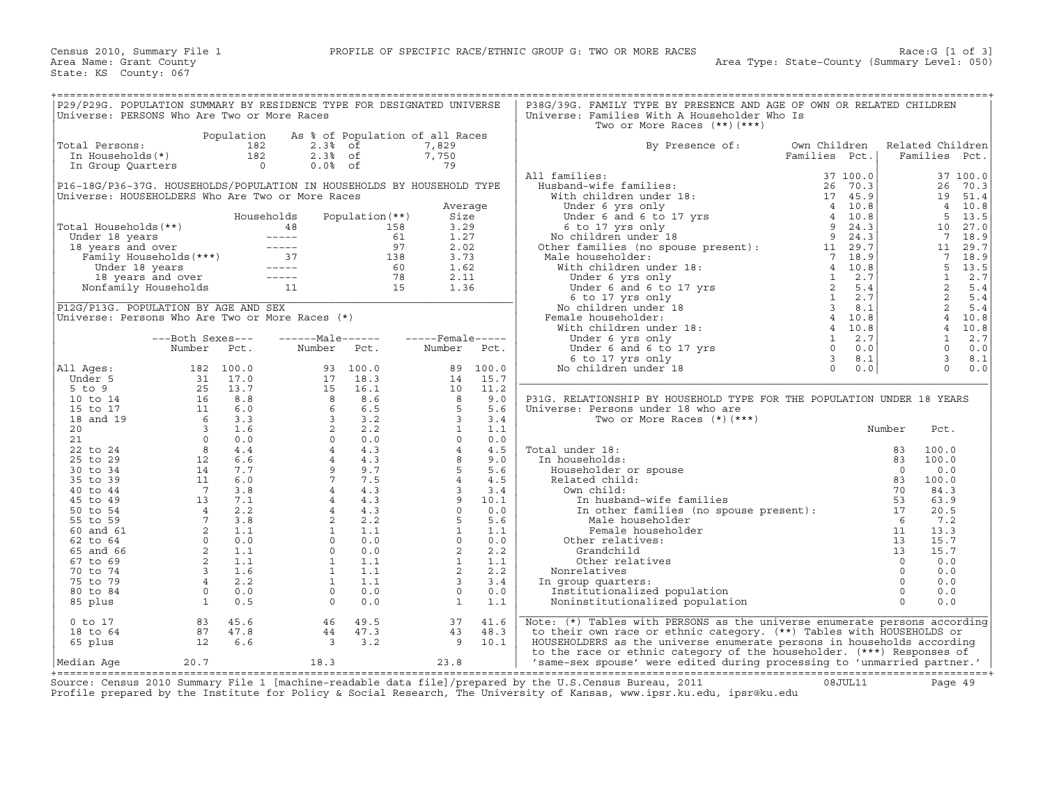| P29/P29G. POPULATION SUMMARY BY RESIDENCE TYPE FOR DESIGNATED UNIVERSE<br>Universe: PERSONS Who Are Two or More Races                                                                                                                |                              |            |                                                                                                                                                                                                                                                                                                           |                        |                                                                                                                                                                                                                                                                                                     |          | P38G/39G. FAMILY TYPE BY PRESENCE AND AGE OF OWN OR RELATED CHILDREN<br>Universe: Families With A Householder Who Is<br>Two or More Races $(**)$ $(***)$                                                                                                            |               |                      |                                     |              |
|--------------------------------------------------------------------------------------------------------------------------------------------------------------------------------------------------------------------------------------|------------------------------|------------|-----------------------------------------------------------------------------------------------------------------------------------------------------------------------------------------------------------------------------------------------------------------------------------------------------------|------------------------|-----------------------------------------------------------------------------------------------------------------------------------------------------------------------------------------------------------------------------------------------------------------------------------------------------|----------|---------------------------------------------------------------------------------------------------------------------------------------------------------------------------------------------------------------------------------------------------------------------|---------------|----------------------|-------------------------------------|--------------|
|                                                                                                                                                                                                                                      |                              | Population |                                                                                                                                                                                                                                                                                                           |                        | As % of Population of all Races                                                                                                                                                                                                                                                                     |          |                                                                                                                                                                                                                                                                     |               |                      |                                     |              |
| Total Persons:<br>otal Persons: 182<br>In Households(*) 182<br>In Group Quarters 0                                                                                                                                                   |                              |            | $2.3%$ of                                                                                                                                                                                                                                                                                                 |                        | 7,829                                                                                                                                                                                                                                                                                               |          | By Presence of:                                                                                                                                                                                                                                                     | Own Children  |                      | Related Children                    |              |
|                                                                                                                                                                                                                                      |                              |            |                                                                                                                                                                                                                                                                                                           | $2.3%$ of<br>$0.0%$ of | טכ <i>ו</i> , <i>ו</i> '<br>79                                                                                                                                                                                                                                                                      |          |                                                                                                                                                                                                                                                                     | Families Pct. |                      | Families Pct.                       |              |
|                                                                                                                                                                                                                                      |                              |            |                                                                                                                                                                                                                                                                                                           |                        |                                                                                                                                                                                                                                                                                                     |          | 11 families:<br>Husband-wife families:<br>With children under 18:<br>Under 6 yrs only<br>Under 6 and 6 to 17 yrs<br>6 to 17 yrs and<br>Condition under 18<br>6 to 17 yrs only<br>No children under 18<br>Other families (no spouse present):<br>Ma<br>All families: |               |                      |                                     | 37 100.0     |
| P16-18G/P36-37G. HOUSEHOLDS/POPULATION IN HOUSEHOLDS BY HOUSEHOLD TYPE                                                                                                                                                               |                              |            |                                                                                                                                                                                                                                                                                                           |                        |                                                                                                                                                                                                                                                                                                     |          |                                                                                                                                                                                                                                                                     |               |                      | 26                                  | 70.3         |
| Universe: HOUSEHOLDERS Who Are Two or More Races                                                                                                                                                                                     |                              |            |                                                                                                                                                                                                                                                                                                           |                        |                                                                                                                                                                                                                                                                                                     |          |                                                                                                                                                                                                                                                                     |               |                      | 19                                  | 51.4         |
|                                                                                                                                                                                                                                      |                              |            |                                                                                                                                                                                                                                                                                                           |                        | Average                                                                                                                                                                                                                                                                                             |          |                                                                                                                                                                                                                                                                     |               |                      |                                     | 4 10.8       |
|                                                                                                                                                                                                                                      |                              |            | Households                                                                                                                                                                                                                                                                                                | Population $(**)$      | Size                                                                                                                                                                                                                                                                                                |          |                                                                                                                                                                                                                                                                     |               |                      | 5                                   | 13.5         |
| Total Households(**)                                                                                                                                                                                                                 |                              |            |                                                                                                                                                                                                                                                                                                           |                        | 3.29                                                                                                                                                                                                                                                                                                |          |                                                                                                                                                                                                                                                                     |               |                      | 10                                  | 27.0         |
| Votal Households (**)<br>Under 18 years 158<br>18 years and over 18 years 18 years 18 years 18 years 18 years 18 years 18 years 18 years 16<br>Under 18 years 18 years 18 years 18 years and over 18 years 18 years 18 years 18 year |                              |            |                                                                                                                                                                                                                                                                                                           |                        | 1.27                                                                                                                                                                                                                                                                                                |          |                                                                                                                                                                                                                                                                     |               |                      | $\overline{7}$                      | 18.9         |
|                                                                                                                                                                                                                                      |                              |            |                                                                                                                                                                                                                                                                                                           |                        | 2.02                                                                                                                                                                                                                                                                                                |          |                                                                                                                                                                                                                                                                     |               |                      | 11                                  | 29.7         |
|                                                                                                                                                                                                                                      |                              |            |                                                                                                                                                                                                                                                                                                           |                        | 3.73<br>1.62                                                                                                                                                                                                                                                                                        |          |                                                                                                                                                                                                                                                                     |               |                      | $7\overline{ }$<br>$5^{\circ}$      | 18.9<br>13.5 |
|                                                                                                                                                                                                                                      |                              |            |                                                                                                                                                                                                                                                                                                           |                        | 2.11                                                                                                                                                                                                                                                                                                |          |                                                                                                                                                                                                                                                                     |               |                      | $\mathbf{1}$                        | 2.7          |
|                                                                                                                                                                                                                                      |                              |            |                                                                                                                                                                                                                                                                                                           |                        | 1.36                                                                                                                                                                                                                                                                                                |          |                                                                                                                                                                                                                                                                     |               |                      | 2                                   | 5.4          |
|                                                                                                                                                                                                                                      |                              |            |                                                                                                                                                                                                                                                                                                           |                        |                                                                                                                                                                                                                                                                                                     |          |                                                                                                                                                                                                                                                                     |               |                      | 2                                   | 5.4          |
| P12G/P13G. POPULATION BY AGE AND SEX                                                                                                                                                                                                 |                              |            |                                                                                                                                                                                                                                                                                                           |                        |                                                                                                                                                                                                                                                                                                     |          |                                                                                                                                                                                                                                                                     |               |                      | $\overline{a}$                      | 5.4          |
| Universe: Persons Who Are Two or More Races (*)                                                                                                                                                                                      |                              |            |                                                                                                                                                                                                                                                                                                           |                        |                                                                                                                                                                                                                                                                                                     |          |                                                                                                                                                                                                                                                                     |               |                      | $\overline{4}$                      | 10.8         |
|                                                                                                                                                                                                                                      |                              |            |                                                                                                                                                                                                                                                                                                           |                        |                                                                                                                                                                                                                                                                                                     |          |                                                                                                                                                                                                                                                                     |               |                      |                                     | 4 10.8       |
|                                                                                                                                                                                                                                      | ---Both Sexes---             |            | $---Male----$                                                                                                                                                                                                                                                                                             |                        | $---$ Female-----                                                                                                                                                                                                                                                                                   |          |                                                                                                                                                                                                                                                                     |               |                      | $\mathbf{1}$                        | 2.7          |
|                                                                                                                                                                                                                                      | Number Pct.                  |            |                                                                                                                                                                                                                                                                                                           | Number Pct.            | Number                                                                                                                                                                                                                                                                                              | Pct.     |                                                                                                                                                                                                                                                                     |               |                      | $\mathbf{0}$                        | 0.0          |
| All Aqes:                                                                                                                                                                                                                            |                              |            |                                                                                                                                                                                                                                                                                                           |                        |                                                                                                                                                                                                                                                                                                     | 89 100.0 |                                                                                                                                                                                                                                                                     |               |                      | $\overline{\mathbf{3}}$<br>$\Omega$ | 8.1<br>0.0   |
| Under 5                                                                                                                                                                                                                              |                              |            |                                                                                                                                                                                                                                                                                                           |                        | 14                                                                                                                                                                                                                                                                                                  | 15.7     |                                                                                                                                                                                                                                                                     |               |                      |                                     |              |
| $5$ to $9$                                                                                                                                                                                                                           |                              |            |                                                                                                                                                                                                                                                                                                           |                        |                                                                                                                                                                                                                                                                                                     |          |                                                                                                                                                                                                                                                                     |               |                      |                                     |              |
| 10 to 14                                                                                                                                                                                                                             |                              |            |                                                                                                                                                                                                                                                                                                           |                        |                                                                                                                                                                                                                                                                                                     |          | P31G. RELATIONSHIP BY HOUSEHOLD TYPE FOR THE POPULATION UNDER 18 YEARS                                                                                                                                                                                              |               |                      |                                     |              |
| 15 to 17                                                                                                                                                                                                                             |                              |            |                                                                                                                                                                                                                                                                                                           |                        |                                                                                                                                                                                                                                                                                                     |          | Universe: Persons under 18 who are                                                                                                                                                                                                                                  |               |                      |                                     |              |
| 18 and 19                                                                                                                                                                                                                            |                              |            |                                                                                                                                                                                                                                                                                                           |                        |                                                                                                                                                                                                                                                                                                     |          | Two or More Races $(*)$ $(***)$                                                                                                                                                                                                                                     |               |                      |                                     |              |
| 20                                                                                                                                                                                                                                   |                              |            |                                                                                                                                                                                                                                                                                                           |                        |                                                                                                                                                                                                                                                                                                     |          |                                                                                                                                                                                                                                                                     |               |                      | Pct.                                |              |
| 21                                                                                                                                                                                                                                   |                              |            |                                                                                                                                                                                                                                                                                                           |                        |                                                                                                                                                                                                                                                                                                     |          |                                                                                                                                                                                                                                                                     |               |                      |                                     |              |
| 22 to 24<br>25 to 29                                                                                                                                                                                                                 |                              |            |                                                                                                                                                                                                                                                                                                           |                        |                                                                                                                                                                                                                                                                                                     |          | Total under 18:<br>In households:                                                                                                                                                                                                                                   |               |                      | 100.0<br>100.0                      |              |
| 30 to 34                                                                                                                                                                                                                             |                              |            |                                                                                                                                                                                                                                                                                                           |                        |                                                                                                                                                                                                                                                                                                     |          | Householder or spouse                                                                                                                                                                                                                                               |               |                      | 0.0                                 |              |
| 35 to 39                                                                                                                                                                                                                             |                              |            |                                                                                                                                                                                                                                                                                                           |                        |                                                                                                                                                                                                                                                                                                     |          | Related child:                                                                                                                                                                                                                                                      |               |                      | 100.0                               |              |
| 40 to 44                                                                                                                                                                                                                             |                              |            |                                                                                                                                                                                                                                                                                                           |                        |                                                                                                                                                                                                                                                                                                     |          | Own child:                                                                                                                                                                                                                                                          |               |                      | 84.3                                |              |
| 45 to 49                                                                                                                                                                                                                             |                              |            |                                                                                                                                                                                                                                                                                                           |                        |                                                                                                                                                                                                                                                                                                     |          |                                                                                                                                                                                                                                                                     |               |                      | 63.9                                |              |
| 50 to 54                                                                                                                                                                                                                             |                              |            |                                                                                                                                                                                                                                                                                                           |                        |                                                                                                                                                                                                                                                                                                     |          |                                                                                                                                                                                                                                                                     |               |                      | 20.5                                |              |
| 55 to 59                                                                                                                                                                                                                             |                              |            |                                                                                                                                                                                                                                                                                                           |                        |                                                                                                                                                                                                                                                                                                     |          |                                                                                                                                                                                                                                                                     |               |                      | 7.2                                 |              |
| 60 and 61                                                                                                                                                                                                                            |                              |            |                                                                                                                                                                                                                                                                                                           |                        |                                                                                                                                                                                                                                                                                                     |          | Two of Franchise<br>(er 18:<br>seholds:<br>eholder or spouse<br>ted child:<br>In husband-wife families<br>In other families<br>In other families<br>(no spouse present):<br>Male householder<br>(no spouse present):<br>11<br>Male householder<br>11<br>13          |               |                      | 13.3                                |              |
| 62 to 64                                                                                                                                                                                                                             |                              |            |                                                                                                                                                                                                                                                                                                           |                        |                                                                                                                                                                                                                                                                                                     |          | Other relatives:                                                                                                                                                                                                                                                    |               |                      | 15.7                                |              |
| 65 and 66<br>67 to 69                                                                                                                                                                                                                |                              |            |                                                                                                                                                                                                                                                                                                           |                        |                                                                                                                                                                                                                                                                                                     |          | Grandchild<br>Other relatives                                                                                                                                                                                                                                       |               | 13<br>$\overline{0}$ | 15.7<br>0.0                         |              |
| 70 to 74                                                                                                                                                                                                                             |                              |            |                                                                                                                                                                                                                                                                                                           |                        |                                                                                                                                                                                                                                                                                                     |          | Nonrelatives                                                                                                                                                                                                                                                        |               | $\circ$              | 0.0                                 |              |
| 75 to 79                                                                                                                                                                                                                             |                              |            |                                                                                                                                                                                                                                                                                                           |                        |                                                                                                                                                                                                                                                                                                     |          | In group quarters:                                                                                                                                                                                                                                                  |               | $\Omega$             | 0.0                                 |              |
| 80 to 84                                                                                                                                                                                                                             |                              |            |                                                                                                                                                                                                                                                                                                           |                        | $14$ 15.7<br>$10$ 11.2<br>$8$ 9.0<br>$5$ 5.6<br>$3$ 3.4<br>$1$ 1.1<br>$0$ 0.0<br>$4$ 4.5<br>$9.0$<br>$6$ 5 5.6<br>$4$ 4.5<br>$9.0$<br>$10.0$<br>$6$ 5 5.6<br>$4$ 4.5<br>$10.1$<br>$0.0$<br>$0.0$<br>$0.0$<br>$0.0$<br>$0.0$<br>$0.0$<br>$0.0$<br>$0.0$<br>$0.0$<br>$0.0$<br>$0.0$<br>$\overline{0}$ | 0.0      | Institutionalized population                                                                                                                                                                                                                                        |               | $\Omega$             | 0.0                                 |              |
| 85 plus                                                                                                                                                                                                                              |                              |            | $\begin{array}{cccc} 93 & 100.0 \\ 17 & 18.3 \\ 15 & 16.1 \\ 8 & 8.6 \\ 6 & 6.5 \\ 2 & 2.2 \\ 2 & 0 & 0.0 \\ 4 & 4.3 \\ 4 & 4.3 \\ 4 & 4.3 \\ 4 & 4.3 \\ 4 & 4.3 \\ 4 & 4.3 \\ 4 & 4.3 \\ 2 & 2.2 \\ 1 & 1.1 \\ 0 & 0.0 \\ 0 & 0.0 \\ 1 & 1.1 \\ 1 & 1.1 \\ 1 & 1.1 \\ 0 & 0.0 \\ 0 & 0.0 \\ \end{array}$ |                        | $\begin{matrix}0\\1\end{matrix}$                                                                                                                                                                                                                                                                    | 1.1      | Noninstitutionalized population                                                                                                                                                                                                                                     |               | $\Omega$             | 0.0                                 |              |
| $0$ to 17                                                                                                                                                                                                                            | 83 45.6<br>87 47.8<br>12 6.6 |            | 46                                                                                                                                                                                                                                                                                                        | 49.5                   | 37                                                                                                                                                                                                                                                                                                  | 41.6     | Note: (*) Tables with PERSONS as the universe enumerate persons according                                                                                                                                                                                           |               |                      |                                     |              |
| 18 to 64                                                                                                                                                                                                                             |                              |            |                                                                                                                                                                                                                                                                                                           |                        | 43                                                                                                                                                                                                                                                                                                  | 48.3     | to their own race or ethnic category. (**) Tables with HOUSEHOLDS or                                                                                                                                                                                                |               |                      |                                     |              |
| 65 plus                                                                                                                                                                                                                              |                              |            | $\frac{44}{3}$ $\frac{3 \cdot 2}{3 \cdot 2}$                                                                                                                                                                                                                                                              |                        | $9 \t 10.1$                                                                                                                                                                                                                                                                                         |          | HOUSEHOLDERS as the universe enumerate persons in households according                                                                                                                                                                                              |               |                      |                                     |              |
| Median Age                                                                                                                                                                                                                           | 20.7                         |            | $18.3$ 23.8                                                                                                                                                                                                                                                                                               |                        |                                                                                                                                                                                                                                                                                                     |          | to the race or ethnic category of the householder. (***) Responses of<br>'same-sex spouse' were edited during processing to 'unmarried partner.'                                                                                                                    |               |                      |                                     |              |
|                                                                                                                                                                                                                                      |                              |            |                                                                                                                                                                                                                                                                                                           |                        |                                                                                                                                                                                                                                                                                                     |          |                                                                                                                                                                                                                                                                     |               |                      |                                     |              |

+===================================================================================================================================================+Source: Census 2010 Summary File 1 [machine−readable data file]/prepared by the U.S.Census Bureau, 2011 08JUL11 Page 49 Profile prepared by the Institute for Policy & Social Research, The University of Kansas, www.ipsr.ku.edu, ipsr@ku.edu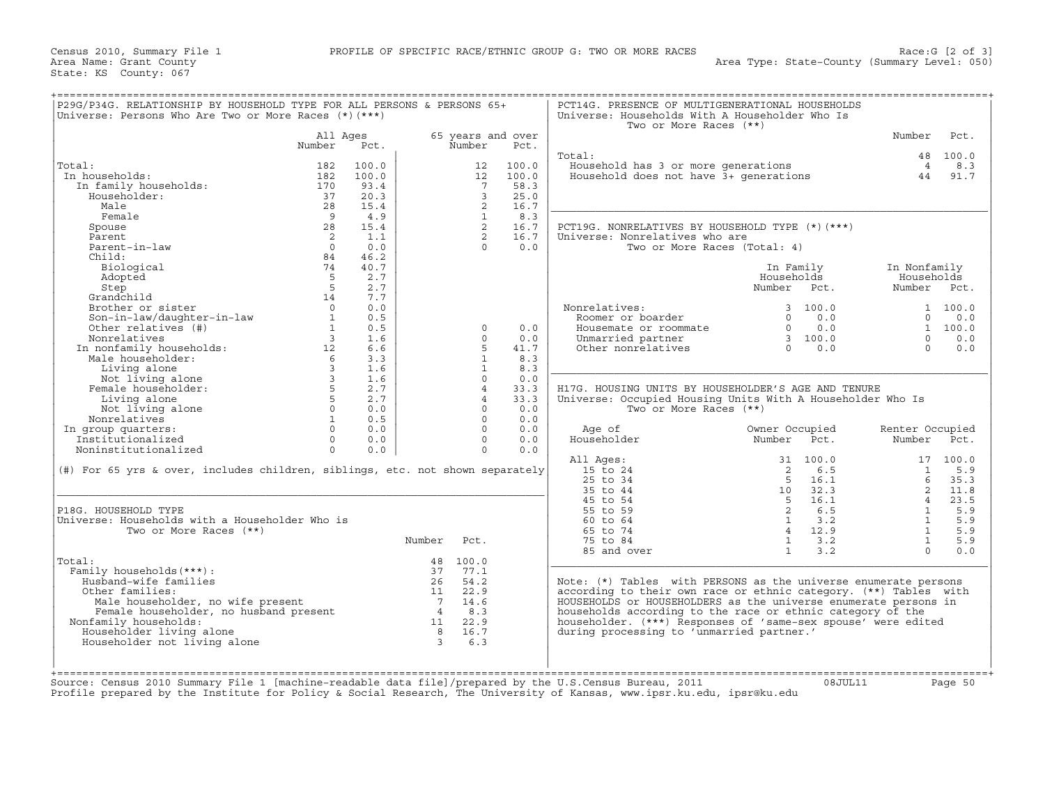| P29G/P34G. RELATIONSHIP BY HOUSEHOLD TYPE FOR ALL PERSONS & PERSONS 65+<br>Universe: Persons Who Are Two or More Races $(*)$ $(***)$                                                                                                                       |                      | =================== |             |                   |                   | PCT14G. PRESENCE OF MULTIGENERATIONAL HOUSEHOLDS<br>Universe: Households With A Householder Who Is<br>Two or More Races (**) |                                                     |                                                                    |                 |            |
|------------------------------------------------------------------------------------------------------------------------------------------------------------------------------------------------------------------------------------------------------------|----------------------|---------------------|-------------|-------------------|-------------------|------------------------------------------------------------------------------------------------------------------------------|-----------------------------------------------------|--------------------------------------------------------------------|-----------------|------------|
|                                                                                                                                                                                                                                                            | All Ages             |                     |             |                   | 65 years and over |                                                                                                                              |                                                     |                                                                    | Number          | Pct.       |
|                                                                                                                                                                                                                                                            | Number               | Pct.                |             | Number            | Pct.              |                                                                                                                              |                                                     |                                                                    |                 |            |
|                                                                                                                                                                                                                                                            |                      |                     |             |                   |                   | Total:                                                                                                                       |                                                     |                                                                    |                 | 48 100.0   |
| Total:                                                                                                                                                                                                                                                     | 182                  | 100.0               |             | 12                | 100.0             | Household has 3 or more generations 4<br>Household does not have 3+ generations 44                                           |                                                     |                                                                    |                 | 8.3        |
| In households:                                                                                                                                                                                                                                             | 182                  | 100.0               |             | 12                | 100.0             |                                                                                                                              |                                                     |                                                                    |                 | 91.7       |
| In family households:                                                                                                                                                                                                                                      | 170                  | 93.4                |             | $7\overline{7}$   | 58.3              |                                                                                                                              |                                                     |                                                                    |                 |            |
| Householder:                                                                                                                                                                                                                                               | 37                   | 20.3                |             | $\overline{3}$    | 25.0              |                                                                                                                              |                                                     |                                                                    |                 |            |
| Male                                                                                                                                                                                                                                                       | 28                   | 15.4                |             | 2                 | 16.7              |                                                                                                                              |                                                     |                                                                    |                 |            |
| Female                                                                                                                                                                                                                                                     | $\overline{9}$<br>28 | 4.9<br>15.4         |             | $\mathbf{1}$<br>2 | 8.3<br>16.7       |                                                                                                                              |                                                     |                                                                    |                 |            |
| Spouse<br>Parent                                                                                                                                                                                                                                           | $\overline{2}$       | 1.1                 |             | 2                 | 16.7              | PCT19G. NONRELATIVES BY HOUSEHOLD TYPE (*)(***)<br>Universe: Nonrelatives who are                                            |                                                     |                                                                    |                 |            |
| Parent-in-law                                                                                                                                                                                                                                              | $\Omega$             | 0.0                 |             | $\cap$            | 0.0               | Two or More Races (Total: 4)                                                                                                 |                                                     |                                                                    |                 |            |
| Child:                                                                                                                                                                                                                                                     | 84                   | 46.2                |             |                   |                   |                                                                                                                              |                                                     |                                                                    |                 |            |
| Biological                                                                                                                                                                                                                                                 | 74                   | 40.7                |             |                   |                   |                                                                                                                              | In Family                                           |                                                                    | In Nonfamily    |            |
| Adopted                                                                                                                                                                                                                                                    | 5                    | 2.7                 |             |                   |                   |                                                                                                                              | Households                                          |                                                                    | Households      |            |
| Step                                                                                                                                                                                                                                                       | $-5$                 | 2.7                 |             |                   |                   |                                                                                                                              | Number Pct.                                         |                                                                    | Number Pct.     |            |
| Grandchild                                                                                                                                                                                                                                                 | 14                   | 7.7                 |             |                   |                   |                                                                                                                              |                                                     |                                                                    |                 |            |
| Brother or sister                                                                                                                                                                                                                                          | $\overline{0}$       | 0.0                 |             |                   |                   | Nonrelatives:                                                                                                                |                                                     | 3 100.0                                                            |                 | 1 100.0    |
|                                                                                                                                                                                                                                                            |                      | 0.5                 |             |                   |                   | Roomer or boarder                                                                                                            |                                                     | $0 \t 0.0$                                                         |                 | $0 \t 0.0$ |
|                                                                                                                                                                                                                                                            |                      | 0.5                 |             | $\Omega$          | 0.0               | Housemate or roommate                                                                                                        |                                                     |                                                                    |                 | 1 100.0    |
|                                                                                                                                                                                                                                                            |                      |                     |             | $\Omega$          | 0.0               | Unmarried partner                                                                                                            |                                                     |                                                                    | $\Omega$        | 0.0        |
|                                                                                                                                                                                                                                                            |                      |                     |             |                   | 41.7              | Other nonrelatives                                                                                                           |                                                     | $\begin{bmatrix} 0 & 0.0 \\ 3 & 100.0 \\ 0 & 0.0 \end{bmatrix}$    | $\Omega$        | 0.0        |
|                                                                                                                                                                                                                                                            |                      |                     |             | $\mathbf{1}$      | 8.3               |                                                                                                                              |                                                     |                                                                    |                 |            |
|                                                                                                                                                                                                                                                            |                      |                     |             | $\mathbf{1}$      | 8.3               |                                                                                                                              |                                                     |                                                                    |                 |            |
|                                                                                                                                                                                                                                                            |                      |                     |             | $\Omega$          | 0.0               |                                                                                                                              |                                                     |                                                                    |                 |            |
|                                                                                                                                                                                                                                                            |                      |                     |             | $\overline{4}$    | 33.3              | H17G, HOUSING UNITS BY HOUSEHOLDER'S AGE AND TENURE                                                                          |                                                     |                                                                    |                 |            |
| Other relatives<br>In nonfamily households:<br>Male householder:<br>Male householder:<br>Living alone<br>Not living alone<br>Female householder:<br>Female householder:<br>5 2.7<br>Living alone<br>5 2.7<br>Living alone<br>5 2.7<br>Living alone<br>5 2. |                      |                     |             | $\overline{4}$    | 33.3              | Universe: Occupied Housing Units With A Householder Who Is                                                                   |                                                     |                                                                    |                 |            |
| Not living alone                                                                                                                                                                                                                                           | $0 \qquad \qquad$    | 0.0                 |             | $\Omega$          | 0.0               | Two or More Races (**)                                                                                                       |                                                     |                                                                    |                 |            |
| Nonrelatives                                                                                                                                                                                                                                               | 1                    | 0.5                 |             | $\Omega$          | 0.0               |                                                                                                                              |                                                     |                                                                    |                 |            |
| In group quarters:                                                                                                                                                                                                                                         |                      | $0 \t 0.0$          |             | $\Omega$          | 0.0               | Age of                                                                                                                       | Owner Occupied                                      |                                                                    | Renter Occupied |            |
| Institutionalized                                                                                                                                                                                                                                          |                      | $0 \qquad 0.0$      |             | $\Omega$          | 0.0               | Householder                                                                                                                  | Number Pct.                                         |                                                                    | Number Pct.     |            |
| Noninstitutionalized                                                                                                                                                                                                                                       | $\Omega$             | 0.0                 |             | $\Omega$          | 0.0               |                                                                                                                              |                                                     |                                                                    |                 |            |
|                                                                                                                                                                                                                                                            |                      |                     |             |                   |                   | All Ages:                                                                                                                    | 31 100.0                                            |                                                                    |                 | 17 100.0   |
| (#) For 65 yrs & over, includes children, siblings, etc. not shown separately                                                                                                                                                                              |                      |                     |             |                   |                   | 15 to 24                                                                                                                     | 2 6.5                                               |                                                                    | $\frac{1}{2}$   | 5.9        |
|                                                                                                                                                                                                                                                            |                      |                     |             |                   |                   | $25$ to $34$                                                                                                                 | $5 \t16.1$                                          |                                                                    | 6               | 35.3       |
|                                                                                                                                                                                                                                                            |                      |                     |             |                   |                   | 35 to 44                                                                                                                     |                                                     | $\begin{array}{ccc} 5 & 16.1 \\ 10 & 32.3 \\ 5 & 16.1 \end{array}$ |                 | $2 \t11.8$ |
|                                                                                                                                                                                                                                                            |                      |                     |             |                   |                   | 45 to 54                                                                                                                     | $\begin{bmatrix} 5 & 16.1 \\ 2 & 6.5 \end{bmatrix}$ |                                                                    | $4\overline{4}$ | 23.5       |
| P18G. HOUSEHOLD TYPE                                                                                                                                                                                                                                       |                      |                     |             |                   |                   | 55 to 59                                                                                                                     |                                                     |                                                                    | $\overline{1}$  | 5.9        |
| Universe: Households with a Householder Who is                                                                                                                                                                                                             |                      |                     |             |                   |                   | 60 to 64                                                                                                                     | $1 \t 3.2$                                          |                                                                    | $\mathbf{1}$    | 5.9        |
| Two or More Races (**)                                                                                                                                                                                                                                     |                      |                     |             |                   |                   | 65 to 74                                                                                                                     | 4 12.9                                              |                                                                    | $\sim$ 1        | 5.9        |
|                                                                                                                                                                                                                                                            |                      |                     | Number Pct. |                   |                   | 75 to 84                                                                                                                     | $1 \t3.2$                                           |                                                                    | $\frac{1}{2}$   | 5.9        |
|                                                                                                                                                                                                                                                            |                      |                     |             |                   |                   | 85 and over                                                                                                                  | $1 \quad \cdots$                                    | 3.2                                                                | $\Omega$        | 0.0        |
| Total:                                                                                                                                                                                                                                                     |                      |                     |             | 48 100.0          |                   |                                                                                                                              |                                                     |                                                                    |                 |            |
| Family households (***) :                                                                                                                                                                                                                                  |                      |                     | 37          | 77.1              |                   |                                                                                                                              |                                                     |                                                                    |                 |            |
| Husband-wife families                                                                                                                                                                                                                                      |                      |                     |             | 26 54.2           |                   | Note: $(*)$ Tables with PERSONS as the universe enumerate persons                                                            |                                                     |                                                                    |                 |            |
| Other families:                                                                                                                                                                                                                                            |                      |                     |             |                   |                   | according to their own race or ethnic category. (**) Tables with                                                             |                                                     |                                                                    |                 |            |
|                                                                                                                                                                                                                                                            |                      |                     |             |                   |                   | HOUSEHOLDS or HOUSEHOLDERS as the universe enumerate persons in                                                              |                                                     |                                                                    |                 |            |
|                                                                                                                                                                                                                                                            |                      |                     |             |                   |                   | households according to the race or ethnic category of the<br>householder. (***) Responses of 'same-sex spouse' were edited  |                                                     |                                                                    |                 |            |
| Nonfamily households:                                                                                                                                                                                                                                      |                      |                     |             |                   |                   |                                                                                                                              |                                                     |                                                                    |                 |            |
| Householder living alone<br>Householder not living alone                                                                                                                                                                                                   |                      |                     |             |                   |                   | during processing to 'unmarried partner.'                                                                                    |                                                     |                                                                    |                 |            |
|                                                                                                                                                                                                                                                            |                      |                     |             |                   |                   |                                                                                                                              |                                                     |                                                                    |                 |            |
| male nouseholder, no wife present<br>Female householder, no husband present<br>7 14.6<br>7 14.6<br>7 14.6<br>7 14.8.3<br>1 22.9<br>16.7<br>16.7<br>16.7<br>16.7                                                                                            |                      |                     |             |                   |                   |                                                                                                                              |                                                     |                                                                    |                 |            |
|                                                                                                                                                                                                                                                            |                      |                     |             |                   |                   |                                                                                                                              |                                                     |                                                                    |                 |            |
| Source: Census 2010 Summary File 1 [machine-readable data file]/prepared by the U.S.Census Bureau, 2011                                                                                                                                                    |                      |                     |             |                   |                   |                                                                                                                              |                                                     | 08JUL11                                                            |                 | Page 50    |
| Profile prepared by the Institute for Policy & Social Research, The University of Kansas, www.ipsr.ku.edu, ipsr@ku.edu                                                                                                                                     |                      |                     |             |                   |                   |                                                                                                                              |                                                     |                                                                    |                 |            |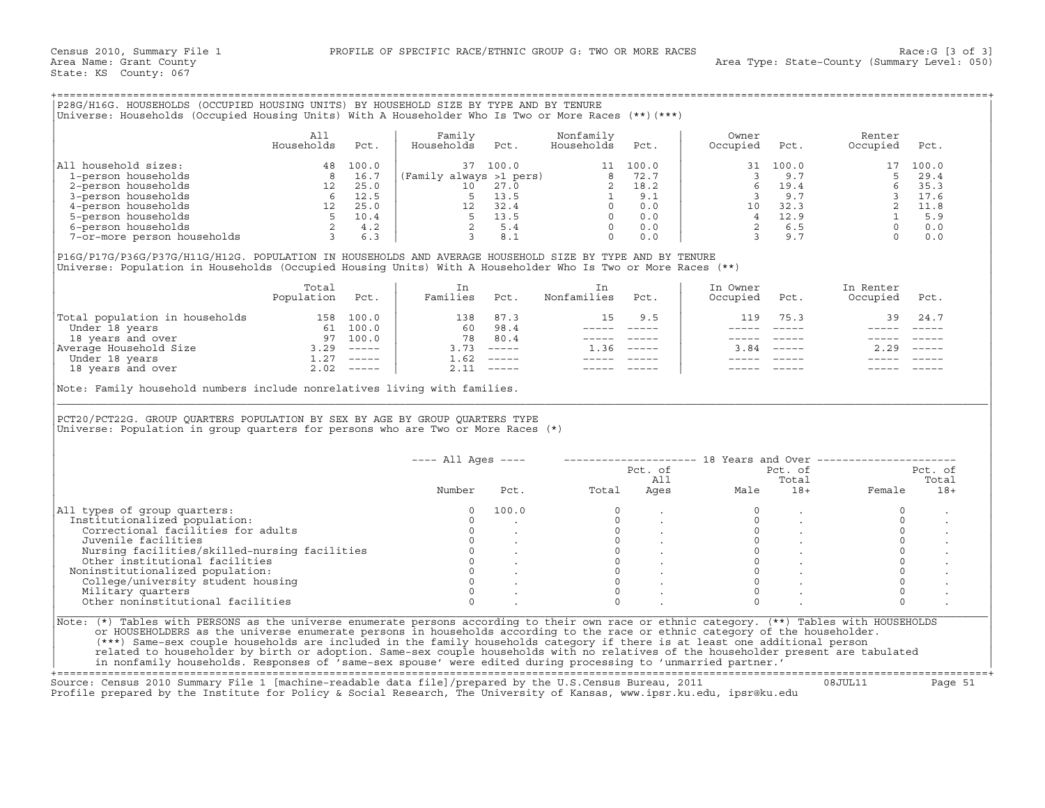| P28G/H16G. HOUSEHOLDS (OCCUPIED HOUSING UNITS) BY HOUSEHOLD SIZE BY TYPE AND BY TENURE<br>(Universe: Households (Occupied Housing Units) With A Householder Who Is Two or More Races (**)(***) |                   |                                                             |                                           |                                                     |                         |                                                          |                   |                                                           |                    |                                                            |
|------------------------------------------------------------------------------------------------------------------------------------------------------------------------------------------------|-------------------|-------------------------------------------------------------|-------------------------------------------|-----------------------------------------------------|-------------------------|----------------------------------------------------------|-------------------|-----------------------------------------------------------|--------------------|------------------------------------------------------------|
|                                                                                                                                                                                                | All<br>Households | Pct.                                                        | Family<br>Households                      | Pct.                                                | Nonfamily<br>Households | Pct.                                                     | Owner<br>Occupied | Pct.                                                      | Renter<br>Occupied | Pct.                                                       |
| All household sizes:<br>1-person households<br>2-person households<br>3-person households<br>4-person households<br>5-person households<br>6-person households<br>7-or-more person households  | 48                | 100.0<br>16.7<br>25.0<br>12.5<br>25.0<br>10.4<br>4.2<br>6.3 | 37<br>(Family always >1 pers)<br>10<br>12 | 100.0<br>27.0<br>13.5<br>32.4<br>13.5<br>5.4<br>8.1 |                         | 100.0<br>72.7<br>18.2<br>9.1<br>0.0<br>0.0<br>0.0<br>0.0 | 31<br>1 O         | 100.0<br>9.7<br>19.4<br>9.7<br>32.3<br>12.9<br>6.5<br>9.7 |                    | 100.0<br>29.4<br>35.3<br>17.6<br>11.8<br>5.9<br>0.0<br>0.0 |

|                                | Total<br>Population | Pct.          | Families | Pct.                      | Nonfamilies | Pct. | In Owner<br>Occupied | Pct. | In Renter<br>Occupied | Pct.                      |
|--------------------------------|---------------------|---------------|----------|---------------------------|-------------|------|----------------------|------|-----------------------|---------------------------|
| Total population in households | 158                 | 100.0         | 138      | 87.3                      | 15.         | 9.5  | 119                  | 75.3 | 39                    | 24.7                      |
| Under 18 years                 | 61                  | 100.0         | 60       | 98.4                      |             |      |                      |      |                       |                           |
| 18 years and over              | 97                  | 100.0         | 78       | 80.4                      |             |      |                      |      |                       |                           |
| Average Household Size         | 3.29                | $------$      | 3.73     | $\qquad \qquad - - - - -$ | .36         |      | 3.84                 |      | 2.29                  | $\qquad \qquad - - - - -$ |
| Under 18 years                 |                     | $\frac{1}{2}$ | 1.62     | $------$                  |             |      |                      |      |                       |                           |
| 18 years and over              | 2.02                | $\frac{1}{2}$ | 2.11     | $- - - - - -$             |             |      |                      |      |                       |                           |

|                                                                                                                                                                                                                                                                                                                                                                                                                                                                                                    |                   |      | Universe: Households (Occupied Housing Units) With A Householder Who Is Two or More Races (**) (***) | P28G/H16G. HOUSEHOLDS (OCCUPIED HOUSING UNITS) BY HOUSEHOLD SIZE BY TYPE AND BY TENURE |                                                                                   |      |                                      |                                                          |                                                            |         |
|----------------------------------------------------------------------------------------------------------------------------------------------------------------------------------------------------------------------------------------------------------------------------------------------------------------------------------------------------------------------------------------------------------------------------------------------------------------------------------------------------|-------------------|------|------------------------------------------------------------------------------------------------------|----------------------------------------------------------------------------------------|-----------------------------------------------------------------------------------|------|--------------------------------------|----------------------------------------------------------|------------------------------------------------------------|---------|
|                                                                                                                                                                                                                                                                                                                                                                                                                                                                                                    | All<br>Households | Pct. | Family<br>Households                                                                                 | Pct.                                                                                   | Nonfamily<br>Households                                                           | Pct. | Owner<br>Occupied                    | Pct.                                                     | Renter<br>Occupied                                         | Pct.    |
| All household sizes:                                                                                                                                                                                                                                                                                                                                                                                                                                                                               |                   |      |                                                                                                      |                                                                                        |                                                                                   |      |                                      |                                                          |                                                            |         |
|                                                                                                                                                                                                                                                                                                                                                                                                                                                                                                    |                   |      |                                                                                                      |                                                                                        |                                                                                   |      |                                      |                                                          |                                                            |         |
|                                                                                                                                                                                                                                                                                                                                                                                                                                                                                                    |                   |      |                                                                                                      |                                                                                        |                                                                                   |      |                                      |                                                          |                                                            |         |
|                                                                                                                                                                                                                                                                                                                                                                                                                                                                                                    |                   |      |                                                                                                      |                                                                                        |                                                                                   |      |                                      |                                                          |                                                            |         |
|                                                                                                                                                                                                                                                                                                                                                                                                                                                                                                    |                   |      |                                                                                                      |                                                                                        |                                                                                   |      |                                      |                                                          |                                                            |         |
|                                                                                                                                                                                                                                                                                                                                                                                                                                                                                                    |                   |      |                                                                                                      |                                                                                        |                                                                                   |      |                                      |                                                          |                                                            |         |
|                                                                                                                                                                                                                                                                                                                                                                                                                                                                                                    |                   |      |                                                                                                      |                                                                                        |                                                                                   |      |                                      |                                                          |                                                            |         |
|                                                                                                                                                                                                                                                                                                                                                                                                                                                                                                    |                   |      |                                                                                                      |                                                                                        |                                                                                   |      |                                      |                                                          |                                                            |         |
| P16G/P17G/P36G/P37G/H11G/H12G. POPULATION IN HOUSEHOLDS AND AVERAGE HOUSEHOLD SIZE BY TYPE AND BY TENURE<br>Universe: Population in Households (Occupied Housing Units) With A Householder Who Is Two or More Races (**)                                                                                                                                                                                                                                                                           |                   |      |                                                                                                      |                                                                                        |                                                                                   |      |                                      |                                                          |                                                            |         |
|                                                                                                                                                                                                                                                                                                                                                                                                                                                                                                    | Total             |      | In                                                                                                   |                                                                                        | In                                                                                |      | In Owner                             |                                                          | In Renter                                                  |         |
|                                                                                                                                                                                                                                                                                                                                                                                                                                                                                                    | Population Pct.   |      | Families Pct.                                                                                        |                                                                                        | Nonfamilies                                                                       | Pct. | Occupied                             | Pct.                                                     | Occupied                                                   | Pct.    |
| $\begin{tabular}{ l l l l l } \hline \texttt{Total population in households} & \multicolumn{1}{ l l } \hline \texttt{Total population in households} & \multicolumn{1}{ l } \hline \texttt{Under 18 years} & \multicolumn{1}{ l } \hline \texttt{Under 18 years} & \multicolumn{1}{ l } \hline \texttt{M} & \multicolumn{1}{ l } \hline \texttt{M} & \multicolumn{1}{ l } \hline \texttt{M} & \multicolumn{1}{ l } \hline \texttt{M} & \multicolumn{1}{ l } \hline \texttt{M} & \multicolumn{1}{ $ |                   |      |                                                                                                      |                                                                                        | 15                                                                                | 9.5  | 119                                  | 75.3                                                     | 39                                                         | 24.7    |
|                                                                                                                                                                                                                                                                                                                                                                                                                                                                                                    |                   |      |                                                                                                      |                                                                                        |                                                                                   |      | $\frac{1}{2}$                        | $\frac{1}{2}$                                            |                                                            |         |
|                                                                                                                                                                                                                                                                                                                                                                                                                                                                                                    |                   |      |                                                                                                      |                                                                                        |                                                                                   |      | $------$                             | $\qquad \qquad - - - - -$                                | $\qquad \qquad - - - - -$                                  |         |
|                                                                                                                                                                                                                                                                                                                                                                                                                                                                                                    |                   |      |                                                                                                      |                                                                                        | $1.36$ -----                                                                      |      |                                      | $3.84$ -----                                             | 2.29                                                       |         |
|                                                                                                                                                                                                                                                                                                                                                                                                                                                                                                    |                   |      |                                                                                                      |                                                                                        |                                                                                   |      |                                      |                                                          |                                                            |         |
|                                                                                                                                                                                                                                                                                                                                                                                                                                                                                                    |                   |      |                                                                                                      |                                                                                        |                                                                                   |      |                                      |                                                          |                                                            |         |
| PCT20/PCT22G. GROUP QUARTERS POPULATION BY SEX BY AGE BY GROUP QUARTERS TYPE<br>Universe: Population in group quarters for persons who are Two or More Races $(*)$                                                                                                                                                                                                                                                                                                                                 |                   |      |                                                                                                      |                                                                                        |                                                                                   |      |                                      |                                                          |                                                            |         |
|                                                                                                                                                                                                                                                                                                                                                                                                                                                                                                    |                   |      | ---- All Ages ----                                                                                   |                                                                                        |                                                                                   |      |                                      |                                                          | --------------------- 18 Years and Over ------------------ |         |
|                                                                                                                                                                                                                                                                                                                                                                                                                                                                                                    |                   |      |                                                                                                      |                                                                                        |                                                                                   |      | Pct. of<br>All<br>Ages Male          |                                                          | Pct. of                                                    | Pct. of |
|                                                                                                                                                                                                                                                                                                                                                                                                                                                                                                    |                   |      |                                                                                                      |                                                                                        |                                                                                   |      |                                      | Total                                                    |                                                            | Total   |
|                                                                                                                                                                                                                                                                                                                                                                                                                                                                                                    |                   |      | Number                                                                                               | Pct.                                                                                   | Total                                                                             |      |                                      |                                                          | 18+ Female                                                 | $18+$   |
|                                                                                                                                                                                                                                                                                                                                                                                                                                                                                                    |                   |      | $\mathbf 0$                                                                                          | 100.0                                                                                  | $\circ$                                                                           |      | $\circ$                              |                                                          | $\circ$                                                    |         |
|                                                                                                                                                                                                                                                                                                                                                                                                                                                                                                    |                   |      |                                                                                                      |                                                                                        |                                                                                   |      |                                      |                                                          |                                                            |         |
|                                                                                                                                                                                                                                                                                                                                                                                                                                                                                                    |                   |      | $\Omega$                                                                                             |                                                                                        |                                                                                   |      | $\mathbf{0}$                         |                                                          | $\circ$                                                    |         |
| Institutionalized population:<br>Correctional facilities for adults                                                                                                                                                                                                                                                                                                                                                                                                                                |                   |      | $\circ$                                                                                              |                                                                                        |                                                                                   |      | $\circ$                              |                                                          | $\circ$                                                    |         |
| Juvenile facilities                                                                                                                                                                                                                                                                                                                                                                                                                                                                                |                   |      |                                                                                                      | $0 \qquad \qquad$                                                                      |                                                                                   |      |                                      |                                                          | $\circ$                                                    |         |
|                                                                                                                                                                                                                                                                                                                                                                                                                                                                                                    |                   |      |                                                                                                      |                                                                                        |                                                                                   |      | $\begin{matrix} 0 \\ 0 \end{matrix}$ | $\sim$                                                   | $\circ$                                                    |         |
|                                                                                                                                                                                                                                                                                                                                                                                                                                                                                                    |                   |      |                                                                                                      |                                                                                        |                                                                                   |      |                                      |                                                          | $\circ$                                                    |         |
| Noninstitutionalized population:                                                                                                                                                                                                                                                                                                                                                                                                                                                                   |                   |      |                                                                                                      |                                                                                        |                                                                                   |      |                                      |                                                          | $\mathsf{O}\xspace$                                        |         |
|                                                                                                                                                                                                                                                                                                                                                                                                                                                                                                    |                   |      |                                                                                                      |                                                                                        | $\begin{bmatrix} 0 \\ 0 \\ 0 \\ 0 \\ 0 \\ 0 \\ 0 \end{bmatrix}$<br>$\overline{0}$ |      | $\Omega$                             | $\begin{matrix} 0 & & \cdot \\ 0 & & \cdot \end{matrix}$ | $\circ$                                                    |         |
| Juvenile facilities<br>Nursing facilities/skilled-nursing facilities<br>Other institutional facilities<br>oninstitutionalized population:<br>College/university student housing<br>0 .<br>College/university student housing<br>0 .<br>Military quarters                                                                                                                                                                                                                                           |                   |      | $\Omega$                                                                                             |                                                                                        | $\Omega$                                                                          |      | $\Omega$                             |                                                          | $\circ$                                                    |         |
| All types of group quarters:<br>Other noninstitutional facilities                                                                                                                                                                                                                                                                                                                                                                                                                                  |                   |      | $\Omega$                                                                                             |                                                                                        | $\cap$                                                                            |      | $\cap$                               |                                                          | $\Omega$                                                   |         |

+===================================================================================================================================================+ Source: Census 2010 Summary File 1 [machine−readable data file]/prepared by the U.S.Census Bureau, 2011 08JUL11 Page 51

Profile prepared by the Institute for Policy & Social Research, The University of Kansas, www.ipsr.ku.edu, ipsr@ku.edu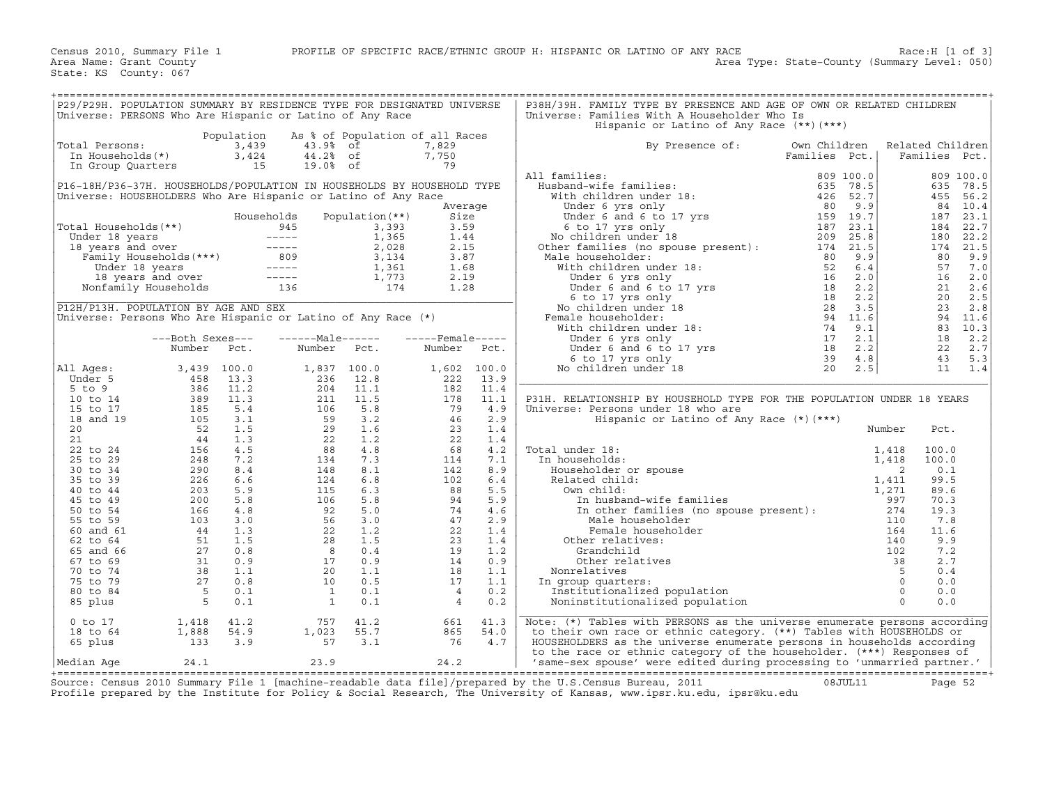| P29/P29H. POPULATION SUMMARY BY RESIDENCE TYPE FOR DESIGNATED UNIVERSE<br>Universe: PERSONS Who Are Hispanic or Latino of Any Race |             |                                                                                                                                                                                                                                                  |                         |      | P38H/39H. FAMILY TYPE BY PRESENCE AND AGE OF OWN OR RELATED CHILDREN<br>Universe: Families With A Householder Who Is<br>Hispanic or Latino of Any Race (**) (***) |               |        |                  |  |
|------------------------------------------------------------------------------------------------------------------------------------|-------------|--------------------------------------------------------------------------------------------------------------------------------------------------------------------------------------------------------------------------------------------------|-------------------------|------|-------------------------------------------------------------------------------------------------------------------------------------------------------------------|---------------|--------|------------------|--|
|                                                                                                                                    |             | Population As % of Population of all Races                                                                                                                                                                                                       |                         |      |                                                                                                                                                                   |               |        |                  |  |
| Total Persons:                                                                                                                     |             | Variation of the contract of the contract of the contract of the contract of the contract of the contract of the contract of the contract of the contract of the contract of the contract of the contract of the contract of t                   |                         |      | By Presence of:                                                                                                                                                   | Own Children  |        | Related Children |  |
|                                                                                                                                    |             |                                                                                                                                                                                                                                                  |                         |      |                                                                                                                                                                   | Families Pct. |        | Families Pct.    |  |
|                                                                                                                                    |             |                                                                                                                                                                                                                                                  |                         |      |                                                                                                                                                                   |               |        |                  |  |
|                                                                                                                                    |             |                                                                                                                                                                                                                                                  |                         |      | All families:                                                                                                                                                     |               |        |                  |  |
| P16-18H/P36-37H. HOUSEHOLDS/POPULATION IN HOUSEHOLDS BY HOUSEHOLD TYPE                                                             |             |                                                                                                                                                                                                                                                  |                         |      |                                                                                                                                                                   |               |        |                  |  |
| Universe: HOUSEHOLDERS Who Are Hispanic or Latino of Any Race                                                                      |             |                                                                                                                                                                                                                                                  |                         |      |                                                                                                                                                                   |               |        |                  |  |
|                                                                                                                                    |             |                                                                                                                                                                                                                                                  | Average                 |      |                                                                                                                                                                   |               |        |                  |  |
|                                                                                                                                    |             | Households Population (**)                                                                                                                                                                                                                       | Size                    |      |                                                                                                                                                                   |               |        |                  |  |
|                                                                                                                                    |             |                                                                                                                                                                                                                                                  |                         |      |                                                                                                                                                                   |               |        |                  |  |
|                                                                                                                                    |             |                                                                                                                                                                                                                                                  |                         |      |                                                                                                                                                                   |               |        |                  |  |
|                                                                                                                                    |             |                                                                                                                                                                                                                                                  |                         |      |                                                                                                                                                                   |               |        |                  |  |
|                                                                                                                                    |             |                                                                                                                                                                                                                                                  |                         |      |                                                                                                                                                                   |               |        |                  |  |
|                                                                                                                                    |             |                                                                                                                                                                                                                                                  |                         |      |                                                                                                                                                                   |               |        |                  |  |
|                                                                                                                                    |             |                                                                                                                                                                                                                                                  |                         |      |                                                                                                                                                                   |               |        |                  |  |
|                                                                                                                                    |             |                                                                                                                                                                                                                                                  |                         |      |                                                                                                                                                                   |               |        |                  |  |
|                                                                                                                                    |             |                                                                                                                                                                                                                                                  |                         |      |                                                                                                                                                                   |               |        |                  |  |
|                                                                                                                                    |             |                                                                                                                                                                                                                                                  |                         |      |                                                                                                                                                                   |               |        |                  |  |
|                                                                                                                                    |             |                                                                                                                                                                                                                                                  |                         |      |                                                                                                                                                                   |               |        |                  |  |
|                                                                                                                                    |             |                                                                                                                                                                                                                                                  |                         |      |                                                                                                                                                                   |               |        |                  |  |
|                                                                                                                                    |             | ---Both Sexes---    ------Male------    -----Female-----                                                                                                                                                                                         |                         |      |                                                                                                                                                                   |               |        |                  |  |
|                                                                                                                                    | Number Pct. |                                                                                                                                                                                                                                                  | Number Pct. Number Pct. |      |                                                                                                                                                                   |               |        |                  |  |
|                                                                                                                                    |             |                                                                                                                                                                                                                                                  |                         |      |                                                                                                                                                                   |               |        |                  |  |
| All Ages:                                                                                                                          |             |                                                                                                                                                                                                                                                  |                         |      |                                                                                                                                                                   |               |        |                  |  |
|                                                                                                                                    |             |                                                                                                                                                                                                                                                  |                         |      |                                                                                                                                                                   |               |        |                  |  |
|                                                                                                                                    |             |                                                                                                                                                                                                                                                  |                         |      |                                                                                                                                                                   |               |        |                  |  |
|                                                                                                                                    |             |                                                                                                                                                                                                                                                  |                         |      | P31H. RELATIONSHIP BY HOUSEHOLD TYPE FOR THE POPULATION UNDER 18 YEARS                                                                                            |               |        |                  |  |
|                                                                                                                                    |             |                                                                                                                                                                                                                                                  |                         |      | Universe: Persons under 18 who are                                                                                                                                |               |        |                  |  |
|                                                                                                                                    |             |                                                                                                                                                                                                                                                  |                         |      | Hispanic or Latino of Any Race (*) (***)                                                                                                                          |               | Number | Pct.             |  |
|                                                                                                                                    |             |                                                                                                                                                                                                                                                  |                         |      |                                                                                                                                                                   |               |        |                  |  |
|                                                                                                                                    |             |                                                                                                                                                                                                                                                  |                         |      | Total under 18:                                                                                                                                                   |               |        | 100.0            |  |
|                                                                                                                                    |             |                                                                                                                                                                                                                                                  |                         |      | In households:                                                                                                                                                    |               |        | 100.0            |  |
|                                                                                                                                    |             |                                                                                                                                                                                                                                                  |                         |      |                                                                                                                                                                   |               |        | 0.1              |  |
|                                                                                                                                    |             |                                                                                                                                                                                                                                                  |                         |      |                                                                                                                                                                   |               |        | 99.5             |  |
|                                                                                                                                    |             |                                                                                                                                                                                                                                                  |                         |      |                                                                                                                                                                   |               |        | 89.6             |  |
|                                                                                                                                    |             |                                                                                                                                                                                                                                                  |                         |      |                                                                                                                                                                   |               |        | 70.3             |  |
|                                                                                                                                    |             |                                                                                                                                                                                                                                                  |                         |      |                                                                                                                                                                   |               |        | 19.3             |  |
|                                                                                                                                    |             |                                                                                                                                                                                                                                                  |                         |      |                                                                                                                                                                   |               |        | 7.8              |  |
|                                                                                                                                    |             |                                                                                                                                                                                                                                                  |                         |      |                                                                                                                                                                   |               |        | 11.6             |  |
|                                                                                                                                    |             |                                                                                                                                                                                                                                                  |                         |      |                                                                                                                                                                   |               |        | 9.9              |  |
|                                                                                                                                    |             |                                                                                                                                                                                                                                                  |                         |      | Male<br>Female house.<br>Other relatives:<br>Grandchild<br>An relative                                                                                            |               |        | 7.2              |  |
|                                                                                                                                    |             |                                                                                                                                                                                                                                                  |                         |      |                                                                                                                                                                   |               |        | 2.7              |  |
|                                                                                                                                    |             |                                                                                                                                                                                                                                                  |                         |      |                                                                                                                                                                   |               |        | 0.4              |  |
|                                                                                                                                    |             |                                                                                                                                                                                                                                                  |                         |      | In group quarters:                                                                                                                                                |               |        | 0.0              |  |
|                                                                                                                                    |             |                                                                                                                                                                                                                                                  |                         |      |                                                                                                                                                                   |               |        | 0.0              |  |
|                                                                                                                                    |             |                                                                                                                                                                                                                                                  |                         |      |                                                                                                                                                                   |               |        | 0.0              |  |
|                                                                                                                                    |             | All Ages: $3, 439$ 100.0 1, 837 100.0<br>10 Mumber Pct. Number Pct.<br>5 to 9 458 13.3 226 12.8<br>10 to 14 389 11.3 204 11.1<br>15 to 17 389 11.3 204 11.1<br>15 to 17 185 5.4 211 11.5<br>16 5.8<br>20 5.1 59 3.2<br>20 12<br>22 to 24 156 4.5 |                         |      |                                                                                                                                                                   |               |        |                  |  |
| $0$ to $17$                                                                                                                        |             | $\begin{array}{cccccc} 1,418 & 41.2 & 757 & 41.2 & 661 \\ 1,888 & 54.9 & 1,023 & 55.7 & 865 \\ 133 & 3.9 & 57 & 3.1 & 76 \end{array}$                                                                                                            |                         | 41.3 | Note: (*) Tables with PERSONS as the universe enumerate persons according                                                                                         |               |        |                  |  |
| 18 to 64                                                                                                                           |             |                                                                                                                                                                                                                                                  |                         | 54.0 | to their own race or ethnic category. (**) Tables with HOUSEHOLDS or                                                                                              |               |        |                  |  |
| 65 plus                                                                                                                            |             |                                                                                                                                                                                                                                                  |                         | 4.7  | HOUSEHOLDERS as the universe enumerate persons in households according                                                                                            |               |        |                  |  |
|                                                                                                                                    |             |                                                                                                                                                                                                                                                  |                         |      | to the race or ethnic category of the householder. (***) Responses of                                                                                             |               |        |                  |  |
|                                                                                                                                    |             |                                                                                                                                                                                                                                                  |                         |      | 'same-sex spouse' were edited during processing to 'unmarried partner.'                                                                                           |               |        |                  |  |

+===================================================================================================================================================+Source: Census 2010 Summary File 1 [machine−readable data file]/prepared by the U.S.Census Bureau, 2011 08JUL11 Page 52 Profile prepared by the Institute for Policy & Social Research, The University of Kansas, www.ipsr.ku.edu, ipsr@ku.edu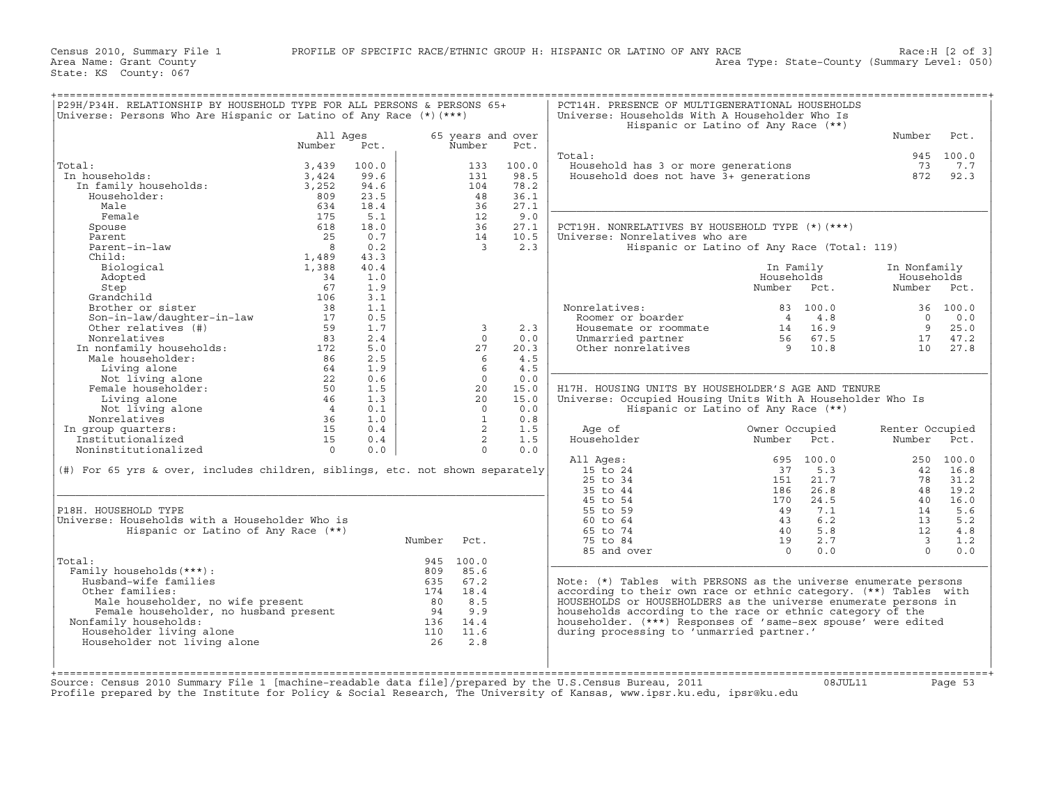| P29H/P34H. RELATIONSHIP BY HOUSEHOLD TYPE FOR ALL PERSONS & PERSONS 65+<br>Universe: Persons Who Are Hispanic or Latino of Any Race $(*)$ (***) |                |       |        |                   |       | PCT14H. PRESENCE OF MULTIGENERATIONAL HOUSEHOLDS<br>Universe: Households With A Householder Who Is |                |          |                         |           |
|-------------------------------------------------------------------------------------------------------------------------------------------------|----------------|-------|--------|-------------------|-------|----------------------------------------------------------------------------------------------------|----------------|----------|-------------------------|-----------|
|                                                                                                                                                 | All Ages       |       |        | 65 years and over |       | Hispanic or Latino of Any Race (**)                                                                |                |          | Number                  | Pct.      |
|                                                                                                                                                 | Number         | Pct.  |        | Number            | Pct.  |                                                                                                    |                |          |                         |           |
|                                                                                                                                                 |                |       |        |                   |       | Total:                                                                                             |                |          |                         | 945 100.0 |
| Total:                                                                                                                                          | 3,439          | 100.0 |        | 133               | 100.0 | Household has 3 or more generations                                                                |                |          | 73                      | 7.7       |
| In households:                                                                                                                                  | 3,424          | 99.6  |        | 131               | 98.5  | Household does not have 3+ qenerations                                                             |                |          | 872                     | 92.3      |
| In family households:                                                                                                                           | 3,252          | 94.6  |        | 104               | 78.2  |                                                                                                    |                |          |                         |           |
| Householder:                                                                                                                                    | 809            | 23.5  |        | 48                | 36.1  |                                                                                                    |                |          |                         |           |
| Male                                                                                                                                            | 634            | 18.4  |        | 36                | 27.1  |                                                                                                    |                |          |                         |           |
| Female                                                                                                                                          | 175            | 5.1   |        | 12                | 9.0   |                                                                                                    |                |          |                         |           |
| Spouse                                                                                                                                          | 618            | 18.0  |        | 36                | 27.1  | PCT19H. NONRELATIVES BY HOUSEHOLD TYPE (*) (***)                                                   |                |          |                         |           |
| Parent                                                                                                                                          | 25             | 0.7   |        | 14                | 10.5  | Universe: Nonrelatives who are                                                                     |                |          |                         |           |
| Parent-in-law                                                                                                                                   | $\overline{8}$ | 0.2   |        | $\overline{3}$    | 2.3   | Hispanic or Latino of Any Race (Total: 119)                                                        |                |          |                         |           |
| Child:                                                                                                                                          | 1,489          | 43.3  |        |                   |       |                                                                                                    |                |          |                         |           |
| Biological                                                                                                                                      | 1,388          | 40.4  |        |                   |       |                                                                                                    | In Family      |          | In Nonfamily            |           |
|                                                                                                                                                 | 34             |       |        |                   |       |                                                                                                    |                |          |                         |           |
| Adopted                                                                                                                                         | 67             | 1.0   |        |                   |       |                                                                                                    | Households     |          | Households              |           |
| Step                                                                                                                                            |                | 1.9   |        |                   |       |                                                                                                    | Number Pct.    |          | Number                  | Pct.      |
| Grandchild                                                                                                                                      | 106            | 3.1   |        |                   |       |                                                                                                    |                |          |                         |           |
| Brother or sister                                                                                                                               | 38             | 1.1   |        |                   |       | Nonrelatives:                                                                                      |                | 83 100.0 |                         | 36 100.0  |
| Son-in-law/daughter-in-law                                                                                                                      | 17             | 0.5   |        |                   |       | Roomer or boarder                                                                                  | $\overline{4}$ | 4.8      | $\Omega$                | 0.0       |
| Other relatives (#)                                                                                                                             | 59             | 1.7   |        | 3                 | 2.3   | Housemate or roommate                                                                              | 14             | 16.9     | 9                       | 25.0      |
| Nonrelatives                                                                                                                                    | 83             | 2.4   |        | $\Omega$          | 0.0   | Unmarried partner                                                                                  |                | 56 67.5  | 17                      | 47.2      |
| In nonfamily households:                                                                                                                        | 172            | 5.0   |        | 27                | 20.3  | Other nonrelatives                                                                                 | 9              | 10.8     |                         | 10 27.8   |
| Male householder:                                                                                                                               | 86             | 2.5   |        | - 6               | 4.5   |                                                                                                    |                |          |                         |           |
| Living alone                                                                                                                                    | 64             | 1.9   |        | 6                 | 4.5   |                                                                                                    |                |          |                         |           |
| Not living alone                                                                                                                                | 22             | 0.6   |        | $\Omega$          | 0.0   |                                                                                                    |                |          |                         |           |
| Female householder:                                                                                                                             | 50             | 1.5   |        | 20                | 15.0  | H17H. HOUSING UNITS BY HOUSEHOLDER'S AGE AND TENURE                                                |                |          |                         |           |
| Living alone                                                                                                                                    | 46             | 1.3   |        | 20                | 15.0  | Universe: Occupied Housing Units With A Householder Who Is                                         |                |          |                         |           |
| Not living alone                                                                                                                                | $\overline{4}$ | 0.1   |        | $\Omega$          | 0.0   | Hispanic or Latino of Any Race (**)                                                                |                |          |                         |           |
| Nonrelatives                                                                                                                                    | 36             | 1.0   |        | 1                 | 0.8   |                                                                                                    |                |          |                         |           |
| In group quarters:                                                                                                                              | 15             | 0.4   |        | $\overline{2}$    | 1.5   | Age of                                                                                             | Owner Occupied |          | Renter Occupied         |           |
| Institutionalized                                                                                                                               | 15             | 0.4   |        | $\overline{2}$    | 1.5   | Householder                                                                                        | Number         | Pct.     | Number                  | Pct.      |
| Noninstitutionalized                                                                                                                            | $\Omega$       | 0.0   |        | $\Omega$          | 0.0   |                                                                                                    |                |          |                         |           |
|                                                                                                                                                 |                |       |        |                   |       |                                                                                                    |                |          |                         |           |
|                                                                                                                                                 |                |       |        |                   |       | All Ages:                                                                                          | 695            | 100.0    |                         | 250 100.0 |
| $(\#)$ For 65 yrs & over, includes children, siblings, etc. not shown separately                                                                |                |       |        |                   |       | 15 to 24                                                                                           | 37             | 5.3      | 42                      | 16.8      |
|                                                                                                                                                 |                |       |        |                   |       | 25 to 34                                                                                           | 151            | 21.7     | 78                      | 31.2      |
|                                                                                                                                                 |                |       |        |                   |       | 35 to 44                                                                                           | 186            | 26.8     | 48                      | 19.2      |
|                                                                                                                                                 |                |       |        |                   |       | 45 to 54                                                                                           | 170            | 24.5     | 40                      | 16.0      |
| P18H. HOUSEHOLD TYPE                                                                                                                            |                |       |        |                   |       | 55 to 59                                                                                           | 49             | 7.1      | 14                      | 5.6       |
|                                                                                                                                                 |                |       |        |                   |       | 60 to 64                                                                                           | 43             | 6.2      | 13                      | 5.2       |
| Universe: Households with a Householder Who is                                                                                                  |                |       |        |                   |       | 65 to 74                                                                                           | 40             | 5.8      | 12                      | 4.8       |
| Hispanic or Latino of Any Race (**)                                                                                                             |                |       | Number | Pct.              |       | 75 to 84                                                                                           | 19             | 2.7      | $\overline{\mathbf{3}}$ | 1.2       |
|                                                                                                                                                 |                |       |        |                   |       |                                                                                                    |                | 0.0      | $\Omega$                | 0.0       |
|                                                                                                                                                 |                |       |        |                   |       | 85 and over                                                                                        | $\Omega$       |          |                         |           |
|                                                                                                                                                 |                |       |        | 945 100.0         |       |                                                                                                    |                |          |                         |           |
| Total:                                                                                                                                          |                |       | 809    | 85.6              |       |                                                                                                    |                |          |                         |           |
| Family households (***) :                                                                                                                       |                |       |        |                   |       |                                                                                                    |                |          |                         |           |
| Husband-wife families                                                                                                                           |                |       | 635    | 67.2              |       | Note: (*) Tables with PERSONS as the universe enumerate persons                                    |                |          |                         |           |
| Other families:                                                                                                                                 |                |       |        | 174 18.4          |       | according to their own race or ethnic category. (**) Tables with                                   |                |          |                         |           |
| Male householder, no wife present                                                                                                               |                |       | 80     | 8.5               |       | HOUSEHOLDS or HOUSEHOLDERS as the universe enumerate persons in                                    |                |          |                         |           |
| ner lamilies:<br>Male householder, no wife present<br>Female householder, no husband present<br>Comily bouseholder, no husband present          |                |       | 94     | 9.9               |       | households according to the race or ethnic category of the                                         |                |          |                         |           |
| Nonfamily households:                                                                                                                           |                |       | 136    | 14.4              |       | householder. (***) Responses of 'same-sex spouse' were edited                                      |                |          |                         |           |
| Householder living alone                                                                                                                        |                |       | 110    | 11.6              |       | during processing to 'unmarried partner.'                                                          |                |          |                         |           |
| Householder not living alone                                                                                                                    |                |       | 26     | 2.8               |       |                                                                                                    |                |          |                         |           |
|                                                                                                                                                 |                |       |        |                   |       |                                                                                                    |                |          |                         |           |
|                                                                                                                                                 |                |       |        |                   |       |                                                                                                    |                |          |                         |           |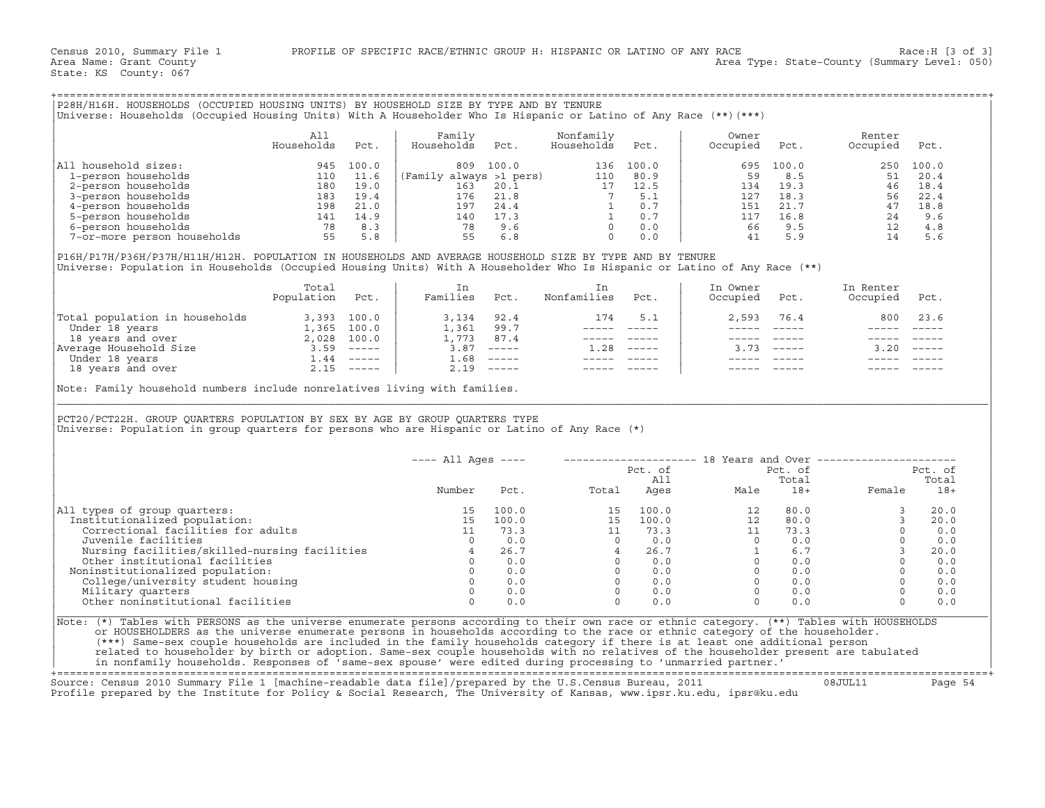| P28H/H16H. HOUSEHOLDS (OCCUPIED HOUSING UNITS) BY HOUSEHOLD SIZE BY TYPE AND BY TENURE<br> Universe: Households (Occupied Housing Units) With A Householder Who Is Hispanic or Latino of Any Race (**)(***) |                   |       |                         |       |                         |       |                   |       |                    |       |
|-------------------------------------------------------------------------------------------------------------------------------------------------------------------------------------------------------------|-------------------|-------|-------------------------|-------|-------------------------|-------|-------------------|-------|--------------------|-------|
|                                                                                                                                                                                                             | All<br>Households | Pct.  | Family<br>Households    | Pct.  | Nonfamily<br>Households | Pct.  | Owner<br>Occupied | Pct.  | Renter<br>Occupied | Pct.  |
| household sizes:<br>  All                                                                                                                                                                                   | 945               | 100.0 | 809                     | 100.0 | 136                     | 100.0 | 695               | 100.0 | 250                | 100.0 |
| 1-person households                                                                                                                                                                                         | 110               | 11.6  | (Family always >1 pers) |       | 110                     | 80.9  | 59                | 8.5   | 51                 | 20.4  |
| 2-person households                                                                                                                                                                                         | 180               | 19.0  | 163                     | 20.1  | 17                      | 12.5  | 134               | 19.3  | 46                 | 18.4  |
| 3-person households                                                                                                                                                                                         | 183               | 19.4  | 176                     | 21.8  |                         | 5.1   | 127               | 18.3  | 56                 | 22.4  |
| 4-person households                                                                                                                                                                                         | 198               | 21.0  | 197                     | 24.4  |                         | 0.7   | 151               | 21.7  | 47                 | 18.8  |
| 5-person households                                                                                                                                                                                         | 141               | 14.9  | 140                     | 17.3  |                         | 0.7   | 117               | 16.8  | 24                 | 9.6   |
| 6-person households                                                                                                                                                                                         | 78                | 8.3   | 78                      | 9.6   |                         | 0.0   | 66                | 9.5   | 12                 | 4.8   |
| 7-or-more person households                                                                                                                                                                                 | 55                | 5.8   | 55                      | 6.8   |                         | 0.0   | 41                | 5.9   | 14                 | 5.6   |

|                                | Total<br>Population | Pct.                      | Ιn<br>Families | Pct.                      | Nonfamilies | Pct.        | In Owner<br>Occupied | Pct.                      | In Renter<br>Occupied | Pct.   |
|--------------------------------|---------------------|---------------------------|----------------|---------------------------|-------------|-------------|----------------------|---------------------------|-----------------------|--------|
| Total population in households | 3,393               | 100.0                     | 3,134          | 92.4                      | 174         | 5.1         | 2,593                | 76.4                      | 800                   | 23.6   |
| Under 18 years                 | 1,365               | 100.0                     | 1,361          | 99.7                      |             |             |                      |                           |                       |        |
| 18 years and over              | 2,028               | 100.0                     | ⊥,773          | 87.4                      |             |             |                      |                           |                       |        |
| Average Household Size         | 3.59                | $\qquad \qquad - - - - -$ | 3.87           | $\qquad \qquad - - - - -$ | 1.28        | $- - - - -$ | 3.73                 | $\qquad \qquad - - - - -$ | 3.20                  | ------ |
| Under 18 years                 | $\pm 0.44$          | $------$                  | 1.68           | $\qquad \qquad - - - - -$ |             |             |                      |                           |                       |        |
| 18 years and over              | 2.15                | $------$                  | 2.19           | $\qquad \qquad - - - - -$ |             |             |                      |                           |                       |        |

| P28H/H16H. HOUSEHOLDS (OCCUPIED HOUSING UNITS) BY HOUSEHOLD SIZE BY TYPE AND BY TENURE<br>Universe: Households (Occupied Housing Units) With A Householder Who Is Hispanic or Latino of Any Race (**) (***)                                         |                          |      |                                                                                                                                                                   |              |                                                                                                              |         |                                                                                                                                                                                                                                                                                                                         |                                                           |                                                                                                                     |                |
|-----------------------------------------------------------------------------------------------------------------------------------------------------------------------------------------------------------------------------------------------------|--------------------------|------|-------------------------------------------------------------------------------------------------------------------------------------------------------------------|--------------|--------------------------------------------------------------------------------------------------------------|---------|-------------------------------------------------------------------------------------------------------------------------------------------------------------------------------------------------------------------------------------------------------------------------------------------------------------------------|-----------------------------------------------------------|---------------------------------------------------------------------------------------------------------------------|----------------|
|                                                                                                                                                                                                                                                     | All<br>Households        | Pct. | Family<br>Households                                                                                                                                              | Pct.         | Nonfamily<br>Households                                                                                      | Pct.    | Owner<br>Occupied                                                                                                                                                                                                                                                                                                       | Pct.                                                      | Renter<br>Occupied                                                                                                  | Pct.           |
| All household sizes:                                                                                                                                                                                                                                |                          |      |                                                                                                                                                                   |              |                                                                                                              |         | 695                                                                                                                                                                                                                                                                                                                     | 100.0                                                     | 250 100.0                                                                                                           |                |
|                                                                                                                                                                                                                                                     |                          |      |                                                                                                                                                                   |              |                                                                                                              |         | 59                                                                                                                                                                                                                                                                                                                      | 8.5                                                       | 51                                                                                                                  | 20.4           |
|                                                                                                                                                                                                                                                     |                          |      |                                                                                                                                                                   |              |                                                                                                              |         | 134 19.3                                                                                                                                                                                                                                                                                                                |                                                           |                                                                                                                     |                |
|                                                                                                                                                                                                                                                     |                          |      |                                                                                                                                                                   |              |                                                                                                              |         | 127                                                                                                                                                                                                                                                                                                                     |                                                           |                                                                                                                     |                |
|                                                                                                                                                                                                                                                     |                          |      |                                                                                                                                                                   |              |                                                                                                              |         | 151                                                                                                                                                                                                                                                                                                                     |                                                           |                                                                                                                     |                |
|                                                                                                                                                                                                                                                     |                          |      |                                                                                                                                                                   |              |                                                                                                              |         | 117                                                                                                                                                                                                                                                                                                                     |                                                           |                                                                                                                     |                |
|                                                                                                                                                                                                                                                     |                          |      |                                                                                                                                                                   |              |                                                                                                              |         |                                                                                                                                                                                                                                                                                                                         | 66 9.5                                                    |                                                                                                                     |                |
| 11 household sizes:<br>1-person households<br>2-person households<br>3-person households<br>5-person households<br>5-person households<br>6-person households<br>7-or-more person households<br>7-8 8.3<br>8.3<br>7-or-more person households<br>78 |                          |      | 809 100.0 136 100.0<br>(Family always >1 pers) 110 80.9<br>163 20.1 17 12.5<br>176 21.8 7 5.1<br>197 24.4 1 0.7<br>140 17.3 1 0.7<br>78 9.6 0 0.0<br>55 6.8 0 0.0 |              |                                                                                                              |         | 41                                                                                                                                                                                                                                                                                                                      |                                                           | $\begin{array}{cccc} 8.5 \\ 19.3 \\ 22.3 \\ 21.7 \\ 16.8 \\ 9.5 \\ 24 \\ 9.6 \\ 12 \\ 4.8 \\ 14 \\ 5.6 \end{array}$ |                |
| P16H/P17H/P36H/P37H/H11H/H12H. POPULATION IN HOUSEHOLDS AND AVERAGE HOUSEHOLD SIZE BY TYPE AND BY TENURE<br>Universe: Population in Households (Occupied Housing Units) With A Householder Who Is Hispanic or Latino of Any Race (**)               |                          |      |                                                                                                                                                                   |              |                                                                                                              |         |                                                                                                                                                                                                                                                                                                                         |                                                           |                                                                                                                     |                |
|                                                                                                                                                                                                                                                     | Total<br>Population Pct. |      | In<br>Families Pct.                                                                                                                                               |              | In<br>Nonfamilies Pct.                                                                                       |         | In Owner<br>Occupied Pct.                                                                                                                                                                                                                                                                                               |                                                           | In Renter<br>Occupied Pct.                                                                                          |                |
| Total population in households 3,393 100.0<br>Under 18 years 1,365 100.0<br>18 years and over 2,028 100.0<br>Nerage Household Size 3.59 -----<br>Under 18 years and over 2.15 -----<br>1.44 -----<br>1.9 years and over 2.15 -----                  |                          |      |                                                                                                                                                                   |              |                                                                                                              | 174 5.1 | 2,593                                                                                                                                                                                                                                                                                                                   | 76.4                                                      | 800 23.6                                                                                                            |                |
|                                                                                                                                                                                                                                                     |                          |      |                                                                                                                                                                   |              | ----- -----                                                                                                  |         | $\frac{1}{2}$                                                                                                                                                                                                                                                                                                           |                                                           | $\frac{1}{2}$                                                                                                       |                |
|                                                                                                                                                                                                                                                     |                          |      | 3, 134 92. 4<br>1, 361 99. 7<br>1, 773 87. 4                                                                                                                      |              | $\begin{array}{cccccc} - & - & - & - & - & - & - \\ & - & - & - & - & - \\ & & - & - & - & - \\ \end{array}$ |         | ------                                                                                                                                                                                                                                                                                                                  | $------$                                                  | ----- -----                                                                                                         |                |
|                                                                                                                                                                                                                                                     |                          |      |                                                                                                                                                                   | $3.87$ ----- | $1.28$ -----                                                                                                 |         |                                                                                                                                                                                                                                                                                                                         | $3.73$ -----                                              | $3.20$ -----                                                                                                        |                |
|                                                                                                                                                                                                                                                     |                          |      | $1.68$ -----                                                                                                                                                      |              | $\begin{array}{cccccc} - & - & - & - & - & - & - \\ & - & - & - & - & - \\ & & - & - & - & - \end{array}$    |         | $\frac{1}{2}$                                                                                                                                                                                                                                                                                                           |                                                           |                                                                                                                     |                |
|                                                                                                                                                                                                                                                     |                          |      |                                                                                                                                                                   | $2.19$ ----- |                                                                                                              |         |                                                                                                                                                                                                                                                                                                                         |                                                           |                                                                                                                     |                |
| PCT20/PCT22H. GROUP QUARTERS POPULATION BY SEX BY AGE BY GROUP QUARTERS TYPE<br>Universe: Population in group quarters for persons who are Hispanic or Latino of Any Race (*)                                                                       |                          |      |                                                                                                                                                                   |              |                                                                                                              |         |                                                                                                                                                                                                                                                                                                                         |                                                           |                                                                                                                     |                |
|                                                                                                                                                                                                                                                     |                          |      | $---$ All Ages $---$                                                                                                                                              |              |                                                                                                              |         |                                                                                                                                                                                                                                                                                                                         |                                                           | -------------------- 18 Years and Over ----------------------                                                       |                |
|                                                                                                                                                                                                                                                     |                          |      |                                                                                                                                                                   |              |                                                                                                              | Pct. of |                                                                                                                                                                                                                                                                                                                         | Pct. of                                                   |                                                                                                                     | Pct. of        |
|                                                                                                                                                                                                                                                     |                          |      |                                                                                                                                                                   |              |                                                                                                              | All     |                                                                                                                                                                                                                                                                                                                         | Total                                                     |                                                                                                                     | Total          |
|                                                                                                                                                                                                                                                     |                          |      | Number                                                                                                                                                            |              |                                                                                                              |         | Pct. Total Ages Male                                                                                                                                                                                                                                                                                                    | $18+$                                                     | Female                                                                                                              | $18+$          |
| All types of group quarters:                                                                                                                                                                                                                        |                          |      | 15                                                                                                                                                                | 100.0        |                                                                                                              |         | $\begin{array}{cccccc} 15 & 100.0 & & & 12 & 80.0 \\ 15 & 100.0 & & & 12 & 80.0 \\ 11 & 73.3 & & & 11 & 73.3 \\ 0 & 0.0 & & & 0 & 0.0 \\ 4 & 26.7 & & 1 & 6.7 \\ 0 & 0.0 & & 0 & 0.0 \\ 0 & 0.0 & & & 0 & 0.0 \\ 0 & 0.0 & & & 0 & 0.0 \\ 0 & 0.0 & & & 0 & 0.0 \\ 0 & 0.0 & & & 0 & 0.0 \\ 0 & 0.0 & & & 0 & 0.0 \\ \$ | $\begin{array}{c}\n 80.0 \\  \circ \quad 0\n \end{array}$ | $\overline{3}$                                                                                                      | 20.0           |
| Institutionalized population:                                                                                                                                                                                                                       |                          |      | 15                                                                                                                                                                | 100.0        |                                                                                                              |         |                                                                                                                                                                                                                                                                                                                         |                                                           | $\mathbf{3}$                                                                                                        | 20.0           |
| Correctional facilities for adults                                                                                                                                                                                                                  |                          |      | 11                                                                                                                                                                | 73.3         |                                                                                                              |         |                                                                                                                                                                                                                                                                                                                         |                                                           | $\circ$                                                                                                             | 0.0            |
| Juvenile facilities                                                                                                                                                                                                                                 |                          |      | $\overline{0}$                                                                                                                                                    | 0.0          |                                                                                                              |         |                                                                                                                                                                                                                                                                                                                         |                                                           | $\Omega$                                                                                                            | 0.0            |
|                                                                                                                                                                                                                                                     |                          |      |                                                                                                                                                                   |              |                                                                                                              |         |                                                                                                                                                                                                                                                                                                                         |                                                           |                                                                                                                     | 20.0           |
|                                                                                                                                                                                                                                                     |                          |      |                                                                                                                                                                   |              |                                                                                                              |         |                                                                                                                                                                                                                                                                                                                         |                                                           | $\overline{0}$                                                                                                      | 0.0            |
| Noninstitutionalized population:                                                                                                                                                                                                                    |                          |      |                                                                                                                                                                   |              |                                                                                                              |         |                                                                                                                                                                                                                                                                                                                         |                                                           | $\Omega$                                                                                                            | 0.0            |
| University and facilities<br>Nursing facilities and the other institutional facilities<br>Other institutional facilities and the solution<br>on the college/university student housing and the Military quarters<br>Military quarters<br>           |                          |      |                                                                                                                                                                   |              |                                                                                                              |         |                                                                                                                                                                                                                                                                                                                         |                                                           |                                                                                                                     | $0 \qquad 0.0$ |
|                                                                                                                                                                                                                                                     |                          |      |                                                                                                                                                                   |              |                                                                                                              |         |                                                                                                                                                                                                                                                                                                                         |                                                           | $\Omega$                                                                                                            | 0.0            |
|                                                                                                                                                                                                                                                     |                          |      | $\Omega$                                                                                                                                                          | 0.0          |                                                                                                              |         |                                                                                                                                                                                                                                                                                                                         |                                                           | $\Omega$                                                                                                            | 0.0            |
| Other noninstitutional facilities                                                                                                                                                                                                                   |                          |      |                                                                                                                                                                   |              |                                                                                                              |         |                                                                                                                                                                                                                                                                                                                         |                                                           |                                                                                                                     |                |

+===================================================================================================================================================+

Source: Census 2010 Summary File 1 [machine−readable data file]/prepared by the U.S.Census Bureau, 2011 08JUL11 Page 54 Profile prepared by the Institute for Policy & Social Research, The University of Kansas, www.ipsr.ku.edu, ipsr@ku.edu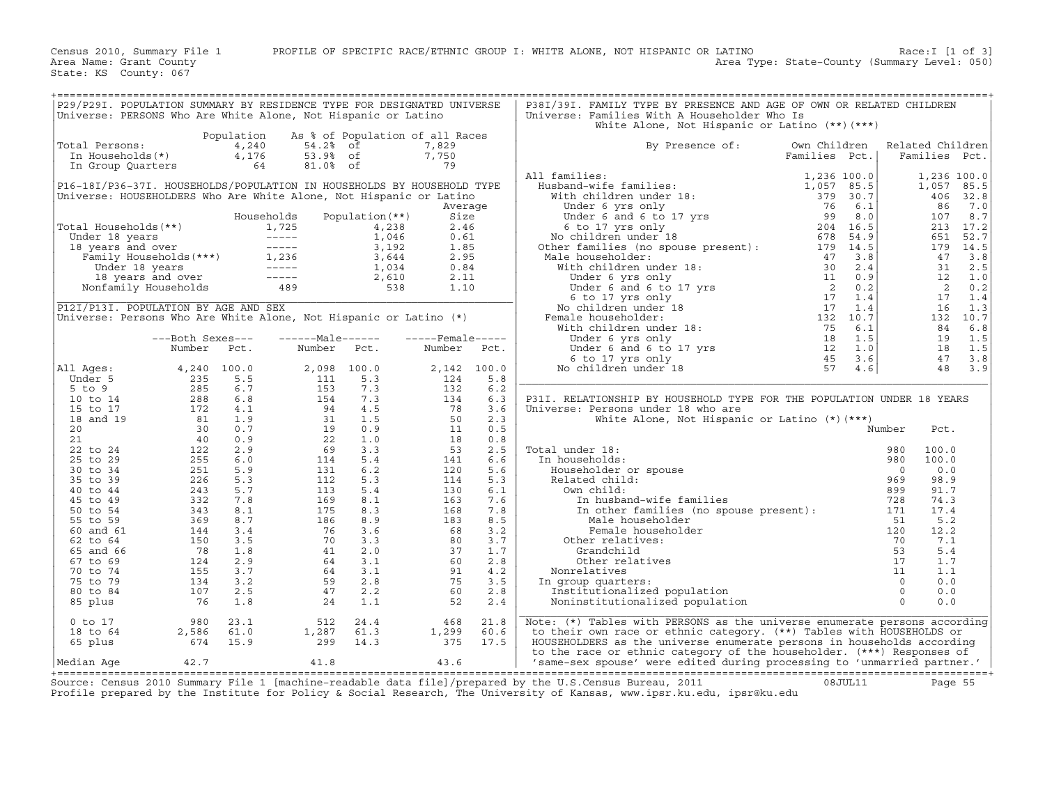|                                                                                                                                                                                                                                                                |                                                                                                                                                                                                                                                          |      | P29/P29I. POPULATION SUMMARY BY RESIDENCE TYPE FOR DESIGNATED UNIVERSE                                                                                                                                                                                                                                            |      |                                                                                                                      |              | P38I/39I. FAMILY TYPE BY PRESENCE AND AGE OF OWN OR RELATED CHILDREN                                                                                                                                                                                                |               |                  |                         |                           |
|----------------------------------------------------------------------------------------------------------------------------------------------------------------------------------------------------------------------------------------------------------------|----------------------------------------------------------------------------------------------------------------------------------------------------------------------------------------------------------------------------------------------------------|------|-------------------------------------------------------------------------------------------------------------------------------------------------------------------------------------------------------------------------------------------------------------------------------------------------------------------|------|----------------------------------------------------------------------------------------------------------------------|--------------|---------------------------------------------------------------------------------------------------------------------------------------------------------------------------------------------------------------------------------------------------------------------|---------------|------------------|-------------------------|---------------------------|
|                                                                                                                                                                                                                                                                |                                                                                                                                                                                                                                                          |      | Universe: PERSONS Who Are White Alone, Not Hispanic or Latino<br>Population As % of Population of all Races                                                                                                                                                                                                       |      |                                                                                                                      |              | Universe: Families With A Householder Who Is<br>White Alone, Not Hispanic or Latino (**)(***)                                                                                                                                                                       |               |                  |                         |                           |
| Total Persons:                                                                                                                                                                                                                                                 |                                                                                                                                                                                                                                                          |      | otal Persons:<br>In Households (*)<br>In Group Quarters<br>Sanction 2016 1989 of<br>Sanction 2016 1989 of<br>Sanction 2016 1989 of<br>Sanction 2019 of<br>Sanction 2019 of<br>Sanction 2019 of<br>Sanction 2019 of<br>Sanction 2019 of<br>Sanction 2                                                              |      | 7,829                                                                                                                |              | By Presence of:                                                                                                                                                                                                                                                     | Own Children  | Related Children |                         |                           |
|                                                                                                                                                                                                                                                                |                                                                                                                                                                                                                                                          |      |                                                                                                                                                                                                                                                                                                                   |      | 7,750<br>79                                                                                                          |              |                                                                                                                                                                                                                                                                     | Families Pct. | Families Pct.    |                         |                           |
|                                                                                                                                                                                                                                                                |                                                                                                                                                                                                                                                          |      | P16-18I/P36-37I. HOUSEHOLDS/POPULATION IN HOUSEHOLDS BY HOUSEHOLD TYPE                                                                                                                                                                                                                                            |      |                                                                                                                      |              | All families:<br>All families:<br>Husband-wife families:<br>Husband-wife families:<br>Which children under 18:<br>Under 6 years only<br>Under 6 and 6 to 17 yrs<br>6 to 17 yrs only<br>No children under 18<br>No children under 18<br>No children under 18:<br>Mal |               |                  |                         | 1,236 100.0<br>1,057 85.5 |
| Universe: HOUSEHOLDERS Who Are White Alone, Not Hispanic or Latino                                                                                                                                                                                             |                                                                                                                                                                                                                                                          |      |                                                                                                                                                                                                                                                                                                                   |      |                                                                                                                      |              |                                                                                                                                                                                                                                                                     |               |                  |                         | 406 32.8                  |
|                                                                                                                                                                                                                                                                |                                                                                                                                                                                                                                                          |      |                                                                                                                                                                                                                                                                                                                   |      | Average                                                                                                              |              |                                                                                                                                                                                                                                                                     |               |                  | 86                      | 7.0                       |
|                                                                                                                                                                                                                                                                |                                                                                                                                                                                                                                                          |      | Households Population (**)                                                                                                                                                                                                                                                                                        |      | Size<br>2.46                                                                                                         |              |                                                                                                                                                                                                                                                                     |               |                  | 107                     | 8.7<br>213 17.2           |
|                                                                                                                                                                                                                                                                |                                                                                                                                                                                                                                                          |      |                                                                                                                                                                                                                                                                                                                   |      | 0.61                                                                                                                 |              |                                                                                                                                                                                                                                                                     |               |                  |                         | 651 52.7                  |
| Total Households (**)<br>Under 18 years<br>1,725 ----- 1,046<br>18 years and over<br>Family Households (***)<br>Under 18 years<br>Under 18 years<br>1,236 3,644<br>1,034<br>1,034<br>18 years and over<br>1,034<br>1,034<br>1,034<br>1,034<br>2,610<br>Nonfami |                                                                                                                                                                                                                                                          |      |                                                                                                                                                                                                                                                                                                                   |      | 1.85                                                                                                                 |              |                                                                                                                                                                                                                                                                     |               |                  |                         | 179 14.5                  |
|                                                                                                                                                                                                                                                                |                                                                                                                                                                                                                                                          |      |                                                                                                                                                                                                                                                                                                                   |      | 2.95<br>0.84                                                                                                         |              |                                                                                                                                                                                                                                                                     |               |                  | 47<br>31                | 3.8<br>2.5                |
|                                                                                                                                                                                                                                                                |                                                                                                                                                                                                                                                          |      |                                                                                                                                                                                                                                                                                                                   |      | 2.11                                                                                                                 |              |                                                                                                                                                                                                                                                                     |               |                  | 12                      | 1.0                       |
|                                                                                                                                                                                                                                                                |                                                                                                                                                                                                                                                          |      |                                                                                                                                                                                                                                                                                                                   |      | 1.10                                                                                                                 |              |                                                                                                                                                                                                                                                                     |               |                  | $\overline{\mathbf{c}}$ | 0.2                       |
| P12I/P13I. POPULATION BY AGE AND SEX                                                                                                                                                                                                                           |                                                                                                                                                                                                                                                          |      |                                                                                                                                                                                                                                                                                                                   |      | <u> Liste de la construcción de la construcción de la construcción de la construcción de la construcción de la c</u> |              |                                                                                                                                                                                                                                                                     |               |                  | 17<br>16                | 1.4<br>1.3                |
| Universe: Persons Who Are White Alone, Not Hispanic or Latino (*)                                                                                                                                                                                              |                                                                                                                                                                                                                                                          |      |                                                                                                                                                                                                                                                                                                                   |      |                                                                                                                      |              |                                                                                                                                                                                                                                                                     |               |                  |                         | 132 10.7                  |
|                                                                                                                                                                                                                                                                |                                                                                                                                                                                                                                                          |      |                                                                                                                                                                                                                                                                                                                   |      |                                                                                                                      |              |                                                                                                                                                                                                                                                                     |               |                  | 84                      | 6.8                       |
|                                                                                                                                                                                                                                                                | ---Both Sexes---<br>Number                                                                                                                                                                                                                               | Pct. | ------Male------<br>Number Pct.                                                                                                                                                                                                                                                                                   |      | -----Female-----<br>Number                                                                                           | Pct.         |                                                                                                                                                                                                                                                                     |               |                  |                         | 19 1.5<br>18 1.5          |
|                                                                                                                                                                                                                                                                |                                                                                                                                                                                                                                                          |      |                                                                                                                                                                                                                                                                                                                   |      |                                                                                                                      |              |                                                                                                                                                                                                                                                                     |               |                  |                         | 47 3.8                    |
| All Ages:                                                                                                                                                                                                                                                      | 4,240 100.0                                                                                                                                                                                                                                              |      | 2,098 100.0                                                                                                                                                                                                                                                                                                       |      |                                                                                                                      | 2,142 100.0  |                                                                                                                                                                                                                                                                     |               |                  |                         | 48 3.9                    |
|                                                                                                                                                                                                                                                                |                                                                                                                                                                                                                                                          |      |                                                                                                                                                                                                                                                                                                                   |      | 124                                                                                                                  | 5.8<br>6.2   |                                                                                                                                                                                                                                                                     |               |                  |                         |                           |
|                                                                                                                                                                                                                                                                |                                                                                                                                                                                                                                                          |      |                                                                                                                                                                                                                                                                                                                   |      |                                                                                                                      | 6.3          | P31I. RELATIONSHIP BY HOUSEHOLD TYPE FOR THE POPULATION UNDER 18 YEARS                                                                                                                                                                                              |               |                  |                         |                           |
|                                                                                                                                                                                                                                                                |                                                                                                                                                                                                                                                          |      |                                                                                                                                                                                                                                                                                                                   |      | $\begin{array}{r} 124 \\ 132 \\ 134 \\ 78 \\ 50 \\ 11 \\ 13 \\ 13 \\ 14 \\ 120 \end{array}$                          | 3.6          | Universe: Persons under 18 who are                                                                                                                                                                                                                                  |               |                  |                         |                           |
|                                                                                                                                                                                                                                                                |                                                                                                                                                                                                                                                          |      |                                                                                                                                                                                                                                                                                                                   |      |                                                                                                                      | 2.3          |                                                                                                                                                                                                                                                                     |               |                  |                         |                           |
|                                                                                                                                                                                                                                                                |                                                                                                                                                                                                                                                          |      |                                                                                                                                                                                                                                                                                                                   |      |                                                                                                                      | 0.5<br>0.8   |                                                                                                                                                                                                                                                                     |               |                  |                         |                           |
|                                                                                                                                                                                                                                                                |                                                                                                                                                                                                                                                          |      |                                                                                                                                                                                                                                                                                                                   |      |                                                                                                                      | 2.5          | Total under 18:                                                                                                                                                                                                                                                     |               |                  |                         |                           |
|                                                                                                                                                                                                                                                                |                                                                                                                                                                                                                                                          |      |                                                                                                                                                                                                                                                                                                                   |      |                                                                                                                      | 6.6          | In households:                                                                                                                                                                                                                                                      |               |                  |                         |                           |
|                                                                                                                                                                                                                                                                |                                                                                                                                                                                                                                                          |      |                                                                                                                                                                                                                                                                                                                   |      | 114                                                                                                                  | 5.6<br>5.3   | Householder or spouse<br>Related child:                                                                                                                                                                                                                             |               |                  |                         |                           |
|                                                                                                                                                                                                                                                                |                                                                                                                                                                                                                                                          |      |                                                                                                                                                                                                                                                                                                                   |      | 130                                                                                                                  | 6.1          |                                                                                                                                                                                                                                                                     |               |                  |                         |                           |
|                                                                                                                                                                                                                                                                |                                                                                                                                                                                                                                                          |      |                                                                                                                                                                                                                                                                                                                   |      | 163                                                                                                                  | 7.6          |                                                                                                                                                                                                                                                                     |               |                  |                         |                           |
|                                                                                                                                                                                                                                                                |                                                                                                                                                                                                                                                          |      |                                                                                                                                                                                                                                                                                                                   |      | 168<br>$\begin{array}{r} 168 \\ 183 \\ 68 \\ 80 \\ \end{array}$                                                      | 7.8<br>8.5   |                                                                                                                                                                                                                                                                     |               |                  |                         |                           |
|                                                                                                                                                                                                                                                                |                                                                                                                                                                                                                                                          |      |                                                                                                                                                                                                                                                                                                                   |      |                                                                                                                      | 3.2          |                                                                                                                                                                                                                                                                     |               |                  |                         |                           |
|                                                                                                                                                                                                                                                                |                                                                                                                                                                                                                                                          |      |                                                                                                                                                                                                                                                                                                                   |      |                                                                                                                      | 3.7          |                                                                                                                                                                                                                                                                     |               |                  |                         |                           |
|                                                                                                                                                                                                                                                                |                                                                                                                                                                                                                                                          |      |                                                                                                                                                                                                                                                                                                                   |      |                                                                                                                      | 1.7<br>2.8   |                                                                                                                                                                                                                                                                     |               |                  |                         |                           |
|                                                                                                                                                                                                                                                                |                                                                                                                                                                                                                                                          |      |                                                                                                                                                                                                                                                                                                                   |      |                                                                                                                      | 4.2          | Nonrelatives                                                                                                                                                                                                                                                        |               |                  |                         |                           |
|                                                                                                                                                                                                                                                                |                                                                                                                                                                                                                                                          |      |                                                                                                                                                                                                                                                                                                                   |      |                                                                                                                      | 3.5          | In group quarters:                                                                                                                                                                                                                                                  |               |                  |                         |                           |
|                                                                                                                                                                                                                                                                |                                                                                                                                                                                                                                                          |      |                                                                                                                                                                                                                                                                                                                   |      | $37$<br>$60$<br>$91$<br>$75$<br>$60$<br>$52$                                                                         | 2.8<br>2.4   | Institutionalized population<br>Noninstitutionalized population                                                                                                                                                                                                     |               |                  |                         |                           |
|                                                                                                                                                                                                                                                                | 11 Ages: 4, 240 100.0<br>Under 5 235 5.5<br>5 to 9<br>10 to 14 288 6.8<br>15 to 17 172 4.1<br>18 and 19 81 1.9<br>21 30 .7<br>22 to 24 122 2.9<br>25 to 29 255 6.0<br>35 to 39 225 6.0<br>35 to 39 226 5.3<br>40 to 44 243 5.7<br>45 to 49 332 7.8<br>45 |      | $\begin{array}{cccc} 2\, , 098 & 100\, . \, 0 \\ 111 & 5\, . \, 3 \\ 153 & 7\, . \, 3 \\ 154 & 7\, . \, 3 \\ 94 & 4\, . \, 5 \\ 31 & 1\, . \, 5 \\ 94 & 4\, . \, 5 \\ 31 & 1\, . \, 5 \\ 22 & 1\, . \, 0 \\ 69 & 3\, . \, 3 \\ 114 & 5\, . \, 4 \\ 169 & 8\, . \, 1 \\ 112 & 5\, . \, 3 \\ 113 & 5\, . \, 4 \\ 1$ |      |                                                                                                                      |              |                                                                                                                                                                                                                                                                     |               |                  |                         |                           |
| $0$ to $17$                                                                                                                                                                                                                                                    |                                                                                                                                                                                                                                                          |      |                                                                                                                                                                                                                                                                                                                   |      | 468                                                                                                                  | 21.8         | Note: (*) Tables with PERSONS as the universe enumerate persons according                                                                                                                                                                                           |               |                  |                         |                           |
| 18 to 64<br>65 plus                                                                                                                                                                                                                                            | 980 23.1<br>2,586 61.0<br>674 15.9                                                                                                                                                                                                                       |      | $\begin{array}{rr} 512 & 24.4 \\ 1,287 & 61.3 \\ 299 & 14.3 \end{array}$                                                                                                                                                                                                                                          |      | $1,299$<br>$375$                                                                                                     | 60.6<br>17.5 | to their own race or ethnic category. (**) Tables with HOUSEHOLDS or<br>HOUSEHOLDERS as the universe enumerate persons in households according                                                                                                                      |               |                  |                         |                           |
|                                                                                                                                                                                                                                                                |                                                                                                                                                                                                                                                          |      |                                                                                                                                                                                                                                                                                                                   |      |                                                                                                                      |              | to the race or ethnic category of the householder. (***) Responses of                                                                                                                                                                                               |               |                  |                         |                           |
| Median Aqe                                                                                                                                                                                                                                                     | 42.7                                                                                                                                                                                                                                                     |      | 41.8                                                                                                                                                                                                                                                                                                              | 43.6 |                                                                                                                      |              | 'same-sex spouse' were edited during processing to 'unmarried partner.'                                                                                                                                                                                             |               |                  |                         |                           |

+===================================================================================================================================================+Source: Census 2010 Summary File 1 [machine−readable data file]/prepared by the U.S.Census Bureau, 2011 08JUL11 Page 55 Profile prepared by the Institute for Policy & Social Research, The University of Kansas, www.ipsr.ku.edu, ipsr@ku.edu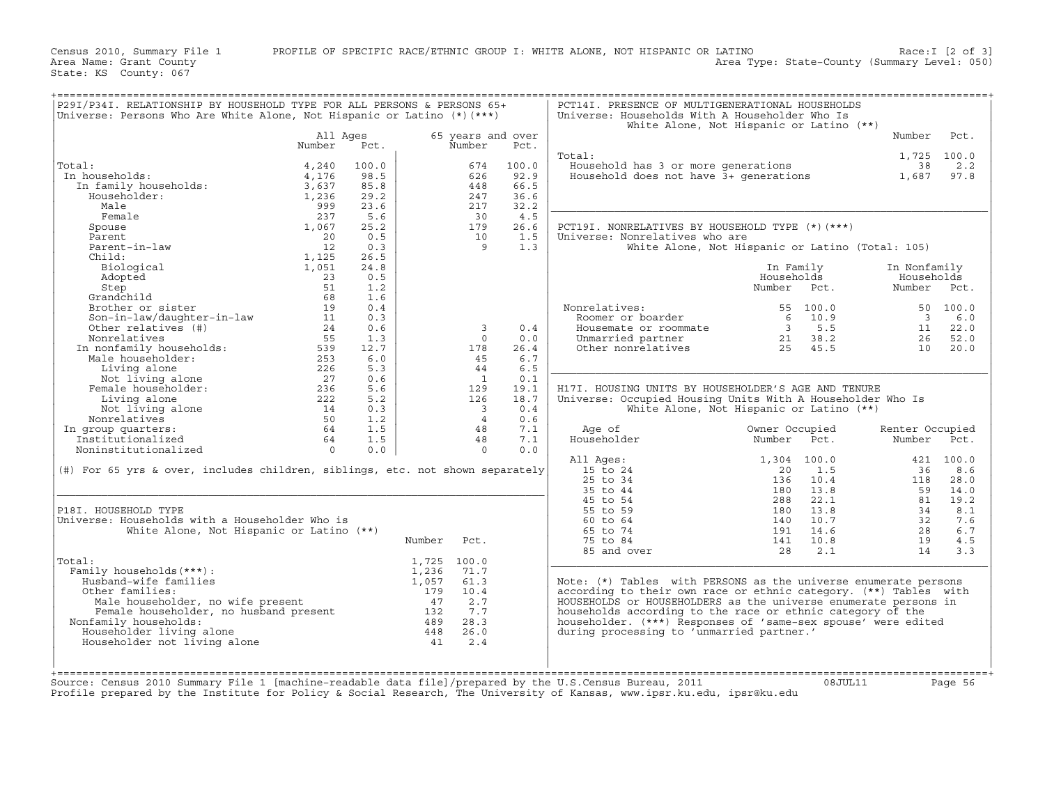Census 2010, Summary File 1 PROFILE OF SPECIFIC RACE/ETHNIC GROUP I: WHITE ALONE, NOT HISPANIC OR LATINO Race:I [2 of 3]<br>Area Name: Grant County (summary Level: 050) Area Type: State-County (Summary Level: 050)

State: KS County: 067

| P29I/P34I. RELATIONSHIP BY HOUSEHOLD TYPE FOR ALL PERSONS & PERSONS 65+<br>Universe: Persons Who Are White Alone, Not Hispanic or Latino (*) (***)                           |                 |       |                |                          |       | PCT14I. PRESENCE OF MULTIGENERATIONAL HOUSEHOLDS<br>Universe: Households With A Householder Who Is      |                                                  |                          |             |
|------------------------------------------------------------------------------------------------------------------------------------------------------------------------------|-----------------|-------|----------------|--------------------------|-------|---------------------------------------------------------------------------------------------------------|--------------------------------------------------|--------------------------|-------------|
|                                                                                                                                                                              |                 |       |                |                          |       |                                                                                                         | White Alone, Not Hispanic or Latino (**)         |                          |             |
|                                                                                                                                                                              | All Ages        |       |                | 65 years and over        |       |                                                                                                         |                                                  | Number                   | Pct.        |
|                                                                                                                                                                              | Number          | Pct.  |                | Number                   | Pct.  |                                                                                                         |                                                  |                          |             |
|                                                                                                                                                                              |                 |       |                |                          |       | Total:                                                                                                  |                                                  |                          | 1,725 100.0 |
| Total:                                                                                                                                                                       | 4,240           | 100.0 |                | 674                      | 100.0 | Household has 3 or more generations                                                                     |                                                  | 38                       | 2.2         |
| In households:                                                                                                                                                               | 4,176           | 98.5  |                | 626                      | 92.9  | Household does not have 3+ generations                                                                  |                                                  | 1,687                    | 97.8        |
| n households:<br>In family households:<br>Householder:                                                                                                                       |                 |       |                | 448                      | 66.5  |                                                                                                         |                                                  |                          |             |
|                                                                                                                                                                              | 3,637           | 85.8  |                |                          |       |                                                                                                         |                                                  |                          |             |
|                                                                                                                                                                              | 1,236           | 29.2  |                | 247                      | 36.6  |                                                                                                         |                                                  |                          |             |
| Male                                                                                                                                                                         | 999             | 23.6  |                | 217                      | 32.2  |                                                                                                         |                                                  |                          |             |
| Female                                                                                                                                                                       | 237             | 5.6   |                | 30                       | 4.5   |                                                                                                         |                                                  |                          |             |
| Spouse                                                                                                                                                                       | 1,067           | 25.2  |                | 179                      | 26.6  | PCT19I. NONRELATIVES BY HOUSEHOLD TYPE (*) (***)                                                        |                                                  |                          |             |
| Parent                                                                                                                                                                       | 20              | 0.5   |                | 10                       | 1.5   | Universe: Nonrelatives who are                                                                          |                                                  |                          |             |
| Parent-in-law                                                                                                                                                                | 12              | 0.3   |                | $\overline{9}$           | 1.3   |                                                                                                         | White Alone, Not Hispanic or Latino (Total: 105) |                          |             |
| Child:                                                                                                                                                                       | 1,125           | 26.5  |                |                          |       |                                                                                                         |                                                  |                          |             |
| Biological                                                                                                                                                                   | 1,051           | 24.8  |                |                          |       |                                                                                                         | In Family                                        | In Nonfamily             |             |
| Adopted                                                                                                                                                                      | 23              | 0.5   |                |                          |       |                                                                                                         | Households                                       | Households               |             |
| Step                                                                                                                                                                         | 51              | 1.2   |                |                          |       |                                                                                                         | Number Pct.                                      | Number                   | Pct.        |
| Grandchild                                                                                                                                                                   | 68              | 1.6   |                |                          |       |                                                                                                         |                                                  |                          |             |
|                                                                                                                                                                              |                 |       |                |                          |       |                                                                                                         |                                                  |                          |             |
| Brother or sister                                                                                                                                                            | 19              | 0.4   |                |                          |       | Nonrelatives:                                                                                           | 55 100.0                                         |                          | 50 100.0    |
| Son-in-law/daughter-in-law                                                                                                                                                   | 11              | 0.3   |                |                          |       | Roomer or boarder                                                                                       | $6 \t 10.9$<br>$\frac{6}{3}$                     | $\overline{\phantom{a}}$ | 6.0         |
| Other relatives (#)                                                                                                                                                          | 24              | 0.6   |                | $\overline{3}$           | 0.4   | Housemate or roommate                                                                                   | 5.5                                              | 11                       | 22.0        |
| Nonrelatives                                                                                                                                                                 | 55              | 1.3   |                | $\circ$                  | 0.0   | Unmarried partner                                                                                       | 21 38.2                                          | 26                       | 52.0        |
|                                                                                                                                                                              |                 | 12.7  |                | 178                      | 26.4  | Other nonrelatives                                                                                      | $25 \t 45.5$                                     | 10                       | 20.0        |
|                                                                                                                                                                              |                 | 6.0   |                | 45                       | 6.7   |                                                                                                         |                                                  |                          |             |
|                                                                                                                                                                              |                 | 5.3   |                | 44                       | 6.5   |                                                                                                         |                                                  |                          |             |
| Nonrelatives 55<br>In nonfamily households: 539<br>Male householder: 253<br>Living alone 226<br>Not living alone 27<br>Female householder: 236<br>Temale alone<br>277<br>232 |                 | 0.6   |                | $\mathbf{1}$             | 0.1   |                                                                                                         |                                                  |                          |             |
|                                                                                                                                                                              |                 | 5.6   |                | 129                      | 19.1  | H17I. HOUSING UNITS BY HOUSEHOLDER'S AGE AND TENURE                                                     |                                                  |                          |             |
| Living alone                                                                                                                                                                 | 222             | 5.2   |                | 126                      | 18.7  | Universe: Occupied Housing Units With A Householder Who Is                                              |                                                  |                          |             |
| Not living alone                                                                                                                                                             | $\frac{14}{14}$ | 0.3   |                | $\overline{\phantom{a}}$ | 0.4   |                                                                                                         | White Alone, Not Hispanic or Latino (**)         |                          |             |
|                                                                                                                                                                              |                 |       |                |                          |       |                                                                                                         |                                                  |                          |             |
| Nonrelatives                                                                                                                                                                 | 50              | 1.2   |                | $\overline{4}$           | 0.6   |                                                                                                         |                                                  |                          |             |
| In group quarters:                                                                                                                                                           | 64              | 1.5   |                | 48                       | 7.1   | Age of                                                                                                  | Owner Occupied                                   | Renter Occupied          |             |
| Institutionalized                                                                                                                                                            | 64              | 1.5   |                | 48                       | 7.1   | Householder                                                                                             | Number Pct.                                      | Number Pct.              |             |
| Noninstitutionalized                                                                                                                                                         | $\overline{0}$  | 0.0   |                | $\Omega$                 | 0.0   |                                                                                                         |                                                  |                          |             |
|                                                                                                                                                                              |                 |       |                |                          |       | All Ages:                                                                                               | 1,304 100.0                                      |                          | 421 100.0   |
| $(\#)$ For 65 yrs & over, includes children, siblings, etc. not shown separately                                                                                             |                 |       |                |                          |       | 15 to 24                                                                                                | 20<br>1.5                                        | 36                       | 8.6         |
|                                                                                                                                                                              |                 |       |                |                          |       | 25 to 34                                                                                                | 136<br>10.4                                      | 118                      | 28.0        |
|                                                                                                                                                                              |                 |       |                |                          |       | 35 to 44                                                                                                | 180<br>13.8                                      | 59                       | 14.0        |
|                                                                                                                                                                              |                 |       |                |                          |       | 45 to 54                                                                                                | 22.1<br>288                                      | 81                       | 19.2        |
| P18I. HOUSEHOLD TYPE                                                                                                                                                         |                 |       |                |                          |       | 55 to 59                                                                                                | 13.8<br>180                                      | 34                       | 8.1         |
| Universe: Households with a Householder Who is                                                                                                                               |                 |       |                |                          |       | 60 to 64                                                                                                | 10.7<br>140                                      | 32                       | 7.6         |
| White Alone, Not Hispanic or Latino (**)                                                                                                                                     |                 |       |                |                          |       | 65 to 74                                                                                                | 14.6<br>191                                      | 28                       | 6.7         |
|                                                                                                                                                                              |                 |       |                |                          |       |                                                                                                         |                                                  |                          |             |
|                                                                                                                                                                              |                 |       | Number         | Pct.                     |       | 75 to 84                                                                                                | 141<br>10.8                                      | 19                       | 4.5         |
|                                                                                                                                                                              |                 |       |                |                          |       | 85 and over                                                                                             | 28<br>2.1                                        | 14                       | 3.3         |
| Total:                                                                                                                                                                       |                 |       |                | 1,725 100.0              |       |                                                                                                         |                                                  |                          |             |
| Family households (***) :                                                                                                                                                    |                 |       | 1,236          | 71.7                     |       |                                                                                                         |                                                  |                          |             |
| Husband-wife families                                                                                                                                                        |                 |       | 1,057          | 61.3                     |       | Note: (*) Tables with PERSONS as the universe enumerate persons                                         |                                                  |                          |             |
| Other families:                                                                                                                                                              |                 |       | 179            | 10.4                     |       | according to their own race or ethnic category. (**) Tables with                                        |                                                  |                          |             |
| ner Lamilies:<br>Male householder, no wife present<br>Female householder, no husband present<br>Eamily households: 489                                                       |                 |       |                | 2.7                      |       | HOUSEHOLDS or HOUSEHOLDERS as the universe enumerate persons in                                         |                                                  |                          |             |
|                                                                                                                                                                              |                 |       |                | 7.7                      |       | households according to the race or ethnic category of the                                              |                                                  |                          |             |
| Nonfamily households:                                                                                                                                                        |                 |       |                | 28.3                     |       | householder. (***) Responses of 'same-sex spouse' were edited                                           |                                                  |                          |             |
| Householder living alone                                                                                                                                                     |                 |       | $489$<br>$448$ | 26.0                     |       | during processing to 'unmarried partner.'                                                               |                                                  |                          |             |
| Householder not living alone                                                                                                                                                 |                 |       |                | 2.4                      |       |                                                                                                         |                                                  |                          |             |
|                                                                                                                                                                              |                 |       |                |                          |       |                                                                                                         |                                                  |                          |             |
|                                                                                                                                                                              |                 |       |                |                          |       |                                                                                                         |                                                  |                          |             |
|                                                                                                                                                                              |                 |       |                |                          |       |                                                                                                         |                                                  |                          |             |
|                                                                                                                                                                              |                 |       |                |                          |       | Source: Census 2010 Summary File 1 [machine-readable data file]/prepared by the U.S.Census Bureau, 2011 | 08JUL11                                          | Page 56                  |             |

Profile prepared by the Institute for Policy & Social Research, The University of Kansas, www.ipsr.ku.edu, ipsr@ku.edu